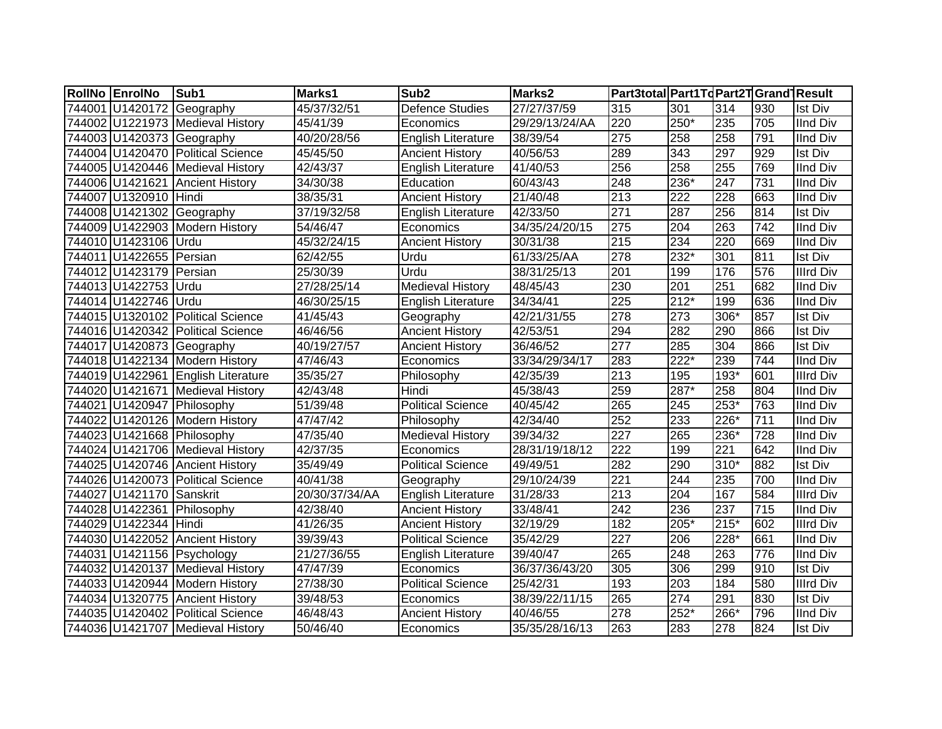| RollNo EnrolNo             | Sub1                               | Marks1                       | Sub <sub>2</sub>          | Marks2         | Part3total Part1Td Part2T Grand Result |                  |        |     |                  |
|----------------------------|------------------------------------|------------------------------|---------------------------|----------------|----------------------------------------|------------------|--------|-----|------------------|
|                            | 744001 U1420172 Geography          | 45/37/32/51                  | <b>Defence Studies</b>    | 27/27/37/59    | 315                                    | 301              | 314    | 930 | <b>Ist Div</b>   |
|                            | 744002 U1221973 Medieval History   | 45/41/39                     | Economics                 | 29/29/13/24/AA | 220                                    | $250*$           | 235    | 705 | IInd Div         |
|                            | 744003 U1420373 Geography          | 40/20/28/56                  | <b>English Literature</b> | 38/39/54       | 275                                    | 258              | 258    | 791 | <b>IInd Div</b>  |
|                            | 744004 U1420470 Political Science  | 45/45/50                     | <b>Ancient History</b>    | 40/56/53       | 289                                    | $\overline{343}$ | 297    | 929 | <b>Ist Div</b>   |
|                            | 744005 U1420446 Medieval History   | 42/43/37                     | English Literature        | 41/40/53       | 256                                    | 258              | 255    | 769 | <b>IInd Div</b>  |
|                            | 744006 U1421621 Ancient History    | 34/30/38                     | Education                 | 60/43/43       | 248                                    | 236*             | 247    | 731 | <b>IInd Div</b>  |
| 744007 U1320910 Hindi      |                                    | 38/35/31                     | <b>Ancient History</b>    | 21/40/48       | $\overline{213}$                       | $\overline{222}$ | 228    | 663 | <b>IInd Div</b>  |
|                            | 744008 U1421302 Geography          | 37/19/32/58                  | <b>English Literature</b> | 42/33/50       | 271                                    | 287              | 256    | 814 | <b>Ist Div</b>   |
|                            | 744009 U1422903 Modern History     | 54/46/47                     | Economics                 | 34/35/24/20/15 | 275                                    | 204              | 263    | 742 | <b>IInd Div</b>  |
| 744010 U1423106 Urdu       |                                    | 45/32/24/15                  | <b>Ancient History</b>    | 30/31/38       | $\overline{215}$                       | 234              | 220    | 669 | <b>IInd Div</b>  |
| 744011 U1422655 Persian    |                                    | 62/42/55                     | Urdu                      | 61/33/25/AA    | 278                                    | 232*             | 301    | 811 | <b>Ist Div</b>   |
| 744012 U1423179 Persian    |                                    | 25/30/39                     | Urdu                      | 38/31/25/13    | 201                                    | 199              | 176    | 576 | <b>Illrd Div</b> |
| 744013 U1422753            | <b>Urdu</b>                        | 27/28/25/14                  | <b>Medieval History</b>   | 48/45/43       | 230                                    | 201              | 251    | 682 | <b>IInd Div</b>  |
| 744014 U1422746 Urdu       |                                    | 46/30/25/15                  | English Literature        | 34/34/41       | 225                                    | $212*$           | 199    | 636 | <b>IInd Div</b>  |
|                            | 744015 U1320102 Political Science  | 41/45/43                     | Geography                 | 42/21/31/55    | 278                                    | 273              | 306*   | 857 | Ist Div          |
|                            | 744016 U1420342 Political Science  | 46/46/56                     | <b>Ancient History</b>    | 42/53/51       | 294                                    | 282              | 290    | 866 | <b>Ist Div</b>   |
|                            | 744017 U1420873 Geography          | 40/19/27/57                  | <b>Ancient History</b>    | 36/46/52       | $\overline{277}$                       | 285              | 304    | 866 | <b>Ist Div</b>   |
|                            | 744018 U1422134 Modern History     | 47/46/43                     | Economics                 | 33/34/29/34/17 | 283                                    | 222*             | 239    | 744 | <b>IInd Div</b>  |
|                            | 744019 U1422961 English Literature | 35/35/27                     | Philosophy                | 42/35/39       | $\overline{213}$                       | 195              | 193*   | 601 | <b>Illrd Div</b> |
|                            | 744020 U1421671 Medieval History   | 42/43/48                     | Hindi                     | 45/38/43       | 259                                    | 287*             | 258    | 804 | <b>IInd Div</b>  |
| 744021 U1420947 Philosophy |                                    | 51/39/48                     | <b>Political Science</b>  | 40/45/42       | 265                                    | 245              | $253*$ | 763 | <b>IInd Div</b>  |
|                            | 744022 U1420126 Modern History     | 47/47/42                     | Philosophy                | 42/34/40       | 252                                    | 233              | 226*   | 711 | <b>IInd Div</b>  |
| 744023 U1421668 Philosophy |                                    | 47/35/40                     | Medieval History          | 39/34/32       | 227                                    | 265              | 236*   | 728 | <b>IInd Div</b>  |
|                            | 744024 U1421706 Medieval History   | 42/37/35                     | Economics                 | 28/31/19/18/12 | 222                                    | 199              | 221    | 642 | <b>IInd Div</b>  |
|                            | 744025 U1420746 Ancient History    | 35/49/49                     | Political Science         | 49/49/51       | 282                                    | 290              | $310*$ | 882 | Ist Div          |
|                            | 744026 U1420073 Political Science  | $\frac{1}{40}/\frac{41}{38}$ | Geography                 | 29/10/24/39    | $\overline{221}$                       | 244              | 235    | 700 | <b>IInd Div</b>  |
| 744027 U1421170 Sanskrit   |                                    | 20/30/37/34/AA               | English Literature        | 31/28/33       | $\overline{213}$                       | 204              | 167    | 584 | <b>Illrd Div</b> |
| 744028 U1422361 Philosophy |                                    | 42/38/40                     | <b>Ancient History</b>    | 33/48/41       | $\overline{242}$                       | 236              | 237    | 715 | <b>IInd Div</b>  |
| 744029 U1422344 Hindi      |                                    | 41/26/35                     | <b>Ancient History</b>    | 32/19/29       | 182                                    | $205*$           | $215*$ | 602 | <b>Illrd Div</b> |
|                            | 744030 U1422052 Ancient History    | 39/39/43                     | <b>Political Science</b>  | 35/42/29       | $\overline{227}$                       | 206              | $228*$ | 661 | <b>IInd Div</b>  |
|                            | 744031 U1421156 Psychology         | 21/27/36/55                  | <b>English Literature</b> | 39/40/47       | 265                                    | 248              | 263    | 776 | <b>IInd Div</b>  |
|                            | 744032 U1420137 Medieval History   | 47/47/39                     | Economics                 | 36/37/36/43/20 | 305                                    | 306              | 299    | 910 | <b>Ist Div</b>   |
|                            | 744033 U1420944 Modern History     | 27/38/30                     | <b>Political Science</b>  | 25/42/31       | 193                                    | 203              | 184    | 580 | <b>Illrd Div</b> |
|                            | 744034 U1320775 Ancient History    | 39/48/53                     | Economics                 | 38/39/22/11/15 | 265                                    | 274              | 291    | 830 | <b>Ist Div</b>   |
|                            | 744035 U1420402 Political Science  | 46/48/43                     | <b>Ancient History</b>    | 40/46/55       | $\overline{278}$                       | 252*             | 266*   | 796 | <b>IInd Div</b>  |
|                            | 744036 U1421707 Medieval History   | 50/46/40                     | Economics                 | 35/35/28/16/13 | 263                                    | 283              | 278    | 824 | <b>Ist Div</b>   |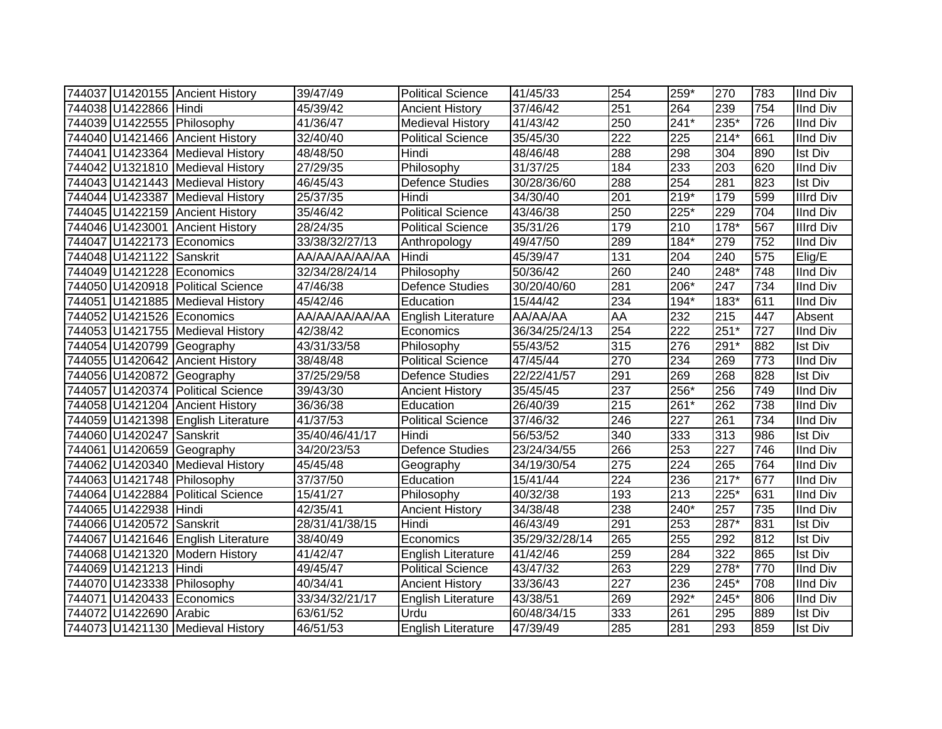|                          | 744037 U1420155 Ancient History    | 39/47/49       | <b>Political Science</b>  | 41/45/33       | 254              | 259*   | 270    | 783 | <b>IInd Div</b>  |
|--------------------------|------------------------------------|----------------|---------------------------|----------------|------------------|--------|--------|-----|------------------|
| 744038 U1422866 Hindi    |                                    | 45/39/42       | <b>Ancient History</b>    | 37/46/42       | 251              | 264    | 239    | 754 | <b>IInd Div</b>  |
|                          | 744039 U1422555 Philosophy         | 41/36/47       | <b>Medieval History</b>   | 41/43/42       | $\overline{250}$ | $241*$ | $235*$ | 726 | <b>IInd Div</b>  |
|                          | 744040 U1421466 Ancient History    | 32/40/40       | <b>Political Science</b>  | 35/45/30       | $\overline{222}$ | 225    | $214*$ | 661 | <b>IInd Div</b>  |
|                          | 744041 U1423364 Medieval History   | 48/48/50       | Hindi                     | 48/46/48       | 288              | 298    | 304    | 890 | <b>Ist Div</b>   |
|                          | 744042 U1321810 Medieval History   | 27/29/35       | Philosophy                | 31/37/25       | 184              | 233    | 203    | 620 | <b>IInd Div</b>  |
|                          | 744043 U1421443 Medieval History   | 46/45/43       | <b>Defence Studies</b>    | 30/28/36/60    | 288              | 254    | 281    | 823 | <b>Ist Div</b>   |
|                          | 744044 U1423387 Medieval History   | 25/37/35       | Hindi                     | 34/30/40       | 201              | $219*$ | 179    | 599 | <b>Illrd Div</b> |
|                          | 744045 U1422159 Ancient History    | 35/46/42       | <b>Political Science</b>  | 43/46/38       | 250              | $225*$ | 229    | 704 | <b>IInd Div</b>  |
|                          | 744046 U1423001 Ancient History    | 28/24/35       | <b>Political Science</b>  | 35/31/26       | 179              | 210    | $178*$ | 567 | <b>Illrd Div</b> |
|                          | 744047 U1422173 Economics          | 33/38/32/27/13 | Anthropology              | 49/47/50       | 289              | 184*   | 279    | 752 | <b>IInd Div</b>  |
| 744048 U1421122 Sanskrit |                                    | AA/AA/AA/AA/AA | Hindi                     | 45/39/47       | 131              | 204    | 240    | 575 | Elig/E           |
|                          | 744049 U1421228 Economics          | 32/34/28/24/14 | Philosophy                | 50/36/42       | 260              | 240    | $248*$ | 748 | <b>IInd Div</b>  |
|                          | 744050 U1420918 Political Science  | 47/46/38       | <b>Defence Studies</b>    | 30/20/40/60    | 281              | 206*   | 247    | 734 | <b>IInd Div</b>  |
|                          | 744051 U1421885 Medieval History   | 45/42/46       | Education                 | 15/44/42       | 234              | 194*   | 183*   | 611 | <b>IInd Div</b>  |
|                          | 744052 U1421526 Economics          | AA/AA/AA/AA/AA | English Literature        | AA/AA/AA       | AA               | 232    | 215    | 447 | Absent           |
|                          | 744053 U1421755 Medieval History   | 42/38/42       | Economics                 | 36/34/25/24/13 | 254              | 222    | $251*$ | 727 | <b>IInd Div</b>  |
|                          | 744054 U1420799 Geography          | 43/31/33/58    | Philosophy                | 55/43/52       | 315              | 276    | 291*   | 882 | <b>Ist Div</b>   |
|                          | 744055 U1420642 Ancient History    | 38/48/48       | <b>Political Science</b>  | 47/45/44       | 270              | 234    | 269    | 773 | <b>IInd Div</b>  |
|                          | 744056 U1420872 Geography          | 37/25/29/58    | <b>Defence Studies</b>    | 22/22/41/57    | 291              | 269    | 268    | 828 | <b>Ist Div</b>   |
|                          | 744057 U1420374 Political Science  | 39/43/30       | <b>Ancient History</b>    | 35/45/45       | $\overline{237}$ | 256*   | 256    | 749 | <b>IInd Div</b>  |
|                          | 744058 U1421204 Ancient History    | 36/36/38       | Education                 | 26/40/39       | $\overline{215}$ | $261*$ | 262    | 738 | <b>IInd Div</b>  |
|                          | 744059 U1421398 English Literature | 41/37/53       | <b>Political Science</b>  | 37/46/32       | 246              | 227    | 261    | 734 | <b>IInd Div</b>  |
| 744060 U1420247 Sanskrit |                                    | 35/40/46/41/17 | Hindi                     | 56/53/52       | 340              | 333    | 313    | 986 | <b>Ist Div</b>   |
|                          | 744061 U1420659 Geography          | 34/20/23/53    | Defence Studies           | 23/24/34/55    | 266              | 253    | 227    | 746 | <b>IInd Div</b>  |
|                          | 744062 U1420340 Medieval History   | 45/45/48       | Geography                 | 34/19/30/54    | 275              | 224    | 265    | 764 | <b>IInd Div</b>  |
|                          | 744063 U1421748 Philosophy         | 37/37/50       | Education                 | 15/41/44       | 224              | 236    | $217*$ | 677 | <b>IInd Div</b>  |
|                          | 744064 U1422884 Political Science  | 15/41/27       | Philosophy                | 40/32/38       | 193              | 213    | $225*$ | 631 | <b>IInd Div</b>  |
| 744065 U1422938 Hindi    |                                    | 42/35/41       | <b>Ancient History</b>    | 34/38/48       | 238              | $240*$ | 257    | 735 | <b>IInd Div</b>  |
| 744066 U1420572 Sanskrit |                                    | 28/31/41/38/15 | Hindi                     | 46/43/49       | 291              | 253    | 287*   | 831 | <b>Ist Div</b>   |
|                          | 744067 U1421646 English Literature | 38/40/49       | Economics                 | 35/29/32/28/14 | 265              | 255    | 292    | 812 | <b>Ist Div</b>   |
|                          | 744068 U1421320 Modern History     | 41/42/47       | English Literature        | 41/42/46       | 259              | 284    | 322    | 865 | <b>Ist Div</b>   |
| 744069 U1421213 Hindi    |                                    | 49/45/47       | <b>Political Science</b>  | 43/47/32       | 263              | 229    | $278*$ | 770 | <b>IInd Div</b>  |
|                          | 744070 U1423338 Philosophy         | 40/34/41       | <b>Ancient History</b>    | 33/36/43       | $\overline{227}$ | 236    | 245*   | 708 | <b>IInd Div</b>  |
|                          | 744071 U1420433 Economics          | 33/34/32/21/17 | <b>English Literature</b> | 43/38/51       | 269              | 292*   | $245*$ | 806 | <b>IInd Div</b>  |
| 744072 U1422690 Arabic   |                                    | 63/61/52       | Urdu                      | 60/48/34/15    | 333              | 261    | 295    | 889 | <b>Ist Div</b>   |
|                          | 744073 U1421130 Medieval History   | 46/51/53       | <b>English Literature</b> | 47/39/49       | 285              | 281    | 293    | 859 | <b>Ist Div</b>   |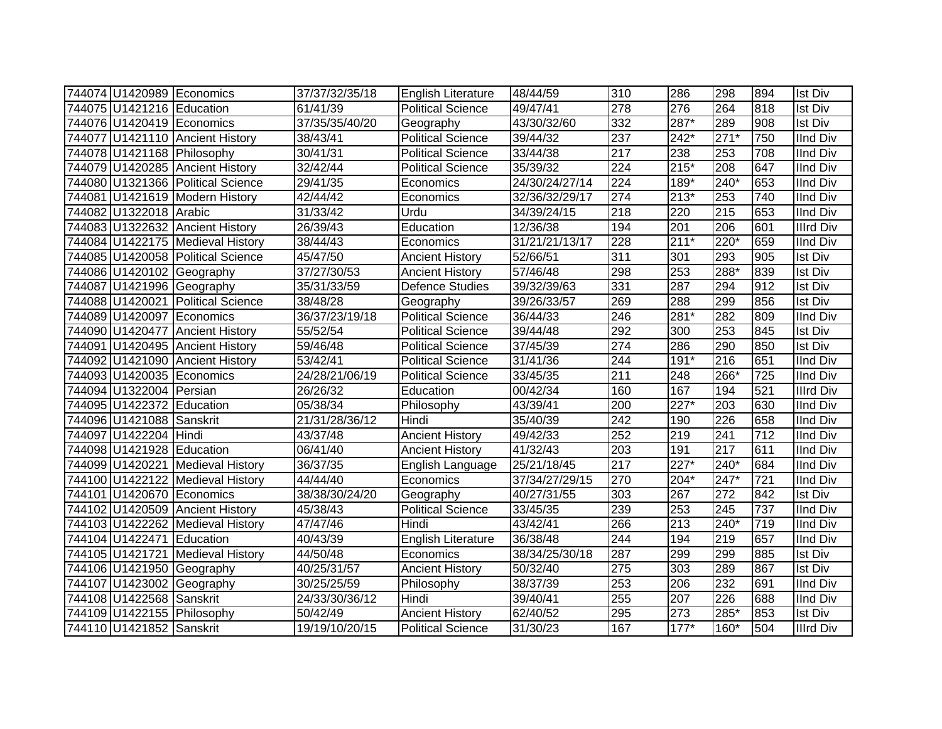|                           | 744074 U1420989 Economics         | 37/37/32/35/18 | English Literature        | 48/44/59       | 310 | 286    | 298    | 894 | <b>Ist Div</b>   |
|---------------------------|-----------------------------------|----------------|---------------------------|----------------|-----|--------|--------|-----|------------------|
| 744075 U1421216 Education |                                   | 61/41/39       | <b>Political Science</b>  | 49/47/41       | 278 | 276    | 264    | 818 | Ist Div          |
|                           | 744076 U1420419 Economics         | 37/35/35/40/20 | Geography                 | 43/30/32/60    | 332 | 287*   | 289    | 908 | Ist Div          |
|                           | 744077 U1421110 Ancient History   | 38/43/41       | <b>Political Science</b>  | 39/44/32       | 237 | $242*$ | $271*$ | 750 | <b>IInd Div</b>  |
|                           | 744078 U1421168 Philosophy        | 30/41/31       | <b>Political Science</b>  | 33/44/38       | 217 | 238    | 253    | 708 | <b>IInd Div</b>  |
|                           | 744079 U1420285 Ancient History   | 32/42/44       | <b>Political Science</b>  | 35/39/32       | 224 | $215*$ | 208    | 647 | <b>IInd Div</b>  |
|                           | 744080 U1321366 Political Science | 29/41/35       | Economics                 | 24/30/24/27/14 | 224 | 189*   | $240*$ | 653 | <b>IInd Div</b>  |
|                           | 744081 U1421619 Modern History    | 42/44/42       | Economics                 | 32/36/32/29/17 | 274 | $213*$ | 253    | 740 | <b>IInd Div</b>  |
| 744082 U1322018 Arabic    |                                   | 31/33/42       | Urdu                      | 34/39/24/15    | 218 | 220    | 215    | 653 | <b>IInd Div</b>  |
|                           | 744083 U1322632 Ancient History   | 26/39/43       | Education                 | 12/36/38       | 194 | 201    | 206    | 601 | <b>Illrd Div</b> |
|                           | 744084 U1422175 Medieval History  | 38/44/43       | Economics                 | 31/21/21/13/17 | 228 | $211*$ | 220*   | 659 | IInd Div         |
|                           | 744085 U1420058 Political Science | 45/47/50       | <b>Ancient History</b>    | 52/66/51       | 311 | 301    | 293    | 905 | Ist Div          |
|                           | 744086 U1420102 Geography         | 37/27/30/53    | <b>Ancient History</b>    | 57/46/48       | 298 | 253    | 288*   | 839 | Ist Div          |
|                           | 744087 U1421996 Geography         | 35/31/33/59    | Defence Studies           | 39/32/39/63    | 331 | 287    | 294    | 912 | Ist Div          |
|                           | 744088 U1420021 Political Science | 38/48/28       | Geography                 | 39/26/33/57    | 269 | 288    | 299    | 856 | <b>Ist Div</b>   |
|                           | 744089 U1420097 Economics         | 36/37/23/19/18 | Political Science         | 36/44/33       | 246 | 281*   | 282    | 809 | <b>IInd Div</b>  |
|                           | 744090 U1420477 Ancient History   | 55/52/54       | Political Science         | 39/44/48       | 292 | 300    | 253    | 845 | Ist Div          |
|                           | 744091 U1420495 Ancient History   | 59/46/48       | Political Science         | 37/45/39       | 274 | 286    | 290    | 850 | <b>Ist Div</b>   |
|                           | 744092 U1421090 Ancient History   | 53/42/41       | Political Science         | 31/41/36       | 244 | $191*$ | 216    | 651 | <b>IInd Div</b>  |
|                           | 744093 U1420035 Economics         | 24/28/21/06/19 | <b>Political Science</b>  | 33/45/35       | 211 | 248    | 266*   | 725 | <b>IInd Div</b>  |
| 744094 U1322004 Persian   |                                   | 26/26/32       | Education                 | 00/42/34       | 160 | 167    | 194    | 521 | <b>Illrd Div</b> |
| 744095 U1422372 Education |                                   | 05/38/34       | Philosophy                | 43/39/41       | 200 | $227*$ | 203    | 630 | <b>IInd Div</b>  |
| 744096 U1421088 Sanskrit  |                                   | 21/31/28/36/12 | Hindi                     | 35/40/39       | 242 | 190    | 226    | 658 | <b>IInd Div</b>  |
| 744097 U1422204 Hindi     |                                   | 43/37/48       | <b>Ancient History</b>    | 49/42/33       | 252 | 219    | 241    | 712 | <b>IInd Div</b>  |
| 744098 U1421928 Education |                                   | 06/41/40       | <b>Ancient History</b>    | 41/32/43       | 203 | 191    | 217    | 611 | <b>IInd Div</b>  |
|                           | 744099 U1420221 Medieval History  | 36/37/35       | English Language          | 25/21/18/45    | 217 | $227*$ | 240*   | 684 | <b>IInd Div</b>  |
|                           | 744100 U1422122 Medieval History  | 44/44/40       | Economics                 | 37/34/27/29/15 | 270 | 204*   | $247*$ | 721 | <b>IInd Div</b>  |
|                           | 744101 U1420670 Economics         | 38/38/30/24/20 | Geography                 | 40/27/31/55    | 303 | 267    | 272    | 842 | <b>Ist Div</b>   |
|                           | 744102 U1420509 Ancient History   | 45/38/43       | <b>Political Science</b>  | 33/45/35       | 239 | 253    | 245    | 737 | <b>IInd Div</b>  |
|                           | 744103 U1422262 Medieval History  | 47/47/46       | Hindi                     | 43/42/41       | 266 | 213    | 240*   | 719 | <b>IInd Div</b>  |
| 744104 U1422471 Education |                                   | 40/43/39       | <b>English Literature</b> | 36/38/48       | 244 | 194    | 219    | 657 | <b>IInd Div</b>  |
|                           | 744105 U1421721 Medieval History  | 44/50/48       | Economics                 | 38/34/25/30/18 | 287 | 299    | 299    | 885 | <b>Ist Div</b>   |
|                           | 744106 U1421950 Geography         | 40/25/31/57    | <b>Ancient History</b>    | 50/32/40       | 275 | 303    | 289    | 867 | <b>Ist Div</b>   |
|                           | 744107 U1423002 Geography         | 30/25/25/59    | Philosophy                | 38/37/39       | 253 | 206    | 232    | 691 | <b>IInd Div</b>  |
| 744108 U1422568 Sanskrit  |                                   | 24/33/30/36/12 | Hindi                     | 39/40/41       | 255 | 207    | 226    | 688 | <b>IInd Div</b>  |
|                           | 744109 U1422155 Philosophy        | 50/42/49       | <b>Ancient History</b>    | 62/40/52       | 295 | 273    | 285*   | 853 | <b>Ist Div</b>   |
| 744110 U1421852 Sanskrit  |                                   | 19/19/10/20/15 | <b>Political Science</b>  | 31/30/23       | 167 | $177*$ | 160*   | 504 | <b>Illrd Div</b> |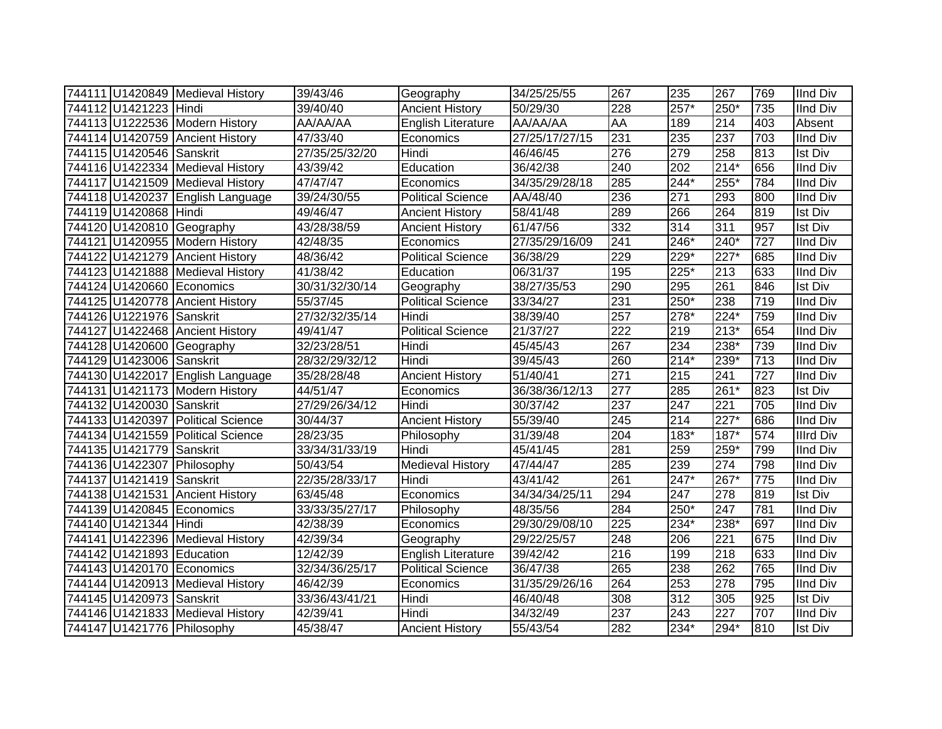|                           | 744111 U1420849 Medieval History  | 39/43/46       | Geography                 | 34/25/25/55    | 267              | 235              | 267              | 769 | <b>IInd Div</b>  |
|---------------------------|-----------------------------------|----------------|---------------------------|----------------|------------------|------------------|------------------|-----|------------------|
| 744112 U1421223 Hindi     |                                   | 39/40/40       | <b>Ancient History</b>    | 50/29/30       | 228              | $257*$           | 250*             | 735 | <b>IInd Div</b>  |
|                           | 744113 U1222536 Modern History    | AA/AA/AA       | <b>English Literature</b> | AA/AA/AA       | AA               | 189              | 214              | 403 | Absent           |
|                           | 744114 U1420759 Ancient History   | 47/33/40       | Economics                 | 27/25/17/27/15 | 231              | 235              | 237              | 703 | <b>IInd Div</b>  |
| 744115 U1420546 Sanskrit  |                                   | 27/35/25/32/20 | Hindi                     | 46/46/45       | $\overline{276}$ | 279              | 258              | 813 | <b>Ist Div</b>   |
|                           | 744116 U1422334 Medieval History  | 43/39/42       | Education                 | 36/42/38       | 240              | 202              | $214*$           | 656 | <b>IInd Div</b>  |
|                           | 744117 U1421509 Medieval History  | 47/47/47       | Economics                 | 34/35/29/28/18 | 285              | 244*             | $255*$           | 784 | <b>IInd Div</b>  |
|                           | 744118 U1420237 English Language  | 39/24/30/55    | <b>Political Science</b>  | AA/48/40       | 236              | 271              | 293              | 800 | <b>IInd Div</b>  |
| 744119 U1420868 Hindi     |                                   | 49/46/47       | <b>Ancient History</b>    | 58/41/48       | 289              | 266              | 264              | 819 | <b>Ist Div</b>   |
|                           | 744120 U1420810 Geography         | 43/28/38/59    | <b>Ancient History</b>    | 61/47/56       | 332              | $\overline{314}$ | $\overline{311}$ | 957 | <b>Ist Div</b>   |
|                           | 744121 U1420955 Modern History    | 42/48/35       | Economics                 | 27/35/29/16/09 | 241              | 246*             | 240*             | 727 | <b>IInd Div</b>  |
|                           | 744122 U1421279 Ancient History   | 48/36/42       | <b>Political Science</b>  | 36/38/29       | 229              | 229*             | 227*             | 685 | <b>IInd Div</b>  |
|                           | 744123 U1421888 Medieval History  | 41/38/42       | Education                 | 06/31/37       | 195              | 225*             | 213              | 633 | <b>IInd Div</b>  |
|                           | 744124 U1420660 Economics         | 30/31/32/30/14 | Geography                 | 38/27/35/53    | 290              | 295              | 261              | 846 | <b>Ist Div</b>   |
|                           | 744125 U1420778 Ancient History   | 55/37/45       | <b>Political Science</b>  | 33/34/27       | 231              | 250*             | 238              | 719 | <b>IInd Div</b>  |
| 744126 U1221976 Sanskrit  |                                   | 27/32/32/35/14 | Hindi                     | 38/39/40       | 257              | 278*             | 224*             | 759 | <b>IInd Div</b>  |
|                           | 744127 U1422468 Ancient History   | 49/41/47       | <b>Political Science</b>  | 21/37/27       | 222              | 219              | $213*$           | 654 | <b>IInd Div</b>  |
|                           | 744128 U1420600 Geography         | 32/23/28/51    | Hindi                     | 45/45/43       | 267              | 234              | 238*             | 739 | <b>IInd Div</b>  |
| 744129 U1423006 Sanskrit  |                                   | 28/32/29/32/12 | Hindi                     | 39/45/43       | 260              | $214*$           | 239*             | 713 | <b>IInd Div</b>  |
|                           | 744130 U1422017 English Language  | 35/28/28/48    | <b>Ancient History</b>    | 51/40/41       | 271              | 215              | 241              | 727 | <b>IInd Div</b>  |
|                           | 744131 U1421173 Modern History    | 44/51/47       | Economics                 | 36/38/36/12/13 | 277              | 285              | 261*             | 823 | <b>Ist Div</b>   |
| 744132 U1420030 Sanskrit  |                                   | 27/29/26/34/12 | Hindi                     | 30/37/42       | $\overline{237}$ | 247              | $\overline{221}$ | 705 | <b>IInd Div</b>  |
|                           | 744133 U1420397 Political Science | 30/44/37       | <b>Ancient History</b>    | 55/39/40       | 245              | 214              | $227*$           | 686 | <b>IInd Div</b>  |
|                           | 744134 U1421559 Political Science | 28/23/35       | Philosophy                | 31/39/48       | 204              | $183*$           | 187*             | 574 | <b>Illrd Div</b> |
| 744135 U1421779 Sanskrit  |                                   | 33/34/31/33/19 | Hindi                     | 45/41/45       | 281              | 259              | 259*             | 799 | <b>IInd Div</b>  |
|                           | 744136 U1422307 Philosophy        | 50/43/54       | <b>Medieval History</b>   | 47/44/47       | 285              | 239              | 274              | 798 | <b>IInd Div</b>  |
| 744137 U1421419 Sanskrit  |                                   | 22/35/28/33/17 | Hindi                     | 43/41/42       | 261              | $247*$           | 267*             | 775 | <b>IInd Div</b>  |
|                           | 744138 U1421531 Ancient History   | 63/45/48       | Economics                 | 34/34/34/25/11 | 294              | 247              | 278              | 819 | <b>Ist Div</b>   |
|                           | 744139 U1420845 Economics         | 33/33/35/27/17 | Philosophy                | 48/35/56       | 284              | $250*$           | 247              | 781 | <b>IInd Div</b>  |
| 744140 U1421344 Hindi     |                                   | 42/38/39       | Economics                 | 29/30/29/08/10 | 225              | 234*             | 238*             | 697 | <b>IInd Div</b>  |
|                           | 744141 U1422396 Medieval History  | 42/39/34       | Geography                 | 29/22/25/57    | 248              | 206              | 221              | 675 | <b>IInd Div</b>  |
| 744142 U1421893 Education |                                   | 12/42/39       | <b>English Literature</b> | 39/42/42       | 216              | 199              | 218              | 633 | <b>IInd Div</b>  |
|                           | 744143 U1420170 Economics         | 32/34/36/25/17 | Political Science         | 36/47/38       | 265              | 238              | 262              | 765 | <b>IInd Div</b>  |
|                           | 744144 U1420913 Medieval History  | 46/42/39       | Economics                 | 31/35/29/26/16 | 264              | 253              | 278              | 795 | <b>IInd Div</b>  |
| 744145 U1420973 Sanskrit  |                                   | 33/36/43/41/21 | Hindi                     | 46/40/48       | 308              | 312              | 305              | 925 | <b>Ist Div</b>   |
|                           | 744146 U1421833 Medieval History  | 42/39/41       | Hindi                     | 34/32/49       | 237              | 243              | 227              | 707 | <b>IInd Div</b>  |
|                           | 744147 U1421776 Philosophy        | 45/38/47       | <b>Ancient History</b>    | 55/43/54       | 282              | $234*$           | $294*$           | 810 | <b>Ist Div</b>   |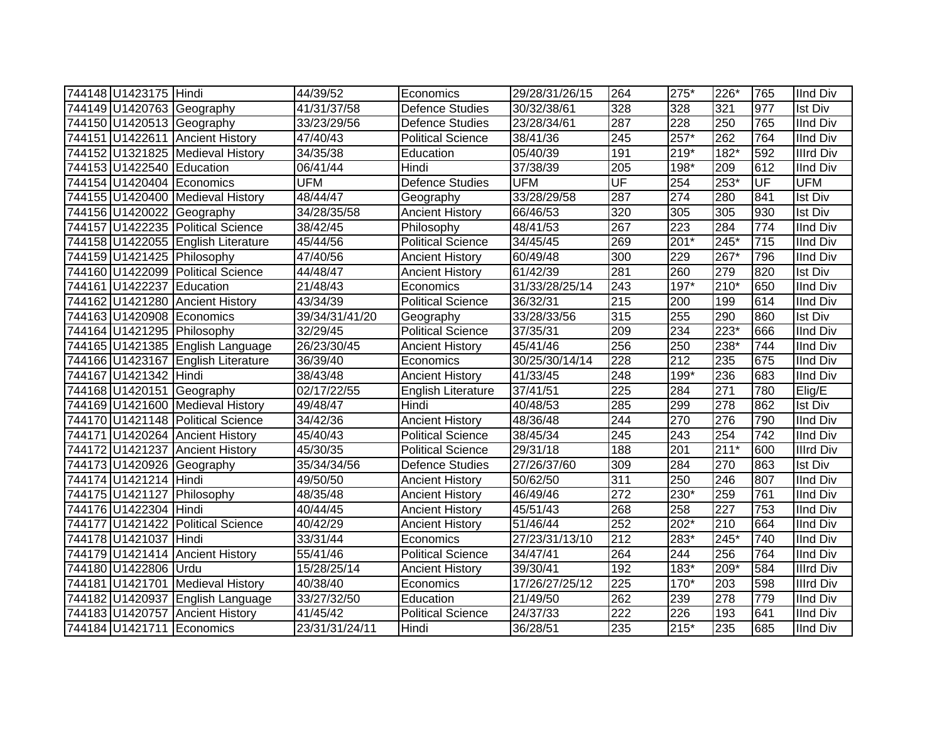| 744148 U1423175 Hindi     |                                    | 44/39/52       | Economics                 | 29/28/31/26/15 | 264 | 275*             | 226*   | 765 | <b>IInd Div</b>  |
|---------------------------|------------------------------------|----------------|---------------------------|----------------|-----|------------------|--------|-----|------------------|
|                           | 744149 U1420763 Geography          | 41/31/37/58    | <b>Defence Studies</b>    | 30/32/38/61    | 328 | 328              | 321    | 977 | <b>Ist Div</b>   |
|                           | 744150 U1420513 Geography          | 33/23/29/56    | <b>Defence Studies</b>    | 23/28/34/61    | 287 | 228              | 250    | 765 | <b>IInd Div</b>  |
|                           | 744151 U1422611 Ancient History    | 47/40/43       | <b>Political Science</b>  | 38/41/36       | 245 | $257*$           | 262    | 764 | <b>IInd Div</b>  |
|                           | 744152 U1321825 Medieval History   | 34/35/38       | Education                 | 05/40/39       | 191 | $219*$           | $182*$ | 592 | <b>Illrd Div</b> |
| 744153 U1422540 Education |                                    | 06/41/44       | Hindi                     | 37/38/39       | 205 | $198*$           | 209    | 612 | <b>IInd Div</b>  |
|                           | 744154 U1420404 Economics          | <b>UFM</b>     | <b>Defence Studies</b>    | <b>UFM</b>     | UF  | 254              | 253*   | UF  | <b>UFM</b>       |
|                           | 744155 U1420400 Medieval History   | 48/44/47       | Geography                 | 33/28/29/58    | 287 | $\overline{274}$ | 280    | 841 | Ist Div          |
|                           | 744156 U1420022 Geography          | 34/28/35/58    | <b>Ancient History</b>    | 66/46/53       | 320 | 305              | 305    | 930 | Ist Div          |
|                           | 744157 U1422235 Political Science  | 38/42/45       | Philosophy                | 48/41/53       | 267 | $\overline{223}$ | 284    | 774 | <b>IInd Div</b>  |
|                           | 744158 U1422055 English Literature | 45/44/56       | <b>Political Science</b>  | 34/45/45       | 269 | $201*$           | $245*$ | 715 | <b>IInd Div</b>  |
|                           | 744159 U1421425 Philosophy         | 47/40/56       | <b>Ancient History</b>    | 60/49/48       | 300 | 229              | $267*$ | 796 | <b>IInd Div</b>  |
|                           | 744160 U1422099 Political Science  | 44/48/47       | <b>Ancient History</b>    | 61/42/39       | 281 | 260              | 279    | 820 | <b>Ist Div</b>   |
| 744161 U1422237 Education |                                    | 21/48/43       | Economics                 | 31/33/28/25/14 | 243 | 197*             | 210*   | 650 | <b>IInd Div</b>  |
|                           | 744162 U1421280 Ancient History    | 43/34/39       | <b>Political Science</b>  | 36/32/31       | 215 | 200              | 199    | 614 | <b>IInd Div</b>  |
|                           | 744163 U1420908 Economics          | 39/34/31/41/20 | Geography                 | 33/28/33/56    | 315 | 255              | 290    | 860 | <b>Ist Div</b>   |
|                           | 744164 U1421295 Philosophy         | 32/29/45       | <b>Political Science</b>  | 37/35/31       | 209 | 234              | 223*   | 666 | <b>IInd Div</b>  |
|                           | 744165 U1421385 English Language   | 26/23/30/45    | <b>Ancient History</b>    | 45/41/46       | 256 | 250              | 238*   | 744 | <b>IInd Div</b>  |
|                           | 744166 U1423167 English Literature | 36/39/40       | Economics                 | 30/25/30/14/14 | 228 | 212              | 235    | 675 | <b>IInd Div</b>  |
| 744167 U1421342 Hindi     |                                    | 38/43/48       | <b>Ancient History</b>    | 41/33/45       | 248 | 199*             | 236    | 683 | <b>IInd Div</b>  |
|                           | 744168 U1420151 Geography          | 02/17/22/55    | <b>English Literature</b> | 37/41/51       | 225 | 284              | 271    | 780 | Elig/E           |
|                           | 744169 U1421600 Medieval History   | 49/48/47       | Hindi                     | 40/48/53       | 285 | 299              | 278    | 862 | <b>Ist Div</b>   |
|                           | 744170 U1421148 Political Science  | 34/42/36       | <b>Ancient History</b>    | 48/36/48       | 244 | 270              | 276    | 790 | <b>IInd Div</b>  |
|                           | 744171 U1420264 Ancient History    | 45/40/43       | Political Science         | 38/45/34       | 245 | $\overline{243}$ | 254    | 742 | <b>IInd Div</b>  |
|                           | 744172 U1421237 Ancient History    | 45/30/35       | Political Science         | 29/31/18       | 188 | 201              | $211*$ | 600 | <b>Illrd Div</b> |
|                           | 744173 U1420926 Geography          | 35/34/34/56    | <b>Defence Studies</b>    | 27/26/37/60    | 309 | 284              | 270    | 863 | <b>Ist Div</b>   |
| 744174 U1421214 Hindi     |                                    | 49/50/50       | <b>Ancient History</b>    | 50/62/50       | 311 | 250              | 246    | 807 | <b>IInd Div</b>  |
|                           | 744175 U1421127 Philosophy         | 48/35/48       | <b>Ancient History</b>    | 46/49/46       | 272 | $230*$           | 259    | 761 | <b>IInd Div</b>  |
| 744176 U1422304 Hindi     |                                    | 40/44/45       | <b>Ancient History</b>    | 45/51/43       | 268 | 258              | 227    | 753 | <b>IInd Div</b>  |
|                           | 744177 U1421422 Political Science  | 40/42/29       | <b>Ancient History</b>    | 51/46/44       | 252 | $202*$           | 210    | 664 | <b>IInd Div</b>  |
| 744178 U1421037 Hindi     |                                    | 33/31/44       | Economics                 | 27/23/31/13/10 | 212 | $283*$           | 245*   | 740 | <b>IInd Div</b>  |
|                           | 744179 U1421414 Ancient History    | 55/41/46       | <b>Political Science</b>  | 34/47/41       | 264 | 244              | 256    | 764 | <b>IInd Div</b>  |
| 744180 U1422806 Urdu      |                                    | 15/28/25/14    | <b>Ancient History</b>    | 39/30/41       | 192 | $183*$           | 209*   | 584 | <b>Illrd Div</b> |
|                           | 744181 U1421701 Medieval History   | 40/38/40       | Economics                 | 17/26/27/25/12 | 225 | $170*$           | 203    | 598 | <b>Illrd Div</b> |
|                           | 744182 U1420937 English Language   | 33/27/32/50    | Education                 | 21/49/50       | 262 | 239              | 278    | 779 | <b>IInd Div</b>  |
|                           | 744183 U1420757 Ancient History    | 41/45/42       | <b>Political Science</b>  | 24/37/33       | 222 | $\overline{226}$ | 193    | 641 | <b>IInd Div</b>  |
|                           | 744184 U1421711 Economics          | 23/31/31/24/11 | Hindi                     | 36/28/51       | 235 | $215*$           | 235    | 685 | <b>IInd Div</b>  |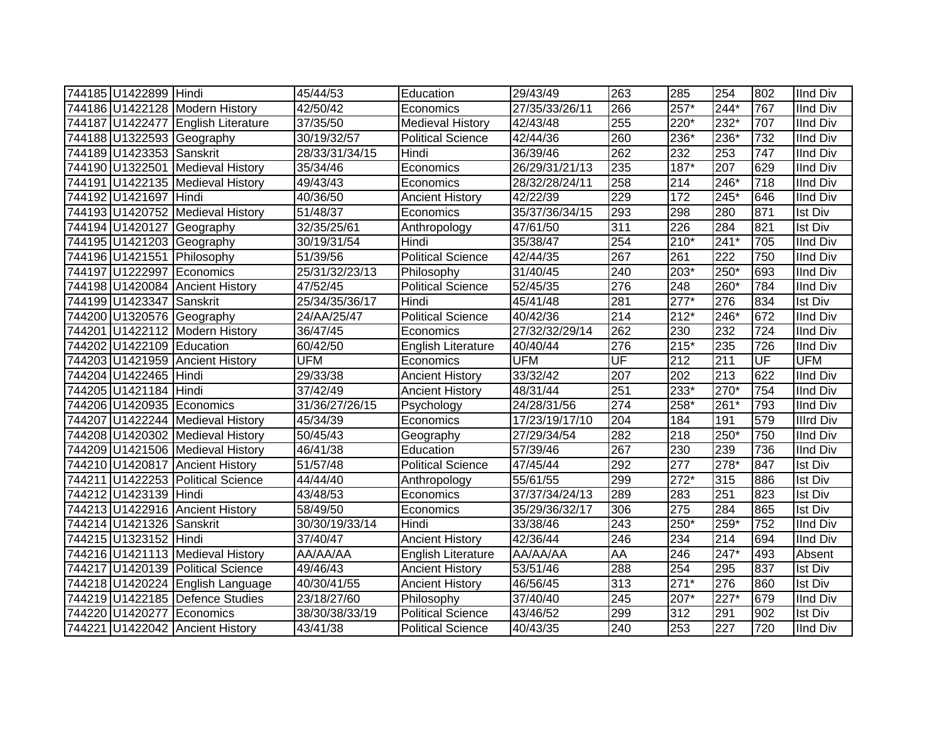| 744185 U1422899 Hindi     |                                    | 45/44/53       | Education                 | 29/43/49       | 263              | 285    | 254    | 802              | <b>IInd Div</b>  |
|---------------------------|------------------------------------|----------------|---------------------------|----------------|------------------|--------|--------|------------------|------------------|
|                           | 744186 U1422128 Modern History     | 42/50/42       | Economics                 | 27/35/33/26/11 | 266              | $257*$ | $244*$ | 767              | <b>IInd Div</b>  |
|                           | 744187 U1422477 English Literature | 37/35/50       | <b>Medieval History</b>   | 42/43/48       | 255              | 220*   | 232*   | 707              | <b>IInd Div</b>  |
|                           | 744188 U1322593 Geography          | 30/19/32/57    | <b>Political Science</b>  | 42/44/36       | 260              | 236*   | 236*   | 732              | <b>IInd Div</b>  |
| 744189 U1423353 Sanskrit  |                                    | 28/33/31/34/15 | Hindi                     | 36/39/46       | 262              | 232    | 253    | $\overline{747}$ | <b>IInd Div</b>  |
|                           | 744190 U1322501 Medieval History   | 35/34/46       | Economics                 | 26/29/31/21/13 | 235              | $187*$ | 207    | 629              | <b>IInd Div</b>  |
|                           | 744191 U1422135 Medieval History   | 49/43/43       | Economics                 | 28/32/28/24/11 | 258              | 214    | 246*   | 718              | <b>IInd Div</b>  |
| 744192 U1421697 Hindi     |                                    | 40/36/50       | <b>Ancient History</b>    | 42/22/39       | 229              | 172    | $245*$ | 646              | <b>IInd Div</b>  |
|                           | 744193 U1420752 Medieval History   | 51/48/37       | Economics                 | 35/37/36/34/15 | 293              | 298    | 280    | 871              | <b>Ist Div</b>   |
|                           | 744194 U1420127 Geography          | 32/35/25/61    | Anthropology              | 47/61/50       | $\overline{311}$ | 226    | 284    | 821              | <b>Ist Div</b>   |
|                           | 744195 U1421203 Geography          | 30/19/31/54    | Hindi                     | 35/38/47       | 254              | $210*$ | $241*$ | 705              | <b>IInd Div</b>  |
|                           | 744196 U1421551 Philosophy         | 51/39/56       | <b>Political Science</b>  | 42/44/35       | 267              | 261    | 222    | 750              | <b>IInd Div</b>  |
|                           | 744197 U1222997 Economics          | 25/31/32/23/13 | Philosophy                | 31/40/45       | 240              | 203*   | 250*   | 693              | <b>IInd Div</b>  |
|                           | 744198 U1420084 Ancient History    | 47/52/45       | <b>Political Science</b>  | 52/45/35       | 276              | 248    | 260*   | 784              | <b>IInd Div</b>  |
| 744199 U1423347 Sanskrit  |                                    | 25/34/35/36/17 | Hindi                     | 45/41/48       | 281              | $277*$ | 276    | 834              | <b>Ist Div</b>   |
|                           | 744200 U1320576 Geography          | 24/AA/25/47    | Political Science         | 40/42/36       | 214              | $212*$ | 246*   | 672              | <b>IInd Div</b>  |
|                           | 744201 U1422112 Modern History     | 36/47/45       | Economics                 | 27/32/32/29/14 | 262              | 230    | 232    | 724              | <b>IInd Div</b>  |
| 744202 U1422109 Education |                                    | 60/42/50       | English Literature        | 40/40/44       | 276              | $215*$ | 235    | 726              | <b>IInd Div</b>  |
|                           | 744203 U1421959 Ancient History    | <b>UFM</b>     | Economics                 | <b>UFM</b>     | UF               | 212    | 211    | UF               | <b>UFM</b>       |
| 744204 U1422465 Hindi     |                                    | 29/33/38       | <b>Ancient History</b>    | 33/32/42       | 207              | 202    | 213    | 622              | <b>IInd Div</b>  |
| 744205 U1421184 Hindi     |                                    | 37/42/49       | <b>Ancient History</b>    | 48/31/44       | 251              | 233*   | 270*   | 754              | <b>IInd Div</b>  |
|                           | 744206 U1420935 Economics          | 31/36/27/26/15 | Psychology                | 24/28/31/56    | $\sqrt{274}$     | 258*   | $261*$ | 793              | <b>IInd Div</b>  |
|                           | 744207 U1422244 Medieval History   | 45/34/39       | Economics                 | 17/23/19/17/10 | 204              | 184    | 191    | 579              | <b>Illrd Div</b> |
|                           | 744208 U1420302 Medieval History   | 50/45/43       | Geography                 | 27/29/34/54    | $\overline{282}$ | 218    | 250*   | 750              | <b>IInd Div</b>  |
|                           | 744209 U1421506 Medieval History   | 46/41/38       | Education                 | 57/39/46       | 267              | 230    | 239    | 736              | <b>IInd Div</b>  |
|                           | 744210 U1420817 Ancient History    | 51/57/48       | <b>Political Science</b>  | 47/45/44       | 292              | 277    | $278*$ | 847              | <b>Ist Div</b>   |
|                           | 744211 U1422253 Political Science  | 44/44/40       | Anthropology              | 55/61/55       | 299              | $272*$ | 315    | 886              | <b>Ist Div</b>   |
| 744212 U1423139 Hindi     |                                    | 43/48/53       | Economics                 | 37/37/34/24/13 | 289              | 283    | 251    | 823              | <b>Ist Div</b>   |
|                           | 744213 U1422916 Ancient History    | 58/49/50       | Economics                 | 35/29/36/32/17 | 306              | 275    | 284    | 865              | <b>Ist Div</b>   |
| 744214 U1421326 Sanskrit  |                                    | 30/30/19/33/14 | Hindi                     | 33/38/46       | 243              | $250*$ | $259*$ | 752              | <b>IInd Div</b>  |
| 744215 U1323152 Hindi     |                                    | 37/40/47       | <b>Ancient History</b>    | 42/36/44       | 246              | 234    | 214    | 694              | <b>IInd Div</b>  |
|                           | 744216 U1421113 Medieval History   | AA/AA/AA       | <b>English Literature</b> | AA/AA/AA       | AA               | 246    | 247*   | 493              | Absent           |
|                           | 744217 U1420139 Political Science  | 49/46/43       | <b>Ancient History</b>    | 53/51/46       | 288              | 254    | 295    | 837              | <b>Ist Div</b>   |
|                           | 744218 U1420224 English Language   | 40/30/41/55    | <b>Ancient History</b>    | 46/56/45       | 313              | $271*$ | 276    | 860              | <b>Ist Div</b>   |
|                           | 744219 U1422185 Defence Studies    | 23/18/27/60    | Philosophy                | 37/40/40       | 245              | 207*   | $227*$ | 679              | <b>IInd Div</b>  |
| 744220 U1420277           | Economics                          | 38/30/38/33/19 | Political Science         | 43/46/52       | 299              | 312    | 291    | 902              | <b>Ist Div</b>   |
|                           | 744221 U1422042 Ancient History    | 43/41/38       | <b>Political Science</b>  | 40/43/35       | 240              | 253    | 227    | 720              | <b>IInd Div</b>  |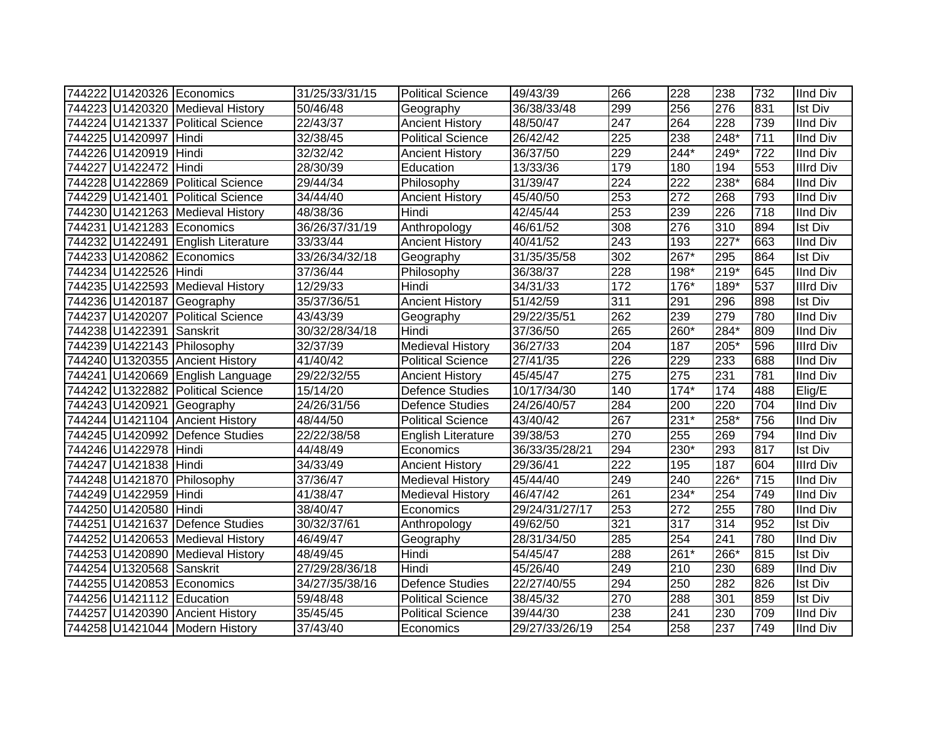| 744222 U1420326 Economics  |                                    | 31/25/33/31/15 | <b>Political Science</b>  | 49/43/39       | 266              | 228              | 238              | 732 | <b>IInd Div</b>  |
|----------------------------|------------------------------------|----------------|---------------------------|----------------|------------------|------------------|------------------|-----|------------------|
|                            | 744223 U1420320 Medieval History   | 50/46/48       | Geography                 | 36/38/33/48    | 299              | 256              | 276              | 831 | <b>Ist Div</b>   |
|                            | 744224 U1421337 Political Science  | 22/43/37       | <b>Ancient History</b>    | 48/50/47       | $\overline{247}$ | 264              | 228              | 739 | <b>IInd Div</b>  |
| 744225 U1420997 Hindi      |                                    | 32/38/45       | <b>Political Science</b>  | 26/42/42       | 225              | 238              | $248*$           | 711 | <b>IInd Div</b>  |
| 744226 U1420919 Hindi      |                                    | 32/32/42       | <b>Ancient History</b>    | 36/37/50       | 229              | $244*$           | $249*$           | 722 | <b>IInd Div</b>  |
| 744227 U1422472            | Hindi                              | 28/30/39       | Education                 | 13/33/36       | 179              | 180              | 194              | 553 | <b>Illrd Div</b> |
|                            | 744228 U1422869 Political Science  | 29/44/34       | Philosophy                | 31/39/47       | 224              | 222              | 238*             | 684 | <b>IInd Div</b>  |
|                            | 744229 U1421401 Political Science  | 34/44/40       | <b>Ancient History</b>    | 45/40/50       | 253              | $\overline{272}$ | 268              | 793 | <b>IInd Div</b>  |
|                            | 744230 U1421263 Medieval History   | 48/38/36       | Hindi                     | 42/45/44       | 253              | 239              | $\overline{226}$ | 718 | <b>IInd Div</b>  |
| 744231 U1421283 Economics  |                                    | 36/26/37/31/19 | Anthropology              | 46/61/52       | 308              | 276              | 310              | 894 | <b>Ist Div</b>   |
|                            | 744232 U1422491 English Literature | 33/33/44       | <b>Ancient History</b>    | 40/41/52       | 243              | 193              | $227*$           | 663 | <b>IInd Div</b>  |
| 744233 U1420862 Economics  |                                    | 33/26/34/32/18 | Geography                 | 31/35/35/58    | 302              | 267*             | 295              | 864 | Ist Div          |
| 744234 U1422526 Hindi      |                                    | 37/36/44       | Philosophy                | 36/38/37       | 228              | 198*             | $219*$           | 645 | <b>IInd Div</b>  |
|                            | 744235 U1422593 Medieval History   | 12/29/33       | Hindi                     | 34/31/33       | 172              | 176*             | 189*             | 537 | <b>Illrd Div</b> |
|                            | 744236 U1420187 Geography          | 35/37/36/51    | <b>Ancient History</b>    | 51/42/59       | $\overline{311}$ | 291              | 296              | 898 | <b>Ist Div</b>   |
|                            | 744237 U1420207 Political Science  | 43/43/39       | Geography                 | 29/22/35/51    | 262              | 239              | 279              | 780 | <b>IInd Div</b>  |
| 744238 U1422391            | Sanskrit                           | 30/32/28/34/18 | Hindi                     | 37/36/50       | 265              | 260*             | 284*             | 809 | <b>IInd Div</b>  |
| 744239 U1422143 Philosophy |                                    | 32/37/39       | <b>Medieval History</b>   | 36/27/33       | 204              | 187              | 205*             | 596 | <b>Illrd Div</b> |
|                            | 744240 U1320355 Ancient History    | 41/40/42       | <b>Political Science</b>  | 27/41/35       | 226              | 229              | 233              | 688 | <b>IInd Div</b>  |
|                            | 744241 U1420669 English Language   | 29/22/32/55    | <b>Ancient History</b>    | 45/45/47       | 275              | 275              | 231              | 781 | <b>IInd Div</b>  |
|                            | 744242 U1322882 Political Science  | 15/14/20       | <b>Defence Studies</b>    | 10/17/34/30    | 140              | $174*$           | 174              | 488 | Elig/E           |
|                            | 744243 U1420921 Geography          | 24/26/31/56    | <b>Defence Studies</b>    | 24/26/40/57    | 284              | 200              | $\overline{220}$ | 704 | <b>IInd Div</b>  |
|                            | 744244 U1421104 Ancient History    | 48/44/50       | <b>Political Science</b>  | 43/40/42       | 267              | $231*$           | 258*             | 756 | <b>IInd Div</b>  |
|                            | 744245 U1420992 Defence Studies    | 22/22/38/58    | <b>English Literature</b> | 39/38/53       | 270              | 255              | 269              | 794 | <b>IInd Div</b>  |
| 744246 U1422978 Hindi      |                                    | 44/48/49       | Economics                 | 36/33/35/28/21 | 294              | 230*             | 293              | 817 | <b>Ist Div</b>   |
| 744247 U1421838 Hindi      |                                    | 34/33/49       | <b>Ancient History</b>    | 29/36/41       | $\overline{222}$ | 195              | 187              | 604 | <b>Illrd Div</b> |
| 744248 U1421870 Philosophy |                                    | 37/36/47       | <b>Medieval History</b>   | 45/44/40       | 249              | 240              | 226*             | 715 | <b>IInd Div</b>  |
| 744249 U1422959 Hindi      |                                    | 41/38/47       | <b>Medieval History</b>   | 46/47/42       | 261              | 234*             | 254              | 749 | <b>IInd Div</b>  |
| 744250 U1420580 Hindi      |                                    | 38/40/47       | Economics                 | 29/24/31/27/17 | 253              | 272              | 255              | 780 | <b>IInd Div</b>  |
|                            | 744251 U1421637 Defence Studies    | 30/32/37/61    | Anthropology              | 49/62/50       | 321              | 317              | 314              | 952 | <b>Ist Div</b>   |
|                            | 744252 U1420653 Medieval History   | 46/49/47       | Geography                 | 28/31/34/50    | 285              | 254              | 241              | 780 | <b>IInd Div</b>  |
|                            | 744253 U1420890 Medieval History   | 48/49/45       | Hindi                     | 54/45/47       | 288              | 261*             | 266*             | 815 | <b>Ist Div</b>   |
| 744254 U1320568 Sanskrit   |                                    | 27/29/28/36/18 | Hindi                     | 45/26/40       | 249              | 210              | 230              | 689 | <b>IInd Div</b>  |
| 744255 U1420853 Economics  |                                    | 34/27/35/38/16 | Defence Studies           | 22/27/40/55    | 294              | 250              | 282              | 826 | Ist Div          |
| 744256 U1421112 Education  |                                    | 59/48/48       | <b>Political Science</b>  | 38/45/32       | 270              | 288              | 301              | 859 | Ist Div          |
|                            | 744257 U1420390 Ancient History    | 35/45/45       | <b>Political Science</b>  | 39/44/30       | 238              | 241              | 230              | 709 | <b>IInd Div</b>  |
|                            | 744258 U1421044 Modern History     | 37/43/40       | Economics                 | 29/27/33/26/19 | 254              | 258              | 237              | 749 | <b>IInd Div</b>  |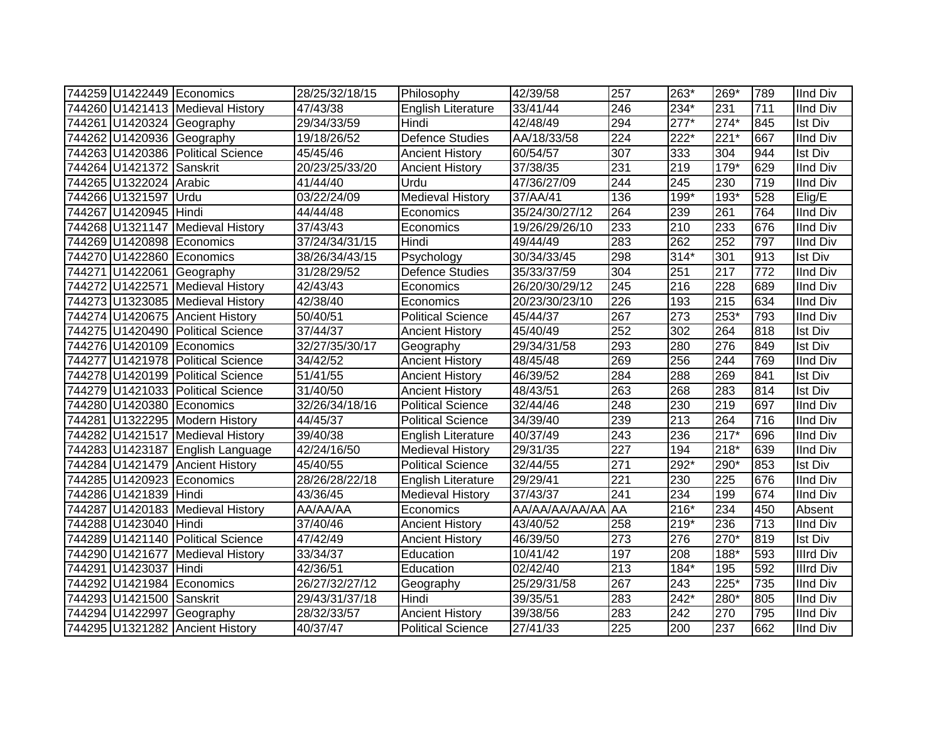|                          | 744259 U1422449 Economics         | 28/25/32/18/15 | Philosophy               | 42/39/58       | 257              | 263*   | 269*              | 789 | <b>IInd Div</b>  |
|--------------------------|-----------------------------------|----------------|--------------------------|----------------|------------------|--------|-------------------|-----|------------------|
|                          | 744260 U1421413 Medieval History  | 47/43/38       | English Literature       | 33/41/44       | 246              | 234*   | 231               | 711 | <b>IInd Div</b>  |
|                          | 744261 U1420324 Geography         | 29/34/33/59    | Hindi                    | 42/48/49       | 294              | $277*$ | $274*$            | 845 | <b>Ist Div</b>   |
|                          | 744262 U1420936 Geography         | 19/18/26/52    | Defence Studies          | AA/18/33/58    | $\overline{224}$ | $222*$ | $\overline{221*}$ | 667 | <b>IInd Div</b>  |
|                          | 744263 U1420386 Political Science | 45/45/46       | <b>Ancient History</b>   | 60/54/57       | 307              | 333    | 304               | 944 | <b>Ist Div</b>   |
| 744264 U1421372 Sanskrit |                                   | 20/23/25/33/20 | <b>Ancient History</b>   | 37/38/35       | 231              | 219    | $179*$            | 629 | <b>IInd Div</b>  |
| 744265 U1322024 Arabic   |                                   | 41/44/40       | Urdu                     | 47/36/27/09    | 244              | 245    | 230               | 719 | <b>IInd Div</b>  |
| 744266 U1321597 Urdu     |                                   | 03/22/24/09    | <b>Medieval History</b>  | 37/AA/41       | 136              | 199*   | $193*$            | 528 | Elig/E           |
| 744267 U1420945 Hindi    |                                   | 44/44/48       | Economics                | 35/24/30/27/12 | 264              | 239    | 261               | 764 | <b>IInd Div</b>  |
|                          | 744268 U1321147 Medieval History  | 37/43/43       | Economics                | 19/26/29/26/10 | 233              | 210    | 233               | 676 | <b>IInd Div</b>  |
|                          | 744269 U1420898 Economics         | 37/24/34/31/15 | Hindi                    | 49/44/49       | 283              | 262    | 252               | 797 | <b>IInd Div</b>  |
|                          | 744270 U1422860 Economics         | 38/26/34/43/15 | Psychology               | 30/34/33/45    | 298              | $314*$ | 301               | 913 | <b>Ist Div</b>   |
|                          | 744271 U1422061 Geography         | 31/28/29/52    | <b>Defence Studies</b>   | 35/33/37/59    | 304              | 251    | $\overline{217}$  | 772 | <b>IInd Div</b>  |
|                          | 744272 U1422571 Medieval History  | 42/43/43       | Economics                | 26/20/30/29/12 | 245              | 216    | 228               | 689 | <b>IInd Div</b>  |
|                          | 744273 U1323085 Medieval History  | 42/38/40       | Economics                | 20/23/30/23/10 | 226              | 193    | 215               | 634 | <b>IInd Div</b>  |
|                          | 744274 U1420675 Ancient History   | 50/40/51       | <b>Political Science</b> | 45/44/37       | 267              | 273    | $253*$            | 793 | <b>IInd Div</b>  |
|                          | 744275 U1420490 Political Science | 37/44/37       | <b>Ancient History</b>   | 45/40/49       | 252              | 302    | 264               | 818 | <b>Ist Div</b>   |
|                          | 744276 U1420109 Economics         | 32/27/35/30/17 | Geography                | 29/34/31/58    | 293              | 280    | 276               | 849 | <b>Ist Div</b>   |
|                          | 744277 U1421978 Political Science | 34/42/52       | <b>Ancient History</b>   | 48/45/48       | 269              | 256    | 244               | 769 | <b>IInd Div</b>  |
|                          | 744278 U1420199 Political Science | 51/41/55       | <b>Ancient History</b>   | 46/39/52       | 284              | 288    | 269               | 841 | <b>Ist Div</b>   |
|                          | 744279 U1421033 Political Science | 31/40/50       | <b>Ancient History</b>   | 48/43/51       | 263              | 268    | 283               | 814 | <b>Ist Div</b>   |
|                          | 744280 U1420380 Economics         | 32/26/34/18/16 | <b>Political Science</b> | 32/44/46       | 248              | 230    | 219               | 697 | <b>IInd Div</b>  |
|                          | 744281 U1322295 Modern History    | 44/45/37       | <b>Political Science</b> | 34/39/40       | 239              | 213    | 264               | 716 | <b>IInd Div</b>  |
|                          | 744282 U1421517 Medieval History  | 39/40/38       | English Literature       | 40/37/49       | 243              | 236    | $217*$            | 696 | <b>IInd Div</b>  |
|                          | 744283 U1423187 English Language  | 42/24/16/50    | <b>Medieval History</b>  | 29/31/35       | 227              | 194    | 218*              | 639 | <b>IInd Div</b>  |
|                          | 744284 U1421479 Ancient History   | 45/40/55       | <b>Political Science</b> | 32/44/55       | 271              | 292*   | 290*              | 853 | <b>Ist Div</b>   |
|                          | 744285 U1420923 Economics         | 28/26/28/22/18 | English Literature       | 29/29/41       | 221              | 230    | 225               | 676 | <b>IInd Div</b>  |
| 744286 U1421839 Hindi    |                                   | 43/36/45       | <b>Medieval History</b>  | 37/43/37       | 241              | 234    | 199               | 674 | <b>IInd Div</b>  |
|                          | 744287 U1420183 Medieval History  | AA/AA/AA       | Economics                | AA/AA/AA/AA/AA | <b>AA</b>        | 216*   | 234               | 450 | Absent           |
| 744288 U1423040 Hindi    |                                   | 37/40/46       | <b>Ancient History</b>   | 43/40/52       | 258              | $219*$ | 236               | 713 | <b>IInd Div</b>  |
|                          | 744289 U1421140 Political Science | 47/42/49       | <b>Ancient History</b>   | 46/39/50       | $\overline{273}$ | 276    | $270*$            | 819 | <b>Ist Div</b>   |
|                          | 744290 U1421677 Medieval History  | 33/34/37       | Education                | 10/41/42       | 197              | 208    | 188*              | 593 | <b>Illrd Div</b> |
| 744291 U1423037 Hindi    |                                   | 42/36/51       | Education                | 02/42/40       | $\overline{213}$ | $184*$ | 195               | 592 | <b>Illrd Div</b> |
|                          | 744292 U1421984 Economics         | 26/27/32/27/12 | Geography                | 25/29/31/58    | 267              | 243    | $225*$            | 735 | <b>IInd Div</b>  |
| 744293 U1421500          | Sanskrit                          | 29/43/31/37/18 | Hindi                    | 39/35/51       | 283              | $242*$ | 280*              | 805 | <b>IInd Div</b>  |
|                          | 744294 U1422997 Geography         | 28/32/33/57    | <b>Ancient History</b>   | 39/38/56       | 283              | 242    | 270               | 795 | <b>IInd Div</b>  |
|                          | 744295 U1321282 Ancient History   | 40/37/47       | <b>Political Science</b> | 27/41/33       | $\overline{225}$ | 200    | 237               | 662 | <b>IInd Div</b>  |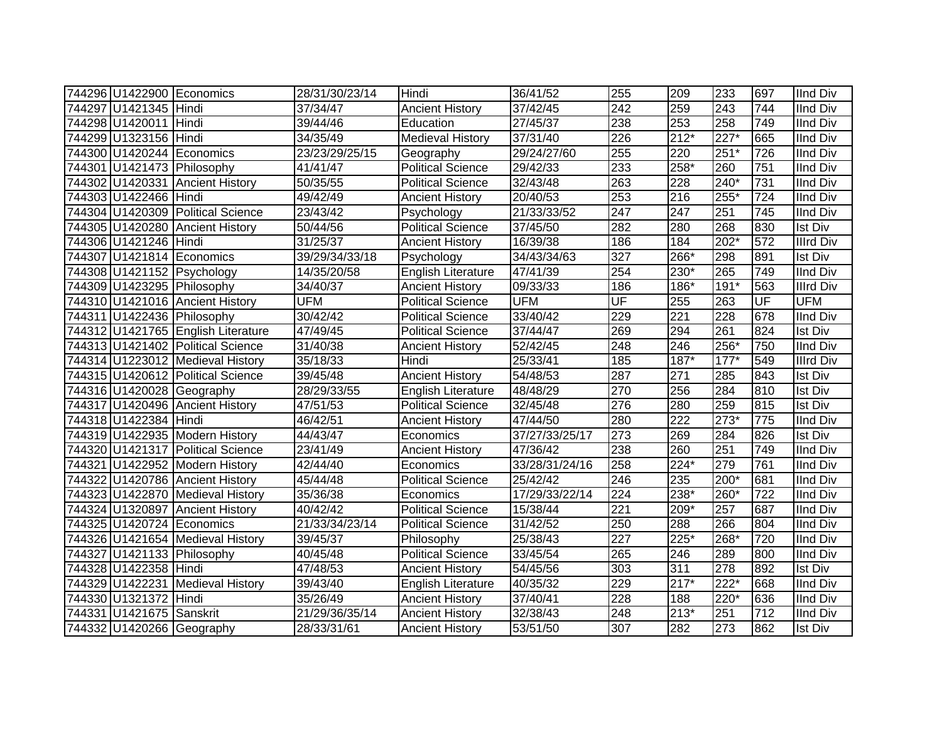|                          | 744296 U1422900 Economics          | 28/31/30/23/14 | Hindi                     | 36/41/52       | 255                      | 209              | 233    | 697              | <b>IInd Div</b>  |
|--------------------------|------------------------------------|----------------|---------------------------|----------------|--------------------------|------------------|--------|------------------|------------------|
| 744297 U1421345 Hindi    |                                    | 37/34/47       | <b>Ancient History</b>    | 37/42/45       | $\overline{242}$         | 259              | 243    | 744              | <b>IInd Div</b>  |
| 744298 U1420011 Hindi    |                                    | 39/44/46       | Education                 | 27/45/37       | 238                      | 253              | 258    | 749              | <b>IInd Div</b>  |
| 744299 U1323156 Hindi    |                                    | 34/35/49       | <b>Medieval History</b>   | 37/31/40       | 226                      | 212*             | 227*   | 665              | <b>IInd Div</b>  |
|                          | 744300 U1420244 Economics          | 23/23/29/25/15 | Geography                 | 29/24/27/60    | 255                      | 220              | $251*$ | 726              | <b>IInd Div</b>  |
|                          | 744301 U1421473 Philosophy         | 41/41/47       | <b>Political Science</b>  | 29/42/33       | 233                      | $258*$           | 260    | $\overline{751}$ | <b>IInd Div</b>  |
|                          | 744302 U1420331 Ancient History    | 50/35/55       | <b>Political Science</b>  | 32/43/48       | 263                      | 228              | $240*$ | 731              | <b>IInd Div</b>  |
| 744303 U1422466 Hindi    |                                    | 49/42/49       | <b>Ancient History</b>    | 20/40/53       | 253                      | $\overline{216}$ | $255*$ | $\overline{724}$ | <b>IInd Div</b>  |
|                          | 744304 U1420309 Political Science  | 23/43/42       | Psychology                | 21/33/33/52    | 247                      | $\overline{247}$ | 251    | 745              | <b>IInd Div</b>  |
|                          | 744305 U1420280 Ancient History    | 50/44/56       | <b>Political Science</b>  | 37/45/50       | 282                      | 280              | 268    | 830              | <b>Ist Div</b>   |
| 744306 U1421246 Hindi    |                                    | 31/25/37       | <b>Ancient History</b>    | 16/39/38       | 186                      | 184              | $202*$ | 572              | <b>Illrd Div</b> |
|                          | 744307 U1421814 Economics          | 39/29/34/33/18 | Psychology                | 34/43/34/63    | 327                      | 266*             | 298    | 891              | Ist Div          |
|                          | 744308 U1421152 Psychology         | 14/35/20/58    | <b>English Literature</b> | 47/41/39       | 254                      | 230*             | 265    | 749              | <b>IInd Div</b>  |
|                          | 744309 U1423295 Philosophy         | 34/40/37       | <b>Ancient History</b>    | 09/33/33       | 186                      | 186*             | 191*   | 563              | <b>Illrd Div</b> |
|                          | 744310 U1421016 Ancient History    | <b>UFM</b>     | <b>Political Science</b>  | <b>UFM</b>     | $\overline{\mathsf{UF}}$ | 255              | 263    | UF               | <b>UFM</b>       |
|                          | 744311 U1422436 Philosophy         | 30/42/42       | <b>Political Science</b>  | 33/40/42       | 229                      | 221              | 228    | 678              | IInd Div         |
|                          | 744312 U1421765 English Literature | 47/49/45       | <b>Political Science</b>  | 37/44/47       | 269                      | 294              | 261    | 824              | <b>Ist Div</b>   |
|                          | 744313 U1421402 Political Science  | 31/40/38       | <b>Ancient History</b>    | 52/42/45       | 248                      | 246              | 256*   | 750              | <b>IInd Div</b>  |
|                          | 744314 U1223012 Medieval History   | 35/18/33       | Hindi                     | 25/33/41       | 185                      | 187*             | $177*$ | 549              | <b>Illrd Div</b> |
|                          | 744315 U1420612 Political Science  | 39/45/48       | <b>Ancient History</b>    | 54/48/53       | 287                      | 271              | 285    | 843              | <b>Ist Div</b>   |
|                          | 744316 U1420028 Geography          | 28/29/33/55    | English Literature        | 48/48/29       | 270                      | 256              | 284    | 810              | <b>Ist Div</b>   |
|                          | 744317 U1420496 Ancient History    | 47/51/53       | <b>Political Science</b>  | 32/45/48       | 276                      | 280              | 259    | 815              | <b>Ist Div</b>   |
| 744318 U1422384 Hindi    |                                    | 46/42/51       | <b>Ancient History</b>    | 47/44/50       | 280                      | 222              | $273*$ | 775              | IInd Div         |
|                          | 744319 U1422935 Modern History     | 44/43/47       | Economics                 | 37/27/33/25/17 | 273                      | 269              | 284    | 826              | <b>Ist Div</b>   |
|                          | 744320 U1421317 Political Science  | 23/41/49       | <b>Ancient History</b>    | 47/36/42       | 238                      | 260              | 251    | 749              | <b>IInd Div</b>  |
|                          | 744321 U1422952 Modern History     | 42/44/40       | Economics                 | 33/28/31/24/16 | 258                      | $224*$           | 279    | 761              | <b>IInd Div</b>  |
|                          | 744322 U1420786 Ancient History    | 45/44/48       | <b>Political Science</b>  | 25/42/42       | 246                      | 235              | 200*   | 681              | <b>IInd Div</b>  |
|                          | 744323 U1422870 Medieval History   | 35/36/38       | Economics                 | 17/29/33/22/14 | 224                      | $238*$           | 260*   | 722              | <b>IInd Div</b>  |
|                          | 744324 U1320897 Ancient History    | 40/42/42       | Political Science         | 15/38/44       | 221                      | 209*             | 257    | 687              | <b>IInd Div</b>  |
|                          | 744325 U1420724 Economics          | 21/33/34/23/14 | <b>Political Science</b>  | 31/42/52       | 250                      | 288              | 266    | 804              | <b>IInd Div</b>  |
|                          | 744326 U1421654 Medieval History   | 39/45/37       | Philosophy                | 25/38/43       | 227                      | 225*             | 268*   | 720              | <b>IInd Div</b>  |
|                          | 744327 U1421133 Philosophy         | 40/45/48       | <b>Political Science</b>  | 33/45/54       | 265                      | 246              | 289    | 800              | <b>IInd Div</b>  |
| 744328 U1422358 Hindi    |                                    | 47/48/53       | <b>Ancient History</b>    | 54/45/56       | 303                      | 311              | 278    | 892              | <b>Ist Div</b>   |
|                          | 744329 U1422231 Medieval History   | 39/43/40       | <b>English Literature</b> | 40/35/32       | 229                      | $217*$           | $222*$ | 668              | <b>IInd Div</b>  |
| 744330 U1321372 Hindi    |                                    | 35/26/49       | <b>Ancient History</b>    | 37/40/41       | 228                      | 188              | 220*   | 636              | <b>IInd Div</b>  |
| 744331 U1421675 Sanskrit |                                    | 21/29/36/35/14 | <b>Ancient History</b>    | 32/38/43       | 248                      | 213*             | 251    | 712              | <b>IInd Div</b>  |
|                          | 744332 U1420266 Geography          | 28/33/31/61    | <b>Ancient History</b>    | 53/51/50       | 307                      | 282              | 273    | 862              | <b>Ist Div</b>   |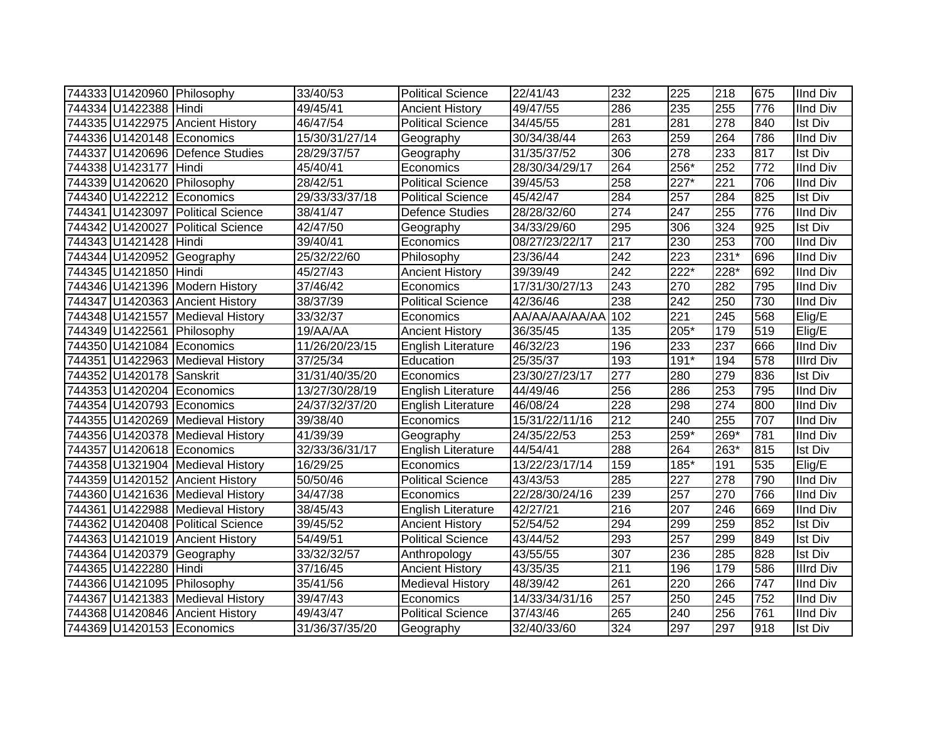|                          | 744333 U1420960 Philosophy        | 33/40/53       | <b>Political Science</b>  | 22/41/43       | 232 | 225              | 218    | 675              | <b>IInd Div</b>  |
|--------------------------|-----------------------------------|----------------|---------------------------|----------------|-----|------------------|--------|------------------|------------------|
| 744334 U1422388 Hindi    |                                   | 49/45/41       | <b>Ancient History</b>    | 49/47/55       | 286 | 235              | 255    | 776              | <b>IInd Div</b>  |
|                          | 744335 U1422975 Ancient History   | 46/47/54       | <b>Political Science</b>  | 34/45/55       | 281 | 281              | 278    | 840              | <b>Ist Div</b>   |
|                          | 744336 U1420148 Economics         | 15/30/31/27/14 | Geography                 | 30/34/38/44    | 263 | 259              | 264    | 786              | <b>IInd Div</b>  |
|                          | 744337 U1420696 Defence Studies   | 28/29/37/57    | Geography                 | 31/35/37/52    | 306 | $\overline{278}$ | 233    | 817              | <b>Ist Div</b>   |
| 744338 U1423177 Hindi    |                                   | 45/40/41       | Economics                 | 28/30/34/29/17 | 264 | 256*             | 252    | $\overline{772}$ | <b>IInd Div</b>  |
|                          | 744339 U1420620 Philosophy        | 28/42/51       | <b>Political Science</b>  | 39/45/53       | 258 | $227*$           | 221    | 706              | <b>IInd Div</b>  |
|                          | 744340 U1422212 Economics         | 29/33/33/37/18 | Political Science         | 45/42/47       | 284 | 257              | 284    | 825              | <b>Ist Div</b>   |
|                          | 744341 U1423097 Political Science | 38/41/47       | Defence Studies           | 28/28/32/60    | 274 | 247              | 255    | 776              | IInd Div         |
|                          | 744342 U1420027 Political Science | 42/47/50       | Geography                 | 34/33/29/60    | 295 | 306              | 324    | 925              | <b>Ist Div</b>   |
| 744343 U1421428 Hindi    |                                   | 39/40/41       | Economics                 | 08/27/23/22/17 | 217 | 230              | 253    | 700              | <b>IInd Div</b>  |
|                          | 744344 U1420952 Geography         | 25/32/22/60    | Philosophy                | 23/36/44       | 242 | 223              | $231*$ | 696              | <b>IInd Div</b>  |
| 744345 U1421850 Hindi    |                                   | 45/27/43       | <b>Ancient History</b>    | 39/39/49       | 242 | $222*$           | $228*$ | 692              | <b>IInd Div</b>  |
|                          | 744346 U1421396 Modern History    | 37/46/42       | Economics                 | 17/31/30/27/13 | 243 | 270              | 282    | 795              | IInd Div         |
|                          | 744347 U1420363 Ancient History   | 38/37/39       | <b>Political Science</b>  | 42/36/46       | 238 | 242              | 250    | 730              | IInd Div         |
|                          | 744348 U1421557 Medieval History  | 33/32/37       | Economics                 | AA/AA/AA/AA/AA | 102 | 221              | 245    | 568              | Elig/E           |
|                          | 744349 U1422561 Philosophy        | 19/AA/AA       | <b>Ancient History</b>    | 36/35/45       | 135 | 205*             | 179    | 519              | Elig/E           |
|                          | 744350 U1421084 Economics         | 11/26/20/23/15 | <b>English Literature</b> | 46/32/23       | 196 | 233              | 237    | 666              | IInd Div         |
|                          | 744351 U1422963 Medieval History  | 37/25/34       | Education                 | 25/35/37       | 193 | $191*$           | 194    | 578              | Illrd Div        |
| 744352 U1420178 Sanskrit |                                   | 31/31/40/35/20 | Economics                 | 23/30/27/23/17 | 277 | 280              | 279    | 836              | <b>Ist Div</b>   |
|                          | 744353 U1420204 Economics         | 13/27/30/28/19 | <b>English Literature</b> | 44/49/46       | 256 | 286              | 253    | 795              | <b>IInd Div</b>  |
|                          | 744354 U1420793 Economics         | 24/37/32/37/20 | <b>English Literature</b> | 46/08/24       | 228 | 298              | 274    | 800              | <b>IInd Div</b>  |
|                          | 744355 U1420269 Medieval History  | 39/38/40       | Economics                 | 15/31/22/11/16 | 212 | 240              | 255    | 707              | <b>IInd Div</b>  |
|                          | 744356 U1420378 Medieval History  | 41/39/39       | Geography                 | 24/35/22/53    | 253 | 259*             | 269*   | 781              | <b>IInd Div</b>  |
|                          | 744357 U1420618 Economics         | 32/33/36/31/17 | English Literature        | 44/54/41       | 288 | 264              | 263*   | 815              | <b>Ist Div</b>   |
|                          | 744358 U1321904 Medieval History  | 16/29/25       | Economics                 | 13/22/23/17/14 | 159 | 185*             | 191    | 535              | Elig/E           |
|                          | 744359 U1420152 Ancient History   | 50/50/46       | <b>Political Science</b>  | 43/43/53       | 285 | 227              | 278    | 790              | <b>IInd Div</b>  |
|                          | 744360 U1421636 Medieval History  | 34/47/38       | Economics                 | 22/28/30/24/16 | 239 | 257              | 270    | 766              | <b>IInd Div</b>  |
|                          | 744361 U1422988 Medieval History  | 38/45/43       | English Literature        | 42/27/21       | 216 | 207              | 246    | 669              | <b>IInd Div</b>  |
|                          | 744362 U1420408 Political Science | 39/45/52       | <b>Ancient History</b>    | 52/54/52       | 294 | 299              | 259    | 852              | <b>Ist Div</b>   |
|                          | 744363 U1421019 Ancient History   | 54/49/51       | <b>Political Science</b>  | 43/44/52       | 293 | 257              | 299    | 849              | <b>Ist Div</b>   |
|                          | 744364 U1420379 Geography         | 33/32/32/57    | Anthropology              | 43/55/55       | 307 | 236              | 285    | 828              | <b>Ist Div</b>   |
| 744365 U1422280 Hindi    |                                   | 37/16/45       | <b>Ancient History</b>    | 43/35/35       | 211 | 196              | 179    | 586              | <b>Illrd Div</b> |
|                          | 744366 U1421095 Philosophy        | 35/41/56       | Medieval History          | 48/39/42       | 261 | 220              | 266    | 747              | <b>IInd Div</b>  |
|                          | 744367 U1421383 Medieval History  | 39/47/43       | Economics                 | 14/33/34/31/16 | 257 | 250              | 245    | 752              | <b>IInd Div</b>  |
|                          | 744368 U1420846 Ancient History   | 49/43/47       | <b>Political Science</b>  | 37/43/46       | 265 | 240              | 256    | 761              | <b>IInd Div</b>  |
|                          | 744369 U1420153 Economics         | 31/36/37/35/20 | Geography                 | 32/40/33/60    | 324 | 297              | 297    | 918              | <b>Ist Div</b>   |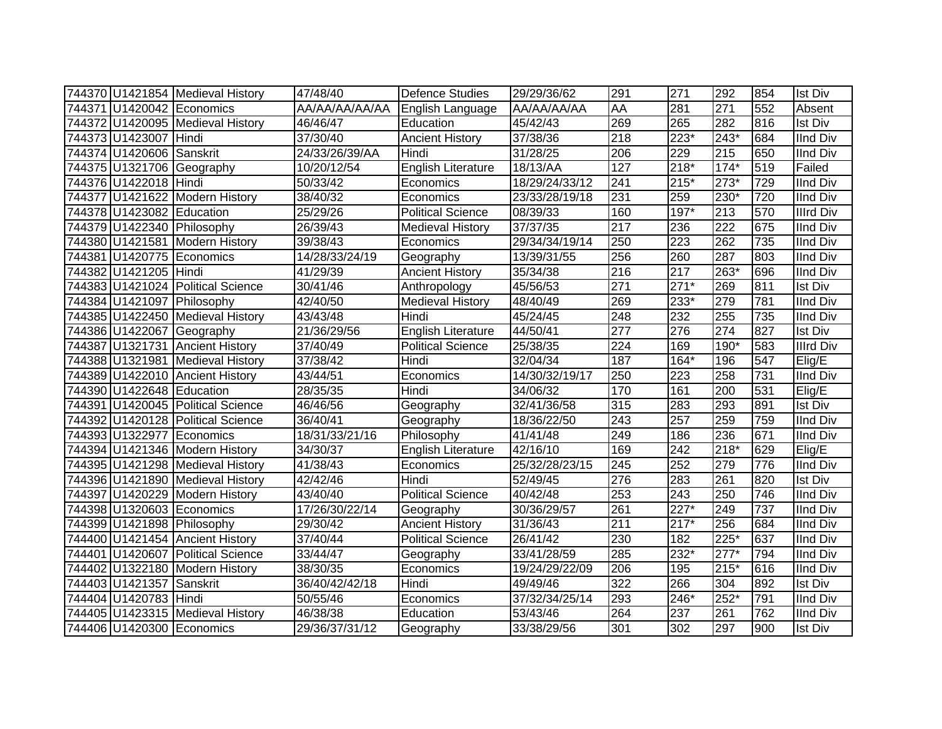|                           | 744370 U1421854 Medieval History  | 47/48/40       | <b>Defence Studies</b>    | 29/29/36/62    | 291 | 271              | 292    | 854              | <b>Ist Div</b>   |
|---------------------------|-----------------------------------|----------------|---------------------------|----------------|-----|------------------|--------|------------------|------------------|
|                           | 744371 U1420042 Economics         | AA/AA/AA/AA/AA | English Language          | AA/AA/AA/AA    | AA  | 281              | 271    | 552              | Absent           |
|                           | 744372 U1420095 Medieval History  | 46/46/47       | Education                 | 45/42/43       | 269 | 265              | 282    | 816              | <b>Ist Div</b>   |
| 744373 U1423007 Hindi     |                                   | 37/30/40       | <b>Ancient History</b>    | 37/38/36       | 218 | $223*$           | 243*   | 684              | <b>IInd Div</b>  |
| 744374 U1420606 Sanskrit  |                                   | 24/33/26/39/AA | Hindi                     | 31/28/25       | 206 | 229              | 215    | 650              | <b>IInd Div</b>  |
|                           | 744375 U1321706 Geography         | 10/20/12/54    | <b>English Literature</b> | 18/13/AA       | 127 | $218*$           | $174*$ | 519              | Failed           |
| 744376 U1422018 Hindi     |                                   | 50/33/42       | Economics                 | 18/29/24/33/12 | 241 | $215*$           | $273*$ | 729              | <b>IInd Div</b>  |
|                           | 744377 U1421622 Modern History    | 38/40/32       | Economics                 | 23/33/28/19/18 | 231 | 259              | 230*   | $\overline{720}$ | <b>IInd Div</b>  |
| 744378 U1423082 Education |                                   | 25/29/26       | <b>Political Science</b>  | 08/39/33       | 160 | $197*$           | 213    | 570              | <b>Illrd Div</b> |
|                           | 744379 U1422340 Philosophy        | 26/39/43       | <b>Medieval History</b>   | 37/37/35       | 217 | 236              | 222    | 675              | <b>IInd Div</b>  |
|                           | 744380 U1421581 Modern History    | 39/38/43       | Economics                 | 29/34/34/19/14 | 250 | 223              | 262    | 735              | <b>IInd Div</b>  |
|                           | 744381 U1420775 Economics         | 14/28/33/24/19 | Geography                 | 13/39/31/55    | 256 | 260              | 287    | 803              | IInd Div         |
| 744382 U1421205 Hindi     |                                   | 41/29/39       | <b>Ancient History</b>    | 35/34/38       | 216 | 217              | 263*   | 696              | <b>IInd Div</b>  |
|                           | 744383 U1421024 Political Science | 30/41/46       | Anthropology              | 45/56/53       | 271 | $271*$           | 269    | 811              | <b>Ist Div</b>   |
|                           | 744384 U1421097 Philosophy        | 42/40/50       | <b>Medieval History</b>   | 48/40/49       | 269 | 233*             | 279    | 781              | <b>IInd Div</b>  |
|                           | 744385 U1422450 Medieval History  | 43/43/48       | Hindi                     | 45/24/45       | 248 | 232              | 255    | 735              | <b>IInd Div</b>  |
|                           | 744386 U1422067 Geography         | 21/36/29/56    | <b>English Literature</b> | 44/50/41       | 277 | 276              | 274    | 827              | <b>Ist Div</b>   |
|                           | 744387 U1321731 Ancient History   | 37/40/49       | <b>Political Science</b>  | 25/38/35       | 224 | 169              | $190*$ | 583              | Illrd Div        |
|                           | 744388 U1321981 Medieval History  | 37/38/42       | Hindi                     | 32/04/34       | 187 | $164*$           | 196    | 547              | Elig/E           |
|                           | 744389 U1422010 Ancient History   | 43/44/51       | Economics                 | 14/30/32/19/17 | 250 | 223              | 258    | 731              | <b>IInd Div</b>  |
| 744390 U1422648 Education |                                   | 28/35/35       | Hindi                     | 34/06/32       | 170 | 161              | 200    | 531              | Elig/E           |
|                           | 744391 U1420045 Political Science | 46/46/56       | Geography                 | 32/41/36/58    | 315 | 283              | 293    | 891              | <b>Ist Div</b>   |
|                           | 744392 U1420128 Political Science | 36/40/41       | Geography                 | 18/36/22/50    | 243 | 257              | 259    | 759              | <b>IInd Div</b>  |
|                           | 744393 U1322977 Economics         | 18/31/33/21/16 | Philosophy                | 41/41/48       | 249 | 186              | 236    | 671              | <b>IInd Div</b>  |
|                           | 744394 U1421346 Modern History    | 34/30/37       | <b>English Literature</b> | 42/16/10       | 169 | 242              | 218*   | 629              | Elig/E           |
|                           | 744395 U1421298 Medieval History  | 41/38/43       | Economics                 | 25/32/28/23/15 | 245 | 252              | 279    | 776              | <b>IInd Div</b>  |
|                           | 744396 U1421890 Medieval History  | 42/42/46       | Hindi                     | 52/49/45       | 276 | 283              | 261    | 820              | <b>Ist Div</b>   |
|                           | 744397 U1420229 Modern History    | 43/40/40       | <b>Political Science</b>  | 40/42/48       | 253 | $\overline{243}$ | 250    | 746              | <b>IInd Div</b>  |
|                           | 744398 U1320603 Economics         | 17/26/30/22/14 | Geography                 | 30/36/29/57    | 261 | $227*$           | 249    | 737              | <b>IInd Div</b>  |
|                           | 744399 U1421898 Philosophy        | 29/30/42       | <b>Ancient History</b>    | 31/36/43       | 211 | $217*$           | 256    | 684              | <b>IInd Div</b>  |
|                           | 744400 U1421454 Ancient History   | 37/40/44       | <b>Political Science</b>  | 26/41/42       | 230 | 182              | $225*$ | 637              | <b>IInd Div</b>  |
|                           | 744401 U1420607 Political Science | 33/44/47       | Geography                 | 33/41/28/59    | 285 | 232*             | $277*$ | 794              | <b>IInd Div</b>  |
|                           | 744402 U1322180 Modern History    | 38/30/35       | Economics                 | 19/24/29/22/09 | 206 | 195              | $215*$ | 616              | <b>IInd Div</b>  |
| 744403 U1421357 Sanskrit  |                                   | 36/40/42/42/18 | Hindi                     | 49/49/46       | 322 | 266              | 304    | 892              | <b>Ist Div</b>   |
| 744404 U1420783 Hindi     |                                   | 50/55/46       | Economics                 | 37/32/34/25/14 | 293 | 246*             | 252*   | 791              | <b>IInd Div</b>  |
|                           | 744405 U1423315 Medieval History  | 46/38/38       | Education                 | 53/43/46       | 264 | 237              | 261    | 762              | <b>IInd Div</b>  |
|                           | 744406 U1420300 Economics         | 29/36/37/31/12 | Geography                 | 33/38/29/56    | 301 | 302              | 297    | 900              | <b>Ist Div</b>   |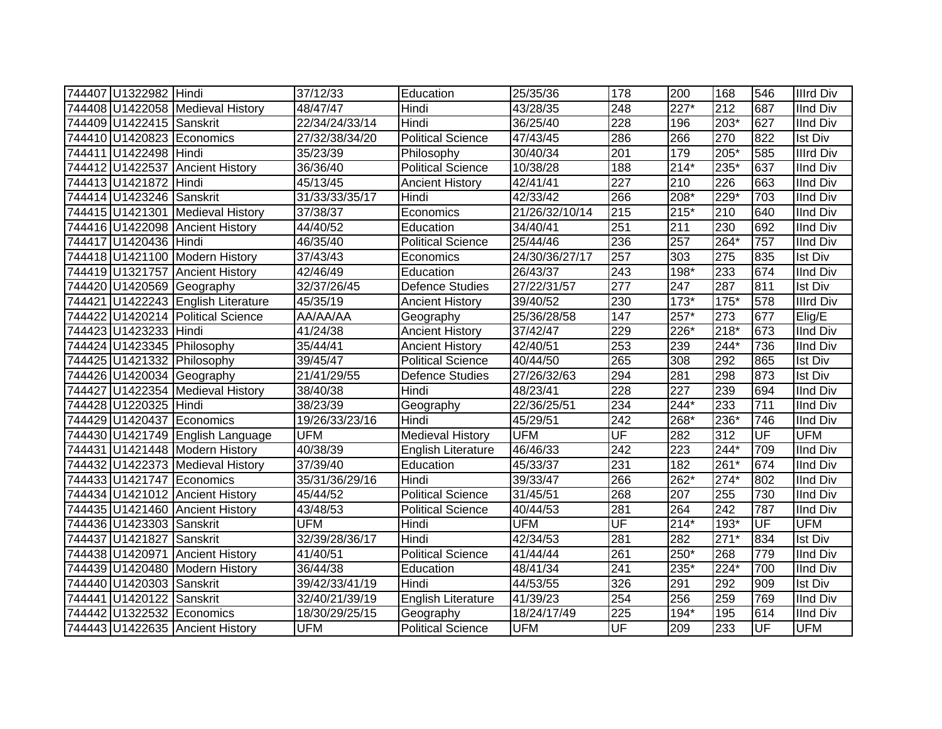| 744407 U1322982 Hindi    |                                    | 37/12/33       | Education                 | 25/35/36       | 178                      | 200    | 168              | 546                      | <b>Illrd Div</b> |
|--------------------------|------------------------------------|----------------|---------------------------|----------------|--------------------------|--------|------------------|--------------------------|------------------|
|                          | 744408 U1422058 Medieval History   | 48/47/47       | Hindi                     | 43/28/35       | 248                      | $227*$ | 212              | 687                      | <b>IInd Div</b>  |
| 744409 U1422415 Sanskrit |                                    | 22/34/24/33/14 | Hindi                     | 36/25/40       | 228                      | 196    | $203*$           | 627                      | <b>IInd Div</b>  |
|                          | 744410 U1420823 Economics          | 27/32/38/34/20 | <b>Political Science</b>  | 47/43/45       | 286                      | 266    | 270              | 822                      | <b>Ist Div</b>   |
| 744411 U1422498 Hindi    |                                    | 35/23/39       | Philosophy                | 30/40/34       | $\overline{201}$         | 179    | $205*$           | 585                      | <b>Illrd Div</b> |
|                          | 744412 U1422537 Ancient History    | 36/36/40       | <b>Political Science</b>  | 10/38/28       | 188                      | $214*$ | $235*$           | 637                      | <b>IInd Div</b>  |
| 744413 U1421872          | Hindi                              | 45/13/45       | <b>Ancient History</b>    | 42/41/41       | 227                      | 210    | 226              | 663                      | <b>IInd Div</b>  |
| 744414 U1423246 Sanskrit |                                    | 31/33/33/35/17 | Hindi                     | 42/33/42       | 266                      | 208*   | $229*$           | 703                      | <b>IInd Div</b>  |
|                          | 744415 U1421301 Medieval History   | 37/38/37       | Economics                 | 21/26/32/10/14 | 215                      | 215*   | 210              | 640                      | <b>IInd Div</b>  |
|                          | 744416 U1422098 Ancient History    | 44/40/52       | Education                 | 34/40/41       | 251                      | 211    | 230              | 692                      | <b>IInd Div</b>  |
| 744417 U1420436 Hindi    |                                    | 46/35/40       | <b>Political Science</b>  | 25/44/46       | 236                      | 257    | $264*$           | 757                      | <b>IInd Div</b>  |
|                          | 744418 U1421100 Modern History     | 37/43/43       | Economics                 | 24/30/36/27/17 | 257                      | 303    | 275              | 835                      | <b>Ist Div</b>   |
|                          | 744419 U1321757 Ancient History    | 42/46/49       | Education                 | 26/43/37       | 243                      | 198*   | 233              | 674                      | <b>IInd Div</b>  |
|                          | 744420 U1420569 Geography          | 32/37/26/45    | <b>Defence Studies</b>    | 27/22/31/57    | 277                      | 247    | 287              | 811                      | <b>Ist Div</b>   |
|                          | 744421 U1422243 English Literature | 45/35/19       | <b>Ancient History</b>    | 39/40/52       | 230                      | $173*$ | $175*$           | 578                      | <b>Illrd Div</b> |
|                          | 744422 U1420214 Political Science  | AA/AA/AA       | Geography                 | 25/36/28/58    | 147                      | 257*   | $\overline{273}$ | 677                      | Elig/E           |
| 744423 U1423233 Hindi    |                                    | 41/24/38       | <b>Ancient History</b>    | 37/42/47       | 229                      | 226*   | $218*$           | 673                      | <b>IInd Div</b>  |
|                          | 744424 U1423345 Philosophy         | 35/44/41       | <b>Ancient History</b>    | 42/40/51       | 253                      | 239    | $244*$           | 736                      | <b>IInd Div</b>  |
|                          | 744425 U1421332 Philosophy         | 39/45/47       | <b>Political Science</b>  | 40/44/50       | 265                      | 308    | 292              | 865                      | <b>Ist Div</b>   |
|                          | 744426 U1420034 Geography          | 21/41/29/55    | <b>Defence Studies</b>    | 27/26/32/63    | 294                      | 281    | 298              | 873                      | <b>Ist Div</b>   |
|                          | 744427 U1422354 Medieval History   | 38/40/38       | Hindi                     | 48/23/41       | 228                      | 227    | 239              | 694                      | <b>IInd Div</b>  |
| 744428 U1220325 Hindi    |                                    | 38/23/39       | Geography                 | 22/36/25/51    | 234                      | $244*$ | 233              | 711                      | <b>IInd Div</b>  |
|                          | 744429 U1420437 Economics          | 19/26/33/23/16 | Hindi                     | 45/29/51       | $\overline{242}$         | 268*   | 236*             | 746                      | <b>IInd Div</b>  |
|                          | 744430 U1421749 English Language   | <b>UFM</b>     | <b>Medieval History</b>   | <b>UFM</b>     | $\overline{\mathsf{UF}}$ | 282    | 312              | $\overline{\mathsf{UF}}$ | <b>UFM</b>       |
|                          | 744431 U1421448 Modern History     | 40/38/39       | <b>English Literature</b> | 46/46/33       | 242                      | 223    | 244*             | 709                      | <b>IInd Div</b>  |
|                          | 744432 U1422373 Medieval History   | 37/39/40       | Education                 | 45/33/37       | 231                      | 182    | 261*             | 674                      | <b>IInd Div</b>  |
|                          | 744433 U1421747 Economics          | 35/31/36/29/16 | Hindi                     | 39/33/47       | 266                      | 262*   | $274*$           | 802                      | <b>IInd Div</b>  |
|                          | 744434 U1421012 Ancient History    | 45/44/52       | <b>Political Science</b>  | 31/45/51       | 268                      | 207    | 255              | 730                      | <b>IInd Div</b>  |
|                          | 744435 U1421460 Ancient History    | 43/48/53       | <b>Political Science</b>  | 40/44/53       | 281                      | 264    | $\overline{242}$ | 787                      | <b>IInd Div</b>  |
| 744436 U1423303 Sanskrit |                                    | <b>UFM</b>     | Hindi                     | <b>UFM</b>     | UF                       | $214*$ | $193*$           | UF                       | <b>UFM</b>       |
| 744437 U1421827 Sanskrit |                                    | 32/39/28/36/17 | Hindi                     | 42/34/53       | 281                      | 282    | $271*$           | 834                      | <b>Ist Div</b>   |
|                          | 744438 U1420971 Ancient History    | 41/40/51       | Political Science         | 41/44/44       | 261                      | $250*$ | 268              | 779                      | <b>IInd Div</b>  |
|                          | 744439 U1420480 Modern History     | 36/44/38       | Education                 | 48/41/34       | 241                      | $235*$ | $224*$           | 700                      | <b>IInd Div</b>  |
| 744440 U1420303          | Sanskrit                           | 39/42/33/41/19 | Hindi                     | 44/53/55       | 326                      | 291    | 292              | 909                      | Ist Div          |
| 744441 U1420122          | Sanskrit                           | 32/40/21/39/19 | <b>English Literature</b> | 41/39/23       | 254                      | 256    | 259              | 769                      | <b>IInd Div</b>  |
|                          | 744442 U1322532 Economics          | 18/30/29/25/15 | Geography                 | 18/24/17/49    | 225                      | 194*   | 195              | 614                      | <b>IInd Div</b>  |
|                          | 744443 U1422635 Ancient History    | <b>UFM</b>     | <b>Political Science</b>  | <b>UFM</b>     | UF                       | 209    | 233              | UF                       | <b>UFM</b>       |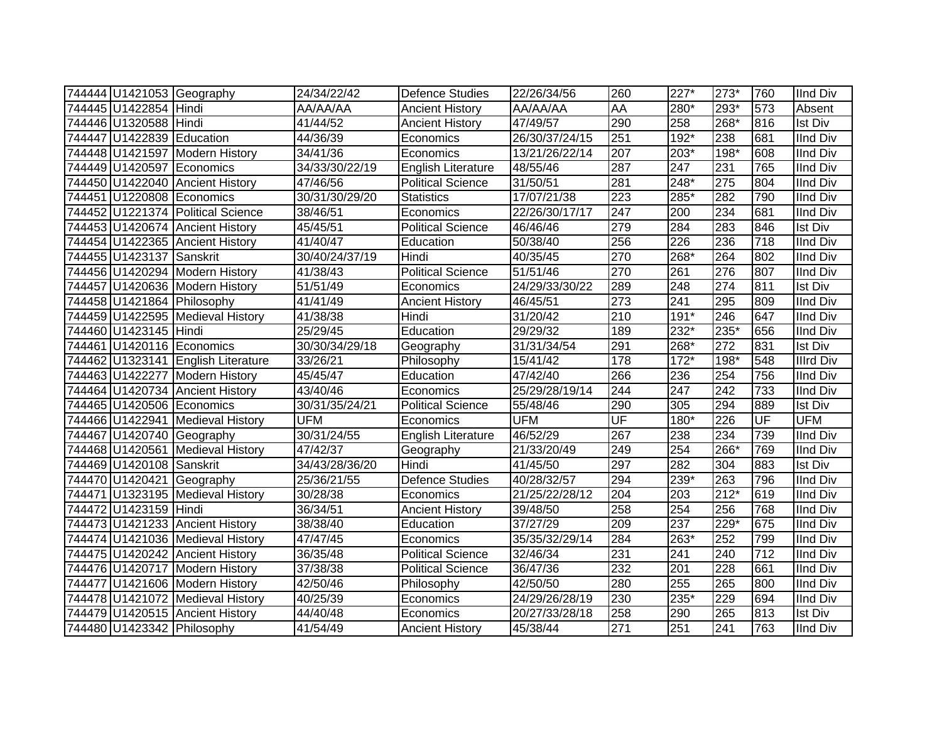| 744444 U1421053 Geography  |                                    | 24/34/22/42    | <b>Defence Studies</b>    | 22/26/34/56    | 260                      | $227*$ | $273*$           | 760 | <b>IInd Div</b>  |
|----------------------------|------------------------------------|----------------|---------------------------|----------------|--------------------------|--------|------------------|-----|------------------|
| 744445 U1422854 Hindi      |                                    | AA/AA/AA       | <b>Ancient History</b>    | AA/AA/AA       | AA                       | 280*   | 293*             | 573 | Absent           |
| 744446 U1320588 Hindi      |                                    | 41/44/52       | <b>Ancient History</b>    | 47/49/57       | 290                      | 258    | 268*             | 816 | <b>Ist Div</b>   |
| 744447 U1422839 Education  |                                    | 44/36/39       | Economics                 | 26/30/37/24/15 | 251                      | $192*$ | 238              | 681 | <b>IInd Div</b>  |
|                            | 744448 U1421597 Modern History     | 34/41/36       | Economics                 | 13/21/26/22/14 | 207                      | $203*$ | $198*$           | 608 | <b>IInd Div</b>  |
| 744449 U1420597 Economics  |                                    | 34/33/30/22/19 | English Literature        | 48/55/46       | 287                      | 247    | 231              | 765 | <b>IInd Div</b>  |
|                            | 744450 U1422040 Ancient History    | 47/46/56       | <b>Political Science</b>  | 31/50/51       | 281                      | 248*   | 275              | 804 | <b>IInd Div</b>  |
| 744451 U1220808 Economics  |                                    | 30/31/30/29/20 | <b>Statistics</b>         | 17/07/21/38    | $\overline{223}$         | 285*   | 282              | 790 | <b>IInd Div</b>  |
|                            | 744452 U1221374 Political Science  | 38/46/51       | Economics                 | 22/26/30/17/17 | 247                      | 200    | 234              | 681 | <b>IInd Div</b>  |
|                            | 744453 U1420674 Ancient History    | 45/45/51       | <b>Political Science</b>  | 46/46/46       | 279                      | 284    | 283              | 846 | <b>Ist Div</b>   |
|                            | 744454 U1422365 Ancient History    | 41/40/47       | Education                 | 50/38/40       | 256                      | 226    | 236              | 718 | <b>IInd Div</b>  |
| 744455 U1423137 Sanskrit   |                                    | 30/40/24/37/19 | Hindi                     | 40/35/45       | 270                      | 268*   | 264              | 802 | <b>IInd Div</b>  |
|                            | 744456 U1420294 Modern History     | 41/38/43       | <b>Political Science</b>  | 51/51/46       | 270                      | 261    | 276              | 807 | <b>IInd Div</b>  |
|                            | 744457 U1420636 Modern History     | 51/51/49       | Economics                 | 24/29/33/30/22 | 289                      | 248    | 274              | 811 | Ist Div          |
| 744458 U1421864 Philosophy |                                    | 41/41/49       | <b>Ancient History</b>    | 46/45/51       | $\overline{273}$         | 241    | 295              | 809 | <b>IInd Div</b>  |
|                            | 744459 U1422595 Medieval History   | 41/38/38       | Hindi                     | 31/20/42       | 210                      | $191*$ | 246              | 647 | <b>IInd Div</b>  |
| 744460 U1423145 Hindi      |                                    | 25/29/45       | Education                 | 29/29/32       | 189                      | 232*   | $235*$           | 656 | <b>IInd Div</b>  |
| 744461 U1420116 Economics  |                                    | 30/30/34/29/18 | Geography                 | 31/31/34/54    | 291                      | 268*   | $\overline{272}$ | 831 | <b>Ist Div</b>   |
|                            | 744462 U1323141 English Literature | 33/26/21       | Philosophy                | 15/41/42       | 178                      | $172*$ | 198*             | 548 | <b>Illrd Div</b> |
|                            | 744463 U1422277 Modern History     | 45/45/47       | Education                 | 47/42/40       | 266                      | 236    | 254              | 756 | <b>IInd Div</b>  |
|                            | 744464 U1420734 Ancient History    | 43/40/46       | Economics                 | 25/29/28/19/14 | 244                      | 247    | 242              | 733 | <b>IInd Div</b>  |
| 744465 U1420506 Economics  |                                    | 30/31/35/24/21 | <b>Political Science</b>  | 55/48/46       | 290                      | 305    | 294              | 889 | <b>Ist Div</b>   |
|                            | 744466 U1422941 Medieval History   | <b>UFM</b>     | Economics                 | <b>UFM</b>     | $\overline{\mathsf{UF}}$ | 180*   | $\overline{226}$ | UF  | <b>UFM</b>       |
| 744467 U1420740 Geography  |                                    | 30/31/24/55    | <b>English Literature</b> | 46/52/29       | 267                      | 238    | 234              | 739 | <b>IInd Div</b>  |
|                            | 744468 U1420561 Medieval History   | 47/42/37       | Geography                 | 21/33/20/49    | 249                      | 254    | 266*             | 769 | <b>IInd Div</b>  |
| 744469 U1420108 Sanskrit   |                                    | 34/43/28/36/20 | Hindi                     | 41/45/50       | 297                      | 282    | 304              | 883 | <b>Ist Div</b>   |
| 744470 U1420421 Geography  |                                    | 25/36/21/55    | <b>Defence Studies</b>    | 40/28/32/57    | 294                      | 239*   | 263              | 796 | <b>IInd Div</b>  |
|                            | 744471 U1323195 Medieval History   | 30/28/38       | Economics                 | 21/25/22/28/12 | 204                      | 203    | $212*$           | 619 | <b>IInd Div</b>  |
| 744472 U1423159 Hindi      |                                    | 36/34/51       | <b>Ancient History</b>    | 39/48/50       | 258                      | 254    | 256              | 768 | <b>IInd Div</b>  |
|                            | 744473 U1421233 Ancient History    | 38/38/40       | Education                 | 37/27/29       | 209                      | 237    | $229*$           | 675 | <b>IInd Div</b>  |
|                            | 744474 U1421036 Medieval History   | 47/47/45       | Economics                 | 35/35/32/29/14 | 284                      | 263*   | 252              | 799 | <b>IInd Div</b>  |
|                            | 744475 U1420242 Ancient History    | 36/35/48       | <b>Political Science</b>  | 32/46/34       | 231                      | 241    | 240              | 712 | <b>IInd Div</b>  |
|                            | 744476 U1420717 Modern History     | 37/38/38       | Political Science         | 36/47/36       | 232                      | 201    | 228              | 661 | <b>IInd Div</b>  |
|                            | 744477 U1421606 Modern History     | 42/50/46       | Philosophy                | 42/50/50       | 280                      | 255    | 265              | 800 | <b>IInd Div</b>  |
|                            | 744478 U1421072 Medieval History   | 40/25/39       | Economics                 | 24/29/26/28/19 | 230                      | 235*   | 229              | 694 | <b>IInd Div</b>  |
|                            | 744479 U1420515 Ancient History    | 44/40/48       | Economics                 | 20/27/33/28/18 | 258                      | 290    | 265              | 813 | Ist Div          |
| 744480 U1423342 Philosophy |                                    | 41/54/49       | <b>Ancient History</b>    | 45/38/44       | 271                      | 251    | 241              | 763 | <b>IInd Div</b>  |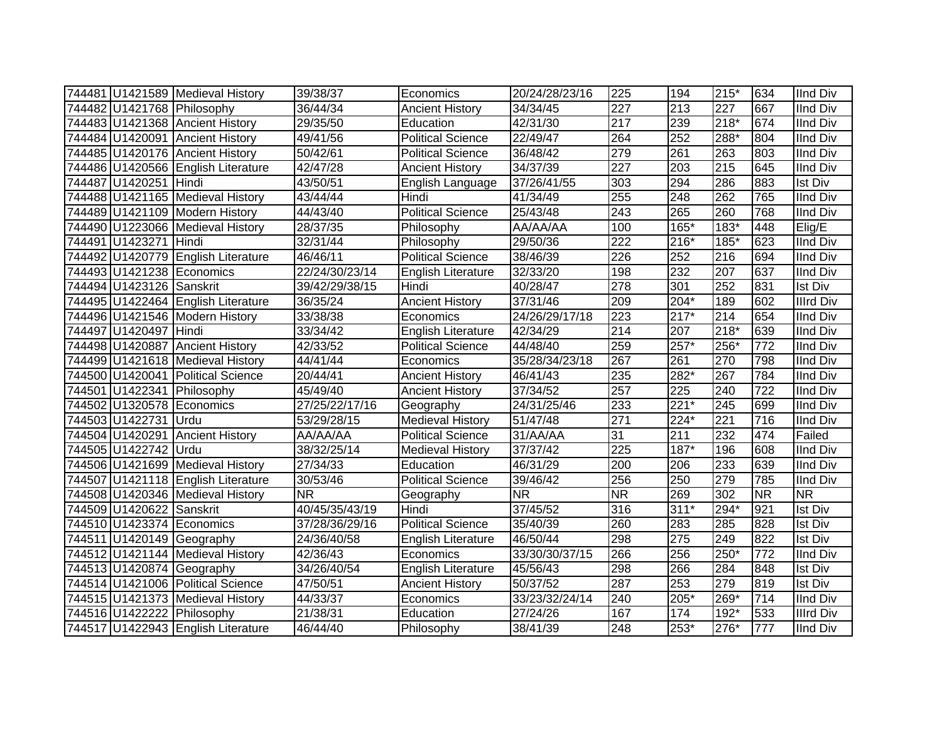|                          | 744481 U1421589 Medieval History   | 39/38/37       | Economics                 | 20/24/28/23/16                      | 225                    | 194    | $215*$           | 634       | <b>IInd Div</b>  |
|--------------------------|------------------------------------|----------------|---------------------------|-------------------------------------|------------------------|--------|------------------|-----------|------------------|
|                          | 744482 U1421768 Philosophy         | 36/44/34       | <b>Ancient History</b>    | 34/34/45                            | $\overline{227}$       | 213    | 227              | 667       | <b>IInd Div</b>  |
|                          | 744483 U1421368 Ancient History    | 29/35/50       | Education                 | 42/31/30                            | $\overline{217}$       | 239    | $218*$           | 674       | <b>IInd Div</b>  |
|                          | 744484 U1420091 Ancient History    | 49/41/56       | <b>Political Science</b>  | 22/49/47                            | 264                    | 252    | $288*$           | 804       | <b>IInd Div</b>  |
|                          | 744485 U1420176 Ancient History    | 50/42/61       | <b>Political Science</b>  | 36/48/42                            | 279                    | 261    | 263              | 803       | <b>IInd Div</b>  |
|                          | 744486 U1420566 English Literature | 42/47/28       | <b>Ancient History</b>    | 34/37/39                            | 227                    | 203    | $\overline{215}$ | 645       | <b>IInd Div</b>  |
| 744487 U1420251 Hindi    |                                    | 43/50/51       | English Language          | 37/26/41/55                         | 303                    | 294    | 286              | 883       | <b>Ist Div</b>   |
|                          | 744488 U1421165 Medieval History   | 43/44/44       | Hindi                     | $\sqrt{41}/34/49$                   | 255                    | 248    | 262              | 765       | <b>IInd Div</b>  |
|                          | 744489 U1421109 Modern History     | 44/43/40       | <b>Political Science</b>  | 25/43/48                            | 243                    | 265    | 260              | 768       | <b>IInd Div</b>  |
|                          | 744490 U1223066 Medieval History   | 28/37/35       | Philosophy                | AA/AA/AA                            | 100                    | 165*   | 183*             | 448       | Elig/E           |
| 744491 U1423271 Hindi    |                                    | 32/31/44       | Philosophy                | 29/50/36                            | 222                    | $216*$ | 185*             | 623       | <b>IInd Div</b>  |
|                          | 744492 U1420779 English Literature | 46/46/11       | <b>Political Science</b>  | 38/46/39                            | 226                    | 252    | 216              | 694       | <b>IInd Div</b>  |
|                          | 744493 U1421238 Economics          | 22/24/30/23/14 | English Literature        | 32/33/20                            | 198                    | 232    | 207              | 637       | <b>IInd Div</b>  |
| 744494 U1423126 Sanskrit |                                    | 39/42/29/38/15 | Hindi                     | 40/28/47                            | 278                    | 301    | 252              | 831       | <b>Ist Div</b>   |
|                          | 744495 U1422464 English Literature | 36/35/24       | <b>Ancient History</b>    | 37/31/46                            | 209                    | $204*$ | 189              | 602       | <b>Illrd Div</b> |
|                          | 744496 U1421546 Modern History     | 33/38/38       | Economics                 | 24/26/29/17/18                      | 223                    | $217*$ | $\overline{214}$ | 654       | <b>IInd Div</b>  |
| 744497 U1420497 Hindi    |                                    | 33/34/42       | <b>English Literature</b> | 42/34/29                            | $\overline{214}$       | 207    | $218*$           | 639       | <b>IInd Div</b>  |
|                          | 744498 U1420887 Ancient History    | 42/33/52       | <b>Political Science</b>  | 44/48/40                            | 259                    | 257*   | $256*$           | 772       | <b>IInd Div</b>  |
|                          | 744499 U1421618 Medieval History   | 44/41/44       | Economics                 | 35/28/34/23/18                      | 267                    | 261    | 270              | 798       | <b>IInd Div</b>  |
|                          | 744500 U1420041 Political Science  | 20/44/41       | <b>Ancient History</b>    | 46/41/43                            | 235                    | 282*   | 267              | 784       | <b>IInd Div</b>  |
|                          | 744501 U1422341 Philosophy         | 45/49/40       | <b>Ancient History</b>    | 37/34/52                            | 257                    | 225    | 240              | 722       | <b>IInd Div</b>  |
|                          | 744502 U1320578 Economics          | 27/25/22/17/16 | Geography                 | 24/31/25/46                         | 233                    | $221*$ | 245              | 699       | <b>IInd Div</b>  |
| 744503 U1422731 Urdu     |                                    | 53/29/28/15    | <b>Medieval History</b>   | 51/47/48                            | 271                    | 224*   | 221              | 716       | <b>IInd Div</b>  |
|                          | 744504 U1420291 Ancient History    | AA/AA/AA       | <b>Political Science</b>  | 31/AA/AA                            | 31                     | 211    | 232              | 474       | Failed           |
| 744505 U1422742 Urdu     |                                    | 38/32/25/14    | <b>Medieval History</b>   | 37/37/42                            | 225                    | 187*   | 196              | 608       | <b>IInd Div</b>  |
|                          | 744506 U1421699 Medieval History   | 27/34/33       | Education                 | 46/31/29                            | 200                    | 206    | 233              | 639       | <b>IInd Div</b>  |
|                          | 744507 U1421118 English Literature | 30/53/46       | <b>Political Science</b>  | 39/46/42                            | 256                    | 250    | 279              | 785       | <b>IInd Div</b>  |
|                          | 744508 U1420346 Medieval History   | <b>NR</b>      | Geography                 | $\overline{\overline{\mathsf{NR}}}$ | $\overline{\text{NR}}$ | 269    | 302              | <b>NR</b> | <b>NR</b>        |
| 744509 U1420622 Sanskrit |                                    | 40/45/35/43/19 | Hindi                     | 37/45/52                            | 316                    | $311*$ | $294*$           | 921       | <b>Ist Div</b>   |
|                          | 744510 U1423374 Economics          | 37/28/36/29/16 | <b>Political Science</b>  | 35/40/39                            | 260                    | 283    | 285              | 828       | <b>Ist Div</b>   |
|                          | 744511 U1420149 Geography          | 24/36/40/58    | <b>English Literature</b> | 46/50/44                            | 298                    | 275    | 249              | 822       | <b>Ist Div</b>   |
|                          | 744512 U1421144 Medieval History   | 42/36/43       | Economics                 | 33/30/30/37/15                      | 266                    | 256    | 250*             | 772       | <b>IInd Div</b>  |
|                          | 744513 U1420874 Geography          | 34/26/40/54    | English Literature        | 45/56/43                            | 298                    | 266    | 284              | 848       | <b>Ist Div</b>   |
|                          | 744514 U1421006 Political Science  | 47/50/51       | <b>Ancient History</b>    | 50/37/52                            | 287                    | 253    | 279              | 819       | <b>Ist Div</b>   |
|                          | 744515 U1421373 Medieval History   | 44/33/37       | Economics                 | 33/23/32/24/14                      | 240                    | 205*   | 269*             | 714       | <b>IInd Div</b>  |
|                          | 744516 U1422222 Philosophy         | 21/38/31       | Education                 | 27/24/26                            | 167                    | 174    | 192*             | 533       | <b>Illrd Div</b> |
|                          | 744517 U1422943 English Literature | 46/44/40       | Philosophy                | 38/41/39                            | 248                    | 253*   | 276*             | 777       | <b>IInd Div</b>  |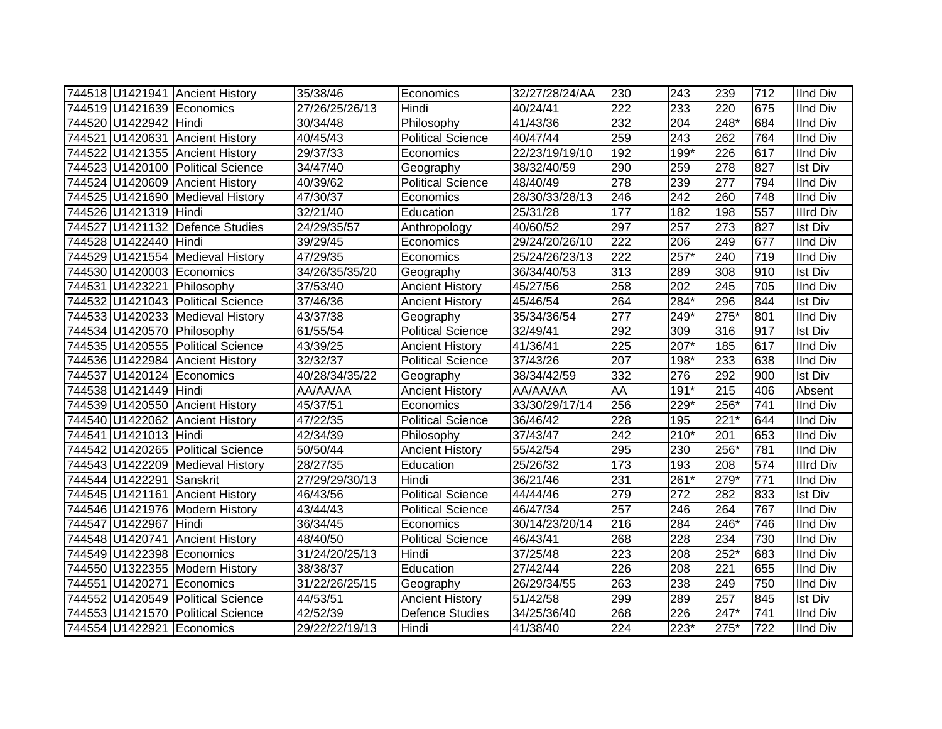|                          | 744518 U1421941 Ancient History   | 35/38/46       | Economics                | 32/27/28/24/AA | 230              | 243              | 239              | 712 | <b>IInd Div</b>  |
|--------------------------|-----------------------------------|----------------|--------------------------|----------------|------------------|------------------|------------------|-----|------------------|
|                          | 744519 U1421639 Economics         | 27/26/25/26/13 | <b>Hindi</b>             | 40/24/41       | 222              | 233              | 220              | 675 | <b>IInd Div</b>  |
| 744520 U1422942 Hindi    |                                   | 30/34/48       | Philosophy               | 41/43/36       | 232              | 204              | 248*             | 684 | <b>IInd Div</b>  |
|                          | 744521 U1420631 Ancient History   | 40/45/43       | <b>Political Science</b> | 40/47/44       | 259              | 243              | 262              | 764 | <b>IInd Div</b>  |
|                          | 744522 U1421355 Ancient History   | 29/37/33       | Economics                | 22/23/19/19/10 | 192              | $199*$           | 226              | 617 | <b>IInd Div</b>  |
|                          | 744523 U1420100 Political Science | 34/47/40       | Geography                | 38/32/40/59    | 290              | 259              | $\overline{278}$ | 827 | <b>Ist Div</b>   |
|                          | 744524 U1420609 Ancient History   | 40/39/62       | <b>Political Science</b> | 48/40/49       | 278              | 239              | 277              | 794 | <b>IInd Div</b>  |
|                          | 744525 U1421690 Medieval History  | 47/30/37       | Economics                | 28/30/33/28/13 | 246              | $\overline{242}$ | 260              | 748 | <b>IInd Div</b>  |
| 744526 U1421319 Hindi    |                                   | 32/21/40       | Education                | 25/31/28       | 177              | 182              | 198              | 557 | <b>Illrd Div</b> |
|                          | 744527 U1421132 Defence Studies   | 24/29/35/57    | Anthropology             | 40/60/52       | 297              | 257              | $\overline{273}$ | 827 | <b>Ist Div</b>   |
| 744528 U1422440 Hindi    |                                   | 39/29/45       | Economics                | 29/24/20/26/10 | 222              | 206              | 249              | 677 | <b>IInd Div</b>  |
|                          | 744529 U1421554 Medieval History  | 47/29/35       | Economics                | 25/24/26/23/13 | $\overline{222}$ | 257*             | 240              | 719 | <b>IInd Div</b>  |
|                          | 744530 U1420003 Economics         | 34/26/35/35/20 | Geography                | 36/34/40/53    | $\overline{313}$ | 289              | 308              | 910 | Ist Div          |
|                          | 744531 U1423221 Philosophy        | 37/53/40       | <b>Ancient History</b>   | 45/27/56       | 258              | 202              | 245              | 705 | <b>IInd Div</b>  |
|                          | 744532 U1421043 Political Science | 37/46/36       | <b>Ancient History</b>   | 45/46/54       | 264              | 284*             | 296              | 844 | <b>Ist Div</b>   |
|                          | 744533 U1420233 Medieval History  | 43/37/38       | Geography                | 35/34/36/54    | 277              | 249*             | 275*             | 801 | <b>IInd Div</b>  |
|                          | 744534 U1420570 Philosophy        | 61/55/54       | <b>Political Science</b> | 32/49/41       | 292              | 309              | 316              | 917 | <b>Ist Div</b>   |
|                          | 744535 U1420555 Political Science | 43/39/25       | <b>Ancient History</b>   | 41/36/41       | 225              | 207*             | 185              | 617 | <b>IInd Div</b>  |
|                          | 744536 U1422984 Ancient History   | 32/32/37       | <b>Political Science</b> | 37/43/26       | 207              | 198*             | 233              | 638 | <b>IInd Div</b>  |
|                          | 744537 U1420124 Economics         | 40/28/34/35/22 | Geography                | 38/34/42/59    | 332              | 276              | 292              | 900 | <b>Ist Div</b>   |
| 744538 U1421449 Hindi    |                                   | AA/AA/AA       | <b>Ancient History</b>   | AA/AA/AA       | AA               | $191*$           | 215              | 406 | Absent           |
|                          | 744539 U1420550 Ancient History   | 45/37/51       | Economics                | 33/30/29/17/14 | 256              | 229*             | 256*             | 741 | <b>IInd Div</b>  |
|                          | 744540 U1422062 Ancient History   | 47/22/35       | <b>Political Science</b> | 36/46/42       | $\overline{228}$ | 195              | $221*$           | 644 | <b>IInd Div</b>  |
| 744541 U1421013 Hindi    |                                   | 42/34/39       | Philosophy               | 37/43/47       | $\overline{242}$ | $210*$           | 201              | 653 | <b>IInd Div</b>  |
|                          | 744542 U1420265 Political Science | 50/50/44       | <b>Ancient History</b>   | 55/42/54       | 295              | 230              | 256*             | 781 | <b>IInd Div</b>  |
|                          | 744543 U1422209 Medieval History  | 28/27/35       | Education                | 25/26/32       | 173              | 193              | 208              | 574 | <b>Illrd Div</b> |
| 744544 U1422291 Sanskrit |                                   | 27/29/29/30/13 | Hindi                    | 36/21/46       | 231              | 261*             | $279*$           | 771 | <b>IInd Div</b>  |
|                          | 744545 U1421161 Ancient History   | 46/43/56       | Political Science        | 44/44/46       | 279              | 272              | 282              | 833 | <b>Ist Div</b>   |
|                          | 744546 U1421976 Modern History    | 43/44/43       | <b>Political Science</b> | 46/47/34       | 257              | 246              | 264              | 767 | <b>IInd Div</b>  |
| 744547 U1422967 Hindi    |                                   | 36/34/45       | Economics                | 30/14/23/20/14 | 216              | 284              | 246*             | 746 | <b>IInd Div</b>  |
|                          | 744548 U1420741 Ancient History   | 48/40/50       | Political Science        | 46/43/41       | 268              | 228              | 234              | 730 | <b>IInd Div</b>  |
|                          | 744549 U1422398 Economics         | 31/24/20/25/13 | Hindi                    | 37/25/48       | 223              | 208              | $252*$           | 683 | <b>IInd Div</b>  |
|                          | 744550 U1322355 Modern History    | 38/38/37       | Education                | 27/42/44       | 226              | 208              | 221              | 655 | <b>IInd Div</b>  |
|                          | 744551 U1420271 Economics         | 31/22/26/25/15 | Geography                | 26/29/34/55    | 263              | 238              | 249              | 750 | <b>IInd Div</b>  |
|                          | 744552 U1420549 Political Science | 44/53/51       | <b>Ancient History</b>   | 51/42/58       | 299              | 289              | 257              | 845 | <b>Ist Div</b>   |
| 744553 U1421570          | <b>Political Science</b>          | 42/52/39       | <b>Defence Studies</b>   | 34/25/36/40    | 268              | 226              | 247*             | 741 | <b>IInd Div</b>  |
|                          | 744554 U1422921 Economics         | 29/22/22/19/13 | Hindi                    | 41/38/40       | 224              | $223*$           | 275*             | 722 | <b>IInd Div</b>  |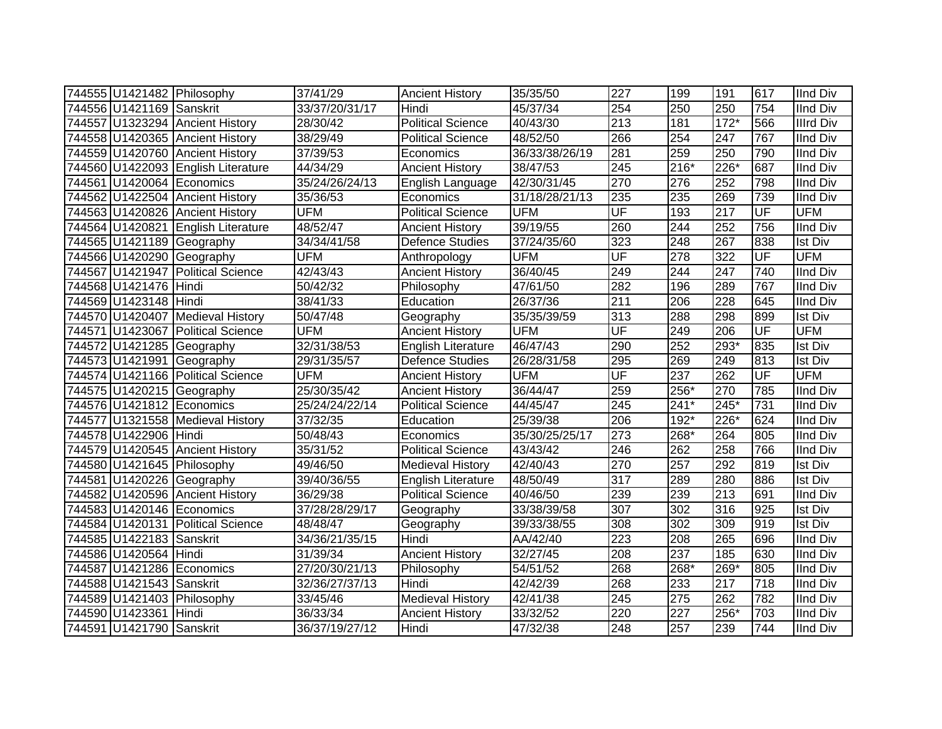|                          | 744555 U1421482 Philosophy         | 37/41/29       | <b>Ancient History</b>   | 35/35/50       | 227                      | 199    | 191              | 617       | <b>IInd Div</b>  |
|--------------------------|------------------------------------|----------------|--------------------------|----------------|--------------------------|--------|------------------|-----------|------------------|
| 744556 U1421169 Sanskrit |                                    | 33/37/20/31/17 | Hindi                    | 45/37/34       | 254                      | 250    | 250              | 754       | <b>IInd Div</b>  |
|                          | 744557 U1323294 Ancient History    | 28/30/42       | <b>Political Science</b> | 40/43/30       | $\overline{213}$         | 181    | $172*$           | 566       | <b>Illrd Div</b> |
|                          | 744558 U1420365 Ancient History    | 38/29/49       | <b>Political Science</b> | 48/52/50       | 266                      | 254    | $\overline{247}$ | 767       | <b>IInd Div</b>  |
|                          | 744559 U1420760 Ancient History    | 37/39/53       | Economics                | 36/33/38/26/19 | 281                      | 259    | 250              | 790       | <b>IInd Div</b>  |
|                          | 744560 U1422093 English Literature | 44/34/29       | <b>Ancient History</b>   | 38/47/53       | 245                      | 216*   | $226*$           | 687       | <b>IInd Div</b>  |
|                          | 744561 U1420064 Economics          | 35/24/26/24/13 | English Language         | 42/30/31/45    | 270                      | 276    | 252              | 798       | <b>IInd Div</b>  |
|                          | 744562 U1422504 Ancient History    | 35/36/53       | Economics                | 31/18/28/21/13 | 235                      | 235    | 269              | 739       | <b>IInd Div</b>  |
|                          | 744563 U1420826 Ancient History    | <b>UFM</b>     | <b>Political Science</b> | <b>UFM</b>     | UF                       | 193    | 217              | UF        | <b>UFM</b>       |
|                          | 744564 U1420821 English Literature | 48/52/47       | <b>Ancient History</b>   | 39/19/55       | 260                      | 244    | 252              | 756       | <b>IInd Div</b>  |
|                          | 744565 U1421189 Geography          | 34/34/41/58    | <b>Defence Studies</b>   | 37/24/35/60    | 323                      | 248    | 267              | 838       | <b>Ist Div</b>   |
|                          | 744566 U1420290 Geography          | <b>UFM</b>     | Anthropology             | <b>UFM</b>     | UF                       | 278    | 322              | UF        | <b>UFM</b>       |
|                          | 744567 U1421947 Political Science  | 42/43/43       | <b>Ancient History</b>   | 36/40/45       | 249                      | 244    | 247              | 740       | <b>IInd Div</b>  |
| 744568 U1421476 Hindi    |                                    | 50/42/32       | Philosophy               | 47/61/50       | 282                      | 196    | 289              | 767       | <b>IInd Div</b>  |
| 744569 U1423148 Hindi    |                                    | 38/41/33       | Education                | 26/37/36       | 211                      | 206    | 228              | 645       | <b>IInd Div</b>  |
|                          | 744570 U1420407 Medieval History   | 50/47/48       | Geography                | 35/35/39/59    | 313                      | 288    | 298              | 899       | <b>Ist Div</b>   |
|                          | 744571 U1423067 Political Science  | <b>UFM</b>     | <b>Ancient History</b>   | <b>UFM</b>     | $\overline{\mathsf{UF}}$ | 249    | 206              | <b>UF</b> | <b>UFM</b>       |
|                          | 744572 U1421285 Geography          | 32/31/38/53    | English Literature       | 46/47/43       | 290                      | 252    | 293*             | 835       | <b>Ist Div</b>   |
|                          | 744573 U1421991 Geography          | 29/31/35/57    | <b>Defence Studies</b>   | 26/28/31/58    | 295                      | 269    | 249              | 813       | <b>Ist Div</b>   |
|                          | 744574 U1421166 Political Science  | <b>UFM</b>     | <b>Ancient History</b>   | <b>UFM</b>     | $\overline{\mathsf{UF}}$ | 237    | 262              | UF        | <b>UFM</b>       |
|                          | 744575 U1420215 Geography          | 25/30/35/42    | <b>Ancient History</b>   | 36/44/47       | 259                      | 256*   | 270              | 785       | <b>IInd Div</b>  |
|                          | 744576 U1421812 Economics          | 25/24/24/22/14 | <b>Political Science</b> | 44/45/47       | $\overline{245}$         | $241*$ | $245*$           | 731       | <b>IInd Div</b>  |
|                          | 744577 U1321558 Medieval History   | 37/32/35       | Education                | 25/39/38       | 206                      | 192*   | 226*             | 624       | <b>IInd Div</b>  |
| 744578 U1422906 Hindi    |                                    | 50/48/43       | Economics                | 35/30/25/25/17 | 273                      | 268*   | 264              | 805       | <b>IInd Div</b>  |
|                          | 744579 U1420545 Ancient History    | 35/31/52       | <b>Political Science</b> | 43/43/42       | 246                      | 262    | 258              | 766       | <b>IInd Div</b>  |
|                          | 744580 U1421645 Philosophy         | 49/46/50       | <b>Medieval History</b>  | 42/40/43       | 270                      | 257    | 292              | 819       | <b>Ist Div</b>   |
|                          | 744581 U1420226 Geography          | 39/40/36/55    | English Literature       | 48/50/49       | 317                      | 289    | 280              | 886       | <b>Ist Div</b>   |
|                          | 744582 U1420596 Ancient History    | 36/29/38       | <b>Political Science</b> | 40/46/50       | 239                      | 239    | 213              | 691       | <b>IInd Div</b>  |
|                          | 744583 U1420146 Economics          | 37/28/28/29/17 | Geography                | 33/38/39/58    | 307                      | 302    | 316              | 925       | <b>Ist Div</b>   |
|                          | 744584 U1420131 Political Science  | 48/48/47       | Geography                | 39/33/38/55    | 308                      | 302    | 309              | 919       | <b>Ist Div</b>   |
| 744585 U1422183 Sanskrit |                                    | 34/36/21/35/15 | Hindi                    | AA/42/40       | $\overline{223}$         | 208    | 265              | 696       | <b>IInd Div</b>  |
| 744586 U1420564 Hindi    |                                    | 31/39/34       | <b>Ancient History</b>   | 32/27/45       | 208                      | 237    | 185              | 630       | <b>IInd Div</b>  |
|                          | 744587 U1421286 Economics          | 27/20/30/21/13 | Philosophy               | 54/51/52       | 268                      | 268*   | 269*             | 805       | <b>IInd Div</b>  |
| 744588 U1421543 Sanskrit |                                    | 32/36/27/37/13 | Hindi                    | 42/42/39       | 268                      | 233    | 217              | 718       | <b>IInd Div</b>  |
|                          | 744589 U1421403 Philosophy         | 33/45/46       | <b>Medieval History</b>  | 42/41/38       | 245                      | 275    | 262              | 782       | <b>IInd Div</b>  |
| 744590 U1423361 Hindi    |                                    | 36/33/34       | <b>Ancient History</b>   | 33/32/52       | 220                      | 227    | 256*             | 703       | <b>IInd Div</b>  |
| 744591 U1421790 Sanskrit |                                    | 36/37/19/27/12 | Hindi                    | 47/32/38       | 248                      | 257    | 239              | 744       | <b>IInd Div</b>  |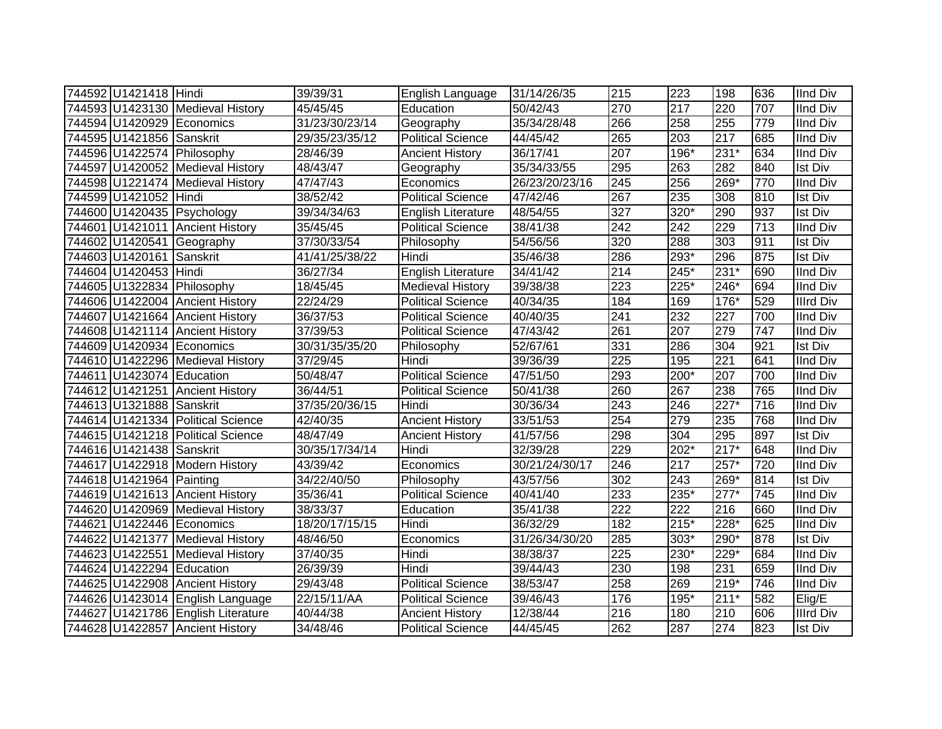| 744592 U1421418 Hindi     |                                    | 39/39/31       | English Language         | 31/14/26/35    | 215              | 223    | 198    | 636 | <b>IInd Div</b>  |
|---------------------------|------------------------------------|----------------|--------------------------|----------------|------------------|--------|--------|-----|------------------|
|                           | 744593 U1423130 Medieval History   | 45/45/45       | Education                | 50/42/43       | 270              | 217    | 220    | 707 | <b>IInd Div</b>  |
|                           | 744594 U1420929 Economics          | 31/23/30/23/14 | Geography                | 35/34/28/48    | 266              | 258    | 255    | 779 | <b>IInd Div</b>  |
| 744595 U1421856 Sanskrit  |                                    | 29/35/23/35/12 | <b>Political Science</b> | 44/45/42       | 265              | 203    | 217    | 685 | <b>IInd Div</b>  |
|                           | 744596 U1422574 Philosophy         | 28/46/39       | <b>Ancient History</b>   | 36/17/41       | 207              | $196*$ | $231*$ | 634 | <b>IInd Div</b>  |
|                           | 744597 U1420052 Medieval History   | 48/43/47       | Geography                | 35/34/33/55    | 295              | 263    | 282    | 840 | <b>Ist Div</b>   |
|                           | 744598 U1221474 Medieval History   | 47/47/43       | Economics                | 26/23/20/23/16 | 245              | 256    | 269*   | 770 | <b>IInd Div</b>  |
| 744599 U1421052 Hindi     |                                    | 38/52/42       | <b>Political Science</b> | 47/42/46       | 267              | 235    | 308    | 810 | <b>Ist Div</b>   |
|                           | 744600 U1420435 Psychology         | 39/34/34/63    | English Literature       | 48/54/55       | 327              | 320*   | 290    | 937 | <b>Ist Div</b>   |
|                           | 744601 U1421011 Ancient History    | 35/45/45       | <b>Political Science</b> | 38/41/38       | 242              | 242    | 229    | 713 | <b>IInd Div</b>  |
|                           | 744602 U1420541 Geography          | 37/30/33/54    | Philosophy               | 54/56/56       | 320              | 288    | 303    | 911 | Ist Div          |
| 744603 U1420161 Sanskrit  |                                    | 41/41/25/38/22 | Hindi                    | 35/46/38       | 286              | 293*   | 296    | 875 | Ist Div          |
| 744604 U1420453 Hindi     |                                    | 36/27/34       | English Literature       | 34/41/42       | 214              | 245*   | $231*$ | 690 | <b>IInd Div</b>  |
|                           | 744605 U1322834 Philosophy         | 18/45/45       | <b>Medieval History</b>  | 39/38/38       | 223              | 225*   | 246*   | 694 | <b>IInd Div</b>  |
|                           | 744606 U1422004 Ancient History    | 22/24/29       | <b>Political Science</b> | 40/34/35       | 184              | 169    | 176*   | 529 | <b>Illrd Div</b> |
|                           | 744607 U1421664 Ancient History    | 36/37/53       | <b>Political Science</b> | 40/40/35       | 241              | 232    | 227    | 700 | <b>IInd Div</b>  |
|                           | 744608 U1421114 Ancient History    | 37/39/53       | <b>Political Science</b> | 47/43/42       | 261              | 207    | 279    | 747 | <b>IInd Div</b>  |
|                           | 744609 U1420934 Economics          | 30/31/35/35/20 | Philosophy               | 52/67/61       | 331              | 286    | 304    | 921 | <b>Ist Div</b>   |
|                           | 744610 U1422296 Medieval History   | 37/29/45       | Hindi                    | 39/36/39       | 225              | 195    | 221    | 641 | <b>IInd Div</b>  |
| 744611 U1423074 Education |                                    | 50/48/47       | <b>Political Science</b> | 47/51/50       | 293              | 200*   | 207    | 700 | <b>IInd Div</b>  |
|                           | 744612 U1421251 Ancient History    | 36/44/51       | <b>Political Science</b> | 50/41/38       | 260              | 267    | 238    | 765 | <b>IInd Div</b>  |
| 744613 U1321888 Sanskrit  |                                    | 37/35/20/36/15 | Hindi                    | 30/36/34       | $\overline{243}$ | 246    | $227*$ | 716 | <b>IInd Div</b>  |
|                           | 744614 U1421334 Political Science  | 42/40/35       | <b>Ancient History</b>   | 33/51/53       | 254              | 279    | 235    | 768 | <b>IInd Div</b>  |
|                           | 744615 U1421218 Political Science  | 48/47/49       | <b>Ancient History</b>   | 41/57/56       | 298              | 304    | 295    | 897 | <b>Ist Div</b>   |
| 744616 U1421438 Sanskrit  |                                    | 30/35/17/34/14 | Hindi                    | 32/39/28       | 229              | 202*   | $217*$ | 648 | <b>IInd Div</b>  |
|                           | 744617 U1422918 Modern History     | 43/39/42       | Economics                | 30/21/24/30/17 | 246              | 217    | $257*$ | 720 | <b>IInd Div</b>  |
| 744618 U1421964 Painting  |                                    | 34/22/40/50    | Philosophy               | 43/57/56       | 302              | 243    | 269*   | 814 | <b>Ist Div</b>   |
|                           | 744619 U1421613 Ancient History    | 35/36/41       | <b>Political Science</b> | 40/41/40       | 233              | 235*   | $277*$ | 745 | <b>IInd Div</b>  |
|                           | 744620 U1420969 Medieval History   | 38/33/37       | Education                | 35/41/38       | 222              | 222    | 216    | 660 | <b>IInd Div</b>  |
|                           | 744621 U1422446 Economics          | 18/20/17/15/15 | Hindi                    | 36/32/29       | 182              | $215*$ | 228*   | 625 | <b>IInd Div</b>  |
|                           | 744622 U1421377 Medieval History   | 48/46/50       | Economics                | 31/26/34/30/20 | 285              | 303*   | 290*   | 878 | Ist Div          |
|                           | 744623 U1422551 Medieval History   | 37/40/35       | Hindi                    | 38/38/37       | 225              | 230*   | 229*   | 684 | <b>IInd Div</b>  |
| 744624 U1422294 Education |                                    | 26/39/39       | Hindi                    | 39/44/43       | 230              | 198    | 231    | 659 | <b>IInd Div</b>  |
|                           | 744625 U1422908 Ancient History    | 29/43/48       | Political Science        | 38/53/47       | 258              | 269    | $219*$ | 746 | IInd Div         |
|                           | 744626 U1423014 English Language   | 22/15/11/AA    | <b>Political Science</b> | 39/46/43       | 176              | 195*   | $211*$ | 582 | Elig/E           |
|                           | 744627 U1421786 English Literature | 40/44/38       | <b>Ancient History</b>   | 12/38/44       | 216              | 180    | 210    | 606 | <b>Illrd Div</b> |
|                           | 744628 U1422857 Ancient History    | 34/48/46       | <b>Political Science</b> | 44/45/45       | 262              | 287    | 274    | 823 | Ist Div          |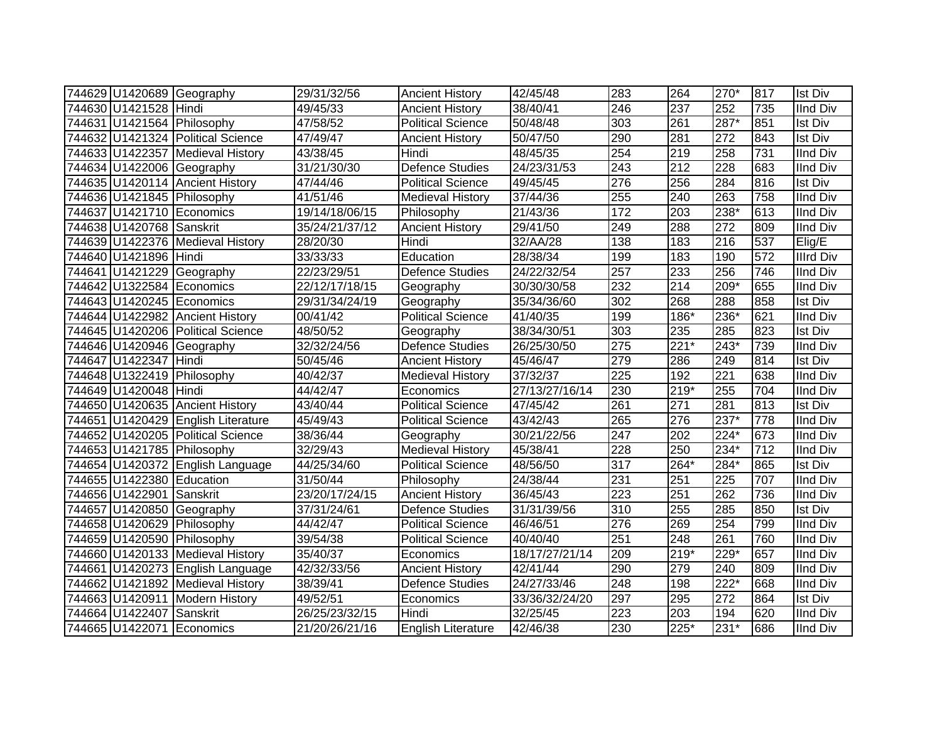|                           | 744629 U1420689 Geography          | 29/31/32/56    | <b>Ancient History</b>    | 42/45/48       | 283              | 264    | 270*             | 817 | <b>Ist Div</b>   |
|---------------------------|------------------------------------|----------------|---------------------------|----------------|------------------|--------|------------------|-----|------------------|
| 744630 U1421528 Hindi     |                                    | 49/45/33       | <b>Ancient History</b>    | 38/40/41       | 246              | 237    | 252              | 735 | <b>IInd Div</b>  |
|                           | 744631 U1421564 Philosophy         | 47/58/52       | <b>Political Science</b>  | 50/48/48       | 303              | 261    | 287*             | 851 | <b>Ist Div</b>   |
|                           | 744632 U1421324 Political Science  | 47/49/47       | <b>Ancient History</b>    | 50/47/50       | 290              | 281    | 272              | 843 | <b>Ist Div</b>   |
|                           | 744633 U1422357 Medieval History   | 43/38/45       | Hindi                     | 48/45/35       | 254              | 219    | 258              | 731 | <b>IInd Div</b>  |
|                           | 744634 U1422006 Geography          | 31/21/30/30    | Defence Studies           | 24/23/31/53    | $\overline{243}$ | 212    | 228              | 683 | <b>IInd Div</b>  |
|                           | 744635 U1420114 Ancient History    | 47/44/46       | <b>Political Science</b>  | 49/45/45       | 276              | 256    | 284              | 816 | <b>Ist Div</b>   |
|                           | 744636 U1421845 Philosophy         | 41/51/46       | <b>Medieval History</b>   | 37/44/36       | 255              | 240    | 263              | 758 | <b>IInd Div</b>  |
|                           | 744637 U1421710 Economics          | 19/14/18/06/15 | Philosophy                | 21/43/36       | $\frac{1}{172}$  | 203    | $238*$           | 613 | <b>IInd Div</b>  |
| 744638 U1420768 Sanskrit  |                                    | 35/24/21/37/12 | <b>Ancient History</b>    | 29/41/50       | 249              | 288    | $\overline{272}$ | 809 | <b>IInd Div</b>  |
|                           | 744639 U1422376 Medieval History   | 28/20/30       | Hindi                     | 32/AA/28       | 138              | 183    | 216              | 537 | Elig/E           |
| 744640 U1421896 Hindi     |                                    | 33/33/33       | Education                 | 28/38/34       | 199              | 183    | 190              | 572 | <b>Illrd Div</b> |
|                           | 744641 U1421229 Geography          | 22/23/29/51    | <b>Defence Studies</b>    | 24/22/32/54    | 257              | 233    | 256              | 746 | <b>IInd Div</b>  |
|                           | 744642 U1322584 Economics          | 22/12/17/18/15 | Geography                 | 30/30/30/58    | 232              | 214    | 209*             | 655 | <b>IInd Div</b>  |
|                           | 744643 U1420245 Economics          | 29/31/34/24/19 | Geography                 | 35/34/36/60    | 302              | 268    | 288              | 858 | <b>Ist Div</b>   |
|                           | 744644 U1422982 Ancient History    | 00/41/42       | <b>Political Science</b>  | 41/40/35       | 199              | 186*   | 236*             | 621 | <b>IInd Div</b>  |
|                           | 744645 U1420206 Political Science  | 48/50/52       | Geography                 | 38/34/30/51    | 303              | 235    | 285              | 823 | <b>Ist Div</b>   |
|                           | 744646 U1420946 Geography          | 32/32/24/56    | <b>Defence Studies</b>    | 26/25/30/50    | 275              | $221*$ | 243*             | 739 | <b>IInd Div</b>  |
| 744647 U1422347 Hindi     |                                    | 50/45/46       | <b>Ancient History</b>    | 45/46/47       | 279              | 286    | 249              | 814 | <b>Ist Div</b>   |
|                           | 744648 U1322419 Philosophy         | 40/42/37       | <b>Medieval History</b>   | 37/32/37       | 225              | 192    | 221              | 638 | <b>IInd Div</b>  |
| 744649 U1420048 Hindi     |                                    | 44/42/47       | Economics                 | 27/13/27/16/14 | 230              | $219*$ | 255              | 704 | <b>IInd Div</b>  |
|                           | 744650 U1420635 Ancient History    | 43/40/44       | <b>Political Science</b>  | 47/45/42       | 261              | 271    | 281              | 813 | <b>Ist Div</b>   |
|                           | 744651 U1420429 English Literature | 45/49/43       | <b>Political Science</b>  | 43/42/43       | 265              | 276    | $237*$           | 778 | <b>IInd Div</b>  |
|                           | 744652 U1420205 Political Science  | 38/36/44       | Geography                 | 30/21/22/56    | $\overline{247}$ | 202    | $224*$           | 673 | <b>IInd Div</b>  |
|                           | 744653 U1421785 Philosophy         | 32/29/43       | <b>Medieval History</b>   | 45/38/41       | 228              | 250    | 234*             | 712 | <b>IInd Div</b>  |
|                           | 744654 U1420372 English Language   | 44/25/34/60    | <b>Political Science</b>  | 48/56/50       | $\overline{317}$ | 264*   | $284*$           | 865 | <b>Ist Div</b>   |
| 744655 U1422380 Education |                                    | 31/50/44       | Philosophy                | 24/38/44       | 231              | 251    | 225              | 707 | <b>IInd Div</b>  |
| 744656 U1422901 Sanskrit  |                                    | 23/20/17/24/15 | <b>Ancient History</b>    | 36/45/43       | 223              | 251    | 262              | 736 | <b>IInd Div</b>  |
|                           | 744657 U1420850 Geography          | 37/31/24/61    | Defence Studies           | 31/31/39/56    | $\overline{310}$ | 255    | 285              | 850 | <b>Ist Div</b>   |
|                           | 744658 U1420629 Philosophy         | 44/42/47       | <b>Political Science</b>  | 46/46/51       | 276              | 269    | 254              | 799 | <b>IInd Div</b>  |
|                           | 744659 U1420590 Philosophy         | 39/54/38       | <b>Political Science</b>  | 40/40/40       | 251              | 248    | 261              | 760 | <b>IInd Div</b>  |
|                           | 744660 U1420133 Medieval History   | 35/40/37       | Economics                 | 18/17/27/21/14 | 209              | $219*$ | 229*             | 657 | <b>IInd Div</b>  |
|                           | 744661 U1420273 English Language   | 42/32/33/56    | <b>Ancient History</b>    | 42/41/44       | 290              | 279    | 240              | 809 | <b>IInd Div</b>  |
|                           | 744662 U1421892 Medieval History   | 38/39/41       | Defence Studies           | 24/27/33/46    | 248              | 198    | $222*$           | 668 | <b>IInd Div</b>  |
|                           | 744663 U1420911 Modern History     | 49/52/51       | Economics                 | 33/36/32/24/20 | 297              | 295    | 272              | 864 | <b>Ist Div</b>   |
| 744664 U1422407           | Sanskrit                           | 26/25/23/32/15 | Hindi                     | 32/25/45       | 223              | 203    | 194              | 620 | <b>IInd Div</b>  |
|                           | 744665 U1422071 Economics          | 21/20/26/21/16 | <b>English Literature</b> | 42/46/38       | 230              | $225*$ | $231*$           | 686 | <b>IInd Div</b>  |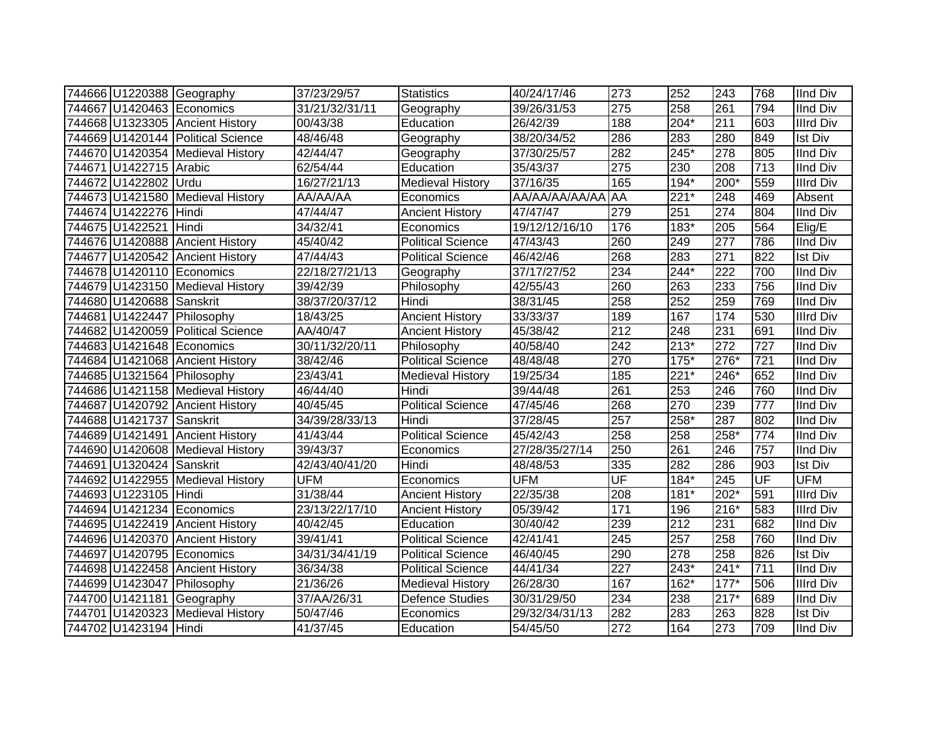|                            | 744666 U1220388 Geography         | 37/23/29/57    | <b>Statistics</b>        | 40/24/17/46    | 273              | 252    | 243              | 768              | <b>IInd Div</b>  |
|----------------------------|-----------------------------------|----------------|--------------------------|----------------|------------------|--------|------------------|------------------|------------------|
|                            | 744667 U1420463 Economics         | 31/21/32/31/11 | Geography                | 39/26/31/53    | 275              | 258    | 261              | 794              | <b>IInd Div</b>  |
|                            | 744668 U1323305 Ancient History   | 00/43/38       | Education                | 26/42/39       | 188              | $204*$ | $\overline{211}$ | 603              | <b>Illrd Div</b> |
|                            | 744669 U1420144 Political Science | 48/46/48       | Geography                | 38/20/34/52    | 286              | 283    | 280              | 849              | <b>Ist Div</b>   |
|                            | 744670 U1420354 Medieval History  | 42/44/47       | Geography                | 37/30/25/57    | 282              | $245*$ | $\overline{278}$ | 805              | <b>IInd Div</b>  |
| 744671 U1422715 Arabic     |                                   | 62/54/44       | Education                | 35/43/37       | $\overline{275}$ | 230    | 208              | 713              | <b>IInd Div</b>  |
| 744672 U1422802 Urdu       |                                   | 16/27/21/13    | <b>Medieval History</b>  | 37/16/35       | 165              | 194*   | 200*             | 559              | <b>Illrd Div</b> |
|                            | 744673 U1421580 Medieval History  | AA/AA/AA       | Economics                | AA/AA/AA/AA/AA | <b>AA</b>        | $221*$ | 248              | 469              | Absent           |
| 744674 U1422276 Hindi      |                                   | 47/44/47       | <b>Ancient History</b>   | 47/47/47       | 279              | 251    | $\overline{274}$ | 804              | <b>IInd Div</b>  |
| 744675 U1422521 Hindi      |                                   | 34/32/41       | Economics                | 19/12/12/16/10 | 176              | $183*$ | $\overline{205}$ | 564              | Elig/E           |
|                            | 744676 U1420888 Ancient History   | 45/40/42       | <b>Political Science</b> | 47/43/43       | 260              | 249    | $\overline{277}$ | 786              | <b>IInd Div</b>  |
|                            | 744677 U1420542 Ancient History   | 47/44/43       | <b>Political Science</b> | 46/42/46       | 268              | 283    | 271              | 822              | <b>Ist Div</b>   |
|                            | 744678 U1420110 Economics         | 22/18/27/21/13 | Geography                | 37/17/27/52    | 234              | 244*   | 222              | 700              | <b>IInd Div</b>  |
|                            | 744679 U1423150 Medieval History  | 39/42/39       | Philosophy               | 42/55/43       | 260              | 263    | 233              | 756              | <b>IInd Div</b>  |
| 744680 U1420688 Sanskrit   |                                   | 38/37/20/37/12 | Hindi                    | 38/31/45       | 258              | 252    | 259              | 769              | <b>IInd Div</b>  |
|                            | 744681 U1422447 Philosophy        | 18/43/25       | <b>Ancient History</b>   | 33/33/37       | 189              | 167    | 174              | 530              | <b>Illrd Div</b> |
|                            | 744682 U1420059 Political Science | AA/40/47       | <b>Ancient History</b>   | 45/38/42       | $\overline{212}$ | 248    | 231              | 691              | <b>IInd Div</b>  |
|                            | 744683 U1421648 Economics         | 30/11/32/20/11 | Philosophy               | 40/58/40       | $\overline{242}$ | $213*$ | 272              | 727              | <b>IInd Div</b>  |
|                            | 744684 U1421068 Ancient History   | 38/42/46       | <b>Political Science</b> | 48/48/48       | 270              | $175*$ | $276*$           | $\overline{721}$ | <b>IInd Div</b>  |
| 744685 U1321564 Philosophy |                                   | 23/43/41       | <b>Medieval History</b>  | 19/25/34       | 185              | $221*$ | 246*             | 652              | <b>IInd Div</b>  |
|                            | 744686 U1421158 Medieval History  | 46/44/40       | Hindi                    | 39/44/48       | 261              | 253    | $\overline{246}$ | 760              | <b>IInd Div</b>  |
|                            | 744687 U1420792 Ancient History   | 40/45/45       | <b>Political Science</b> | 47/45/46       | 268              | 270    | 239              | 777              | <b>IInd Div</b>  |
| 744688 U1421737 Sanskrit   |                                   | 34/39/28/33/13 | Hindi                    | 37/28/45       | 257              | 258*   | 287              | 802              | <b>IInd Div</b>  |
|                            | 744689 U1421491 Ancient History   | 41/43/44       | <b>Political Science</b> | 45/42/43       | 258              | 258    | 258*             | 774              | <b>IInd Div</b>  |
|                            | 744690 U1420608 Medieval History  | 39/43/37       | Economics                | 27/28/35/27/14 | 250              | 261    | 246              | 757              | <b>IInd Div</b>  |
| 744691 U1320424 Sanskrit   |                                   | 42/43/40/41/20 | Hindi                    | 48/48/53       | 335              | 282    | 286              | 903              | Ist Div          |
|                            | 744692 U1422955 Medieval History  | <b>UFM</b>     | Economics                | <b>UFM</b>     | UF               | $184*$ | $\overline{245}$ | UF               | <b>UFM</b>       |
| 744693 U1223105 Hindi      |                                   | 31/38/44       | <b>Ancient History</b>   | 22/35/38       | 208              | $181*$ | $202*$           | 591              | <b>Illrd Div</b> |
|                            | 744694 U1421234 Economics         | 23/13/22/17/10 | <b>Ancient History</b>   | 05/39/42       | 171              | 196    | $216*$           | 583              | <b>Illrd Div</b> |
|                            | 744695 U1422419 Ancient History   | 40/42/45       | Education                | 30/40/42       | 239              | 212    | 231              | 682              | <b>IInd Div</b>  |
|                            | 744696 U1420370 Ancient History   | 39/41/41       | <b>Political Science</b> | 42/41/41       | $\overline{245}$ | 257    | 258              | 760              | <b>IInd Div</b>  |
|                            | 744697 U1420795 Economics         | 34/31/34/41/19 | Political Science        | 46/40/45       | 290              | 278    | 258              | 826              | <b>Ist Div</b>   |
|                            | 744698 U1422458 Ancient History   | 36/34/38       | <b>Political Science</b> | 44/41/34       | $\overline{227}$ | $243*$ | $241*$           | 711              | <b>IInd Div</b>  |
|                            | 744699 U1423047 Philosophy        | 21/36/26       | Medieval History         | 26/28/30       | 167              | 162*   | $177*$           | 506              | <b>Illrd Div</b> |
|                            | 744700 U1421181 Geography         | 37/AA/26/31    | <b>Defence Studies</b>   | 30/31/29/50    | 234              | 238    | $217*$           | 689              | <b>IInd Div</b>  |
|                            | 744701 U1420323 Medieval History  | 50/47/46       | Economics                | 29/32/34/31/13 | 282              | 283    | 263              | 828              | <b>Ist Div</b>   |
| 744702 U1423194 Hindi      |                                   | 41/37/45       | Education                | 54/45/50       | 272              | 164    | 273              | 709              | <b>IInd Div</b>  |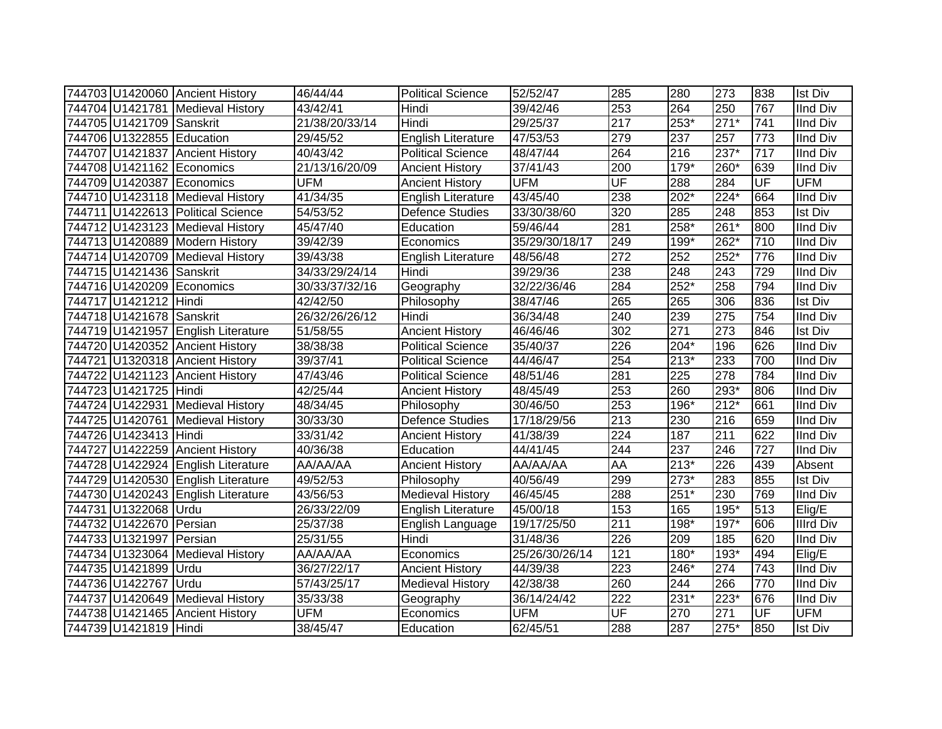|                           | 744703 U1420060 Ancient History    | 46/44/44       | <b>Political Science</b>  | 52/52/47       | 285              | 280              | 273    | 838              | <b>Ist Div</b>   |
|---------------------------|------------------------------------|----------------|---------------------------|----------------|------------------|------------------|--------|------------------|------------------|
|                           | 744704 U1421781 Medieval History   | 43/42/41       | Hindi                     | 39/42/46       | 253              | 264              | 250    | 767              | IInd Div         |
| 744705 U1421709 Sanskrit  |                                    | 21/38/20/33/14 | Hindi                     | 29/25/37       | 217              | $253*$           | $271*$ | 741              | <b>IInd Div</b>  |
| 744706 U1322855 Education |                                    | 29/45/52       | <b>English Literature</b> | 47/53/53       | 279              | $\overline{237}$ | 257    | $\overline{773}$ | <b>IInd Div</b>  |
|                           | 744707 U1421837 Ancient History    | 40/43/42       | Political Science         | 48/47/44       | 264              | 216              | $237*$ | $\overline{717}$ | <b>IInd Div</b>  |
|                           | 744708 U1421162 Economics          | 21/13/16/20/09 | <b>Ancient History</b>    | 37/41/43       | 200              | $179*$           | 260*   | 639              | <b>IInd Div</b>  |
|                           | 744709 U1420387 Economics          | <b>UFM</b>     | <b>Ancient History</b>    | <b>UFM</b>     | UF               | 288              | 284    | UF               | <b>UFM</b>       |
|                           | 744710 U1423118 Medieval History   | 41/34/35       | English Literature        | 43/45/40       | 238              | 202*             | $224*$ | 664              | <b>IInd Div</b>  |
|                           | 744711 U1422613 Political Science  | 54/53/52       | <b>Defence Studies</b>    | 33/30/38/60    | 320              | 285              | 248    | 853              | <b>Ist Div</b>   |
|                           | 744712 U1423123 Medieval History   | 45/47/40       | Education                 | 59/46/44       | 281              | 258*             | $261*$ | 800              | <b>IInd Div</b>  |
|                           | 744713 U1420889 Modern History     | 39/42/39       | Economics                 | 35/29/30/18/17 | 249              | 199*             | 262*   | 710              | <b>IInd Div</b>  |
|                           | 744714 U1420709 Medieval History   | 39/43/38       | <b>English Literature</b> | 48/56/48       | 272              | 252              | $252*$ | 776              | <b>IInd Div</b>  |
| 744715 U1421436 Sanskrit  |                                    | 34/33/29/24/14 | Hindi                     | 39/29/36       | 238              | 248              | 243    | 729              | <b>IInd Div</b>  |
|                           | 744716 U1420209 Economics          | 30/33/37/32/16 | Geography                 | 32/22/36/46    | 284              | 252*             | 258    | 794              | <b>IInd Div</b>  |
| 744717 U1421212 Hindi     |                                    | 42/42/50       | Philosophy                | 38/47/46       | 265              | 265              | 306    | 836              | <b>Ist Div</b>   |
| 744718 U1421678 Sanskrit  |                                    | 26/32/26/26/12 | Hindi                     | 36/34/48       | 240              | 239              | 275    | 754              | <b>IInd Div</b>  |
|                           | 744719 U1421957 English Literature | 51/58/55       | <b>Ancient History</b>    | 46/46/46       | 302              | 271              | 273    | 846              | <b>Ist Div</b>   |
|                           | 744720 U1420352 Ancient History    | 38/38/38       | <b>Political Science</b>  | 35/40/37       | 226              | $204*$           | 196    | 626              | <b>IInd Div</b>  |
|                           | 744721 U1320318 Ancient History    | 39/37/41       | Political Science         | 44/46/47       | 254              | 213*             | 233    | 700              | <b>IInd Div</b>  |
|                           | 744722 U1421123 Ancient History    | 47/43/46       | <b>Political Science</b>  | 48/51/46       | 281              | 225              | 278    | 784              | <b>IInd Div</b>  |
| 744723 U1421725 Hindi     |                                    | 42/25/44       | <b>Ancient History</b>    | 48/45/49       | 253              | 260              | 293*   | 806              | <b>IInd Div</b>  |
|                           | 744724 U1422931 Medieval History   | 48/34/45       | Philosophy                | 30/46/50       | 253              | 196*             | $212*$ | 661              | <b>IInd Div</b>  |
|                           | 744725 U1420761 Medieval History   | 30/33/30       | <b>Defence Studies</b>    | 17/18/29/56    | 213              | 230              | 216    | 659              | <b>IInd Div</b>  |
| 744726 U1423413 Hindi     |                                    | 33/31/42       | <b>Ancient History</b>    | 41/38/39       | 224              | 187              | 211    | 622              | <b>IInd Div</b>  |
|                           | 744727 U1422259 Ancient History    | 40/36/38       | Education                 | 44/41/45       | 244              | 237              | 246    | 727              | <b>IInd Div</b>  |
|                           | 744728 U1422924 English Literature | AA/AA/AA       | <b>Ancient History</b>    | AA/AA/AA       | AA               | $213*$           | 226    | 439              | Absent           |
|                           | 744729 U1420530 English Literature | 49/52/53       | Philosophy                | 40/56/49       | 299              | 273*             | 283    | 855              | Ist Div          |
|                           | 744730 U1420243 English Literature | 43/56/53       | <b>Medieval History</b>   | 46/45/45       | 288              | $251*$           | 230    | 769              | <b>IInd Div</b>  |
| 744731 U1322068 Urdu      |                                    | 26/33/22/09    | <b>English Literature</b> | 45/00/18       | 153              | 165              | 195*   | 513              | Elig/E           |
| 744732 U1422670 Persian   |                                    | 25/37/38       | English Language          | 19/17/25/50    | 211              | $198*$           | $197*$ | 606              | <b>Illrd Div</b> |
| 744733 U1321997 Persian   |                                    | 25/31/55       | Hindi                     | 31/48/36       | 226              | 209              | 185    | 620              | <b>IInd Div</b>  |
|                           | 744734 U1323064 Medieval History   | AA/AA/AA       | Economics                 | 25/26/30/26/14 | 121              | 180*             | 193*   | 494              | Elig/E           |
| 744735 U1421899 Urdu      |                                    | 36/27/22/17    | <b>Ancient History</b>    | 44/39/38       | 223              | 246*             | 274    | 743              | <b>IInd Div</b>  |
| 744736 U1422767 Urdu      |                                    | 57/43/25/17    | <b>Medieval History</b>   | 42/38/38       | 260              | 244              | 266    | 770              | <b>IInd Div</b>  |
|                           | 744737 U1420649 Medieval History   | 35/33/38       | Geography                 | 36/14/24/42    | $\overline{222}$ | $231*$           | $223*$ | 676              | <b>IInd Div</b>  |
|                           | 744738 U1421465 Ancient History    | <b>UFM</b>     | Economics                 | <b>UFM</b>     | UF               | 270              | 271    | UF               | <b>UFM</b>       |
| 744739 U1421819 Hindi     |                                    | 38/45/47       | Education                 | 62/45/51       | 288              | 287              | 275*   | 850              | <b>Ist Div</b>   |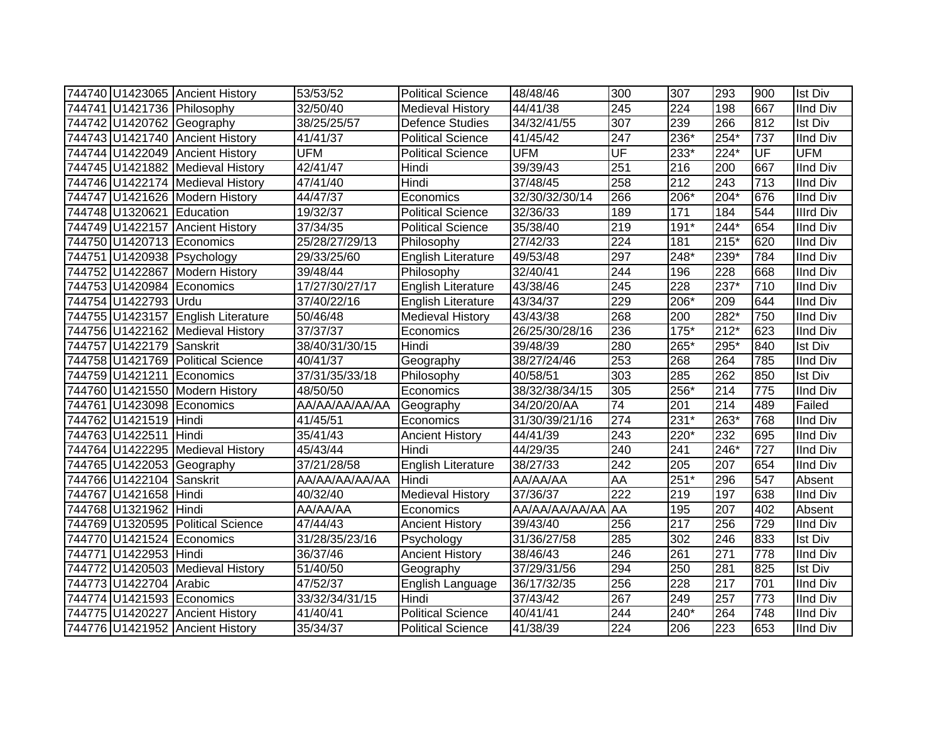|                            | 744740 U1423065 Ancient History    | 53/53/52       | <b>Political Science</b>  | 48/48/46       | 300              | 307    | 293              | 900 | <b>Ist Div</b>   |
|----------------------------|------------------------------------|----------------|---------------------------|----------------|------------------|--------|------------------|-----|------------------|
| 744741 U1421736 Philosophy |                                    | 32/50/40       | <b>Medieval History</b>   | 44/41/38       | 245              | 224    | 198              | 667 | <b>IInd Div</b>  |
|                            | 744742 U1420762 Geography          | 38/25/25/57    | <b>Defence Studies</b>    | 34/32/41/55    | 307              | 239    | 266              | 812 | <b>Ist Div</b>   |
|                            | 744743 U1421740 Ancient History    | 41/41/37       | <b>Political Science</b>  | 41/45/42       | 247              | 236*   | 254*             | 737 | <b>IInd Div</b>  |
|                            | 744744 U1422049 Ancient History    | <b>UFM</b>     | <b>Political Science</b>  | <b>UFM</b>     | UF               | 233*   | $224*$           | UF  | <b>UFM</b>       |
|                            | 744745 U1421882 Medieval History   | 42/41/47       | Hindi                     | 39/39/43       | 251              | 216    | 200              | 667 | <b>IInd Div</b>  |
|                            | 744746 U1422174 Medieval History   | 47/41/40       | Hindi                     | 37/48/45       | 258              | 212    | 243              | 713 | <b>IInd Div</b>  |
|                            | 744747 U1421626 Modern History     | 44/47/37       | Economics                 | 32/30/32/30/14 | 266              | 206*   | $204*$           | 676 | <b>IInd Div</b>  |
| 744748 U1320621 Education  |                                    | 19/32/37       | <b>Political Science</b>  | 32/36/33       | 189              | 171    | 184              | 544 | <b>Illrd Div</b> |
|                            | 744749 U1422157 Ancient History    | 37/34/35       | <b>Political Science</b>  | 35/38/40       | 219              | $191*$ | $244*$           | 654 | <b>IInd Div</b>  |
|                            | 744750 U1420713 Economics          | 25/28/27/29/13 | Philosophy                | 27/42/33       | $\overline{224}$ | 181    | $215*$           | 620 | <b>IInd Div</b>  |
|                            | 744751 U1420938 Psychology         | 29/33/25/60    | <b>English Literature</b> | 49/53/48       | 297              | 248*   | 239*             | 784 | <b>IInd Div</b>  |
|                            | 744752 U1422867 Modern History     | 39/48/44       | Philosophy                | 32/40/41       | 244              | 196    | 228              | 668 | <b>IInd Div</b>  |
|                            | 744753 U1420984 Economics          | 17/27/30/27/17 | <b>English Literature</b> | 43/38/46       | 245              | 228    | 237*             | 710 | <b>IInd Div</b>  |
| 744754 U1422793 Urdu       |                                    | 37/40/22/16    | English Literature        | 43/34/37       | 229              | $206*$ | 209              | 644 | <b>IInd Div</b>  |
|                            | 744755 U1423157 English Literature | 50/46/48       | <b>Medieval History</b>   | 43/43/38       | 268              | 200    | 282*             | 750 | <b>IInd Div</b>  |
|                            | 744756 U1422162 Medieval History   | 37/37/37       | Economics                 | 26/25/30/28/16 | 236              | $175*$ | $212*$           | 623 | <b>IInd Div</b>  |
| 744757 U1422179 Sanskrit   |                                    | 38/40/31/30/15 | Hindi                     | 39/48/39       | 280              | 265*   | 295*             | 840 | <b>Ist Div</b>   |
|                            | 744758 U1421769 Political Science  | 40/41/37       | Geography                 | 38/27/24/46    | 253              | 268    | 264              | 785 | <b>IInd Div</b>  |
|                            | 744759 U1421211 Economics          | 37/31/35/33/18 | Philosophy                | 40/58/51       | 303              | 285    | 262              | 850 | <b>Ist Div</b>   |
|                            | 744760 U1421550 Modern History     | 48/50/50       | Economics                 | 38/32/38/34/15 | 305              | 256*   | 214              | 775 | <b>IInd Div</b>  |
|                            | 744761 U1423098 Economics          | AA/AA/AA/AA/AA | Geography                 | 34/20/20/AA    | $\overline{74}$  | 201    | $\overline{214}$ | 489 | Failed           |
| 744762 U1421519 Hindi      |                                    | 41/45/51       | Economics                 | 31/30/39/21/16 | 274              | $231*$ | $263*$           | 768 | <b>IInd Div</b>  |
| 744763 U1422511 Hindi      |                                    | 35/41/43       | <b>Ancient History</b>    | 44/41/39       | $\overline{243}$ | 220*   | 232              | 695 | <b>IInd Div</b>  |
|                            | 744764 U1422295 Medieval History   | 45/43/44       | Hindi                     | 44/29/35       | 240              | 241    | 246*             | 727 | <b>IInd Div</b>  |
|                            | 744765 U1422053 Geography          | 37/21/28/58    | <b>English Literature</b> | 38/27/33       | $\overline{242}$ | 205    | 207              | 654 | <b>IInd Div</b>  |
| 744766 U1422104 Sanskrit   |                                    | AA/AA/AA/AA/AA | Hindi                     | AA/AA/AA       | AA               | $251*$ | 296              | 547 | Absent           |
| 744767 U1421658 Hindi      |                                    | 40/32/40       | <b>Medieval History</b>   | 37/36/37       | $\overline{222}$ | 219    | 197              | 638 | <b>IInd Div</b>  |
| 744768 U1321962 Hindi      |                                    | AA/AA/AA       | Economics                 | AA/AA/AA/AA/AA | AA               | 195    | 207              | 402 | Absent           |
|                            | 744769 U1320595 Political Science  | 47/44/43       | <b>Ancient History</b>    | 39/43/40       | 256              | 217    | 256              | 729 | <b>IInd Div</b>  |
|                            | 744770 U1421524 Economics          | 31/28/35/23/16 | Psychology                | 31/36/27/58    | 285              | 302    | 246              | 833 | <b>Ist Div</b>   |
| 744771 U1422953 Hindi      |                                    | 36/37/46       | <b>Ancient History</b>    | 38/46/43       | 246              | 261    | 271              | 778 | <b>IInd Div</b>  |
|                            | 744772 U1420503 Medieval History   | 51/40/50       | Geography                 | 37/29/31/56    | 294              | 250    | 281              | 825 | <b>Ist Div</b>   |
| 744773 U1422704 Arabic     |                                    | 47/52/37       | English Language          | 36/17/32/35    | 256              | 228    | $\overline{217}$ | 701 | <b>IInd Div</b>  |
|                            | 744774 U1421593 Economics          | 33/32/34/31/15 | Hindi                     | 37/43/42       | 267              | 249    | 257              | 773 | <b>IInd Div</b>  |
|                            | 744775 U1420227 Ancient History    | 41/40/41       | <b>Political Science</b>  | 40/41/41       | 244              | 240*   | 264              | 748 | <b>IInd Div</b>  |
|                            | 744776 U1421952 Ancient History    | 35/34/37       | <b>Political Science</b>  | 41/38/39       | 224              | 206    | 223              | 653 | <b>IInd Div</b>  |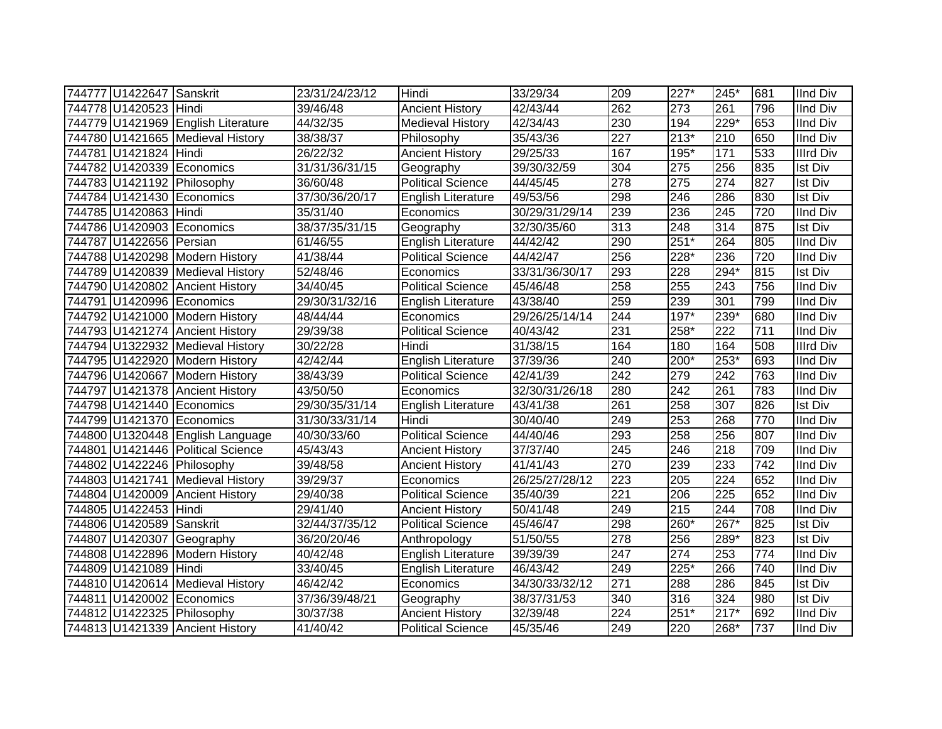| 744777 U1422647 Sanskrit |                                    | 23/31/24/23/12 | Hindi                     | 33/29/34       | 209              | 227*             | 245*             | 681 | <b>IInd Div</b>  |
|--------------------------|------------------------------------|----------------|---------------------------|----------------|------------------|------------------|------------------|-----|------------------|
| 744778 U1420523 Hindi    |                                    | 39/46/48       | <b>Ancient History</b>    | 42/43/44       | 262              | 273              | 261              | 796 | <b>IInd Div</b>  |
|                          | 744779 U1421969 English Literature | 44/32/35       | <b>Medieval History</b>   | 42/34/43       | 230              | 194              | $229*$           | 653 | <b>IInd Div</b>  |
|                          | 744780 U1421665 Medieval History   | 38/38/37       | Philosophy                | 35/43/36       | $\overline{227}$ | $213*$           | 210              | 650 | <b>IInd Div</b>  |
| 744781 U1421824 Hindi    |                                    | 26/22/32       | <b>Ancient History</b>    | 29/25/33       | 167              | $195*$           | 171              | 533 | <b>Illrd Div</b> |
|                          | 744782 U1420339 Economics          | 31/31/36/31/15 | Geography                 | 39/30/32/59    | 304              | $\overline{275}$ | 256              | 835 | <b>Ist Div</b>   |
|                          | 744783 U1421192 Philosophy         | 36/60/48       | <b>Political Science</b>  | 44/45/45       | 278              | 275              | 274              | 827 | <b>Ist Div</b>   |
|                          | 744784 U1421430 Economics          | 37/30/36/20/17 | English Literature        | 49/53/56       | 298              | 246              | 286              | 830 | <b>Ist Div</b>   |
| 744785 U1420863 Hindi    |                                    | 35/31/40       | Economics                 | 30/29/31/29/14 | 239              | 236              | 245              | 720 | <b>IInd Div</b>  |
|                          | 744786 U1420903 Economics          | 38/37/35/31/15 | Geography                 | 32/30/35/60    | $\overline{313}$ | 248              | $\overline{314}$ | 875 | <b>Ist Div</b>   |
| 744787 U1422656 Persian  |                                    | 61/46/55       | English Literature        | 44/42/42       | 290              | $251*$           | 264              | 805 | <b>IInd Div</b>  |
|                          | 744788 U1420298 Modern History     | 41/38/44       | Political Science         | 44/42/47       | 256              | 228*             | 236              | 720 | <b>IInd Div</b>  |
|                          | 744789 U1420839 Medieval History   | 52/48/46       | Economics                 | 33/31/36/30/17 | 293              | 228              | 294*             | 815 | <b>Ist Div</b>   |
|                          | 744790 U1420802 Ancient History    | 34/40/45       | <b>Political Science</b>  | 45/46/48       | 258              | 255              | 243              | 756 | <b>IInd Div</b>  |
|                          | 744791 U1420996 Economics          | 29/30/31/32/16 | English Literature        | 43/38/40       | 259              | 239              | 301              | 799 | <b>IInd Div</b>  |
|                          | 744792 U1421000 Modern History     | 48/44/44       | Economics                 | 29/26/25/14/14 | 244              | $197*$           | 239*             | 680 | <b>IInd Div</b>  |
|                          | 744793 U1421274 Ancient History    | 29/39/38       | <b>Political Science</b>  | 40/43/42       | 231              | 258*             | $\overline{222}$ | 711 | <b>IInd Div</b>  |
|                          | 744794 U1322932 Medieval History   | 30/22/28       | Hindi                     | 31/38/15       | 164              | 180              | 164              | 508 | <b>Illrd Div</b> |
|                          | 744795 U1422920 Modern History     | 42/42/44       | <b>English Literature</b> | 37/39/36       | 240              | 200*             | $253*$           | 693 | <b>IInd Div</b>  |
|                          | 744796 U1420667 Modern History     | 38/43/39       | Political Science         | 42/41/39       | 242              | 279              | 242              | 763 | <b>IInd Div</b>  |
|                          | 744797 U1421378 Ancient History    | 43/50/50       | Economics                 | 32/30/31/26/18 | 280              | 242              | 261              | 783 | <b>IInd Div</b>  |
|                          | 744798 U1421440 Economics          | 29/30/35/31/14 | <b>English Literature</b> | 43/41/38       | 261              | 258              | 307              | 826 | <b>Ist Div</b>   |
|                          | 744799 U1421370 Economics          | 31/30/33/31/14 | Hindi                     | 30/40/40       | 249              | 253              | 268              | 770 | <b>IInd Div</b>  |
|                          | 744800 U1320448 English Language   | 40/30/33/60    | <b>Political Science</b>  | 44/40/46       | 293              | 258              | 256              | 807 | <b>IInd Div</b>  |
|                          | 744801 U1421446 Political Science  | 45/43/43       | <b>Ancient History</b>    | 37/37/40       | 245              | 246              | 218              | 709 | <b>IInd Div</b>  |
|                          | 744802 U1422246 Philosophy         | 39/48/58       | <b>Ancient History</b>    | 41/41/43       | 270              | 239              | 233              | 742 | <b>IInd Div</b>  |
|                          | 744803 U1421741 Medieval History   | 39/29/37       | Economics                 | 26/25/27/28/12 | 223              | 205              | $\overline{224}$ | 652 | <b>IInd Div</b>  |
|                          | 744804 U1420009 Ancient History    | 29/40/38       | Political Science         | 35/40/39       | 221              | 206              | $\overline{225}$ | 652 | <b>IInd Div</b>  |
| 744805 U1422453 Hindi    |                                    | 29/41/40       | <b>Ancient History</b>    | 50/41/48       | 249              | 215              | 244              | 708 | <b>IInd Div</b>  |
| 744806 U1420589 Sanskrit |                                    | 32/44/37/35/12 | Political Science         | 45/46/47       | 298              | 260*             | $267*$           | 825 | <b>Ist Div</b>   |
|                          | 744807 U1420307 Geography          | 36/20/20/46    | Anthropology              | 51/50/55       | 278              | 256              | 289*             | 823 | <b>Ist Div</b>   |
|                          | 744808 U1422896 Modern History     | 40/42/48       | English Literature        | 39/39/39       | 247              | 274              | 253              | 774 | <b>IInd Div</b>  |
| 744809 U1421089 Hindi    |                                    | 33/40/45       | <b>English Literature</b> | 46/43/42       | 249              | 225*             | 266              | 740 | <b>IInd Div</b>  |
|                          | 744810 U1420614 Medieval History   | 46/42/42       | Economics                 | 34/30/33/32/12 | $\overline{271}$ | 288              | 286              | 845 | <b>Ist Div</b>   |
|                          | 744811 U1420002 Economics          | 37/36/39/48/21 | Geography                 | 38/37/31/53    | 340              | 316              | 324              | 980 | Ist Div          |
|                          | 744812 U1422325 Philosophy         | 30/37/38       | <b>Ancient History</b>    | 32/39/48       | 224              | $251*$           | $217*$           | 692 | <b>IInd Div</b>  |
|                          | 744813 U1421339 Ancient History    | 41/40/42       | <b>Political Science</b>  | 45/35/46       | 249              | 220              | 268*             | 737 | <b>IInd Div</b>  |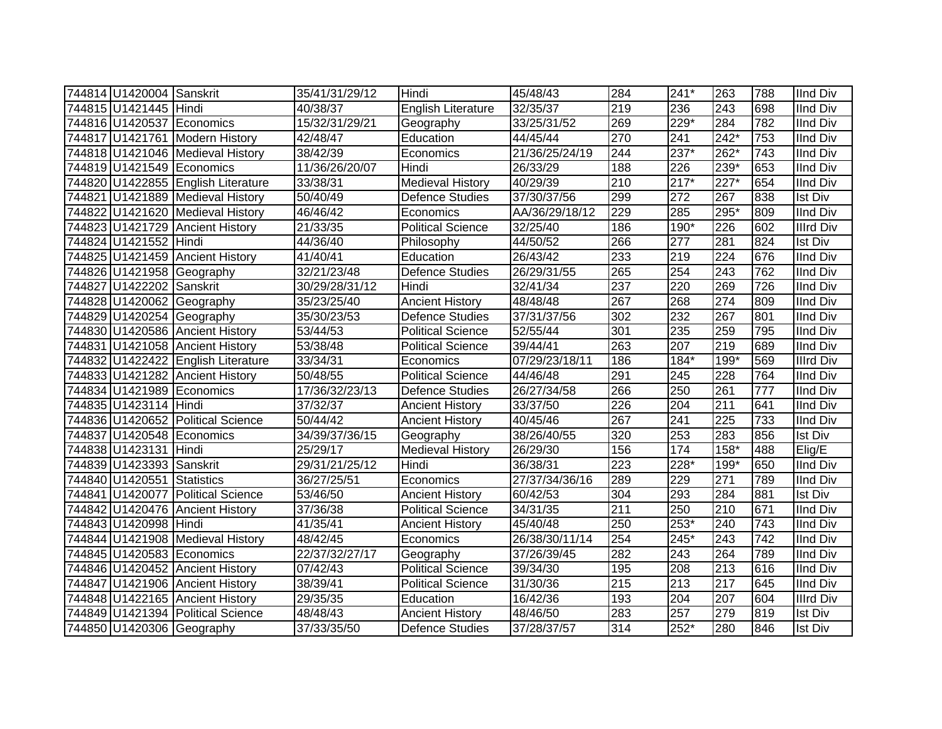| 744814 U1420004 Sanskrit   |                                    | 35/41/31/29/12 | <b>Hindi</b>              | 45/48/43       | 284              | 241*             | 263              | 788              | <b>IInd Div</b>  |
|----------------------------|------------------------------------|----------------|---------------------------|----------------|------------------|------------------|------------------|------------------|------------------|
| 744815 U1421445 Hindi      |                                    | 40/38/37       | <b>English Literature</b> | 32/35/37       | 219              | 236              | 243              | 698              | <b>IInd Div</b>  |
|                            | 744816 U1420537 Economics          | 15/32/31/29/21 | Geography                 | 33/25/31/52    | 269              | 229*             | 284              | 782              | <b>IInd Div</b>  |
|                            | 744817 U1421761 Modern History     | 42/48/47       | Education                 | 44/45/44       | 270              | 241              | $242*$           | 753              | <b>IInd Div</b>  |
|                            | 744818 U1421046 Medieval History   | 38/42/39       | Economics                 | 21/36/25/24/19 | 244              | $237*$           | $262*$           | $\overline{743}$ | <b>IInd Div</b>  |
|                            | 744819 U1421549 Economics          | 11/36/26/20/07 | Hindi                     | 26/33/29       | 188              | 226              | $239*$           | 653              | <b>IInd Div</b>  |
|                            | 744820 U1422855 English Literature | 33/38/31       | <b>Medieval History</b>   | 40/29/39       | 210              | $217*$           | $227*$           | 654              | <b>IInd Div</b>  |
|                            | 744821 U1421889 Medieval History   | 50/40/49       | <b>Defence Studies</b>    | 37/30/37/56    | 299              | 272              | 267              | 838              | <b>Ist Div</b>   |
|                            | 744822 U1421620 Medieval History   | 46/46/42       | Economics                 | AA/36/29/18/12 | 229              | 285              | 295*             | 809              | <b>IInd Div</b>  |
|                            | 744823 U1421729 Ancient History    | 21/33/35       | <b>Political Science</b>  | 32/25/40       | 186              | 190*             | 226              | 602              | <b>Illrd Div</b> |
| 744824 U1421552 Hindi      |                                    | 44/36/40       | Philosophy                | 44/50/52       | 266              | 277              | 281              | 824              | Ist Div          |
|                            | 744825 U1421459 Ancient History    | 41/40/41       | Education                 | 26/43/42       | 233              | 219              | 224              | 676              | <b>IInd Div</b>  |
|                            | 744826 U1421958 Geography          | 32/21/23/48    | <b>Defence Studies</b>    | 26/29/31/55    | 265              | 254              | 243              | 762              | <b>IInd Div</b>  |
| 744827 U1422202 Sanskrit   |                                    | 30/29/28/31/12 | Hindi                     | 32/41/34       | 237              | 220              | 269              | 726              | <b>IInd Div</b>  |
|                            | 744828 U1420062 Geography          | 35/23/25/40    | <b>Ancient History</b>    | 48/48/48       | 267              | 268              | 274              | 809              | <b>IInd Div</b>  |
|                            | 744829 U1420254 Geography          | 35/30/23/53    | <b>Defence Studies</b>    | 37/31/37/56    | 302              | 232              | 267              | 801              | <b>IInd Div</b>  |
|                            | 744830 U1420586 Ancient History    | 53/44/53       | <b>Political Science</b>  | 52/55/44       | 301              | 235              | 259              | 795              | <b>IInd Div</b>  |
|                            | 744831 U1421058 Ancient History    | 53/38/48       | <b>Political Science</b>  | 39/44/41       | 263              | 207              | 219              | 689              | <b>IInd Div</b>  |
|                            | 744832 U1422422 English Literature | 33/34/31       | Economics                 | 07/29/23/18/11 | 186              | 184*             | 199*             | 569              | <b>Illrd Div</b> |
|                            | 744833 U1421282 Ancient History    | 50/48/55       | <b>Political Science</b>  | 44/46/48       | 291              | 245              | 228              | 764              | <b>IInd Div</b>  |
|                            | 744834 U1421989 Economics          | 17/36/32/23/13 | <b>Defence Studies</b>    | 26/27/34/58    | 266              | 250              | 261              | 777              | <b>IInd Div</b>  |
| 744835 U1423114 Hindi      |                                    | 37/32/37       | <b>Ancient History</b>    | 33/37/50       | $\overline{226}$ | $\overline{204}$ | $\overline{211}$ | 641              | <b>IInd Div</b>  |
|                            | 744836 U1420652 Political Science  | 50/44/42       | <b>Ancient History</b>    | 40/45/46       | 267              | 241              | 225              | 733              | <b>IInd Div</b>  |
|                            | 744837 U1420548 Economics          | 34/39/37/36/15 | Geography                 | 38/26/40/55    | 320              | 253              | 283              | 856              | <b>Ist Div</b>   |
| 744838 U1423131 Hindi      |                                    | 25/29/17       | <b>Medieval History</b>   | 26/29/30       | 156              | 174              | $158*$           | 488              | Elig/E           |
| 744839 U1423393 Sanskrit   |                                    | 29/31/21/25/12 | Hindi                     | 36/38/31       | $\overline{223}$ | 228*             | 199*             | 650              | <b>IInd Div</b>  |
| 744840 U1420551 Statistics |                                    | 36/27/25/51    | Economics                 | 27/37/34/36/16 | 289              | 229              | $\overline{271}$ | 789              | <b>IInd Div</b>  |
|                            | 744841 U1420077 Political Science  | 53/46/50       | <b>Ancient History</b>    | 60/42/53       | 304              | 293              | 284              | 881              | <b>Ist Div</b>   |
|                            | 744842 U1420476 Ancient History    | 37/36/38       | <b>Political Science</b>  | 34/31/35       | 211              | 250              | 210              | 671              | <b>IInd Div</b>  |
| 744843 U1420998 Hindi      |                                    | 41/35/41       | <b>Ancient History</b>    | 45/40/48       | 250              | $253*$           | 240              | 743              | <b>IInd Div</b>  |
|                            | 744844 U1421908 Medieval History   | 48/42/45       | Economics                 | 26/38/30/11/14 | 254              | 245*             | 243              | 742              | <b>IInd Div</b>  |
|                            | 744845 U1420583 Economics          | 22/37/32/27/17 | Geography                 | 37/26/39/45    | 282              | 243              | 264              | 789              | <b>IInd Div</b>  |
|                            | 744846 U1420452 Ancient History    | 07/42/43       | <b>Political Science</b>  | 39/34/30       | 195              | 208              | 213              | 616              | <b>IInd Div</b>  |
|                            | 744847 U1421906 Ancient History    | 38/39/41       | <b>Political Science</b>  | 31/30/36       | 215              | 213              | 217              | 645              | <b>IInd Div</b>  |
|                            | 744848 U1422165 Ancient History    | 29/35/35       | Education                 | 16/42/36       | 193              | 204              | 207              | 604              | <b>Illrd Div</b> |
|                            | 744849 U1421394 Political Science  | 48/48/43       | <b>Ancient History</b>    | 48/46/50       | 283              | 257              | 279              | 819              | <b>Ist Div</b>   |
|                            | 744850 U1420306 Geography          | 37/33/35/50    | Defence Studies           | 37/28/37/57    | 314              | $252*$           | 280              | 846              | Ist Div          |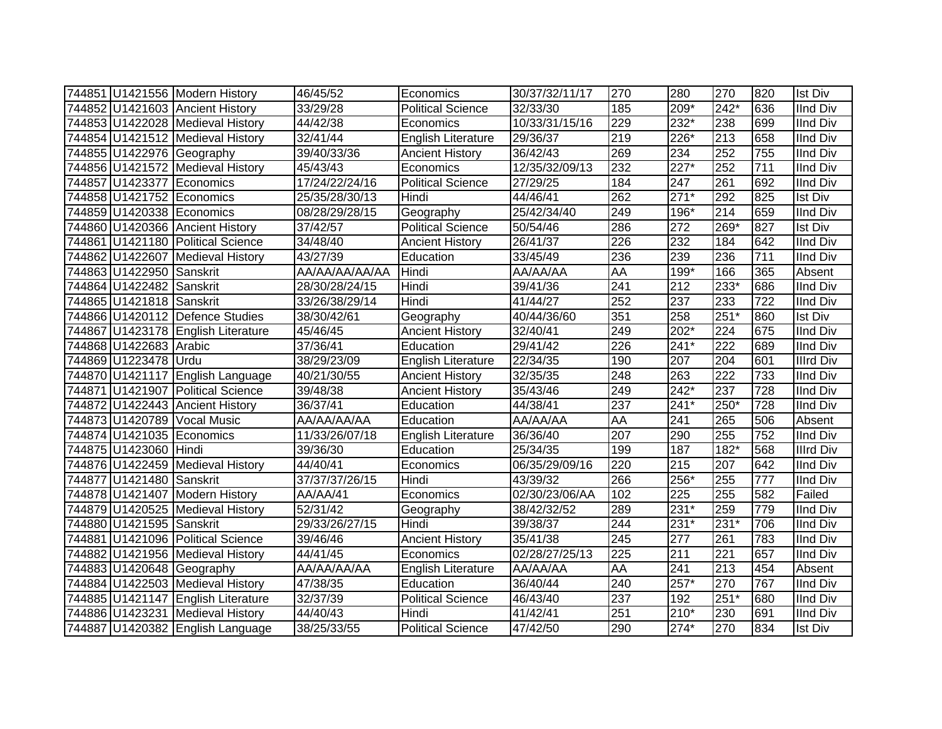|                          | 744851 U1421556 Modern History     | 46/45/52               | Economics                 | 30/37/32/11/17 | 270       | 280    | 270              | 820 | <b>Ist Div</b>   |
|--------------------------|------------------------------------|------------------------|---------------------------|----------------|-----------|--------|------------------|-----|------------------|
|                          | 744852 U1421603 Ancient History    | 33/29/28               | <b>Political Science</b>  | 32/33/30       | 185       | 209*   | $242*$           | 636 | <b>IInd Div</b>  |
|                          | 744853 U1422028 Medieval History   | 44/42/38               | Economics                 | 10/33/31/15/16 | 229       | $232*$ | 238              | 699 | <b>IInd Div</b>  |
|                          | 744854 U1421512 Medieval History   | 32/41/44               | <b>English Literature</b> | 29/36/37       | 219       | $226*$ | 213              | 658 | <b>IInd Div</b>  |
|                          | 744855 U1422976 Geography          | 39/40/33/36            | <b>Ancient History</b>    | 36/42/43       | 269       | 234    | 252              | 755 | IInd Div         |
|                          | 744856 U1421572 Medieval History   | 45/43/43               | Economics                 | 12/35/32/09/13 | 232       | $227*$ | 252              | 711 | <b>IInd Div</b>  |
|                          | 744857 U1423377 Economics          | 17/24/22/24/16         | <b>Political Science</b>  | 27/29/25       | 184       | 247    | 261              | 692 | <b>IInd Div</b>  |
|                          | 744858 U1421752 Economics          | 25/35/28/30/13         | Hindi                     | 44/46/41       | 262       | $271*$ | 292              | 825 | <b>Ist Div</b>   |
|                          | 744859 U1420338 Economics          | 08/28/29/28/15         | Geography                 | 25/42/34/40    | 249       | 196*   | 214              | 659 | <b>IInd Div</b>  |
|                          | 744860 U1420366 Ancient History    | 37/42/57               | <b>Political Science</b>  | 50/54/46       | 286       | 272    | 269*             | 827 | <b>Ist Div</b>   |
|                          | 744861 U1421180 Political Science  | $\frac{1}{34}{48}{40}$ | <b>Ancient History</b>    | 26/41/37       | 226       | 232    | 184              | 642 | <b>IInd Div</b>  |
|                          | 744862 U1422607 Medieval History   | 43/27/39               | Education                 | 33/45/49       | 236       | 239    | 236              | 711 | <b>IInd Div</b>  |
| 744863 U1422950 Sanskrit |                                    | AA/AA/AA/AA/AA         | Hindi                     | AA/AA/AA       | <b>AA</b> | 199*   | 166              | 365 | Absent           |
| 744864 U1422482 Sanskrit |                                    | 28/30/28/24/15         | Hindi                     | 39/41/36       | 241       | 212    | 233*             | 686 | <b>IInd Div</b>  |
| 744865 U1421818 Sanskrit |                                    | 33/26/38/29/14         | Hindi                     | 41/44/27       | 252       | 237    | 233              | 722 | <b>IInd Div</b>  |
|                          | 744866 U1420112 Defence Studies    | 38/30/42/61            | Geography                 | 40/44/36/60    | 351       | 258    | $251*$           | 860 | <b>Ist Div</b>   |
|                          | 744867 U1423178 English Literature | 45/46/45               | <b>Ancient History</b>    | 32/40/41       | 249       | 202*   | 224              | 675 | <b>IInd Div</b>  |
| 744868 U1422683 Arabic   |                                    | 37/36/41               | Education                 | 29/41/42       | 226       | $241*$ | $\overline{222}$ | 689 | <b>IInd Div</b>  |
| 744869 U1223478 Urdu     |                                    | 38/29/23/09            | English Literature        | 22/34/35       | 190       | 207    | 204              | 601 | <b>Illrd Div</b> |
|                          | 744870 U1421117 English Language   | 40/21/30/55            | <b>Ancient History</b>    | 32/35/35       | 248       | 263    | 222              | 733 | <b>IInd Div</b>  |
|                          | 744871 U1421907 Political Science  | 39/48/38               | <b>Ancient History</b>    | 35/43/46       | 249       | $242*$ | 237              | 728 | <b>IInd Div</b>  |
|                          | 744872 U1422443 Ancient History    | 36/37/41               | Education                 | 44/38/41       | 237       | $241*$ | $250*$           | 728 | <b>IInd Div</b>  |
|                          | 744873 U1420789 Vocal Music        | AA/AA/AA/AA            | Education                 | AA/AA/AA       | AA        | 241    | 265              | 506 | Absent           |
|                          | 744874 U1421035 Economics          | 11/33/26/07/18         | <b>English Literature</b> | 36/36/40       | 207       | 290    | 255              | 752 | <b>IInd Div</b>  |
| 744875 U1423060 Hindi    |                                    | 39/36/30               | Education                 | 25/34/35       | 199       | 187    | $182*$           | 568 | <b>Illrd Div</b> |
|                          | 744876 U1422459 Medieval History   | 44/40/41               | Economics                 | 06/35/29/09/16 | 220       | 215    | 207              | 642 | <b>IInd Div</b>  |
| 744877 U1421480 Sanskrit |                                    | 37/37/37/26/15         | Hindi                     | 43/39/32       | 266       | 256*   | 255              | 777 | <b>IInd Div</b>  |
|                          | 744878 U1421407 Modern History     | AA/AA/41               | Economics                 | 02/30/23/06/AA | 102       | 225    | 255              | 582 | Failed           |
|                          | 744879 U1420525 Medieval History   | 52/31/42               | Geography                 | 38/42/32/52    | 289       | $231*$ | 259              | 779 | <b>IInd Div</b>  |
| 744880 U1421595 Sanskrit |                                    | 29/33/26/27/15         | Hindi                     | 39/38/37       | 244       | $231*$ | $231*$           | 706 | <b>IInd Div</b>  |
|                          | 744881 U1421096 Political Science  | 39/46/46               | <b>Ancient History</b>    | 35/41/38       | 245       | 277    | 261              | 783 | <b>IInd Div</b>  |
|                          | 744882 U1421956 Medieval History   | 44/41/45               | Economics                 | 02/28/27/25/13 | 225       | 211    | 221              | 657 | <b>IInd Div</b>  |
|                          | 744883 U1420648 Geography          | AA/AA/AA/AA            | <b>English Literature</b> | AA/AA/AA       | <b>AA</b> | 241    | 213              | 454 | Absent           |
|                          | 744884 U1422503 Medieval History   | 47/38/35               | Education                 | 36/40/44       | 240       | $257*$ | 270              | 767 | <b>IInd Div</b>  |
|                          | 744885 U1421147 English Literature | 32/37/39               | <b>Political Science</b>  | 46/43/40       | 237       | 192    | $251*$           | 680 | <b>IInd Div</b>  |
|                          | 744886 U1423231 Medieval History   | 44/40/43               | Hindi                     | 41/42/41       | 251       | 210*   | 230              | 691 | <b>IInd Div</b>  |
|                          | 744887 U1420382 English Language   | 38/25/33/55            | <b>Political Science</b>  | 47/42/50       | 290       | 274*   | 270              | 834 | <b>Ist Div</b>   |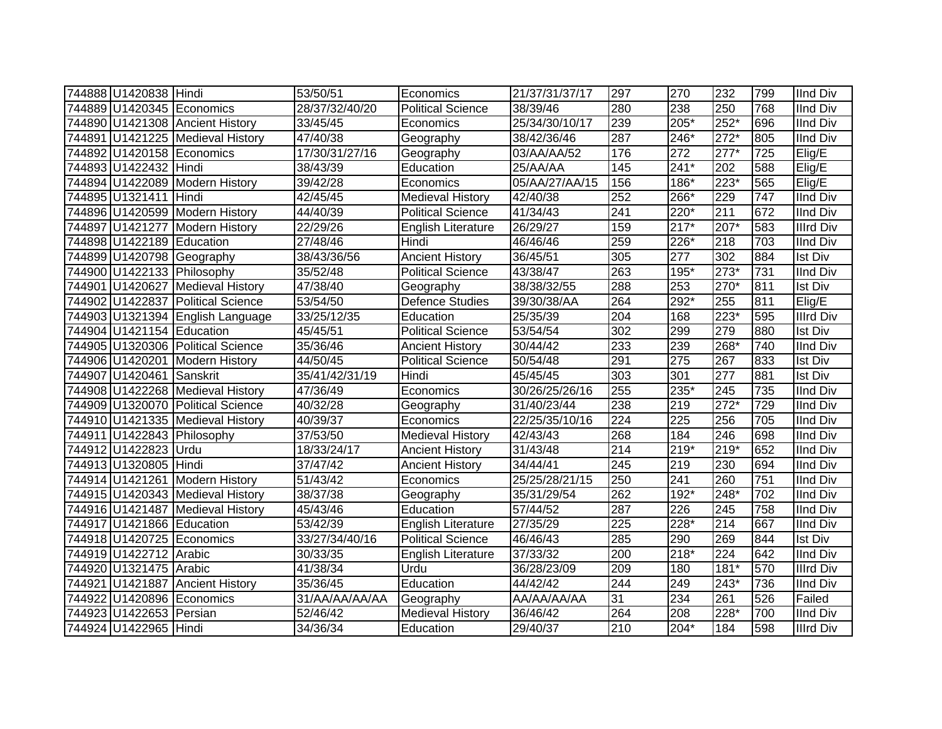| 744888 U1420838 Hindi     |                                   | 53/50/51       | Economics                | 21/37/31/37/17 | 297                  | 270              | 232    | 799              | <b>IInd Div</b>  |
|---------------------------|-----------------------------------|----------------|--------------------------|----------------|----------------------|------------------|--------|------------------|------------------|
|                           | 744889 U1420345 Economics         | 28/37/32/40/20 | <b>Political Science</b> | 38/39/46       | 280                  | 238              | 250    | 768              | <b>IInd Div</b>  |
|                           | 744890 U1421308 Ancient History   | 33/45/45       | Economics                | 25/34/30/10/17 | 239                  | 205*             | $252*$ | 696              | <b>IInd Div</b>  |
|                           | 744891 U1421225 Medieval History  | 47/40/38       | Geography                | 38/42/36/46    | 287                  | 246*             | $272*$ | 805              | <b>IInd Div</b>  |
|                           | 744892 U1420158 Economics         | 17/30/31/27/16 | Geography                | 03/AA/AA/52    | 176                  | $\overline{272}$ | $277*$ | 725              | Elig/E           |
| 744893 U1422432 Hindi     |                                   | 38/43/39       | Education                | 25/AA/AA       | 145                  | $241*$           | 202    | 588              | Elig/E           |
|                           | 744894 U1422089 Modern History    | 39/42/28       | Economics                | 05/AA/27/AA/15 | 156                  | 186*             | $223*$ | 565              | Elig/E           |
| 744895 U1321411           | Hindi                             | 42/45/45       | <b>Medieval History</b>  | 42/40/38       | 252                  | $266*$           | 229    | $\overline{747}$ | <b>IInd Div</b>  |
|                           | 744896 U1420599 Modern History    | 44/40/39       | <b>Political Science</b> | 41/34/43       | 241                  | 220*             | 211    | 672              | <b>IInd Div</b>  |
|                           | 744897 U1421277 Modern History    | 22/29/26       | English Literature       | 26/29/27       | 159                  | $217*$           | $207*$ | 583              | <b>Illrd Div</b> |
| 744898 U1422189 Education |                                   | 27/48/46       | Hindi                    | 46/46/46       | 259                  | 226*             | 218    | 703              | IInd Div         |
|                           | 744899 U1420798 Geography         | 38/43/36/56    | <b>Ancient History</b>   | 36/45/51       | 305                  | 277              | 302    | 884              | Ist Div          |
|                           | 744900 U1422133 Philosophy        | 35/52/48       | <b>Political Science</b> | 43/38/47       | 263                  | 195*             | 273*   | 731              | <b>IInd Div</b>  |
|                           | 744901 U1420627 Medieval History  | 47/38/40       | Geography                | 38/38/32/55    | 288                  | 253              | 270*   | 811              | <b>Ist Div</b>   |
|                           | 744902 U1422837 Political Science | 53/54/50       | <b>Defence Studies</b>   | 39/30/38/AA    | 264                  | 292*             | 255    | 811              | Elig/E           |
|                           | 744903 U1321394 English Language  | 33/25/12/35    | Education                | 25/35/39       | 204                  | 168              | 223*   | 595              | Illrd Div        |
| 744904 U1421154 Education |                                   | 45/45/51       | <b>Political Science</b> | 53/54/54       | 302                  | 299              | 279    | 880              | <b>Ist Div</b>   |
|                           | 744905 U1320306 Political Science | 35/36/46       | <b>Ancient History</b>   | 30/44/42       | 233                  | 239              | 268*   | 740              | IInd Div         |
|                           | 744906 U1420201 Modern History    | 44/50/45       | <b>Political Science</b> | 50/54/48       | 291                  | 275              | 267    | 833              | <b>Ist Div</b>   |
| 744907 U1420461 Sanskrit  |                                   | 35/41/42/31/19 | Hindi                    | 45/45/45       | 303                  | 301              | 277    | 881              | <b>Ist Div</b>   |
|                           | 744908 U1422268 Medieval History  | 47/36/49       | Economics                | 30/26/25/26/16 | 255                  | 235*             | 245    | 735              | <b>IInd Div</b>  |
|                           | 744909 U1320070 Political Science | 40/32/28       | Geography                | 31/40/23/44    | 238                  | 219              | $272*$ | 729              | <b>IInd Div</b>  |
|                           | 744910 U1421335 Medieval History  | 40/39/37       | Economics                | 22/25/35/10/16 | 224                  | 225              | 256    | 705              | <b>IInd Div</b>  |
|                           | 744911 U1422843 Philosophy        | 37/53/50       | Medieval History         | 42/43/43       | 268                  | 184              | 246    | 698              | <b>IInd Div</b>  |
| 744912 U1422823 Urdu      |                                   | 18/33/24/17    | <b>Ancient History</b>   | 31/43/48       | 214                  | 219*             | 219*   | 652              | <b>IInd Div</b>  |
| 744913 U1320805 Hindi     |                                   | 37/47/42       | <b>Ancient History</b>   | 34/44/41       | 245                  | 219              | 230    | 694              | <b>IInd Div</b>  |
|                           | 744914 U1421261 Modern History    | 51/43/42       | Economics                | 25/25/28/21/15 | 250                  | 241              | 260    | 751              | <b>IInd Div</b>  |
|                           | 744915 U1420343 Medieval History  | 38/37/38       | Geography                | 35/31/29/54    | 262                  | $192*$           | 248*   | 702              | <b>IInd Div</b>  |
|                           | 744916 U1421487 Medieval History  | 45/43/46       | Education                | 57/44/52       | 287                  | $\overline{226}$ | 245    | 758              | <b>IInd Div</b>  |
| 744917 U1421866 Education |                                   | 53/42/39       | English Literature       | 27/35/29       | 225                  | $228*$           | 214    | 667              | <b>IInd Div</b>  |
|                           | 744918 U1420725 Economics         | 33/27/34/40/16 | <b>Political Science</b> | 46/46/43       | 285                  | 290              | 269    | 844              | <b>Ist Div</b>   |
| 744919 U1422712 Arabic    |                                   | 30/33/35       | English Literature       | 37/33/32       | 200                  | 218*             | 224    | 642              | <b>IInd Div</b>  |
| 744920 U1321475 Arabic    |                                   | 41/38/34       | Urdu                     | 36/28/23/09    | 209                  | 180              | $181*$ | 570              | <b>Illrd Div</b> |
|                           | 744921 U1421887 Ancient History   | 35/36/45       | Education                | 44/42/42       | 244                  | 249              | 243*   | 736              | <b>IInd Div</b>  |
|                           | 744922 U1420896 Economics         | 31/AA/AA/AA/AA | Geography                | AA/AA/AA/AA    | $\overline{\text{}}$ | 234              | 261    | 526              | Failed           |
| 744923 U1422653           | Persian                           | 52/46/42       | <b>Medieval History</b>  | 36/46/42       | 264                  | 208              | 228*   | 700              | <b>IInd Div</b>  |
| 744924 U1422965 Hindi     |                                   | 34/36/34       | Education                | 29/40/37       | 210                  | $204*$           | 184    | 598              | <b>Illrd Div</b> |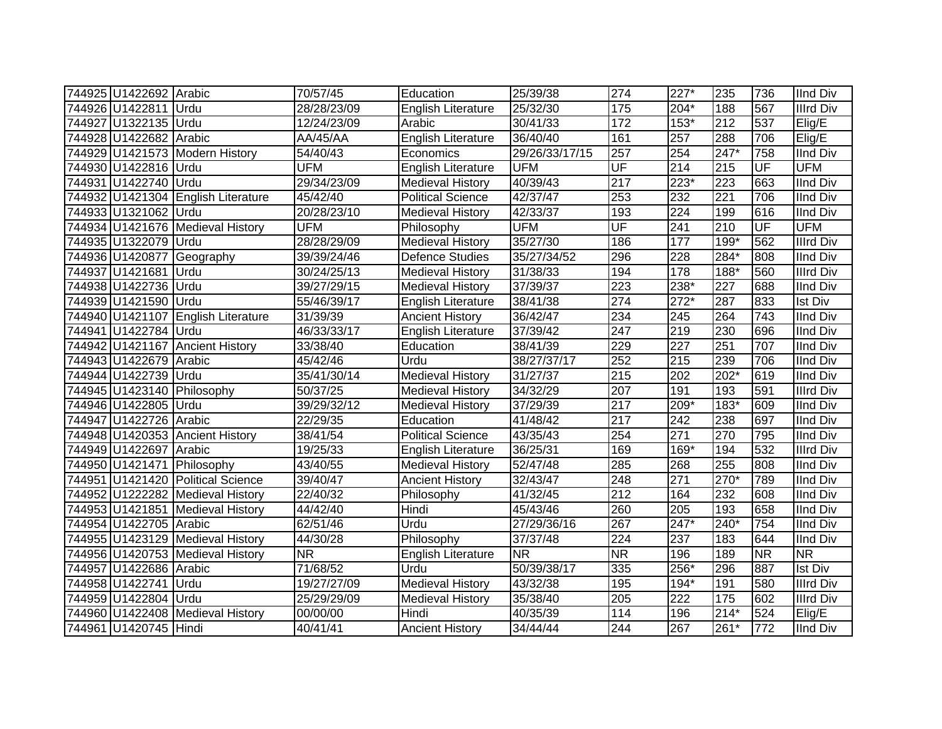| 744925 U1422692 Arabic     |                                    | 70/57/45        | Education                 | 25/39/38       | 274               | $227*$           | 235              | 736       | <b>IInd Div</b>  |
|----------------------------|------------------------------------|-----------------|---------------------------|----------------|-------------------|------------------|------------------|-----------|------------------|
| 744926 U1422811 Urdu       |                                    | 28/28/23/09     | English Literature        | 25/32/30       | $\frac{175}{175}$ | 204*             | 188              | 567       | <b>Illrd Div</b> |
| 744927 U1322135 Urdu       |                                    | 12/24/23/09     | Arabic                    | 30/41/33       | 172               | $153*$           | 212              | 537       | Elig/E           |
| 744928 U1422682 Arabic     |                                    | <b>AA/45/AA</b> | <b>English Literature</b> | 36/40/40       | 161               | 257              | 288              | 706       | Elig/E           |
|                            | 744929 U1421573 Modern History     | 54/40/43        | Economics                 | 29/26/33/17/15 | 257               | 254              | $247*$           | 758       | <b>IInd Div</b>  |
| 744930 U1422816 Urdu       |                                    | <b>UFM</b>      | <b>English Literature</b> | <b>UFM</b>     | UF                | 214              | $\overline{215}$ | UF        | <b>UFM</b>       |
| 744931 U1422740 Urdu       |                                    | 29/34/23/09     | <b>Medieval History</b>   | 40/39/43       | 217               | 223*             | 223              | 663       | <b>IInd Div</b>  |
|                            | 744932 U1421304 English Literature | 45/42/40        | <b>Political Science</b>  | 42/37/47       | 253               | 232              | $\overline{221}$ | 706       | <b>IInd Div</b>  |
| 744933 U1321062 Urdu       |                                    | 20/28/23/10     | <b>Medieval History</b>   | 42/33/37       | 193               | $\overline{224}$ | 199              | 616       | <b>IInd Div</b>  |
|                            | 744934 U1421676 Medieval History   | <b>UFM</b>      | Philosophy                | <b>UFM</b>     | UF                | 241              | 210              | UF        | <b>UFM</b>       |
| 744935 U1322079 Urdu       |                                    | 28/28/29/09     | <b>Medieval History</b>   | 35/27/30       | 186               | 177              | 199*             | 562       | <b>Illrd Div</b> |
|                            | 744936 U1420877 Geography          | 39/39/24/46     | <b>Defence Studies</b>    | 35/27/34/52    | 296               | 228              | 284*             | 808       | <b>IInd Div</b>  |
| 744937 U1421681            | <b>Urdu</b>                        | 30/24/25/13     | <b>Medieval History</b>   | 31/38/33       | 194               | 178              | 188*             | 560       | <b>Illrd Div</b> |
| 744938 U1422736            | Urdu                               | 39/27/29/15     | <b>Medieval History</b>   | 37/39/37       | 223               | 238*             | 227              | 688       | <b>IInd Div</b>  |
| 744939 U1421590            | Urdu                               | 55/46/39/17     | <b>English Literature</b> | 38/41/38       | 274               | $272*$           | 287              | 833       | <b>Ist Div</b>   |
| 744940 U1421107            | <b>English Literature</b>          | 31/39/39        | <b>Ancient History</b>    | 36/42/47       | 234               | 245              | 264              | 743       | <b>IInd Div</b>  |
| 744941 U1422784 Urdu       |                                    | 46/33/33/17     | <b>English Literature</b> | 37/39/42       | $\overline{247}$  | 219              | $\overline{230}$ | 696       | <b>IInd Div</b>  |
|                            | 744942 U1421167 Ancient History    | 33/38/40        | Education                 | 38/41/39       | 229               | 227              | 251              | 707       | <b>IInd Div</b>  |
| 744943 U1422679 Arabic     |                                    | 45/42/46        | Urdu                      | 38/27/37/17    | 252               | $\overline{215}$ | 239              | 706       | <b>IInd Div</b>  |
| 744944 U1422739 Urdu       |                                    | 35/41/30/14     | <b>Medieval History</b>   | 31/27/37       | $\overline{215}$  | 202              | $202*$           | 619       | <b>IInd Div</b>  |
| 744945 U1423140 Philosophy |                                    | 50/37/25        | <b>Medieval History</b>   | 34/32/29       | 207               | 191              | 193              | 591       | <b>Illrd Div</b> |
| 744946 U1422805 Urdu       |                                    | 39/29/32/12     | <b>Medieval History</b>   | 37/29/39       | $\overline{217}$  | 209*             | 183*             | 609       | <b>IInd Div</b>  |
| 744947 U1422726 Arabic     |                                    | 22/29/35        | Education                 | 41/48/42       | $\overline{217}$  | 242              | 238              | 697       | <b>IInd Div</b>  |
|                            | 744948 U1420353 Ancient History    | 38/41/54        | <b>Political Science</b>  | 43/35/43       | 254               | 271              | 270              | 795       | <b>IInd Div</b>  |
| 744949 U1422697 Arabic     |                                    | 19/25/33        | <b>English Literature</b> | 36/25/31       | 169               | 169*             | 194              | 532       | <b>Illrd Div</b> |
| 744950 U1421471 Philosophy |                                    | 43/40/55        | <b>Medieval History</b>   | 52/47/48       | 285               | 268              | 255              | 808       | <b>IInd Div</b>  |
|                            | 744951 U1421420 Political Science  | 39/40/47        | <b>Ancient History</b>    | 32/43/47       | 248               | 271              | $270*$           | 789       | <b>IInd Div</b>  |
|                            | 744952 U1222282 Medieval History   | 22/40/32        | Philosophy                | 41/32/45       | $\overline{212}$  | 164              | 232              | 608       | <b>IInd Div</b>  |
|                            | 744953 U1421851 Medieval History   | 44/42/40        | Hindi                     | 45/43/46       | 260               | 205              | 193              | 658       | <b>IInd Div</b>  |
| 744954 U1422705 Arabic     |                                    | 62/51/46        | Urdu                      | 27/29/36/16    | 267               | $247*$           | $240*$           | 754       | <b>IInd Div</b>  |
|                            | 744955 U1423129 Medieval History   | 44/30/28        | Philosophy                | 37/37/48       | $\overline{224}$  | 237              | 183              | 644       | <b>IInd Div</b>  |
|                            | 744956 U1420753 Medieval History   | <b>NR</b>       | <b>English Literature</b> | <b>NR</b>      | <b>NR</b>         | 196              | 189              | <b>NR</b> | <b>NR</b>        |
| 744957 U1422686 Arabic     |                                    | 71/68/52        | Urdu                      | 50/39/38/17    | 335               | 256*             | 296              | 887       | <b>Ist Div</b>   |
| 744958 U1422741            | Urdu                               | 19/27/27/09     | <b>Medieval History</b>   | 43/32/38       | 195               | 194*             | 191              | 580       | <b>Illrd Div</b> |
| 744959 U1422804 Urdu       |                                    | 25/29/29/09     | <b>Medieval History</b>   | 35/38/40       | 205               | 222              | 175              | 602       | <b>Illrd Div</b> |
|                            | 744960 U1422408 Medieval History   | 00/00/00        | Hindi                     | 40/35/39       | 114               | 196              | $214*$           | 524       | Elig/E           |
| 744961 U1420745 Hindi      |                                    | 40/41/41        | <b>Ancient History</b>    | 34/44/44       | 244               | 267              | $261*$           | 772       | <b>IInd Div</b>  |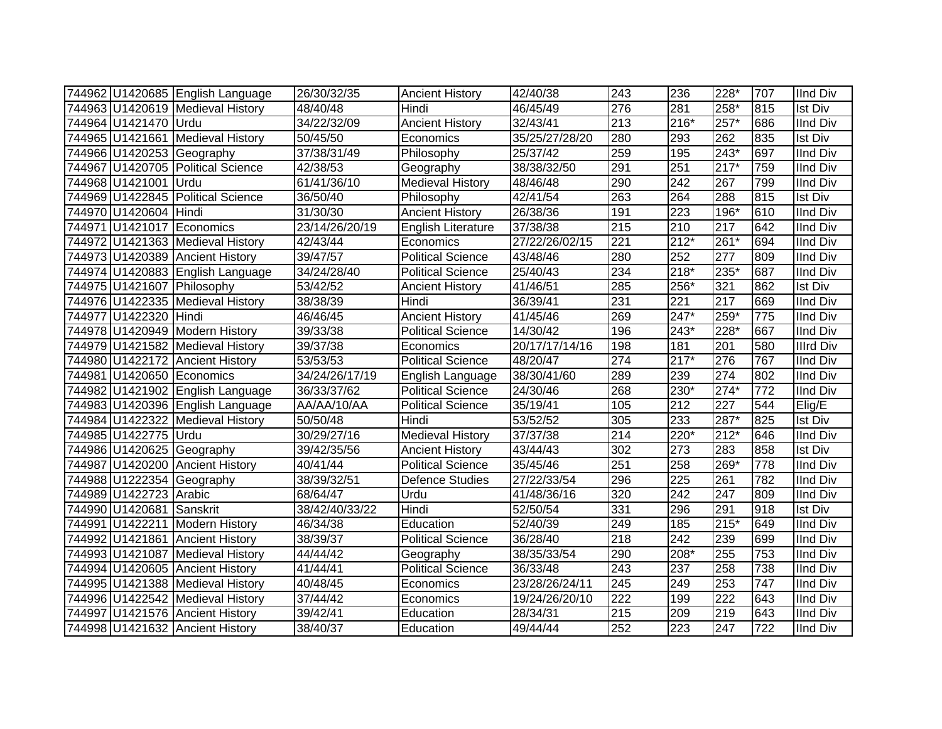|                          | 744962 U1420685 English Language  | 26/30/32/35    | <b>Ancient History</b>    | 42/40/38       | 243              | 236              | 228*             | 707 | <b>IInd Div</b>  |
|--------------------------|-----------------------------------|----------------|---------------------------|----------------|------------------|------------------|------------------|-----|------------------|
|                          | 744963 U1420619 Medieval History  | 48/40/48       | Hindi                     | 46/45/49       | 276              | 281              | 258*             | 815 | Ist Div          |
| 744964 U1421470 Urdu     |                                   | 34/22/32/09    | <b>Ancient History</b>    | 32/43/41       | $\overline{213}$ | $216*$           | $257*$           | 686 | <b>IInd Div</b>  |
|                          | 744965 U1421661 Medieval History  | 50/45/50       | Economics                 | 35/25/27/28/20 | 280              | 293              | 262              | 835 | <b>Ist Div</b>   |
|                          | 744966 U1420253 Geography         | 37/38/31/49    | Philosophy                | 25/37/42       | 259              | 195              | $243*$           | 697 | <b>IInd Div</b>  |
|                          | 744967 U1420705 Political Science | 42/38/53       | Geography                 | 38/38/32/50    | 291              | 251              | $217*$           | 759 | <b>IInd Div</b>  |
| 744968 U1421001 Urdu     |                                   | 61/41/36/10    | <b>Medieval History</b>   | 48/46/48       | 290              | 242              | 267              | 799 | <b>IInd Div</b>  |
|                          | 744969 U1422845 Political Science | 36/50/40       | Philosophy                | 42/41/54       | 263              | 264              | 288              | 815 | <b>Ist Div</b>   |
| 744970 U1420604 Hindi    |                                   | 31/30/30       | <b>Ancient History</b>    | 26/38/36       | 191              | 223              | $196*$           | 610 | <b>IInd Div</b>  |
|                          | 744971 U1421017 Economics         | 23/14/26/20/19 | <b>English Literature</b> | 37/38/38       | 215              | 210              | 217              | 642 | <b>IInd Div</b>  |
|                          | 744972 U1421363 Medieval History  | 42/43/44       | Economics                 | 27/22/26/02/15 | 221              | $212*$           | 261*             | 694 | <b>IInd Div</b>  |
|                          | 744973 U1420389 Ancient History   | 39/47/57       | <b>Political Science</b>  | 43/48/46       | 280              | 252              | $\overline{277}$ | 809 | <b>IInd Div</b>  |
|                          | 744974 U1420883 English Language  | 34/24/28/40    | <b>Political Science</b>  | 25/40/43       | 234              | $218*$           | $235*$           | 687 | <b>IInd Div</b>  |
|                          | 744975 U1421607 Philosophy        | 53/42/52       | <b>Ancient History</b>    | 41/46/51       | 285              | 256*             | 321              | 862 | <b>Ist Div</b>   |
|                          | 744976 U1422335 Medieval History  | 38/38/39       | Hindi                     | 36/39/41       | 231              | 221              | $\overline{217}$ | 669 | <b>IInd Div</b>  |
| 744977 U1422320          | Hindi                             | 46/46/45       | <b>Ancient History</b>    | 41/45/46       | 269              | 247*             | 259*             | 775 | <b>IInd Div</b>  |
|                          | 744978 U1420949 Modern History    | 39/33/38       | Political Science         | 14/30/42       | 196              | $243*$           | 228*             | 667 | <b>IInd Div</b>  |
|                          | 744979 U1421582 Medieval History  | 39/37/38       | Economics                 | 20/17/17/14/16 | 198              | 181              | 201              | 580 | <b>Illrd Div</b> |
|                          | 744980 U1422172 Ancient History   | 53/53/53       | <b>Political Science</b>  | 48/20/47       | 274              | $217*$           | 276              | 767 | <b>IInd Div</b>  |
|                          | 744981 U1420650 Economics         | 34/24/26/17/19 | English Language          | 38/30/41/60    | 289              | 239              | 274              | 802 | <b>IInd Div</b>  |
|                          | 744982 U1421902 English Language  | 36/33/37/62    | <b>Political Science</b>  | 24/30/46       | 268              | 230*             | $274*$           | 772 | <b>IInd Div</b>  |
|                          | 744983 U1420396 English Language  | AA/AA/10/AA    | <b>Political Science</b>  | 35/19/41       | 105              | 212              | $\overline{227}$ | 544 | Elig/E           |
|                          | 744984 U1422322 Medieval History  | 50/50/48       | Hindi                     | 53/52/52       | 305              | 233              | 287*             | 825 | Ist Div          |
| 744985 U1422775 Urdu     |                                   | 30/29/27/16    | <b>Medieval History</b>   | 37/37/38       | 214              | 220*             | $212*$           | 646 | <b>IInd Div</b>  |
|                          | 744986 U1420625 Geography         | 39/42/35/56    | <b>Ancient History</b>    | 43/44/43       | 302              | 273              | 283              | 858 | <b>Ist Div</b>   |
|                          | 744987 U1420200 Ancient History   | 40/41/44       | <b>Political Science</b>  | 35/45/46       | 251              | 258              | 269*             | 778 | <b>IInd Div</b>  |
|                          | 744988 U1222354 Geography         | 38/39/32/51    | <b>Defence Studies</b>    | 27/22/33/54    | 296              | 225              | 261              | 782 | <b>IInd Div</b>  |
| 744989 U1422723 Arabic   |                                   | 68/64/47       | Urdu                      | 41/48/36/16    | 320              | 242              | 247              | 809 | <b>IInd Div</b>  |
| 744990 U1420681 Sanskrit |                                   | 38/42/40/33/22 | Hindi                     | 52/50/54       | 331              | 296              | 291              | 918 | <b>Ist Div</b>   |
|                          | 744991 U1422211 Modern History    | 46/34/38       | Education                 | 52/40/39       | 249              | 185              | $215*$           | 649 | <b>IInd Div</b>  |
|                          | 744992 U1421861 Ancient History   | 38/39/37       | <b>Political Science</b>  | 36/28/40       | 218              | $\overline{242}$ | 239              | 699 | <b>IInd Div</b>  |
|                          | 744993 U1421087 Medieval History  | 44/44/42       | Geography                 | 38/35/33/54    | 290              | 208*             | 255              | 753 | <b>IInd Div</b>  |
|                          | 744994 U1420605 Ancient History   | 41/44/41       | Political Science         | 36/33/48       | $\overline{243}$ | 237              | 258              | 738 | <b>IInd Div</b>  |
|                          | 744995 U1421388 Medieval History  | 40/48/45       | Economics                 | 23/28/26/24/11 | 245              | 249              | 253              | 747 | <b>IInd Div</b>  |
|                          | 744996 U1422542 Medieval History  | 37/44/42       | Economics                 | 19/24/26/20/10 | $\overline{222}$ | 199              | 222              | 643 | <b>IInd Div</b>  |
|                          | 744997 U1421576 Ancient History   | 39/42/41       | Education                 | 28/34/31       | $\overline{215}$ | 209              | 219              | 643 | <b>IInd Div</b>  |
|                          | 744998 U1421632 Ancient History   | 38/40/37       | Education                 | 49/44/44       | 252              | 223              | 247              | 722 | <b>IInd Div</b>  |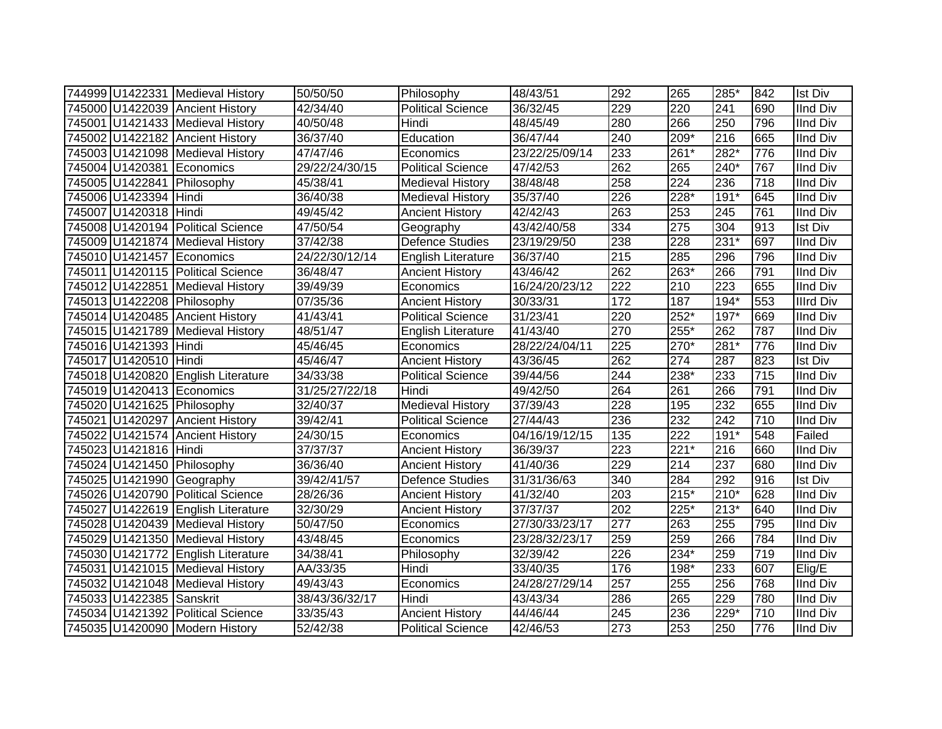|                          | 744999 U1422331 Medieval History   | 50/50/50       | Philosophy                | 48/43/51       | 292              | 265              | 285*             | 842 | <b>Ist Div</b>   |
|--------------------------|------------------------------------|----------------|---------------------------|----------------|------------------|------------------|------------------|-----|------------------|
|                          | 745000 U1422039 Ancient History    | 42/34/40       | <b>Political Science</b>  | 36/32/45       | 229              | 220              | 241              | 690 | <b>IInd Div</b>  |
|                          | 745001 U1421433 Medieval History   | 40/50/48       | Hindi                     | 48/45/49       | 280              | 266              | 250              | 796 | <b>IInd Div</b>  |
|                          | 745002 U1422182 Ancient History    | 36/37/40       | Education                 | 36/47/44       | 240              | 209*             | 216              | 665 | <b>IInd Div</b>  |
|                          | 745003 U1421098 Medieval History   | 47/47/46       | Economics                 | 23/22/25/09/14 | 233              | 261*             | $282*$           | 776 | <b>IInd Div</b>  |
|                          | 745004 U1420381 Economics          | 29/22/24/30/15 | <b>Political Science</b>  | 47/42/53       | 262              | 265              | $240*$           | 767 | <b>IInd Div</b>  |
|                          | 745005 U1422841 Philosophy         | 45/38/41       | <b>Medieval History</b>   | 38/48/48       | 258              | 224              | 236              | 718 | <b>IInd Div</b>  |
| 745006 U1423394 Hindi    |                                    | 36/40/38       | <b>Medieval History</b>   | 35/37/40       | 226              | 228*             | $191*$           | 645 | <b>IInd Div</b>  |
| 745007 U1420318 Hindi    |                                    | 49/45/42       | <b>Ancient History</b>    | 42/42/43       | 263              | 253              | 245              | 761 | <b>IInd Div</b>  |
|                          | 745008 U1420194 Political Science  | 47/50/54       | Geography                 | 43/42/40/58    | 334              | 275              | 304              | 913 | <b>Ist Div</b>   |
|                          | 745009 U1421874 Medieval History   | 37/42/38       | <b>Defence Studies</b>    | 23/19/29/50    | 238              | 228              | $231*$           | 697 | <b>IInd Div</b>  |
|                          | 745010 U1421457 Economics          | 24/22/30/12/14 | English Literature        | 36/37/40       | 215              | 285              | 296              | 796 | <b>IInd Div</b>  |
|                          | 745011 U1420115 Political Science  | 36/48/47       | <b>Ancient History</b>    | 43/46/42       | 262              | 263*             | 266              | 791 | <b>IInd Div</b>  |
|                          | 745012 U1422851 Medieval History   | 39/49/39       | Economics                 | 16/24/20/23/12 | 222              | 210              | 223              | 655 | <b>IInd Div</b>  |
|                          | 745013 U1422208 Philosophy         | 07/35/36       | <b>Ancient History</b>    | 30/33/31       | 172              | 187              | 194*             | 553 | <b>Illrd Div</b> |
|                          | 745014 U1420485 Ancient History    | 41/43/41       | <b>Political Science</b>  | 31/23/41       | 220              | 252*             | 197*             | 669 | <b>IInd Div</b>  |
|                          | 745015 U1421789 Medieval History   | 48/51/47       | <b>English Literature</b> | 41/43/40       | 270              | 255*             | 262              | 787 | <b>IInd Div</b>  |
| 745016 U1421393 Hindi    |                                    | 45/46/45       | Economics                 | 28/22/24/04/11 | 225              | 270*             | 281*             | 776 | <b>IInd Div</b>  |
| 745017 U1420510 Hindi    |                                    | 45/46/47       | <b>Ancient History</b>    | 43/36/45       | 262              | 274              | 287              | 823 | <b>Ist Div</b>   |
|                          | 745018 U1420820 English Literature | 34/33/38       | <b>Political Science</b>  | 39/44/56       | 244              | 238*             | 233              | 715 | <b>IInd Div</b>  |
|                          | 745019 U1420413 Economics          | 31/25/27/22/18 | Hindi                     | 49/42/50       | 264              | 261              | 266              | 791 | <b>IInd Div</b>  |
|                          | 745020 U1421625 Philosophy         | 32/40/37       | <b>Medieval History</b>   | 37/39/43       | $\overline{228}$ | 195              | 232              | 655 | <b>IInd Div</b>  |
|                          | 745021 U1420297 Ancient History    | 39/42/41       | <b>Political Science</b>  | 27/44/43       | 236              | 232              | $\overline{242}$ | 710 | <b>IInd Div</b>  |
|                          | 745022 U1421574 Ancient History    | 24/30/15       | Economics                 | 04/16/19/12/15 | 135              | $\overline{222}$ | $191*$           | 548 | Failed           |
| 745023 U1421816 Hindi    |                                    | 37/37/37       | <b>Ancient History</b>    | 36/39/37       | 223              | $221*$           | 216              | 660 | <b>IInd Div</b>  |
|                          | 745024 U1421450 Philosophy         | 36/36/40       | <b>Ancient History</b>    | 41/40/36       | 229              | 214              | 237              | 680 | <b>IInd Div</b>  |
|                          | 745025 U1421990 Geography          | 39/42/41/57    | Defence Studies           | 31/31/36/63    | 340              | 284              | 292              | 916 | <b>Ist Div</b>   |
|                          | 745026 U1420790 Political Science  | 28/26/36       | <b>Ancient History</b>    | 41/32/40       | 203              | 215*             | $210*$           | 628 | <b>IInd Div</b>  |
|                          | 745027 U1422619 English Literature | 32/30/29       | <b>Ancient History</b>    | 37/37/37       | 202              | 225*             | $213*$           | 640 | <b>IInd Div</b>  |
|                          | 745028 U1420439 Medieval History   | 50/47/50       | Economics                 | 27/30/33/23/17 | 277              | 263              | 255              | 795 | <b>IInd Div</b>  |
|                          | 745029 U1421350 Medieval History   | 43/48/45       | Economics                 | 23/28/32/23/17 | 259              | 259              | 266              | 784 | <b>IInd Div</b>  |
|                          | 745030 U1421772 English Literature | 34/38/41       | Philosophy                | 32/39/42       | 226              | 234*             | 259              | 719 | <b>IInd Div</b>  |
|                          | 745031 U1421015 Medieval History   | AA/33/35       | Hindi                     | 33/40/35       | 176              | 198*             | 233              | 607 | Elig/E           |
|                          | 745032 U1421048 Medieval History   | 49/43/43       | Economics                 | 24/28/27/29/14 | 257              | 255              | 256              | 768 | <b>IInd Div</b>  |
| 745033 U1422385 Sanskrit |                                    | 38/43/36/32/17 | Hindi                     | 43/43/34       | 286              | 265              | 229              | 780 | <b>IInd Div</b>  |
|                          | 745034 U1421392 Political Science  | 33/35/43       | <b>Ancient History</b>    | 44/46/44       | 245              | 236              | 229*             | 710 | <b>IInd Div</b>  |
|                          | 745035 U1420090 Modern History     | 52/42/38       | <b>Political Science</b>  | 42/46/53       | 273              | 253              | 250              | 776 | <b>IInd Div</b>  |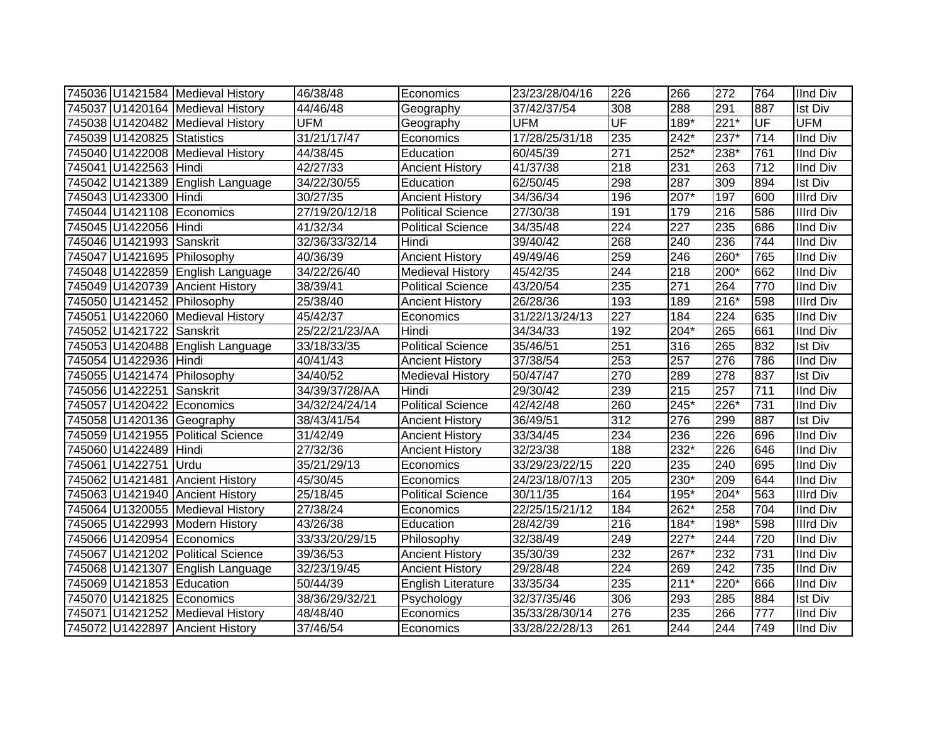|                            | 745036 U1421584 Medieval History  | 46/38/48       | Economics                | 23/23/28/04/16 | 226              | 266    | 272    | 764 | <b>IInd Div</b>  |
|----------------------------|-----------------------------------|----------------|--------------------------|----------------|------------------|--------|--------|-----|------------------|
|                            | 745037 U1420164 Medieval History  | 44/46/48       | Geography                | 37/42/37/54    | 308              | 288    | 291    | 887 | Ist Div          |
|                            | 745038 U1420482 Medieval History  | <b>UFM</b>     | Geography                | <b>UFM</b>     | UF               | $189*$ | $221*$ | UF  | <b>UFM</b>       |
| 745039 U1420825 Statistics |                                   | 31/21/17/47    | Economics                | 17/28/25/31/18 | 235              | $242*$ | $237*$ | 714 | <b>IInd Div</b>  |
|                            | 745040 U1422008 Medieval History  | 44/38/45       | Education                | 60/45/39       | 271              | $252*$ | $238*$ | 761 | <b>IInd Div</b>  |
| 745041 U1422563 Hindi      |                                   | 42/27/33       | <b>Ancient History</b>   | 41/37/38       | 218              | 231    | 263    | 712 | <b>IInd Div</b>  |
|                            | 745042 U1421389 English Language  | 34/22/30/55    | Education                | 62/50/45       | 298              | 287    | 309    | 894 | <b>Ist Div</b>   |
| 745043 U1423300 Hindi      |                                   | 30/27/35       | <b>Ancient History</b>   | 34/36/34       | 196              | 207*   | 197    | 600 | <b>Illrd Div</b> |
|                            | 745044 U1421108 Economics         | 27/19/20/12/18 | <b>Political Science</b> | 27/30/38       | 191              | 179    | 216    | 586 | <b>Illrd Div</b> |
| 745045 U1422056 Hindi      |                                   | 41/32/34       | <b>Political Science</b> | 34/35/48       | 224              | 227    | 235    | 686 | <b>IInd Div</b>  |
| 745046 U1421993 Sanskrit   |                                   | 32/36/33/32/14 | Hindi                    | 39/40/42       | 268              | 240    | 236    | 744 | <b>IInd Div</b>  |
|                            | 745047 U1421695 Philosophy        | 40/36/39       | <b>Ancient History</b>   | 49/49/46       | 259              | 246    | $260*$ | 765 | <b>IInd Div</b>  |
|                            | 745048 U1422859 English Language  | 34/22/26/40    | <b>Medieval History</b>  | 45/42/35       | 244              | 218    | 200*   | 662 | <b>IInd Div</b>  |
|                            | 745049 U1420739 Ancient History   | 38/39/41       | <b>Political Science</b> | 43/20/54       | 235              | 271    | 264    | 770 | <b>IInd Div</b>  |
|                            | 745050 U1421452 Philosophy        | 25/38/40       | <b>Ancient History</b>   | 26/28/36       | 193              | 189    | $216*$ | 598 | <b>Illrd Div</b> |
|                            | 745051 U1422060 Medieval History  | 45/42/37       | Economics                | 31/22/13/24/13 | 227              | 184    | 224    | 635 | <b>IInd Div</b>  |
| 745052 U1421722 Sanskrit   |                                   | 25/22/21/23/AA | Hindi                    | 34/34/33       | 192              | $204*$ | 265    | 661 | <b>IInd Div</b>  |
|                            | 745053 U1420488 English Language  | 33/18/33/35    | <b>Political Science</b> | 35/46/51       | 251              | 316    | 265    | 832 | <b>Ist Div</b>   |
| 745054 U1422936 Hindi      |                                   | 40/41/43       | <b>Ancient History</b>   | 37/38/54       | 253              | 257    | 276    | 786 | <b>IInd Div</b>  |
|                            | 745055 U1421474 Philosophy        | 34/40/52       | <b>Medieval History</b>  | 50/47/47       | 270              | 289    | 278    | 837 | <b>Ist Div</b>   |
| 745056 U1422251 Sanskrit   |                                   | 34/39/37/28/AA | Hindi                    | 29/30/42       | 239              | 215    | 257    | 711 | <b>IInd Div</b>  |
|                            | 745057 U1420422 Economics         | 34/32/24/24/14 | Political Science        | 42/42/48       | 260              | $245*$ | 226*   | 731 | <b>IInd Div</b>  |
|                            | 745058 U1420136 Geography         | 38/43/41/54    | <b>Ancient History</b>   | 36/49/51       | 312              | 276    | 299    | 887 | <b>Ist Div</b>   |
|                            | 745059 U1421955 Political Science | 31/42/49       | <b>Ancient History</b>   | 33/34/45       | 234              | 236    | 226    | 696 | <b>IInd Div</b>  |
| 745060 U1422489 Hindi      |                                   | 27/32/36       | <b>Ancient History</b>   | 32/23/38       | 188              | 232*   | 226    | 646 | <b>IInd Div</b>  |
| 745061 U1422751 Urdu       |                                   | 35/21/29/13    | Economics                | 33/29/23/22/15 | 220              | 235    | 240    | 695 | <b>IInd Div</b>  |
|                            | 745062 U1421481 Ancient History   | 45/30/45       | Economics                | 24/23/18/07/13 | 205              | 230*   | 209    | 644 | <b>IInd Div</b>  |
|                            | 745063 U1421940 Ancient History   | 25/18/45       | <b>Political Science</b> | 30/11/35       | 164              | 195*   | $204*$ | 563 | <b>Illrd Div</b> |
|                            | 745064 U1320055 Medieval History  | 27/38/24       | Economics                | 22/25/15/21/12 | 184              | 262*   | 258    | 704 | <b>IInd Div</b>  |
|                            | 745065 U1422993 Modern History    | 43/26/38       | Education                | 28/42/39       | $\overline{216}$ | 184*   | $198*$ | 598 | <b>Illrd Div</b> |
|                            | 745066 U1420954 Economics         | 33/33/20/29/15 | Philosophy               | 32/38/49       | 249              | $227*$ | 244    | 720 | <b>IInd Div</b>  |
|                            | 745067 U1421202 Political Science | 39/36/53       | <b>Ancient History</b>   | 35/30/39       | 232              | 267*   | 232    | 731 | <b>IInd Div</b>  |
|                            | 745068 U1421307 English Language  | 32/23/19/45    | Ancient History          | 29/28/48       | $\overline{224}$ | 269    | 242    | 735 | <b>IInd Div</b>  |
| 745069 U1421853 Education  |                                   | 50/44/39       | English Literature       | 33/35/34       | 235              | $211*$ | 220*   | 666 | <b>IInd Div</b>  |
|                            | 745070 U1421825 Economics         | 38/36/29/32/21 | Psychology               | 32/37/35/46    | 306              | 293    | 285    | 884 | Ist Div          |
|                            | 745071 U1421252 Medieval History  | 48/48/40       | Economics                | 35/33/28/30/14 | 276              | 235    | 266    | 777 | <b>IInd Div</b>  |
|                            | 745072 U1422897 Ancient History   | 37/46/54       | Economics                | 33/28/22/28/13 | 261              | 244    | 244    | 749 | <b>IInd Div</b>  |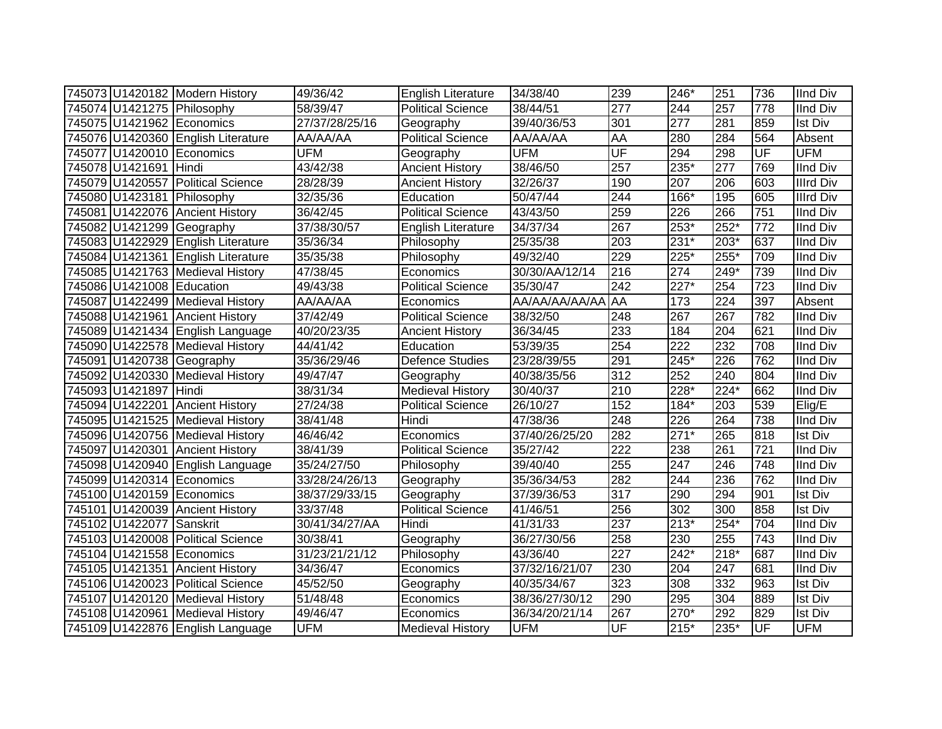|                           | 745073 U1420182 Modern History     | 49/36/42       | <b>English Literature</b> | 34/38/40       | 239       | 246*   | 251              | 736 | <b>IInd Div</b>  |
|---------------------------|------------------------------------|----------------|---------------------------|----------------|-----------|--------|------------------|-----|------------------|
|                           | 745074 U1421275 Philosophy         | 58/39/47       | <b>Political Science</b>  | 38/44/51       | 277       | 244    | 257              | 778 | <b>IInd Div</b>  |
|                           | 745075 U1421962 Economics          | 27/37/28/25/16 | Geography                 | 39/40/36/53    | 301       | 277    | 281              | 859 | <b>Ist Div</b>   |
|                           | 745076 U1420360 English Literature | AA/AA/AA       | <b>Political Science</b>  | AA/AA/AA       | <b>AA</b> | 280    | 284              | 564 | Absent           |
|                           | 745077 U1420010 Economics          | <b>UFM</b>     | Geography                 | <b>UFM</b>     | UF        | 294    | 298              | UF  | <b>UFM</b>       |
| 745078 U1421691 Hindi     |                                    | 43/42/38       | <b>Ancient History</b>    | 38/46/50       | 257       | 235*   | $\overline{277}$ | 769 | <b>IInd Div</b>  |
|                           | 745079 U1420557 Political Science  | 28/28/39       | <b>Ancient History</b>    | 32/26/37       | 190       | 207    | 206              | 603 | <b>Illrd Div</b> |
|                           | 745080 U1423181 Philosophy         | 32/35/36       | Education                 | 50/47/44       | 244       | 166*   | 195              | 605 | <b>Illrd Div</b> |
|                           | 745081 U1422076 Ancient History    | 36/42/45       | <b>Political Science</b>  | 43/43/50       | 259       | 226    | 266              | 751 | <b>IInd Div</b>  |
|                           | 745082 U1421299 Geography          | 37/38/30/57    | English Literature        | 34/37/34       | 267       | 253*   | 252*             | 772 | <b>IInd Div</b>  |
|                           | 745083 U1422929 English Literature | 35/36/34       | Philosophy                | 25/35/38       | 203       | 231*   | 203*             | 637 | <b>IInd Div</b>  |
|                           | 745084 U1421361 English Literature | 35/35/38       | Philosophy                | 49/32/40       | 229       | 225*   | $255*$           | 709 | <b>IInd Div</b>  |
|                           | 745085 U1421763 Medieval History   | 47/38/45       | Economics                 | 30/30/AA/12/14 | 216       | 274    | 249*             | 739 | <b>IInd Div</b>  |
| 745086 U1421008 Education |                                    | 49/43/38       | <b>Political Science</b>  | 35/30/47       | 242       | 227*   | 254              | 723 | <b>IInd Div</b>  |
|                           | 745087 U1422499 Medieval History   | AA/AA/AA       | Economics                 | AA/AA/AA/AA/AA | <b>AA</b> | 173    | 224              | 397 | Absent           |
|                           | 745088 U1421961 Ancient History    | 37/42/49       | <b>Political Science</b>  | 38/32/50       | 248       | 267    | 267              | 782 | <b>IInd Div</b>  |
|                           | 745089 U1421434 English Language   | 40/20/23/35    | <b>Ancient History</b>    | 36/34/45       | 233       | 184    | 204              | 621 | <b>IInd Div</b>  |
|                           | 745090 U1422578 Medieval History   | 44/41/42       | Education                 | 53/39/35       | 254       | 222    | 232              | 708 | <b>IInd Div</b>  |
|                           | 745091 U1420738 Geography          | 35/36/29/46    | <b>Defence Studies</b>    | 23/28/39/55    | 291       | 245*   | 226              | 762 | <b>IInd Div</b>  |
|                           | 745092 U1420330 Medieval History   | 49/47/47       | Geography                 | 40/38/35/56    | 312       | 252    | 240              | 804 | <b>IInd Div</b>  |
| 745093 U1421897 Hindi     |                                    | 38/31/34       | <b>Medieval History</b>   | 30/40/37       | 210       | 228*   | $224*$           | 662 | <b>IInd Div</b>  |
|                           | 745094 U1422201 Ancient History    | 27/24/38       | <b>Political Science</b>  | 26/10/27       | 152       | 184*   | 203              | 539 | Elig/E           |
|                           | 745095 U1421525 Medieval History   | 38/41/48       | Hindi                     | 47/38/36       | 248       | 226    | 264              | 738 | <b>IInd Div</b>  |
|                           | 745096 U1420756 Medieval History   | 46/46/42       | Economics                 | 37/40/26/25/20 | 282       | $271*$ | 265              | 818 | Ist Div          |
|                           | 745097 U1420301 Ancient History    | 38/41/39       | <b>Political Science</b>  | 35/27/42       | 222       | 238    | 261              | 721 | <b>IInd Div</b>  |
|                           | 745098 U1420940 English Language   | 35/24/27/50    | Philosophy                | 39/40/40       | 255       | 247    | 246              | 748 | <b>IInd Div</b>  |
|                           | 745099 U1420314 Economics          | 33/28/24/26/13 | Geography                 | 35/36/34/53    | 282       | 244    | 236              | 762 | <b>IInd Div</b>  |
|                           | 745100 U1420159 Economics          | 38/37/29/33/15 | Geography                 | 37/39/36/53    | 317       | 290    | 294              | 901 | <b>Ist Div</b>   |
|                           | 745101 U1420039 Ancient History    | 33/37/48       | <b>Political Science</b>  | 41/46/51       | 256       | 302    | 300              | 858 | <b>Ist Div</b>   |
| 745102 U1422077 Sanskrit  |                                    | 30/41/34/27/AA | Hindi                     | 41/31/33       | 237       | $213*$ | 254*             | 704 | <b>IInd Div</b>  |
|                           | 745103 U1420008 Political Science  | 30/38/41       | Geography                 | 36/27/30/56    | 258       | 230    | 255              | 743 | <b>IInd Div</b>  |
|                           | 745104 U1421558 Economics          | 31/23/21/21/12 | Philosophy                | 43/36/40       | 227       | $242*$ | $218*$           | 687 | <b>IInd Div</b>  |
|                           | 745105 U1421351 Ancient History    | 34/36/47       | Economics                 | 37/32/16/21/07 | 230       | 204    | 247              | 681 | <b>IInd Div</b>  |
|                           | 745106 U1420023 Political Science  | 45/52/50       | Geography                 | 40/35/34/67    | 323       | 308    | 332              | 963 | Ist Div          |
|                           | 745107 U1420120 Medieval History   | 51/48/48       | Economics                 | 38/36/27/30/12 | 290       | 295    | 304              | 889 | <b>Ist Div</b>   |
|                           | 745108 U1420961 Medieval History   | 49/46/47       | Economics                 | 36/34/20/21/14 | 267       | 270*   | 292              | 829 | <b>Ist Div</b>   |
|                           | 745109 U1422876 English Language   | <b>UFM</b>     | <b>Medieval History</b>   | <b>UFM</b>     | UF        | 215*   | 235*             | UF  | <b>UFM</b>       |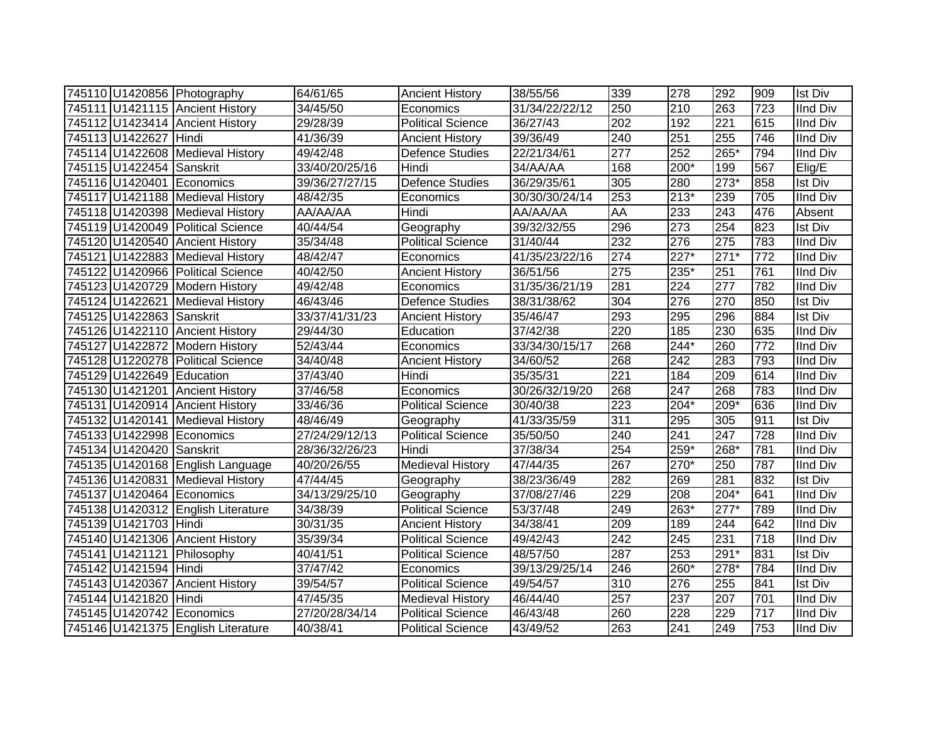|                           | 745110 U1420856 Photography        | 64/61/65       | <b>Ancient History</b>   | 38/55/56       | 339              | 278    | 292    | 909 | <b>Ist Div</b>  |
|---------------------------|------------------------------------|----------------|--------------------------|----------------|------------------|--------|--------|-----|-----------------|
|                           | 745111 U1421115 Ancient History    | 34/45/50       | Economics                | 31/34/22/22/12 | 250              | 210    | 263    | 723 | <b>IInd Div</b> |
|                           | 745112 U1423414 Ancient History    | 29/28/39       | <b>Political Science</b> | 36/27/43       | 202              | 192    | 221    | 615 | <b>IInd Div</b> |
| 745113 U1422627 Hindi     |                                    | 41/36/39       | <b>Ancient History</b>   | 39/36/49       | 240              | 251    | 255    | 746 | <b>IInd Div</b> |
|                           | 745114 U1422608 Medieval History   | 49/42/48       | Defence Studies          | 22/21/34/61    | $\overline{277}$ | 252    | $265*$ | 794 | <b>IInd Div</b> |
| 745115 U1422454 Sanskrit  |                                    | 33/40/20/25/16 | Hindi                    | 34/AA/AA       | 168              | 200*   | 199    | 567 | Elig/E          |
| 745116 U1420401 Economics |                                    | 39/36/27/27/15 | <b>Defence Studies</b>   | 36/29/35/61    | 305              | 280    | 273*   | 858 | <b>Ist Div</b>  |
|                           | 745117 U1421188 Medieval History   | 48/42/35       | Economics                | 30/30/30/24/14 | 253              | $213*$ | 239    | 705 | <b>IInd Div</b> |
|                           | 745118 U1420398 Medieval History   | AA/AA/AA       | Hindi                    | AA/AA/AA       | <b>AA</b>        | 233    | 243    | 476 | Absent          |
|                           | 745119 U1420049 Political Science  | 40/44/54       | Geography                | 39/32/32/55    | 296              | 273    | 254    | 823 | <b>Ist Div</b>  |
|                           | 745120 U1420540 Ancient History    | 35/34/48       | <b>Political Science</b> | 31/40/44       | 232              | 276    | 275    | 783 | <b>IInd Div</b> |
|                           | 745121 U1422883 Medieval History   | 48/42/47       | Economics                | 41/35/23/22/16 | 274              | 227*   | $271*$ | 772 | <b>IInd Div</b> |
|                           | 745122 U1420966 Political Science  | 40/42/50       | <b>Ancient History</b>   | 36/51/56       | 275              | 235*   | 251    | 761 | <b>IInd Div</b> |
|                           | 745123 U1420729 Modern History     | 49/42/48       | Economics                | 31/35/36/21/19 | 281              | 224    | 277    | 782 | <b>IInd Div</b> |
|                           | 745124 U1422621 Medieval History   | 46/43/46       | Defence Studies          | 38/31/38/62    | 304              | 276    | 270    | 850 | Ist Div         |
| 745125 U1422863 Sanskrit  |                                    | 33/37/41/31/23 | <b>Ancient History</b>   | 35/46/47       | 293              | 295    | 296    | 884 | <b>Ist Div</b>  |
|                           | 745126 U1422110 Ancient History    | 29/44/30       | Education                | 37/42/38       | 220              | 185    | 230    | 635 | <b>IInd Div</b> |
|                           | 745127 U1422872 Modern History     | 52/43/44       | Economics                | 33/34/30/15/17 | 268              | 244*   | 260    | 772 | <b>IInd Div</b> |
|                           | 745128 U1220278 Political Science  | 34/40/48       | <b>Ancient History</b>   | 34/60/52       | 268              | 242    | 283    | 793 | <b>IInd Div</b> |
| 745129 U1422649 Education |                                    | 37/43/40       | Hindi                    | 35/35/31       | 221              | 184    | 209    | 614 | <b>IInd Div</b> |
|                           | 745130 U1421201 Ancient History    | 37/46/58       | Economics                | 30/26/32/19/20 | 268              | 247    | 268    | 783 | <b>IInd Div</b> |
|                           | 745131 U1420914 Ancient History    | 33/46/36       | <b>Political Science</b> | 30/40/38       | $\overline{223}$ | $204*$ | 209*   | 636 | <b>IInd Div</b> |
|                           | 745132 U1420141 Medieval History   | 48/46/49       | Geography                | 41/33/35/59    | $\overline{311}$ | 295    | 305    | 911 | <b>Ist Div</b>  |
| 745133 U1422998 Economics |                                    | 27/24/29/12/13 | <b>Political Science</b> | 35/50/50       | 240              | 241    | 247    | 728 | <b>IInd Div</b> |
| 745134 U1420420 Sanskrit  |                                    | 28/36/32/26/23 | Hindi                    | 37/38/34       | 254              | 259*   | 268*   | 781 | <b>IInd Div</b> |
|                           | 745135 U1420168 English Language   | 40/20/26/55    | <b>Medieval History</b>  | 47/44/35       | 267              | $270*$ | 250    | 787 | <b>IInd Div</b> |
|                           | 745136 U1420831 Medieval History   | 47/44/45       | Geography                | 38/23/36/49    | 282              | 269    | 281    | 832 | <b>Ist Div</b>  |
| 745137 U1420464 Economics |                                    | 34/13/29/25/10 | Geography                | 37/08/27/46    | 229              | 208    | 204*   | 641 | <b>IInd Div</b> |
|                           | 745138 U1420312 English Literature | 34/38/39       | Political Science        | 53/37/48       | 249              | 263*   | $277*$ | 789 | <b>IInd Div</b> |
| 745139 U1421703 Hindi     |                                    | 30/31/35       | <b>Ancient History</b>   | 34/38/41       | 209              | 189    | 244    | 642 | <b>IInd Div</b> |
|                           | 745140 U1421306 Ancient History    | 35/39/34       | Political Science        | 49/42/43       | 242              | 245    | 231    | 718 | <b>IInd Div</b> |
|                           | 745141 U1421121 Philosophy         | 40/41/51       | <b>Political Science</b> | 48/57/50       | 287              | 253    | 291*   | 831 | <b>Ist Div</b>  |
| 745142 U1421594 Hindi     |                                    | 37/47/42       | Economics                | 39/13/29/25/14 | 246              | $260*$ | 278*   | 784 | <b>IInd Div</b> |
|                           | 745143 U1420367 Ancient History    | 39/54/57       | <b>Political Science</b> | 49/54/57       | 310              | 276    | 255    | 841 | <b>Ist Div</b>  |
| 745144 U1421820 Hindi     |                                    | 47/45/35       | <b>Medieval History</b>  | 46/44/40       | 257              | 237    | 207    | 701 | <b>IInd Div</b> |
| 745145 U1420742 Economics |                                    | 27/20/28/34/14 | <b>Political Science</b> | 46/43/48       | 260              | 228    | 229    | 717 | <b>IInd Div</b> |
|                           | 745146 U1421375 English Literature | 40/38/41       | <b>Political Science</b> | 43/49/52       | 263              | 241    | 249    | 753 | <b>IInd Div</b> |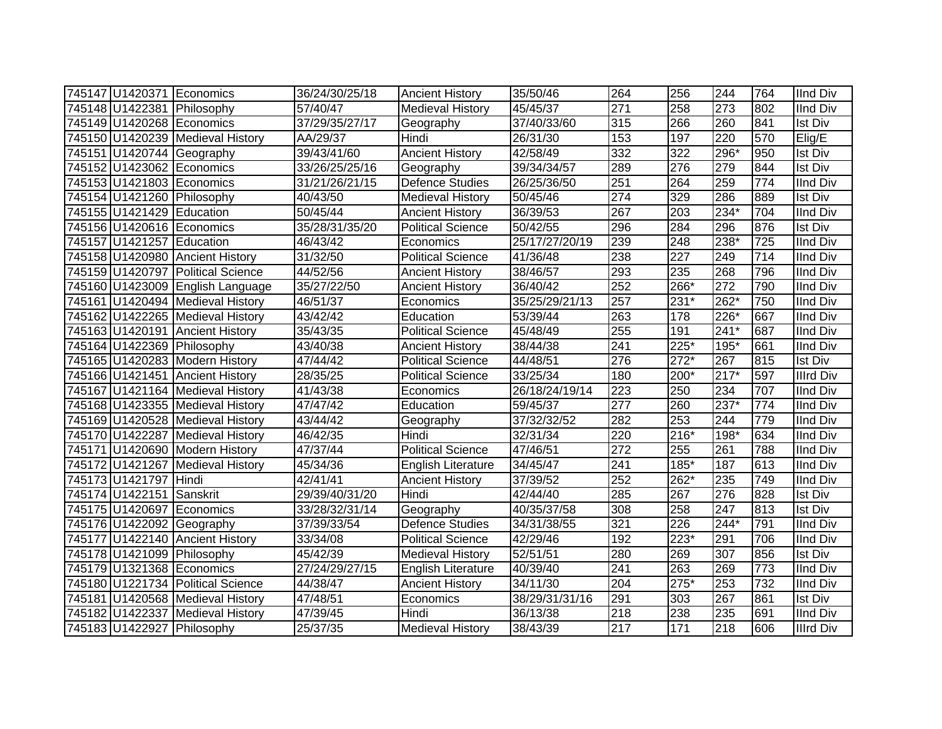|                           | 745147 U1420371 Economics         | 36/24/30/25/18 | <b>Ancient History</b>   | 35/50/46       | 264              | 256              | 244    | 764 | <b>IInd Div</b>  |
|---------------------------|-----------------------------------|----------------|--------------------------|----------------|------------------|------------------|--------|-----|------------------|
|                           | 745148 U1422381 Philosophy        | 57/40/47       | <b>Medieval History</b>  | 45/45/37       | 271              | 258              | 273    | 802 | <b>IInd Div</b>  |
|                           | 745149 U1420268 Economics         | 37/29/35/27/17 | Geography                | 37/40/33/60    | 315              | 266              | 260    | 841 | <b>Ist Div</b>   |
|                           | 745150 U1420239 Medieval History  | AA/29/37       | Hindi                    | 26/31/30       | 153              | 197              | 220    | 570 | Elig/E           |
|                           | 745151 U1420744 Geography         | 39/43/41/60    | <b>Ancient History</b>   | 42/58/49       | 332              | $\overline{322}$ | 296*   | 950 | <b>Ist Div</b>   |
|                           | 745152 U1423062 Economics         | 33/26/25/25/16 | Geography                | 39/34/34/57    | 289              | 276              | 279    | 844 | <b>Ist Div</b>   |
|                           | 745153 U1421803 Economics         | 31/21/26/21/15 | <b>Defence Studies</b>   | 26/25/36/50    | 251              | 264              | 259    | 774 | <b>IInd Div</b>  |
|                           | 745154 U1421260 Philosophy        | 40/43/50       | <b>Medieval History</b>  | 50/45/46       | $\overline{274}$ | 329              | 286    | 889 | <b>Ist Div</b>   |
| 745155 U1421429 Education |                                   | 50/45/44       | <b>Ancient History</b>   | 36/39/53       | 267              | 203              | 234*   | 704 | <b>IInd Div</b>  |
|                           | 745156 U1420616 Economics         | 35/28/31/35/20 | <b>Political Science</b> | 50/42/55       | 296              | 284              | 296    | 876 | <b>Ist Div</b>   |
| 745157 U1421257 Education |                                   | 46/43/42       | Economics                | 25/17/27/20/19 | 239              | 248              | 238*   | 725 | <b>IInd Div</b>  |
|                           | 745158 U1420980 Ancient History   | 31/32/50       | <b>Political Science</b> | 41/36/48       | 238              | 227              | 249    | 714 | <b>IInd Div</b>  |
|                           | 745159 U1420797 Political Science | 44/52/56       | <b>Ancient History</b>   | 38/46/57       | 293              | 235              | 268    | 796 | <b>IInd Div</b>  |
|                           | 745160 U1423009 English Language  | 35/27/22/50    | <b>Ancient History</b>   | 36/40/42       | 252              | 266*             | 272    | 790 | <b>IInd Div</b>  |
|                           | 745161 U1420494 Medieval History  | 46/51/37       | Economics                | 35/25/29/21/13 | 257              | 231*             | 262*   | 750 | <b>IInd Div</b>  |
|                           | 745162 U1422265 Medieval History  | 43/42/42       | Education                | 53/39/44       | 263              | 178              | 226*   | 667 | <b>IInd Div</b>  |
|                           | 745163 U1420191 Ancient History   | 35/43/35       | <b>Political Science</b> | 45/48/49       | 255              | 191              | $241*$ | 687 | <b>IInd Div</b>  |
|                           | 745164 U1422369 Philosophy        | 43/40/38       | <b>Ancient History</b>   | 38/44/38       | 241              | 225*             | 195*   | 661 | <b>IInd Div</b>  |
|                           | 745165 U1420283 Modern History    | 47/44/42       | <b>Political Science</b> | 44/48/51       | 276              | $272*$           | 267    | 815 | <b>Ist Div</b>   |
|                           | 745166 U1421451 Ancient History   | 28/35/25       | <b>Political Science</b> | 33/25/34       | 180              | 200*             | $217*$ | 597 | <b>Illrd Div</b> |
|                           | 745167 U1421164 Medieval History  | 41/43/38       | Economics                | 26/18/24/19/14 | 223              | 250              | 234    | 707 | <b>IInd Div</b>  |
|                           | 745168 U1423355 Medieval History  | 47/47/42       | Education                | 59/45/37       | $\overline{277}$ | 260              | 237*   | 774 | <b>IInd Div</b>  |
|                           | 745169 U1420528 Medieval History  | 43/44/42       | Geography                | 37/32/32/52    | 282              | 253              | 244    | 779 | <b>IInd Div</b>  |
|                           | 745170 U1422287 Medieval History  | 46/42/35       | Hindi                    | 32/31/34       | 220              | 216*             | 198*   | 634 | <b>IInd Div</b>  |
|                           | 745171 U1420690 Modern History    | 47/37/44       | <b>Political Science</b> | 47/46/51       | 272              | 255              | 261    | 788 | <b>IInd Div</b>  |
|                           | 745172 U1421267 Medieval History  | 45/34/36       | English Literature       | 34/45/47       | 241              | 185*             | 187    | 613 | <b>IInd Div</b>  |
| 745173 U1421797 Hindi     |                                   | 42/41/41       | <b>Ancient History</b>   | 37/39/52       | 252              | 262*             | 235    | 749 | <b>IInd Div</b>  |
| 745174 U1422151 Sanskrit  |                                   | 29/39/40/31/20 | Hindi                    | 42/44/40       | 285              | 267              | 276    | 828 | <b>Ist Div</b>   |
|                           | 745175 U1420697 Economics         | 33/28/32/31/14 | Geography                | 40/35/37/58    | 308              | 258              | 247    | 813 | <b>Ist Div</b>   |
|                           | 745176 U1422092 Geography         | 37/39/33/54    | <b>Defence Studies</b>   | 34/31/38/55    | 321              | 226              | $244*$ | 791 | <b>IInd Div</b>  |
|                           | 745177 U1422140 Ancient History   | 33/34/08       | Political Science        | 42/29/46       | 192              | $223*$           | 291    | 706 | <b>IInd Div</b>  |
|                           | 745178 U1421099 Philosophy        | 45/42/39       | <b>Medieval History</b>  | 52/51/51       | 280              | 269              | 307    | 856 | <b>Ist Div</b>   |
|                           | 745179 U1321368 Economics         | 27/24/29/27/15 | English Literature       | 40/39/40       | 241              | 263              | 269    | 773 | <b>IInd Div</b>  |
|                           | 745180 U1221734 Political Science | 44/38/47       | <b>Ancient History</b>   | 34/11/30       | 204              | $275*$           | 253    | 732 | <b>IInd Div</b>  |
|                           | 745181 U1420568 Medieval History  | 47/48/51       | Economics                | 38/29/31/31/16 | 291              | 303              | 267    | 861 | <b>Ist Div</b>   |
|                           | 745182 U1422337 Medieval History  | 47/39/45       | Hindi                    | 36/13/38       | 218              | 238              | 235    | 691 | <b>IInd Div</b>  |
|                           | 745183 U1422927 Philosophy        | 25/37/35       | <b>Medieval History</b>  | 38/43/39       | 217              | $\overline{171}$ | 218    | 606 | <b>Illrd Div</b> |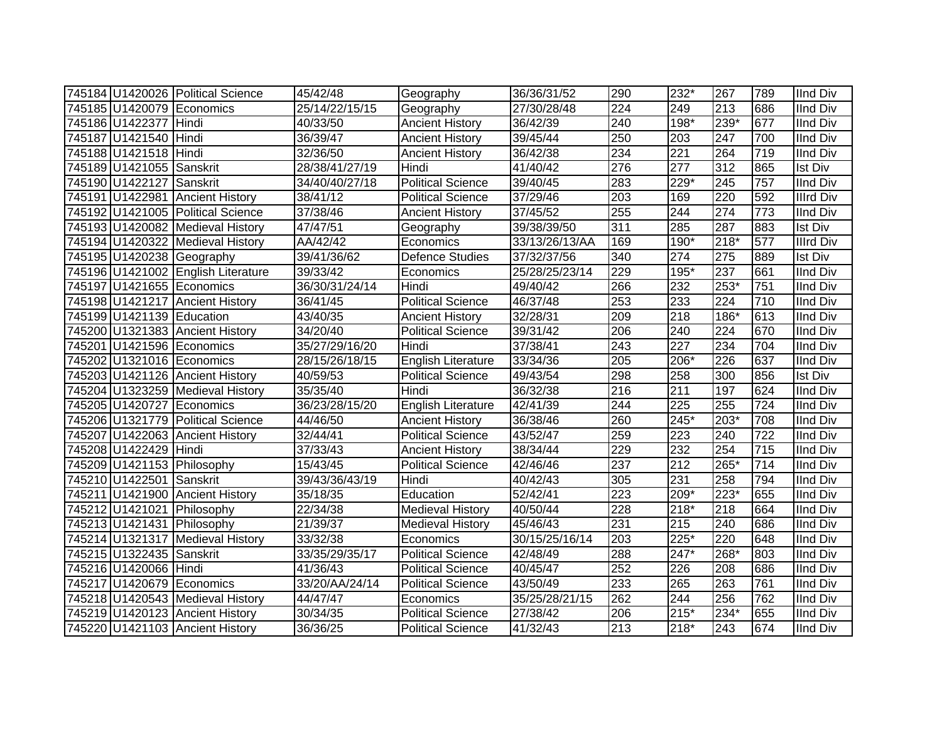|                           | 745184 U1420026 Political Science  | 45/42/48       | Geography                 | 36/36/31/52    | 290              | 232*   | 267              | 789 | <b>IInd Div</b>  |
|---------------------------|------------------------------------|----------------|---------------------------|----------------|------------------|--------|------------------|-----|------------------|
|                           | 745185 U1420079 Economics          | 25/14/22/15/15 | Geography                 | 27/30/28/48    | 224              | 249    | 213              | 686 | <b>IInd Div</b>  |
| 745186 U1422377 Hindi     |                                    | 40/33/50       | <b>Ancient History</b>    | 36/42/39       | 240              | 198*   | 239*             | 677 | <b>IInd Div</b>  |
| 745187 U1421540 Hindi     |                                    | 36/39/47       | <b>Ancient History</b>    | 39/45/44       | 250              | 203    | 247              | 700 | <b>IInd Div</b>  |
| 745188 U1421518 Hindi     |                                    | 32/36/50       | <b>Ancient History</b>    | 36/42/38       | 234              | 221    | 264              | 719 | <b>IInd Div</b>  |
| 745189 U1421055 Sanskrit  |                                    | 28/38/41/27/19 | Hindi                     | 41/40/42       | $\overline{276}$ | 277    | $\overline{312}$ | 865 | <b>Ist Div</b>   |
| 745190 U1422127           | Sanskrit                           | 34/40/40/27/18 | <b>Political Science</b>  | 39/40/45       | 283              | 229*   | 245              | 757 | <b>IInd Div</b>  |
|                           | 745191 U1422981 Ancient History    | 38/41/12       | <b>Political Science</b>  | 37/29/46       | $\overline{203}$ | 169    | 220              | 592 | <b>Illrd Div</b> |
|                           | 745192 U1421005 Political Science  | 37/38/46       | <b>Ancient History</b>    | 37/45/52       | 255              | 244    | $\overline{274}$ | 773 | <b>IInd Div</b>  |
|                           | 745193 U1420082 Medieval History   | 47/47/51       | Geography                 | 39/38/39/50    | $\overline{311}$ | 285    | 287              | 883 | <b>Ist Div</b>   |
|                           | 745194 U1420322 Medieval History   | AA/42/42       | Economics                 | 33/13/26/13/AA | 169              | 190*   | $218*$           | 577 | <b>Illrd Div</b> |
|                           | 745195 U1420238 Geography          | 39/41/36/62    | <b>Defence Studies</b>    | 37/32/37/56    | 340              | 274    | 275              | 889 | <b>Ist Div</b>   |
|                           | 745196 U1421002 English Literature | 39/33/42       | Economics                 | 25/28/25/23/14 | 229              | 195*   | 237              | 661 | <b>IInd Div</b>  |
|                           | 745197 U1421655 Economics          | 36/30/31/24/14 | Hindi                     | 49/40/42       | 266              | 232    | $253*$           | 751 | <b>IInd Div</b>  |
|                           | 745198 U1421217 Ancient History    | 36/41/45       | <b>Political Science</b>  | 46/37/48       | 253              | 233    | 224              | 710 | <b>IInd Div</b>  |
| 745199 U1421139 Education |                                    | 43/40/35       | <b>Ancient History</b>    | 32/28/31       | 209              | 218    | 186*             | 613 | <b>IInd Div</b>  |
|                           | 745200 U1321383 Ancient History    | 34/20/40       | <b>Political Science</b>  | 39/31/42       | 206              | 240    | 224              | 670 | <b>IInd Div</b>  |
|                           | 745201 U1421596 Economics          | 35/27/29/16/20 | Hindi                     | 37/38/41       | 243              | 227    | 234              | 704 | <b>IInd Div</b>  |
|                           | 745202 U1321016 Economics          | 28/15/26/18/15 | <b>English Literature</b> | 33/34/36       | 205              | 206*   | 226              | 637 | <b>IInd Div</b>  |
|                           | 745203 U1421126 Ancient History    | 40/59/53       | <b>Political Science</b>  | 49/43/54       | 298              | 258    | 300              | 856 | <b>Ist Div</b>   |
|                           | 745204 U1323259 Medieval History   | 35/35/40       | Hindi                     | 36/32/38       | 216              | 211    | 197              | 624 | <b>IInd Div</b>  |
|                           | 745205 U1420727 Economics          | 36/23/28/15/20 | English Literature        | 42/41/39       | 244              | 225    | $\overline{255}$ | 724 | <b>IInd Div</b>  |
|                           | 745206 U1321779 Political Science  | 44/46/50       | <b>Ancient History</b>    | 36/38/46       | 260              | $245*$ | 203*             | 708 | <b>IInd Div</b>  |
|                           | 745207 U1422063 Ancient History    | 32/44/41       | <b>Political Science</b>  | 43/52/47       | 259              | 223    | 240              | 722 | <b>IInd Div</b>  |
| 745208 U1422429 Hindi     |                                    | 37/33/43       | <b>Ancient History</b>    | 38/34/44       | 229              | 232    | 254              | 715 | <b>IInd Div</b>  |
|                           | 745209 U1421153 Philosophy         | 15/43/45       | <b>Political Science</b>  | 42/46/46       | $\overline{237}$ | 212    | 265*             | 714 | <b>IInd Div</b>  |
| 745210 U1422501 Sanskrit  |                                    | 39/43/36/43/19 | Hindi                     | 40/42/43       | 305              | 231    | 258              | 794 | <b>IInd Div</b>  |
|                           | 745211 U1421900 Ancient History    | 35/18/35       | Education                 | 52/42/41       | 223              | 209*   | 223*             | 655 | <b>IInd Div</b>  |
|                           | 745212 U1421021 Philosophy         | 22/34/38       | <b>Medieval History</b>   | 40/50/44       | 228              | 218*   | 218              | 664 | <b>IInd Div</b>  |
|                           | 745213 U1421431 Philosophy         | 21/39/37       | <b>Medieval History</b>   | 45/46/43       | 231              | 215    | 240              | 686 | <b>IInd Div</b>  |
|                           | 745214 U1321317 Medieval History   | 33/32/38       | Economics                 | 30/15/25/16/14 | 203              | $225*$ | 220              | 648 | <b>IInd Div</b>  |
| 745215 U1322435 Sanskrit  |                                    | 33/35/29/35/17 | <b>Political Science</b>  | 42/48/49       | 288              | 247*   | 268*             | 803 | <b>IInd Div</b>  |
| 745216 U1420066 Hindi     |                                    | 41/36/43       | <b>Political Science</b>  | 40/45/47       | 252              | 226    | 208              | 686 | <b>IInd Div</b>  |
|                           | 745217 U1420679 Economics          | 33/20/AA/24/14 | <b>Political Science</b>  | 43/50/49       | 233              | 265    | 263              | 761 | <b>IInd Div</b>  |
|                           | 745218 U1420543 Medieval History   | 44/47/47       | Economics                 | 35/25/28/21/15 | 262              | 244    | 256              | 762 | <b>IInd Div</b>  |
|                           | 745219 U1420123 Ancient History    | 30/34/35       | Political Science         | 27/38/42       | 206              | $215*$ | 234*             | 655 | <b>IInd Div</b>  |
|                           | 745220 U1421103 Ancient History    | 36/36/25       | <b>Political Science</b>  | 41/32/43       | 213              | $218*$ | 243              | 674 | <b>IInd Div</b>  |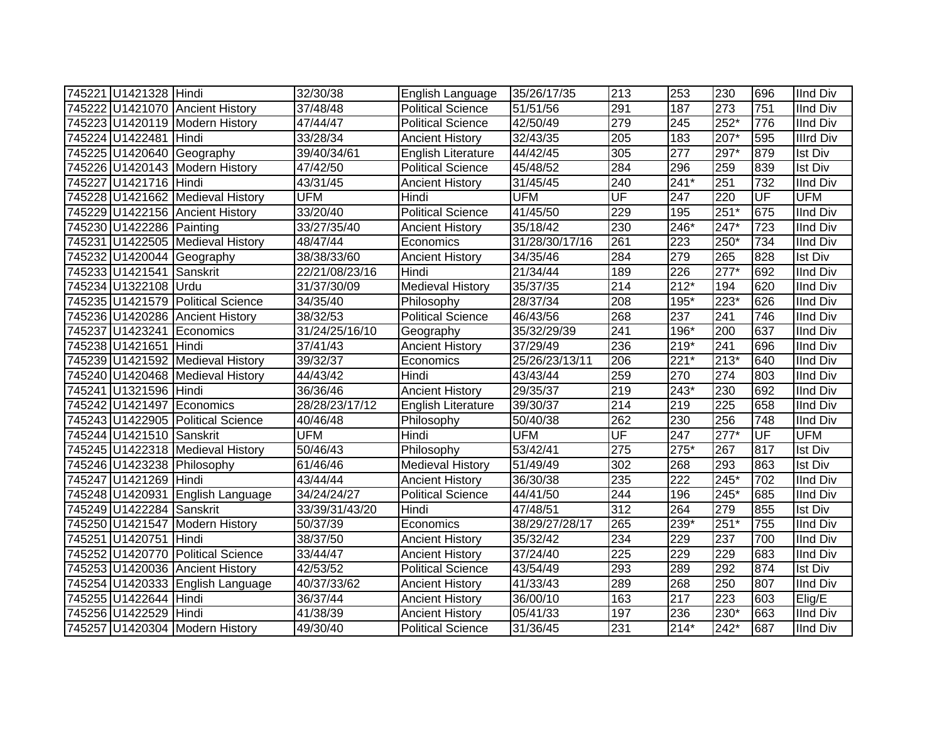| 745221 U1421328 Hindi    |                                   | 32/30/38       | English Language          | 35/26/17/35    | 213                      | 253              | 230              | 696 | <b>IInd Div</b>  |
|--------------------------|-----------------------------------|----------------|---------------------------|----------------|--------------------------|------------------|------------------|-----|------------------|
|                          | 745222 U1421070 Ancient History   | 37/48/48       | <b>Political Science</b>  | 51/51/56       | 291                      | 187              | 273              | 751 | <b>IInd Div</b>  |
|                          | 745223 U1420119 Modern History    | 47/44/47       | <b>Political Science</b>  | 42/50/49       | 279                      | $\overline{245}$ | $252*$           | 776 | <b>IInd Div</b>  |
| 745224 U1422481 Hindi    |                                   | 33/28/34       | <b>Ancient History</b>    | 32/43/35       | 205                      | 183              | $207*$           | 595 | <b>Illrd Div</b> |
|                          | 745225 U1420640 Geography         | 39/40/34/61    | <b>English Literature</b> | 44/42/45       | 305                      | 277              | $297*$           | 879 | <b>Ist Div</b>   |
|                          | 745226 U1420143 Modern History    | 47/42/50       | Political Science         | 45/48/52       | 284                      | 296              | 259              | 839 | <b>Ist Div</b>   |
| 745227 U1421716 Hindi    |                                   | 43/31/45       | <b>Ancient History</b>    | 31/45/45       | 240                      | $241*$           | 251              | 732 | <b>IInd Div</b>  |
|                          | 745228 U1421662 Medieval History  | <b>UFM</b>     | Hindi                     | <b>UFM</b>     | UF                       | 247              | $\overline{220}$ | UF  | <b>UFM</b>       |
|                          | 745229 U1422156 Ancient History   | 33/20/40       | <b>Political Science</b>  | 41/45/50       | 229                      | 195              | $251*$           | 675 | <b>IInd Div</b>  |
| 745230 U1422286 Painting |                                   | 33/27/35/40    | <b>Ancient History</b>    | 35/18/42       | 230                      | 246*             | 247*             | 723 | <b>IInd Div</b>  |
|                          | 745231 U1422505 Medieval History  | 48/47/44       | Economics                 | 31/28/30/17/16 | 261                      | 223              | 250*             | 734 | <b>IInd Div</b>  |
|                          | 745232 U1420044 Geography         | 38/38/33/60    | <b>Ancient History</b>    | 34/35/46       | 284                      | 279              | 265              | 828 | <b>Ist Div</b>   |
| 745233 U1421541 Sanskrit |                                   | 22/21/08/23/16 | Hindi                     | 21/34/44       | 189                      | 226              | $277*$           | 692 | <b>IInd Div</b>  |
| 745234 U1322108 Urdu     |                                   | 31/37/30/09    | Medieval History          | 35/37/35       | 214                      | $212*$           | 194              | 620 | <b>IInd Div</b>  |
|                          | 745235 U1421579 Political Science | 34/35/40       | Philosophy                | 28/37/34       | 208                      | 195*             | $223*$           | 626 | <b>IInd Div</b>  |
|                          | 745236 U1420286 Ancient History   | 38/32/53       | <b>Political Science</b>  | 46/43/56       | 268                      | 237              | 241              | 746 | <b>IInd Div</b>  |
|                          | 745237 U1423241 Economics         | 31/24/25/16/10 | Geography                 | 35/32/29/39    | 241                      | 196*             | 200              | 637 | <b>IInd Div</b>  |
| 745238 U1421651 Hindi    |                                   | 37/41/43       | <b>Ancient History</b>    | 37/29/49       | 236                      | $219*$           | 241              | 696 | <b>IInd Div</b>  |
|                          | 745239 U1421592 Medieval History  | 39/32/37       | Economics                 | 25/26/23/13/11 | 206                      | $221*$           | $213*$           | 640 | <b>IInd Div</b>  |
|                          | 745240 U1420468 Medieval History  | 44/43/42       | Hindi                     | 43/43/44       | 259                      | 270              | 274              | 803 | <b>IInd Div</b>  |
| 745241 U1321596 Hindi    |                                   | 36/36/46       | <b>Ancient History</b>    | 29/35/37       | 219                      | 243*             | 230              | 692 | <b>IInd Div</b>  |
|                          | 745242 U1421497 Economics         | 28/28/23/17/12 | <b>English Literature</b> | 39/30/37       | $\overline{214}$         | 219              | $\overline{225}$ | 658 | <b>IInd Div</b>  |
|                          | 745243 U1422905 Political Science | 40/46/48       | Philosophy                | 50/40/38       | 262                      | 230              | 256              | 748 | <b>IInd Div</b>  |
| 745244 U1421510 Sanskrit |                                   | <b>UFM</b>     | Hindi                     | <b>UFM</b>     | $\overline{\mathsf{UF}}$ | 247              | $277*$           | UF  | <b>UFM</b>       |
|                          | 745245 U1422318 Medieval History  | 50/46/43       | Philosophy                | 53/42/41       | 275                      | 275*             | 267              | 817 | <b>Ist Div</b>   |
|                          | 745246 U1423238 Philosophy        | 61/46/46       | <b>Medieval History</b>   | 51/49/49       | 302                      | 268              | 293              | 863 | <b>Ist Div</b>   |
| 745247 U1421269 Hindi    |                                   | 43/44/44       | <b>Ancient History</b>    | 36/30/38       | 235                      | 222              | 245*             | 702 | <b>IInd Div</b>  |
|                          | 745248 U1420931 English Language  | 34/24/24/27    | <b>Political Science</b>  | 44/41/50       | 244                      | 196              | 245*             | 685 | <b>IInd Div</b>  |
| 745249 U1422284 Sanskrit |                                   | 33/39/31/43/20 | Hindi                     | 47/48/51       | 312                      | 264              | 279              | 855 | <b>Ist Div</b>   |
|                          | 745250 U1421547 Modern History    | 50/37/39       | Economics                 | 38/29/27/28/17 | 265                      | 239*             | $251*$           | 755 | <b>IInd Div</b>  |
| 745251 U1420751 Hindi    |                                   | 38/37/50       | <b>Ancient History</b>    | 35/32/42       | 234                      | 229              | $\overline{237}$ | 700 | <b>IInd Div</b>  |
|                          | 745252 U1420770 Political Science | 33/44/47       | <b>Ancient History</b>    | 37/24/40       | 225                      | 229              | 229              | 683 | <b>IInd Div</b>  |
|                          | 745253 U1420036 Ancient History   | 42/53/52       | <b>Political Science</b>  | 43/54/49       | 293                      | 289              | 292              | 874 | <b>Ist Div</b>   |
|                          | 745254 U1420333 English Language  | 40/37/33/62    | <b>Ancient History</b>    | 41/33/43       | 289                      | 268              | 250              | 807 | <b>IInd Div</b>  |
| 745255 U1422644 Hindi    |                                   | 36/37/44       | <b>Ancient History</b>    | 36/00/10       | 163                      | 217              | 223              | 603 | Elig/E           |
| 745256 U1422529          | Hindi                             | 41/38/39       | <b>Ancient History</b>    | 05/41/33       | 197                      | 236              | 230*             | 663 | <b>IInd Div</b>  |
|                          | 745257 U1420304 Modern History    | 49/30/40       | <b>Political Science</b>  | 31/36/45       | 231                      | $214*$           | 242*             | 687 | <b>IInd Div</b>  |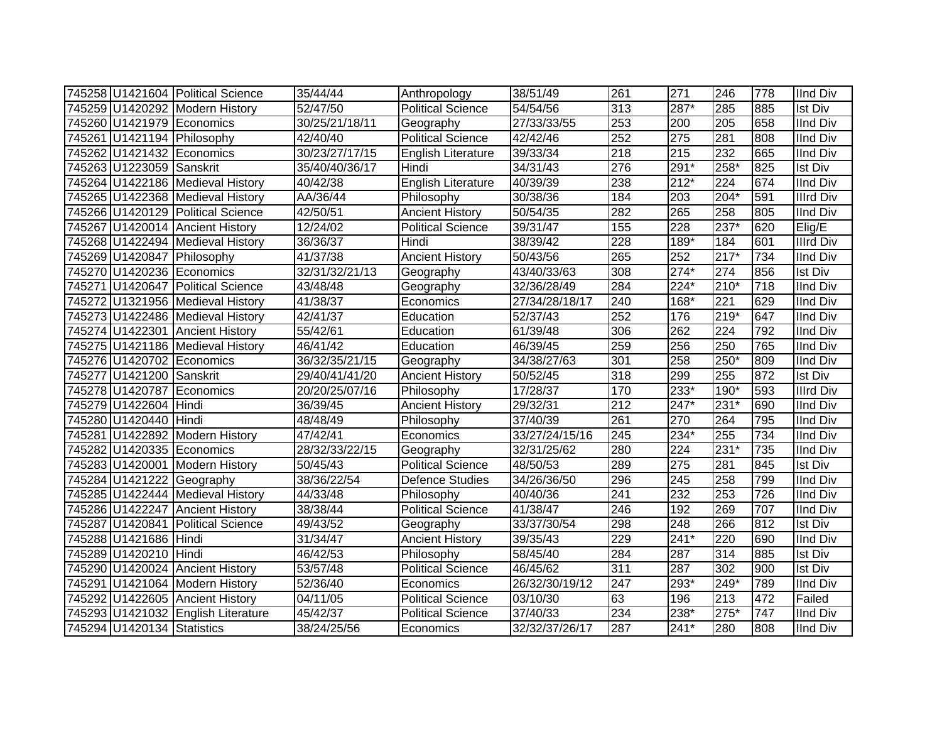|                            | 745258 U1421604 Political Science  | 35/44/44       | Anthropology              | 38/51/49       | 261              | 271    | 246                | 778 | <b>IInd Div</b>  |
|----------------------------|------------------------------------|----------------|---------------------------|----------------|------------------|--------|--------------------|-----|------------------|
|                            | 745259 U1420292 Modern History     | 52/47/50       | <b>Political Science</b>  | 54/54/56       | 313              | 287*   | 285                | 885 | <b>Ist Div</b>   |
|                            | 745260 U1421979 Economics          | 30/25/21/18/11 | Geography                 | 27/33/33/55    | 253              | 200    | $\overline{205}$   | 658 | <b>IInd Div</b>  |
|                            | 745261 U1421194 Philosophy         | 42/40/40       | Political Science         | 42/42/46       | 252              | 275    | 281                | 808 | <b>IInd Div</b>  |
|                            | 745262 U1421432 Economics          | 30/23/27/17/15 | <b>English Literature</b> | 39/33/34       | $\overline{218}$ | 215    | 232                | 665 | <b>IInd Div</b>  |
| 745263 U1223059 Sanskrit   |                                    | 35/40/40/36/17 | Hindi                     | 34/31/43       | $\overline{276}$ | $291*$ | $258*$             | 825 | <b>Ist Div</b>   |
|                            | 745264 U1422186 Medieval History   | 40/42/38       | <b>English Literature</b> | 40/39/39       | 238              | $212*$ | 224                | 674 | <b>IInd Div</b>  |
|                            | 745265 U1422368 Medieval History   | AA/36/44       | Philosophy                | 30/38/36       | 184              | 203    | 204*               | 591 | <b>Illrd Div</b> |
|                            | 745266 U1420129 Political Science  | 42/50/51       | <b>Ancient History</b>    | 50/54/35       | 282              | 265    | 258                | 805 | <b>IInd Div</b>  |
|                            | 745267 U1420014 Ancient History    | 12/24/02       | <b>Political Science</b>  | 39/31/47       | 155              | 228    | 237*               | 620 | Elig/E           |
|                            | 745268 U1422494 Medieval History   | 36/36/37       | Hindi                     | 38/39/42       | 228              | 189*   | 184                | 601 | <b>Illrd Div</b> |
|                            | 745269 U1420847 Philosophy         | 41/37/38       | <b>Ancient History</b>    | 50/43/56       | 265              | 252    | $\overline{217^*}$ | 734 | <b>IInd Div</b>  |
|                            | 745270 U1420236 Economics          | 32/31/32/21/13 | Geography                 | 43/40/33/63    | 308              | $274*$ | 274                | 856 | <b>Ist Div</b>   |
|                            | 745271 U1420647 Political Science  | 43/48/48       | Geography                 | 32/36/28/49    | 284              | 224*   | $210*$             | 718 | <b>IInd Div</b>  |
|                            | 745272 U1321956 Medieval History   | 41/38/37       | Economics                 | 27/34/28/18/17 | 240              | 168*   | $\overline{221}$   | 629 | <b>IInd Div</b>  |
|                            | 745273 U1422486 Medieval History   | 42/41/37       | Education                 | 52/37/43       | 252              | 176    | $219*$             | 647 | <b>IInd Div</b>  |
|                            | 745274 U1422301 Ancient History    | 55/42/61       | Education                 | 61/39/48       | 306              | 262    | 224                | 792 | <b>IInd Div</b>  |
|                            | 745275 U1421186 Medieval History   | 46/41/42       | Education                 | 46/39/45       | 259              | 256    | 250                | 765 | <b>IInd Div</b>  |
|                            | 745276 U1420702 Economics          | 36/32/35/21/15 | Geography                 | 34/38/27/63    | 301              | 258    | 250*               | 809 | <b>IInd Div</b>  |
| 745277 U1421200 Sanskrit   |                                    | 29/40/41/41/20 | <b>Ancient History</b>    | 50/52/45       | 318              | 299    | 255                | 872 | <b>Ist Div</b>   |
|                            | 745278 U1420787 Economics          | 20/20/25/07/16 | Philosophy                | 17/28/37       | 170              | 233*   | 190*               | 593 | <b>Illrd Div</b> |
| 745279 U1422604 Hindi      |                                    | 36/39/45       | <b>Ancient History</b>    | 29/32/31       | 212              | 247*   | $231*$             | 690 | <b>IInd Div</b>  |
| 745280 U1420440 Hindi      |                                    | 48/48/49       | Philosophy                | 37/40/39       | 261              | 270    | 264                | 795 | <b>IInd Div</b>  |
|                            | 745281 U1422892 Modern History     | 47/42/41       | Economics                 | 33/27/24/15/16 | 245              | 234*   | 255                | 734 | <b>IInd Div</b>  |
|                            | 745282 U1420335 Economics          | 28/32/33/22/15 | Geography                 | 32/31/25/62    | 280              | 224    | $231*$             | 735 | <b>IInd Div</b>  |
|                            | 745283 U1420001 Modern History     | 50/45/43       | <b>Political Science</b>  | 48/50/53       | 289              | 275    | 281                | 845 | <b>Ist Div</b>   |
|                            | 745284 U1421222 Geography          | 38/36/22/54    | <b>Defence Studies</b>    | 34/26/36/50    | 296              | 245    | 258                | 799 | <b>IInd Div</b>  |
|                            | 745285 U1422444 Medieval History   | 44/33/48       | Philosophy                | 40/40/36       | 241              | 232    | 253                | 726 | <b>IInd Div</b>  |
|                            | 745286 U1422247 Ancient History    | 38/38/44       | Political Science         | 41/38/47       | 246              | 192    | 269                | 707 | <b>IInd Div</b>  |
|                            | 745287 U1420841 Political Science  | 49/43/52       | Geography                 | 33/37/30/54    | 298              | 248    | 266                | 812 | <b>Ist Div</b>   |
| 745288 U1421686 Hindi      |                                    | 31/34/47       | <b>Ancient History</b>    | 39/35/43       | 229              | $241*$ | 220                | 690 | <b>IInd Div</b>  |
| 745289 U1420210 Hindi      |                                    | 46/42/53       | Philosophy                | 58/45/40       | 284              | 287    | 314                | 885 | <b>Ist Div</b>   |
|                            | 745290 U1420024 Ancient History    | 53/57/48       | <b>Political Science</b>  | 46/45/62       | $\overline{311}$ | 287    | 302                | 900 | <b>Ist Div</b>   |
|                            | 745291 U1421064 Modern History     | 52/36/40       | Economics                 | 26/32/30/19/12 | 247              | 293*   | 249*               | 789 | <b>IInd Div</b>  |
|                            | 745292 U1422605 Ancient History    | 04/11/05       | Political Science         | 03/10/30       | 63               | 196    | 213                | 472 | Failed           |
|                            | 745293 U1421032 English Literature | 45/42/37       | <b>Political Science</b>  | 37/40/33       | 234              | 238*   | 275*               | 747 | <b>IInd Div</b>  |
| 745294 U1420134 Statistics |                                    | 38/24/25/56    | Economics                 | 32/32/37/26/17 | 287              | $241*$ | 280                | 808 | <b>IInd Div</b>  |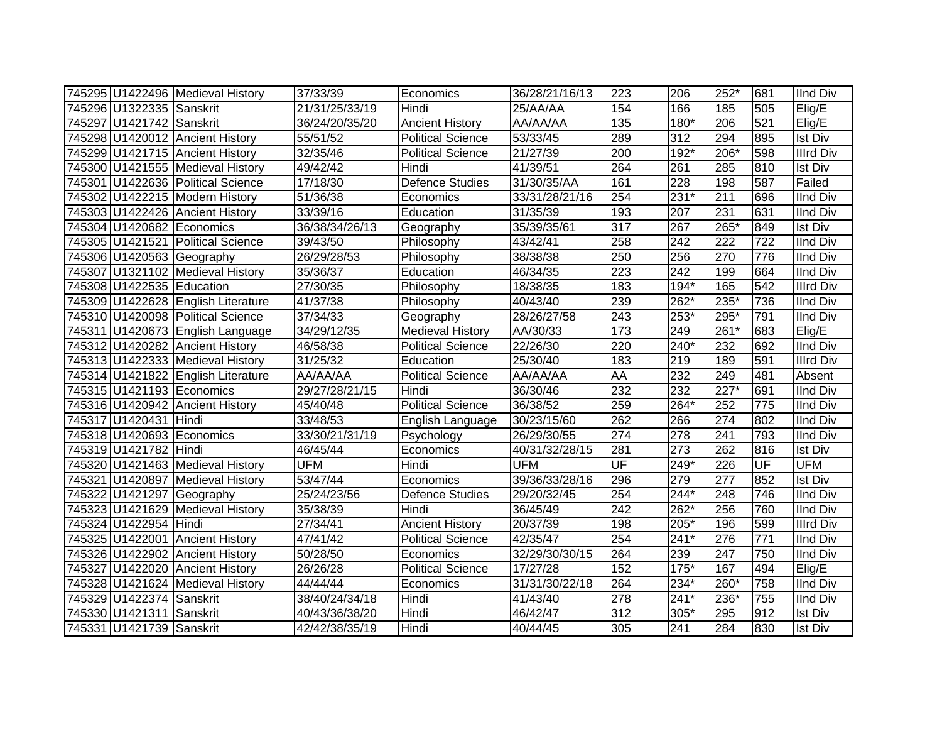|                           | 745295 U1422496 Medieval History   | 37/33/39       | Economics                | 36/28/21/16/13 | 223                      | 206    | 252*   | 681              | <b>IInd Div</b>  |
|---------------------------|------------------------------------|----------------|--------------------------|----------------|--------------------------|--------|--------|------------------|------------------|
| 745296 U1322335 Sanskrit  |                                    | 21/31/25/33/19 | Hindi                    | 25/AA/AA       | 154                      | 166    | 185    | 505              | Elig/E           |
| 745297 U1421742 Sanskrit  |                                    | 36/24/20/35/20 | <b>Ancient History</b>   | AA/AA/AA       | $\overline{135}$         | $180*$ | 206    | 521              | Elig/E           |
|                           | 745298 U1420012 Ancient History    | 55/51/52       | <b>Political Science</b> | 53/33/45       | 289                      | 312    | 294    | 895              | <b>Ist Div</b>   |
|                           | 745299 U1421715 Ancient History    | 32/35/46       | <b>Political Science</b> | 21/27/39       | 200                      | $192*$ | $206*$ | 598              | <b>Illrd Div</b> |
|                           | 745300 U1421555 Medieval History   | 49/42/42       | Hindi                    | 41/39/51       | 264                      | 261    | 285    | 810              | Ist Div          |
|                           | 745301 U1422636 Political Science  | 17/18/30       | Defence Studies          | 31/30/35/AA    | 161                      | 228    | 198    | 587              | Failed           |
|                           | 745302 U1422215 Modern History     | 51/36/38       | Economics                | 33/31/28/21/16 | 254                      | $231*$ | 211    | 696              | IInd Div         |
|                           | 745303 U1422426 Ancient History    | 33/39/16       | Education                | 31/35/39       | 193                      | 207    | 231    | 631              | <b>IInd Div</b>  |
|                           | 745304 U1420682 Economics          | 36/38/34/26/13 | Geography                | 35/39/35/61    | 317                      | 267    | 265*   | 849              | Ist Div          |
|                           | 745305 U1421521 Political Science  | 39/43/50       | Philosophy               | 43/42/41       | 258                      | 242    | 222    | 722              | <b>IInd Div</b>  |
|                           | 745306 U1420563 Geography          | 26/29/28/53    | Philosophy               | 38/38/38       | 250                      | 256    | 270    | 776              | IInd Div         |
|                           | 745307 U1321102 Medieval History   | 35/36/37       | Education                | 46/34/35       | $\overline{223}$         | 242    | 199    | 664              | <b>IInd Div</b>  |
| 745308 U1422535 Education |                                    | 27/30/35       | Philosophy               | 18/38/35       | 183                      | 194*   | 165    | 542              | <b>Illrd Div</b> |
|                           | 745309 U1422628 English Literature | 41/37/38       | Philosophy               | 40/43/40       | 239                      | 262*   | 235*   | 736              | IInd Div         |
|                           | 745310 U1420098 Political Science  | 37/34/33       | Geography                | 28/26/27/58    | 243                      | 253*   | 295*   | 791              | IInd Div         |
|                           | 745311 U1420673 English Language   | 34/29/12/35    | <b>Medieval History</b>  | AA/30/33       | 173                      | 249    | 261*   | 683              | Elig/E           |
|                           | 745312 U1420282 Ancient History    | 46/58/38       | <b>Political Science</b> | 22/26/30       | 220                      | 240*   | 232    | 692              | <b>IInd Div</b>  |
|                           | 745313 U1422333 Medieval History   | 31/25/32       | Education                | 25/30/40       | 183                      | 219    | 189    | 591              | <b>Illrd Div</b> |
|                           | 745314 U1421822 English Literature | AA/AA/AA       | <b>Political Science</b> | AA/AA/AA       | AA                       | 232    | 249    | 481              | Absent           |
|                           | 745315 U1421193 Economics          | 29/27/28/21/15 | Hindi                    | 36/30/46       | 232                      | 232    | $227*$ | 691              | <b>IInd Div</b>  |
|                           | 745316 U1420942 Ancient History    | 45/40/48       | <b>Political Science</b> | 36/38/52       | 259                      | $264*$ | 252    | $\overline{775}$ | <b>IInd Div</b>  |
| 745317 U1420431 Hindi     |                                    | 33/48/53       | English Language         | 30/23/15/60    | 262                      | 266    | 274    | 802              | <b>IInd Div</b>  |
|                           | 745318 U1420693 Economics          | 33/30/21/31/19 | Psychology               | 26/29/30/55    | 274                      | 278    | 241    | 793              | IInd Div         |
| 745319 U1421782 Hindi     |                                    | 46/45/44       | Economics                | 40/31/32/28/15 | 281                      | 273    | 262    | 816              | <b>Ist Div</b>   |
|                           | 745320 U1421463 Medieval History   | <b>UFM</b>     | Hindi                    | <b>UFM</b>     | $\overline{\mathsf{UF}}$ | 249*   | 226    | UF               | <b>UFM</b>       |
|                           | 745321 U1420897 Medieval History   | 53/47/44       | Economics                | 39/36/33/28/16 | 296                      | 279    | 277    | 852              | <b>Ist Div</b>   |
|                           | 745322 U1421297 Geography          | 25/24/23/56    | <b>Defence Studies</b>   | 29/20/32/45    | 254                      | 244*   | 248    | 746              | <b>IInd Div</b>  |
|                           | 745323 U1421629 Medieval History   | 35/38/39       | Hindi                    | 36/45/49       | 242                      | 262*   | 256    | 760              | <b>IInd Div</b>  |
| 745324 U1422954 Hindi     |                                    | 27/34/41       | <b>Ancient History</b>   | 20/37/39       | 198                      | $205*$ | 196    | 599              | <b>Illrd Div</b> |
|                           | 745325 U1422001 Ancient History    | 47/41/42       | <b>Political Science</b> | 42/35/47       | 254                      | $241*$ | 276    | 771              | <b>IInd Div</b>  |
|                           | 745326 U1422902 Ancient History    | 50/28/50       | Economics                | 32/29/30/30/15 | 264                      | 239    | 247    | 750              | <b>IInd Div</b>  |
|                           | 745327 U1422020 Ancient History    | 26/26/28       | Political Science        | 17/27/28       | 152                      | $175*$ | 167    | 494              | Elig/E           |
|                           | 745328 U1421624 Medieval History   | 44/44/44       | Economics                | 31/31/30/22/18 | 264                      | $234*$ | 260*   | 758              | IInd Div         |
| 745329 U1422374           | Sanskrit                           | 38/40/24/34/18 | Hindi                    | 41/43/40       | $\overline{278}$         | $241*$ | 236*   | 755              | <b>IInd Div</b>  |
| 745330 U1421311           | Sanskrit                           | 40/43/36/38/20 | Hindi                    | 46/42/47       | 312                      | 305*   | 295    | 912              | <b>Ist Div</b>   |
| 745331 U1421739 Sanskrit  |                                    | 42/42/38/35/19 | Hindi                    | 40/44/45       | 305                      | 241    | 284    | 830              | <b>Ist Div</b>   |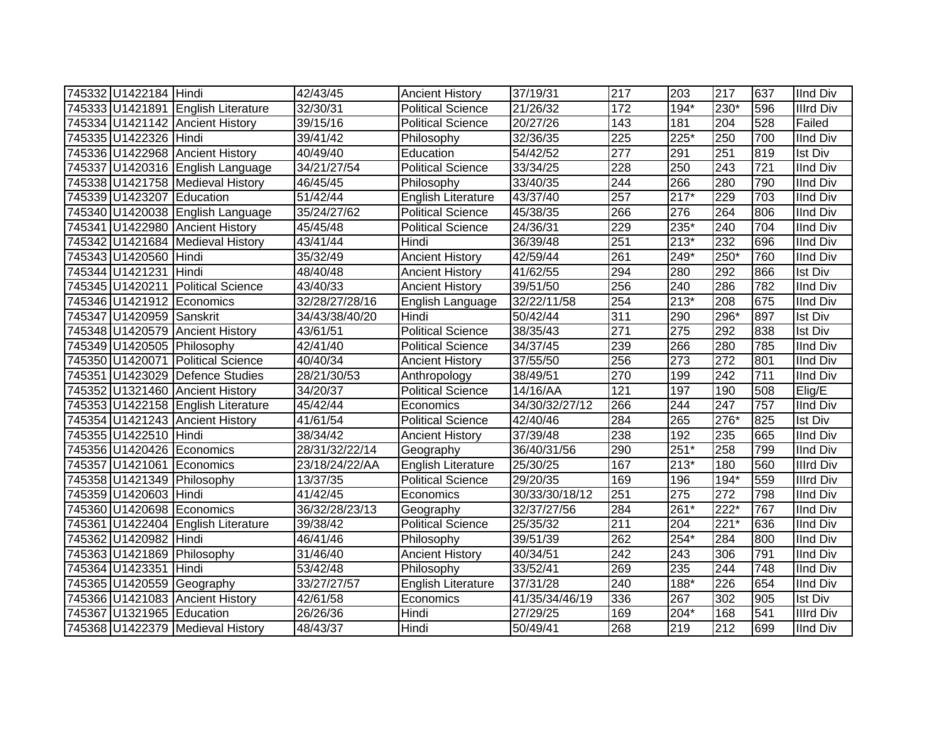| 745332 U1422184 Hindi     |                                    | 42/43/45       | <b>Ancient History</b>    | 37/19/31          | 217              | 203    | 217              | 637 | <b>IInd Div</b>  |
|---------------------------|------------------------------------|----------------|---------------------------|-------------------|------------------|--------|------------------|-----|------------------|
|                           | 745333 U1421891 English Literature | 32/30/31       | <b>Political Science</b>  | $\sqrt{21}/26/32$ | 172              | $194*$ | 230*             | 596 | <b>Illrd Div</b> |
|                           | 745334 U1421142 Ancient History    | 39/15/16       | <b>Political Science</b>  | 20/27/26          | $\overline{143}$ | 181    | $\overline{204}$ | 528 | Failed           |
| 745335 U1422326 Hindi     |                                    | 39/41/42       | Philosophy                | 32/36/35          | $\overline{225}$ | $225*$ | 250              | 700 | <b>IInd Div</b>  |
|                           | 745336 U1422968 Ancient History    | 40/49/40       | Education                 | 54/42/52          | $\overline{277}$ | 291    | 251              | 819 | <b>Ist Div</b>   |
|                           | 745337 U1420316 English Language   | 34/21/27/54    | <b>Political Science</b>  | 33/34/25          | 228              | 250    | $\overline{243}$ | 721 | IInd Div         |
|                           | 745338 U1421758 Medieval History   | 46/45/45       | Philosophy                | 33/40/35          | 244              | 266    | 280              | 790 | <b>IInd Div</b>  |
| 745339 U1423207 Education |                                    | 51/42/44       | English Literature        | 43/37/40          | 257              | $217*$ | 229              | 703 | <b>IInd Div</b>  |
|                           | 745340 U1420038 English Language   | 35/24/27/62    | <b>Political Science</b>  | 45/38/35          | 266              | 276    | 264              | 806 | <b>IInd Div</b>  |
|                           | 745341 U1422980 Ancient History    | 45/45/48       | <b>Political Science</b>  | 24/36/31          | 229              | 235*   | 240              | 704 | <b>IInd Div</b>  |
|                           | 745342 U1421684 Medieval History   | 43/41/44       | Hindi                     | 36/39/48          | 251              | $213*$ | 232              | 696 | <b>IInd Div</b>  |
| 745343 U1420560 Hindi     |                                    | 35/32/49       | <b>Ancient History</b>    | 42/59/44          | 261              | $249*$ | $250*$           | 760 | <b>IInd Div</b>  |
| 745344 U1421231 Hindi     |                                    | 48/40/48       | <b>Ancient History</b>    | 41/62/55          | 294              | 280    | 292              | 866 | <b>Ist Div</b>   |
|                           | 745345 U1420211 Political Science  | 43/40/33       | <b>Ancient History</b>    | 39/51/50          | 256              | 240    | 286              | 782 | <b>IInd Div</b>  |
|                           | 745346 U1421912 Economics          | 32/28/27/28/16 | English Language          | 32/22/11/58       | 254              | $213*$ | 208              | 675 | <b>IInd Div</b>  |
| 745347 U1420959 Sanskrit  |                                    | 34/43/38/40/20 | Hindi                     | 50/42/44          | 311              | 290    | 296*             | 897 | <b>Ist Div</b>   |
|                           | 745348 U1420579 Ancient History    | 43/61/51       | <b>Political Science</b>  | 38/35/43          | 271              | 275    | 292              | 838 | <b>Ist Div</b>   |
|                           | 745349 U1420505 Philosophy         | 42/41/40       | <b>Political Science</b>  | 34/37/45          | 239              | 266    | 280              | 785 | <b>IInd Div</b>  |
|                           | 745350 U1420071 Political Science  | 40/40/34       | <b>Ancient History</b>    | 37/55/50          | 256              | 273    | 272              | 801 | <b>IInd Div</b>  |
|                           | 745351 U1423029 Defence Studies    | 28/21/30/53    | Anthropology              | 38/49/51          | 270              | 199    | 242              | 711 | <b>IInd Div</b>  |
|                           | 745352 U1321460 Ancient History    | 34/20/37       | <b>Political Science</b>  | 14/16/AA          | 121              | 197    | 190              | 508 | Elig/E           |
|                           | 745353 U1422158 English Literature | 45/42/44       | Economics                 | 34/30/32/27/12    | 266              | 244    | $\overline{247}$ | 757 | <b>IInd Div</b>  |
|                           | 745354 U1421243 Ancient History    | 41/61/54       | <b>Political Science</b>  | 42/40/46          | 284              | 265    | 276*             | 825 | <b>Ist Div</b>   |
| 745355 U1422510 Hindi     |                                    | 38/34/42       | <b>Ancient History</b>    | 37/39/48          | 238              | 192    | 235              | 665 | <b>IInd Div</b>  |
|                           | 745356 U1420426 Economics          | 28/31/32/22/14 | Geography                 | 36/40/31/56       | 290              | $251*$ | 258              | 799 | <b>IInd Div</b>  |
|                           | 745357 U1421061 Economics          | 23/18/24/22/AA | <b>English Literature</b> | 25/30/25          | 167              | $213*$ | 180              | 560 | <b>Illrd Div</b> |
|                           | 745358 U1421349 Philosophy         | 13/37/35       | <b>Political Science</b>  | 29/20/35          | 169              | 196    | 194*             | 559 | <b>Illrd Div</b> |
| 745359 U1420603 Hindi     |                                    | 41/42/45       | Economics                 | 30/33/30/18/12    | 251              | 275    | 272              | 798 | <b>IInd Div</b>  |
|                           | 745360 U1420698 Economics          | 36/32/28/23/13 | Geography                 | 32/37/27/56       | 284              | 261*   | $222*$           | 767 | <b>IInd Div</b>  |
|                           | 745361 U1422404 English Literature | 39/38/42       | <b>Political Science</b>  | 25/35/32          | $\overline{211}$ | 204    | $221*$           | 636 | <b>IInd Div</b>  |
| 745362 U1420982 Hindi     |                                    | 46/41/46       | Philosophy                | 39/51/39          | 262              | $254*$ | 284              | 800 | <b>IInd Div</b>  |
|                           | 745363 U1421869 Philosophy         | 31/46/40       | <b>Ancient History</b>    | 40/34/51          | 242              | 243    | 306              | 791 | <b>IInd Div</b>  |
| 745364 U1423351 Hindi     |                                    | 53/42/48       | Philosophy                | 33/52/41          | 269              | 235    | 244              | 748 | <b>IInd Div</b>  |
|                           | 745365 U1420559 Geography          | 33/27/27/57    | <b>English Literature</b> | 37/31/28          | 240              | $188*$ | 226              | 654 | <b>IInd Div</b>  |
|                           | 745366 U1421083 Ancient History    | 42/61/58       | Economics                 | 41/35/34/46/19    | 336              | 267    | 302              | 905 | <b>Ist Div</b>   |
| 745367 U1321965 Education |                                    | 26/26/36       | Hindi                     | 27/29/25          | 169              | $204*$ | 168              | 541 | <b>Illrd Div</b> |
|                           | 745368 U1422379 Medieval History   | 48/43/37       | Hindi                     | 50/49/41          | 268              | 219    | 212              | 699 | <b>IInd Div</b>  |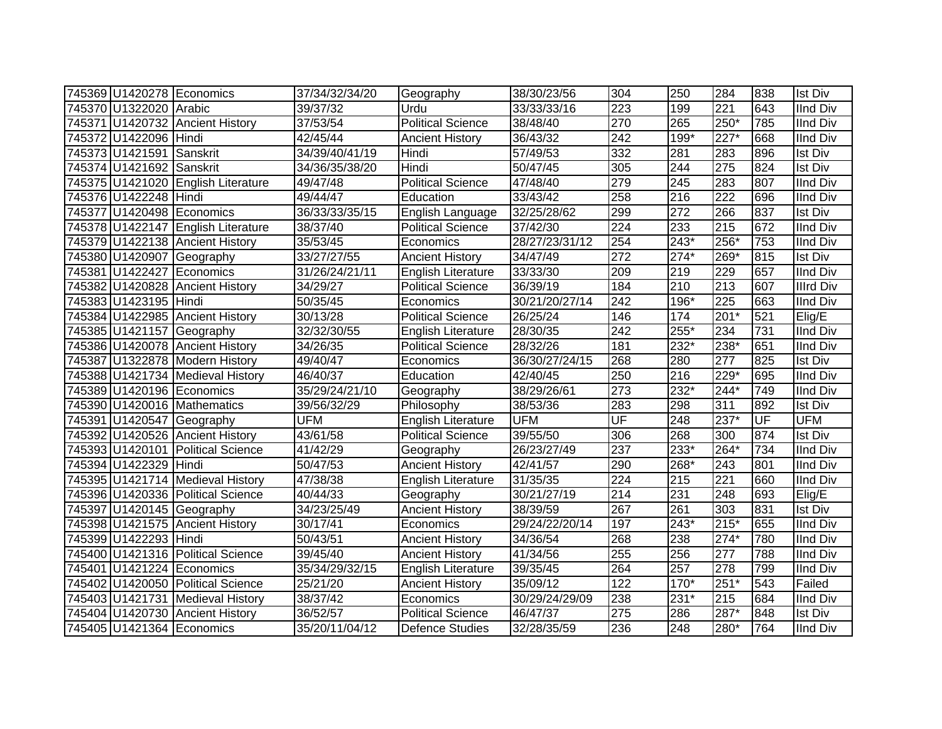|                          | 745369 U1420278 Economics          | 37/34/32/34/20 | Geography                 | 38/30/23/56    | 304                      | 250    | 284              | 838 | <b>Ist Div</b>   |
|--------------------------|------------------------------------|----------------|---------------------------|----------------|--------------------------|--------|------------------|-----|------------------|
| 745370 U1322020 Arabic   |                                    | 39/37/32       | Urdu                      | 33/33/33/16    | 223                      | 199    | 221              | 643 | <b>IInd Div</b>  |
|                          | 745371 U1420732 Ancient History    | 37/53/54       | <b>Political Science</b>  | 38/48/40       | 270                      | 265    | 250*             | 785 | <b>IInd Div</b>  |
| 745372 U1422096 Hindi    |                                    | 42/45/44       | <b>Ancient History</b>    | 36/43/32       | 242                      | 199*   | 227*             | 668 | <b>IInd Div</b>  |
| 745373 U1421591 Sanskrit |                                    | 34/39/40/41/19 | Hindi                     | 57/49/53       | 332                      | 281    | 283              | 896 | <b>Ist Div</b>   |
| 745374 U1421692 Sanskrit |                                    | 34/36/35/38/20 | Hindi                     | 50/47/45       | 305                      | 244    | $\overline{275}$ | 824 | <b>Ist Div</b>   |
|                          | 745375 U1421020 English Literature | 49/47/48       | <b>Political Science</b>  | 47/48/40       | 279                      | 245    | 283              | 807 | <b>IInd Div</b>  |
| 745376 U1422248 Hindi    |                                    | 49/44/47       | Education                 | 33/43/42       | 258                      | 216    | 222              | 696 | <b>IInd Div</b>  |
|                          | 745377 U1420498 Economics          | 36/33/33/35/15 | English Language          | 32/25/28/62    | 299                      | 272    | 266              | 837 | <b>Ist Div</b>   |
|                          | 745378 U1422147 English Literature | 38/37/40       | <b>Political Science</b>  | 37/42/30       | 224                      | 233    | 215              | 672 | <b>IInd Div</b>  |
|                          | 745379 U1422138 Ancient History    | 35/53/45       | Economics                 | 28/27/23/31/12 | 254                      | $243*$ | $256*$           | 753 | <b>IInd Div</b>  |
|                          | 745380 U1420907 Geography          | 33/27/27/55    | <b>Ancient History</b>    | 34/47/49       | $\overline{272}$         | $274*$ | 269*             | 815 | <b>Ist Div</b>   |
| 745381 U1422427          | Economics                          | 31/26/24/21/11 | English Literature        | 33/33/30       | 209                      | 219    | 229              | 657 | <b>IInd Div</b>  |
|                          | 745382 U1420828 Ancient History    | 34/29/27       | <b>Political Science</b>  | 36/39/19       | 184                      | 210    | 213              | 607 | <b>Illrd Div</b> |
| 745383 U1423195 Hindi    |                                    | 50/35/45       | Economics                 | 30/21/20/27/14 | 242                      | 196*   | 225              | 663 | <b>IInd Div</b>  |
|                          | 745384 U1422985 Ancient History    | 30/13/28       | <b>Political Science</b>  | 26/25/24       | 146                      | 174    | $201*$           | 521 | Elig/E           |
|                          | 745385 U1421157 Geography          | 32/32/30/55    | English Literature        | 28/30/35       | 242                      | 255*   | 234              | 731 | <b>IInd Div</b>  |
|                          | 745386 U1420078 Ancient History    | 34/26/35       | <b>Political Science</b>  | 28/32/26       | 181                      | 232*   | 238*             | 651 | <b>IInd Div</b>  |
|                          | 745387 U1322878 Modern History     | 49/40/47       | Economics                 | 36/30/27/24/15 | 268                      | 280    | 277              | 825 | <b>Ist Div</b>   |
|                          | 745388 U1421734 Medieval History   | 46/40/37       | Education                 | 42/40/45       | 250                      | 216    | 229*             | 695 | <b>IInd Div</b>  |
|                          | 745389 U1420196 Economics          | 35/29/24/21/10 | Geography                 | 38/29/26/61    | 273                      | 232*   | 244*             | 749 | <b>IInd Div</b>  |
|                          | 745390 U1420016 Mathematics        | 39/56/32/29    | Philosophy                | 38/53/36       | 283                      | 298    | $\overline{311}$ | 892 | <b>Ist Div</b>   |
|                          | 745391 U1420547 Geography          | <b>UFM</b>     | English Literature        | <b>UFM</b>     | $\overline{\mathsf{UF}}$ | 248    | $237*$           | UF  | <b>UFM</b>       |
|                          | 745392 U1420526 Ancient History    | 43/61/58       | <b>Political Science</b>  | 39/55/50       | 306                      | 268    | 300              | 874 | <b>Ist Div</b>   |
|                          | 745393 U1420101 Political Science  | 41/42/29       | Geography                 | 26/23/27/49    | 237                      | 233*   | 264*             | 734 | <b>IInd Div</b>  |
| 745394 U1422329 Hindi    |                                    | 50/47/53       | <b>Ancient History</b>    | 42/41/57       | 290                      | 268*   | 243              | 801 | <b>IInd Div</b>  |
|                          | 745395 U1421714 Medieval History   | 47/38/38       | <b>English Literature</b> | 31/35/35       | $\overline{224}$         | 215    | $\overline{221}$ | 660 | <b>IInd Div</b>  |
|                          | 745396 U1420336 Political Science  | 40/44/33       | Geography                 | 30/21/27/19    | 214                      | 231    | 248              | 693 | Elig/E           |
|                          | 745397 U1420145 Geography          | 34/23/25/49    | <b>Ancient History</b>    | 38/39/59       | 267                      | 261    | 303              | 831 | <b>Ist Div</b>   |
|                          | 745398 U1421575 Ancient History    | 30/17/41       | Economics                 | 29/24/22/20/14 | 197                      | $243*$ | $215*$           | 655 | <b>IInd Div</b>  |
| 745399 U1422293 Hindi    |                                    | 50/43/51       | <b>Ancient History</b>    | 34/36/54       | 268                      | 238    | $274*$           | 780 | <b>IInd Div</b>  |
|                          | 745400 U1421316 Political Science  | 39/45/40       | <b>Ancient History</b>    | 41/34/56       | 255                      | 256    | 277              | 788 | <b>IInd Div</b>  |
|                          | 745401 U1421224 Economics          | 35/34/29/32/15 | English Literature        | 39/35/45       | 264                      | 257    | 278              | 799 | <b>IInd Div</b>  |
|                          | 745402 U1420050 Political Science  | 25/21/20       | <b>Ancient History</b>    | 35/09/12       | 122                      | $170*$ | $251*$           | 543 | Failed           |
|                          | 745403 U1421731 Medieval History   | 38/37/42       | Economics                 | 30/29/24/29/09 | 238                      | 231*   | 215              | 684 | <b>IInd Div</b>  |
|                          | 745404 U1420730 Ancient History    | 36/52/57       | <b>Political Science</b>  | 46/47/37       | 275                      | 286    | 287*             | 848 | <b>Ist Div</b>   |
|                          | 745405 U1421364 Economics          | 35/20/11/04/12 | <b>Defence Studies</b>    | 32/28/35/59    | 236                      | 248    | 280*             | 764 | <b>IInd Div</b>  |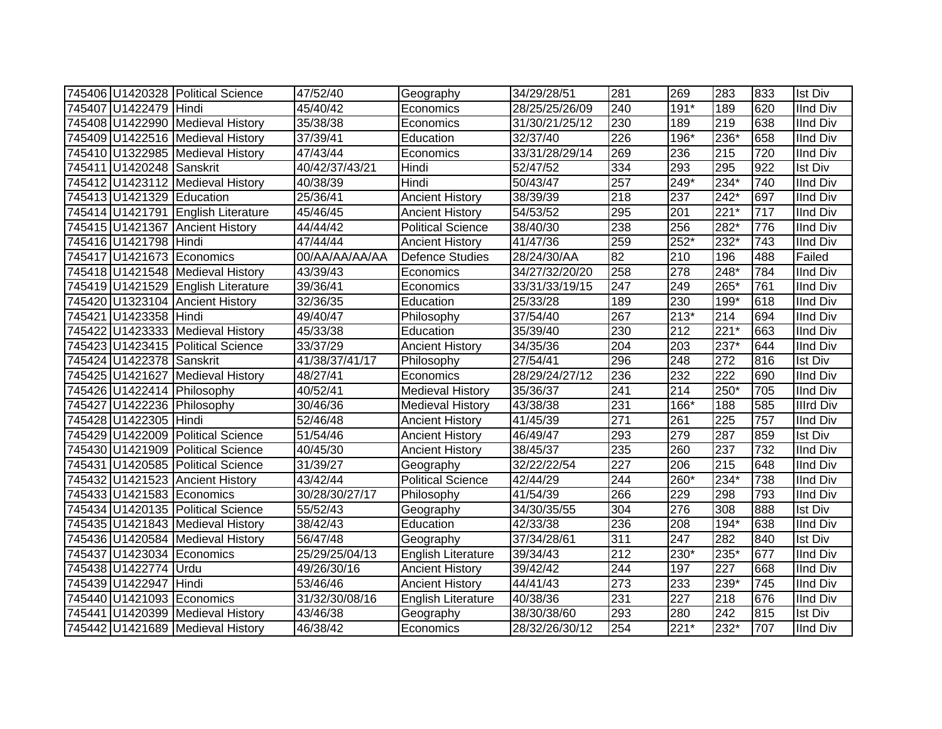|                           | 745406 U1420328 Political Science  | 47/52/40       | Geography                | 34/29/28/51    | 281              | 269              | 283    | 833 | <b>Ist Div</b>   |
|---------------------------|------------------------------------|----------------|--------------------------|----------------|------------------|------------------|--------|-----|------------------|
| 745407 U1422479 Hindi     |                                    | 45/40/42       | Economics                | 28/25/25/26/09 | 240              | 191*             | 189    | 620 | <b>IInd Div</b>  |
|                           | 745408 U1422990 Medieval History   | 35/38/38       | Economics                | 31/30/21/25/12 | 230              | 189              | 219    | 638 | <b>IInd Div</b>  |
|                           | 745409 U1422516 Medieval History   | 37/39/41       | Education                | 32/37/40       | 226              | $196*$           | $236*$ | 658 | <b>IInd Div</b>  |
|                           | 745410 U1322985 Medieval History   | 47/43/44       | Economics                | 33/31/28/29/14 | 269              | 236              | 215    | 720 | <b>IInd Div</b>  |
| 745411 U1420248 Sanskrit  |                                    | 40/42/37/43/21 | Hindi                    | 52/47/52       | 334              | 293              | 295    | 922 | <b>Ist Div</b>   |
|                           | 745412 U1423112 Medieval History   | 40/38/39       | Hindi                    | 50/43/47       | 257              | 249*             | 234*   | 740 | <b>IInd Div</b>  |
| 745413 U1421329 Education |                                    | 25/36/41       | <b>Ancient History</b>   | 38/39/39       | 218              | 237              | $242*$ | 697 | <b>IInd Div</b>  |
|                           | 745414 U1421791 English Literature | 45/46/45       | <b>Ancient History</b>   | 54/53/52       | 295              | 201              | $221*$ | 717 | <b>IInd Div</b>  |
|                           | 745415 U1421367 Ancient History    | 44/44/42       | <b>Political Science</b> | 38/40/30       | 238              | 256              | 282*   | 776 | <b>IInd Div</b>  |
| 745416 U1421798 Hindi     |                                    | 47/44/44       | <b>Ancient History</b>   | 41/47/36       | 259              | 252*             | 232*   | 743 | <b>IInd Div</b>  |
|                           | 745417 U1421673 Economics          | 00/AA/AA/AA/AA | <b>Defence Studies</b>   | 28/24/30/AA    | 82               | 210              | 196    | 488 | Failed           |
|                           | 745418 U1421548 Medieval History   | 43/39/43       | Economics                | 34/27/32/20/20 | 258              | 278              | $248*$ | 784 | <b>IInd Div</b>  |
|                           | 745419 U1421529 English Literature | 39/36/41       | Economics                | 33/31/33/19/15 | 247              | 249              | 265*   | 761 | <b>IInd Div</b>  |
|                           | 745420 U1323104 Ancient History    | 32/36/35       | Education                | 25/33/28       | 189              | 230              | 199*   | 618 | <b>IInd Div</b>  |
| 745421 U1423358 Hindi     |                                    | 49/40/47       | Philosophy               | 37/54/40       | 267              | $213*$           | 214    | 694 | <b>IInd Div</b>  |
|                           | 745422 U1423333 Medieval History   | 45/33/38       | Education                | 35/39/40       | 230              | 212              | $221*$ | 663 | <b>IInd Div</b>  |
|                           | 745423 U1423415 Political Science  | 33/37/29       | <b>Ancient History</b>   | 34/35/36       | 204              | $\overline{203}$ | 237*   | 644 | <b>IInd Div</b>  |
| 745424 U1422378 Sanskrit  |                                    | 41/38/37/41/17 | Philosophy               | 27/54/41       | 296              | 248              | 272    | 816 | <b>Ist Div</b>   |
|                           | 745425 U1421627 Medieval History   | 48/27/41       | Economics                | 28/29/24/27/12 | 236              | 232              | 222    | 690 | <b>IInd Div</b>  |
|                           | 745426 U1422414 Philosophy         | 40/52/41       | <b>Medieval History</b>  | 35/36/37       | 241              | 214              | 250*   | 705 | <b>IInd Div</b>  |
|                           | 745427 U1422236 Philosophy         | 30/46/36       | <b>Medieval History</b>  | 43/38/38       | 231              | 166*             | 188    | 585 | <b>Illrd Div</b> |
| 745428 U1422305 Hindi     |                                    | 52/46/48       | <b>Ancient History</b>   | 41/45/39       | 271              | 261              | 225    | 757 | <b>IInd Div</b>  |
|                           | 745429 U1422009 Political Science  | 51/54/46       | <b>Ancient History</b>   | 46/49/47       | 293              | 279              | 287    | 859 | <b>Ist Div</b>   |
|                           | 745430 U1421909 Political Science  | 40/45/30       | <b>Ancient History</b>   | 38/45/37       | 235              | 260              | 237    | 732 | <b>IInd Div</b>  |
|                           | 745431 U1420585 Political Science  | 31/39/27       | Geography                | 32/22/22/54    | 227              | 206              | 215    | 648 | <b>IInd Div</b>  |
|                           | 745432 U1421523 Ancient History    | 43/42/44       | <b>Political Science</b> | 42/44/29       | 244              | 260*             | 234*   | 738 | <b>IInd Div</b>  |
|                           | 745433 U1421583 Economics          | 30/28/30/27/17 | Philosophy               | 41/54/39       | 266              | 229              | 298    | 793 | <b>IInd Div</b>  |
|                           | 745434 U1420135 Political Science  | 55/52/43       | Geography                | 34/30/35/55    | 304              | 276              | 308    | 888 | <b>Ist Div</b>   |
|                           | 745435 U1421843 Medieval History   | 38/42/43       | Education                | 42/33/38       | 236              | 208              | $194*$ | 638 | <b>IInd Div</b>  |
|                           | 745436 U1420584 Medieval History   | 56/47/48       | Geography                | 37/34/28/61    | 311              | 247              | 282    | 840 | <b>Ist Div</b>   |
|                           | 745437 U1423034 Economics          | 25/29/25/04/13 | English Literature       | 39/34/43       | $\overline{212}$ | $230*$           | 235*   | 677 | <b>IInd Div</b>  |
| 745438 U1422774 Urdu      |                                    | 49/26/30/16    | <b>Ancient History</b>   | 39/42/42       | 244              | 197              | 227    | 668 | <b>IInd Div</b>  |
| 745439 U1422947 Hindi     |                                    | 53/46/46       | <b>Ancient History</b>   | 44/41/43       | 273              | 233              | 239*   | 745 | <b>IInd Div</b>  |
|                           | 745440 U1421093 Economics          | 31/32/30/08/16 | English Literature       | 40/38/36       | 231              | 227              | 218    | 676 | <b>IInd Div</b>  |
|                           | 745441 U1420399 Medieval History   | 43/46/38       | Geography                | 38/30/38/60    | 293              | 280              | 242    | 815 | <b>Ist Div</b>   |
|                           | 745442 U1421689 Medieval History   | 46/38/42       | Economics                | 28/32/26/30/12 | 254              | $221*$           | 232*   | 707 | <b>IInd Div</b>  |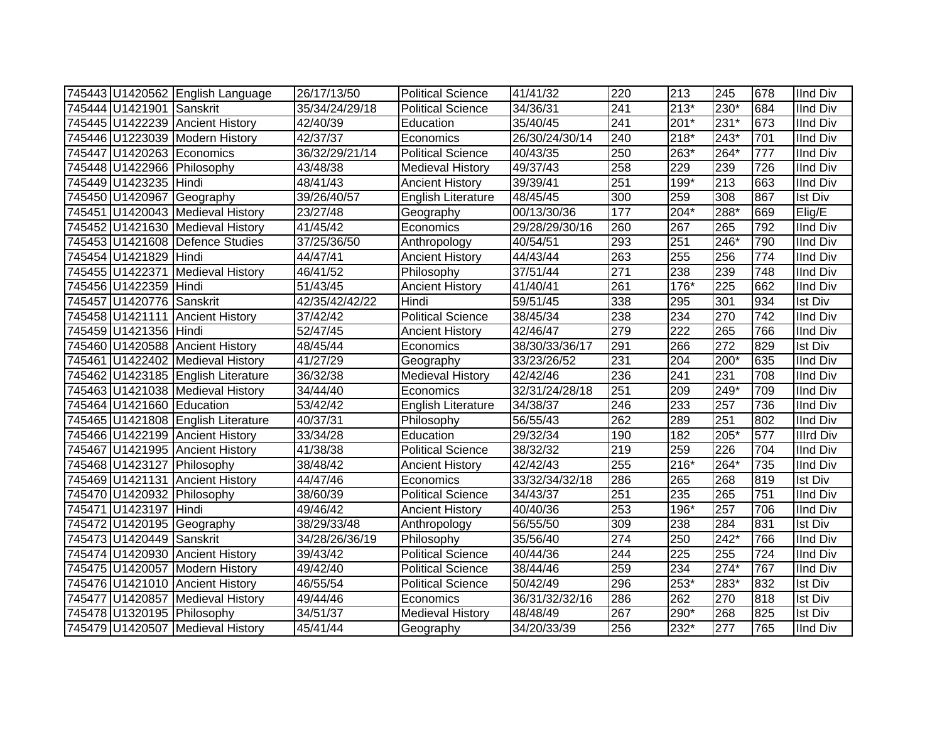|                           | 745443 U1420562 English Language   | 26/17/13/50    | <b>Political Science</b>  | 41/41/32       | 220              | 213    | 245              | 678              | <b>IInd Div</b>  |
|---------------------------|------------------------------------|----------------|---------------------------|----------------|------------------|--------|------------------|------------------|------------------|
| 745444 U1421901 Sanskrit  |                                    | 35/34/24/29/18 | Political Science         | 34/36/31       | 241              | $213*$ | 230*             | 684              | <b>IInd Div</b>  |
|                           | 745445 U1422239 Ancient History    | 42/40/39       | Education                 | 35/40/45       | $\overline{241}$ | $201*$ | $231*$           | 673              | <b>IInd Div</b>  |
|                           | 745446 U1223039 Modern History     | 42/37/37       | Economics                 | 26/30/24/30/14 | 240              | $218*$ | $243*$           | 701              | <b>IInd Div</b>  |
|                           | 745447 U1420263 Economics          | 36/32/29/21/14 | <b>Political Science</b>  | 40/43/35       | 250              | 263*   | $264*$           | $\overline{777}$ | <b>IInd Div</b>  |
|                           | 745448 U1422966 Philosophy         | 43/48/38       | <b>Medieval History</b>   | 49/37/43       | 258              | 229    | 239              | 726              | <b>IInd Div</b>  |
| 745449 U1423235 Hindi     |                                    | 48/41/43       | <b>Ancient History</b>    | 39/39/41       | 251              | 199*   | 213              | 663              | <b>IInd Div</b>  |
|                           | 745450 U1420967 Geography          | 39/26/40/57    | English Literature        | 48/45/45       | 300              | 259    | 308              | 867              | Ist Div          |
|                           | 745451 U1420043 Medieval History   | 23/27/48       | Geography                 | 00/13/30/36    | 177              | 204*   | 288*             | 669              | Elig/E           |
|                           | 745452 U1421630 Medieval History   | 41/45/42       | Economics                 | 29/28/29/30/16 | 260              | 267    | 265              | 792              | <b>IInd Div</b>  |
|                           | 745453 U1421608 Defence Studies    | 37/25/36/50    | Anthropology              | 40/54/51       | 293              | 251    | 246*             | 790              | <b>IInd Div</b>  |
| 745454 U1421829 Hindi     |                                    | 44/47/41       | <b>Ancient History</b>    | 44/43/44       | 263              | 255    | 256              | 774              | <b>IInd Div</b>  |
|                           | 745455 U1422371 Medieval History   | 46/41/52       | Philosophy                | 37/51/44       | 271              | 238    | 239              | 748              | <b>IInd Div</b>  |
| 745456 U1422359 Hindi     |                                    | 51/43/45       | <b>Ancient History</b>    | 41/40/41       | 261              | $176*$ | 225              | 662              | <b>IInd Div</b>  |
| 745457 U1420776 Sanskrit  |                                    | 42/35/42/42/22 | Hindi                     | 59/51/45       | 338              | 295    | 301              | 934              | <b>Ist Div</b>   |
|                           | 745458 U1421111 Ancient History    | 37/42/42       | <b>Political Science</b>  | 38/45/34       | 238              | 234    | 270              | 742              | <b>IInd Div</b>  |
| 745459 U1421356 Hindi     |                                    | 52/47/45       | <b>Ancient History</b>    | 42/46/47       | 279              | 222    | 265              | 766              | <b>IInd Div</b>  |
|                           | 745460 U1420588 Ancient History    | 48/45/44       | Economics                 | 38/30/33/36/17 | 291              | 266    | $\overline{272}$ | 829              | <b>Ist Div</b>   |
|                           | 745461 U1422402 Medieval History   | 41/27/29       | Geography                 | 33/23/26/52    | 231              | 204    | 200*             | 635              | <b>IInd Div</b>  |
|                           | 745462 U1423185 English Literature | 36/32/38       | <b>Medieval History</b>   | 42/42/46       | 236              | 241    | 231              | 708              | <b>IInd Div</b>  |
|                           | 745463 U1421038 Medieval History   | 34/44/40       | Economics                 | 32/31/24/28/18 | 251              | 209    | $249*$           | 709              | <b>IInd Div</b>  |
| 745464 U1421660 Education |                                    | 53/42/42       | <b>English Literature</b> | 34/38/37       | 246              | 233    | $\overline{257}$ | 736              | <b>IInd Div</b>  |
|                           | 745465 U1421808 English Literature | 40/37/31       | Philosophy                | 56/55/43       | 262              | 289    | 251              | 802              | <b>IInd Div</b>  |
|                           | 745466 U1422199 Ancient History    | 33/34/28       | Education                 | 29/32/34       | 190              | 182    | 205*             | 577              | <b>Illrd Div</b> |
|                           | 745467 U1421995 Ancient History    | 41/38/38       | <b>Political Science</b>  | 38/32/32       | 219              | 259    | 226              | 704              | <b>IInd Div</b>  |
|                           | 745468 U1423127 Philosophy         | 38/48/42       | <b>Ancient History</b>    | 42/42/43       | 255              | 216*   | 264*             | 735              | <b>IInd Div</b>  |
|                           | 745469 U1421131 Ancient History    | 44/47/46       | Economics                 | 33/32/34/32/18 | 286              | 265    | 268              | 819              | <b>Ist Div</b>   |
|                           | 745470 U1420932 Philosophy         | 38/60/39       | <b>Political Science</b>  | 34/43/37       | 251              | 235    | 265              | 751              | <b>IInd Div</b>  |
| 745471 U1423197 Hindi     |                                    | 49/46/42       | <b>Ancient History</b>    | 40/40/36       | 253              | 196*   | 257              | 706              | <b>IInd Div</b>  |
|                           | 745472 U1420195 Geography          | 38/29/33/48    | Anthropology              | 56/55/50       | 309              | 238    | 284              | 831              | <b>Ist Div</b>   |
| 745473 U1420449 Sanskrit  |                                    | 34/28/26/36/19 | Philosophy                | 35/56/40       | $\overline{274}$ | 250    | $242*$           | 766              | <b>IInd Div</b>  |
|                           | 745474 U1420930 Ancient History    | 39/43/42       | Political Science         | 40/44/36       | 244              | 225    | 255              | 724              | <b>IInd Div</b>  |
|                           | 745475 U1420057 Modern History     | 49/42/40       | <b>Political Science</b>  | 38/44/46       | 259              | 234    | $274*$           | 767              | <b>IInd Div</b>  |
|                           | 745476 U1421010 Ancient History    | 46/55/54       | <b>Political Science</b>  | 50/42/49       | 296              | $253*$ | $283*$           | 832              | <b>Ist Div</b>   |
|                           | 745477 U1420857 Medieval History   | 49/44/46       | Economics                 | 36/31/32/32/16 | 286              | 262    | 270              | 818              | <b>Ist Div</b>   |
|                           | 745478 U1320195 Philosophy         | 34/51/37       | <b>Medieval History</b>   | 48/48/49       | 267              | 290*   | 268              | 825              | <b>Ist Div</b>   |
|                           | 745479 U1420507 Medieval History   | 45/41/44       | Geography                 | 34/20/33/39    | 256              | 232*   | 277              | 765              | <b>IInd Div</b>  |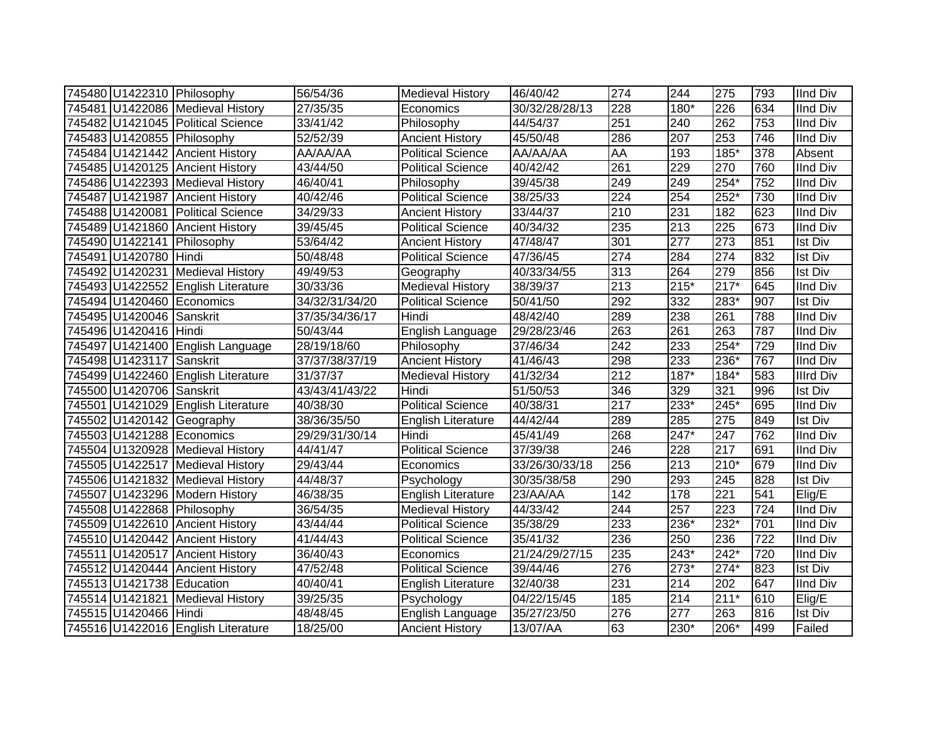|                           | 745480 U1422310 Philosophy         | 56/54/36       | <b>Medieval History</b>   | 46/40/42       | 274              | 244              | 275              | 793              | <b>IInd Div</b>  |
|---------------------------|------------------------------------|----------------|---------------------------|----------------|------------------|------------------|------------------|------------------|------------------|
|                           | 745481 U1422086 Medieval History   | 27/35/35       | Economics                 | 30/32/28/28/13 | 228              | 180*             | 226              | 634              | <b>IInd Div</b>  |
|                           | 745482 U1421045 Political Science  | 33/41/42       | Philosophy                | 44/54/37       | 251              | 240              | 262              | 753              | <b>IInd Div</b>  |
|                           | 745483 U1420855 Philosophy         | 52/52/39       | <b>Ancient History</b>    | 45/50/48       | 286              | 207              | 253              | 746              | <b>IInd Div</b>  |
|                           | 745484 U1421442 Ancient History    | AA/AA/AA       | <b>Political Science</b>  | AA/AA/AA       | <b>AA</b>        | 193              | $185*$           | 378              | Absent           |
|                           | 745485 U1420125 Ancient History    | 43/44/50       | <b>Political Science</b>  | 40/42/42       | 261              | 229              | 270              | 760              | <b>IInd Div</b>  |
|                           | 745486 U1422393 Medieval History   | 46/40/41       | Philosophy                | 39/45/38       | 249              | 249              | $254*$           | 752              | <b>IInd Div</b>  |
|                           | 745487 U1421987 Ancient History    | 40/42/46       | <b>Political Science</b>  | 38/25/33       | 224              | 254              | $252*$           | 730              | <b>IInd Div</b>  |
|                           | 745488 U1420081 Political Science  | 34/29/33       | <b>Ancient History</b>    | 33/44/37       | 210              | 231              | 182              | 623              | <b>IInd Div</b>  |
|                           | 745489 U1421860 Ancient History    | 39/45/45       | <b>Political Science</b>  | 40/34/32       | 235              | 213              | 225              | 673              | <b>IInd Div</b>  |
|                           | 745490 U1422141 Philosophy         | 53/64/42       | <b>Ancient History</b>    | 47/48/47       | 301              | 277              | 273              | 851              | <b>Ist Div</b>   |
| 745491 U1420780 Hindi     |                                    | 50/48/48       | <b>Political Science</b>  | 47/36/45       | 274              | 284              | 274              | 832              | <b>Ist Div</b>   |
|                           | 745492 U1420231 Medieval History   | 49/49/53       | Geography                 | 40/33/34/55    | 313              | 264              | 279              | 856              | <b>Ist Div</b>   |
|                           | 745493 U1422552 English Literature | 30/33/36       | <b>Medieval History</b>   | 38/39/37       | 213              | $215*$           | $217*$           | 645              | IInd Div         |
|                           | 745494 U1420460 Economics          | 34/32/31/34/20 | <b>Political Science</b>  | 50/41/50       | 292              | 332              | 283*             | 907              | <b>Ist Div</b>   |
| 745495 U1420046 Sanskrit  |                                    | 37/35/34/36/17 | Hindi                     | 48/42/40       | 289              | 238              | 261              | 788              | <b>IInd Div</b>  |
| 745496 U1420416 Hindi     |                                    | 50/43/44       | English Language          | 29/28/23/46    | 263              | 261              | 263              | 787              | <b>IInd Div</b>  |
|                           | 745497 U1421400 English Language   | 28/19/18/60    | Philosophy                | 37/46/34       | 242              | $\overline{233}$ | $254*$           | 729              | <b>IInd Div</b>  |
| 745498 U1423117 Sanskrit  |                                    | 37/37/38/37/19 | <b>Ancient History</b>    | 41/46/43       | 298              | $\overline{233}$ | 236*             | 767              | <b>IInd Div</b>  |
|                           | 745499 U1422460 English Literature | 31/37/37       | <b>Medieval History</b>   | 41/32/34       | $\overline{212}$ | 187*             | $184*$           | 583              | <b>Illrd Div</b> |
| 745500 U1420706 Sanskrit  |                                    | 43/43/41/43/22 | Hindi                     | 51/50/53       | 346              | 329              | 321              | 996              | <b>Ist Div</b>   |
|                           | 745501 U1421029 English Literature | 40/38/30       | <b>Political Science</b>  | 40/38/31       | $\overline{217}$ | 233*             | 245*             | 695              | <b>IInd Div</b>  |
|                           | 745502 U1420142 Geography          | 38/36/35/50    | English Literature        | 44/42/44       | 289              | 285              | 275              | 849              | <b>Ist Div</b>   |
|                           | 745503 U1421288 Economics          | 29/29/31/30/14 | Hindi                     | 45/41/49       | 268              | 247*             | 247              | 762              | <b>IInd Div</b>  |
|                           | 745504 U1320928 Medieval History   | 44/41/47       | <b>Political Science</b>  | 37/39/38       | 246              | 228              | 217              | 691              | <b>IInd Div</b>  |
|                           | 745505 U1422517 Medieval History   | 29/43/44       | Economics                 | 33/26/30/33/18 | 256              | 213              | 210*             | 679              | <b>IInd Div</b>  |
|                           | 745506 U1421832 Medieval History   | 44/48/37       | Psychology                | 30/35/38/58    | 290              | 293              | 245              | 828              | <b>Ist Div</b>   |
|                           | 745507 U1423296 Modern History     | 46/38/35       | <b>English Literature</b> | 23/AA/AA       | 142              | 178              | $\overline{221}$ | 541              | Elig/E           |
|                           | 745508 U1422868 Philosophy         | 36/54/35       | Medieval History          | 44/33/42       | 244              | $\overline{257}$ | 223              | $\overline{724}$ | <b>IInd Div</b>  |
|                           | 745509 U1422610 Ancient History    | 43/44/44       | <b>Political Science</b>  | 35/38/29       | 233              | 236*             | $232*$           | 701              | <b>IInd Div</b>  |
|                           | 745510 U1420442 Ancient History    | 41/44/43       | <b>Political Science</b>  | 35/41/32       | 236              | 250              | 236              | $\overline{722}$ | <b>IInd Div</b>  |
|                           | 745511 U1420517 Ancient History    | 36/40/43       | Economics                 | 21/24/29/27/15 | 235              | 243*             | 242*             | 720              | <b>IInd Div</b>  |
|                           | 745512 U1420444 Ancient History    | 47/52/48       | <b>Political Science</b>  | 39/44/46       | 276              | $273*$           | $274*$           | 823              | <b>Ist Div</b>   |
| 745513 U1421738 Education |                                    | 40/40/41       | <b>English Literature</b> | 32/40/38       | 231              | 214              | 202              | 647              | <b>IInd Div</b>  |
|                           | 745514 U1421821 Medieval History   | 39/25/35       | Psychology                | 04/22/15/45    | 185              | 214              | $211*$           | 610              | Elig/E           |
| 745515 U1420466 Hindi     |                                    | 48/48/45       | English Language          | 35/27/23/50    | 276              | 277              | 263              | 816              | <b>Ist Div</b>   |
|                           | 745516 U1422016 English Literature | 18/25/00       | <b>Ancient History</b>    | 13/07/AA       | 63               | 230*             | 206*             | 499              | Failed           |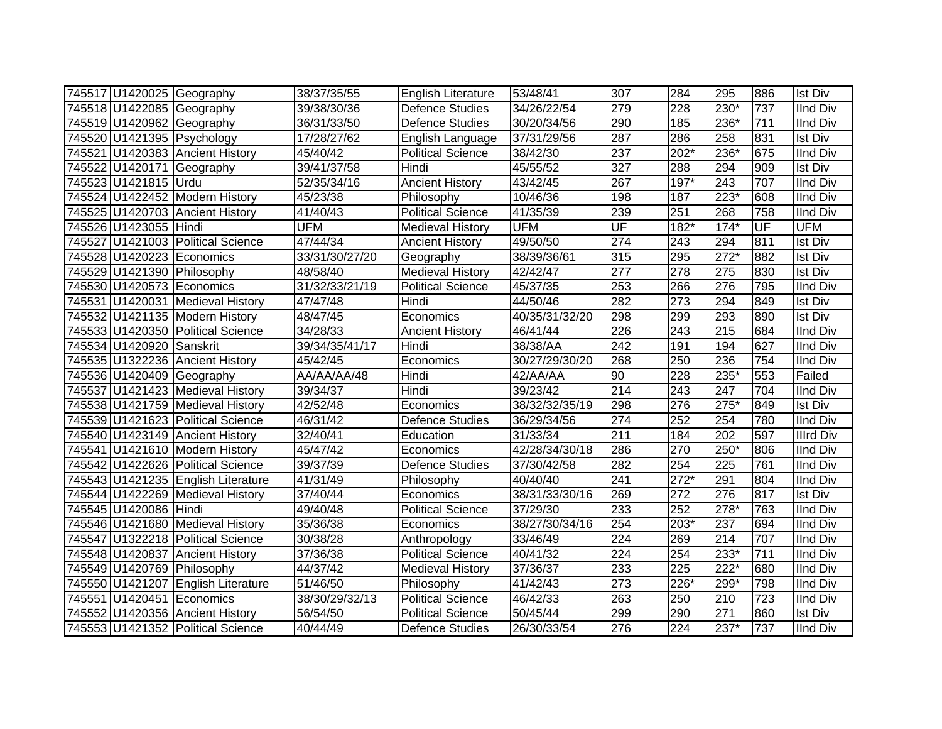|                          | 745517 U1420025 Geography          | 38/37/35/55    | <b>English Literature</b> | 53/48/41       | 307              | 284    | 295              | 886 | <b>Ist Div</b>   |
|--------------------------|------------------------------------|----------------|---------------------------|----------------|------------------|--------|------------------|-----|------------------|
|                          | 745518 U1422085 Geography          | 39/38/30/36    | <b>Defence Studies</b>    | 34/26/22/54    | 279              | 228    | $230*$           | 737 | <b>IInd Div</b>  |
|                          | 745519 U1420962 Geography          | 36/31/33/50    | <b>Defence Studies</b>    | 30/20/34/56    | 290              | 185    | $236*$           | 711 | <b>IInd Div</b>  |
|                          | 745520 U1421395 Psychology         | 17/28/27/62    | English Language          | 37/31/29/56    | 287              | 286    | 258              | 831 | <b>Ist Div</b>   |
|                          | 745521 U1420383 Ancient History    | 45/40/42       | <b>Political Science</b>  | 38/42/30       | 237              | 202*   | $236*$           | 675 | <b>IInd Div</b>  |
|                          | 745522 U1420171 Geography          | 39/41/37/58    | Hindi                     | 45/55/52       | 327              | 288    | 294              | 909 | <b>Ist Div</b>   |
| 745523 U1421815 Urdu     |                                    | 52/35/34/16    | <b>Ancient History</b>    | 43/42/45       | 267              | 197*   | 243              | 707 | <b>IInd Div</b>  |
|                          | 745524 U1422452 Modern History     | 45/23/38       | Philosophy                | 10/46/36       | 198              | 187    | $223*$           | 608 | <b>IInd Div</b>  |
|                          | 745525 U1420703 Ancient History    | 41/40/43       | Political Science         | 41/35/39       | 239              | 251    | 268              | 758 | <b>IInd Div</b>  |
| 745526 U1423055 Hindi    |                                    | <b>UFM</b>     | <b>Medieval History</b>   | <b>UFM</b>     | UF               | $182*$ | $174*$           | UF  | <b>UFM</b>       |
|                          | 745527 U1421003 Political Science  | 47/44/34       | <b>Ancient History</b>    | 49/50/50       | $\overline{274}$ | 243    | 294              | 811 | <b>Ist Div</b>   |
|                          | 745528 U1420223 Economics          | 33/31/30/27/20 | Geography                 | 38/39/36/61    | 315              | 295    | $272*$           | 882 | <b>Ist Div</b>   |
|                          | 745529 U1421390 Philosophy         | 48/58/40       | <b>Medieval History</b>   | 42/42/47       | $\overline{277}$ | 278    | 275              | 830 | <b>Ist Div</b>   |
|                          | 745530 U1420573 Economics          | 31/32/33/21/19 | <b>Political Science</b>  | 45/37/35       | 253              | 266    | 276              | 795 | <b>IInd Div</b>  |
|                          | 745531 U1420031 Medieval History   | 47/47/48       | Hindi                     | 44/50/46       | 282              | 273    | 294              | 849 | <b>Ist Div</b>   |
|                          | 745532 U1421135 Modern History     | 48/47/45       | Economics                 | 40/35/31/32/20 | 298              | 299    | 293              | 890 | <b>Ist Div</b>   |
|                          | 745533 U1420350 Political Science  | 34/28/33       | <b>Ancient History</b>    | 46/41/44       | 226              | 243    | 215              | 684 | <b>IInd Div</b>  |
| 745534 U1420920 Sanskrit |                                    | 39/34/35/41/17 | Hindi                     | 38/38/AA       | 242              | 191    | 194              | 627 | <b>IInd Div</b>  |
|                          | 745535 U1322236 Ancient History    | 45/42/45       | Economics                 | 30/27/29/30/20 | 268              | 250    | 236              | 754 | <b>IInd Div</b>  |
|                          | 745536 U1420409 Geography          | AA/AA/AA/48    | Hindi                     | 42/AA/AA       | 90               | 228    | 235*             | 553 | Failed           |
|                          | 745537 U1421423 Medieval History   | 39/34/37       | Hindi                     | 39/23/42       | $\overline{214}$ | 243    | $\overline{247}$ | 704 | <b>IInd Div</b>  |
|                          | 745538 U1421759 Medieval History   | 42/52/48       | Economics                 | 38/32/32/35/19 | 298              | 276    | $275*$           | 849 | <b>Ist Div</b>   |
|                          | 745539 U1421623 Political Science  | 46/31/42       | <b>Defence Studies</b>    | 36/29/34/56    | 274              | 252    | 254              | 780 | <b>IInd Div</b>  |
|                          | 745540 U1423149 Ancient History    | 32/40/41       | Education                 | 31/33/34       | 211              | 184    | 202              | 597 | <b>Illrd Div</b> |
|                          | 745541 U1421610 Modern History     | 45/47/42       | Economics                 | 42/28/34/30/18 | 286              | 270    | 250*             | 806 | <b>IInd Div</b>  |
|                          | 745542 U1422626 Political Science  | 39/37/39       | <b>Defence Studies</b>    | 37/30/42/58    | 282              | 254    | 225              | 761 | <b>IInd Div</b>  |
|                          | 745543 U1421235 English Literature | 41/31/49       | Philosophy                | 40/40/40       | 241              | $272*$ | 291              | 804 | <b>IInd Div</b>  |
|                          | 745544 U1422269 Medieval History   | 37/40/44       | Economics                 | 38/31/33/30/16 | 269              | 272    | 276              | 817 | <b>Ist Div</b>   |
| 745545 U1420086 Hindi    |                                    | 49/40/48       | <b>Political Science</b>  | 37/29/30       | 233              | 252    | 278*             | 763 | <b>IInd Div</b>  |
|                          | 745546 U1421680 Medieval History   | 35/36/38       | Economics                 | 38/27/30/34/16 | 254              | $203*$ | 237              | 694 | <b>IInd Div</b>  |
|                          | 745547 U1322218 Political Science  | 30/38/28       | Anthropology              | 33/46/49       | $\overline{224}$ | 269    | 214              | 707 | <b>IInd Div</b>  |
|                          | 745548 U1420837 Ancient History    | 37/36/38       | Political Science         | 40/41/32       | 224              | 254    | 233*             | 711 | <b>IInd Div</b>  |
|                          | 745549 U1420769 Philosophy         | 44/37/42       | Medieval History          | 37/36/37       | 233              | 225    | $222*$           | 680 | <b>IInd Div</b>  |
|                          | 745550 U1421207 English Literature | 51/46/50       | Philosophy                | 41/42/43       | $\overline{273}$ | 226*   | 299*             | 798 | <b>IInd Div</b>  |
|                          | 745551 U1420451 Economics          | 38/30/29/32/13 | <b>Political Science</b>  | 46/42/33       | 263              | 250    | 210              | 723 | <b>IInd Div</b>  |
|                          | 745552 U1420356 Ancient History    | 56/54/50       | Political Science         | 50/45/44       | 299              | 290    | 271              | 860 | <b>Ist Div</b>   |
|                          | 745553 U1421352 Political Science  | 40/44/49       | <b>Defence Studies</b>    | 26/30/33/54    | 276              | 224    | 237*             | 737 | <b>IInd Div</b>  |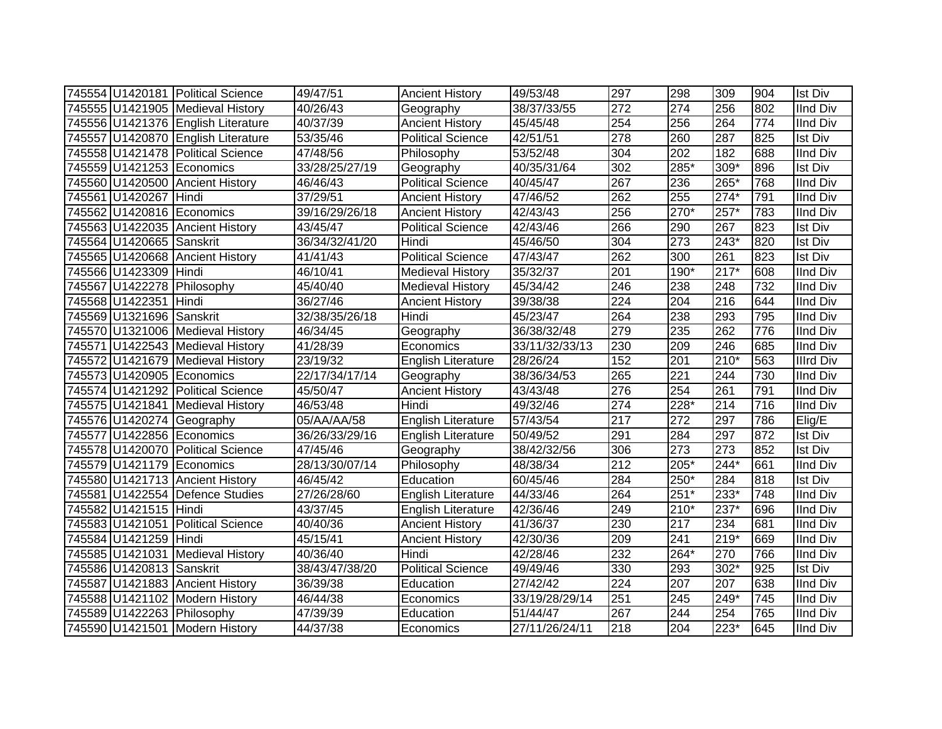|                          | 745554 U1420181 Political Science  | 49/47/51                     | <b>Ancient History</b>    | 49/53/48       | 297              | 298    | 309              | 904 | <b>Ist Div</b>   |
|--------------------------|------------------------------------|------------------------------|---------------------------|----------------|------------------|--------|------------------|-----|------------------|
|                          | 745555 U1421905 Medieval History   | 40/26/43                     | Geography                 | 38/37/33/55    | 272              | 274    | 256              | 802 | IInd Div         |
|                          | 745556 U1421376 English Literature | 40/37/39                     | <b>Ancient History</b>    | 45/45/48       | 254              | 256    | 264              | 774 | <b>IInd Div</b>  |
|                          | 745557 U1420870 English Literature | 53/35/46                     | <b>Political Science</b>  | 42/51/51       | 278              | 260    | 287              | 825 | <b>Ist Div</b>   |
|                          | 745558 U1421478 Political Science  | 47/48/56                     | Philosophy                | 53/52/48       | 304              | 202    | 182              | 688 | <b>IInd Div</b>  |
|                          | 745559 U1421253 Economics          | 33/28/25/27/19               | Geography                 | 40/35/31/64    | 302              | 285*   | $309*$           | 896 | <b>Ist Div</b>   |
|                          | 745560 U1420500 Ancient History    | 46/46/43                     | <b>Political Science</b>  | 40/45/47       | 267              | 236    | 265*             | 768 | <b>IInd Div</b>  |
| 745561 U1420267 Hindi    |                                    | 37/29/51                     | <b>Ancient History</b>    | 47/46/52       | 262              | 255    | $274*$           | 791 | <b>IInd Div</b>  |
|                          | 745562 U1420816 Economics          | 39/16/29/26/18               | <b>Ancient History</b>    | 42/43/43       | 256              | 270*   | $257*$           | 783 | <b>IInd Div</b>  |
|                          | 745563 U1422035 Ancient History    | 43/45/47                     | <b>Political Science</b>  | 42/43/46       | 266              | 290    | 267              | 823 | <b>Ist Div</b>   |
| 745564 U1420665 Sanskrit |                                    | 36/34/32/41/20               | Hindi                     | 45/46/50       | 304              | 273    | 243*             | 820 | Ist Div          |
|                          | 745565 U1420668 Ancient History    | $\frac{1}{41}/\frac{41}{43}$ | <b>Political Science</b>  | 47/43/47       | 262              | 300    | 261              | 823 | <b>Ist Div</b>   |
| 745566 U1423309 Hindi    |                                    | 46/10/41                     | <b>Medieval History</b>   | 35/32/37       | $\overline{201}$ | 190*   | $217*$           | 608 | <b>IInd Div</b>  |
|                          | 745567 U1422278 Philosophy         | 45/40/40                     | <b>Medieval History</b>   | 45/34/42       | 246              | 238    | 248              | 732 | <b>IInd Div</b>  |
| 745568 U1422351 Hindi    |                                    | 36/27/46                     | <b>Ancient History</b>    | 39/38/38       | 224              | 204    | 216              | 644 | <b>IInd Div</b>  |
| 745569 U1321696 Sanskrit |                                    | 32/38/35/26/18               | Hindi                     | 45/23/47       | 264              | 238    | 293              | 795 | <b>IInd Div</b>  |
|                          | 745570 U1321006 Medieval History   | 46/34/45                     | Geography                 | 36/38/32/48    | 279              | 235    | 262              | 776 | <b>IInd Div</b>  |
|                          | 745571 U1422543 Medieval History   | 41/28/39                     | Economics                 | 33/11/32/33/13 | 230              | 209    | 246              | 685 | <b>IInd Div</b>  |
|                          | 745572 U1421679 Medieval History   | 23/19/32                     | English Literature        | 28/26/24       | 152              | 201    | $210*$           | 563 | <b>Illrd Div</b> |
|                          | 745573 U1420905 Economics          | 22/17/34/17/14               | Geography                 | 38/36/34/53    | 265              | 221    | 244              | 730 | <b>IInd Div</b>  |
|                          | 745574 U1421292 Political Science  | 45/50/47                     | <b>Ancient History</b>    | 43/43/48       | 276              | 254    | $\overline{261}$ | 791 | <b>IInd Div</b>  |
|                          | 745575 U1421841 Medieval History   | 46/53/48                     | Hindi                     | 49/32/46       | $\overline{274}$ | 228*   | 214              | 716 | <b>IInd Div</b>  |
|                          | 745576 U1420274 Geography          | 05/AA/AA/58                  | <b>English Literature</b> | 57/43/54       | 217              | 272    | 297              | 786 | Elig/E           |
|                          | 745577 U1422856 Economics          | 36/26/33/29/16               | English Literature        | 50/49/52       | 291              | 284    | 297              | 872 | <b>Ist Div</b>   |
|                          | 745578 U1420070 Political Science  | 47/45/46                     | Geography                 | 38/42/32/56    | 306              | 273    | 273              | 852 | <b>Ist Div</b>   |
|                          | 745579 U1421179 Economics          | 28/13/30/07/14               | Philosophy                | 48/38/34       | 212              | 205*   | $244*$           | 661 | <b>IInd Div</b>  |
|                          | 745580 U1421713 Ancient History    | 46/45/42                     | Education                 | 60/45/46       | 284              | 250*   | 284              | 818 | Ist Div          |
|                          | 745581 U1422554 Defence Studies    | 27/26/28/60                  | <b>English Literature</b> | 44/33/46       | 264              | $251*$ | 233*             | 748 | <b>IInd Div</b>  |
| 745582 U1421515 Hindi    |                                    | 43/37/45                     | <b>English Literature</b> | 42/36/46       | 249              | 210*   | 237*             | 696 | <b>IInd Div</b>  |
|                          | 745583 U1421051 Political Science  | 40/40/36                     | <b>Ancient History</b>    | 41/36/37       | 230              | 217    | 234              | 681 | <b>IInd Div</b>  |
| 745584 U1421259 Hindi    |                                    | 45/15/41                     | <b>Ancient History</b>    | 42/30/36       | 209              | 241    | $219*$           | 669 | <b>IInd Div</b>  |
|                          | 745585 U1421031 Medieval History   | 40/36/40                     | Hindi                     | 42/28/46       | 232              | 264*   | 270              | 766 | <b>IInd Div</b>  |
| 745586 U1420813 Sanskrit |                                    | 38/43/47/38/20               | <b>Political Science</b>  | 49/49/46       | 330              | 293    | $302*$           | 925 | Ist Div          |
|                          | 745587 U1421883 Ancient History    | 36/39/38                     | Education                 | 27/42/42       | $\overline{224}$ | 207    | 207              | 638 | <b>IInd Div</b>  |
|                          | 745588 U1421102 Modern History     | 46/44/38                     | Economics                 | 33/19/28/29/14 | 251              | 245    | 249*             | 745 | <b>IInd Div</b>  |
|                          | 745589 U1422263 Philosophy         | 47/39/39                     | Education                 | 51/44/47       | 267              | 244    | 254              | 765 | <b>IInd Div</b>  |
|                          | 745590 U1421501 Modern History     | 44/37/38                     | Economics                 | 27/11/26/24/11 | 218              | 204    | 223*             | 645 | <b>IInd Div</b>  |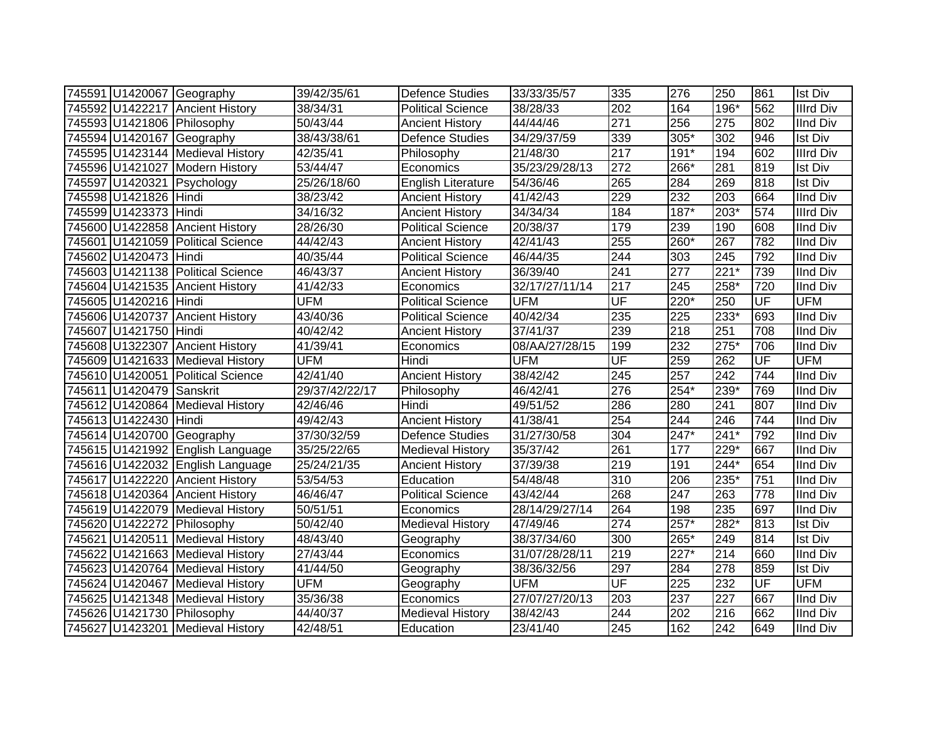|                          | 745591 U1420067 Geography         | 39/42/35/61    | <b>Defence Studies</b>    | 33/33/35/57    | 335 | 276              | 250                | 861                      | <b>Ist Div</b>   |
|--------------------------|-----------------------------------|----------------|---------------------------|----------------|-----|------------------|--------------------|--------------------------|------------------|
|                          | 745592 U1422217 Ancient History   | 38/34/31       | <b>Political Science</b>  | 38/28/33       | 202 | 164              | 196*               | 562                      | <b>Illrd Div</b> |
|                          | 745593 U1421806 Philosophy        | 50/43/44       | <b>Ancient History</b>    | 44/44/46       | 271 | 256              | 275                | 802                      | <b>IInd Div</b>  |
|                          | 745594 U1420167 Geography         | 38/43/38/61    | <b>Defence Studies</b>    | 34/29/37/59    | 339 | $305*$           | 302                | 946                      | <b>Ist Div</b>   |
|                          | 745595 U1423144 Medieval History  | 42/35/41       | Philosophy                | 21/48/30       | 217 | $191*$           | 194                | 602                      | <b>Illrd Div</b> |
|                          | 745596 U1421027 Modern History    | 53/44/47       | Economics                 | 35/23/29/28/13 | 272 | 266*             | 281                | 819                      | <b>Ist Div</b>   |
|                          | 745597 U1420321 Psychology        | 25/26/18/60    | <b>English Literature</b> | 54/36/46       | 265 | 284              | 269                | 818                      | <b>Ist Div</b>   |
| 745598 U1421826 Hindi    |                                   | 38/23/42       | <b>Ancient History</b>    | 41/42/43       | 229 | $\overline{232}$ | $\overline{203}$   | 664                      | <b>IInd Div</b>  |
| 745599 U1423373 Hindi    |                                   | 34/16/32       | <b>Ancient History</b>    | 34/34/34       | 184 | $187*$           | 203*               | 574                      | <b>Illrd Div</b> |
|                          | 745600 U1422858 Ancient History   | 28/26/30       | <b>Political Science</b>  | 20/38/37       | 179 | 239              | 190                | 608                      | IInd Div         |
|                          | 745601 U1421059 Political Science | 44/42/43       | <b>Ancient History</b>    | 42/41/43       | 255 | 260*             | 267                | 782                      | <b>IInd Div</b>  |
| 745602 U1420473 Hindi    |                                   | 40/35/44       | <b>Political Science</b>  | 46/44/35       | 244 | 303              | 245                | 792                      | <b>IInd Div</b>  |
|                          | 745603 U1421138 Political Science | 46/43/37       | <b>Ancient History</b>    | 36/39/40       | 241 | 277              | $221*$             | 739                      | <b>IInd Div</b>  |
|                          | 745604 U1421535 Ancient History   | 41/42/33       | Economics                 | 32/17/27/11/14 | 217 | 245              | 258*               | 720                      | <b>IInd Div</b>  |
| 745605 U1420216 Hindi    |                                   | <b>UFM</b>     | <b>Political Science</b>  | <b>UFM</b>     | UF  | $220*$           | 250                | $\overline{\mathsf{UF}}$ | <b>UFM</b>       |
|                          | 745606 U1420737 Ancient History   | 43/40/36       | <b>Political Science</b>  | 40/42/34       | 235 | 225              | 233*               | 693                      | <b>IInd Div</b>  |
| 745607 U1421750 Hindi    |                                   | 40/42/42       | <b>Ancient History</b>    | 37/41/37       | 239 | 218              | 251                | 708                      | <b>IInd Div</b>  |
|                          | 745608 U1322307 Ancient History   | 41/39/41       | Economics                 | 08/AA/27/28/15 | 199 | 232              | $\overline{275}$ * | 706                      | <b>IInd Div</b>  |
|                          | 745609 U1421633 Medieval History  | <b>UFM</b>     | Hindi                     | <b>UFM</b>     | UF  | 259              | 262                | UF                       | <b>UFM</b>       |
|                          | 745610 U1420051 Political Science | 42/41/40       | <b>Ancient History</b>    | 38/42/42       | 245 | 257              | 242                | 744                      | <b>IInd Div</b>  |
| 745611 U1420479 Sanskrit |                                   | 29/37/42/22/17 | Philosophy                | 46/42/41       | 276 | $254*$           | 239*               | 769                      | <b>IInd Div</b>  |
|                          | 745612 U1420864 Medieval History  | 42/46/46       | Hindi                     | 49/51/52       | 286 | 280              | 241                | 807                      | <b>IInd Div</b>  |
| 745613 U1422430 Hindi    |                                   | 49/42/43       | <b>Ancient History</b>    | 41/38/41       | 254 | 244              | $\overline{246}$   | 744                      | <b>IInd Div</b>  |
|                          | 745614 U1420700 Geography         | 37/30/32/59    | <b>Defence Studies</b>    | 31/27/30/58    | 304 | $247*$           | $241*$             | 792                      | <b>IInd Div</b>  |
|                          | 745615 U1421992 English Language  | 35/25/22/65    | <b>Medieval History</b>   | 35/37/42       | 261 | 177              | 229*               | 667                      | <b>IInd Div</b>  |
|                          | 745616 U1422032 English Language  | 25/24/21/35    | <b>Ancient History</b>    | 37/39/38       | 219 | 191              | $244*$             | 654                      | <b>IInd Div</b>  |
|                          | 745617 U1422220 Ancient History   | 53/54/53       | Education                 | 54/48/48       | 310 | 206              | 235*               | 751                      | <b>IInd Div</b>  |
|                          | 745618 U1420364 Ancient History   | 46/46/47       | <b>Political Science</b>  | 43/42/44       | 268 | 247              | 263                | 778                      | <b>IInd Div</b>  |
|                          | 745619 U1422079 Medieval History  | 50/51/51       | Economics                 | 28/14/29/27/14 | 264 | 198              | 235                | 697                      | <b>IInd Div</b>  |
|                          | 745620 U1422272 Philosophy        | 50/42/40       | <b>Medieval History</b>   | 47/49/46       | 274 | $257*$           | 282*               | 813                      | <b>Ist Div</b>   |
|                          | 745621 U1420511 Medieval History  | 48/43/40       | Geography                 | 38/37/34/60    | 300 | 265*             | 249                | 814                      | <b>Ist Div</b>   |
|                          | 745622 U1421663 Medieval History  | 27/43/44       | Economics                 | 31/07/28/28/11 | 219 | $227*$           | 214                | 660                      | <b>IInd Div</b>  |
|                          | 745623 U1420764 Medieval History  | 41/44/50       | Geography                 | 38/36/32/56    | 297 | 284              | 278                | 859                      | <b>Ist Div</b>   |
|                          | 745624 U1420467 Medieval History  | <b>UFM</b>     | Geography                 | <b>UFM</b>     | UF  | 225              | 232                | $\overline{\mathsf{UF}}$ | <b>UFM</b>       |
|                          | 745625 U1421348 Medieval History  | 35/36/38       | Economics                 | 27/07/27/20/13 | 203 | 237              | 227                | 667                      | <b>IInd Div</b>  |
|                          | 745626 U1421730 Philosophy        | 44/40/37       | <b>Medieval History</b>   | 38/42/43       | 244 | 202              | 216                | 662                      | <b>IInd Div</b>  |
|                          | 745627 U1423201 Medieval History  | 42/48/51       | Education                 | 23/41/40       | 245 | 162              | 242                | 649                      | <b>IInd Div</b>  |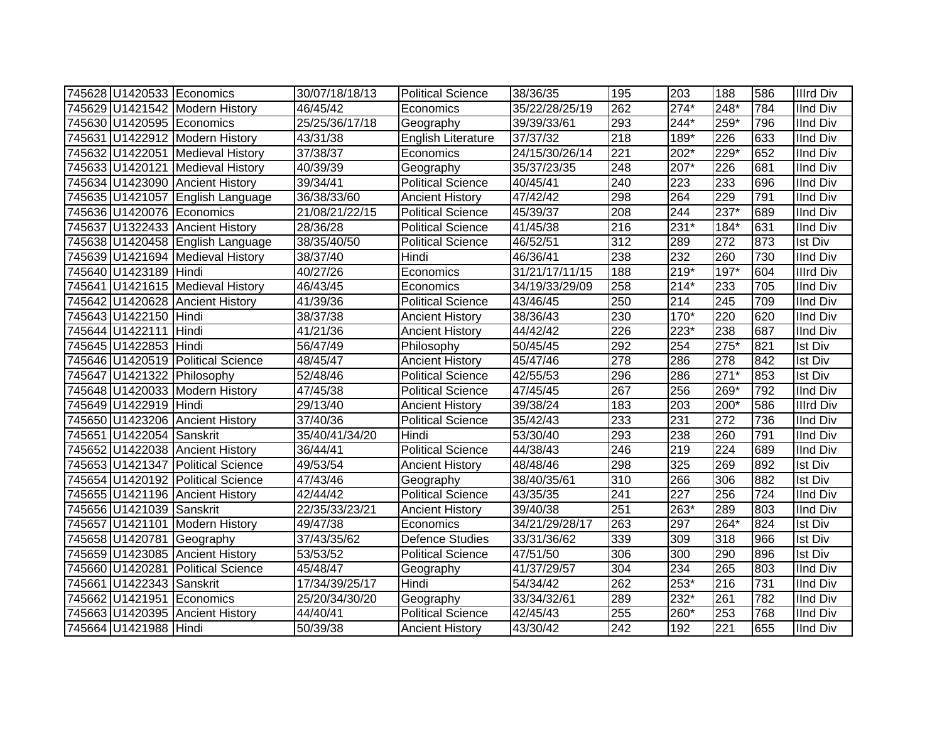|                          | 745628 U1420533 Economics         | 30/07/18/18/13 | <b>Political Science</b>  | 38/36/35       | 195              | 203    | 188              | 586 | <b>Illrd Div</b> |
|--------------------------|-----------------------------------|----------------|---------------------------|----------------|------------------|--------|------------------|-----|------------------|
|                          | 745629 U1421542 Modern History    | 46/45/42       | Economics                 | 35/22/28/25/19 | 262              | $274*$ | 248*             | 784 | <b>IInd Div</b>  |
|                          | 745630 U1420595 Economics         | 25/25/36/17/18 | Geography                 | 39/39/33/61    | 293              | $244*$ | $259*$           | 796 | <b>IInd Div</b>  |
|                          | 745631 U1422912 Modern History    | 43/31/38       | <b>English Literature</b> | 37/37/32       | $\overline{218}$ | $189*$ | 226              | 633 | <b>IInd Div</b>  |
|                          | 745632 U1422051 Medieval History  | 37/38/37       | Economics                 | 24/15/30/26/14 | $\overline{221}$ | $202*$ | $229*$           | 652 | <b>IInd Div</b>  |
|                          | 745633 U1420121 Medieval History  | 40/39/39       | Geography                 | 35/37/23/35    | 248              | $207*$ | 226              | 681 | <b>IInd Div</b>  |
|                          | 745634 U1423090 Ancient History   | 39/34/41       | <b>Political Science</b>  | 40/45/41       | 240              | 223    | 233              | 696 | <b>IInd Div</b>  |
|                          | 745635 U1421057 English Language  | 36/38/33/60    | <b>Ancient History</b>    | 47/42/42       | 298              | 264    | 229              | 791 | <b>IInd Div</b>  |
|                          | 745636 U1420076 Economics         | 21/08/21/22/15 | <b>Political Science</b>  | 45/39/37       | 208              | 244    | $237*$           | 689 | <b>IInd Div</b>  |
|                          | 745637 U1322433 Ancient History   | 28/36/28       | Political Science         | 41/45/38       | 216              | 231*   | 184*             | 631 | <b>IInd Div</b>  |
|                          | 745638 U1420458 English Language  | 38/35/40/50    | <b>Political Science</b>  | 46/52/51       | 312              | 289    | 272              | 873 | <b>Ist Div</b>   |
|                          | 745639 U1421694 Medieval History  | 38/37/40       | Hindi                     | 46/36/41       | 238              | 232    | 260              | 730 | <b>IInd Div</b>  |
| 745640 U1423189 Hindi    |                                   | 40/27/26       | Economics                 | 31/21/17/11/15 | 188              | $219*$ | 197*             | 604 | <b>Illrd Div</b> |
|                          | 745641 U1421615 Medieval History  | 46/43/45       | Economics                 | 34/19/33/29/09 | 258              | $214*$ | 233              | 705 | <b>IInd Div</b>  |
|                          | 745642 U1420628 Ancient History   | 41/39/36       | <b>Political Science</b>  | 43/46/45       | 250              | 214    | 245              | 709 | <b>IInd Div</b>  |
| 745643 U1422150 Hindi    |                                   | 38/37/38       | <b>Ancient History</b>    | 38/36/43       | 230              | $170*$ | 220              | 620 | <b>IInd Div</b>  |
| 745644 U1422111 Hindi    |                                   | 41/21/36       | <b>Ancient History</b>    | 44/42/42       | 226              | 223*   | 238              | 687 | <b>IInd Div</b>  |
| 745645 U1422853 Hindi    |                                   | 56/47/49       | Philosophy                | 50/45/45       | 292              | 254    | $275*$           | 821 | <b>Ist Div</b>   |
|                          | 745646 U1420519 Political Science | 48/45/47       | <b>Ancient History</b>    | 45/47/46       | 278              | 286    | $\overline{278}$ | 842 | <b>Ist Div</b>   |
|                          | 745647 U1421322 Philosophy        | 52/48/46       | <b>Political Science</b>  | 42/55/53       | 296              | 286    | $271*$           | 853 | <b>Ist Div</b>   |
|                          | 745648 U1420033 Modern History    | 47/45/38       | <b>Political Science</b>  | 47/45/45       | 267              | 256    | 269*             | 792 | <b>IInd Div</b>  |
| 745649 U1422919 Hindi    |                                   | 29/13/40       | <b>Ancient History</b>    | 39/38/24       | 183              | 203    | 200*             | 586 | <b>Illrd Div</b> |
|                          | 745650 U1423206 Ancient History   | 37/40/36       | <b>Political Science</b>  | 35/42/43       | 233              | 231    | 272              | 736 | <b>IInd Div</b>  |
| 745651 U1422054 Sanskrit |                                   | 35/40/41/34/20 | Hindi                     | 53/30/40       | 293              | 238    | 260              | 791 | <b>IInd Div</b>  |
|                          | 745652 U1422038 Ancient History   | 36/44/41       | <b>Political Science</b>  | 44/38/43       | 246              | 219    | 224              | 689 | <b>IInd Div</b>  |
|                          | 745653 U1421347 Political Science | 49/53/54       | <b>Ancient History</b>    | 48/48/46       | 298              | 325    | 269              | 892 | Ist Div          |
|                          | 745654 U1420192 Political Science | 47/43/46       | Geography                 | 38/40/35/61    | $\overline{310}$ | 266    | 306              | 882 | <b>Ist Div</b>   |
|                          | 745655 U1421196 Ancient History   | 42/44/42       | <b>Political Science</b>  | 43/35/35       | 241              | 227    | 256              | 724 | <b>IInd Div</b>  |
| 745656 U1421039 Sanskrit |                                   | 22/35/33/23/21 | <b>Ancient History</b>    | 39/40/38       | 251              | $263*$ | 289              | 803 | <b>IInd Div</b>  |
|                          | 745657 U1421101 Modern History    | 49/47/38       | Economics                 | 34/21/29/28/17 | 263              | 297    | 264*             | 824 | <b>Ist Div</b>   |
|                          | 745658 U1420781 Geography         | 37/43/35/62    | <b>Defence Studies</b>    | 33/31/36/62    | 339              | 309    | 318              | 966 | <b>Ist Div</b>   |
|                          | 745659 U1423085 Ancient History   | 53/53/52       | Political Science         | 47/51/50       | 306              | 300    | 290              | 896 | <b>Ist Div</b>   |
|                          | 745660 U1420281 Political Science | 45/48/47       | Geography                 | 41/37/29/57    | 304              | 234    | 265              | 803 | <b>IInd Div</b>  |
| 745661 U1422343 Sanskrit |                                   | 17/34/39/25/17 | Hindi                     | 54/34/42       | 262              | $253*$ | 216              | 731 | <b>IInd Div</b>  |
|                          | 745662 U1421951 Economics         | 25/20/34/30/20 | Geography                 | 33/34/32/61    | 289              | $232*$ | 261              | 782 | <b>IInd Div</b>  |
|                          | 745663 U1420395 Ancient History   | 44/40/41       | Political Science         | 42/45/43       | 255              | 260*   | 253              | 768 | <b>IInd Div</b>  |
| 745664 U1421988 Hindi    |                                   | 50/39/38       | <b>Ancient History</b>    | 43/30/42       | 242              | 192    | 221              | 655 | <b>IInd Div</b>  |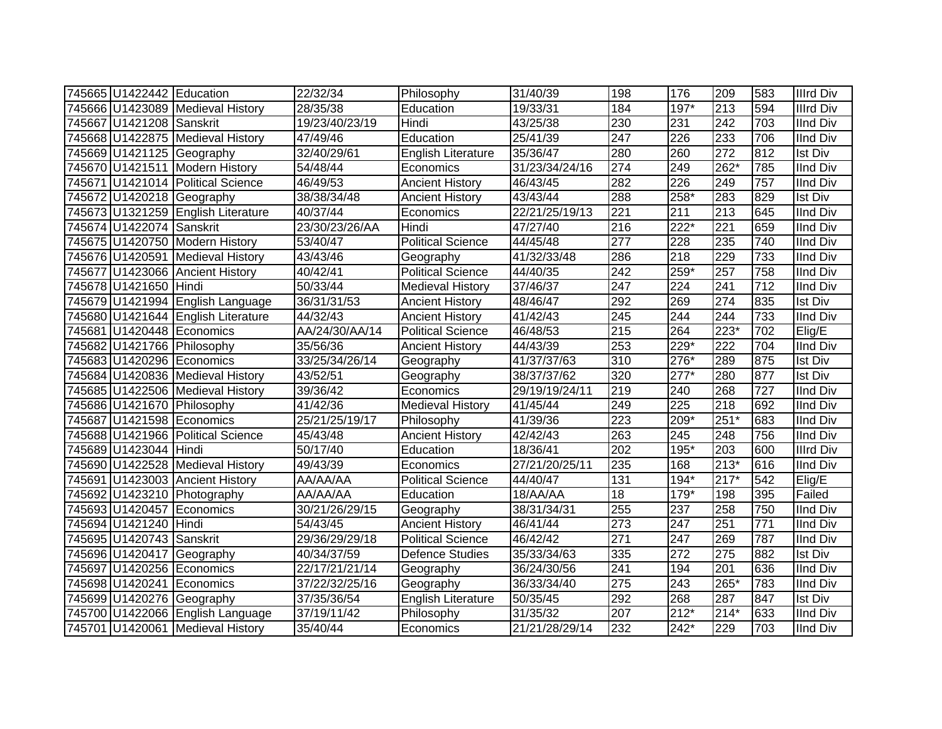| 745665 U1422442 Education |                                    | 22/32/34       | Philosophy                | 31/40/39       | 198              | 176    | 209              | 583 | <b>Illrd Div</b> |
|---------------------------|------------------------------------|----------------|---------------------------|----------------|------------------|--------|------------------|-----|------------------|
|                           | 745666 U1423089 Medieval History   | 28/35/38       | Education                 | 19/33/31       | 184              | 197*   | 213              | 594 | <b>Illrd Div</b> |
| 745667 U1421208 Sanskrit  |                                    | 19/23/40/23/19 | Hindi                     | 43/25/38       | $\overline{230}$ | 231    | $\overline{242}$ | 703 | <b>IInd Div</b>  |
|                           | 745668 U1422875 Medieval History   | 47/49/46       | Education                 | 25/41/39       | $\overline{247}$ | 226    | 233              | 706 | <b>IInd Div</b>  |
|                           | 745669 U1421125 Geography          | 32/40/29/61    | English Literature        | 35/36/47       | 280              | 260    | $\overline{272}$ | 812 | <b>Ist Div</b>   |
|                           | 745670 U1421511 Modern History     | 54/48/44       | Economics                 | 31/23/34/24/16 | $\overline{274}$ | 249    | $262*$           | 785 | <b>IInd Div</b>  |
|                           | 745671 U1421014 Political Science  | 46/49/53       | <b>Ancient History</b>    | 46/43/45       | 282              | 226    | 249              | 757 | <b>IInd Div</b>  |
|                           | 745672 U1420218 Geography          | 38/38/34/48    | <b>Ancient History</b>    | 43/43/44       | 288              | 258*   | 283              | 829 | Ist Div          |
|                           | 745673 U1321259 English Literature | 40/37/44       | Economics                 | 22/21/25/19/13 | 221              | 211    | 213              | 645 | <b>IInd Div</b>  |
| 745674 U1422074 Sanskrit  |                                    | 23/30/23/26/AA | Hindi                     | 47/27/40       | $\overline{216}$ | 222*   | 221              | 659 | <b>IInd Div</b>  |
|                           | 745675 U1420750 Modern History     | 53/40/47       | <b>Political Science</b>  | 44/45/48       | 277              | 228    | 235              | 740 | <b>IInd Div</b>  |
|                           | 745676 U1420591 Medieval History   | 43/43/46       | Geography                 | 41/32/33/48    | 286              | 218    | 229              | 733 | <b>IInd Div</b>  |
|                           | 745677 U1423066 Ancient History    | 40/42/41       | <b>Political Science</b>  | 44/40/35       | $\overline{242}$ | 259*   | 257              | 758 | <b>IInd Div</b>  |
| 745678 U1421650           | Hindi                              | 50/33/44       | <b>Medieval History</b>   | 37/46/37       | 247              | 224    | 241              | 712 | <b>IInd Div</b>  |
|                           | 745679 U1421994 English Language   | 36/31/31/53    | <b>Ancient History</b>    | 48/46/47       | 292              | 269    | 274              | 835 | <b>Ist Div</b>   |
|                           | 745680 U1421644 English Literature | 44/32/43       | <b>Ancient History</b>    | 41/42/43       | 245              | 244    | 244              | 733 | <b>IInd Div</b>  |
|                           | 745681 U1420448 Economics          | AA/24/30/AA/14 | Political Science         | 46/48/53       | 215              | 264    | 223*             | 702 | Elig/E           |
|                           | 745682 U1421766 Philosophy         | 35/56/36       | <b>Ancient History</b>    | 44/43/39       | 253              | 229*   | 222              | 704 | <b>IInd Div</b>  |
|                           | 745683 U1420296 Economics          | 33/25/34/26/14 | Geography                 | 41/37/37/63    | 310              | 276*   | 289              | 875 | <b>Ist Div</b>   |
|                           | 745684 U1420836 Medieval History   | 43/52/51       | Geography                 | 38/37/37/62    | 320              | $277*$ | 280              | 877 | <b>Ist Div</b>   |
|                           | 745685 U1422506 Medieval History   | 39/36/42       | Economics                 | 29/19/19/24/11 | 219              | 240    | 268              | 727 | <b>IInd Div</b>  |
|                           | 745686 U1421670 Philosophy         | 41/42/36       | <b>Medieval History</b>   | 41/45/44       | $\overline{249}$ | 225    | $\overline{218}$ | 692 | <b>IInd Div</b>  |
|                           | 745687 U1421598 Economics          | 25/21/25/19/17 | Philosophy                | 41/39/36       | 223              | 209*   | $251*$           | 683 | <b>IInd Div</b>  |
|                           | 745688 U1421966 Political Science  | 45/43/48       | <b>Ancient History</b>    | 42/42/43       | 263              | 245    | 248              | 756 | <b>IInd Div</b>  |
| 745689 U1423044 Hindi     |                                    | 50/17/40       | Education                 | 18/36/41       | 202              | 195*   | 203              | 600 | <b>Illrd Div</b> |
|                           | 745690 U1422528 Medieval History   | 49/43/39       | Economics                 | 27/21/20/25/11 | 235              | 168    | $213*$           | 616 | <b>IInd Div</b>  |
|                           | 745691 U1423003 Ancient History    | AA/AA/AA       | <b>Political Science</b>  | 44/40/47       | 131              | $194*$ | $217*$           | 542 | Elig/E           |
|                           | 745692 U1423210 Photography        | AA/AA/AA       | Education                 | 18/AA/AA       | 18               | 179*   | 198              | 395 | Failed           |
|                           | 745693 U1420457 Economics          | 30/21/26/29/15 | Geography                 | 38/31/34/31    | 255              | 237    | 258              | 750 | <b>IInd Div</b>  |
| 745694 U1421240 Hindi     |                                    | 54/43/45       | Ancient History           | 46/41/44       | $\overline{273}$ | 247    | 251              | 771 | <b>IInd Div</b>  |
| 745695 U1420743 Sanskrit  |                                    | 29/36/29/29/18 | <b>Political Science</b>  | 46/42/42       | $\overline{271}$ | 247    | 269              | 787 | <b>IInd Div</b>  |
|                           | 745696 U1420417 Geography          | 40/34/37/59    | <b>Defence Studies</b>    | 35/33/34/63    | 335              | 272    | 275              | 882 | <b>Ist Div</b>   |
|                           | 745697 U1420256 Economics          | 22/17/21/21/14 | Geography                 | 36/24/30/56    | 241              | 194    | 201              | 636 | <b>IInd Div</b>  |
|                           | 745698 U1420241 Economics          | 37/22/32/25/16 | Geography                 | 36/33/34/40    | 275              | 243    | 265*             | 783 | <b>IInd Div</b>  |
|                           | 745699 U1420276 Geography          | 37/35/36/54    | <b>English Literature</b> | 50/35/45       | 292              | 268    | 287              | 847 | <b>Ist Div</b>   |
|                           | 745700 U1422066 English Language   | 37/19/11/42    | Philosophy                | 31/35/32       | 207              | $212*$ | $214*$           | 633 | <b>IInd Div</b>  |
|                           | 745701 U1420061 Medieval History   | 35/40/44       | Economics                 | 21/21/28/29/14 | 232              | 242*   | 229              | 703 | <b>IInd Div</b>  |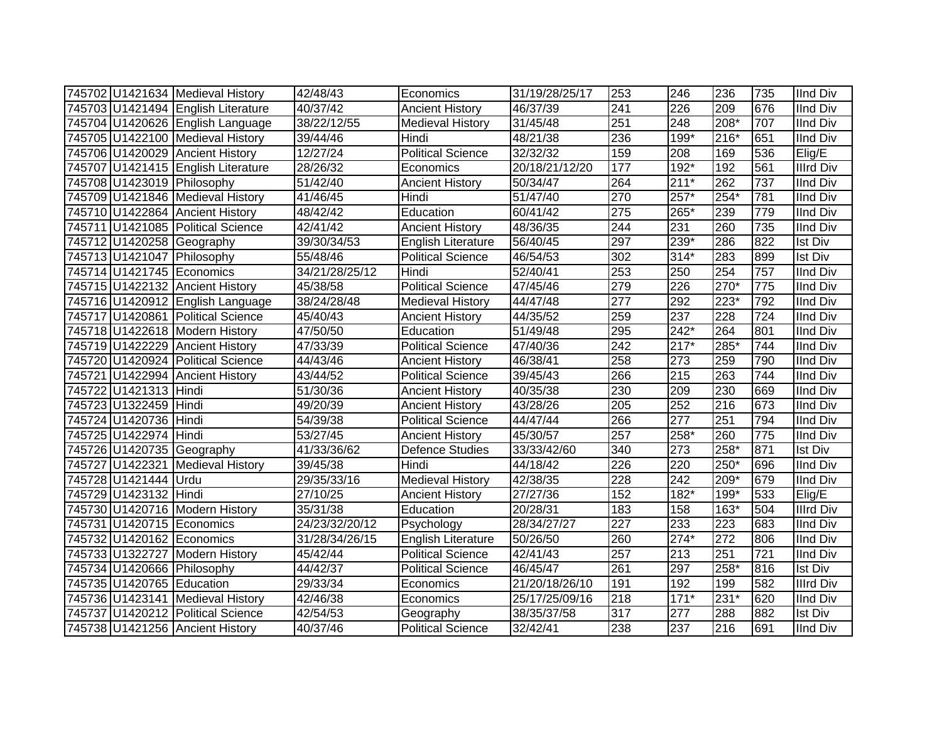|                           | 745702 U1421634 Medieval History   | 42/48/43       | Economics                | 31/19/28/25/17 | 253 | 246              | 236              | 735 | <b>IInd Div</b>  |
|---------------------------|------------------------------------|----------------|--------------------------|----------------|-----|------------------|------------------|-----|------------------|
|                           | 745703 U1421494 English Literature | 40/37/42       | <b>Ancient History</b>   | 46/37/39       | 241 | 226              | 209              | 676 | <b>IInd Div</b>  |
|                           | 745704 U1420626 English Language   | 38/22/12/55    | <b>Medieval History</b>  | 31/45/48       | 251 | 248              | $208*$           | 707 | <b>IInd Div</b>  |
|                           | 745705 U1422100 Medieval History   | 39/44/46       | Hindi                    | 48/21/38       | 236 | 199*             | $216*$           | 651 | <b>IInd Div</b>  |
|                           | 745706 U1420029 Ancient History    | 12/27/24       | <b>Political Science</b> | 32/32/32       | 159 | 208              | 169              | 536 | Elig/E           |
|                           | 745707 U1421415 English Literature | 28/26/32       | Economics                | 20/18/21/12/20 | 177 | $192*$           | 192              | 561 | <b>Illrd Div</b> |
|                           | 745708 U1423019 Philosophy         | 51/42/40       | <b>Ancient History</b>   | 50/34/47       | 264 | $211*$           | 262              | 737 | <b>IInd Div</b>  |
|                           | 745709 U1421846 Medieval History   | 41/46/45       | Hindi                    | 51/47/40       | 270 | 257*             | $254*$           | 781 | <b>IInd Div</b>  |
|                           | 745710 U1422864 Ancient History    | 48/42/42       | Education                | 60/41/42       | 275 | 265*             | 239              | 779 | <b>IInd Div</b>  |
|                           | 745711 U1421085 Political Science  | 42/41/42       | <b>Ancient History</b>   | 48/36/35       | 244 | 231              | 260              | 735 | <b>IInd Div</b>  |
|                           | 745712 U1420258 Geography          | 39/30/34/53    | English Literature       | 56/40/45       | 297 | 239*             | 286              | 822 | <b>Ist Div</b>   |
|                           | 745713 U1421047 Philosophy         | 55/48/46       | Political Science        | 46/54/53       | 302 | $314*$           | 283              | 899 | <b>Ist Div</b>   |
|                           | 745714 U1421745 Economics          | 34/21/28/25/12 | Hindi                    | 52/40/41       | 253 | 250              | 254              | 757 | <b>IInd Div</b>  |
|                           | 745715 U1422132 Ancient History    | 45/38/58       | Political Science        | 47/45/46       | 279 | 226              | 270*             | 775 | <b>IInd Div</b>  |
|                           | 745716 U1420912 English Language   | 38/24/28/48    | <b>Medieval History</b>  | 44/47/48       | 277 | 292              | $223*$           | 792 | <b>IInd Div</b>  |
|                           | 745717 U1420861 Political Science  | 45/40/43       | <b>Ancient History</b>   | 44/35/52       | 259 | 237              | 228              | 724 | <b>IInd Div</b>  |
|                           | 745718 U1422618 Modern History     | 47/50/50       | Education                | 51/49/48       | 295 | 242*             | 264              | 801 | <b>IInd Div</b>  |
|                           | 745719 U1422229 Ancient History    | 47/33/39       | <b>Political Science</b> | 47/40/36       | 242 | $217*$           | $285*$           | 744 | <b>IInd Div</b>  |
|                           | 745720 U1420924 Political Science  | 44/43/46       | <b>Ancient History</b>   | 46/38/41       | 258 | 273              | 259              | 790 | <b>IInd Div</b>  |
|                           | 745721 U1422994 Ancient History    | 43/44/52       | Political Science        | 39/45/43       | 266 | 215              | 263              | 744 | <b>IInd Div</b>  |
| 745722 U1421313 Hindi     |                                    | 51/30/36       | <b>Ancient History</b>   | 40/35/38       | 230 | 209              | 230              | 669 | <b>IInd Div</b>  |
| 745723 U1322459 Hindi     |                                    | 49/20/39       | <b>Ancient History</b>   | 43/28/26       | 205 | 252              | 216              | 673 | <b>IInd Div</b>  |
| 745724 U1420736 Hindi     |                                    | 54/39/38       | <b>Political Science</b> | 44/47/44       | 266 | 277              | 251              | 794 | <b>IInd Div</b>  |
| 745725 U1422974 Hindi     |                                    | 53/27/45       | <b>Ancient History</b>   | 45/30/57       | 257 | 258*             | 260              | 775 | <b>IInd Div</b>  |
|                           | 745726 U1420735 Geography          | 41/33/36/62    | <b>Defence Studies</b>   | 33/33/42/60    | 340 | 273              | 258*             | 871 | <b>Ist Div</b>   |
|                           | 745727 U1422321 Medieval History   | 39/45/38       | Hindi                    | 44/18/42       | 226 | 220              | 250*             | 696 | <b>IInd Div</b>  |
| 745728 U1421444 Urdu      |                                    | 29/35/33/16    | <b>Medieval History</b>  | 42/38/35       | 228 | $\overline{242}$ | 209*             | 679 | <b>IInd Div</b>  |
| 745729 U1423132 Hindi     |                                    | 27/10/25       | <b>Ancient History</b>   | 27/27/36       | 152 | $182*$           | 199*             | 533 | Elig/E           |
|                           | 745730 U1420716 Modern History     | 35/31/38       | Education                | 20/28/31       | 183 | 158              | $163*$           | 504 | <b>Illrd Div</b> |
|                           | 745731 U1420715 Economics          | 24/23/32/20/12 | Psychology               | 28/34/27/27    | 227 | 233              | $\overline{223}$ | 683 | <b>IInd Div</b>  |
|                           | 745732 U1420162 Economics          | 31/28/34/26/15 | English Literature       | 50/26/50       | 260 | $274*$           | $\overline{272}$ | 806 | <b>IInd Div</b>  |
|                           | 745733 U1322727 Modern History     | 45/42/44       | <b>Political Science</b> | 42/41/43       | 257 | 213              | 251              | 721 | <b>IInd Div</b>  |
|                           | 745734 U1420666 Philosophy         | 44/42/37       | <b>Political Science</b> | 46/45/47       | 261 | 297              | $258*$           | 816 | Ist Div          |
| 745735 U1420765 Education |                                    | 29/33/34       | Economics                | 21/20/18/26/10 | 191 | 192              | 199              | 582 | <b>Illrd Div</b> |
|                           | 745736 U1423141 Medieval History   | 42/46/38       | Economics                | 25/17/25/09/16 | 218 | $171*$           | $231*$           | 620 | <b>IInd Div</b>  |
|                           | 745737 U1420212 Political Science  | 42/54/53       | Geography                | 38/35/37/58    | 317 | 277              | 288              | 882 | <b>Ist Div</b>   |
|                           | 745738 U1421256 Ancient History    | 40/37/46       | <b>Political Science</b> | 32/42/41       | 238 | 237              | 216              | 691 | <b>IInd Div</b>  |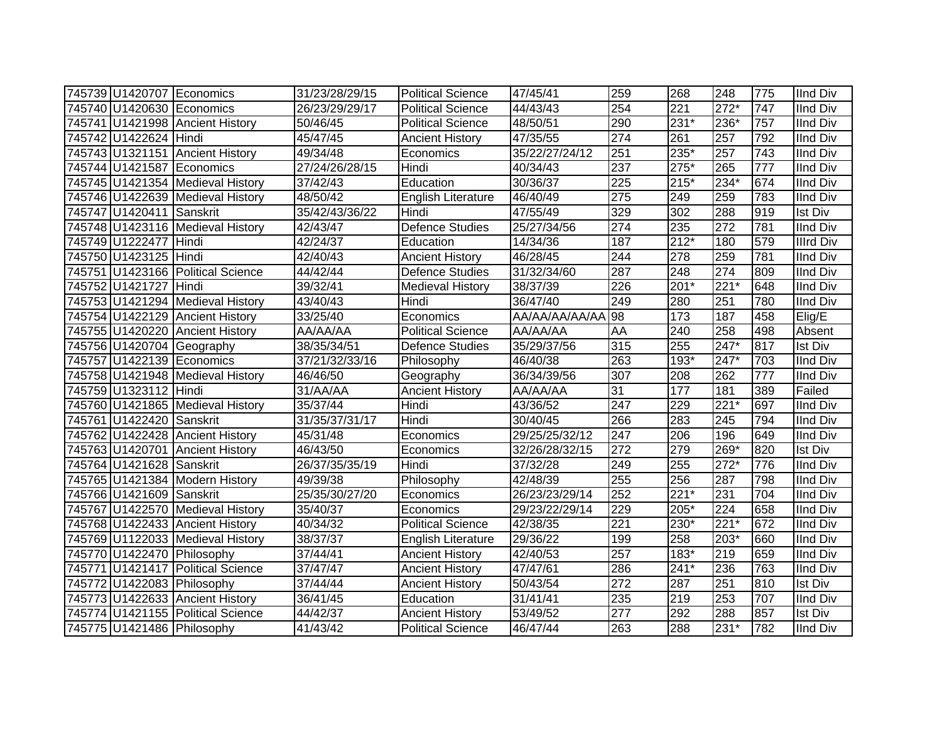|                          | 745739 U1420707 Economics         | 31/23/28/29/15 | <b>Political Science</b>  | 47/45/41       | 259              | 268    | 248               | 775              | <b>IInd Div</b>  |
|--------------------------|-----------------------------------|----------------|---------------------------|----------------|------------------|--------|-------------------|------------------|------------------|
|                          | 745740 U1420630 Economics         | 26/23/29/29/17 | <b>Political Science</b>  | 44/43/43       | 254              | 221    | $272*$            | 747              | <b>IInd Div</b>  |
|                          | 745741 U1421998 Ancient History   | 50/46/45       | <b>Political Science</b>  | 48/50/51       | 290              | 231*   | 236*              | 757              | <b>IInd Div</b>  |
| 745742 U1422624 Hindi    |                                   | 45/47/45       | <b>Ancient History</b>    | 47/35/55       | 274              | 261    | 257               | 792              | <b>IInd Div</b>  |
|                          | 745743 U1321151 Ancient History   | 49/34/48       | Economics                 | 35/22/27/24/12 | 251              | $235*$ | 257               | $\overline{743}$ | <b>IInd Div</b>  |
|                          | 745744 U1421587 Economics         | 27/24/26/28/15 | Hindi                     | 40/34/43       | $\overline{237}$ | $275*$ | 265               | $\overline{777}$ | <b>IInd Div</b>  |
|                          | 745745 U1421354 Medieval History  | 37/42/43       | Education                 | 30/36/37       | 225              | $215*$ | 234*              | 674              | <b>IInd Div</b>  |
|                          | 745746 U1422639 Medieval History  | 48/50/42       | <b>English Literature</b> | 46/40/49       | $\overline{275}$ | 249    | 259               | 783              | <b>IInd Div</b>  |
| 745747 U1420411 Sanskrit |                                   | 35/42/43/36/22 | Hindi                     | 47/55/49       | 329              | 302    | 288               | 919              | <b>Ist Div</b>   |
|                          | 745748 U1423116 Medieval History  | 42/43/47       | <b>Defence Studies</b>    | 25/27/34/56    | $\overline{274}$ | 235    | $\overline{272}$  | 781              | <b>IInd Div</b>  |
| 745749 U1222477 Hindi    |                                   | 42/24/37       | Education                 | 14/34/36       | 187              | $212*$ | 180               | 579              | <b>Illrd Div</b> |
| 745750 U1423125 Hindi    |                                   | 42/40/43       | <b>Ancient History</b>    | 46/28/45       | 244              | 278    | 259               | 781              | <b>IInd Div</b>  |
|                          | 745751 U1423166 Political Science | 44/42/44       | <b>Defence Studies</b>    | 31/32/34/60    | 287              | 248    | $\overline{274}$  | 809              | <b>IInd Div</b>  |
| 745752 U1421727 Hindi    |                                   | 39/32/41       | <b>Medieval History</b>   | 38/37/39       | 226              | 201*   | $221*$            | 648              | <b>IInd Div</b>  |
|                          | 745753 U1421294 Medieval History  | 43/40/43       | Hindi                     | 36/47/40       | 249              | 280    | 251               | 780              | <b>IInd Div</b>  |
|                          | 745754 U1422129 Ancient History   | 33/25/40       | Economics                 | AA/AA/AA/AA/AA | 98               | 173    | 187               | 458              | Elig/E           |
|                          | 745755 U1420220 Ancient History   | AA/AA/AA       | <b>Political Science</b>  | AA/AA/AA       | AA               | 240    | 258               | 498              | Absent           |
|                          | 745756 U1420704 Geography         | 38/35/34/51    | <b>Defence Studies</b>    | 35/29/37/56    | 315              | 255    | 247*              | 817              | <b>Ist Div</b>   |
|                          | 745757 U1422139 Economics         | 37/21/32/33/16 | Philosophy                | 46/40/38       | 263              | 193*   | 247*              | 703              | <b>IInd Div</b>  |
|                          | 745758 U1421948 Medieval History  | 46/46/50       | Geography                 | 36/34/39/56    | 307              | 208    | 262               | 777              | <b>IInd Div</b>  |
| 745759 U1323112 Hindi    |                                   | 31/AA/AA       | <b>Ancient History</b>    | AA/AA/AA       | 31               | 177    | 181               | 389              | Failed           |
|                          | 745760 U1421865 Medieval History  | 35/37/44       | Hindi                     | 43/36/52       | $\sqrt{247}$     | 229    | $221*$            | 697              | <b>IInd Div</b>  |
| 745761 U1422420 Sanskrit |                                   | 31/35/37/31/17 | Hindi                     | 30/40/45       | 266              | 283    | $\overline{245}$  | 794              | <b>IInd Div</b>  |
|                          | 745762 U1422428 Ancient History   | 45/31/48       | Economics                 | 29/25/25/32/12 | 247              | 206    | 196               | 649              | <b>IInd Div</b>  |
|                          | 745763 U1420701 Ancient History   | 46/43/50       | Economics                 | 32/26/28/32/15 | 272              | 279    | 269*              | 820              | <b>Ist Div</b>   |
| 745764 U1421628 Sanskrit |                                   | 26/37/35/35/19 | Hindi                     | 37/32/28       | 249              | 255    | $272*$            | 776              | <b>IInd Div</b>  |
|                          | 745765 U1421384 Modern History    | 49/39/38       | Philosophy                | 42/48/39       | 255              | 256    | 287               | 798              | <b>IInd Div</b>  |
| 745766 U1421609 Sanskrit |                                   | 25/35/30/27/20 | Economics                 | 26/23/23/29/14 | 252              | $221*$ | 231               | 704              | <b>IInd Div</b>  |
|                          | 745767 U1422570 Medieval History  | 35/40/37       | Economics                 | 29/23/22/29/14 | 229              | 205*   | 224               | 658              | <b>IInd Div</b>  |
|                          | 745768 U1422433 Ancient History   | 40/34/32       | <b>Political Science</b>  | 42/38/35       | $\overline{221}$ | $230*$ | $\overline{22}1*$ | 672              | <b>IInd Div</b>  |
|                          | 745769 U1122033 Medieval History  | 38/37/37       | English Literature        | 29/36/22       | 199              | 258    | 203*              | 660              | <b>IInd Div</b>  |
|                          | 745770 U1422470 Philosophy        | 37/44/41       | <b>Ancient History</b>    | 42/40/53       | 257              | 183*   | 219               | 659              | <b>IInd Div</b>  |
|                          | 745771 U1421417 Political Science | 37/47/47       | <b>Ancient History</b>    | 47/47/61       | 286              | $241*$ | 236               | 763              | <b>IInd Div</b>  |
|                          | 745772 U1422083 Philosophy        | 37/44/44       | <b>Ancient History</b>    | 50/43/54       | $\overline{272}$ | 287    | 251               | 810              | <b>Ist Div</b>   |
|                          | 745773 U1422633 Ancient History   | 36/41/45       | Education                 | 31/41/41       | 235              | 219    | 253               | 707              | <b>IInd Div</b>  |
|                          | 745774 U1421155 Political Science | 44/42/37       | <b>Ancient History</b>    | 53/49/52       | 277              | 292    | 288               | 857              | Ist Div          |
|                          | 745775 U1421486 Philosophy        | 41/43/42       | <b>Political Science</b>  | 46/47/44       | 263              | 288    | $231*$            | 782              | <b>IInd Div</b>  |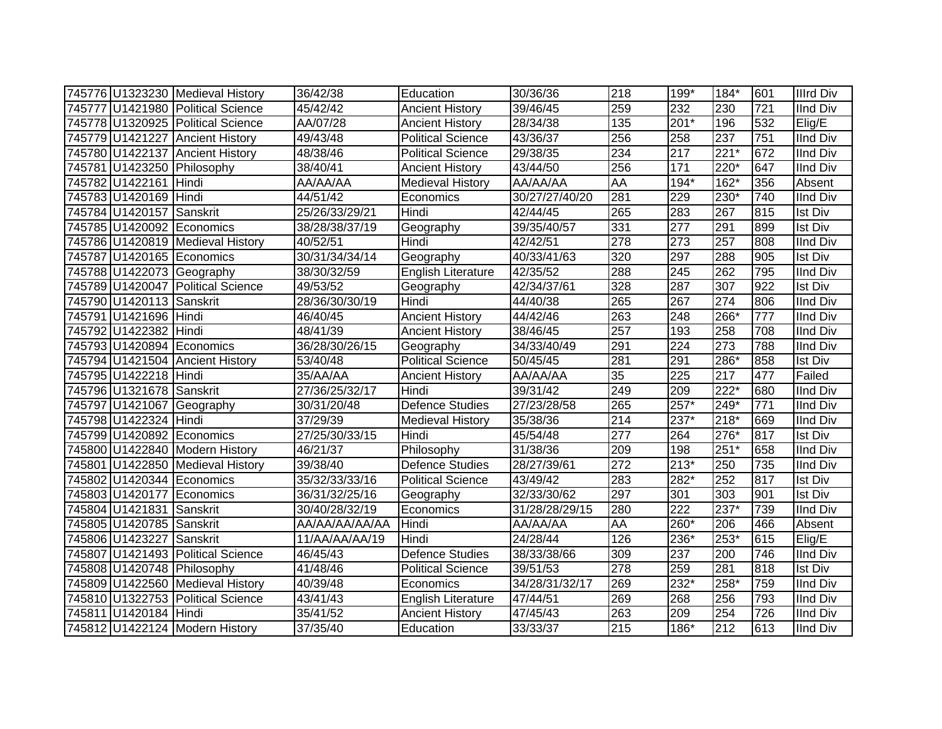|                          | 745776 U1323230 Medieval History  | 36/42/38       | Education                 | 30/36/36       | 218 | 199*             | 184*               | 601 | <b>Illrd Div</b> |
|--------------------------|-----------------------------------|----------------|---------------------------|----------------|-----|------------------|--------------------|-----|------------------|
|                          | 745777 U1421980 Political Science | 45/42/42       | <b>Ancient History</b>    | 39/46/45       | 259 | 232              | 230                | 721 | <b>IInd Div</b>  |
|                          | 745778 U1320925 Political Science | AA/07/28       | <b>Ancient History</b>    | 28/34/38       | 135 | $201*$           | 196                | 532 | Elig/E           |
|                          | 745779 U1421227 Ancient History   | 49/43/48       | <b>Political Science</b>  | 43/36/37       | 256 | 258              | 237                | 751 | <b>IInd Div</b>  |
|                          | 745780 U1422137 Ancient History   | 48/38/46       | <b>Political Science</b>  | 29/38/35       | 234 | 217              | $221*$             | 672 | <b>IInd Div</b>  |
|                          | 745781 U1423250 Philosophy        | 38/40/41       | <b>Ancient History</b>    | 43/44/50       | 256 | $171$            | $220*$             | 647 | <b>IInd Div</b>  |
| 745782 U1422161 Hindi    |                                   | AA/AA/AA       | <b>Medieval History</b>   | AA/AA/AA       | AA  | 194*             | 162*               | 356 | Absent           |
| 745783 U1420169 Hindi    |                                   | 44/51/42       | Economics                 | 30/27/27/40/20 | 281 | 229              | 230*               | 740 | <b>IInd Div</b>  |
| 745784 U1420157 Sanskrit |                                   | 25/26/33/29/21 | Hindi                     | 42/44/45       | 265 | 283              | 267                | 815 | <b>Ist Div</b>   |
|                          | 745785 U1420092 Economics         | 38/28/38/37/19 | Geography                 | 39/35/40/57    | 331 | 277              | 291                | 899 | <b>Ist Div</b>   |
|                          | 745786 U1420819 Medieval History  | 40/52/51       | Hindi                     | 42/42/51       | 278 | 273              | 257                | 808 | <b>IInd Div</b>  |
|                          | 745787 U1420165 Economics         | 30/31/34/34/14 | Geography                 | 40/33/41/63    | 320 | 297              | 288                | 905 | Ist Div          |
|                          | 745788 U1422073 Geography         | 38/30/32/59    | <b>English Literature</b> | 42/35/52       | 288 | 245              | 262                | 795 | <b>IInd Div</b>  |
|                          | 745789 U1420047 Political Science | 49/53/52       | Geography                 | 42/34/37/61    | 328 | 287              | 307                | 922 | <b>Ist Div</b>   |
| 745790 U1420113 Sanskrit |                                   | 28/36/30/30/19 | Hindi                     | 44/40/38       | 265 | 267              | 274                | 806 | <b>IInd Div</b>  |
| 745791 U1421696 Hindi    |                                   | 46/40/45       | <b>Ancient History</b>    | 44/42/46       | 263 | 248              | 266*               | 777 | <b>IInd Div</b>  |
| 745792 U1422382 Hindi    |                                   | 48/41/39       | <b>Ancient History</b>    | 38/46/45       | 257 | 193              | 258                | 708 | <b>IInd Div</b>  |
|                          | 745793 U1420894 Economics         | 36/28/30/26/15 | Geography                 | 34/33/40/49    | 291 | 224              | $\overline{273}$   | 788 | IInd Div         |
|                          | 745794 U1421504 Ancient History   | 53/40/48       | <b>Political Science</b>  | 50/45/45       | 281 | 291              | 286*               | 858 | <b>Ist Div</b>   |
| 745795 U1422218 Hindi    |                                   | 35/AA/AA       | <b>Ancient History</b>    | AA/AA/AA       | 35  | 225              | 217                | 477 | Failed           |
| 745796 U1321678 Sanskrit |                                   | 27/36/25/32/17 | Hindi                     | 39/31/42       | 249 | $\overline{209}$ | $\overline{222^*}$ | 680 | <b>IInd Div</b>  |
|                          | 745797 U1421067 Geography         | 30/31/20/48    | Defence Studies           | 27/23/28/58    | 265 | $257*$           | $\overline{249}$ * | 771 | <b>IInd Div</b>  |
| 745798 U1422324 Hindi    |                                   | 37/29/39       | <b>Medieval History</b>   | 35/38/36       | 214 | $237*$           | $218*$             | 669 | <b>IInd Div</b>  |
|                          | 745799 U1420892 Economics         | 27/25/30/33/15 | Hindi                     | 45/54/48       | 277 | 264              | 276*               | 817 | <b>Ist Div</b>   |
|                          | 745800 U1422840 Modern History    | 46/21/37       | Philosophy                | 31/38/36       | 209 | 198              | $251*$             | 658 | <b>IInd Div</b>  |
|                          | 745801 U1422850 Medieval History  | 39/38/40       | <b>Defence Studies</b>    | 28/27/39/61    | 272 | $213*$           | 250                | 735 | <b>IInd Div</b>  |
|                          | 745802 U1420344 Economics         | 35/32/33/33/16 | <b>Political Science</b>  | 43/49/42       | 283 | 282*             | 252                | 817 | <b>Ist Div</b>   |
|                          | 745803 U1420177 Economics         | 36/31/32/25/16 | Geography                 | 32/33/30/62    | 297 | 301              | 303                | 901 | <b>Ist Div</b>   |
| 745804 U1421831 Sanskrit |                                   | 30/40/28/32/19 | Economics                 | 31/28/28/29/15 | 280 | 222              | 237*               | 739 | <b>IInd Div</b>  |
| 745805 U1420785 Sanskrit |                                   | AA/AA/AA/AA/AA | Hindi                     | AA/AA/AA       | AA  | $260*$           | 206                | 466 | Absent           |
| 745806 U1423227 Sanskrit |                                   | 11/AA/AA/AA/19 | Hindi                     | 24/28/44       | 126 | 236*             | $253*$             | 615 | Elig/E           |
|                          | 745807 U1421493 Political Science | 46/45/43       | <b>Defence Studies</b>    | 38/33/38/66    | 309 | 237              | 200                | 746 | <b>IInd Div</b>  |
|                          | 745808 U1420748 Philosophy        | 41/48/46       | Political Science         | 39/51/53       | 278 | 259              | 281                | 818 | <b>Ist Div</b>   |
|                          | 745809 U1422560 Medieval History  | 40/39/48       | Economics                 | 34/28/31/32/17 | 269 | 232*             | $258*$             | 759 | <b>IInd Div</b>  |
|                          | 745810 U1322753 Political Science | 43/41/43       | <b>English Literature</b> | 47/44/51       | 269 | 268              | 256                | 793 | <b>IInd Div</b>  |
| 745811 U1420184 Hindi    |                                   | 35/41/52       | <b>Ancient History</b>    | 47/45/43       | 263 | 209              | 254                | 726 | <b>IInd Div</b>  |
|                          | 745812 U1422124 Modern History    | 37/35/40       | Education                 | 33/33/37       | 215 | 186*             | 212                | 613 | <b>IInd Div</b>  |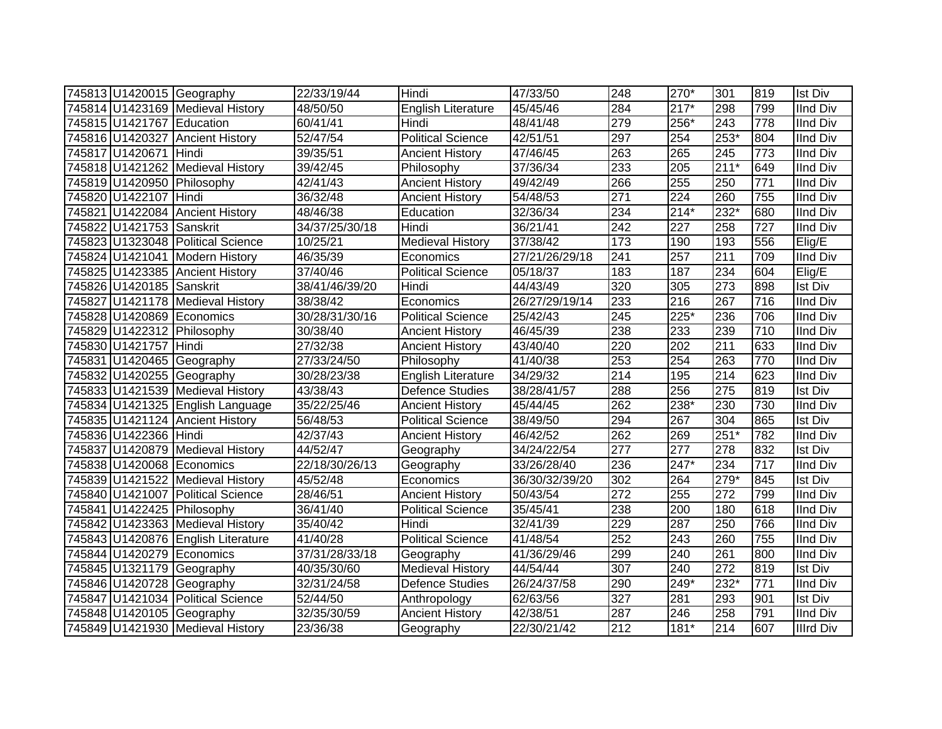|                           | 745813 U1420015 Geography          | 22/33/19/44    | Hindi                     | 47/33/50       | 248              | 270*             | 301              | 819              | <b>Ist Div</b>   |
|---------------------------|------------------------------------|----------------|---------------------------|----------------|------------------|------------------|------------------|------------------|------------------|
|                           | 745814 U1423169 Medieval History   | 48/50/50       | English Literature        | 45/45/46       | 284              | $217*$           | 298              | 799              | <b>IInd Div</b>  |
| 745815 U1421767 Education |                                    | 60/41/41       | Hindi                     | 48/41/48       | 279              | 256*             | $\overline{243}$ | 778              | <b>IInd Div</b>  |
|                           | 745816 U1420327 Ancient History    | 52/47/54       | <b>Political Science</b>  | 42/51/51       | 297              | 254              | $253*$           | 804              | <b>IInd Div</b>  |
| 745817 U1420671 Hindi     |                                    | 39/35/51       | <b>Ancient History</b>    | 47/46/45       | 263              | 265              | $\overline{245}$ | $\overline{773}$ | <b>IInd Div</b>  |
|                           | 745818 U1421262 Medieval History   | 39/42/45       | Philosophy                | 37/36/34       | 233              | 205              | $211*$           | 649              | <b>IInd Div</b>  |
|                           | 745819 U1420950 Philosophy         | 42/41/43       | <b>Ancient History</b>    | 49/42/49       | 266              | 255              | 250              | 771              | <b>IInd Div</b>  |
| 745820 U1422107           | Hindi                              | 36/32/48       | <b>Ancient History</b>    | 54/48/53       | $\overline{271}$ | $\overline{224}$ | 260              | 755              | <b>IInd Div</b>  |
|                           | 745821 U1422084 Ancient History    | 48/46/38       | Education                 | 32/36/34       | 234              | $214*$           | $232*$           | 680              | <b>IInd Div</b>  |
| 745822 U1421753 Sanskrit  |                                    | 34/37/25/30/18 | Hindi                     | 36/21/41       | $\overline{242}$ | 227              | 258              | 727              | <b>IInd Div</b>  |
|                           | 745823 U1323048 Political Science  | 10/25/21       | Medieval History          | 37/38/42       | 173              | 190              | 193              | 556              | Elig/E           |
|                           | 745824 U1421041 Modern History     | 46/35/39       | Economics                 | 27/21/26/29/18 | 241              | 257              | $\overline{211}$ | 709              | <b>IInd Div</b>  |
|                           | 745825 U1423385 Ancient History    | 37/40/46       | Political Science         | 05/18/37       | 183              | 187              | 234              | 604              | Elig/E           |
| 745826 U1420185 Sanskrit  |                                    | 38/41/46/39/20 | Hindi                     | 44/43/49       | 320              | 305              | 273              | 898              | <b>Ist Div</b>   |
|                           | 745827 U1421178 Medieval History   | 38/38/42       | Economics                 | 26/27/29/19/14 | 233              | 216              | 267              | 716              | <b>IInd Div</b>  |
|                           | 745828 U1420869 Economics          | 30/28/31/30/16 | <b>Political Science</b>  | 25/42/43       | $\overline{245}$ | 225*             | 236              | 706              | <b>IInd Div</b>  |
|                           | 745829 U1422312 Philosophy         | 30/38/40       | <b>Ancient History</b>    | 46/45/39       | 238              | 233              | 239              | 710              | <b>IInd Div</b>  |
| 745830 U1421757 Hindi     |                                    | 27/32/38       | <b>Ancient History</b>    | 43/40/40       | 220              | 202              | $\overline{211}$ | 633              | <b>IInd Div</b>  |
|                           | 745831 U1420465 Geography          | 27/33/24/50    | Philosophy                | 41/40/38       | 253              | 254              | 263              | 770              | <b>IInd Div</b>  |
|                           | 745832 U1420255 Geography          | 30/28/23/38    | <b>English Literature</b> | 34/29/32       | 214              | 195              | $\overline{214}$ | 623              | <b>IInd Div</b>  |
|                           | 745833 U1421539 Medieval History   | 43/38/43       | <b>Defence Studies</b>    | 38/28/41/57    | 288              | 256              | $\overline{275}$ | 819              | <b>Ist Div</b>   |
|                           | 745834 U1421325 English Language   | 35/22/25/46    | <b>Ancient History</b>    | 45/44/45       | 262              | 238*             | 230              | 730              | <b>IInd Div</b>  |
|                           | 745835 U1421124 Ancient History    | 56/48/53       | <b>Political Science</b>  | 38/49/50       | 294              | 267              | 304              | 865              | <b>Ist Div</b>   |
| 745836 U1422366 Hindi     |                                    | 42/37/43       | <b>Ancient History</b>    | 46/42/52       | 262              | 269              | $251*$           | 782              | <b>IInd Div</b>  |
|                           | 745837 U1420879 Medieval History   | 44/52/47       | Geography                 | 34/24/22/54    | 277              | 277              | 278              | 832              | <b>Ist Div</b>   |
|                           | 745838 U1420068 Economics          | 22/18/30/26/13 | Geography                 | 33/26/28/40    | 236              | 247*             | 234              | 717              | <b>IInd Div</b>  |
|                           | 745839 U1421522 Medieval History   | 45/52/48       | Economics                 | 36/30/32/39/20 | 302              | 264              | $279*$           | 845              | <b>Ist Div</b>   |
|                           | 745840 U1421007 Political Science  | 28/46/51       | <b>Ancient History</b>    | 50/43/54       | $\overline{272}$ | 255              | $\overline{272}$ | 799              | <b>IInd Div</b>  |
|                           | 745841 U1422425 Philosophy         | 36/41/40       | <b>Political Science</b>  | 35/45/41       | 238              | 200              | 180              | 618              | <b>IInd Div</b>  |
|                           | 745842 U1423363 Medieval History   | 35/40/42       | Hindi                     | 32/41/39       | 229              | 287              | 250              | 766              | <b>IInd Div</b>  |
|                           | 745843 U1420876 English Literature | 41/40/28       | <b>Political Science</b>  | 41/48/54       | 252              | 243              | 260              | 755              | <b>IInd Div</b>  |
|                           | 745844 U1420279 Economics          | 37/31/28/33/18 | Geography                 | 41/36/29/46    | 299              | 240              | 261              | 800              | <b>IInd Div</b>  |
|                           | 745845 U1321179 Geography          | 40/35/30/60    | <b>Medieval History</b>   | 44/54/44       | $\overline{307}$ | 240              | 272              | 819              | <b>Ist Div</b>   |
|                           | 745846 U1420728 Geography          | 32/31/24/58    | <b>Defence Studies</b>    | 26/24/37/58    | 290              | 249*             | $232*$           | 771              | <b>IInd Div</b>  |
|                           | 745847 U1421034 Political Science  | 52/44/50       | Anthropology              | 62/63/56       | $\overline{327}$ | 281              | 293              | 901              | <b>Ist Div</b>   |
|                           | 745848 U1420105 Geography          | 32/35/30/59    | <b>Ancient History</b>    | 42/38/51       | 287              | 246              | 258              | 791              | <b>IInd Div</b>  |
|                           | 745849 U1421930 Medieval History   | 23/36/38       | Geography                 | 22/30/21/42    | 212              | 181*             | 214              | 607              | <b>Illrd Div</b> |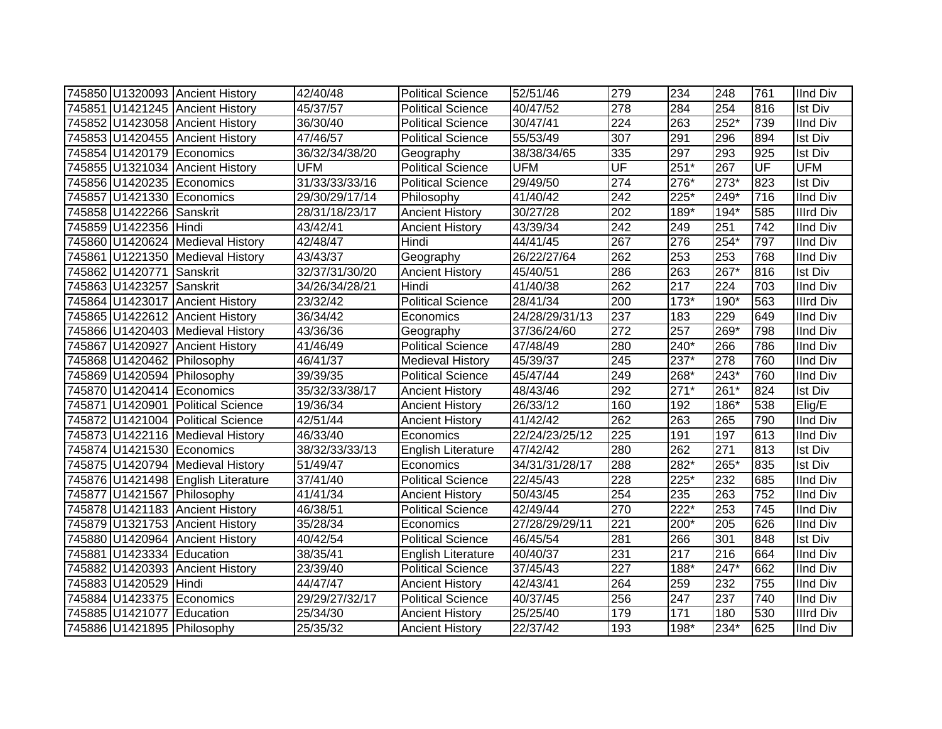|                           | 745850 U1320093 Ancient History    | 42/40/48       | <b>Political Science</b>  | 52/51/46       | 279              | 234    | 248    | 761 | <b>IInd Div</b>  |
|---------------------------|------------------------------------|----------------|---------------------------|----------------|------------------|--------|--------|-----|------------------|
|                           | 745851 U1421245 Ancient History    | 45/37/57       | Political Science         | 40/47/52       | 278              | 284    | 254    | 816 | <b>Ist Div</b>   |
|                           | 745852 U1423058 Ancient History    | 36/30/40       | <b>Political Science</b>  | 30/47/41       | $\overline{224}$ | 263    | $252*$ | 739 | <b>IInd Div</b>  |
|                           | 745853 U1420455 Ancient History    | 47/46/57       | <b>Political Science</b>  | 55/53/49       | 307              | 291    | 296    | 894 | <b>Ist Div</b>   |
|                           | 745854 U1420179 Economics          | 36/32/34/38/20 | Geography                 | 38/38/34/65    | 335              | 297    | 293    | 925 | <b>Ist Div</b>   |
|                           | 745855 U1321034 Ancient History    | <b>UFM</b>     | <b>Political Science</b>  | <b>UFM</b>     | UF               | 251*   | 267    | UF  | <b>UFM</b>       |
|                           | 745856 U1420235 Economics          | 31/33/33/33/16 | <b>Political Science</b>  | 29/49/50       | 274              | 276*   | $273*$ | 823 | <b>Ist Div</b>   |
|                           | 745857 U1421330 Economics          | 29/30/29/17/14 | Philosophy                | 41/40/42       | 242              | 225*   | 249*   | 716 | <b>IInd Div</b>  |
| 745858 U1422266 Sanskrit  |                                    | 28/31/18/23/17 | <b>Ancient History</b>    | 30/27/28       | 202              | 189*   | $194*$ | 585 | <b>Illrd Div</b> |
| 745859 U1422356 Hindi     |                                    | 43/42/41       | <b>Ancient History</b>    | 43/39/34       | 242              | 249    | 251    | 742 | <b>IInd Div</b>  |
|                           | 745860 U1420624 Medieval History   | 42/48/47       | Hindi                     | 44/41/45       | 267              | 276    | 254*   | 797 | <b>IInd Div</b>  |
|                           | 745861 U1221350 Medieval History   | 43/43/37       | Geography                 | 26/22/27/64    | 262              | 253    | 253    | 768 | <b>IInd Div</b>  |
| 745862 U1420771 Sanskrit  |                                    | 32/37/31/30/20 | <b>Ancient History</b>    | 45/40/51       | 286              | 263    | $267*$ | 816 | <b>Ist Div</b>   |
| 745863 U1423257 Sanskrit  |                                    | 34/26/34/28/21 | Hindi                     | 41/40/38       | 262              | 217    | 224    | 703 | <b>IInd Div</b>  |
|                           | 745864 U1423017 Ancient History    | 23/32/42       | <b>Political Science</b>  | 28/41/34       | 200              | $173*$ | $190*$ | 563 | <b>Illrd Div</b> |
|                           | 745865 U1422612 Ancient History    | 36/34/42       | Economics                 | 24/28/29/31/13 | 237              | 183    | 229    | 649 | <b>IInd Div</b>  |
|                           | 745866 U1420403 Medieval History   | 43/36/36       | Geography                 | 37/36/24/60    | 272              | 257    | 269*   | 798 | <b>IInd Div</b>  |
|                           | 745867 U1420927 Ancient History    | 41/46/49       | <b>Political Science</b>  | 47/48/49       | 280              | 240*   | 266    | 786 | <b>IInd Div</b>  |
|                           | 745868 U1420462 Philosophy         | 46/41/37       | <b>Medieval History</b>   | 45/39/37       | 245              | 237*   | 278    | 760 | <b>IInd Div</b>  |
|                           | 745869 U1420594 Philosophy         | 39/39/35       | <b>Political Science</b>  | 45/47/44       | 249              | 268*   | $243*$ | 760 | <b>IInd Div</b>  |
|                           | 745870 U1420414 Economics          | 35/32/33/38/17 | <b>Ancient History</b>    | 48/43/46       | 292              | $271*$ | 261*   | 824 | <b>Ist Div</b>   |
|                           | 745871 U1420901 Political Science  | 19/36/34       | <b>Ancient History</b>    | 26/33/12       | 160              | 192    | 186*   | 538 | Elig/E           |
|                           | 745872 U1421004 Political Science  | 42/51/44       | <b>Ancient History</b>    | 41/42/42       | 262              | 263    | 265    | 790 | <b>IInd Div</b>  |
|                           | 745873 U1422116 Medieval History   | 46/33/40       | Economics                 | 22/24/23/25/12 | 225              | 191    | 197    | 613 | <b>IInd Div</b>  |
|                           | 745874 U1421530 Economics          | 38/32/33/33/13 | <b>English Literature</b> | 47/42/42       | 280              | 262    | 271    | 813 | <b>Ist Div</b>   |
|                           | 745875 U1420794 Medieval History   | 51/49/47       | Economics                 | 34/31/31/28/17 | 288              | 282*   | 265*   | 835 | <b>Ist Div</b>   |
|                           | 745876 U1421498 English Literature | 37/41/40       | <b>Political Science</b>  | 22/45/43       | 228              | 225*   | 232    | 685 | <b>IInd Div</b>  |
|                           | 745877 U1421567 Philosophy         | 41/41/34       | <b>Ancient History</b>    | 50/43/45       | 254              | 235    | 263    | 752 | <b>IInd Div</b>  |
|                           | 745878 U1421183 Ancient History    | 46/38/51       | <b>Political Science</b>  | 42/49/44       | 270              | 222*   | 253    | 745 | <b>IInd Div</b>  |
|                           | 745879 U1321753 Ancient History    | 35/28/34       | Economics                 | 27/28/29/29/11 | 221              | 200*   | 205    | 626 | <b>IInd Div</b>  |
|                           | 745880 U1420964 Ancient History    | 40/42/54       | <b>Political Science</b>  | 46/45/54       | 281              | 266    | 301    | 848 | <b>Ist Div</b>   |
| 745881 U1423334 Education |                                    | 38/35/41       | English Literature        | 40/40/37       | 231              | 217    | 216    | 664 | <b>IInd Div</b>  |
|                           | 745882 U1420393 Ancient History    | 23/39/40       | <b>Political Science</b>  | 37/45/43       | $\overline{227}$ | $188*$ | $247*$ | 662 | <b>IInd Div</b>  |
| 745883 U1420529 Hindi     |                                    | 44/47/47       | <b>Ancient History</b>    | 42/43/41       | 264              | 259    | 232    | 755 | <b>IInd Div</b>  |
|                           | 745884 U1423375 Economics          | 29/29/27/32/17 | Political Science         | 40/37/45       | 256              | 247    | 237    | 740 | <b>IInd Div</b>  |
| 745885 U1421077 Education |                                    | 25/34/30       | <b>Ancient History</b>    | 25/25/40       | 179              | 171    | 180    | 530 | <b>Illrd Div</b> |
|                           | 745886 U1421895 Philosophy         | 25/35/32       | <b>Ancient History</b>    | 22/37/42       | 193              | 198*   | $234*$ | 625 | <b>IInd Div</b>  |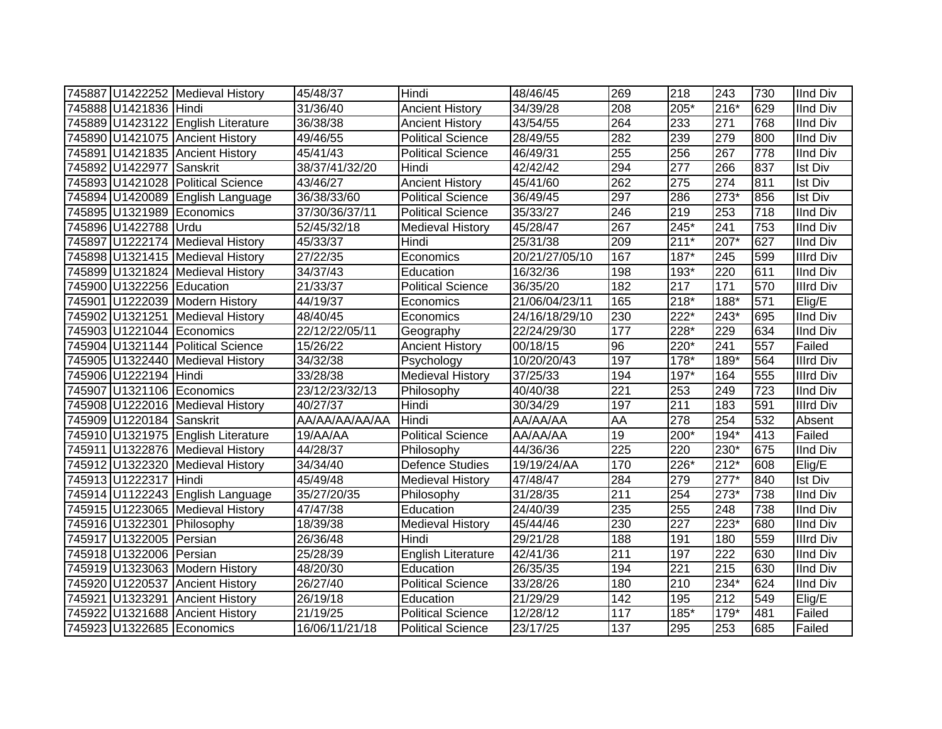|                           | 745887 U1422252 Medieval History   | 45/48/37       | Hindi                    | 48/46/45       | 269              | 218    | 243              | 730 | <b>IInd Div</b>  |
|---------------------------|------------------------------------|----------------|--------------------------|----------------|------------------|--------|------------------|-----|------------------|
| 745888 U1421836 Hindi     |                                    | 31/36/40       | <b>Ancient History</b>   | 34/39/28       | 208              | 205*   | 216*             | 629 | <b>IInd Div</b>  |
|                           | 745889 U1423122 English Literature | 36/38/38       | <b>Ancient History</b>   | 43/54/55       | 264              | 233    | $\overline{271}$ | 768 | <b>IInd Div</b>  |
|                           | 745890 U1421075 Ancient History    | 49/46/55       | <b>Political Science</b> | 28/49/55       | 282              | 239    | 279              | 800 | <b>IInd Div</b>  |
|                           | 745891 U1421835 Ancient History    | 45/41/43       | <b>Political Science</b> | 46/49/31       | 255              | 256    | 267              | 778 | <b>IInd Div</b>  |
| 745892 U1422977 Sanskrit  |                                    | 38/37/41/32/20 | Hindi                    | 42/42/42       | 294              | 277    | 266              | 837 | <b>Ist Div</b>   |
|                           | 745893 U1421028 Political Science  | 43/46/27       | <b>Ancient History</b>   | 45/41/60       | 262              | 275    | 274              | 811 | <b>Ist Div</b>   |
|                           | 745894 U1420089 English Language   | 36/38/33/60    | <b>Political Science</b> | 36/49/45       | 297              | 286    | $273*$           | 856 | Ist Div          |
|                           | 745895 U1321989 Economics          | 37/30/36/37/11 | Political Science        | 35/33/27       | 246              | 219    | 253              | 718 | <b>IInd Div</b>  |
| 745896 U1422788 Urdu      |                                    | 52/45/32/18    | <b>Medieval History</b>  | 45/28/47       | 267              | 245*   | 241              | 753 | <b>IInd Div</b>  |
|                           | 745897 U1222174 Medieval History   | 45/33/37       | Hindi                    | 25/31/38       | 209              | $211*$ | 207*             | 627 | <b>IInd Div</b>  |
|                           | 745898 U1321415 Medieval History   | 27/22/35       | Economics                | 20/21/27/05/10 | 167              | $187*$ | 245              | 599 | <b>Illrd Div</b> |
|                           | 745899 U1321824 Medieval History   | 34/37/43       | Education                | 16/32/36       | 198              | 193*   | 220              | 611 | <b>IInd Div</b>  |
| 745900 U1322256 Education |                                    | 21/33/37       | <b>Political Science</b> | 36/35/20       | 182              | 217    | 171              | 570 | <b>Illrd Div</b> |
|                           | 745901 U1222039 Modern History     | 44/19/37       | Economics                | 21/06/04/23/11 | 165              | $218*$ | 188*             | 571 | Elig/E           |
|                           | 745902 U1321251 Medieval History   | 48/40/45       | Economics                | 24/16/18/29/10 | 230              | 222*   | $243*$           | 695 | <b>IInd Div</b>  |
|                           | 745903 U1221044 Economics          | 22/12/22/05/11 | Geography                | 22/24/29/30    | 177              | 228*   | 229              | 634 | <b>IInd Div</b>  |
|                           | 745904 U1321144 Political Science  | 15/26/22       | <b>Ancient History</b>   | 00/18/15       | 96               | 220*   | 241              | 557 | Failed           |
|                           | 745905 U1322440 Medieval History   | 34/32/38       | Psychology               | 10/20/20/43    | 197              | 178*   | 189*             | 564 | <b>Illrd Div</b> |
| 745906 U1222194 Hindi     |                                    | 33/28/38       | <b>Medieval History</b>  | 37/25/33       | 194              | 197*   | 164              | 555 | <b>Illrd Div</b> |
|                           | 745907 U1321106 Economics          | 23/12/23/32/13 | Philosophy               | 40/40/38       | $\overline{221}$ | 253    | 249              | 723 | <b>IInd Div</b>  |
|                           | 745908 U1222016 Medieval History   | 40/27/37       | Hindi                    | 30/34/29       | 197              | 211    | 183              | 591 | <b>Illrd Div</b> |
| 745909 U1220184 Sanskrit  |                                    | AA/AA/AA/AA/AA | Hindi                    | AA/AA/AA       | AA               | 278    | 254              | 532 | Absent           |
|                           | 745910 U1321975 English Literature | 19/AA/AA       | <b>Political Science</b> | AA/AA/AA       | 19               | 200*   | $194*$           | 413 | Failed           |
|                           | 745911 U1322876 Medieval History   | 44/28/37       | Philosophy               | 44/36/36       | 225              | 220    | 230*             | 675 | <b>IInd Div</b>  |
|                           | 745912 U1322320 Medieval History   | 34/34/40       | <b>Defence Studies</b>   | 19/19/24/AA    | 170              | 226*   | $212*$           | 608 | Elig/E           |
| 745913 U1222317 Hindi     |                                    | 45/49/48       | Medieval History         | 47/48/47       | 284              | 279    | $277*$           | 840 | <b>Ist Div</b>   |
|                           | 745914 U1122243 English Language   | 35/27/20/35    | Philosophy               | 31/28/35       | 211              | 254    | $273*$           | 738 | IInd Div         |
|                           | 745915 U1223065 Medieval History   | 47/47/38       | Education                | 24/40/39       | 235              | 255    | 248              | 738 | <b>IInd Div</b>  |
|                           | 745916 U1322301 Philosophy         | 18/39/38       | <b>Medieval History</b>  | 45/44/46       | 230              | 227    | $223*$           | 680 | <b>IInd Div</b>  |
| 745917 U1322005 Persian   |                                    | 26/36/48       | Hindi                    | 29/21/28       | 188              | 191    | 180              | 559 | <b>Illrd Div</b> |
| 745918 U1322006 Persian   |                                    | 25/28/39       | English Literature       | 42/41/36       | 211              | 197    | 222              | 630 | <b>IInd Div</b>  |
|                           | 745919 U1323063 Modern History     | 48/20/30       | Education                | 26/35/35       | 194              | 221    | 215              | 630 | <b>IInd Div</b>  |
|                           | 745920 U1220537 Ancient History    | 26/27/40       | <b>Political Science</b> | 33/28/26       | 180              | 210    | $234*$           | 624 | <b>IInd Div</b>  |
|                           | 745921 U1323291 Ancient History    | 26/19/18       | Education                | 21/29/29       | 142              | 195    | 212              | 549 | Elig/E           |
|                           | 745922 U1321688 Ancient History    | 21/19/25       | <b>Political Science</b> | 12/28/12       | 117              | 185*   | 179*             | 481 | Failed           |
|                           | 745923 U1322685 Economics          | 16/06/11/21/18 | <b>Political Science</b> | 23/17/25       | 137              | 295    | 253              | 685 | Failed           |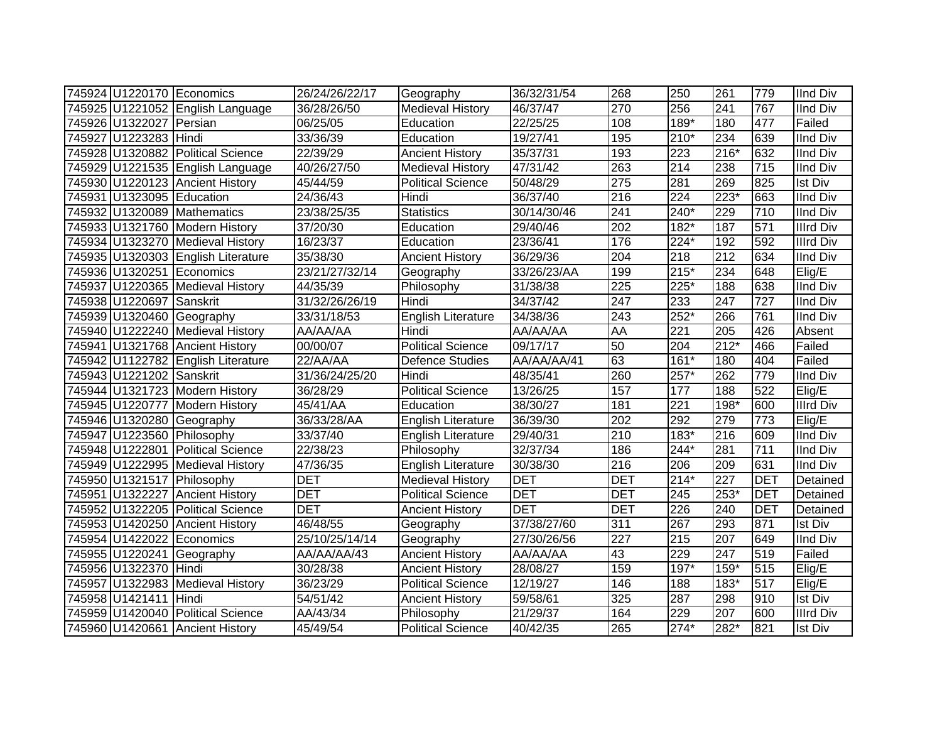|                           | 745924 U1220170 Economics          | 26/24/26/22/17 | Geography                 | 36/32/31/54 | 268        | 250    | 261              | 779        | <b>IInd Div</b>  |
|---------------------------|------------------------------------|----------------|---------------------------|-------------|------------|--------|------------------|------------|------------------|
|                           | 745925 U1221052 English Language   | 36/28/26/50    | Medieval History          | 46/37/47    | 270        | 256    | 241              | 767        | <b>IInd Div</b>  |
| 745926 U1322027 Persian   |                                    | 06/25/05       | Education                 | 22/25/25    | 108        | $189*$ | 180              | 477        | Failed           |
| 745927 U1223283 Hindi     |                                    | 33/36/39       | Education                 | 19/27/41    | 195        | $210*$ | 234              | 639        | <b>IInd Div</b>  |
|                           | 745928 U1320882 Political Science  | 22/39/29       | <b>Ancient History</b>    | 35/37/31    | 193        | 223    | $216*$           | 632        | <b>IInd Div</b>  |
|                           | 745929 U1221535 English Language   | 40/26/27/50    | <b>Medieval History</b>   | 47/31/42    | 263        | 214    | 238              | 715        | <b>IInd Div</b>  |
|                           | 745930 U1220123 Ancient History    | 45/44/59       | <b>Political Science</b>  | 50/48/29    | 275        | 281    | 269              | 825        | <b>Ist Div</b>   |
| 745931 U1323095 Education |                                    | 24/36/43       | Hindi                     | 36/37/40    | 216        | 224    | $223*$           | 663        | <b>IInd Div</b>  |
|                           | 745932 U1320089 Mathematics        | 23/38/25/35    | <b>Statistics</b>         | 30/14/30/46 | 241        | 240*   | 229              | 710        | <b>IInd Div</b>  |
|                           | 745933 U1321760 Modern History     | 37/20/30       | Education                 | 29/40/46    | 202        | 182*   | 187              | 571        | <b>Illrd Div</b> |
|                           | 745934 U1323270 Medieval History   | 16/23/37       | Education                 | 23/36/41    | 176        | 224*   | 192              | 592        | <b>Illrd Div</b> |
|                           | 745935 U1320303 English Literature | 35/38/30       | <b>Ancient History</b>    | 36/29/36    | 204        | 218    | 212              | 634        | <b>IInd Div</b>  |
|                           | 745936 U1320251 Economics          | 23/21/27/32/14 | Geography                 | 33/26/23/AA | 199        | $215*$ | 234              | 648        | Elig/E           |
|                           | 745937 U1220365 Medieval History   | 44/35/39       | Philosophy                | 31/38/38    | 225        | 225*   | 188              | 638        | <b>IInd Div</b>  |
| 745938 U1220697 Sanskrit  |                                    | 31/32/26/26/19 | Hindi                     | 34/37/42    | 247        | 233    | 247              | 727        | <b>IInd Div</b>  |
|                           | 745939 U1320460 Geography          | 33/31/18/53    | <b>English Literature</b> | 34/38/36    | 243        | $252*$ | 266              | 761        | <b>IInd Div</b>  |
|                           | 745940 U1222240 Medieval History   | AA/AA/AA       | Hindi                     | AA/AA/AA    | AA         | 221    | 205              | 426        | Absent           |
|                           | 745941 U1321768 Ancient History    | 00/00/07       | <b>Political Science</b>  | 09/17/17    | 50         | 204    | $212*$           | 466        | Failed           |
|                           | 745942 U1122782 English Literature | 22/AA/AA       | <b>Defence Studies</b>    | AA/AA/AA/41 | 63         | $161*$ | 180              | 404        | Failed           |
| 745943 U1221202 Sanskrit  |                                    | 31/36/24/25/20 | Hindi                     | 48/35/41    | 260        | 257*   | 262              | 779        | <b>IInd Div</b>  |
|                           | 745944 U1321723 Modern History     | 36/28/29       | <b>Political Science</b>  | 13/26/25    | 157        | 177    | 188              | 522        | Elig/E           |
|                           | 745945 U1220777 Modern History     | 45/41/AA       | Education                 | 38/30/27    | 181        | 221    | 198*             | 600        | <b>Illrd Div</b> |
|                           | 745946 U1320280 Geography          | 36/33/28/AA    | English Literature        | 36/39/30    | 202        | 292    | 279              | 773        | Elig/E           |
|                           | 745947 U1223560 Philosophy         | 33/37/40       | English Literature        | 29/40/31    | 210        | 183*   | 216              | 609        | <b>IInd Div</b>  |
|                           | 745948 U1222801 Political Science  | 22/38/23       | Philosophy                | 32/37/34    | 186        | 244*   | 281              | 711        | <b>IInd Div</b>  |
|                           | 745949 U1222995 Medieval History   | 47/36/35       | <b>English Literature</b> | 30/38/30    | 216        | 206    | 209              | 631        | <b>IInd Div</b>  |
|                           | 745950 U1321517 Philosophy         | <b>DET</b>     | <b>Medieval History</b>   | <b>DET</b>  | <b>DET</b> | $214*$ | $\overline{227}$ | <b>DET</b> | Detained         |
|                           | 745951 U1322227 Ancient History    | <b>DET</b>     | <b>Political Science</b>  | <b>DET</b>  | <b>DET</b> | 245    | $253*$           | <b>DET</b> | Detained         |
|                           | 745952 U1322205 Political Science  | <b>DET</b>     | <b>Ancient History</b>    | <b>DET</b>  | <b>DET</b> | 226    | $\overline{240}$ | <b>DET</b> | Detained         |
|                           | 745953 U1420250 Ancient History    | 46/48/55       | Geography                 | 37/38/27/60 | 311        | 267    | 293              | 871        | <b>Ist Div</b>   |
|                           | 745954 U1422022 Economics          | 25/10/25/14/14 | Geography                 | 27/30/26/56 | 227        | 215    | 207              | 649        | <b>IInd Div</b>  |
|                           | 745955 U1220241 Geography          | AA/AA/AA/43    | <b>Ancient History</b>    | AA/AA/AA    | 43         | 229    | 247              | 519        | Failed           |
| 745956 U1322370           | Hindi                              | 30/28/38       | <b>Ancient History</b>    | 28/08/27    | 159        | $197*$ | $159*$           | 515        | Elig/E           |
|                           | 745957 U1322983 Medieval History   | 36/23/29       | <b>Political Science</b>  | 12/19/27    | 146        | 188    | 183*             | 517        | Elig/E           |
| 745958 U1421411 Hindi     |                                    | 54/51/42       | <b>Ancient History</b>    | 59/58/61    | 325        | 287    | 298              | 910        | Ist Div          |
|                           | 745959 U1420040 Political Science  | AA/43/34       | Philosophy                | 21/29/37    | 164        | 229    | 207              | 600        | <b>Illrd Div</b> |
|                           | 745960 U1420661 Ancient History    | 45/49/54       | <b>Political Science</b>  | 40/42/35    | 265        | $274*$ | 282*             | 821        | <b>Ist Div</b>   |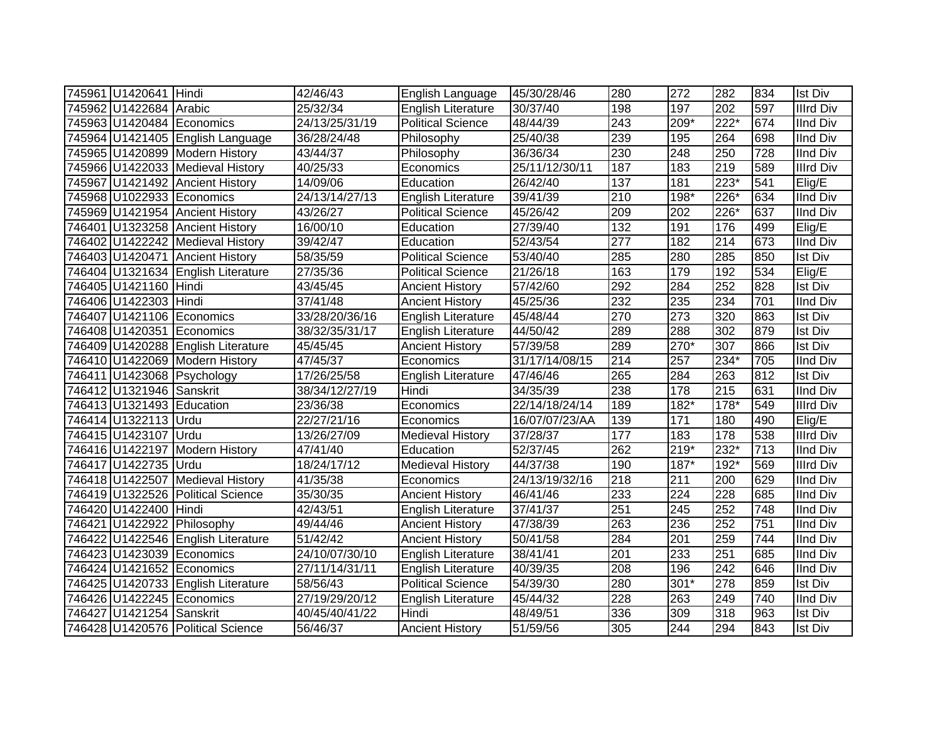| 745961 U1420641 Hindi     |                                    | 42/46/43       | English Language          | 45/30/28/46    | 280              | 272    | 282              | 834 | <b>Ist Div</b>   |
|---------------------------|------------------------------------|----------------|---------------------------|----------------|------------------|--------|------------------|-----|------------------|
| 745962 U1422684 Arabic    |                                    | 25/32/34       | English Literature        | 30/37/40       | 198              | 197    | 202              | 597 | <b>Illrd Div</b> |
|                           | 745963 U1420484 Economics          | 24/13/25/31/19 | <b>Political Science</b>  | 48/44/39       | $\overline{243}$ | $209*$ | $222*$           | 674 | <b>IInd Div</b>  |
|                           | 745964 U1421405 English Language   | 36/28/24/48    | Philosophy                | 25/40/38       | 239              | 195    | 264              | 698 | <b>IInd Div</b>  |
|                           | 745965 U1420899 Modern History     | 43/44/37       | Philosophy                | 36/36/34       | 230              | 248    | 250              | 728 | <b>IInd Div</b>  |
|                           | 745966 U1422033 Medieval History   | 40/25/33       | Economics                 | 25/11/12/30/11 | 187              | 183    | $\overline{219}$ | 589 | <b>Illrd Div</b> |
|                           | 745967 U1421492 Ancient History    | 14/09/06       | Education                 | 26/42/40       | 137              | 181    | $223*$           | 541 | Elig/E           |
|                           | 745968 U1022933 Economics          | 24/13/14/27/13 | English Literature        | 39/41/39       | 210              | 198*   | $226*$           | 634 | <b>IInd Div</b>  |
|                           | 745969 U1421954 Ancient History    | 43/26/27       | Political Science         | 45/26/42       | 209              | 202    | 226*             | 637 | <b>IInd Div</b>  |
|                           | 746401 U1323258 Ancient History    | 16/00/10       | Education                 | 27/39/40       | 132              | 191    | 176              | 499 | Elig/E           |
|                           | 746402 U1422242 Medieval History   | 39/42/47       | Education                 | 52/43/54       | $\overline{277}$ | 182    | $\overline{214}$ | 673 | <b>IInd Div</b>  |
|                           | 746403 U1420471 Ancient History    | 58/35/59       | <b>Political Science</b>  | 53/40/40       | 285              | 280    | 285              | 850 | <b>Ist Div</b>   |
|                           | 746404 U1321634 English Literature | 27/35/36       | <b>Political Science</b>  | 21/26/18       | 163              | 179    | 192              | 534 | Elig/E           |
| 746405 U1421160 Hindi     |                                    | 43/45/45       | <b>Ancient History</b>    | 57/42/60       | 292              | 284    | 252              | 828 | <b>Ist Div</b>   |
| 746406 U1422303 Hindi     |                                    | 37/41/48       | <b>Ancient History</b>    | 45/25/36       | 232              | 235    | 234              | 701 | <b>IInd Div</b>  |
|                           | 746407 U1421106 Economics          | 33/28/20/36/16 | English Literature        | 45/48/44       | 270              | 273    | 320              | 863 | <b>Ist Div</b>   |
|                           | 746408 U1420351 Economics          | 38/32/35/31/17 | English Literature        | 44/50/42       | 289              | 288    | 302              | 879 | <b>Ist Div</b>   |
|                           | 746409 U1420288 English Literature | 45/45/45       | <b>Ancient History</b>    | 57/39/58       | 289              | 270*   | $\overline{307}$ | 866 | <b>Ist Div</b>   |
|                           | 746410 U1422069 Modern History     | 47/45/37       | Economics                 | 31/17/14/08/15 | 214              | 257    | $234*$           | 705 | <b>IInd Div</b>  |
|                           | 746411 U1423068 Psychology         | 17/26/25/58    | <b>English Literature</b> | 47/46/46       | 265              | 284    | 263              | 812 | <b>Ist Div</b>   |
| 746412 U1321946 Sanskrit  |                                    | 38/34/12/27/19 | Hindi                     | 34/35/39       | 238              | 178    | $\overline{215}$ | 631 | <b>IInd Div</b>  |
| 746413 U1321493 Education |                                    | 23/36/38       | Economics                 | 22/14/18/24/14 | 189              | 182*   | 178*             | 549 | <b>Illrd Div</b> |
| 746414 U1322113 Urdu      |                                    | 22/27/21/16    | Economics                 | 16/07/07/23/AA | 139              | 171    | 180              | 490 | Elig/E           |
| 746415 U1423107 Urdu      |                                    | 13/26/27/09    | Medieval History          | 37/28/37       | 177              | 183    | 178              | 538 | <b>Illrd Div</b> |
|                           | 746416 U1422197 Modern History     | 47/41/40       | Education                 | 52/37/45       | 262              | 219*   | 232*             | 713 | <b>IInd Div</b>  |
| 746417 U1422735 Urdu      |                                    | 18/24/17/12    | <b>Medieval History</b>   | 44/37/38       | 190              | 187*   | 192*             | 569 | <b>Illrd Div</b> |
|                           | 746418 U1422507 Medieval History   | 41/35/38       | Economics                 | 24/13/19/32/16 | 218              | 211    | 200              | 629 | <b>IInd Div</b>  |
|                           | 746419 U1322526 Political Science  | 35/30/35       | <b>Ancient History</b>    | 46/41/46       | 233              | 224    | $\overline{228}$ | 685 | <b>IInd Div</b>  |
| 746420 U1422400 Hindi     |                                    | 42/43/51       | English Literature        | 37/41/37       | 251              | 245    | 252              | 748 | <b>IInd Div</b>  |
|                           | 746421 U1422922 Philosophy         | 49/44/46       | <b>Ancient History</b>    | 47/38/39       | 263              | 236    | 252              | 751 | <b>IInd Div</b>  |
|                           | 746422 U1422546 English Literature | 51/42/42       | <b>Ancient History</b>    | 50/41/58       | 284              | 201    | 259              | 744 | <b>IInd Div</b>  |
|                           | 746423 U1423039 Economics          | 24/10/07/30/10 | <b>English Literature</b> | 38/41/41       | 201              | 233    | 251              | 685 | <b>IInd Div</b>  |
|                           | 746424 U1421652 Economics          | 27/11/14/31/11 | English Literature        | 40/39/35       | 208              | 196    | 242              | 646 | <b>IInd Div</b>  |
|                           | 746425 U1420733 English Literature | 58/56/43       | <b>Political Science</b>  | 54/39/30       | 280              | $301*$ | 278              | 859 | <b>Ist Div</b>   |
|                           | 746426 U1422245 Economics          | 27/19/29/20/12 | <b>English Literature</b> | 45/44/32       | 228              | 263    | 249              | 740 | <b>IInd Div</b>  |
| 746427 U1421254 Sanskrit  |                                    | 40/45/40/41/22 | Hindi                     | 48/49/51       | 336              | 309    | 318              | 963 | <b>Ist Div</b>   |
|                           | 746428 U1420576 Political Science  | 56/46/37       | <b>Ancient History</b>    | 51/59/56       | 305              | 244    | 294              | 843 | <b>Ist Div</b>   |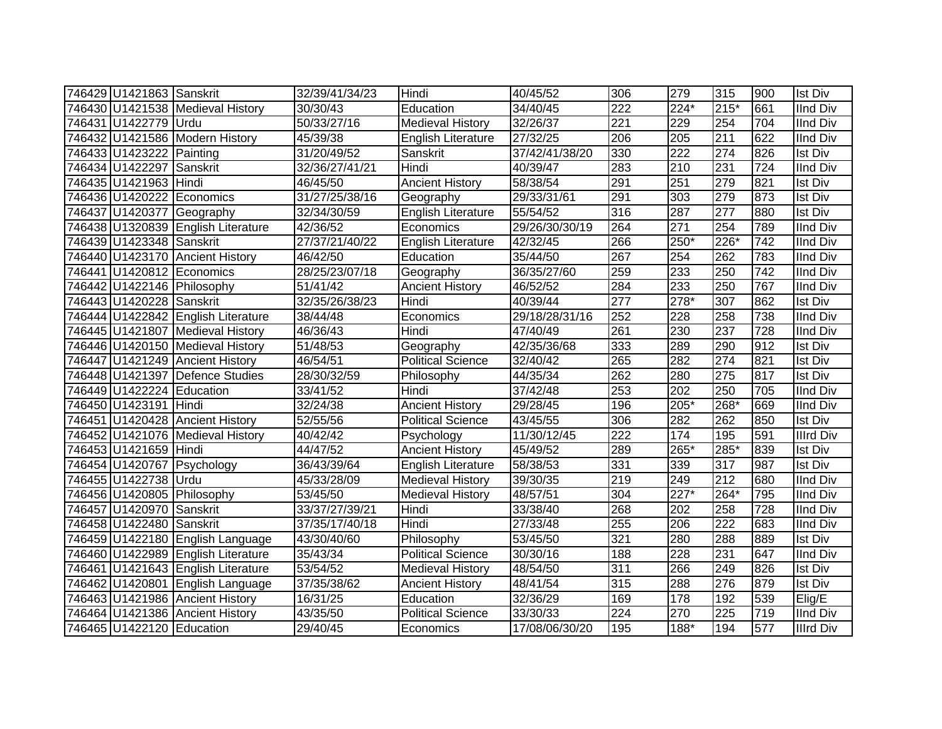| 746429 U1421863 Sanskrit  |                                    | 32/39/41/34/23 | Hindi                     | 40/45/52       | 306              | 279              | 315              | 900              | <b>Ist Div</b>   |
|---------------------------|------------------------------------|----------------|---------------------------|----------------|------------------|------------------|------------------|------------------|------------------|
|                           | 746430 U1421538 Medieval History   | 30/30/43       | Education                 | 34/40/45       | $\overline{222}$ | 224*             | $215*$           | 661              | <b>IInd Div</b>  |
| 746431 U1422779 Urdu      |                                    | 50/33/27/16    | <b>Medieval History</b>   | 32/26/37       | 221              | 229              | 254              | 704              | <b>IInd Div</b>  |
|                           | 746432 U1421586 Modern History     | 45/39/38       | <b>English Literature</b> | 27/32/25       | 206              | 205              | 211              | 622              | <b>IInd Div</b>  |
| 746433 U1423222 Painting  |                                    | 31/20/49/52    | Sanskrit                  | 37/42/41/38/20 | 330              | $\overline{222}$ | $\overline{274}$ | 826              | <b>Ist Div</b>   |
| 746434 U1422297 Sanskrit  |                                    | 32/36/27/41/21 | Hindi                     | 40/39/47       | 283              | 210              | 231              | $\overline{724}$ | <b>IInd Div</b>  |
| 746435 U1421963 Hindi     |                                    | 46/45/50       | <b>Ancient History</b>    | 58/38/54       | 291              | 251              | 279              | 821              | <b>Ist Div</b>   |
|                           | 746436 U1420222 Economics          | 31/27/25/38/16 | Geography                 | 29/33/31/61    | 291              | 303              | 279              | 873              | <b>Ist Div</b>   |
|                           | 746437 U1420377 Geography          | 32/34/30/59    | <b>English Literature</b> | 55/54/52       | 316              | 287              | $\overline{277}$ | 880              | <b>Ist Div</b>   |
|                           | 746438 U1320839 English Literature | 42/36/52       | Economics                 | 29/26/30/30/19 | 264              | 271              | 254              | 789              | <b>IInd Div</b>  |
| 746439 U1423348 Sanskrit  |                                    | 27/37/21/40/22 | <b>English Literature</b> | 42/32/45       | 266              | 250*             | $226*$           | 742              | <b>IInd Div</b>  |
|                           | 746440 U1423170 Ancient History    | 46/42/50       | Education                 | 35/44/50       | 267              | 254              | 262              | 783              | <b>IInd Div</b>  |
|                           | 746441 U1420812 Economics          | 28/25/23/07/18 | Geography                 | 36/35/27/60    | 259              | 233              | 250              | 742              | <b>IInd Div</b>  |
|                           | 746442 U1422146 Philosophy         | 51/41/42       | <b>Ancient History</b>    | 46/52/52       | 284              | 233              | 250              | 767              | <b>IInd Div</b>  |
| 746443 U1420228 Sanskrit  |                                    | 32/35/26/38/23 | Hindi                     | 40/39/44       | 277              | 278*             | 307              | 862              | <b>Ist Div</b>   |
|                           | 746444 U1422842 English Literature | 38/44/48       | Economics                 | 29/18/28/31/16 | 252              | 228              | 258              | 738              | <b>IInd Div</b>  |
|                           | 746445 U1421807 Medieval History   | 46/36/43       | Hindi                     | 47/40/49       | 261              | 230              | 237              | 728              | <b>IInd Div</b>  |
|                           | 746446 U1420150 Medieval History   | 51/48/53       | Geography                 | 42/35/36/68    | 333              | 289              | 290              | 912              | <b>Ist Div</b>   |
|                           | 746447 U1421249 Ancient History    | 46/54/51       | <b>Political Science</b>  | 32/40/42       | 265              | 282              | 274              | 821              | <b>Ist Div</b>   |
|                           | 746448 U1421397 Defence Studies    | 28/30/32/59    | Philosophy                | 44/35/34       | 262              | 280              | 275              | 817              | <b>Ist Div</b>   |
| 746449 U1422224 Education |                                    | 33/41/52       | Hindi                     | 37/42/48       | 253              | 202              | 250              | 705              | <b>IInd Div</b>  |
| 746450 U1423191 Hindi     |                                    | 32/24/38       | <b>Ancient History</b>    | 29/28/45       | 196              | $205*$           | 268*             | 669              | <b>IInd Div</b>  |
|                           | 746451 U1420428 Ancient History    | 52/55/56       | <b>Political Science</b>  | 43/45/55       | 306              | 282              | 262              | 850              | <b>Ist Div</b>   |
|                           | 746452 U1421076 Medieval History   | 40/42/42       | Psychology                | 11/30/12/45    | $\overline{222}$ | 174              | 195              | 591              | <b>Illrd Div</b> |
| 746453 U1421659 Hindi     |                                    | 44/47/52       | <b>Ancient History</b>    | 45/49/52       | 289              | 265*             | 285*             | 839              | <b>Ist Div</b>   |
|                           | 746454 U1420767 Psychology         | 36/43/39/64    | English Literature        | 58/38/53       | 331              | 339              | $\overline{317}$ | 987              | <b>Ist Div</b>   |
| 746455 U1422738 Urdu      |                                    | 45/33/28/09    | <b>Medieval History</b>   | 39/30/35       | $\overline{219}$ | 249              | $\overline{212}$ | 680              | <b>IInd Div</b>  |
|                           | 746456 U1420805 Philosophy         | 53/45/50       | <b>Medieval History</b>   | 48/57/51       | 304              | $227*$           | $264*$           | 795              | <b>IInd Div</b>  |
| 746457 U1420970           | Sanskrit                           | 33/37/27/39/21 | Hindi                     | 33/38/40       | 268              | 202              | 258              | 728              | <b>IInd Div</b>  |
| 746458 U1422480           | Sanskrit                           | 37/35/17/40/18 | Hindi                     | 27/33/48       | 255              | 206              | $\overline{222}$ | 683              | <b>IInd Div</b>  |
|                           | 746459 U1422180 English Language   | 43/30/40/60    | Philosophy                | 53/45/50       | 321              | 280              | 288              | 889              | <b>Ist Div</b>   |
|                           | 746460 U1422989 English Literature | 35/43/34       | <b>Political Science</b>  | 30/30/16       | 188              | 228              | 231              | 647              | <b>IInd Div</b>  |
|                           | 746461 U1421643 English Literature | 53/54/52       | <b>Medieval History</b>   | 48/54/50       | 311              | 266              | 249              | 826              | <b>Ist Div</b>   |
|                           | 746462 U1420801 English Language   | 37/35/38/62    | <b>Ancient History</b>    | 48/41/54       | 315              | 288              | 276              | 879              | <b>Ist Div</b>   |
|                           | 746463 U1421986 Ancient History    | 16/31/25       | Education                 | 32/36/29       | 169              | 178              | 192              | 539              | Elig/E           |
|                           | 746464 U1421386 Ancient History    | 43/35/50       | <b>Political Science</b>  | 33/30/33       | 224              | 270              | 225              | 719              | <b>IInd Div</b>  |
| 746465 U1422120 Education |                                    | 29/40/45       | Economics                 | 17/08/06/30/20 | 195              | $188*$           | 194              | 577              | <b>Illrd Div</b> |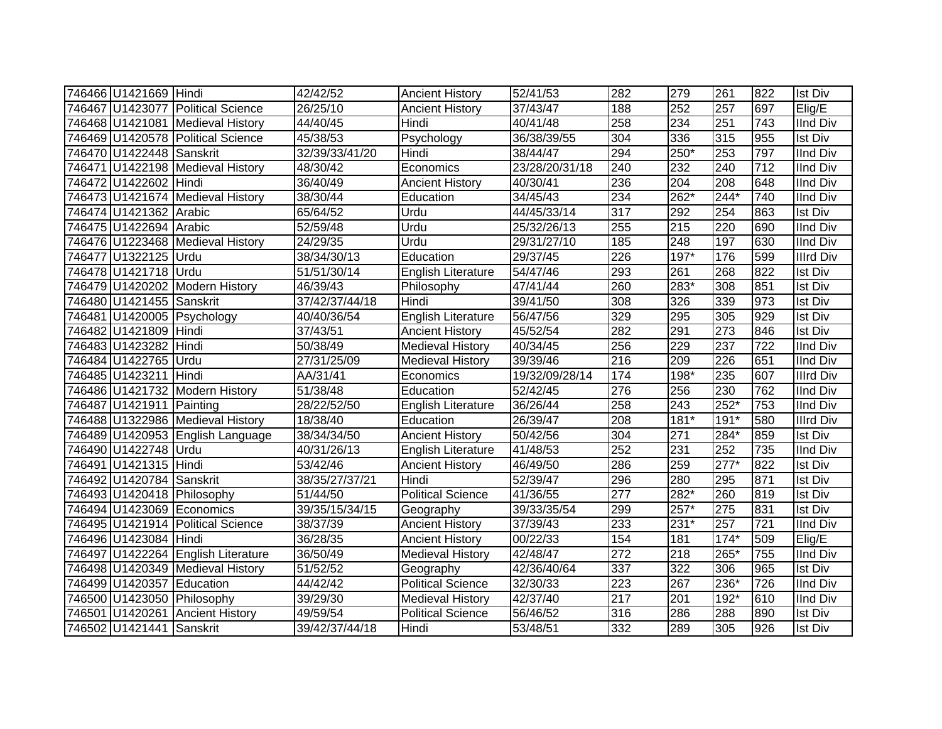| 746466 U1421669 Hindi     |                                    | 42/42/52       | <b>Ancient History</b>    | 52/41/53       | 282 | 279    | 261              | 822              | <b>Ist Div</b>   |
|---------------------------|------------------------------------|----------------|---------------------------|----------------|-----|--------|------------------|------------------|------------------|
|                           | 746467 U1423077 Political Science  | 26/25/10       | <b>Ancient History</b>    | 37/43/47       | 188 | 252    | 257              | 697              | Elig/E           |
|                           | 746468 U1421081 Medieval History   | 44/40/45       | Hindi                     | 40/41/48       | 258 | 234    | 251              | 743              | <b>IInd Div</b>  |
|                           | 746469 U1420578 Political Science  | 45/38/53       | Psychology                | 36/38/39/55    | 304 | 336    | 315              | 955              | <b>Ist Div</b>   |
| 746470 U1422448 Sanskrit  |                                    | 32/39/33/41/20 | Hindi                     | 38/44/47       | 294 | $250*$ | 253              | 797              | <b>IInd Div</b>  |
|                           | 746471 U1422198 Medieval History   | 48/30/42       | Economics                 | 23/28/20/31/18 | 240 | 232    | 240              | $\overline{712}$ | <b>IInd Div</b>  |
| 746472 U1422602 Hindi     |                                    | 36/40/49       | <b>Ancient History</b>    | 40/30/41       | 236 | 204    | 208              | 648              | <b>IInd Div</b>  |
|                           | 746473 U1421674 Medieval History   | 38/30/44       | Education                 | 34/45/43       | 234 | $262*$ | $244*$           | 740              | <b>IInd Div</b>  |
| 746474 U1421362 Arabic    |                                    | 65/64/52       | Urdu                      | 44/45/33/14    | 317 | 292    | 254              | 863              | <b>Ist Div</b>   |
| 746475 U1422694 Arabic    |                                    | 52/59/48       | Urdu                      | 25/32/26/13    | 255 | 215    | 220              | 690              | <b>IInd Div</b>  |
|                           | 746476 U1223468 Medieval History   | 24/29/35       | Urdu                      | 29/31/27/10    | 185 | 248    | 197              | 630              | <b>IInd Div</b>  |
| 746477 U1322125 Urdu      |                                    | 38/34/30/13    | Education                 | 29/37/45       | 226 | $197*$ | 176              | 599              | <b>Illrd Div</b> |
| 746478 U1421718 Urdu      |                                    | 51/51/30/14    | <b>English Literature</b> | 54/47/46       | 293 | 261    | 268              | 822              | Ist Div          |
|                           | 746479 U1420202 Modern History     | 46/39/43       | Philosophy                | 47/41/44       | 260 | 283*   | 308              | 851              | <b>Ist Div</b>   |
| 746480 U1421455 Sanskrit  |                                    | 37/42/37/44/18 | Hindi                     | 39/41/50       | 308 | 326    | 339              | 973              | <b>Ist Div</b>   |
|                           | 746481 U1420005 Psychology         | 40/40/36/54    | <b>English Literature</b> | 56/47/56       | 329 | 295    | 305              | 929              | <b>Ist Div</b>   |
| 746482 U1421809 Hindi     |                                    | 37/43/51       | <b>Ancient History</b>    | 45/52/54       | 282 | 291    | 273              | 846              | <b>Ist Div</b>   |
| 746483 U1423282 Hindi     |                                    | 50/38/49       | <b>Medieval History</b>   | 40/34/45       | 256 | 229    | $\overline{237}$ | 722              | <b>IInd Div</b>  |
| 746484 U1422765 Urdu      |                                    | 27/31/25/09    | <b>Medieval History</b>   | 39/39/46       | 216 | 209    | 226              | 651              | <b>IInd Div</b>  |
| 746485 U1423211 Hindi     |                                    | AA/31/41       | Economics                 | 19/32/09/28/14 | 174 | 198*   | 235              | 607              | <b>Illrd Div</b> |
|                           | 746486 U1421732 Modern History     | 51/38/48       | Education                 | 52/42/45       | 276 | 256    | 230              | 762              | <b>IInd Div</b>  |
| 746487 U1421911 Painting  |                                    | 28/22/52/50    | <b>English Literature</b> | 36/26/44       | 258 | 243    | $252*$           | 753              | <b>IInd Div</b>  |
|                           | 746488 U1322986 Medieval History   | 18/38/40       | Education                 | 26/39/47       | 208 | $181*$ | $191*$           | 580              | <b>Illrd Div</b> |
|                           | 746489 U1420953 English Language   | 38/34/34/50    | <b>Ancient History</b>    | 50/42/56       | 304 | 271    | 284*             | 859              | <b>Ist Div</b>   |
| 746490 U1422748 Urdu      |                                    | 40/31/26/13    | <b>English Literature</b> | 41/48/53       | 252 | 231    | 252              | 735              | <b>IInd Div</b>  |
| 746491 U1421315 Hindi     |                                    | 53/42/46       | <b>Ancient History</b>    | 46/49/50       | 286 | 259    | $277*$           | 822              | <b>Ist Div</b>   |
| 746492 U1420784 Sanskrit  |                                    | 38/35/27/37/21 | Hindi                     | 52/39/47       | 296 | 280    | 295              | 871              | <b>Ist Div</b>   |
|                           | 746493 U1420418 Philosophy         | 51/44/50       | <b>Political Science</b>  | 41/36/55       | 277 | $282*$ | 260              | 819              | <b>Ist Div</b>   |
|                           | 746494 U1423069 Economics          | 39/35/15/34/15 | Geography                 | 39/33/35/54    | 299 | $257*$ | 275              | 831              | <b>Ist Div</b>   |
|                           | 746495 U1421914 Political Science  | 38/37/39       | <b>Ancient History</b>    | 37/39/43       | 233 | $231*$ | 257              | $\overline{721}$ | <b>IInd Div</b>  |
| 746496 U1423084 Hindi     |                                    | 36/28/35       | <b>Ancient History</b>    | 00/22/33       | 154 | 181    | $174*$           | 509              | Elig/E           |
|                           | 746497 U1422264 English Literature | 36/50/49       | <b>Medieval History</b>   | 42/48/47       | 272 | 218    | 265*             | 755              | <b>IInd Div</b>  |
|                           | 746498 U1420349 Medieval History   | 51/52/52       | Geography                 | 42/36/40/64    | 337 | 322    | 306              | 965              | <b>Ist Div</b>   |
| 746499 U1420357 Education |                                    | 44/42/42       | <b>Political Science</b>  | 32/30/33       | 223 | 267    | 236*             | 726              | <b>IInd Div</b>  |
|                           | 746500 U1423050 Philosophy         | 39/29/30       | <b>Medieval History</b>   | 42/37/40       | 217 | 201    | 192*             | 610              | <b>IInd Div</b>  |
|                           | 746501 U1420261 Ancient History    | 49/59/54       | <b>Political Science</b>  | 56/46/52       | 316 | 286    | 288              | 890              | <b>Ist Div</b>   |
| 746502 U1421441 Sanskrit  |                                    | 39/42/37/44/18 | Hindi                     | 53/48/51       | 332 | 289    | 305              | 926              | <b>Ist Div</b>   |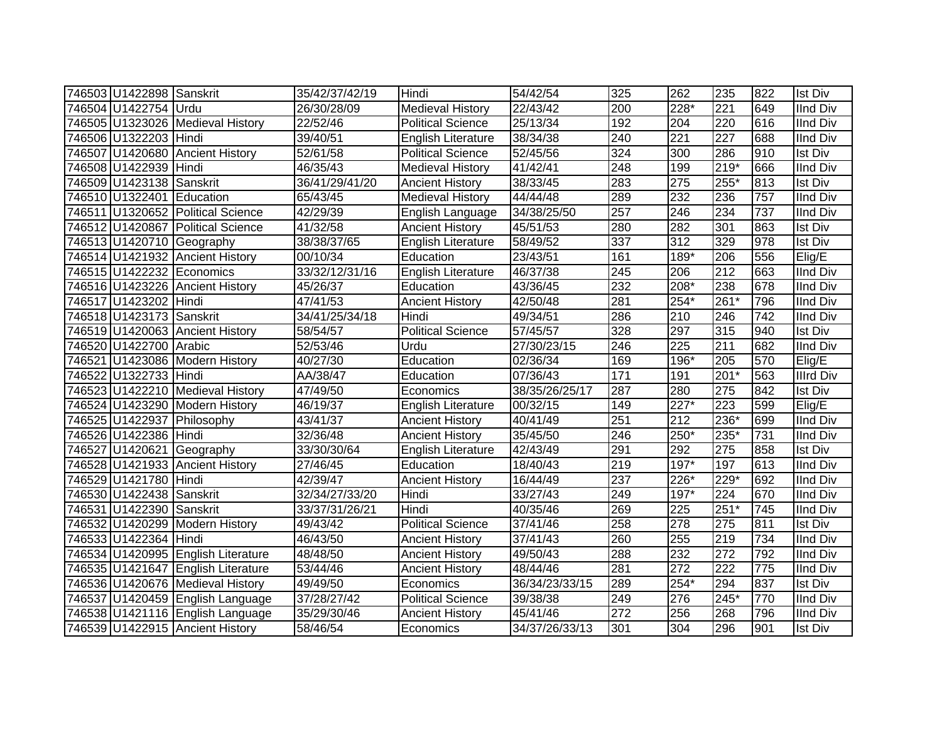| 746503 U1422898 Sanskrit  |                                    | 35/42/37/42/19        | Hindi                     | 54/42/54       | 325 | 262              | 235              | 822 | <b>Ist Div</b>  |
|---------------------------|------------------------------------|-----------------------|---------------------------|----------------|-----|------------------|------------------|-----|-----------------|
| 746504 U1422754 Urdu      |                                    | 26/30/28/09           | <b>Medieval History</b>   | 22/43/42       | 200 | 228*             | 221              | 649 | <b>IInd Div</b> |
|                           | 746505 U1323026 Medieval History   | 22/52/46              | <b>Political Science</b>  | 25/13/34       | 192 | 204              | 220              | 616 | <b>IInd Div</b> |
| 746506 U1322203 Hindi     |                                    | 39/40/51              | <b>English Literature</b> | 38/34/38       | 240 | 221              | 227              | 688 | <b>IInd Div</b> |
|                           | 746507 U1420680 Ancient History    | $\overline{52}/61/58$ | <b>Political Science</b>  | 52/45/56       | 324 | 300              | 286              | 910 | <b>Ist Div</b>  |
| 746508 U1422939 Hindi     |                                    | 46/35/43              | <b>Medieval History</b>   | 41/42/41       | 248 | 199              | $219*$           | 666 | <b>IInd Div</b> |
| 746509 U1423138 Sanskrit  |                                    | 36/41/29/41/20        | <b>Ancient History</b>    | 38/33/45       | 283 | $\overline{275}$ | 255*             | 813 | <b>Ist Div</b>  |
| 746510 U1322401 Education |                                    | 65/43/45              | Medieval History          | 44/44/48       | 289 | 232              | 236              | 757 | <b>IInd Div</b> |
|                           | 746511 U1320652 Political Science  | 42/29/39              | English Language          | 34/38/25/50    | 257 | 246              | 234              | 737 | <b>IInd Div</b> |
|                           | 746512 U1420867 Political Science  | 41/32/58              | <b>Ancient History</b>    | 45/51/53       | 280 | 282              | 301              | 863 | <b>Ist Div</b>  |
|                           | 746513 U1420710 Geography          | 38/38/37/65           | <b>English Literature</b> | 58/49/52       | 337 | 312              | 329              | 978 | <b>Ist Div</b>  |
|                           | 746514 U1421932 Ancient History    | 00/10/34              | Education                 | 23/43/51       | 161 | $189*$           | 206              | 556 | Elig/E          |
|                           | 746515 U1422232 Economics          | 33/32/12/31/16        | <b>English Literature</b> | 46/37/38       | 245 | 206              | 212              | 663 | <b>IInd Div</b> |
|                           | 746516 U1423226 Ancient History    | 45/26/37              | Education                 | 43/36/45       | 232 | 208*             | 238              | 678 | <b>IInd Div</b> |
| 746517 U1423202 Hindi     |                                    | 47/41/53              | <b>Ancient History</b>    | 42/50/48       | 281 | 254*             | 261*             | 796 | <b>IInd Div</b> |
| 746518 U1423173 Sanskrit  |                                    | 34/41/25/34/18        | Hindi                     | 49/34/51       | 286 | 210              | 246              | 742 | <b>IInd Div</b> |
|                           | 746519 U1420063 Ancient History    | 58/54/57              | <b>Political Science</b>  | 57/45/57       | 328 | 297              | 315              | 940 | <b>Ist Div</b>  |
| 746520 U1422700 Arabic    |                                    | 52/53/46              | Urdu                      | 27/30/23/15    | 246 | 225              | 211              | 682 | <b>IInd Div</b> |
|                           | 746521 U1423086 Modern History     | 40/27/30              | Education                 | 02/36/34       | 169 | 196*             | 205              | 570 | Elig/E          |
| 746522 U1322733 Hindi     |                                    | AA/38/47              | Education                 | 07/36/43       | 171 | 191              | $201*$           | 563 | Illrd Div       |
|                           | 746523 U1422210 Medieval History   | 47/49/50              | Economics                 | 38/35/26/25/17 | 287 | 280              | 275              | 842 | <b>Ist Div</b>  |
|                           | 746524 U1423290 Modern History     | 46/19/37              | English Literature        | 00/32/15       | 149 | $227*$           | $\overline{223}$ | 599 | Elig/E          |
|                           | 746525 U1422937 Philosophy         | 43/41/37              | <b>Ancient History</b>    | 40/41/49       | 251 | 212              | 236*             | 699 | <b>IInd Div</b> |
| 746526 U1422386 Hindi     |                                    | 32/36/48              | <b>Ancient History</b>    | 35/45/50       | 246 | $250*$           | 235*             | 731 | <b>IInd Div</b> |
|                           | 746527 U1420621 Geography          | 33/30/30/64           | <b>English Literature</b> | 42/43/49       | 291 | 292              | 275              | 858 | <b>Ist Div</b>  |
|                           | 746528 U1421933 Ancient History    | 27/46/45              | Education                 | 18/40/43       | 219 | $197*$           | 197              | 613 | <b>IInd Div</b> |
| 746529 U1421780 Hindi     |                                    | 42/39/47              | <b>Ancient History</b>    | 16/44/49       | 237 | 226*             | $229*$           | 692 | <b>IInd Div</b> |
| 746530 U1422438 Sanskrit  |                                    | 32/34/27/33/20        | Hindi                     | 33/27/43       | 249 | $197*$           | 224              | 670 | <b>IInd Div</b> |
| 746531 U1422390 Sanskrit  |                                    | 33/37/31/26/21        | Hindi                     | 40/35/46       | 269 | $\overline{225}$ | $251*$           | 745 | <b>IInd Div</b> |
|                           | 746532 U1420299 Modern History     | 49/43/42              | Political Science         | 37/41/46       | 258 | 278              | 275              | 811 | <b>Ist Div</b>  |
| 746533 U1422364 Hindi     |                                    | 46/43/50              | <b>Ancient History</b>    | 37/41/43       | 260 | 255              | 219              | 734 | <b>IInd Div</b> |
|                           | 746534 U1420995 English Literature | 48/48/50              | <b>Ancient History</b>    | 49/50/43       | 288 | 232              | 272              | 792 | <b>IInd Div</b> |
|                           | 746535 U1421647 English Literature | 53/44/46              | <b>Ancient History</b>    | 48/44/46       | 281 | 272              | 222              | 775 | <b>IInd Div</b> |
|                           | 746536 U1420676 Medieval History   | 49/49/50              | Economics                 | 36/34/23/33/15 | 289 | $254*$           | 294              | 837 | <b>Ist Div</b>  |
|                           | 746537 U1420459 English Language   | 37/28/27/42           | <b>Political Science</b>  | 39/38/38       | 249 | 276              | 245*             | 770 | <b>IInd Div</b> |
|                           | 746538 U1421116 English Language   | 35/29/30/46           | <b>Ancient History</b>    | 45/41/46       | 272 | 256              | 268              | 796 | <b>IInd Div</b> |
|                           | 746539 U1422915 Ancient History    | 58/46/54              | Economics                 | 34/37/26/33/13 | 301 | 304              | 296              | 901 | <b>Ist Div</b>  |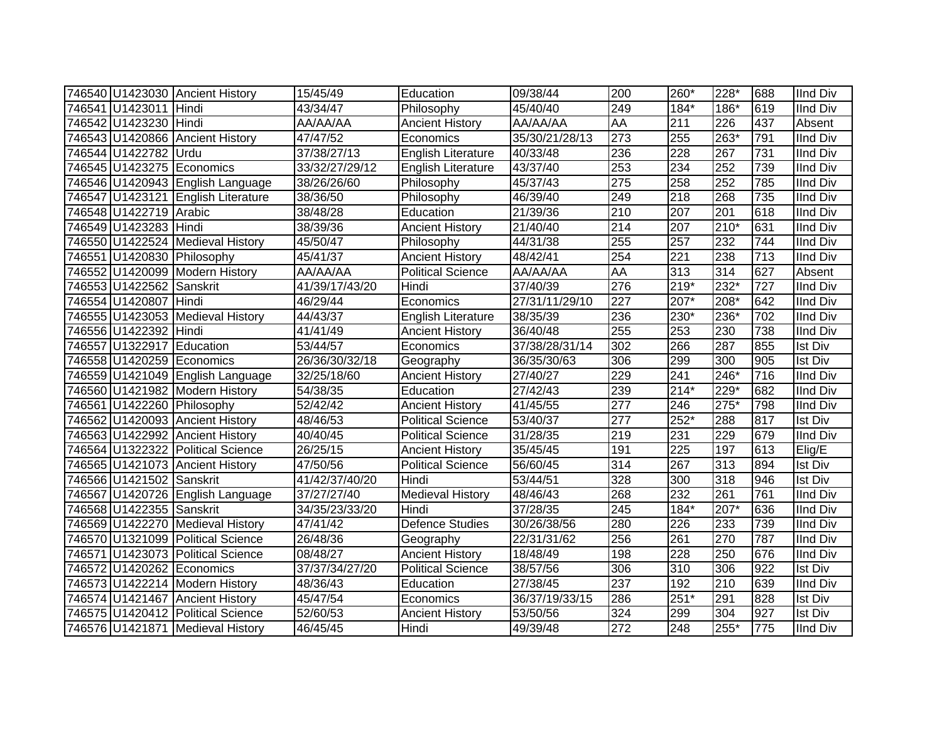|                           | 746540 U1423030 Ancient History    | 15/45/49       | Education                 | 09/38/44       | 200              | 260*   | 228*   | 688 | <b>IInd Div</b> |
|---------------------------|------------------------------------|----------------|---------------------------|----------------|------------------|--------|--------|-----|-----------------|
| 746541 U1423011 Hindi     |                                    | 43/34/47       | Philosophy                | 45/40/40       | 249              | 184*   | 186*   | 619 | IInd Div        |
| 746542 U1423230 Hindi     |                                    | AA/AA/AA       | <b>Ancient History</b>    | AA/AA/AA       | <b>AA</b>        | 211    | 226    | 437 | Absent          |
|                           | 746543 U1420866 Ancient History    | 47/47/52       | Economics                 | 35/30/21/28/13 | $\overline{273}$ | 255    | $263*$ | 791 | <b>IInd Div</b> |
| 746544 U1422782 Urdu      |                                    | 37/38/27/13    | <b>English Literature</b> | 40/33/48       | 236              | 228    | 267    | 731 | <b>IInd Div</b> |
|                           | 746545 U1423275 Economics          | 33/32/27/29/12 | English Literature        | 43/37/40       | 253              | 234    | 252    | 739 | <b>IInd Div</b> |
|                           | 746546 U1420943 English Language   | 38/26/26/60    | Philosophy                | 45/37/43       | 275              | 258    | 252    | 785 | <b>IInd Div</b> |
|                           | 746547 U1423121 English Literature | 38/36/50       | Philosophy                | 46/39/40       | 249              | 218    | 268    | 735 | <b>IInd Div</b> |
| 746548 U1422719 Arabic    |                                    | 38/48/28       | Education                 | 21/39/36       | 210              | 207    | 201    | 618 | <b>IInd Div</b> |
| 746549 U1423283 Hindi     |                                    | 38/39/36       | <b>Ancient History</b>    | 21/40/40       | 214              | 207    | $210*$ | 631 | <b>IInd Div</b> |
|                           | 746550 U1422524 Medieval History   | 45/50/47       | Philosophy                | 44/31/38       | 255              | 257    | 232    | 744 | <b>IInd Div</b> |
|                           | 746551 U1420830 Philosophy         | 45/41/37       | <b>Ancient History</b>    | 48/42/41       | 254              | 221    | 238    | 713 | <b>IInd Div</b> |
|                           | 746552 U1420099 Modern History     | AA/AA/AA       | <b>Political Science</b>  | AA/AA/AA       | <b>AA</b>        | 313    | 314    | 627 | Absent          |
| 746553 U1422562 Sanskrit  |                                    | 41/39/17/43/20 | Hindi                     | 37/40/39       | 276              | $219*$ | 232*   | 727 | <b>IInd Div</b> |
| 746554 U1420807 Hindi     |                                    | 46/29/44       | Economics                 | 27/31/11/29/10 | 227              | 207*   | 208*   | 642 | <b>IInd Div</b> |
|                           | 746555 U1423053 Medieval History   | 44/43/37       | <b>English Literature</b> | 38/35/39       | 236              | 230*   | 236*   | 702 | <b>IInd Div</b> |
| 746556 U1422392 Hindi     |                                    | 41/41/49       | <b>Ancient History</b>    | 36/40/48       | 255              | 253    | 230    | 738 | <b>IInd Div</b> |
| 746557 U1322917 Education |                                    | 53/44/57       | Economics                 | 37/38/28/31/14 | 302              | 266    | 287    | 855 | <b>Ist Div</b>  |
|                           | 746558 U1420259 Economics          | 26/36/30/32/18 | Geography                 | 36/35/30/63    | 306              | 299    | 300    | 905 | <b>Ist Div</b>  |
|                           | 746559 U1421049 English Language   | 32/25/18/60    | <b>Ancient History</b>    | 27/40/27       | 229              | 241    | 246*   | 716 | <b>IInd Div</b> |
|                           | 746560 U1421982 Modern History     | 54/38/35       | Education                 | 27/42/43       | 239              | $214*$ | $229*$ | 682 | <b>IInd Div</b> |
|                           | 746561 U1422260 Philosophy         | 52/42/42       | <b>Ancient History</b>    | 41/45/55       | $\overline{277}$ | 246    | $275*$ | 798 | <b>IInd Div</b> |
|                           | 746562 U1420093 Ancient History    | 48/46/53       | <b>Political Science</b>  | 53/40/37       | $\overline{277}$ | $252*$ | 288    | 817 | <b>Ist Div</b>  |
|                           | 746563 U1422992 Ancient History    | 40/40/45       | <b>Political Science</b>  | 31/28/35       | 219              | 231    | 229    | 679 | <b>IInd Div</b> |
|                           | 746564 U1322322 Political Science  | 26/25/15       | <b>Ancient History</b>    | 35/45/45       | 191              | 225    | 197    | 613 | Elig/E          |
|                           | 746565 U1421073 Ancient History    | 47/50/56       | <b>Political Science</b>  | 56/60/45       | 314              | 267    | 313    | 894 | <b>Ist Div</b>  |
| 746566 U1421502 Sanskrit  |                                    | 41/42/37/40/20 | Hindi                     | 53/44/51       | 328              | 300    | 318    | 946 | <b>Ist Div</b>  |
|                           | 746567 U1420726 English Language   | 37/27/27/40    | <b>Medieval History</b>   | 48/46/43       | 268              | 232    | 261    | 761 | <b>IInd Div</b> |
| 746568 U1422355 Sanskrit  |                                    | 34/35/23/33/20 | Hindi                     | 37/28/35       | 245              | 184*   | 207*   | 636 | <b>IInd Div</b> |
|                           | 746569 U1422270 Medieval History   | 47/41/42       | Defence Studies           | 30/26/38/56    | 280              | 226    | 233    | 739 | <b>IInd Div</b> |
|                           | 746570 U1321099 Political Science  | 26/48/36       | Geography                 | 22/31/31/62    | 256              | 261    | 270    | 787 | <b>IInd Div</b> |
|                           | 746571 U1423073 Political Science  | 08/48/27       | <b>Ancient History</b>    | 18/48/49       | 198              | 228    | 250    | 676 | <b>IInd Div</b> |
|                           | 746572 U1420262 Economics          | 37/37/34/27/20 | <b>Political Science</b>  | 38/57/56       | 306              | 310    | 306    | 922 | <b>Ist Div</b>  |
|                           | 746573 U1422214 Modern History     | 48/36/43       | Education                 | 27/38/45       | 237              | 192    | 210    | 639 | <b>IInd Div</b> |
|                           | 746574 U1421467 Ancient History    | 45/47/54       | Economics                 | 36/37/19/33/15 | 286              | $251*$ | 291    | 828 | <b>Ist Div</b>  |
|                           | 746575 U1420412 Political Science  | 52/60/53       | <b>Ancient History</b>    | 53/50/56       | 324              | 299    | 304    | 927 | <b>Ist Div</b>  |
|                           | 746576 U1421871 Medieval History   | 46/45/45       | Hindi                     | 49/39/48       | 272              | 248    | 255*   | 775 | <b>IInd Div</b> |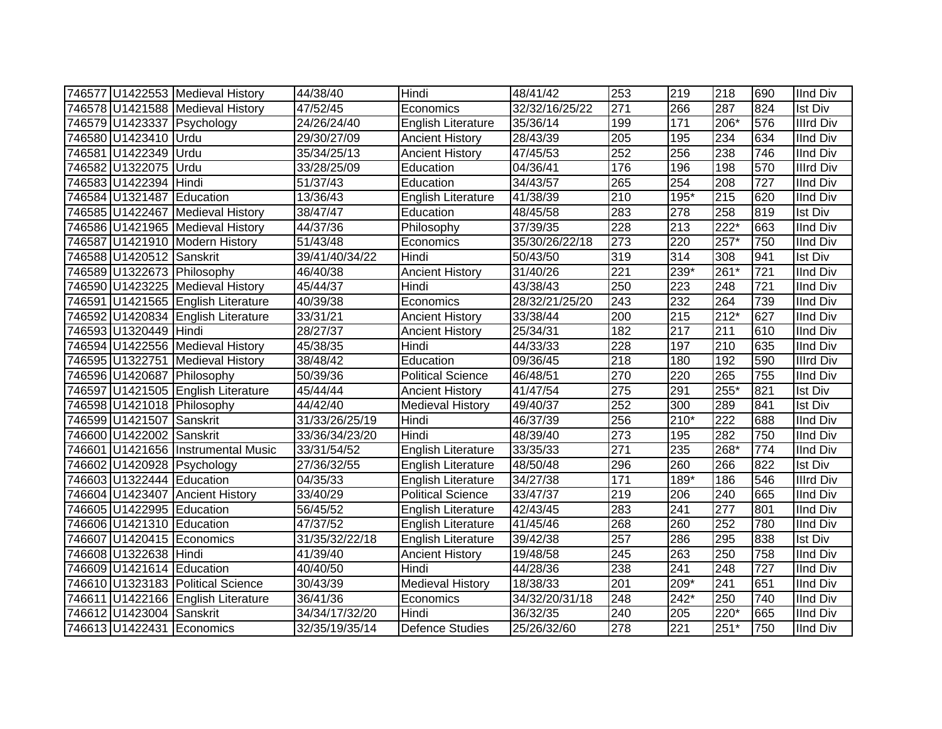|                            | 746577 U1422553 Medieval History   | 44/38/40          | Hindi                     | 48/41/42       | 253              | 219              | 218              | 690 | <b>IInd Div</b>  |
|----------------------------|------------------------------------|-------------------|---------------------------|----------------|------------------|------------------|------------------|-----|------------------|
|                            | 746578 U1421588 Medieval History   | 47/52/45          | Economics                 | 32/32/16/25/22 | $\overline{271}$ | 266              | 287              | 824 | <b>Ist Div</b>   |
|                            | 746579 U1423337 Psychology         | 24/26/24/40       | English Literature        | 35/36/14       | 199              | 171              | 206*             | 576 | <b>Illrd Div</b> |
| 746580 U1423410 Urdu       |                                    | 29/30/27/09       | <b>Ancient History</b>    | 28/43/39       | 205              | 195              | 234              | 634 | <b>IInd Div</b>  |
| 746581 U1422349 Urdu       |                                    | 35/34/25/13       | <b>Ancient History</b>    | 47/45/53       | 252              | 256              | 238              | 746 | <b>IInd Div</b>  |
| 746582 U1322075            | Urdu                               | 33/28/25/09       | Education                 | 04/36/41       | 176              | 196              | 198              | 570 | <b>Illrd Div</b> |
| 746583 U1422394            | Hindi                              | 51/37/43          | Education                 | 34/43/57       | 265              | 254              | 208              | 727 | <b>IInd Div</b>  |
| 746584 U1321487            | Education                          | 13/36/43          | English Literature        | 41/38/39       | $\overline{210}$ | 195*             | $\overline{215}$ | 620 | <b>IInd Div</b>  |
|                            | 746585 U1422467 Medieval History   | 38/47/47          | Education                 | 48/45/58       | 283              | $\overline{278}$ | 258              | 819 | <b>Ist Div</b>   |
|                            | 746586 U1421965 Medieval History   | 44/37/36          | Philosophy                | 37/39/35       | 228              | 213              | $222*$           | 663 | <b>IInd Div</b>  |
|                            | 746587 U1421910 Modern History     | 51/43/48          | Economics                 | 35/30/26/22/18 | $\overline{273}$ | 220              | $257*$           | 750 | <b>IInd Div</b>  |
| 746588 U1420512 Sanskrit   |                                    | 39/41/40/34/22    | Hindi                     | 50/43/50       | 319              | 314              | 308              | 941 | <b>Ist Div</b>   |
| 746589 U1322673 Philosophy |                                    | 46/40/38          | <b>Ancient History</b>    | 31/40/26       | $\overline{221}$ | 239*             | 261*             | 721 | <b>IInd Div</b>  |
|                            | 746590 U1423225 Medieval History   | 45/44/37          | Hindi                     | 43/38/43       | 250              | 223              | 248              | 721 | <b>IInd Div</b>  |
|                            | 746591 U1421565 English Literature | 40/39/38          | Economics                 | 28/32/21/25/20 | 243              | 232              | 264              | 739 | <b>IInd Div</b>  |
|                            | 746592 U1420834 English Literature | 33/31/21          | <b>Ancient History</b>    | 33/38/44       | 200              | 215              | $212*$           | 627 | <b>IInd Div</b>  |
| 746593 U1320449 Hindi      |                                    | 28/27/37          | <b>Ancient History</b>    | 25/34/31       | 182              | 217              | 211              | 610 | <b>IInd Div</b>  |
|                            | 746594 U1422556 Medieval History   | 45/38/35          | Hindi                     | 44/33/33       | 228              | 197              | $\overline{210}$ | 635 | <b>IInd Div</b>  |
|                            | 746595 U1322751 Medieval History   | 38/48/42          | Education                 | 09/36/45       | 218              | 180              | 192              | 590 | <b>Illrd Div</b> |
| 746596 U1420687 Philosophy |                                    | 50/39/36          | <b>Political Science</b>  | 46/48/51       | 270              | 220              | 265              | 755 | <b>IInd Div</b>  |
|                            | 746597 U1421505 English Literature | 45/44/44          | <b>Ancient History</b>    | 41/47/54       | 275              | 291              | 255*             | 821 | <b>Ist Div</b>   |
| 746598 U1421018 Philosophy |                                    | 44/42/40          | Medieval History          | 49/40/37       | 252              | 300              | 289              | 841 | <b>Ist Div</b>   |
| 746599 U1421507 Sanskrit   |                                    | 31/33/26/25/19    | Hindi                     | 46/37/39       | 256              | $210*$           | $\overline{222}$ | 688 | <b>IInd Div</b>  |
| 746600 U1422002 Sanskrit   |                                    | 33/36/34/23/20    | Hindi                     | 48/39/40       | $\overline{273}$ | 195              | 282              | 750 | <b>IInd Div</b>  |
|                            | 746601 U1421656 Instrumental Music | 33/31/54/52       | <b>English Literature</b> | 33/35/33       | $\overline{271}$ | 235              | 268*             | 774 | <b>IInd Div</b>  |
|                            | 746602 U1420928 Psychology         | 27/36/32/55       | English Literature        | 48/50/48       | 296              | 260              | 266              | 822 | <b>Ist Div</b>   |
| 746603 U1322444 Education  |                                    | $\sqrt{04}/35/33$ | English Literature        | 34/27/38       | $\overline{171}$ | 189*             | 186              | 546 | <b>Illrd Div</b> |
|                            | 746604 U1423407 Ancient History    | 33/40/29          | <b>Political Science</b>  | 33/47/37       | $\overline{219}$ | 206              | 240              | 665 | <b>IInd Div</b>  |
| 746605 U1422995 Education  |                                    | 56/45/52          | English Literature        | 42/43/45       | 283              | 241              | $\overline{277}$ | 801 | <b>IInd Div</b>  |
| 746606 U1421310 Education  |                                    | 47/37/52          | English Literature        | 41/45/46       | 268              | 260              | 252              | 780 | <b>IInd Div</b>  |
| 746607 U1420415 Economics  |                                    | 31/35/32/22/18    | English Literature        | 39/42/38       | 257              | 286              | 295              | 838 | <b>Ist Div</b>   |
| 746608 U1322638 Hindi      |                                    | 41/39/40          | <b>Ancient History</b>    | 19/48/58       | 245              | 263              | 250              | 758 | <b>IInd Div</b>  |
| 746609 U1421614 Education  |                                    | 40/40/50          | Hindi                     | 44/28/36       | 238              | 241              | 248              | 727 | <b>IInd Div</b>  |
|                            | 746610 U1323183 Political Science  | 30/43/39          | <b>Medieval History</b>   | 18/38/33       | 201              | 209*             | 241              | 651 | <b>IInd Div</b>  |
|                            | 746611 U1422166 English Literature | 36/41/36          | Economics                 | 34/32/20/31/18 | 248              | $242*$           | 250              | 740 | <b>IInd Div</b>  |
| 746612 U1423004 Sanskrit   |                                    | 34/34/17/32/20    | Hindi                     | 36/32/35       | 240              | 205              | 220*             | 665 | <b>IInd Div</b>  |
| 746613 U1422431 Economics  |                                    | 32/35/19/35/14    | <b>Defence Studies</b>    | 25/26/32/60    | $\overline{278}$ | 221              | $251*$           | 750 | <b>IInd Div</b>  |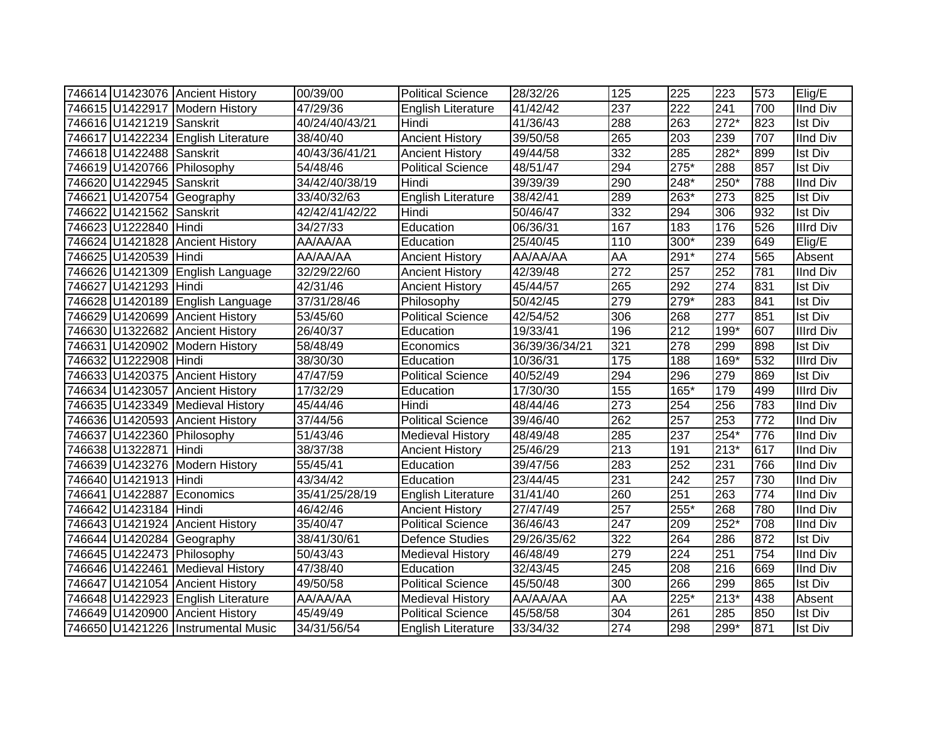|                          | 746614 U1423076 Ancient History    | 00/39/00       | <b>Political Science</b>  | 28/32/26       | 125              | 225    | 223              | 573 | Elig/E           |
|--------------------------|------------------------------------|----------------|---------------------------|----------------|------------------|--------|------------------|-----|------------------|
|                          | 746615 U1422917 Modern History     | 47/29/36       | <b>English Literature</b> | 41/42/42       | 237              | 222    | 241              | 700 | <b>IInd Div</b>  |
| 746616 U1421219 Sanskrit |                                    | 40/24/40/43/21 | Hindi                     | 41/36/43       | 288              | 263    | $272*$           | 823 | <b>Ist Div</b>   |
|                          | 746617 U1422234 English Literature | 38/40/40       | <b>Ancient History</b>    | 39/50/58       | 265              | 203    | 239              | 707 | <b>IInd Div</b>  |
| 746618 U1422488 Sanskrit |                                    | 40/43/36/41/21 | <b>Ancient History</b>    | 49/44/58       | 332              | 285    | $282*$           | 899 | <b>Ist Div</b>   |
|                          | 746619 U1420766 Philosophy         | 54/48/46       | <b>Political Science</b>  | 48/51/47       | 294              | $275*$ | 288              | 857 | <b>Ist Div</b>   |
| 746620 U1422945 Sanskrit |                                    | 34/42/40/38/19 | Hindi                     | 39/39/39       | 290              | 248*   | 250*             | 788 | <b>IInd Div</b>  |
|                          | 746621 U1420754 Geography          | 33/40/32/63    | <b>English Literature</b> | 38/42/41       | 289              | 263*   | 273              | 825 | <b>Ist Div</b>   |
| 746622 U1421562 Sanskrit |                                    | 42/42/41/42/22 | Hindi                     | 50/46/47       | 332              | 294    | 306              | 932 | Ist Div          |
| 746623 U1222840 Hindi    |                                    | 34/27/33       | Education                 | 06/36/31       | 167              | 183    | 176              | 526 | <b>Illrd Div</b> |
|                          | 746624 U1421828 Ancient History    | AA/AA/AA       | Education                 | 25/40/45       | 110              | 300*   | 239              | 649 | Elig/E           |
| 746625 U1420539 Hindi    |                                    | AA/AA/AA       | <b>Ancient History</b>    | AA/AA/AA       | AA               | $291*$ | $\overline{274}$ | 565 | Absent           |
|                          | 746626 U1421309 English Language   | 32/29/22/60    | <b>Ancient History</b>    | 42/39/48       | $\overline{272}$ | 257    | 252              | 781 | <b>IInd Div</b>  |
| 746627 U1421293 Hindi    |                                    | 42/31/46       | <b>Ancient History</b>    | 45/44/57       | 265              | 292    | 274              | 831 | <b>Ist Div</b>   |
|                          | 746628 U1420189 English Language   | 37/31/28/46    | Philosophy                | 50/42/45       | 279              | $279*$ | 283              | 841 | <b>Ist Div</b>   |
|                          | 746629 U1420699 Ancient History    | 53/45/60       | <b>Political Science</b>  | 42/54/52       | 306              | 268    | 277              | 851 | <b>Ist Div</b>   |
|                          | 746630 U1322682 Ancient History    | 26/40/37       | Education                 | 19/33/41       | 196              | 212    | 199*             | 607 | <b>Illrd Div</b> |
|                          | 746631 U1420902 Modern History     | 58/48/49       | Economics                 | 36/39/36/34/21 | 321              | 278    | 299              | 898 | <b>Ist Div</b>   |
| 746632 U1222908 Hindi    |                                    | 38/30/30       | Education                 | 10/36/31       | 175              | 188    | 169*             | 532 | <b>Illrd Div</b> |
|                          | 746633 U1420375 Ancient History    | 47/47/59       | <b>Political Science</b>  | 40/52/49       | 294              | 296    | 279              | 869 | <b>Ist Div</b>   |
|                          | 746634 U1423057 Ancient History    | 17/32/29       | Education                 | 17/30/30       | 155              | $165*$ | 179              | 499 | <b>Illrd Div</b> |
|                          | 746635 U1423349 Medieval History   | 45/44/46       | Hindi                     | 48/44/46       | $\overline{273}$ | 254    | 256              | 783 | <b>IInd Div</b>  |
|                          | 746636 U1420593 Ancient History    | 37/44/56       | <b>Political Science</b>  | 39/46/40       | 262              | 257    | 253              | 772 | <b>IInd Div</b>  |
|                          | 746637 U1422360 Philosophy         | 51/43/46       | Medieval History          | 48/49/48       | 285              | 237    | $254*$           | 776 | <b>IInd Div</b>  |
| 746638 U1322871          | Hindi                              | 38/37/38       | <b>Ancient History</b>    | 25/46/29       | 213              | 191    | $213*$           | 617 | <b>IInd Div</b>  |
|                          | 746639 U1423276 Modern History     | 55/45/41       | Education                 | 39/47/56       | 283              | 252    | 231              | 766 | <b>IInd Div</b>  |
| 746640 U1421913 Hindi    |                                    | 43/34/42       | Education                 | 23/44/45       | 231              | 242    | 257              | 730 | <b>IInd Div</b>  |
|                          | 746641 U1422887 Economics          | 35/41/25/28/19 | English Literature        | 31/41/40       | 260              | 251    | 263              | 774 | <b>IInd Div</b>  |
| 746642 U1423184 Hindi    |                                    | 46/42/46       | <b>Ancient History</b>    | 27/47/49       | 257              | 255*   | 268              | 780 | <b>IInd Div</b>  |
|                          | 746643 U1421924 Ancient History    | 35/40/47       | <b>Political Science</b>  | 36/46/43       | 247              | 209    | $252*$           | 708 | <b>IInd Div</b>  |
|                          | 746644 U1420284 Geography          | 38/41/30/61    | <b>Defence Studies</b>    | 29/26/35/62    | 322              | 264    | 286              | 872 | <b>Ist Div</b>   |
|                          | 746645 U1422473 Philosophy         | 50/43/43       | <b>Medieval History</b>   | 46/48/49       | 279              | 224    | 251              | 754 | <b>IInd Div</b>  |
|                          | 746646 U1422461 Medieval History   | 47/38/40       | Education                 | 32/43/45       | $\overline{245}$ | 208    | 216              | 669 | <b>IInd Div</b>  |
|                          | 746647 U1421054 Ancient History    | 49/50/58       | <b>Political Science</b>  | 45/50/48       | 300              | 266    | 299              | 865 | Ist Div          |
|                          | 746648 U1422923 English Literature | AA/AA/AA       | <b>Medieval History</b>   | AA/AA/AA       | AA               | $225*$ | $213*$           | 438 | Absent           |
|                          | 746649 U1420900 Ancient History    | 45/49/49       | Political Science         | 45/58/58       | 304              | 261    | 285              | 850 | <b>Ist Div</b>   |
|                          | 746650 U1421226 Instrumental Music | 34/31/56/54    | <b>English Literature</b> | 33/34/32       | 274              | 298    | $299*$           | 871 | <b>Ist Div</b>   |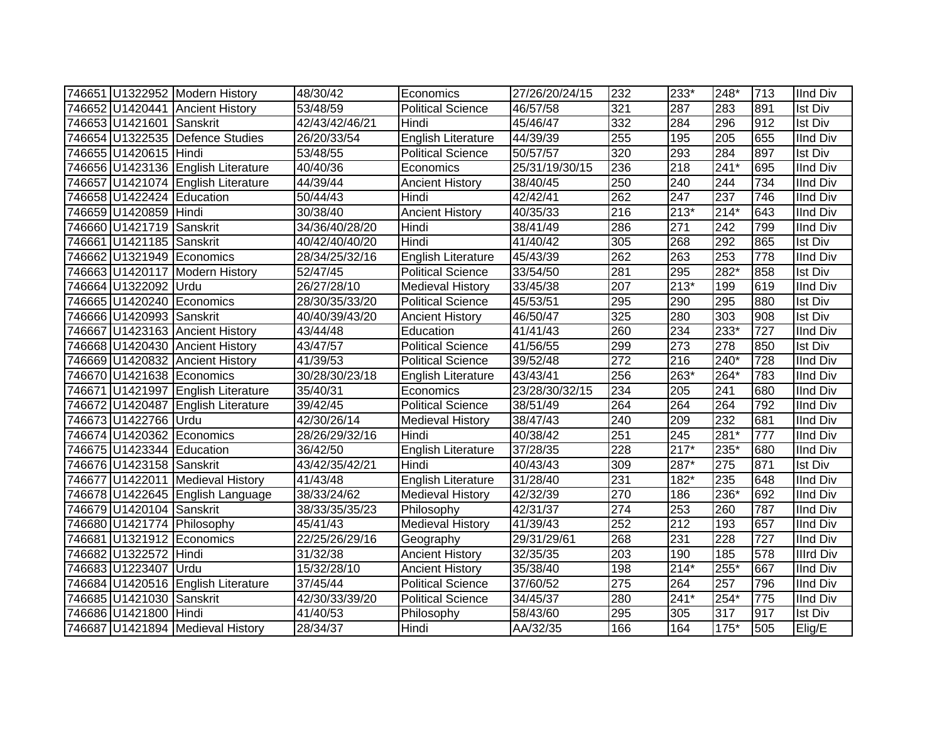|                            | 746651 U1322952 Modern History     | 48/30/42       | Economics                 | 27/26/20/24/15 | 232 | 233*             | 248*             | 713 | <b>IInd Div</b>  |
|----------------------------|------------------------------------|----------------|---------------------------|----------------|-----|------------------|------------------|-----|------------------|
|                            | 746652 U1420441 Ancient History    | 53/48/59       | Political Science         | 46/57/58       | 321 | 287              | 283              | 891 | <b>Ist Div</b>   |
| 746653 U1421601 Sanskrit   |                                    | 42/43/42/46/21 | Hindi                     | 45/46/47       | 332 | 284              | 296              | 912 | <b>Ist Div</b>   |
|                            | 746654 U1322535 Defence Studies    | 26/20/33/54    | English Literature        | 44/39/39       | 255 | 195              | $\overline{205}$ | 655 | <b>IInd Div</b>  |
| 746655 U1420615 Hindi      |                                    | 53/48/55       | <b>Political Science</b>  | 50/57/57       | 320 | 293              | 284              | 897 | <b>Ist Div</b>   |
|                            | 746656 U1423136 English Literature | 40/40/36       | Economics                 | 25/31/19/30/15 | 236 | 218              | $241*$           | 695 | <b>IInd Div</b>  |
|                            | 746657 U1421074 English Literature | 44/39/44       | <b>Ancient History</b>    | 38/40/45       | 250 | 240              | 244              | 734 | <b>IInd Div</b>  |
| 746658 U1422424 Education  |                                    | 50/44/43       | Hindi                     | 42/42/41       | 262 | $\overline{247}$ | $\overline{237}$ | 746 | <b>IInd Div</b>  |
| 746659 U1420859 Hindi      |                                    | 30/38/40       | <b>Ancient History</b>    | 40/35/33       | 216 | $213*$           | $214*$           | 643 | <b>IInd Div</b>  |
| 746660 U1421719 Sanskrit   |                                    | 34/36/40/28/20 | Hindi                     | 38/41/49       | 286 | 271              | 242              | 799 | <b>IInd Div</b>  |
| 746661  U1421185  Sanskrit |                                    | 40/42/40/40/20 | Hindi                     | 41/40/42       | 305 | 268              | 292              | 865 | <b>Ist Div</b>   |
|                            | 746662 U1321949 Economics          | 28/34/25/32/16 | <b>English Literature</b> | 45/43/39       | 262 | 263              | 253              | 778 | <b>IInd Div</b>  |
|                            | 746663 U1420117 Modern History     | 52/47/45       | <b>Political Science</b>  | 33/54/50       | 281 | 295              | $282*$           | 858 | <b>Ist Div</b>   |
| 746664 U1322092 Urdu       |                                    | 26/27/28/10    | <b>Medieval History</b>   | 33/45/38       | 207 | $213*$           | 199              | 619 | <b>IInd Div</b>  |
|                            | 746665 U1420240 Economics          | 28/30/35/33/20 | <b>Political Science</b>  | 45/53/51       | 295 | 290              | 295              | 880 | <b>Ist Div</b>   |
| 746666 U1420993 Sanskrit   |                                    | 40/40/39/43/20 | <b>Ancient History</b>    | 46/50/47       | 325 | 280              | 303              | 908 | <b>Ist Div</b>   |
|                            | 746667 U1423163 Ancient History    | 43/44/48       | Education                 | 41/41/43       | 260 | 234              | 233*             | 727 | <b>IInd Div</b>  |
|                            | 746668 U1420430 Ancient History    | 43/47/57       | <b>Political Science</b>  | 41/56/55       | 299 | 273              | 278              | 850 | <b>Ist Div</b>   |
|                            | 746669 U1420832 Ancient History    | 41/39/53       | <b>Political Science</b>  | 39/52/48       | 272 | 216              | 240*             | 728 | <b>IInd Div</b>  |
|                            | 746670 U1421638 Economics          | 30/28/30/23/18 | English Literature        | 43/43/41       | 256 | 263*             | 264*             | 783 | <b>IInd Div</b>  |
|                            | 746671 U1421997 English Literature | 35/40/31       | Economics                 | 23/28/30/32/15 | 234 | 205              | 241              | 680 | <b>IInd Div</b>  |
|                            | 746672 U1420487 English Literature | 39/42/45       | <b>Political Science</b>  | 38/51/49       | 264 | 264              | 264              | 792 | <b>IInd Div</b>  |
| 746673 U1422766 Urdu       |                                    | 42/30/26/14    | <b>Medieval History</b>   | 38/47/43       | 240 | 209              | 232              | 681 | <b>IInd Div</b>  |
|                            | 746674 U1420362 Economics          | 28/26/29/32/16 | Hindi                     | 40/38/42       | 251 | 245              | 281*             | 777 | <b>IInd Div</b>  |
| 746675 U1423344 Education  |                                    | 36/42/50       | <b>English Literature</b> | 37/28/35       | 228 | $217*$           | 235*             | 680 | <b>IInd Div</b>  |
| 746676 U1423158 Sanskrit   |                                    | 43/42/35/42/21 | Hindi                     | 40/43/43       | 309 | 287*             | $\overline{275}$ | 871 | <b>Ist Div</b>   |
|                            | 746677 U1422011 Medieval History   | 41/43/48       | <b>English Literature</b> | 31/28/40       | 231 | 182*             | 235              | 648 | <b>IInd Div</b>  |
|                            | 746678 U1422645 English Language   | 38/33/24/62    | <b>Medieval History</b>   | 42/32/39       | 270 | 186              | 236*             | 692 | <b>IInd Div</b>  |
| 746679 U1420104 Sanskrit   |                                    | 38/33/35/35/23 | Philosophy                | 42/31/37       | 274 | 253              | 260              | 787 | <b>IInd Div</b>  |
|                            | 746680 U1421774 Philosophy         | 45/41/43       | <b>Medieval History</b>   | 41/39/43       | 252 | $\overline{212}$ | 193              | 657 | <b>IInd Div</b>  |
|                            | 746681 U1321912 Economics          | 22/25/26/29/16 | Geography                 | 29/31/29/61    | 268 | 231              | $\overline{228}$ | 727 | <b>IInd Div</b>  |
| 746682 U1322572 Hindi      |                                    | 31/32/38       | <b>Ancient History</b>    | 32/35/35       | 203 | 190              | 185              | 578 | <b>Illrd Div</b> |
| 746683 U1223407 Urdu       |                                    | 15/32/28/10    | <b>Ancient History</b>    | 35/38/40       | 198 | $214*$           | $255*$           | 667 | <b>IInd Div</b>  |
|                            | 746684 U1420516 English Literature | 37/45/44       | <b>Political Science</b>  | 37/60/52       | 275 | 264              | 257              | 796 | <b>IInd Div</b>  |
| 746685 U1421030            | Sanskrit                           | 42/30/33/39/20 | <b>Political Science</b>  | 34/45/37       | 280 | $241*$           | $254*$           | 775 | <b>IInd Div</b>  |
| 746686 U1421800            | Hindi                              | 41/40/53       | Philosophy                | 58/43/60       | 295 | 305              | 317              | 917 | <b>Ist Div</b>   |
|                            | 746687 U1421894 Medieval History   | 28/34/37       | Hindi                     | AA/32/35       | 166 | 164              | 175*             | 505 | Elig/E           |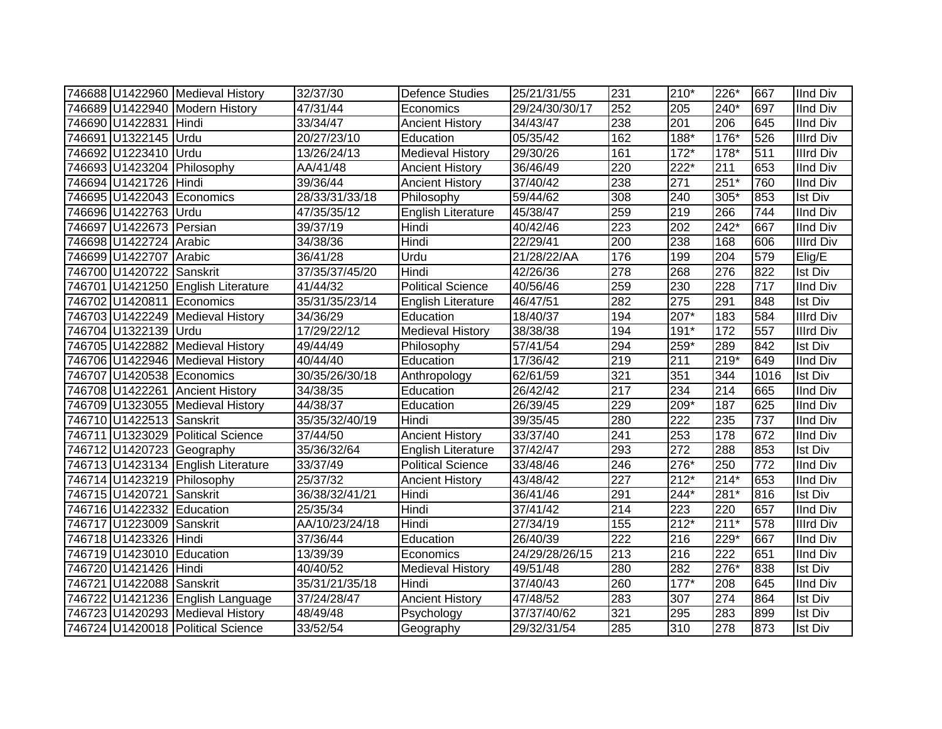|                           | 746688 U1422960 Medieval History   | 32/37/30       | <b>Defence Studies</b>    | 25/21/31/55    | 231 | 210*             | 226*      | 667              | <b>IInd Div</b>  |
|---------------------------|------------------------------------|----------------|---------------------------|----------------|-----|------------------|-----------|------------------|------------------|
|                           | 746689 U1422940 Modern History     | 47/31/44       | Economics                 | 29/24/30/30/17 | 252 | 205              | 240*      | 697              | IInd Div         |
| 746690 U1422831 Hindi     |                                    | 33/34/47       | <b>Ancient History</b>    | 34/43/47       | 238 | 201              | 206       | 645              | <b>IInd Div</b>  |
| 746691 U1322145 Urdu      |                                    | 20/27/23/10    | Education                 | 05/35/42       | 162 | 188*             | $176*$    | 526              | <b>Illrd Div</b> |
| 746692 U1223410 Urdu      |                                    | 13/26/24/13    | <b>Medieval History</b>   | 29/30/26       | 161 | $172*$           | $178*$    | 511              | <b>Illrd Div</b> |
|                           | 746693 U1423204 Philosophy         | AA/41/48       | <b>Ancient History</b>    | 36/46/49       | 220 | $222*$           | 211       | 653              | <b>IInd Div</b>  |
| 746694 U1421726 Hindi     |                                    | 39/36/44       | <b>Ancient History</b>    | 37/40/42       | 238 | 271              | $251*$    | 760              | <b>IInd Div</b>  |
|                           | 746695 U1422043 Economics          | 28/33/31/33/18 | Philosophy                | 59/44/62       | 308 | 240              | $305*$    | 853              | Ist Div          |
| 746696 U1422763 Urdu      |                                    | 47/35/35/12    | English Literature        | 45/38/47       | 259 | 219              | 266       | $\overline{744}$ | <b>IInd Div</b>  |
| 746697 U1422673 Persian   |                                    | 39/37/19       | Hindi                     | 40/42/46       | 223 | 202              | 242*      | 667              | <b>IInd Div</b>  |
| 746698 U1422724 Arabic    |                                    | 34/38/36       | Hindi                     | 22/29/41       | 200 | 238              | 168       | 606              | Illrd Div        |
| 746699 U1422707 Arabic    |                                    | 36/41/28       | Urdu                      | 21/28/22/AA    | 176 | 199              | 204       | 579              | Elig/E           |
| 746700 U1420722 Sanskrit  |                                    | 37/35/37/45/20 | Hindi                     | 42/26/36       | 278 | 268              | 276       | 822              | Ist Div          |
|                           | 746701 U1421250 English Literature | 41/44/32       | <b>Political Science</b>  | 40/56/46       | 259 | 230              | 228       | 717              | IInd Div         |
|                           | 746702 U1420811 Economics          | 35/31/35/23/14 | English Literature        | 46/47/51       | 282 | 275              | 291       | 848              | <b>Ist Div</b>   |
|                           | 746703 U1422249 Medieval History   | 34/36/29       | Education                 | 18/40/37       | 194 | 207*             | 183       | 584              | <b>Illrd Div</b> |
| 746704 U1322139 Urdu      |                                    | 17/29/22/12    | <b>Medieval History</b>   | 38/38/38       | 194 | $191*$           | 172       | 557              | Illrd Div        |
|                           | 746705 U1422882 Medieval History   | 49/44/49       | Philosophy                | 57/41/54       | 294 | 259*             | 289       | 842              | Ist Div          |
|                           | 746706 U1422946 Medieval History   | 40/44/40       | Education                 | 17/36/42       | 219 | 211              | $219*$    | 649              | <b>IInd Div</b>  |
|                           | 746707 U1420538 Economics          | 30/35/26/30/18 | Anthropology              | 62/61/59       | 321 | 351              | 344       | 1016             | <b>Ist Div</b>   |
|                           | 746708 U1422261 Ancient History    | 34/38/35       | Education                 | 26/42/42       | 217 | 234              | 214       | 665              | <b>IInd Div</b>  |
|                           | 746709 U1323055 Medieval History   | 44/38/37       | Education                 | 26/39/45       | 229 | 209*             | 187       | 625              | <b>IInd Div</b>  |
| 746710 U1422513 Sanskrit  |                                    | 35/35/32/40/19 | Hindi                     | 39/35/45       | 280 | 222              | 235       | 737              | <b>IInd Div</b>  |
|                           | 746711 U1323029 Political Science  | 37/44/50       | <b>Ancient History</b>    | 33/37/40       | 241 | 253              | 178       | 672              | IInd Div         |
|                           | 746712 U1420723 Geography          | 35/36/32/64    | <b>English Literature</b> | 37/42/47       | 293 | 272              | 288       | 853              | <b>Ist Div</b>   |
|                           | 746713 U1423134 English Literature | 33/37/49       | <b>Political Science</b>  | 33/48/46       | 246 | 276*             | 250       | 772              | <b>IInd Div</b>  |
|                           | 746714 U1423219 Philosophy         | 25/37/32       | <b>Ancient History</b>    | 43/48/42       | 227 | $212*$           | $214^{*}$ | 653              | <b>IInd Div</b>  |
| 746715 U1420721 Sanskrit  |                                    | 36/38/32/41/21 | Hindi                     | 36/41/46       | 291 | $244*$           | $281*$    | 816              | <b>Ist Div</b>   |
| 746716 U1422332 Education |                                    | 25/35/34       | Hindi                     | 37/41/42       | 214 | $\overline{223}$ | 220       | 657              | <b>IInd Div</b>  |
| 746717 U1223009 Sanskrit  |                                    | AA/10/23/24/18 | Hindi                     | 27/34/19       | 155 | $212*$           | $211*$    | 578              | <b>Illrd Div</b> |
| 746718 U1423326 Hindi     |                                    | 37/36/44       | Education                 | 26/40/39       | 222 | 216              | 229*      | 667              | <b>IInd Div</b>  |
| 746719 U1423010 Education |                                    | 13/39/39       | Economics                 | 24/29/28/26/15 | 213 | 216              | 222       | 651              | <b>IInd Div</b>  |
| 746720 U1421426 Hindi     |                                    | 40/40/52       | <b>Medieval History</b>   | 49/51/48       | 280 | 282              | $276*$    | 838              | <b>Ist Div</b>   |
| 746721 U1422088 Sanskrit  |                                    | 35/31/21/35/18 | Hindi                     | 37/40/43       | 260 | $177*$           | 208       | 645              | <b>IInd Div</b>  |
|                           | 746722 U1421236 English Language   | 37/24/28/47    | <b>Ancient History</b>    | 47/48/52       | 283 | 307              | 274       | 864              | <b>Ist Div</b>   |
|                           | 746723 U1420293 Medieval History   | 48/49/48       | Psychology                | 37/37/40/62    | 321 | 295              | 283       | 899              | <b>Ist Div</b>   |
|                           | 746724 U1420018 Political Science  | 33/52/54       | Geography                 | 29/32/31/54    | 285 | 310              | 278       | 873              | <b>Ist Div</b>   |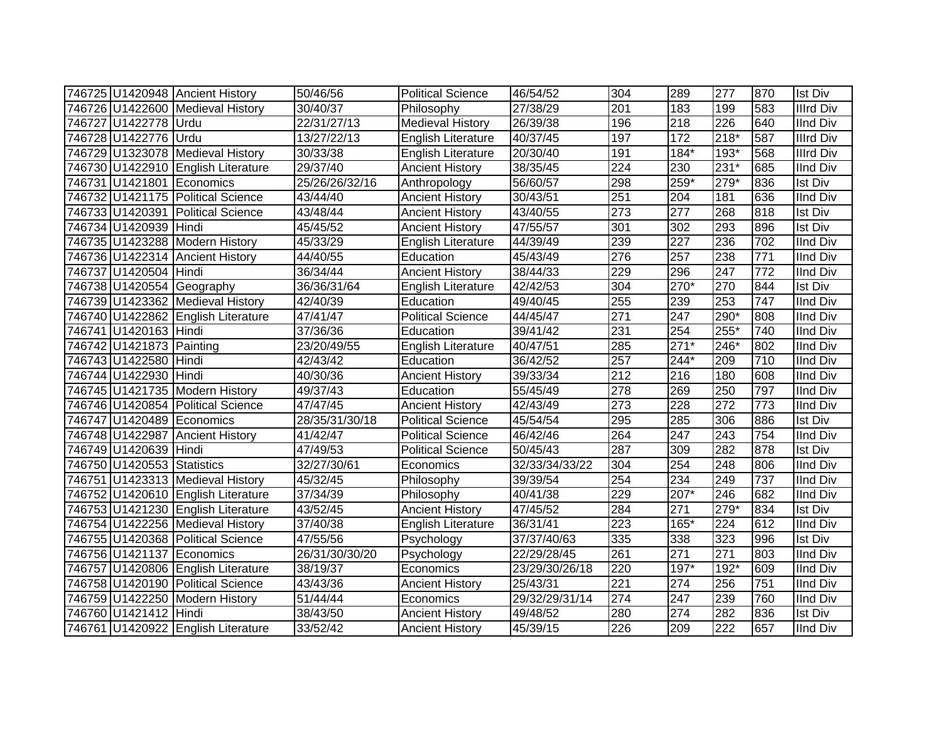|                            | 746725 U1420948 Ancient History    | 50/46/56       | <b>Political Science</b>  | 46/54/52       | 304              | 289              | 277              | 870 | <b>Ist Div</b>   |
|----------------------------|------------------------------------|----------------|---------------------------|----------------|------------------|------------------|------------------|-----|------------------|
|                            | 746726 U1422600 Medieval History   | 30/40/37       | Philosophy                | 27/38/29       | $\overline{201}$ | 183              | 199              | 583 | <b>Illrd Div</b> |
| 746727 U1422778 Urdu       |                                    | 22/31/27/13    | <b>Medieval History</b>   | 26/39/38       | 196              | 218              | $\overline{226}$ | 640 | <b>IInd Div</b>  |
| 746728 U1422776 Urdu       |                                    | 13/27/22/13    | <b>English Literature</b> | 40/37/45       | 197              | 172              | $218*$           | 587 | <b>Illrd Div</b> |
|                            | 746729 U1323078 Medieval History   | 30/33/38       | <b>English Literature</b> | 20/30/40       | 191              | $184*$           | $193*$           | 568 | <b>Illrd Div</b> |
|                            | 746730 U1422910 English Literature | 29/37/40       | <b>Ancient History</b>    | 38/35/45       | $\overline{224}$ | 230              | $231*$           | 685 | <b>IInd Div</b>  |
| 746731 U1421801 Economics  |                                    | 25/26/26/32/16 | Anthropology              | 56/60/57       | 298              | 259*             | 279*             | 836 | <b>Ist Div</b>   |
|                            | 746732 U1421175 Political Science  | 43/44/40       | <b>Ancient History</b>    | 30/43/51       | 251              | 204              | 181              | 636 | <b>IInd Div</b>  |
|                            | 746733 U1420391 Political Science  | 43/48/44       | <b>Ancient History</b>    | 43/40/55       | 273              | 277              | 268              | 818 | Ist Div          |
| 746734 U1420939 Hindi      |                                    | 45/45/52       | <b>Ancient History</b>    | 47/55/57       | 301              | 302              | 293              | 896 | <b>Ist Div</b>   |
|                            | 746735 U1423288 Modern History     | 45/33/29       | English Literature        | 44/39/49       | 239              | $\overline{227}$ | 236              | 702 | <b>IInd Div</b>  |
|                            | 746736 U1422314 Ancient History    | 44/40/55       | Education                 | 45/43/49       | 276              | 257              | 238              | 771 | <b>IInd Div</b>  |
| 746737 U1420504 Hindi      |                                    | 36/34/44       | <b>Ancient History</b>    | 38/44/33       | 229              | 296              | 247              | 772 | <b>IInd Div</b>  |
|                            | 746738 U1420554 Geography          | 36/36/31/64    | English Literature        | 42/42/53       | 304              | 270*             | 270              | 844 | <b>Ist Div</b>   |
|                            | 746739 U1423362 Medieval History   | 42/40/39       | Education                 | 49/40/45       | 255              | 239              | 253              | 747 | <b>IInd Div</b>  |
|                            | 746740 U1422862 English Literature | 47/41/47       | <b>Political Science</b>  | 44/45/47       | 271              | 247              | 290*             | 808 | <b>IInd Div</b>  |
| 746741 U1420163 Hindi      |                                    | 37/36/36       | Education                 | 39/41/42       | 231              | 254              | $255*$           | 740 | <b>IInd Div</b>  |
| 746742 U1421873 Painting   |                                    | 23/20/49/55    | English Literature        | 40/47/51       | 285              | $271*$           | $246*$           | 802 | <b>IInd Div</b>  |
| 746743 U1422580 Hindi      |                                    | 42/43/42       | Education                 | 36/42/52       | 257              | 244*             | 209              | 710 | <b>IInd Div</b>  |
| 746744 U1422930 Hindi      |                                    | 40/30/36       | <b>Ancient History</b>    | 39/33/34       | 212              | 216              | 180              | 608 | <b>IInd Div</b>  |
|                            | 746745 U1421735 Modern History     | 49/37/43       | Education                 | 55/45/49       | 278              | 269              | $\overline{250}$ | 797 | <b>IInd Div</b>  |
|                            | 746746 U1420854 Political Science  | 47/47/45       | <b>Ancient History</b>    | 42/43/49       | $\overline{273}$ | 228              | 272              | 773 | <b>IInd Div</b>  |
| 746747 U1420489 Economics  |                                    | 28/35/31/30/18 | <b>Political Science</b>  | 45/54/54       | 295              | 285              | 306              | 886 | <b>Ist Div</b>   |
|                            | 746748 U1422987 Ancient History    | 41/42/47       | Political Science         | 46/42/46       | 264              | 247              | 243              | 754 | <b>IInd Div</b>  |
| 746749 U1420639 Hindi      |                                    | 47/49/53       | <b>Political Science</b>  | 50/45/43       | 287              | 309              | 282              | 878 | <b>Ist Div</b>   |
| 746750 U1420553 Statistics |                                    | 32/27/30/61    | Economics                 | 32/33/34/33/22 | 304              | 254              | 248              | 806 | <b>IInd Div</b>  |
|                            | 746751 U1423313 Medieval History   | 45/32/45       | Philosophy                | 39/39/54       | 254              | 234              | $\overline{249}$ | 737 | <b>IInd Div</b>  |
|                            | 746752 U1420610 English Literature | 37/34/39       | Philosophy                | 40/41/38       | 229              | 207*             | $\overline{246}$ | 682 | <b>IInd Div</b>  |
|                            | 746753 U1421230 English Literature | 43/52/45       | <b>Ancient History</b>    | 47/45/52       | 284              | 271              | $279*$           | 834 | <b>Ist Div</b>   |
|                            | 746754 U1422256 Medieval History   | 37/40/38       | English Literature        | 36/31/41       | $\overline{223}$ | 165*             | 224              | 612 | <b>IInd Div</b>  |
|                            | 746755 U1420368 Political Science  | 47/55/56       | Psychology                | 37/37/40/63    | 335              | 338              | 323              | 996 | <b>Ist Div</b>   |
| 746756 U1421137 Economics  |                                    | 26/31/30/30/20 | Psychology                | 22/29/28/45    | 261              | 271              | 271              | 803 | <b>IInd Div</b>  |
|                            | 746757 U1420806 English Literature | 38/19/37       | Economics                 | 23/29/30/26/18 | 220              | $197*$           | 192*             | 609 | <b>IInd Div</b>  |
|                            | 746758 U1420190 Political Science  | 43/43/36       | <b>Ancient History</b>    | 25/43/31       | $\overline{221}$ | 274              | 256              | 751 | <b>IInd Div</b>  |
|                            | 746759 U1422250 Modern History     | 51/44/44       | Economics                 | 29/32/29/31/14 | $\overline{274}$ | 247              | 239              | 760 | <b>IInd Div</b>  |
| 746760 U1421412 Hindi      |                                    | 38/43/50       | <b>Ancient History</b>    | 49/48/52       | 280              | 274              | 282              | 836 | <b>Ist Div</b>   |
|                            | 746761 U1420922 English Literature | 33/52/42       | <b>Ancient History</b>    | 45/39/15       | 226              | 209              | 222              | 657 | <b>IInd Div</b>  |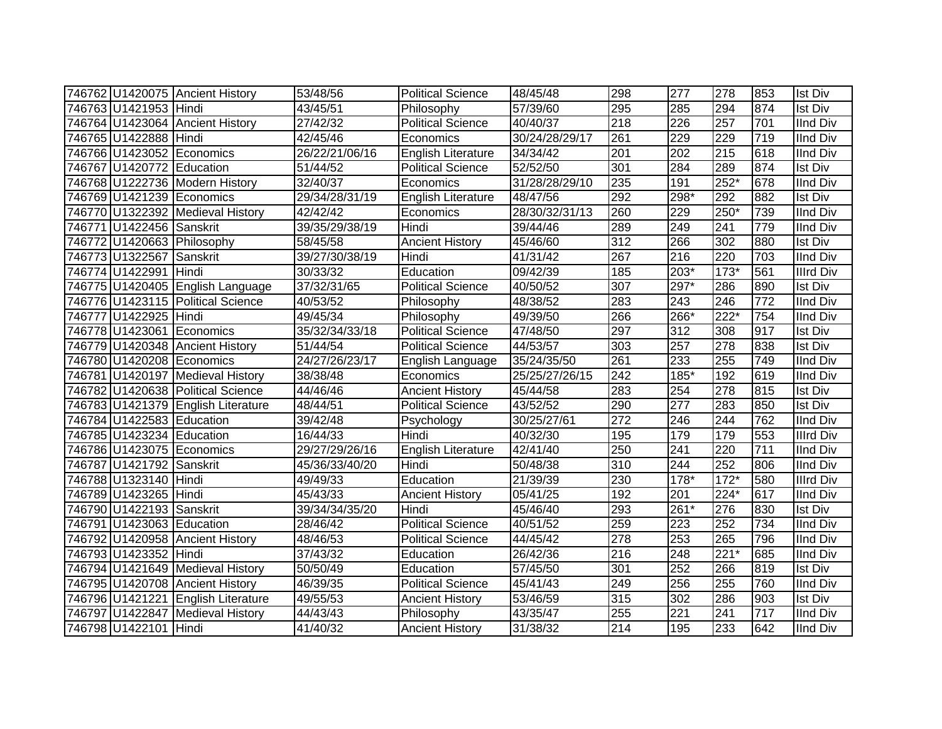|                           | 746762 U1420075 Ancient History    | 53/48/56       | <b>Political Science</b>  | 48/45/48       | 298 | 277    | 278    | 853              | <b>Ist Div</b>   |
|---------------------------|------------------------------------|----------------|---------------------------|----------------|-----|--------|--------|------------------|------------------|
| 746763 U1421953 Hindi     |                                    | 43/45/51       | Philosophy                | 57/39/60       | 295 | 285    | 294    | 874              | Ist Div          |
|                           | 746764 U1423064 Ancient History    | 27/42/32       | <b>Political Science</b>  | 40/40/37       | 218 | 226    | 257    | 701              | <b>IInd Div</b>  |
| 746765 U1422888 Hindi     |                                    | 42/45/46       | Economics                 | 30/24/28/29/17 | 261 | 229    | 229    | $\overline{719}$ | <b>IInd Div</b>  |
|                           | 746766 U1423052 Economics          | 26/22/21/06/16 | English Literature        | 34/34/42       | 201 | 202    | 215    | 618              | <b>IInd Div</b>  |
| 746767 U1420772 Education |                                    | 51/44/52       | <b>Political Science</b>  | 52/52/50       | 301 | 284    | 289    | 874              | <b>Ist Div</b>   |
|                           | 746768 U1222736 Modern History     | 32/40/37       | Economics                 | 31/28/28/29/10 | 235 | 191    | $252*$ | 678              | <b>IInd Div</b>  |
|                           | 746769 U1421239 Economics          | 29/34/28/31/19 | <b>English Literature</b> | 48/47/56       | 292 | $298*$ | 292    | 882              | <b>Ist Div</b>   |
|                           | 746770 U1322392 Medieval History   | 42/42/42       | Economics                 | 28/30/32/31/13 | 260 | 229    | 250*   | 739              | <b>IInd Div</b>  |
| 746771 U1422456 Sanskrit  |                                    | 39/35/29/38/19 | Hindi                     | 39/44/46       | 289 | 249    | 241    | 779              | <b>IInd Div</b>  |
|                           | 746772 U1420663 Philosophy         | 58/45/58       | <b>Ancient History</b>    | 45/46/60       | 312 | 266    | 302    | 880              | Ist Div          |
| 746773 U1322567 Sanskrit  |                                    | 39/27/30/38/19 | Hindi                     | 41/31/42       | 267 | 216    | 220    | 703              | <b>IInd Div</b>  |
| 746774 U1422991 Hindi     |                                    | 30/33/32       | Education                 | 09/42/39       | 185 | 203*   | $173*$ | 561              | Illrd Div        |
|                           | 746775 U1420405 English Language   | 37/32/31/65    | <b>Political Science</b>  | 40/50/52       | 307 | 297*   | 286    | 890              | Ist Div          |
|                           | 746776 U1423115 Political Science  | 40/53/52       | Philosophy                | 48/38/52       | 283 | 243    | 246    | 772              | <b>IInd Div</b>  |
| 746777 U1422925 Hindi     |                                    | 49/45/34       | Philosophy                | 49/39/50       | 266 | 266*   | $222*$ | 754              | <b>IInd Div</b>  |
|                           | 746778 U1423061 Economics          | 35/32/34/33/18 | <b>Political Science</b>  | 47/48/50       | 297 | 312    | 308    | 917              | <b>Ist Div</b>   |
|                           | 746779 U1420348 Ancient History    | 51/44/54       | <b>Political Science</b>  | 44/53/57       | 303 | 257    | 278    | 838              | <b>Ist Div</b>   |
|                           | 746780 U1420208 Economics          | 24/27/26/23/17 | English Language          | 35/24/35/50    | 261 | 233    | 255    | 749              | <b>IInd Div</b>  |
|                           | 746781 U1420197 Medieval History   | 38/38/48       | Economics                 | 25/25/27/26/15 | 242 | 185*   | 192    | 619              | <b>IInd Div</b>  |
|                           | 746782 U1420638 Political Science  | 44/46/46       | <b>Ancient History</b>    | 45/44/58       | 283 | 254    | 278    | 815              | <b>Ist Div</b>   |
|                           | 746783 U1421379 English Literature | 48/44/51       | <b>Political Science</b>  | 43/52/52       | 290 | 277    | 283    | 850              | <b>Ist Div</b>   |
| 746784 U1422583 Education |                                    | 39/42/48       | Psychology                | 30/25/27/61    | 272 | 246    | 244    | 762              | <b>IInd Div</b>  |
| 746785 U1423234 Education |                                    | 16/44/33       | Hindi                     | 40/32/30       | 195 | 179    | 179    | 553              | <b>Illrd Div</b> |
|                           | 746786 U1423075 Economics          | 29/27/29/26/16 | <b>English Literature</b> | 42/41/40       | 250 | 241    | 220    | 711              | <b>IInd Div</b>  |
| 746787 U1421792 Sanskrit  |                                    | 45/36/33/40/20 | Hindi                     | 50/48/38       | 310 | 244    | 252    | 806              | <b>IInd Div</b>  |
| 746788 U1323140 Hindi     |                                    | 49/49/33       | Education                 | 21/39/39       | 230 | $178*$ | $172*$ | 580              | <b>Illrd Div</b> |
| 746789 U1423265 Hindi     |                                    | 45/43/33       | <b>Ancient History</b>    | 05/41/25       | 192 | 201    | $224*$ | 617              | <b>IInd Div</b>  |
| 746790 U1422193 Sanskrit  |                                    | 39/34/34/35/20 | Hindi                     | 45/46/40       | 293 | $261*$ | 276    | 830              | <b>Ist Div</b>   |
| 746791 U1423063 Education |                                    | 28/46/42       | <b>Political Science</b>  | 40/51/52       | 259 | 223    | 252    | 734              | <b>IInd Div</b>  |
|                           | 746792 U1420958 Ancient History    | 48/46/53       | <b>Political Science</b>  | 44/45/42       | 278 | 253    | 265    | 796              | <b>IInd Div</b>  |
| 746793 U1423352 Hindi     |                                    | 37/43/32       | Education                 | 26/42/36       | 216 | 248    | $221*$ | 685              | <b>IInd Div</b>  |
|                           | 746794 U1421649 Medieval History   | 50/50/49       | Education                 | 57/45/50       | 301 | 252    | 266    | 819              | <b>Ist Div</b>   |
|                           | 746795 U1420708 Ancient History    | 46/39/35       | <b>Political Science</b>  | 45/41/43       | 249 | 256    | 255    | 760              | <b>IInd Div</b>  |
|                           | 746796 U1421221 English Literature | 49/55/53       | <b>Ancient History</b>    | 53/46/59       | 315 | 302    | 286    | 903              | <b>Ist Div</b>   |
|                           | 746797 U1422847 Medieval History   | 44/43/43       | Philosophy                | 43/35/47       | 255 | 221    | 241    | 717              | <b>IInd Div</b>  |
| 746798 U1422101 Hindi     |                                    | 41/40/32       | <b>Ancient History</b>    | 31/38/32       | 214 | 195    | 233    | 642              | <b>IInd Div</b>  |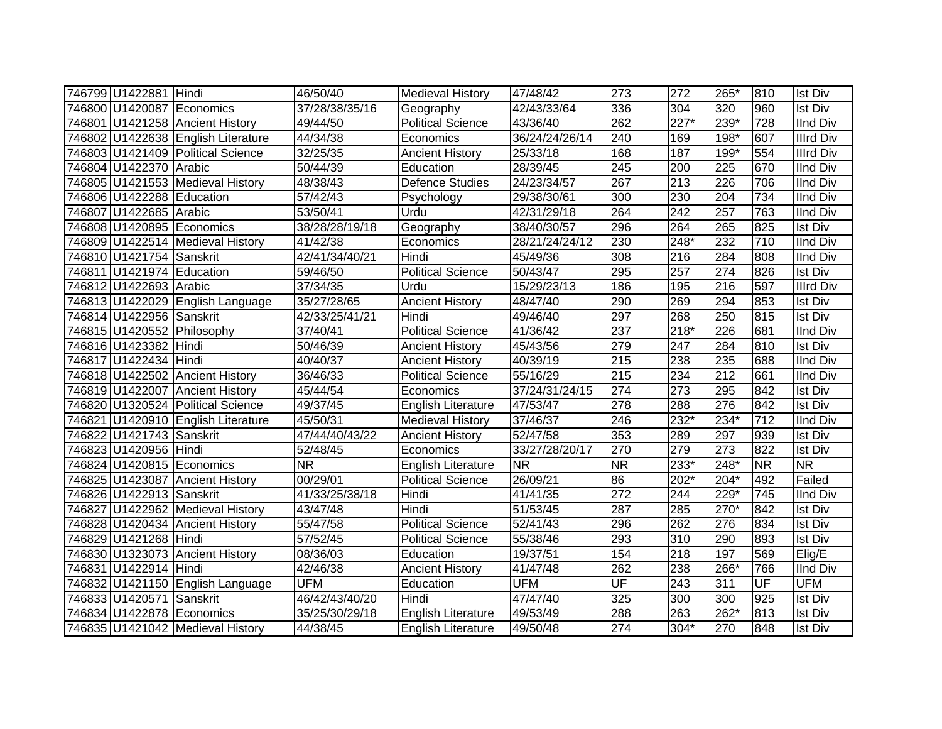| 746799 U1422881 Hindi     |                                    | 46/50/40       | <b>Medieval History</b>   | 47/48/42       | 273       | 272              | 265*             | 810                      | <b>Ist Div</b>   |
|---------------------------|------------------------------------|----------------|---------------------------|----------------|-----------|------------------|------------------|--------------------------|------------------|
|                           | 746800 U1420087 Economics          | 37/28/38/35/16 | Geography                 | 42/43/33/64    | 336       | 304              | 320              | 960                      | <b>Ist Div</b>   |
|                           | 746801 U1421258 Ancient History    | 49/44/50       | <b>Political Science</b>  | 43/36/40       | 262       | $227*$           | $239*$           | $\overline{728}$         | <b>IInd Div</b>  |
|                           | 746802 U1422638 English Literature | 44/34/38       | Economics                 | 36/24/24/26/14 | 240       | 169              | $198*$           | 607                      | <b>Illrd Div</b> |
|                           | 746803 U1421409 Political Science  | 32/25/35       | <b>Ancient History</b>    | 25/33/18       | 168       | 187              | $199*$           | 554                      | <b>Illrd Div</b> |
| 746804 U1422370 Arabic    |                                    | 50/44/39       | Education                 | 28/39/45       | 245       | $\overline{200}$ | 225              | 670                      | <b>IInd Div</b>  |
|                           | 746805 U1421553 Medieval History   | 48/38/43       | <b>Defence Studies</b>    | 24/23/34/57    | 267       | 213              | 226              | 706                      | <b>IInd Div</b>  |
| 746806 U1422288 Education |                                    | 57/42/43       | Psychology                | 29/38/30/61    | 300       | 230              | 204              | 734                      | <b>IInd Div</b>  |
| 746807 U1422685 Arabic    |                                    | 53/50/41       | Urdu                      | 42/31/29/18    | 264       | 242              | 257              | 763                      | <b>IInd Div</b>  |
|                           | 746808 U1420895 Economics          | 38/28/28/19/18 | Geography                 | 38/40/30/57    | 296       | 264              | 265              | 825                      | Ist Div          |
|                           | 746809 U1422514 Medieval History   | 41/42/38       | Economics                 | 28/21/24/24/12 | 230       | 248*             | 232              | 710                      | <b>IInd Div</b>  |
| 746810 U1421754 Sanskrit  |                                    | 42/41/34/40/21 | Hindi                     | 45/49/36       | 308       | 216              | 284              | 808                      | IInd Div         |
| 746811 U1421974 Education |                                    | 59/46/50       | Political Science         | 50/43/47       | 295       | $\overline{257}$ | 274              | 826                      | <b>Ist Div</b>   |
| 746812 U1422693 Arabic    |                                    | 37/34/35       | Urdu                      | 15/29/23/13    | 186       | 195              | 216              | 597                      | Illrd Div        |
|                           | 746813 U1422029 English Language   | 35/27/28/65    | <b>Ancient History</b>    | 48/47/40       | 290       | 269              | 294              | 853                      | <b>Ist Div</b>   |
| 746814 U1422956 Sanskrit  |                                    | 42/33/25/41/21 | Hindi                     | 49/46/40       | 297       | 268              | 250              | 815                      | <b>Ist Div</b>   |
|                           | 746815 U1420552 Philosophy         | 37/40/41       | <b>Political Science</b>  | 41/36/42       | 237       | $218*$           | 226              | 681                      | <b>IInd Div</b>  |
| 746816 U1423382 Hindi     |                                    | 50/46/39       | <b>Ancient History</b>    | 45/43/56       | 279       | $\overline{247}$ | 284              | 810                      | <b>Ist Div</b>   |
| 746817 U1422434 Hindi     |                                    | 40/40/37       | <b>Ancient History</b>    | 40/39/19       | 215       | 238              | 235              | 688                      | <b>IInd Div</b>  |
|                           | 746818 U1422502 Ancient History    | 36/46/33       | <b>Political Science</b>  | 55/16/29       | 215       | 234              | $\overline{212}$ | 661                      | <b>IInd Div</b>  |
|                           | 746819 U1422007 Ancient History    | 45/44/54       | Economics                 | 37/24/31/24/15 | 274       | $\overline{273}$ | 295              | 842                      | <b>Ist Div</b>   |
|                           | 746820 U1320524 Political Science  | 49/37/45       | <b>English Literature</b> | 47/53/47       | 278       | 288              | 276              | 842                      | <b>Ist Div</b>   |
|                           | 746821 U1420910 English Literature | 45/50/31       | <b>Medieval History</b>   | 37/46/37       | 246       | $232*$           | 234*             | 712                      | <b>IInd Div</b>  |
| 746822 U1421743 Sanskrit  |                                    | 47/44/40/43/22 | <b>Ancient History</b>    | 52/47/58       | 353       | 289              | 297              | 939                      | <b>Ist Div</b>   |
| 746823 U1420956 Hindi     |                                    | 52/48/45       | Economics                 | 33/27/28/20/17 | 270       | 279              | 273              | 822                      | <b>Ist Div</b>   |
|                           | 746824 U1420815 Economics          | <b>NR</b>      | English Literature        | <b>NR</b>      | <b>NR</b> | 233*             | 248*             | <b>NR</b>                | <b>NR</b>        |
|                           | 746825 U1423087 Ancient History    | 00/29/01       | <b>Political Science</b>  | 26/09/21       | 86        | $202*$           | $204*$           | 492                      | Failed           |
| 746826 U1422913 Sanskrit  |                                    | 41/33/25/38/18 | Hindi                     | 41/41/35       | 272       | 244              | 229*             | 745                      | <b>IInd Div</b>  |
|                           | 746827 U1422962 Medieval History   | 43/47/48       | Hindi                     | 51/53/45       | 287       | 285              | $270*$           | 842                      | <b>Ist Div</b>   |
|                           | 746828 U1420434 Ancient History    | 55/47/58       | <b>Political Science</b>  | 52/41/43       | 296       | 262              | 276              | 834                      | <b>Ist Div</b>   |
| 746829 U1421268 Hindi     |                                    | 57/52/45       | <b>Political Science</b>  | 55/38/46       | 293       | $\overline{310}$ | 290              | 893                      | <b>Ist Div</b>   |
|                           | 746830 U1323073 Ancient History    | 08/36/03       | Education                 | 19/37/51       | 154       | 218              | 197              | 569                      | Elig/E           |
| 746831 U1422914 Hindi     |                                    | 42/46/38       | <b>Ancient History</b>    | 41/47/48       | 262       | 238              | $266*$           | 766                      | <b>IInd Div</b>  |
|                           | 746832 U1421150 English Language   | <b>UFM</b>     | Education                 | <b>UFM</b>     | UF        | 243              | 311              | $\overline{\mathsf{UF}}$ | <b>UFM</b>       |
| 746833 U1420571           | Sanskrit                           | 46/42/43/40/20 | Hindi                     | 47/47/40       | 325       | 300              | 300              | 925                      | <b>Ist Div</b>   |
|                           | 746834 U1422878 Economics          | 35/25/30/29/18 | English Literature        | 49/53/49       | 288       | 263              | 262*             | 813                      | <b>Ist Div</b>   |
|                           | 746835 U1421042 Medieval History   | 44/38/45       | <b>English Literature</b> | 49/50/48       | 274       | $304*$           | 270              | 848                      | <b>Ist Div</b>   |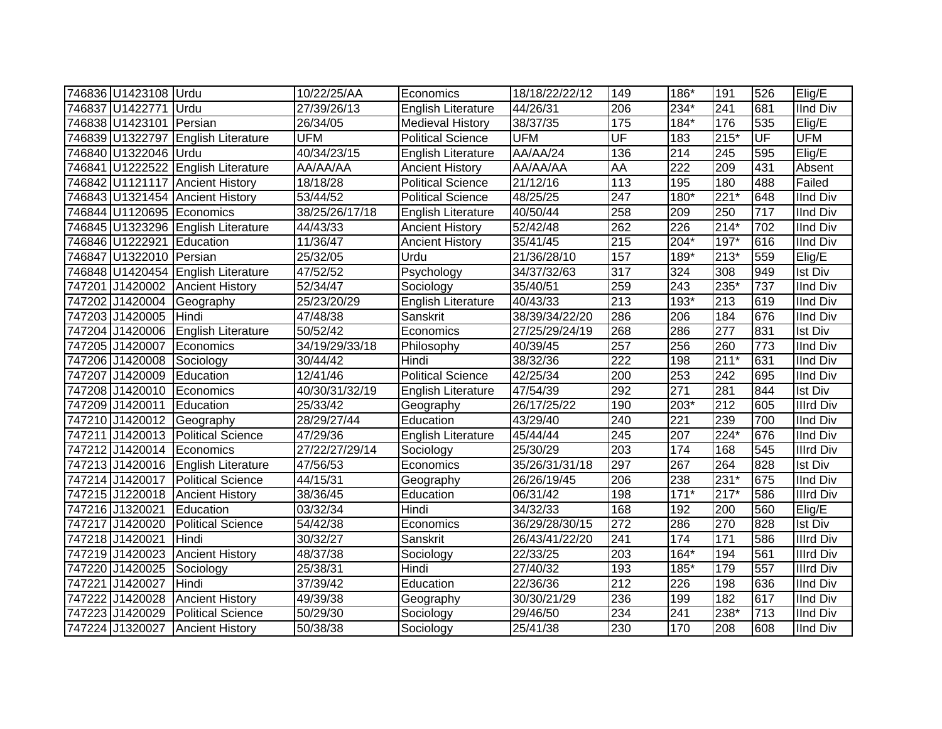| 746836 U1423108 Urdu      |                                    | 10/22/25/AA    | Economics                 | 18/18/22/22/12 | 149       | 186*             | 191    | 526              | Elig/E           |
|---------------------------|------------------------------------|----------------|---------------------------|----------------|-----------|------------------|--------|------------------|------------------|
| 746837 U1422771 Urdu      |                                    | 27/39/26/13    | English Literature        | 44/26/31       | 206       | 234*             | 241    | 681              | <b>IInd Div</b>  |
| 746838 U1423101 Persian   |                                    | 26/34/05       | <b>Medieval History</b>   | 38/37/35       | 175       | $184*$           | 176    | 535              | Elig/E           |
|                           | 746839 U1322797 English Literature | <b>UFM</b>     | <b>Political Science</b>  | <b>UFM</b>     | UF        | 183              | $215*$ | UF               | <b>UFM</b>       |
| 746840 U1322046 Urdu      |                                    | 40/34/23/15    | <b>English Literature</b> | AA/AA/24       | 136       | 214              | 245    | 595              | Elig/E           |
|                           | 746841 U1222522 English Literature | AA/AA/AA       | <b>Ancient History</b>    | AA/AA/AA       | <b>AA</b> | $\overline{222}$ | 209    | 431              | Absent           |
|                           | 746842 U1121117 Ancient History    | 18/18/28       | <b>Political Science</b>  | 21/12/16       | 113       | 195              | 180    | 488              | Failed           |
|                           | 746843 U1321454 Ancient History    | 53/44/52       | <b>Political Science</b>  | 48/25/25       | 247       | $180*$           | $221*$ | 648              | <b>IInd Div</b>  |
|                           | 746844 U1120695 Economics          | 38/25/26/17/18 | English Literature        | 40/50/44       | 258       | 209              | 250    | $\overline{717}$ | <b>IInd Div</b>  |
|                           | 746845 U1323296 English Literature | 44/43/33       | <b>Ancient History</b>    | 52/42/48       | 262       | $\overline{226}$ | $214*$ | 702              | <b>IInd Div</b>  |
| 746846 U1222921 Education |                                    | 11/36/47       | <b>Ancient History</b>    | 35/41/45       | 215       | $204*$           | $197*$ | 616              | IInd Div         |
| 746847 U1322010 Persian   |                                    | 25/32/05       | Urdu                      | 21/36/28/10    | 157       | 189*             | $213*$ | 559              | Elig/E           |
|                           | 746848 U1420454 English Literature | 47/52/52       | Psychology                | 34/37/32/63    | 317       | 324              | 308    | 949              | <b>Ist Div</b>   |
| 747201 J1420002           | <b>Ancient History</b>             | 52/34/47       | Sociology                 | 35/40/51       | 259       | 243              | 235*   | 737              | <b>IInd Div</b>  |
| 747202 J1420004           | Geography                          | 25/23/20/29    | <b>English Literature</b> | 40/43/33       | 213       | 193*             | 213    | 619              | <b>IInd Div</b>  |
| 747203 J1420005           | <b>Hindi</b>                       | 47/48/38       | Sanskrit                  | 38/39/34/22/20 | 286       | 206              | 184    | 676              | <b>IInd Div</b>  |
| 747204 J1420006           | English Literature                 | 50/52/42       | Economics                 | 27/25/29/24/19 | 268       | 286              | 277    | 831              | <b>Ist Div</b>   |
| 747205 J1420007           | Economics                          | 34/19/29/33/18 | Philosophy                | 40/39/45       | 257       | 256              | 260    | 773              | <b>IInd Div</b>  |
| 747206 J1420008           | Sociology                          | 30/44/42       | Hindi                     | 38/32/36       | 222       | 198              | $211*$ | 631              | <b>IInd Div</b>  |
| 747207 J1420009           | Education                          | 12/41/46       | <b>Political Science</b>  | 42/25/34       | 200       | 253              | 242    | 695              | <b>IInd Div</b>  |
|                           | 747208 J1420010 Economics          | 40/30/31/32/19 | English Literature        | 47/54/39       | 292       | 271              | 281    | 844              | <b>Ist Div</b>   |
| 747209 J1420011           | Education                          | 25/33/42       | Geography                 | 26/17/25/22    | 190       | $203*$           | 212    | 605              | <b>Illrd Div</b> |
|                           | 747210 J1420012 Geography          | 28/29/27/44    | Education                 | 43/29/40       | 240       | $\overline{221}$ | 239    | 700              | <b>IInd Div</b>  |
|                           | 747211 J1420013 Political Science  | 47/29/36       | <b>English Literature</b> | 45/44/44       | 245       | $\overline{207}$ | $224*$ | 676              | <b>IInd Div</b>  |
|                           | 747212 J1420014 Economics          | 27/22/27/29/14 | Sociology                 | 25/30/29       | 203       | 174              | 168    | 545              | <b>Illrd Div</b> |
|                           | 747213 J1420016 English Literature | 47/56/53       | Economics                 | 35/26/31/31/18 | 297       | 267              | 264    | 828              | <b>Ist Div</b>   |
|                           | 747214 J1420017 Political Science  | 44/15/31       | Geography                 | 26/26/19/45    | 206       | 238              | $231*$ | 675              | <b>IInd Div</b>  |
|                           | 747215 J1220018 Ancient History    | 38/36/45       | Education                 | 06/31/42       | 198       | $171*$           | $217*$ | 586              | <b>Illrd Div</b> |
| 747216 J1320021           | Education                          | 03/32/34       | Hindi                     | 34/32/33       | 168       | 192              | 200    | 560              | Elig/E           |
| 747217 J1420020           | <b>Political Science</b>           | 54/42/38       | Economics                 | 36/29/28/30/15 | 272       | 286              | 270    | 828              | Ist Div          |
| 747218 J1420021           | Hindi                              | 30/32/27       | Sanskrit                  | 26/43/41/22/20 | 241       | 174              | 171    | 586              | <b>Illrd Div</b> |
| 747219 J1420023           | <b>Ancient History</b>             | 48/37/38       | Sociology                 | 22/33/25       | 203       | $164*$           | 194    | 561              | <b>Illrd Div</b> |
| 747220 J1420025           | Sociology                          | 25/38/31       | Hindi                     | 27/40/32       | 193       | 185*             | 179    | 557              | <b>Illrd Div</b> |
| 747221 J1420027           | Hindi                              | 37/39/42       | Education                 | 22/36/36       | 212       | 226              | 198    | 636              | <b>IInd Div</b>  |
| 747222 J1420028           | <b>Ancient History</b>             | 49/39/38       | Geography                 | 30/30/21/29    | 236       | 199              | 182    | 617              | <b>IInd Div</b>  |
| 747223 J1420029           | <b>Political Science</b>           | 50/29/30       | Sociology                 | 29/46/50       | 234       | 241              | 238*   | 713              | <b>IInd Div</b>  |
|                           | 747224 J1320027 Ancient History    | 50/38/38       | Sociology                 | 25/41/38       | 230       | 170              | 208    | 608              | <b>IInd Div</b>  |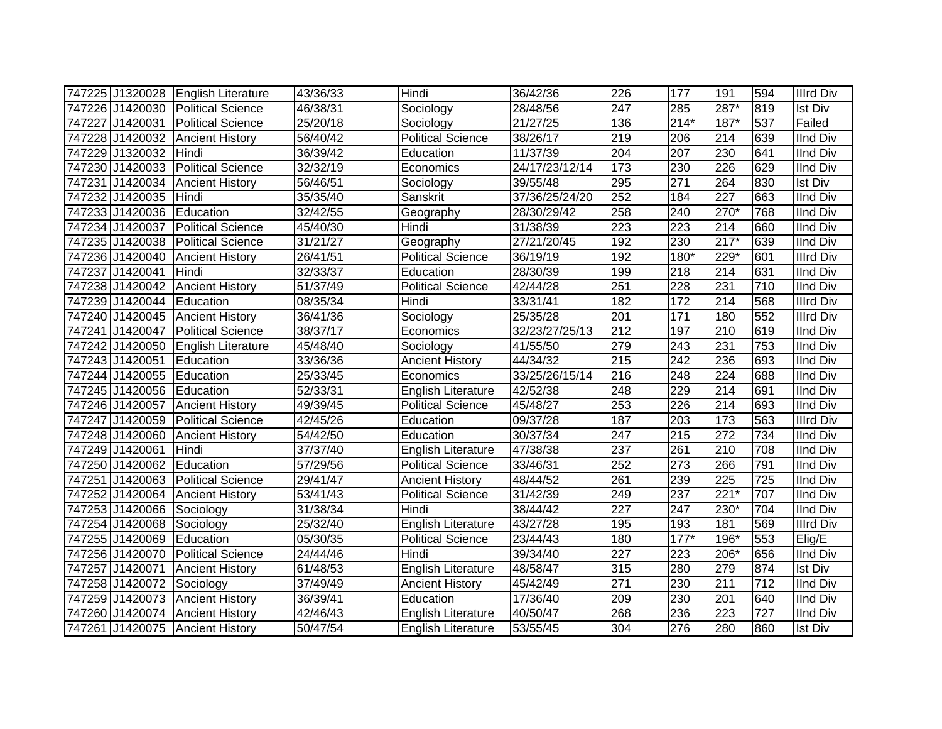|                 | 747225 J1320028 English Literature | 43/36/33 | Hindi                     | 36/42/36       | 226              | 177             | 191               | 594 | <b>Illrd Div</b> |
|-----------------|------------------------------------|----------|---------------------------|----------------|------------------|-----------------|-------------------|-----|------------------|
|                 | 747226 J1420030 Political Science  | 46/38/31 | Sociology                 | 28/48/56       | $\overline{247}$ | 285             | 287*              | 819 | <b>Ist Div</b>   |
|                 | 747227 J1420031 Political Science  | 25/20/18 | Sociology                 | 21/27/25       | 136              | $214*$          | $187*$            | 537 | Failed           |
|                 | 747228 J1420032 Ancient History    | 56/40/42 | <b>Political Science</b>  | 38/26/17       | $\overline{219}$ | 206             | $\overline{214}$  | 639 | <b>IInd Div</b>  |
| 747229 J1320032 | Hindi                              | 36/39/42 | Education                 | 11/37/39       | 204              | 207             | 230               | 641 | <b>IInd Div</b>  |
| 747230 J1420033 | <b>Political Science</b>           | 32/32/19 | Economics                 | 24/17/23/12/14 | 173              | 230             | 226               | 629 | <b>IInd Div</b>  |
| 747231 J1420034 | <b>Ancient History</b>             | 56/46/51 | Sociology                 | 39/55/48       | 295              | 271             | 264               | 830 | <b>Ist Div</b>   |
| 747232 J1420035 | Hindi                              | 35/35/40 | Sanskrit                  | 37/36/25/24/20 | 252              | 184             | 227               | 663 | <b>IInd Div</b>  |
| 747233 J1420036 | Education                          | 32/42/55 | Geography                 | 28/30/29/42    | 258              | 240             | $270*$            | 768 | <b>IInd Div</b>  |
| 747234 J1420037 | <b>Political Science</b>           | 45/40/30 | Hindi                     | 31/38/39       | 223              | 223             | 214               | 660 | <b>IInd Div</b>  |
| 747235 J1420038 | Political Science                  | 31/21/27 | Geography                 | 27/21/20/45    | 192              | 230             | $217*$            | 639 | <b>IInd Div</b>  |
| 747236 J1420040 | <b>Ancient History</b>             | 26/41/51 | <b>Political Science</b>  | 36/19/19       | 192              | 180*            | 229*              | 601 | <b>Illrd Div</b> |
| 747237 J1420041 | Hindi                              | 32/33/37 | Education                 | 28/30/39       | 199              | 218             | 214               | 631 | <b>IInd Div</b>  |
| 747238 J1420042 | <b>Ancient History</b>             | 51/37/49 | <b>Political Science</b>  | 42/44/28       | 251              | 228             | 231               | 710 | <b>IInd Div</b>  |
| 747239 J1420044 | Education                          | 08/35/34 | Hindi                     | 33/31/41       | 182              | 172             | 214               | 568 | <b>Illrd Div</b> |
| 747240 J1420045 | <b>Ancient History</b>             | 36/41/36 | Sociology                 | 25/35/28       | 201              | $\frac{1}{171}$ | 180               | 552 | <b>Illrd Div</b> |
| 747241 J1420047 | <b>Political Science</b>           | 38/37/17 | Economics                 | 32/23/27/25/13 | 212              | 197             | 210               | 619 | <b>IInd Div</b>  |
| 747242 J1420050 | English Literature                 | 45/48/40 | Sociology                 | 41/55/50       | 279              | 243             | 231               | 753 | <b>IInd Div</b>  |
| 747243 J1420051 | Education                          | 33/36/36 | <b>Ancient History</b>    | 44/34/32       | 215              | 242             | 236               | 693 | <b>IInd Div</b>  |
| 747244 J1420055 | Education                          | 25/33/45 | Economics                 | 33/25/26/15/14 | 216              | 248             | 224               | 688 | <b>IInd Div</b>  |
| 747245 J1420056 | Education                          | 52/33/31 | English Literature        | 42/52/38       | 248              | 229             | 214               | 691 | <b>IInd Div</b>  |
| 747246 J1420057 | <b>Ancient History</b>             | 49/39/45 | <b>Political Science</b>  | 45/48/27       | 253              | 226             | $\overline{214}$  | 693 | <b>IInd Div</b>  |
|                 | 747247 J1420059 Political Science  | 42/45/26 | Education                 | 09/37/28       | 187              | 203             | 173               | 563 | <b>Illrd Div</b> |
|                 | 747248 J1420060 Ancient History    | 54/42/50 | Education                 | 30/37/34       | 247              | 215             | 272               | 734 | <b>IInd Div</b>  |
| 747249 J1420061 | Hindi                              | 37/37/40 | <b>English Literature</b> | 47/38/38       | 237              | 261             | 210               | 708 | <b>IInd Div</b>  |
| 747250 J1420062 | Education                          | 57/29/56 | <b>Political Science</b>  | 33/46/31       | 252              | 273             | 266               | 791 | <b>IInd Div</b>  |
| 747251 J1420063 | Political Science                  | 29/41/47 | <b>Ancient History</b>    | 48/44/52       | 261              | 239             | $\overline{225}$  | 725 | <b>IInd Div</b>  |
|                 | 747252 J1420064 Ancient History    | 53/41/43 | <b>Political Science</b>  | 31/42/39       | 249              | 237             | $\overline{221*}$ | 707 | <b>IInd Div</b>  |
| 747253 J1420066 | Sociology                          | 31/38/34 | Hindi                     | 38/44/42       | 227              | 247             | 230*              | 704 | <b>IInd Div</b>  |
| 747254 J1420068 | Sociology                          | 25/32/40 | <b>English Literature</b> | 43/27/28       | 195              | 193             | 181               | 569 | <b>Illrd Div</b> |
| 747255 J1420069 | Education                          | 05/30/35 | <b>Political Science</b>  | 23/44/43       | 180              | $177*$          | 196*              | 553 | Elig/E           |
| 747256 J1420070 | <b>Political Science</b>           | 24/44/46 | Hindi                     | 39/34/40       | 227              | 223             | 206*              | 656 | <b>IInd Div</b>  |
| 747257 J1420071 | <b>Ancient History</b>             | 61/48/53 | English Literature        | 48/58/47       | 315              | 280             | 279               | 874 | <b>Ist Div</b>   |
| 747258 J1420072 | Sociology                          | 37/49/49 | <b>Ancient History</b>    | 45/42/49       | $\overline{271}$ | 230             | 211               | 712 | <b>IInd Div</b>  |
| 747259 J1420073 | <b>Ancient History</b>             | 36/39/41 | Education                 | 17/36/40       | 209              | 230             | 201               | 640 | <b>IInd Div</b>  |
| 747260 J1420074 | <b>Ancient History</b>             | 42/46/43 | <b>English Literature</b> | 40/50/47       | 268              | 236             | 223               | 727 | <b>IInd Div</b>  |
|                 | 747261 J1420075 Ancient History    | 50/47/54 | English Literature        | 53/55/45       | 304              | 276             | 280               | 860 | <b>Ist Div</b>   |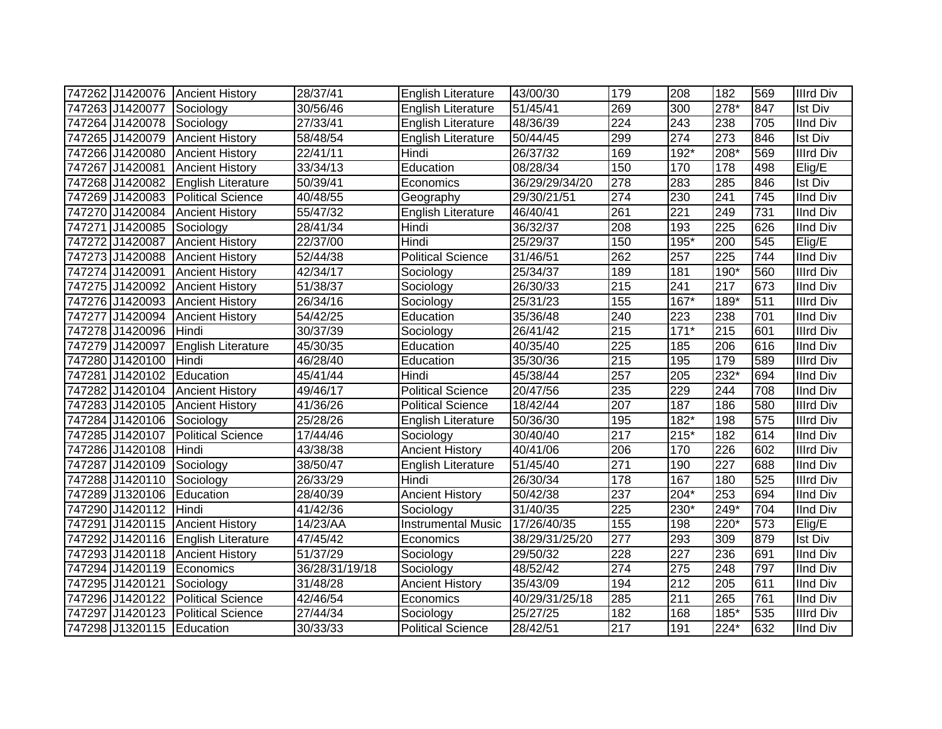| 747262 J1420076 Ancient History |                           | 28/37/41       | English Literature        | 43/00/30       | 179              | 208              | 182              | 569 | <b>Illrd Div</b> |
|---------------------------------|---------------------------|----------------|---------------------------|----------------|------------------|------------------|------------------|-----|------------------|
| 747263 J1420077 Sociology       |                           | 30/56/46       | English Literature        | 51/45/41       | 269              | 300              | 278*             | 847 | <b>Ist Div</b>   |
| 747264 J1420078                 | Sociology                 | 27/33/41       | English Literature        | 48/36/39       | $\overline{224}$ | 243              | 238              | 705 | <b>IInd Div</b>  |
| 747265 J1420079                 | <b>Ancient History</b>    | 58/48/54       | English Literature        | 50/44/45       | 299              | 274              | 273              | 846 | <b>Ist Div</b>   |
| 747266 J1420080                 | <b>Ancient History</b>    | 22/41/11       | Hindi                     | 26/37/32       | 169              | $192*$           | $208*$           | 569 | <b>Illrd Div</b> |
| 747267 J1420081                 | <b>Ancient History</b>    | 33/34/13       | Education                 | 08/28/34       | 150              | 170              | 178              | 498 | Elig/E           |
| 747268 J1420082                 | English Literature        | 50/39/41       | Economics                 | 36/29/29/34/20 | 278              | 283              | 285              | 846 | <b>Ist Div</b>   |
| 747269 J1420083                 | <b>Political Science</b>  | 40/48/55       | Geography                 | 29/30/21/51    | 274              | 230              | 241              | 745 | <b>IInd Div</b>  |
| 747270 J1420084                 | <b>Ancient History</b>    | 55/47/32       | English Literature        | 46/40/41       | 261              | $\overline{221}$ | 249              | 731 | <b>IInd Div</b>  |
| 747271 J1420085                 | Sociology                 | 28/41/34       | Hindi                     | 36/32/37       | 208              | 193              | 225              | 626 | <b>IInd Div</b>  |
| 747272 J1420087                 | <b>Ancient History</b>    | 22/37/00       | Hindi                     | 25/29/37       | 150              | $195*$           | $\overline{200}$ | 545 | Elig/E           |
| 747273 J1420088                 | <b>Ancient History</b>    | 52/44/38       | Political Science         | 31/46/51       | 262              | 257              | 225              | 744 | <b>IInd Div</b>  |
| 747274 J1420091                 | <b>Ancient History</b>    | 42/34/17       | Sociology                 | 25/34/37       | 189              | 181              | 190*             | 560 | <b>Illrd Div</b> |
| 747275 J1420092                 | <b>Ancient History</b>    | 51/38/37       | Sociology                 | 26/30/33       | 215              | 241              | 217              | 673 | <b>IInd Div</b>  |
| 747276 J1420093                 | <b>Ancient History</b>    | 26/34/16       | Sociology                 | 25/31/23       | 155              | $167*$           | $189*$           | 511 | <b>Illrd Div</b> |
| 747277 J1420094                 | <b>Ancient History</b>    | 54/42/25       | Education                 | 35/36/48       | 240              | 223              | 238              | 701 | <b>IInd Div</b>  |
| 747278 J1420096                 | Hindi                     | 30/37/39       | Sociology                 | 26/41/42       | 215              | $171*$           | 215              | 601 | <b>Illrd Div</b> |
| 747279 J1420097                 | <b>English Literature</b> | 45/30/35       | Education                 | 40/35/40       | 225              | 185              | 206              | 616 | <b>IInd Div</b>  |
| 747280 J1420100                 | Hindi                     | 46/28/40       | Education                 | 35/30/36       | 215              | 195              | 179              | 589 | <b>Illrd Div</b> |
| 747281 J1420102                 | Education                 | 45/41/44       | Hindi                     | 45/38/44       | 257              | 205              | 232*             | 694 | <b>IInd Div</b>  |
| 747282 J1420104                 | <b>Ancient History</b>    | 49/46/17       | <b>Political Science</b>  | 20/47/56       | 235              | 229              | 244              | 708 | <b>IInd Div</b>  |
| 747283 J1420105                 | <b>Ancient History</b>    | 41/36/26       | <b>Political Science</b>  | 18/42/44       | 207              | 187              | 186              | 580 | <b>Illrd Div</b> |
| 747284 J1420106 Sociology       |                           | 25/28/26       | English Literature        | 50/36/30       | 195              | $182*$           | 198              | 575 | <b>Illrd Div</b> |
| 747285 J1420107                 | <b>Political Science</b>  | 17/44/46       | Sociology                 | 30/40/40       | 217              | 215*             | 182              | 614 | <b>IInd Div</b>  |
| 747286 J1420108                 | Hindi                     | 43/38/38       | <b>Ancient History</b>    | 40/41/06       | 206              | 170              | 226              | 602 | <b>Illrd Div</b> |
| 747287 J1420109                 | Sociology                 | 38/50/47       | <b>English Literature</b> | 51/45/40       | 271              | 190              | 227              | 688 | <b>IInd Div</b>  |
| 747288 J1420110                 | Sociology                 | 26/33/29       | Hindi                     | 26/30/34       | 178              | 167              | 180              | 525 | <b>Illrd Div</b> |
| 747289 J1320106                 | Education                 | 28/40/39       | <b>Ancient History</b>    | 50/42/38       | 237              | $204*$           | 253              | 694 | <b>IInd Div</b>  |
| 747290 J1420112                 | Hindi                     | 41/42/36       | Sociology                 | 31/40/35       | 225              | $230*$           | 249*             | 704 | <b>IInd Div</b>  |
| 747291 J1420115                 | <b>Ancient History</b>    | 14/23/AA       | <b>Instrumental Music</b> | 17/26/40/35    | 155              | 198              | 220*             | 573 | Elig/E           |
| 747292 J1420116                 | English Literature        | 47/45/42       | Economics                 | 38/29/31/25/20 | 277              | 293              | 309              | 879 | <b>Ist Div</b>   |
| 747293 J1420118                 | <b>Ancient History</b>    | 51/37/29       | Sociology                 | 29/50/32       | 228              | 227              | 236              | 691 | <b>IInd Div</b>  |
| 747294 J1420119                 | Economics                 | 36/28/31/19/18 | Sociology                 | 48/52/42       | $\overline{274}$ | $\overline{275}$ | 248              | 797 | <b>IInd Div</b>  |
| 747295 J1420121                 | Sociology                 | 31/48/28       | <b>Ancient History</b>    | 35/43/09       | 194              | 212              | 205              | 611 | <b>IInd Div</b>  |
| 747296 J1420122                 | <b>Political Science</b>  | 42/46/54       | Economics                 | 40/29/31/25/18 | 285              | 211              | 265              | 761 | <b>IInd Div</b>  |
| 747297 J1420123                 | <b>Political Science</b>  | 27/44/34       | Sociology                 | 25/27/25       | 182              | 168              | 185*             | 535 | <b>Illrd Div</b> |
| 747298 J1320115                 | Education                 | 30/33/33       | <b>Political Science</b>  | 28/42/51       | 217              | 191              | 224*             | 632 | <b>IInd Div</b>  |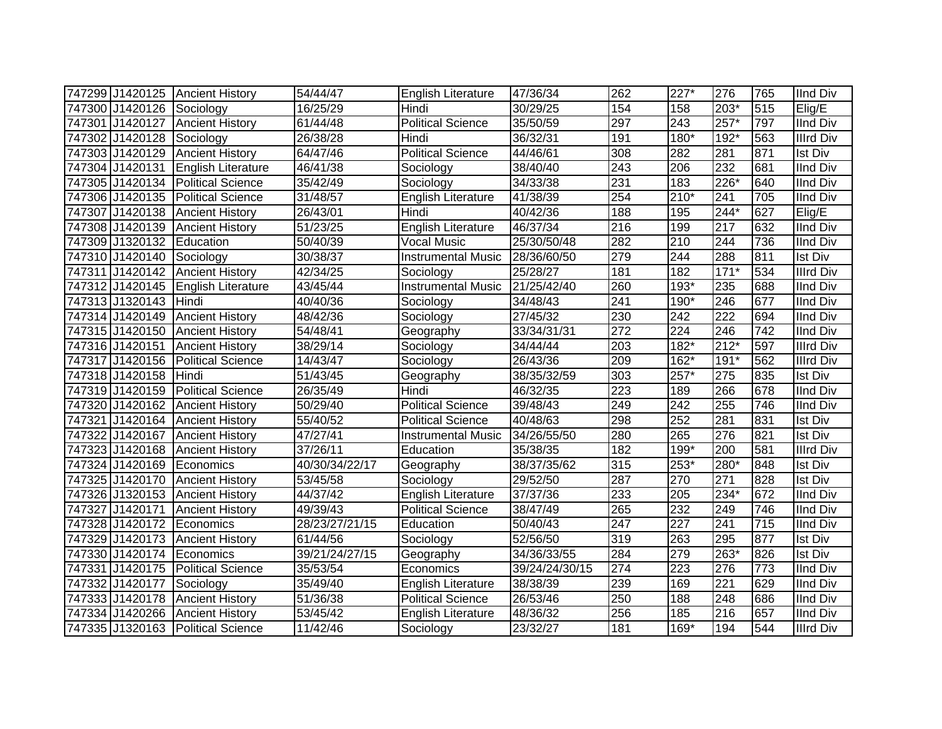|                           | 747299 J1420125 Ancient History     | 54/44/47              | English Literature        | 47/36/34       | 262              | 227*   | 276              | 765 | <b>IInd Div</b>  |
|---------------------------|-------------------------------------|-----------------------|---------------------------|----------------|------------------|--------|------------------|-----|------------------|
| 747300 J1420126 Sociology |                                     | 16/25/29              | Hindi                     | 30/29/25       | 154              | 158    | 203*             | 515 | Elig/E           |
|                           | 747301 J1420127 Ancient History     | 61/44/48              | <b>Political Science</b>  | 35/50/59       | 297              | 243    | $257*$           | 797 | <b>IInd Div</b>  |
| 747302 J1420128           | Sociology                           | 26/38/28              | Hindi                     | 36/32/31       | 191              | 180*   | $192*$           | 563 | <b>Illrd Div</b> |
| 747303 J1420129           | <b>Ancient History</b>              | 64/47/46              | <b>Political Science</b>  | 44/46/61       | 308              | 282    | 281              | 871 | <b>Ist Div</b>   |
|                           | 747304 J1420131 English Literature  | 46/41/38              | Sociology                 | 38/40/40       | $\overline{243}$ | 206    | 232              | 681 | <b>IInd Div</b>  |
|                           | 747305 J1420134   Political Science | 35/42/49              | Sociology                 | 34/33/38       | 231              | 183    | 226*             | 640 | <b>IInd Div</b>  |
| 747306 J1420135           | <b>Political Science</b>            | 31/48/57              | <b>English Literature</b> | 41/38/39       | 254              | $210*$ | 241              | 705 | <b>IInd Div</b>  |
| 747307 J1420138           | <b>Ancient History</b>              | 26/43/01              | Hindi                     | 40/42/36       | 188              | 195    | $244*$           | 627 | Elig/E           |
| 747308 J1420139           | <b>Ancient History</b>              | 51/23/25              | <b>English Literature</b> | 46/37/34       | $\overline{216}$ | 199    | 217              | 632 | <b>IInd Div</b>  |
| 747309 J1320132           | Education                           | 50/40/39              | <b>Vocal Music</b>        | 25/30/50/48    | 282              | 210    | 244              | 736 | <b>IInd Div</b>  |
| 747310 J1420140           | Sociology                           | 30/38/37              | <b>Instrumental Music</b> | 28/36/60/50    | 279              | 244    | 288              | 811 | <b>Ist Div</b>   |
| 747311 J1420142           | <b>Ancient History</b>              | 42/34/25              | Sociology                 | 25/28/27       | 181              | 182    | $171*$           | 534 | <b>Illrd Div</b> |
| 747312 J1420145           | <b>English Literature</b>           | 43/45/44              | Instrumental Music        | 21/25/42/40    | 260              | 193*   | 235              | 688 | <b>IInd Div</b>  |
| 747313 J1320143           | Hindi                               | 40/40/36              | Sociology                 | 34/48/43       | 241              | 190*   | 246              | 677 | <b>IInd Div</b>  |
| 747314 J1420149           | <b>Ancient History</b>              | 48/42/36              | Sociology                 | 27/45/32       | 230              | 242    | $\overline{222}$ | 694 | <b>IInd Div</b>  |
| 747315 J1420150           | <b>Ancient History</b>              | 54/48/41              | Geography                 | 33/34/31/31    | 272              | 224    | 246              | 742 | <b>IInd Div</b>  |
| 747316 J1420151           | <b>Ancient History</b>              | 38/29/14              | Sociology                 | 34/44/44       | 203              | $182*$ | $212*$           | 597 | <b>Illrd Div</b> |
| 747317 J1420156           | <b>Political Science</b>            | 14/43/47              | Sociology                 | 26/43/36       | 209              | 162*   | $191*$           | 562 | <b>Illrd Div</b> |
| 747318 J1420158           | Hindi                               | 51/43/45              | Geography                 | 38/35/32/59    | 303              | 257*   | 275              | 835 | <b>Ist Div</b>   |
| 747319 J1420159           | <b>Political Science</b>            | 26/35/49              | Hindi                     | 46/32/35       | 223              | 189    | 266              | 678 | <b>IInd Div</b>  |
|                           | 747320 J1420162 Ancient History     | 50/29/40              | <b>Political Science</b>  | 39/48/43       | 249              | 242    | 255              | 746 | <b>IInd Div</b>  |
|                           | 747321 J1420164 Ancient History     | 55/40/52              | <b>Political Science</b>  | 40/48/63       | 298              | 252    | 281              | 831 | <b>Ist Div</b>   |
|                           | 747322 J1420167 Ancient History     | 47/27/41              | <b>Instrumental Music</b> | 34/26/55/50    | 280              | 265    | 276              | 821 | <b>Ist Div</b>   |
|                           | 747323 J1420168 Ancient History     | 37/26/11              | Education                 | 35/38/35       | 182              | 199*   | 200              | 581 | <b>Illrd Div</b> |
| 747324 J1420169 Economics |                                     | 40/30/34/22/17        | Geography                 | 38/37/35/62    | 315              | 253*   | 280*             | 848 | <b>Ist Div</b>   |
|                           | 747325 J1420170 Ancient History     | 53/45/58              | Sociology                 | 29/52/50       | $\overline{287}$ | 270    | $\overline{271}$ | 828 | <b>Ist Div</b>   |
|                           | 747326 J1320153 Ancient History     | 44/37/42              | English Literature        | 37/37/36       | 233              | 205    | $234*$           | 672 | <b>IInd Div</b>  |
| 747327 J1420171           | <b>Ancient History</b>              | 49/39/43              | <b>Political Science</b>  | 38/47/49       | 265              | 232    | 249              | 746 | <b>IInd Div</b>  |
| 747328 J1420172           | Economics                           | 28/23/27/21/15        | Education                 | 50/40/43       | 247              | 227    | 241              | 715 | <b>IInd Div</b>  |
| 747329 J1420173           | <b>Ancient History</b>              | 61/44/56              | Sociology                 | 52/56/50       | 319              | 263    | 295              | 877 | <b>Ist Div</b>   |
| 747330 J1420174 Economics |                                     | 39/21/24/27/15        | Geography                 | 34/36/33/55    | 284              | 279    | 263*             | 826 | <b>Ist Div</b>   |
|                           | 747331 J1420175 Political Science   | 35/53/54              | Economics                 | 39/24/24/30/15 | 274              | 223    | 276              | 773 | <b>IInd Div</b>  |
| 747332 J1420177           | Sociology                           | 35/49/40              | English Literature        | 38/38/39       | 239              | 169    | 221              | 629 | <b>IInd Div</b>  |
| 747333 J1420178           | <b>Ancient History</b>              | 51/36/38              | <b>Political Science</b>  | 26/53/46       | 250              | 188    | 248              | 686 | <b>IInd Div</b>  |
| 747334 J1420266           | <b>Ancient History</b>              | $\overline{5}3/45/42$ | English Literature        | 48/36/32       | 256              | 185    | 216              | 657 | <b>IInd Div</b>  |
|                           | 747335 J1320163 Political Science   | 11/42/46              | Sociology                 | 23/32/27       | 181              | 169*   | 194              | 544 | <b>Illrd Div</b> |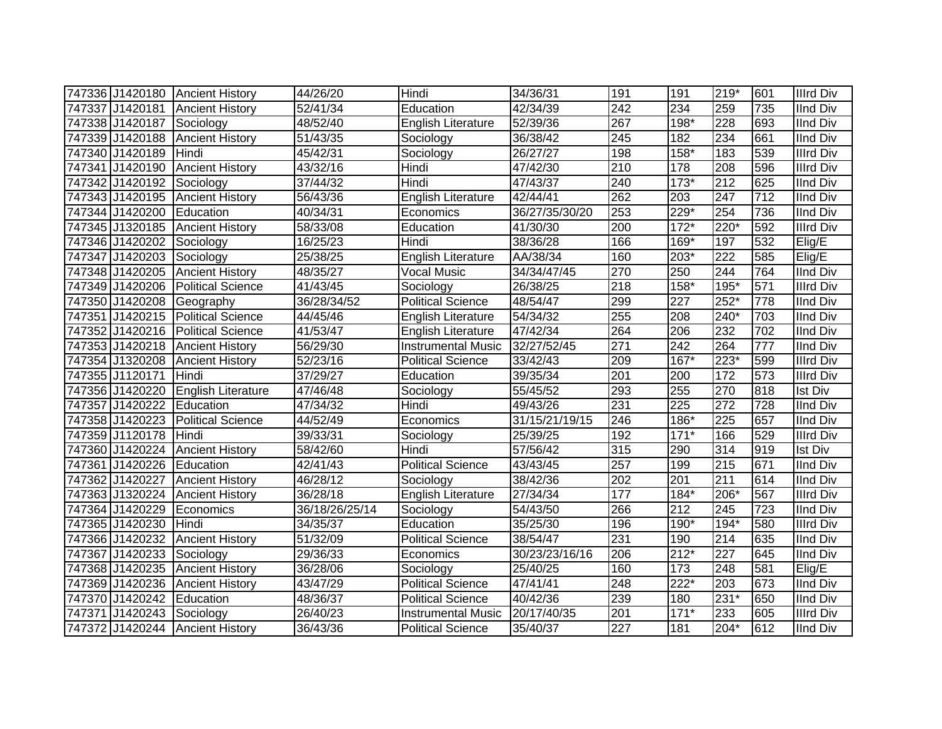|                           | 747336 J1420180 Ancient History    | 44/26/20       | Hindi                     | 34/36/31             | 191              | 191               | $219*$           | 601 | <b>Illrd Div</b> |
|---------------------------|------------------------------------|----------------|---------------------------|----------------------|------------------|-------------------|------------------|-----|------------------|
|                           | 747337 J1420181 Ancient History    | 52/41/34       | Education                 | $\frac{1}{42}/34/39$ | 242              | 234               | 259              | 735 | <b>IInd Div</b>  |
| 747338 J1420187 Sociology |                                    | 48/52/40       | English Literature        | 52/39/36             | 267              | $198*$            | 228              | 693 | <b>IInd Div</b>  |
|                           | 747339 J1420188 Ancient History    | 51/43/35       | Sociology                 | 36/38/42             | $\overline{245}$ | 182               | 234              | 661 | <b>IInd Div</b>  |
| 747340 J1420189           | Hindi                              | 45/42/31       | Sociology                 | 26/27/27             | 198              | $158*$            | 183              | 539 | <b>Illrd Div</b> |
| 747341 J1420190           | <b>Ancient History</b>             | 43/32/16       | Hindi                     | 47/42/30             | 210              | 178               | 208              | 596 | <b>Illrd Div</b> |
| 747342 J1420192           | Sociology                          | 37/44/32       | Hindi                     | 47/43/37             | 240              | $173*$            | 212              | 625 | <b>IInd Div</b>  |
| 747343 J1420195           | <b>Ancient History</b>             | 56/43/36       | English Literature        | $\sqrt{42}/44/41$    | 262              | 203               | 247              | 712 | <b>IInd Div</b>  |
| 747344 J1420200           | Education                          | 40/34/31       | Economics                 | 36/27/35/30/20       | 253              | 229*              | 254              | 736 | <b>IInd Div</b>  |
| 747345 J1320185           | <b>Ancient History</b>             | 58/33/08       | Education                 | 41/30/30             | 200              | $\overline{17}2*$ | 220*             | 592 | <b>Illrd Div</b> |
| 747346 J1420202           | Sociology                          | 16/25/23       | Hindi                     | 38/36/28             | 166              | 169*              | 197              | 532 | Elig/E           |
| 747347 J1420203           | Sociology                          | 25/38/25       | <b>English Literature</b> | AA/38/34             | 160              | 203*              | $\overline{222}$ | 585 | Elig/E           |
| 747348 J1420205           | <b>Ancient History</b>             | 48/35/27       | <b>Vocal Music</b>        | 34/34/47/45          | 270              | 250               | 244              | 764 | <b>IInd Div</b>  |
| 747349 J1420206           | <b>Political Science</b>           | 41/43/45       | Sociology                 | 26/38/25             | 218              | 158*              | 195*             | 571 | <b>Illrd Div</b> |
| 747350 J1420208           | Geography                          | 36/28/34/52    | <b>Political Science</b>  | 48/54/47             | 299              | 227               | $252*$           | 778 | <b>IInd Div</b>  |
| 747351 J1420215           | <b>Political Science</b>           | 44/45/46       | English Literature        | 54/34/32             | 255              | 208               | 240*             | 703 | <b>IInd Div</b>  |
| 747352 J1420216           | <b>Political Science</b>           | 41/53/47       | <b>English Literature</b> | 47/42/34             | 264              | 206               | 232              | 702 | <b>IInd Div</b>  |
| 747353 J1420218           | <b>Ancient History</b>             | 56/29/30       | <b>Instrumental Music</b> | 32/27/52/45          | 271              | 242               | 264              | 777 | <b>IInd Div</b>  |
| 747354 J1320208           | <b>Ancient History</b>             | 52/23/16       | <b>Political Science</b>  | 33/42/43             | 209              | 167*              | $223*$           | 599 | <b>Illrd Div</b> |
| 747355 J1120171           | Hindi                              | 37/29/27       | Education                 | 39/35/34             | 201              | 200               | 172              | 573 | <b>Illrd Div</b> |
|                           | 747356 J1420220 English Literature | 47/46/48       | Sociology                 | 55/45/52             | 293              | 255               | 270              | 818 | <b>Ist Div</b>   |
| 747357 J1420222           | Education                          | 47/34/32       | Hindi                     | 49/43/26             | 231              | 225               | $\overline{272}$ | 728 | <b>IInd Div</b>  |
| 747358 J1420223           | <b>Political Science</b>           | 44/52/49       | Economics                 | 31/15/21/19/15       | 246              | 186*              | 225              | 657 | <b>IInd Div</b>  |
| 747359 J1120178           | Hindi                              | 39/33/31       | Sociology                 | 25/39/25             | 192              | $171*$            | 166              | 529 | <b>Illrd Div</b> |
| 747360 J1420224           | <b>Ancient History</b>             | 58/42/60       | Hindi                     | 57/56/42             | 315              | 290               | 314              | 919 | <b>Ist Div</b>   |
| 747361 J1420226 Education |                                    | 42/41/43       | Political Science         | 43/43/45             | 257              | 199               | 215              | 671 | <b>IInd Div</b>  |
| 747362 J1420227           | <b>Ancient History</b>             | 46/28/12       | Sociology                 | 38/42/36             | 202              | 201               | 211              | 614 | <b>IInd Div</b>  |
| 747363 J1320224           | <b>Ancient History</b>             | 36/28/18       | English Literature        | 27/34/34             | 177              | 184*              | 206*             | 567 | <b>Illrd Div</b> |
| 747364 J1420229           | Economics                          | 36/18/26/25/14 | Sociology                 | 54/43/50             | 266              | 212               | 245              | 723 | <b>IInd Div</b>  |
| 747365 J1420230           | Hindi                              | 34/35/37       | Education                 | 35/25/30             | 196              | 190*              | $194*$           | 580 | <b>Illrd Div</b> |
| 747366 J1420232           | <b>Ancient History</b>             | 51/32/09       | <b>Political Science</b>  | 38/54/47             | 231              | 190               | 214              | 635 | <b>IInd Div</b>  |
| 747367 J1420233           | Sociology                          | 29/36/33       | Economics                 | 30/23/23/16/16       | 206              | $212*$            | 227              | 645 | <b>IInd Div</b>  |
|                           | 747368 J1420235 Ancient History    | 36/28/06       | Sociology                 | 25/40/25             | 160              | 173               | 248              | 581 | Elig/E           |
| 747369 J1420236           | <b>Ancient History</b>             | 43/47/29       | <b>Political Science</b>  | 47/41/41             | 248              | $222*$            | 203              | 673 | <b>IInd Div</b>  |
| 747370 J1420242           | Education                          | 48/36/37       | <b>Political Science</b>  | 40/42/36             | 239              | 180               | $231*$           | 650 | <b>IInd Div</b>  |
| 747371 J1420243           | Sociology                          | 26/40/23       | <b>Instrumental Music</b> | 20/17/40/35          | 201              | $171*$            | 233              | 605 | <b>Illrd Div</b> |
|                           | 747372 J1420244 Ancient History    | 36/43/36       | <b>Political Science</b>  | 35/40/37             | $\overline{227}$ | 181               | $204*$           | 612 | <b>IInd Div</b>  |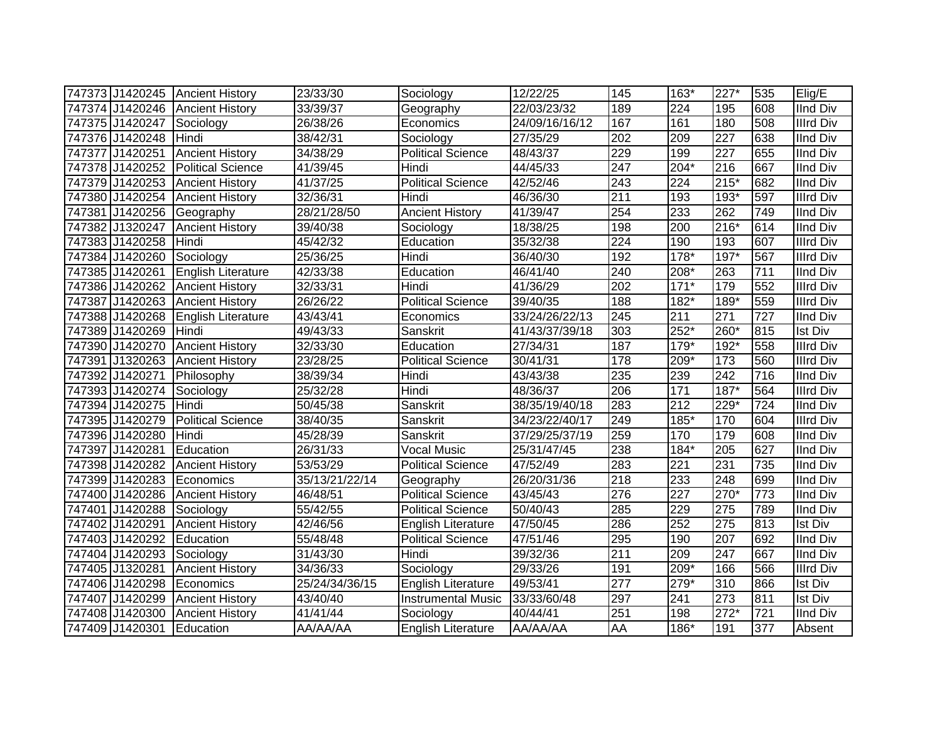|                           | 747373 J1420245 Ancient History | 23/33/30       | Sociology                 | 12/22/25       | 145       | $163*$           | 227*             | 535 | Elig/E           |
|---------------------------|---------------------------------|----------------|---------------------------|----------------|-----------|------------------|------------------|-----|------------------|
|                           | 747374 J1420246 Ancient History | 33/39/37       | Geography                 | 22/03/23/32    | 189       | 224              | 195              | 608 | <b>IInd Div</b>  |
| 747375 J1420247 Sociology |                                 | 26/38/26       | Economics                 | 24/09/16/16/12 | 167       | 161              | 180              | 508 | <b>Illrd Div</b> |
| 747376 J1420248           | Hindi                           | 38/42/31       | Sociology                 | 27/35/29       | 202       | 209              | 227              | 638 | <b>IInd Div</b>  |
| 747377 J1420251           | <b>Ancient History</b>          | 34/38/29       | <b>Political Science</b>  | 48/43/37       | 229       | 199              | 227              | 655 | <b>IInd Div</b>  |
| 747378 J1420252           | <b>Political Science</b>        | 41/39/45       | Hindi                     | 44/45/33       | 247       | $204*$           | $\overline{216}$ | 667 | <b>IInd Div</b>  |
| 747379 J1420253           | <b>Ancient History</b>          | 41/37/25       | <b>Political Science</b>  | 42/52/46       | 243       | 224              | $215*$           | 682 | <b>IInd Div</b>  |
| 747380 J1420254           | <b>Ancient History</b>          | 32/36/31       | Hindi                     | 46/36/30       | 211       | 193              | $193*$           | 597 | <b>Illrd Div</b> |
| 747381 J1420256           | Geography                       | 28/21/28/50    | <b>Ancient History</b>    | 41/39/47       | 254       | 233              | 262              | 749 | <b>IInd Div</b>  |
| 747382 J1320247           | <b>Ancient History</b>          | 39/40/38       | Sociology                 | 18/38/25       | 198       | 200              | $216*$           | 614 | <b>IInd Div</b>  |
| 747383 J1420258           | Hindi                           | 45/42/32       | Education                 | 35/32/38       | 224       | 190              | 193              | 607 | <b>Illrd Div</b> |
| 747384 J1420260           | Sociology                       | 25/36/25       | Hindi                     | 36/40/30       | 192       | $178*$           | $197*$           | 567 | <b>Illrd Div</b> |
| 747385 J1420261           | English Literature              | 42/33/38       | Education                 | 46/41/40       | 240       | 208*             | 263              | 711 | <b>IInd Div</b>  |
| 747386 J1420262           | <b>Ancient History</b>          | 32/33/31       | Hindi                     | 41/36/29       | 202       | $171*$           | 179              | 552 | <b>Illrd Div</b> |
| 747387 J1420263           | <b>Ancient History</b>          | 26/26/22       | <b>Political Science</b>  | 39/40/35       | 188       | 182*             | 189*             | 559 | <b>Illrd Div</b> |
| 747388 J1420268           | <b>English Literature</b>       | 43/43/41       | Economics                 | 33/24/26/22/13 | 245       | 211              | 271              | 727 | <b>IInd Div</b>  |
| 747389 J1420269           | <b>I</b> Hindi                  | 49/43/33       | Sanskrit                  | 41/43/37/39/18 | 303       | 252*             | 260*             | 815 | <b>Ist Div</b>   |
| 747390 J1420270           | <b>Ancient History</b>          | 32/33/30       | Education                 | 27/34/31       | 187       | $179*$           | 192*             | 558 | <b>Illrd Div</b> |
| 747391 J1320263           | <b>Ancient History</b>          | 23/28/25       | <b>Political Science</b>  | 30/41/31       | 178       | 209*             | 173              | 560 | <b>Illrd Div</b> |
| 747392 J1420271           | Philosophy                      | 38/39/34       | Hindi                     | 43/43/38       | 235       | 239              | 242              | 716 | <b>IInd Div</b>  |
| 747393 J1420274           | <b>TSociology</b>               | 25/32/28       | Hindi                     | 48/36/37       | 206       | 171              | $187*$           | 564 | <b>Illrd Div</b> |
| 747394 J1420275           | <b>Hindi</b>                    | 50/45/38       | Sanskrit                  | 38/35/19/40/18 | 283       | 212              | $229*$           | 724 | <b>IInd Div</b>  |
| 747395 J1420279           | <b>Political Science</b>        | 38/40/35       | Sanskrit                  | 34/23/22/40/17 | 249       | 185*             | 170              | 604 | <b>Illrd Div</b> |
| 747396 J1420280           | Hindi                           | 45/28/39       | Sanskrit                  | 37/29/25/37/19 | 259       | 170              | 179              | 608 | <b>IInd Div</b>  |
| 747397 J1420281           | Education                       | 26/31/33       | <b>Vocal Music</b>        | 25/31/47/45    | 238       | $184*$           | 205              | 627 | <b>IInd Div</b>  |
|                           | 747398 J1420282 Ancient History | 53/53/29       | <b>Political Science</b>  | 47/52/49       | 283       | 221              | 231              | 735 | <b>IInd Div</b>  |
|                           | 747399 J1420283 Economics       | 35/13/21/22/14 | Geography                 | 26/20/31/36    | 218       | 233              | 248              | 699 | <b>IInd Div</b>  |
|                           | 747400 J1420286 Ancient History | 46/48/51       | <b>Political Science</b>  | 43/45/43       | 276       | $\overline{227}$ | $270*$           | 773 | <b>IInd Div</b>  |
| 747401 J1420288           | Sociology                       | 55/42/55       | <b>Political Science</b>  | 50/40/43       | 285       | 229              | 275              | 789 | <b>IInd Div</b>  |
| 747402 J1420291           | <b>Ancient History</b>          | 42/46/56       | English Literature        | 47/50/45       | 286       | 252              | 275              | 813 | <b>Ist Div</b>   |
| 747403 J1420292           | Education                       | 55/48/48       | <b>Political Science</b>  | 47/51/46       | 295       | 190              | 207              | 692 | <b>IInd Div</b>  |
| 747404 J1420293           | Sociology                       | 31/43/30       | Hindi                     | 39/32/36       | 211       | 209              | 247              | 667 | <b>IInd Div</b>  |
| 747405 J1320281           | <b>Ancient History</b>          | 34/36/33       | Sociology                 | 29/33/26       | 191       | $209*$           | 166              | 566 | <b>Illrd Div</b> |
| 747406 J1420298           | <b>IEconomics</b>               | 25/24/34/36/15 | English Literature        | 49/53/41       | 277       | 279*             | 310              | 866 | <b>Ist Div</b>   |
| 747407 J1420299           | <b>Ancient History</b>          | 43/40/40       | <b>Instrumental Music</b> | 33/33/60/48    | 297       | 241              | 273              | 811 | <b>Ist Div</b>   |
| 747408 J1420300           | <b>Ancient History</b>          | 41/41/44       | Sociology                 | 40/44/41       | 251       | 198              | $272*$           | 721 | <b>IInd Div</b>  |
| 747409 J1420301           | Education                       | AA/AA/AA       | <b>English Literature</b> | AA/AA/AA       | <b>AA</b> | 186*             | 191              | 377 | Absent           |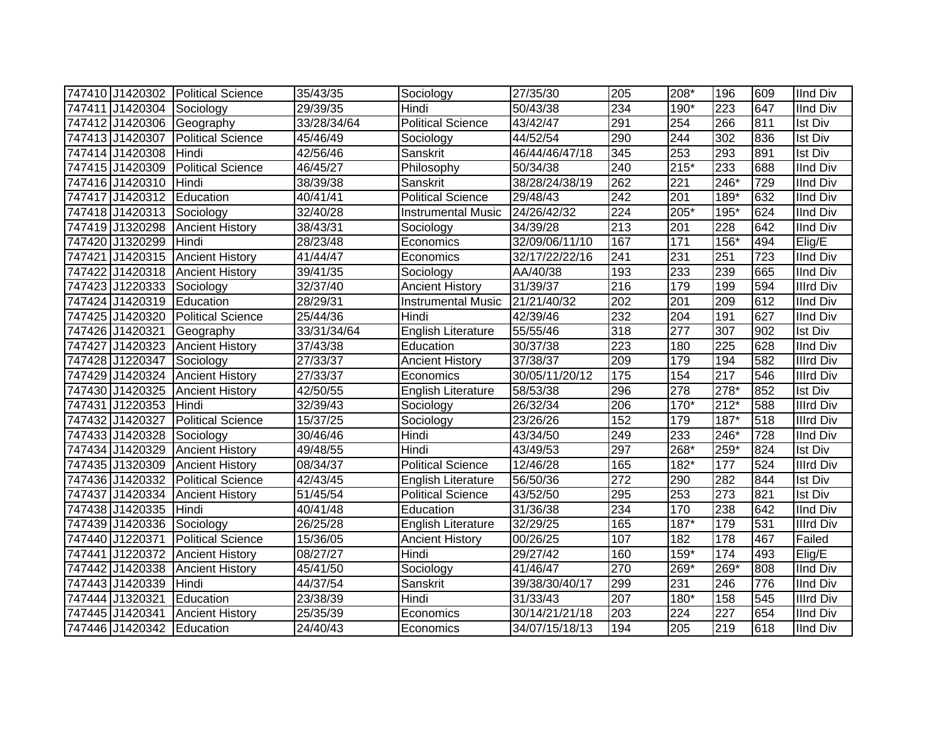|                           | 747410 J1420302 Political Science | 35/43/35    | Sociology                 | 27/35/30       | 205 | 208*             | 196              | 609              | <b>IInd Div</b>  |
|---------------------------|-----------------------------------|-------------|---------------------------|----------------|-----|------------------|------------------|------------------|------------------|
| 747411 J1420304 Sociology |                                   | 29/39/35    | Hindi                     | 50/43/38       | 234 | 190*             | 223              | 647              | <b>IInd Div</b>  |
| 747412 J1420306           | Geography                         | 33/28/34/64 | <b>Political Science</b>  | 43/42/47       | 291 | 254              | 266              | 811              | <b>Ist Div</b>   |
| 747413 J1420307           | Political Science                 | 45/46/49    | Sociology                 | 44/52/54       | 290 | 244              | $\overline{302}$ | 836              | <b>Ist Div</b>   |
| 747414 J1420308           | Hindi                             | 42/56/46    | Sanskrit                  | 46/44/46/47/18 | 345 | 253              | 293              | 891              | <b>Ist Div</b>   |
| 747415 J1420309           | <b>Political Science</b>          | 46/45/27    | Philosophy                | 50/34/38       | 240 | $215*$           | 233              | 688              | <b>IInd Div</b>  |
| 747416 J1420310           | Hindi                             | 38/39/38    | Sanskrit                  | 38/28/24/38/19 | 262 | 221              | 246*             | 729              | <b>IInd Div</b>  |
| 747417 J1420312           | Education                         | 40/41/41    | <b>Political Science</b>  | 29/48/43       | 242 | $\overline{201}$ | 189*             | 632              | <b>IInd Div</b>  |
| 747418 J1420313           | Sociology                         | 32/40/28    | <b>Instrumental Music</b> | 24/26/42/32    | 224 | 205*             | 195*             | 624              | <b>IInd Div</b>  |
| 747419 J1320298           | <b>Ancient History</b>            | 38/43/31    | Sociology                 | 34/39/28       | 213 | 201              | 228              | 642              | <b>IInd Div</b>  |
| 747420 J1320299           | Hindi                             | 28/23/48    | Economics                 | 32/09/06/11/10 | 167 | 171              | 156*             | 494              | Elig/E           |
| 747421 J1420315           | <b>Ancient History</b>            | 41/44/47    | Economics                 | 32/17/22/22/16 | 241 | 231              | 251              | $\overline{723}$ | <b>IInd Div</b>  |
| 747422 J1420318           | <b>Ancient History</b>            | 39/41/35    | Sociology                 | AA/40/38       | 193 | 233              | 239              | 665              | <b>IInd Div</b>  |
| 747423 J1220333           | Sociology                         | 32/37/40    | <b>Ancient History</b>    | 31/39/37       | 216 | 179              | 199              | 594              | <b>Illrd Div</b> |
| 747424 J1420319           | Education                         | 28/29/31    | <b>Instrumental Music</b> | 21/21/40/32    | 202 | $\overline{201}$ | 209              | 612              | <b>IInd Div</b>  |
| 747425 J1420320           | <b>Political Science</b>          | 25/44/36    | Hindi                     | 42/39/46       | 232 | 204              | 191              | 627              | <b>IInd Div</b>  |
| 747426 J1420321           | Geography                         | 33/31/34/64 | <b>English Literature</b> | 55/55/46       | 318 | 277              | 307              | 902              | <b>Ist Div</b>   |
| 747427 J1420323           | <b>Ancient History</b>            | 37/43/38    | Education                 | 30/37/38       | 223 | 180              | 225              | 628              | <b>IInd Div</b>  |
| 747428 J1220347           | Sociology                         | 27/33/37    | <b>Ancient History</b>    | 37/38/37       | 209 | 179              | 194              | 582              | <b>Illrd Div</b> |
| 747429 J1420324           | <b>Ancient History</b>            | 27/33/37    | Economics                 | 30/05/11/20/12 | 175 | 154              | 217              | 546              | <b>Illrd Div</b> |
| 747430 J1420325           | <b>Ancient History</b>            | 42/50/55    | <b>English Literature</b> | 58/53/38       | 296 | $\overline{278}$ | $278*$           | 852              | <b>Ist Div</b>   |
| 747431 J1220353           | Hindi                             | 32/39/43    | Sociology                 | 26/32/34       | 206 | $170*$           | $212*$           | 588              | <b>Illrd Div</b> |
| 747432 J1420327           | <b>Political Science</b>          | 15/37/25    | Sociology                 | 23/26/26       | 152 | 179              | $187*$           | 518              | <b>Illrd Div</b> |
| 747433 J1420328           | Sociology                         | 30/46/46    | Hindi                     | 43/34/50       | 249 | 233              | 246*             | 728              | <b>IInd Div</b>  |
| 747434 J1420329           | <b>Ancient History</b>            | 49/48/55    | Hindi                     | 43/49/53       | 297 | 268*             | 259*             | 824              | <b>Ist Div</b>   |
| 747435 J1320309           | <b>Ancient History</b>            | 08/34/37    | <b>Political Science</b>  | 12/46/28       | 165 | 182*             | 177              | 524              | <b>Illrd Div</b> |
| 747436 J1420332           | <b>Political Science</b>          | 42/43/45    | English Literature        | 56/50/36       | 272 | 290              | 282              | 844              | <b>Ist Div</b>   |
| 747437 J1420334           | <b>Ancient History</b>            | 51/45/54    | <b>Political Science</b>  | 43/52/50       | 295 | 253              | 273              | 821              | <b>Ist Div</b>   |
| 747438 J1420335           | Hindi                             | 40/41/48    | Education                 | 31/36/38       | 234 | 170              | 238              | 642              | <b>IInd Div</b>  |
| 747439 J1420336           | Sociology                         | 26/25/28    | <b>English Literature</b> | 32/29/25       | 165 | $187*$           | 179              | 531              | <b>Illrd Div</b> |
| 747440 J1220371           | <b>Political Science</b>          | 15/36/05    | <b>Ancient History</b>    | 00/26/25       | 107 | 182              | 178              | 467              | Failed           |
| 747441 J1220372           | <b>Ancient History</b>            | 08/27/27    | Hindi                     | 29/27/42       | 160 | 159*             | 174              | 493              | Elig/E           |
| 747442 J1420338           | <b>Ancient History</b>            | 45/41/50    | Sociology                 | 41/46/47       | 270 | 269*             | $269*$           | 808              | <b>IInd Div</b>  |
| 747443 J1420339           | Hindi                             | 44/37/54    | Sanskrit                  | 39/38/30/40/17 | 299 | 231              | 246              | 776              | <b>IInd Div</b>  |
| 747444 J1320321           | Education                         | 23/38/39    | Hindi                     | 31/33/43       | 207 | $180*$           | 158              | 545              | <b>Illrd Div</b> |
| 747445 J1420341           | <b>Ancient History</b>            | 25/35/39    | Economics                 | 30/14/21/21/18 | 203 | 224              | 227              | 654              | <b>IInd Div</b>  |
| 747446 J1420342 Education |                                   | 24/40/43    | Economics                 | 34/07/15/18/13 | 194 | 205              | 219              | 618              | <b>IInd Div</b>  |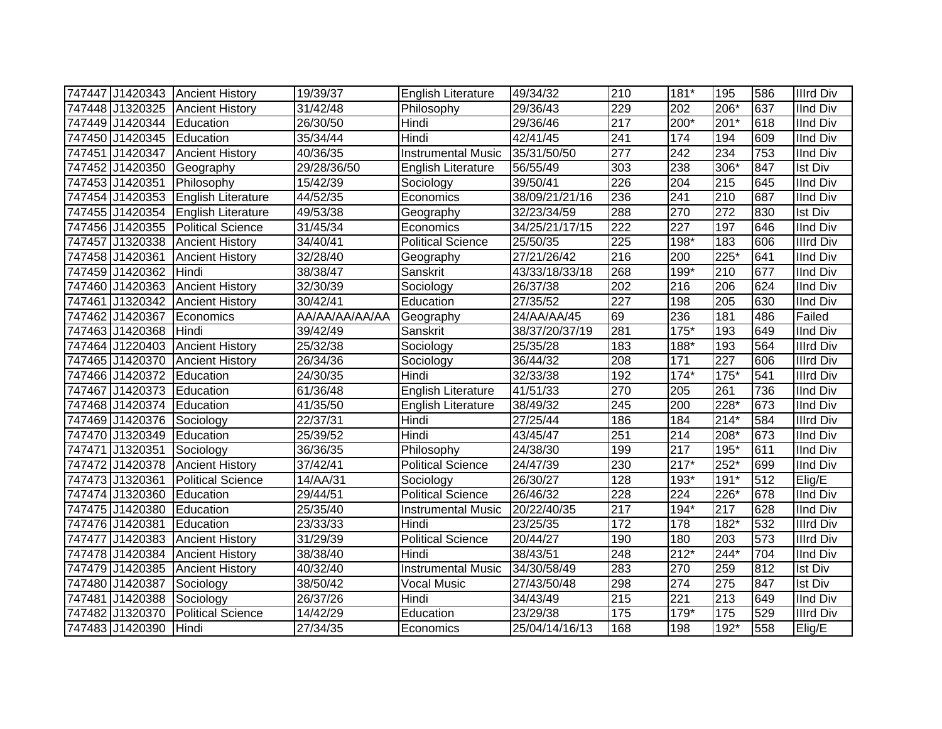| 747447 J1420343 Ancient History |                           | 19/39/37       | <b>English Literature</b> | 49/34/32       | 210 | 181*             | 195    | 586 | <b>Illrd Div</b> |
|---------------------------------|---------------------------|----------------|---------------------------|----------------|-----|------------------|--------|-----|------------------|
| 747448 J1320325 Ancient History |                           | 31/42/48       | Philosophy                | 29/36/43       | 229 | 202              | 206*   | 637 | IInd Div         |
| 747449 J1420344                 | Education                 | 26/30/50       | Hindi                     | 29/36/46       | 217 | $200*$           | $201*$ | 618 | <b>IInd Div</b>  |
| 747450 J1420345 Education       |                           | 35/34/44       | Hindi                     | 42/41/45       | 241 | 174              | 194    | 609 | <b>IInd Div</b>  |
| 747451 J1420347                 | <b>Ancient History</b>    | 40/36/35       | <b>Instrumental Music</b> | 35/31/50/50    | 277 | $\overline{242}$ | 234    | 753 | <b>IInd Div</b>  |
| 747452 J1420350                 | Geography                 | 29/28/36/50    | English Literature        | 56/55/49       | 303 | 238              | $306*$ | 847 | <b>Ist Div</b>   |
| 747453 J1420351                 | Philosophy                | 15/42/39       | Sociology                 | 39/50/41       | 226 | 204              | 215    | 645 | <b>IInd Div</b>  |
| 747454 J1420353                 | English Literature        | 44/52/35       | Economics                 | 38/09/21/21/16 | 236 | 241              | 210    | 687 | <b>IInd Div</b>  |
| 747455 J1420354                 | <b>English Literature</b> | 49/53/38       | Geography                 | 32/23/34/59    | 288 | 270              | 272    | 830 | <b>Ist Div</b>   |
| 747456 J1420355                 | <b>Political Science</b>  | 31/45/34       | Economics                 | 34/25/21/17/15 | 222 | 227              | 197    | 646 | <b>IInd Div</b>  |
| 747457 J1320338                 | <b>Ancient History</b>    | 34/40/41       | <b>Political Science</b>  | 25/50/35       | 225 | 198*             | 183    | 606 | <b>Illrd Div</b> |
| 747458 J1420361                 | <b>Ancient History</b>    | 32/28/40       | Geography                 | 27/21/26/42    | 216 | 200              | $225*$ | 641 | <b>IInd Div</b>  |
| 747459 J1420362                 | Hindi                     | 38/38/47       | Sanskrit                  | 43/33/18/33/18 | 268 | 199*             | 210    | 677 | <b>IInd Div</b>  |
| 747460 J1420363                 | <b>Ancient History</b>    | 32/30/39       | Sociology                 | 26/37/38       | 202 | 216              | 206    | 624 | <b>IInd Div</b>  |
| 747461 J1320342                 | <b>Ancient History</b>    | 30/42/41       | Education                 | 27/35/52       | 227 | 198              | 205    | 630 | <b>IInd Div</b>  |
| 747462 J1420367                 | Economics                 | AA/AA/AA/AA/AA | Geography                 | 24/AA/AA/45    | 69  | 236              | 181    | 486 | Failed           |
| 747463 J1420368                 | Hindi                     | 39/42/49       | Sanskrit                  | 38/37/20/37/19 | 281 | $175*$           | 193    | 649 | <b>IInd Div</b>  |
| 747464 J1220403                 | <b>Ancient History</b>    | 25/32/38       | Sociology                 | 25/35/28       | 183 | $188*$           | 193    | 564 | <b>Illrd Div</b> |
| 747465 J1420370                 | <b>Ancient History</b>    | 26/34/36       | Sociology                 | 36/44/32       | 208 | 171              | 227    | 606 | <b>Illrd Div</b> |
| 747466 J1420372                 | Education                 | 24/30/35       | Hindi                     | 32/33/38       | 192 | $174*$           | $175*$ | 541 | <b>Illrd Div</b> |
| 747467 J1420373 Education       |                           | 61/36/48       | <b>English Literature</b> | 41/51/33       | 270 | 205              | 261    | 736 | <b>IInd Div</b>  |
| 747468 J1420374                 | Education                 | 41/35/50       | English Literature        | 38/49/32       | 245 | 200              | 228*   | 673 | <b>IInd Div</b>  |
| 747469 J1420376 Sociology       |                           | 22/37/31       | Hindi                     | 27/25/44       | 186 | 184              | $214*$ | 584 | <b>Illrd Div</b> |
| 747470 J1320349 Education       |                           | 25/39/52       | Hindi                     | 43/45/47       | 251 | 214              | 208*   | 673 | IInd Div         |
| 747471 J1320351                 | Sociology                 | 36/36/35       | Philosophy                | 24/38/30       | 199 | 217              | 195*   | 611 | <b>IInd Div</b>  |
| 747472 J1420378                 | <b>Ancient History</b>    | 37/42/41       | <b>Political Science</b>  | 24/47/39       | 230 | $217*$           | 252*   | 699 | <b>IInd Div</b>  |
| 747473 J1320361                 | <b>Political Science</b>  | 14/AA/31       | Sociology                 | 26/30/27       | 128 | 193*             | $191*$ | 512 | Elig/E           |
| 747474 J1320360                 | Education                 | 29/44/51       | <b>Political Science</b>  | 26/46/32       | 228 | $\overline{224}$ | $226*$ | 678 | <b>IInd Div</b>  |
| 747475 J1420380                 | Education                 | 25/35/40       | <b>Instrumental Music</b> | 20/22/40/35    | 217 | $194*$           | 217    | 628 | <b>IInd Div</b>  |
| 747476 J1420381                 | Education                 | 23/33/33       | Hindi                     | 23/25/35       | 172 | 178              | 182*   | 532 | <b>Illrd Div</b> |
| 747477 J1420383                 | <b>Ancient History</b>    | 31/29/39       | <b>Political Science</b>  | 20/44/27       | 190 | 180              | 203    | 573 | <b>Illrd Div</b> |
| 747478 J1420384                 | <b>Ancient History</b>    | 38/38/40       | Hindi                     | 38/43/51       | 248 | $212*$           | 244*   | 704 | <b>IInd Div</b>  |
| 747479 J1420385                 | <b>Ancient History</b>    | 40/32/40       | <b>Instrumental Music</b> | 34/30/58/49    | 283 | 270              | 259    | 812 | <b>Ist Div</b>   |
| 747480 J1420387                 | Sociology                 | 38/50/42       | <b>Vocal Music</b>        | 27/43/50/48    | 298 | 274              | 275    | 847 | Ist Div          |
| 747481 J1420388                 | Sociology                 | 26/37/26       | Hindi                     | 34/43/49       | 215 | 221              | 213    | 649 | <b>IInd Div</b>  |
| 747482 J1320370                 | <b>Political Science</b>  | 14/42/29       | Education                 | 23/29/38       | 175 | $179*$           | 175    | 529 | <b>Illrd Div</b> |
| 747483 J1420390                 | Hindi                     | 27/34/35       | Economics                 | 25/04/14/16/13 | 168 | 198              | $192*$ | 558 | Elig/E           |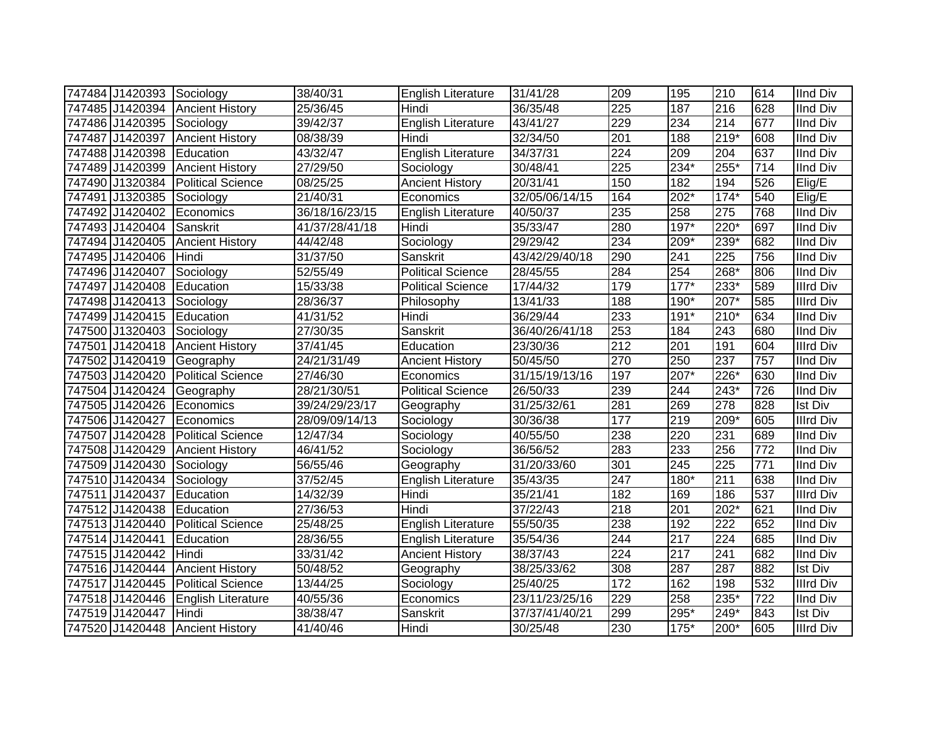| 747484 J1420393 Sociology         |                          | 38/40/31       | English Literature        | 31/41/28       | 209              | 195    | 210              | 614 | <b>IInd Div</b>  |
|-----------------------------------|--------------------------|----------------|---------------------------|----------------|------------------|--------|------------------|-----|------------------|
| 747485 J1420394 Ancient History   |                          | 25/36/45       | Hindi                     | 36/35/48       | $\overline{225}$ | 187    | 216              | 628 | <b>IInd Div</b>  |
| 747486 J1420395 Sociology         |                          | 39/42/37       | English Literature        | 43/41/27       | 229              | 234    | 214              | 677 | <b>IInd Div</b>  |
| 747487 J1420397                   | <b>Ancient History</b>   | 08/38/39       | Hindi                     | 32/34/50       | $\overline{201}$ | 188    | $219*$           | 608 | <b>IInd Div</b>  |
| 747488 J1420398                   | Education                | 43/32/47       | <b>English Literature</b> | 34/37/31       | $\overline{224}$ | 209    | 204              | 637 | <b>IInd Div</b>  |
| 747489 J1420399                   | <b>Ancient History</b>   | 27/29/50       | Sociology                 | 30/48/41       | 225              | $234*$ | $255*$           | 714 | <b>IInd Div</b>  |
| 747490 J1320384                   | <b>Political Science</b> | 08/25/25       | <b>Ancient History</b>    | 20/31/41       | 150              | 182    | 194              | 526 | Elig/E           |
| 747491 J1320385                   | Sociology                | 21/40/31       | Economics                 | 32/05/06/14/15 | 164              | 202*   | $174*$           | 540 | Elig/E           |
| 747492 J1420402                   | Economics                | 36/18/16/23/15 | <b>English Literature</b> | 40/50/37       | 235              | 258    | $\overline{275}$ | 768 | <b>IInd Div</b>  |
| 747493 J1420404                   | Sanskrit                 | 41/37/28/41/18 | Hindi                     | 35/33/47       | 280              | 197*   | 220*             | 697 | <b>IInd Div</b>  |
| 747494 J1420405                   | <b>Ancient History</b>   | 44/42/48       | Sociology                 | 29/29/42       | 234              | 209*   | 239*             | 682 | <b>IInd Div</b>  |
| 747495 J1420406                   | Hindi                    | 31/37/50       | Sanskrit                  | 43/42/29/40/18 | 290              | 241    | 225              | 756 | <b>IInd Div</b>  |
| 747496 J1420407                   | Sociology                | 52/55/49       | <b>Political Science</b>  | 28/45/55       | 284              | 254    | 268*             | 806 | <b>IInd Div</b>  |
| 747497 J1420408                   | Education                | 15/33/38       | <b>Political Science</b>  | 17/44/32       | 179              | $177*$ | 233*             | 589 | <b>Illrd Div</b> |
| 747498 J1420413                   | Sociology                | 28/36/37       | Philosophy                | 13/41/33       | 188              | 190*   | $207*$           | 585 | <b>Illrd Div</b> |
| 747499 J1420415                   | Education                | 41/31/52       | Hindi                     | 36/29/44       | 233              | $191*$ | 210*             | 634 | <b>IInd Div</b>  |
| 747500 J1320403                   | Sociology                | 27/30/35       | Sanskrit                  | 36/40/26/41/18 | 253              | 184    | 243              | 680 | <b>IInd Div</b>  |
| 747501 J1420418                   | <b>Ancient History</b>   | 37/41/45       | Education                 | 23/30/36       | $\overline{212}$ | 201    | 191              | 604 | <b>Illrd Div</b> |
| 747502 J1420419                   | Geography                | 24/21/31/49    | <b>Ancient History</b>    | 50/45/50       | 270              | 250    | 237              | 757 | <b>IInd Div</b>  |
| 747503 J1420420                   | <b>Political Science</b> | 27/46/30       | Economics                 | 31/15/19/13/16 | 197              | 207*   | 226*             | 630 | <b>IInd Div</b>  |
| 747504 J1420424                   | Geography                | 28/21/30/51    | <b>Political Science</b>  | 26/50/33       | 239              | 244    | 243*             | 726 | <b>IInd Div</b>  |
| 747505 J1420426                   | Economics                | 39/24/29/23/17 | Geography                 | 31/25/32/61    | 281              | 269    | $\overline{278}$ | 828 | <b>Ist Div</b>   |
| 747506 J1420427                   | <b>IEconomics</b>        | 28/09/09/14/13 | Sociology                 | 30/36/38       | 177              | 219    | 209*             | 605 | <b>Illrd Div</b> |
| 747507 J1420428 Political Science |                          | 12/47/34       | Sociology                 | 40/55/50       | 238              | 220    | 231              | 689 | <b>IInd Div</b>  |
| 747508 J1420429 Ancient History   |                          | 46/41/52       | Sociology                 | 36/56/52       | 283              | 233    | 256              | 772 | <b>IInd Div</b>  |
| 747509 J1420430 Sociology         |                          | 56/55/46       | Geography                 | 31/20/33/60    | 301              | 245    | 225              | 771 | <b>IInd Div</b>  |
| 747510 J1420434                   | Sociology                | 37/52/45       | <b>English Literature</b> | 35/43/35       | $\overline{247}$ | 180*   | $\overline{211}$ | 638 | <b>IInd Div</b>  |
| 747511 J1420437                   | Education                | 14/32/39       | Hindi                     | 35/21/41       | 182              | 169    | 186              | 537 | <b>Illrd Div</b> |
| 747512 J1420438                   | Education                | 27/36/53       | Hindi                     | 37/22/43       | $\overline{218}$ | 201    | $202*$           | 621 | <b>IInd Div</b>  |
| 747513 J1420440                   | <b>Political Science</b> | 25/48/25       | <b>English Literature</b> | 55/50/35       | 238              | 192    | $\overline{222}$ | 652 | <b>IInd Div</b>  |
| 747514 J1420441                   | Education                | 28/36/55       | English Literature        | 35/54/36       | 244              | 217    | 224              | 685 | <b>IInd Div</b>  |
| 747515 J1420442                   | Hindi                    | 33/31/42       | <b>Ancient History</b>    | 38/37/43       | 224              | 217    | 241              | 682 | <b>IInd Div</b>  |
| 747516 J1420444                   | <b>Ancient History</b>   | 50/48/52       | Geography                 | 38/25/33/62    | 308              | 287    | 287              | 882 | <b>Ist Div</b>   |
| 747517 J1420445                   | <b>Political Science</b> | 13/44/25       | Sociology                 | 25/40/25       | 172              | 162    | 198              | 532 | <b>Illrd Div</b> |
| 747518 J1420446                   | English Literature       | 40/55/36       | Economics                 | 23/11/23/25/16 | 229              | 258    | 235*             | 722 | <b>IInd Div</b>  |
| 747519 J1420447                   | Hindi                    | 38/38/47       | Sanskrit                  | 37/37/41/40/21 | 299              | 295*   | 249*             | 843 | <b>Ist Div</b>   |
| 747520 J1420448 Ancient History   |                          | 41/40/46       | Hindi                     | 30/25/48       | 230              | $175*$ | 200*             | 605 | <b>Illrd Div</b> |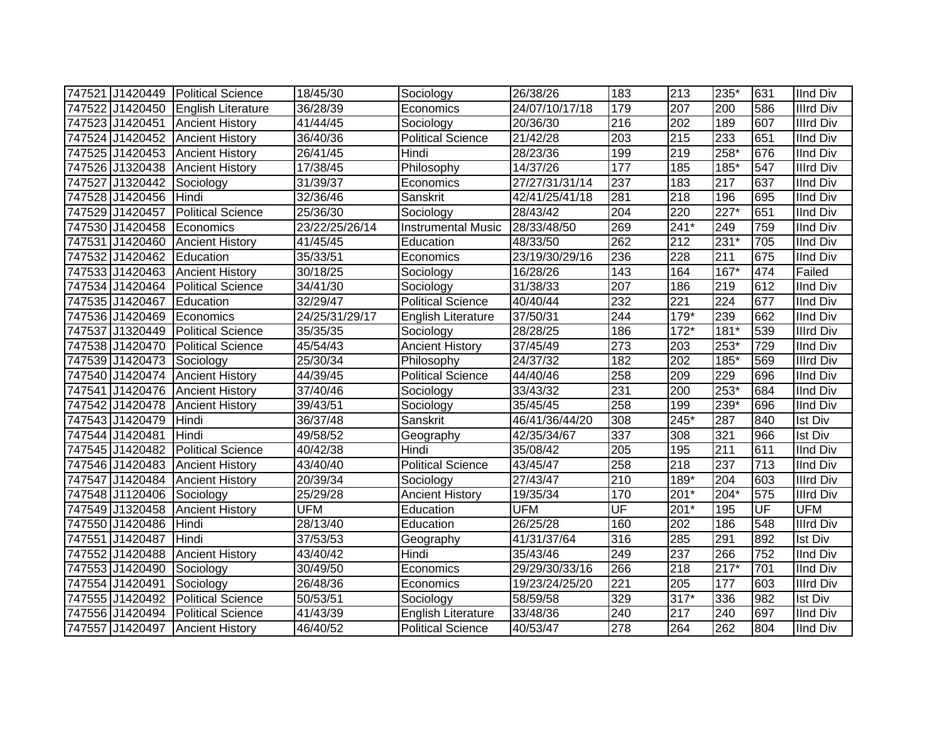|                 | 747521 J1420449 Political Science  | 18/45/30       | Sociology                 | 26/38/26       | 183 | 213    | 235*   | 631                      | <b>IInd Div</b>  |
|-----------------|------------------------------------|----------------|---------------------------|----------------|-----|--------|--------|--------------------------|------------------|
|                 | 747522 J1420450 English Literature | 36/28/39       | Economics                 | 24/07/10/17/18 | 179 | 207    | 200    | 586                      | <b>Illrd Div</b> |
| 747523 J1420451 | <b>Ancient History</b>             | 41/44/45       | Sociology                 | 20/36/30       | 216 | 202    | 189    | 607                      | <b>Illrd Div</b> |
| 747524 J1420452 | <b>Ancient History</b>             | 36/40/36       | <b>Political Science</b>  | 21/42/28       | 203 | 215    | 233    | 651                      | <b>IInd Div</b>  |
| 747525 J1420453 | <b>Ancient History</b>             | 26/41/45       | Hindi                     | 28/23/36       | 199 | 219    | $258*$ | 676                      | <b>IInd Div</b>  |
| 747526 J1320438 | <b>Ancient History</b>             | 17/38/45       | Philosophy                | 14/37/26       | 177 | 185    | $185*$ | 547                      | <b>Illrd Div</b> |
| 747527 J1320442 | Sociology                          | 31/39/37       | Economics                 | 27/27/31/31/14 | 237 | 183    | 217    | 637                      | <b>IInd Div</b>  |
| 747528 J1420456 | Hindi                              | 32/36/46       | Sanskrit                  | 42/41/25/41/18 | 281 | 218    | 196    | 695                      | <b>IInd Div</b>  |
| 747529 J1420457 | <b>Political Science</b>           | 25/36/30       | Sociology                 | 28/43/42       | 204 | 220    | $227*$ | 651                      | <b>IInd Div</b>  |
| 747530 J1420458 | Economics                          | 23/22/25/26/14 | <b>Instrumental Music</b> | 28/33/48/50    | 269 | $241*$ | 249    | 759                      | <b>IInd Div</b>  |
| 747531 J1420460 | <b>Ancient History</b>             | 41/45/45       | Education                 | 48/33/50       | 262 | 212    | $231*$ | 705                      | <b>IInd Div</b>  |
| 747532 J1420462 | Education                          | 35/33/51       | Economics                 | 23/19/30/29/16 | 236 | 228    | 211    | 675                      | <b>IInd Div</b>  |
| 747533 J1420463 | <b>Ancient History</b>             | 30/18/25       | Sociology                 | 16/28/26       | 143 | 164    | 167*   | 474                      | Failed           |
| 747534 J1420464 | <b>Political Science</b>           | 34/41/30       | Sociology                 | 31/38/33       | 207 | 186    | 219    | 612                      | <b>IInd Div</b>  |
| 747535 J1420467 | Education                          | 32/29/47       | <b>Political Science</b>  | 40/40/44       | 232 | 221    | 224    | 677                      | <b>IInd Div</b>  |
| 747536 J1420469 | Economics                          | 24/25/31/29/17 | <b>English Literature</b> | 37/50/31       | 244 | $179*$ | 239    | 662                      | <b>IInd Div</b>  |
| 747537 J1320449 | <b>Political Science</b>           | 35/35/35       | Sociology                 | 28/28/25       | 186 | $172*$ | $181*$ | 539                      | <b>Illrd Div</b> |
| 747538 J1420470 | <b>Political Science</b>           | 45/54/43       | <b>Ancient History</b>    | 37/45/49       | 273 | 203    | $253*$ | 729                      | <b>IInd Div</b>  |
| 747539 J1420473 | Sociology                          | 25/30/34       | Philosophy                | 24/37/32       | 182 | 202    | 185*   | 569                      | <b>Illrd Div</b> |
| 747540 J1420474 | <b>Ancient History</b>             | 44/39/45       | <b>Political Science</b>  | 44/40/46       | 258 | 209    | 229    | 696                      | <b>IInd Div</b>  |
| 747541 J1420476 | <b>Ancient History</b>             | 37/40/46       | Sociology                 | 33/43/32       | 231 | 200    | 253*   | 684                      | <b>IInd Div</b>  |
| 747542 J1420478 | <b>Ancient History</b>             | 39/43/51       | Sociology                 | 35/45/45       | 258 | 199    | 239*   | 696                      | <b>IInd Div</b>  |
| 747543 J1420479 | Hindi                              | 36/37/48       | Sanskrit                  | 46/41/36/44/20 | 308 | $245*$ | 287    | 840                      | <b>Ist Div</b>   |
| 747544 J1420481 | Hindi                              | 49/58/52       | Geography                 | 42/35/34/67    | 337 | 308    | 321    | 966                      | <b>Ist Div</b>   |
|                 | 747545 J1420482 Political Science  | 40/42/38       | Hindi                     | 35/08/42       | 205 | 195    | 211    | 611                      | <b>IInd Div</b>  |
| 747546 J1420483 | <b>Ancient History</b>             | 43/40/40       | <b>Political Science</b>  | 43/45/47       | 258 | 218    | 237    | 713                      | <b>IInd Div</b>  |
| 747547 J1420484 | <b>Ancient History</b>             | 20/39/34       | Sociology                 | 27/43/47       | 210 | $189*$ | 204    | 603                      | <b>Illrd Div</b> |
| 747548 J1120406 | Sociology                          | 25/29/28       | <b>Ancient History</b>    | 19/35/34       | 170 | $201*$ | $204*$ | 575                      | <b>Illrd Div</b> |
| 747549 J1320458 | <b>Ancient History</b>             | <b>UFM</b>     | Education                 | <b>UFM</b>     | UF  | $201*$ | 195    | $\overline{\mathsf{UF}}$ | <b>UFM</b>       |
| 747550 J1420486 | Hindi                              | 28/13/40       | Education                 | 26/25/28       | 160 | 202    | 186    | 548                      | <b>Illrd Div</b> |
| 747551 J1420487 | Hindi                              | 37/53/53       | Geography                 | 41/31/37/64    | 316 | 285    | 291    | 892                      | <b>Ist Div</b>   |
| 747552 J1420488 | <b>Ancient History</b>             | 43/40/42       | Hindi                     | 35/43/46       | 249 | 237    | 266    | 752                      | <b>IInd Div</b>  |
| 747553 J1420490 | Sociology                          | 30/49/50       | Economics                 | 29/29/30/33/16 | 266 | 218    | $217*$ | 701                      | <b>IInd Div</b>  |
| 747554 J1420491 | Sociology                          | 26/48/36       | Economics                 | 19/23/24/25/20 | 221 | 205    | 177    | 603                      | <b>Illrd Div</b> |
| 747555 J1420492 | <b>Political Science</b>           | 50/53/51       | Sociology                 | 58/59/58       | 329 | $317*$ | 336    | 982                      | <b>Ist Div</b>   |
| 747556 J1420494 | <b>Political Science</b>           | 41/43/39       | English Literature        | 33/48/36       | 240 | 217    | 240    | 697                      | <b>IInd Div</b>  |
|                 | 747557 J1420497 Ancient History    | 46/40/52       | <b>Political Science</b>  | 40/53/47       | 278 | 264    | 262    | 804                      | <b>IInd Div</b>  |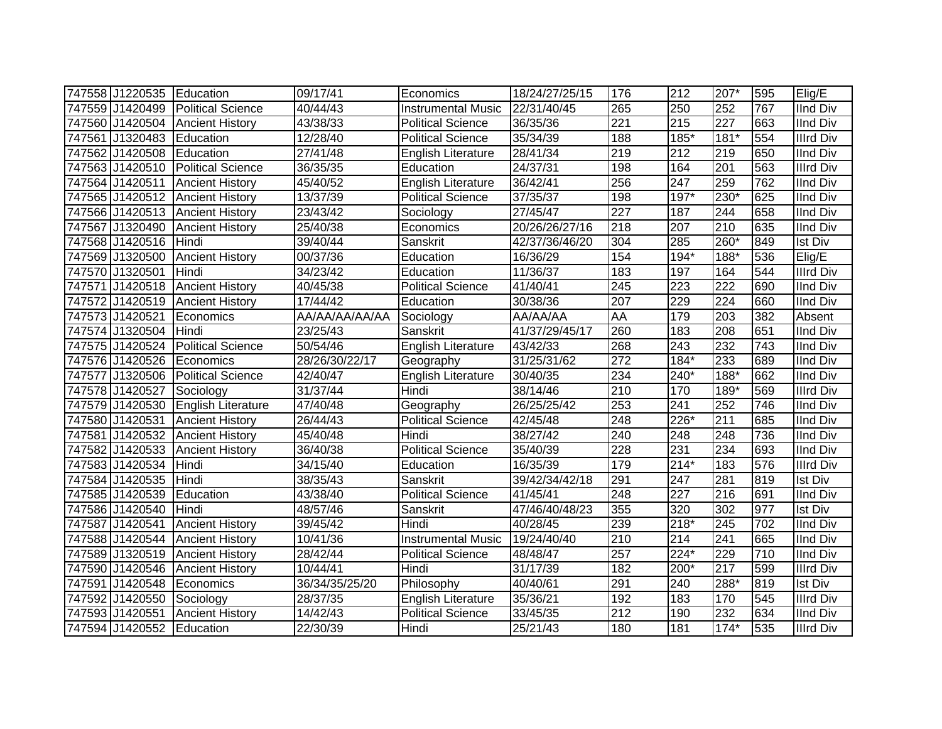| 747558 J1220535 Education |                                 | 09/17/41          | Economics                 | 18/24/27/25/15        | 176              | 212    | 207*             | 595 | Elig/E           |
|---------------------------|---------------------------------|-------------------|---------------------------|-----------------------|------------------|--------|------------------|-----|------------------|
| 747559 J1420499           | <b>Political Science</b>        | 40/44/43          | <b>Instrumental Music</b> | 22/31/40/45           | 265              | 250    | 252              | 767 | <b>IInd Div</b>  |
|                           | 747560 J1420504 Ancient History | 43/38/33          | <b>Political Science</b>  | 36/35/36              | 221              | 215    | $\overline{227}$ | 663 | <b>IInd Div</b>  |
| 747561 J1320483           | Education                       | 12/28/40          | <b>Political Science</b>  | 35/34/39              | 188              | $185*$ | $181*$           | 554 | <b>Illrd Div</b> |
| 747562 J1420508           | Education                       | 27/41/48          | English Literature        | 28/41/34              | $\overline{219}$ | 212    | 219              | 650 | <b>IInd Div</b>  |
| 747563 J1420510           | <b>Political Science</b>        | 36/35/35          | Education                 | 24/37/31              | 198              | 164    | $\overline{201}$ | 563 | <b>Illrd Div</b> |
| 747564 J1420511           | <b>Ancient History</b>          | 45/40/52          | <b>English Literature</b> | 36/42/41              | 256              | 247    | 259              | 762 | <b>IInd Div</b>  |
| 747565 J1420512           | <b>Ancient History</b>          | 13/37/39          | Political Science         | 37/35/37              | 198              | $197*$ | $230*$           | 625 | <b>IInd Div</b>  |
| 747566 J1420513           | <b>Ancient History</b>          | 23/43/42          | Sociology                 | $\overline{27}/45/47$ | 227              | 187    | 244              | 658 | <b>IInd Div</b>  |
| 747567 J1320490           | <b>Ancient History</b>          | 25/40/38          | Economics                 | 20/26/26/27/16        | 218              | 207    | 210              | 635 | <b>IInd Div</b>  |
| 747568 J1420516           | Hindi                           | 39/40/44          | Sanskrit                  | 42/37/36/46/20        | 304              | 285    | $260*$           | 849 | Ist Div          |
| 747569 J1320500           | <b>Ancient History</b>          | 00/37/36          | Education                 | 16/36/29              | 154              | 194*   | 188*             | 536 | Elig/E           |
| 747570 J1320501           | Hindi                           | 34/23/42          | Education                 | 11/36/37              | 183              | 197    | 164              | 544 | Illrd Div        |
| 747571 J1420518           | <b>Ancient History</b>          | 40/45/38          | <b>Political Science</b>  | 41/40/41              | 245              | 223    | 222              | 690 | <b>IInd Div</b>  |
| 747572 J1420519           | <b>Ancient History</b>          | 17/44/42          | Education                 | 30/38/36              | $\overline{207}$ | 229    | $\overline{224}$ | 660 | <b>IInd Div</b>  |
| 747573 J1420521           | Economics                       | AA/AA/AA/AA/AA    | Sociology                 | AA/AA/AA              | AA               | 179    | 203              | 382 | Absent           |
| 747574 J1320504           | Hindi                           | $\sqrt{23}/25/43$ | Sanskrit                  | 41/37/29/45/17        | 260              | 183    | 208              | 651 | <b>IInd Div</b>  |
| 747575 J1420524           | <b>Political Science</b>        | 50/54/46          | English Literature        | 43/42/33              | 268              | 243    | 232              | 743 | <b>IInd Div</b>  |
| 747576 J1420526           | Economics                       | 28/26/30/22/17    | Geography                 | 31/25/31/62           | $\overline{272}$ | 184*   | 233              | 689 | <b>IInd Div</b>  |
| 747577 J1320506           | <b>Political Science</b>        | 42/40/47          | English Literature        | 30/40/35              | 234              | 240*   | 188*             | 662 | <b>IInd Div</b>  |
| 747578 J1420527           | Sociology                       | 31/37/44          | Hindi                     | 38/14/46              | 210              | 170    | 189*             | 569 | <b>Illrd Div</b> |
| 747579 J1420530           | English Literature              | 47/40/48          | Geography                 | 26/25/25/42           | 253              | 241    | 252              | 746 | <b>IInd Div</b>  |
| 747580 J1420531           | <b>Ancient History</b>          | 26/44/43          | <b>Political Science</b>  | 42/45/48              | 248              | 226*   | $\overline{211}$ | 685 | <b>IInd Div</b>  |
| 747581 J1420532           | <b>Ancient History</b>          | 45/40/48          | Hindi                     | 38/27/42              | $\overline{240}$ | 248    | 248              | 736 | <b>IInd Div</b>  |
| 747582 J1420533           | <b>Ancient History</b>          | 36/40/38          | <b>Political Science</b>  | 35/40/39              | 228              | 231    | 234              | 693 | <b>IInd Div</b>  |
| 747583 J1420534           | Hindi                           | 34/15/40          | Education                 | 16/35/39              | 179              | $214*$ | 183              | 576 | <b>Illrd Div</b> |
| 747584 J1420535           | Hindi                           | 38/35/43          | Sanskrit                  | 39/42/34/42/18        | 291              | 247    | 281              | 819 | <b>Ist Div</b>   |
| 747585 J1420539           | Education                       | 43/38/40          | <b>Political Science</b>  | 41/45/41              | 248              | 227    | 216              | 691 | <b>IInd Div</b>  |
| 747586 J1420540           | Hindi                           | 48/57/46          | Sanskrit                  | 47/46/40/48/23        | 355              | 320    | 302              | 977 | <b>Ist Div</b>   |
| 747587 J1420541           | <b>Ancient History</b>          | 39/45/42          | Hindi                     | 40/28/45              | 239              | $218*$ | 245              | 702 | <b>IInd Div</b>  |
| 747588 J1420544           | <b>Ancient History</b>          | 10/41/36          | <b>Instrumental Music</b> | 19/24/40/40           | $\overline{210}$ | 214    | 241              | 665 | <b>IInd Div</b>  |
| 747589 J1320519           | <b>Ancient History</b>          | 28/42/44          | <b>Political Science</b>  | 48/48/47              | 257              | 224*   | 229              | 710 | <b>IInd Div</b>  |
| 747590 J1420546           | <b>Ancient History</b>          | 10/44/41          | Hindi                     | 31/17/39              | 182              | 200*   | $\overline{217}$ | 599 | <b>Illrd Div</b> |
| 747591 J1420548           | Economics                       | 36/34/35/25/20    | Philosophy                | 40/40/61              | 291              | 240    | 288*             | 819 | <b>Ist Div</b>   |
| 747592 J1420550           | Sociology                       | 28/37/35          | English Literature        | 35/36/21              | 192              | 183    | 170              | 545 | <b>Illrd Div</b> |
| 747593 J1420551           | <b>Ancient History</b>          | 14/42/43          | Political Science         | 33/45/35              | 212              | 190    | 232              | 634 | <b>IInd Div</b>  |
| 747594 J1420552           | Education                       | 22/30/39          | Hindi                     | 25/21/43              | 180              | 181    | $174*$           | 535 | <b>Illrd Div</b> |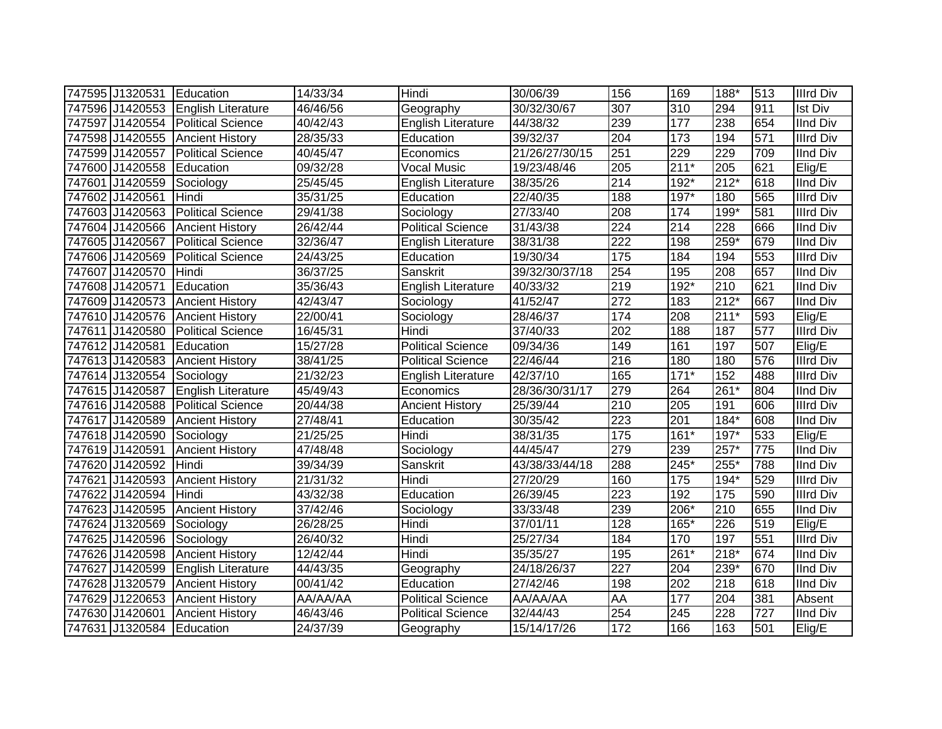|        | 747595 J1320531 | Education                 | 14/33/34 | Hindi                     | 30/06/39       | 156              | 169              | 188*   | 513 | <b>Illrd Div</b> |
|--------|-----------------|---------------------------|----------|---------------------------|----------------|------------------|------------------|--------|-----|------------------|
|        | 747596 J1420553 | <b>English Literature</b> | 46/46/56 | Geography                 | 30/32/30/67    | 307              | 310              | 294    | 911 | <b>Ist Div</b>   |
|        | 747597 J1420554 | Political Science         | 40/42/43 | English Literature        | 44/38/32       | 239              | 177              | 238    | 654 | <b>IInd Div</b>  |
|        | 747598 J1420555 | <b>Ancient History</b>    | 28/35/33 | Education                 | 39/32/37       | 204              | 173              | 194    | 571 | Illrd Div        |
|        | 747599 J1420557 | <b>Political Science</b>  | 40/45/47 | Economics                 | 21/26/27/30/15 | 251              | 229              | 229    | 709 | <b>IInd Div</b>  |
|        | 747600 J1420558 | Education                 | 09/32/28 | Vocal Music               | 19/23/48/46    | 205              | $211*$           | 205    | 621 | Elig/E           |
|        | 747601 J1420559 | Sociology                 | 25/45/45 | <b>English Literature</b> | 38/35/26       | 214              | 192*             | $212*$ | 618 | <b>IInd Div</b>  |
|        | 747602 J1420561 | Hindi                     | 35/31/25 | Education                 | 22/40/35       | 188              | $197*$           | 180    | 565 | <b>Illrd Div</b> |
|        | 747603 J1420563 | <b>Political Science</b>  | 29/41/38 | Sociology                 | 27/33/40       | 208              | 174              | 199*   | 581 | <b>Illrd Div</b> |
|        | 747604 J1420566 | <b>Ancient History</b>    | 26/42/44 | Political Science         | 31/43/38       | 224              | $\overline{214}$ | 228    | 666 | <b>IInd Div</b>  |
|        | 747605 J1420567 | Political Science         | 32/36/47 | <b>English Literature</b> | 38/31/38       | 222              | 198              | $259*$ | 679 | <b>IInd Div</b>  |
|        | 747606 J1420569 | <b>Political Science</b>  | 24/43/25 | Education                 | 19/30/34       | 175              | 184              | 194    | 553 | <b>Illrd Div</b> |
|        | 747607 J1420570 | Hindi                     | 36/37/25 | Sanskrit                  | 39/32/30/37/18 | 254              | 195              | 208    | 657 | <b>IInd Div</b>  |
|        | 747608 J1420571 | Education                 | 35/36/43 | <b>English Literature</b> | 40/33/32       | 219              | 192*             | 210    | 621 | <b>IInd Div</b>  |
|        | 747609 J1420573 | <b>Ancient History</b>    | 42/43/47 | Sociology                 | 41/52/47       | 272              | 183              | $212*$ | 667 | <b>IInd Div</b>  |
|        | 747610 J1420576 | <b>Ancient History</b>    | 22/00/41 | Sociology                 | 28/46/37       | 174              | 208              | $211*$ | 593 | Elig/E           |
|        | 747611 J1420580 | Political Science         | 16/45/31 | Hindi                     | 37/40/33       | 202              | 188              | 187    | 577 | Illrd Div        |
|        | 747612 J1420581 | Education                 | 15/27/28 | <b>Political Science</b>  | 09/34/36       | 149              | 161              | 197    | 507 | Elig/E           |
|        | 747613 J1420583 | <b>Ancient History</b>    | 38/41/25 | <b>Political Science</b>  | 22/46/44       | 216              | 180              | 180    | 576 | <b>Illrd Div</b> |
|        | 747614 J1320554 | Sociology                 | 21/32/23 | English Literature        | 42/37/10       | 165              | $171*$           | 152    | 488 | <b>Illrd Div</b> |
|        | 747615 J1420587 | <b>English Literature</b> | 45/49/43 | Economics                 | 28/36/30/31/17 | 279              | 264              | 261*   | 804 | <b>IInd Div</b>  |
|        | 747616 J1420588 | Political Science         | 20/44/38 | <b>Ancient History</b>    | 25/39/44       | 210              | 205              | 191    | 606 | <b>Illrd Div</b> |
|        | 747617 J1420589 | <b>Ancient History</b>    | 27/48/41 | Education                 | 30/35/42       | 223              | 201              | $184*$ | 608 | <b>IInd Div</b>  |
|        | 747618 J1420590 | Sociology                 | 21/25/25 | Hindi                     | 38/31/35       | $\overline{175}$ | $161*$           | $197*$ | 533 | Elig/E           |
|        | 747619 J1420591 | <b>Ancient History</b>    | 47/48/48 | Sociology                 | 44/45/47       | 279              | 239              | $257*$ | 775 | <b>IInd Div</b>  |
|        | 747620 J1420592 | Hindi                     | 39/34/39 | Sanskrit                  | 43/38/33/44/18 | 288              | $245*$           | 255*   | 788 | <b>IInd Div</b>  |
| 747621 | J1420593        | <b>Ancient History</b>    | 21/31/32 | Hindi                     | 27/20/29       | 160              | 175              | 194*   | 529 | <b>Illrd Div</b> |
|        | 747622 J1420594 | Hindi                     | 43/32/38 | Education                 | 26/39/45       | 223              | 192              | 175    | 590 | <b>Illrd Div</b> |
|        | 747623 J1420595 | <b>Ancient History</b>    | 37/42/46 | Sociology                 | 33/33/48       | 239              | 206*             | 210    | 655 | <b>IInd Div</b>  |
|        | 747624 J1320569 | Sociology                 | 26/28/25 | Hindi                     | 37/01/11       | 128              | 165*             | 226    | 519 | Elig/E           |
|        | 747625 J1420596 | Sociology                 | 26/40/32 | Hindi                     | 25/27/34       | 184              | 170              | 197    | 551 | <b>Illrd Div</b> |
|        | 747626 J1420598 | <b>Ancient History</b>    | 12/42/44 | Hindi                     | 35/35/27       | 195              | $261*$           | 218*   | 674 | <b>IInd Div</b>  |
|        | 747627 J1420599 | <b>English Literature</b> | 44/43/35 | Geography                 | 24/18/26/37    | 227              | 204              | $239*$ | 670 | <b>IInd Div</b>  |
|        | 747628 J1320579 | <b>Ancient History</b>    | 00/41/42 | Education                 | 27/42/46       | 198              | 202              | 218    | 618 | <b>IInd Div</b>  |
|        | 747629 J1220653 | <b>Ancient History</b>    | AA/AA/AA | <b>Political Science</b>  | AA/AA/AA       | <b>AA</b>        | 177              | 204    | 381 | Absent           |
|        | 747630 J1420601 | <b>Ancient History</b>    | 46/43/46 | <b>Political Science</b>  | 32/44/43       | 254              | 245              | 228    | 727 | <b>IInd Div</b>  |
|        | 747631 J1320584 | Education                 | 24/37/39 | Geography                 | 15/14/17/26    | 172              | 166              | 163    | 501 | Elig/E           |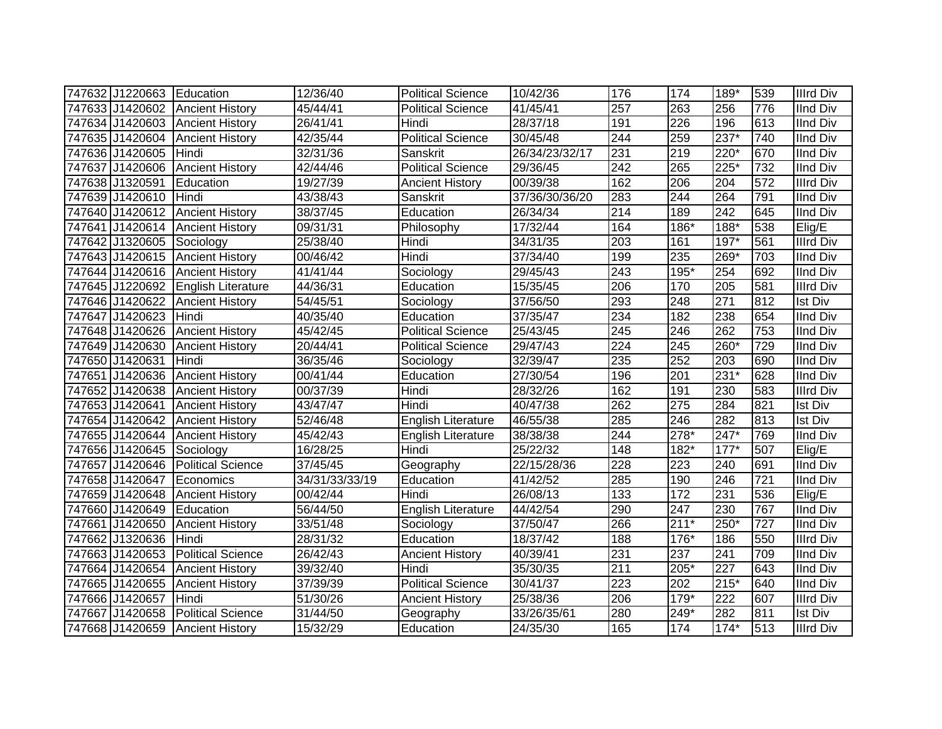| 747632 J1220663 Education       |                           | 12/36/40       | <b>Political Science</b>  | 10/42/36       | 176              | 174              | 189*             | 539 | <b>Illrd Div</b> |
|---------------------------------|---------------------------|----------------|---------------------------|----------------|------------------|------------------|------------------|-----|------------------|
| 747633 J1420602 Ancient History |                           | 45/44/41       | <b>Political Science</b>  | 41/45/41       | 257              | 263              | 256              | 776 | <b>IInd Div</b>  |
| 747634 J1420603                 | <b>Ancient History</b>    | 26/41/41       | Hindi                     | 28/37/18       | 191              | 226              | 196              | 613 | <b>IInd Div</b>  |
| 747635 J1420604 Ancient History |                           | 42/35/44       | <b>Political Science</b>  | 30/45/48       | 244              | 259              | $237*$           | 740 | <b>IInd Div</b>  |
| 747636 J1420605                 | Hindi                     | 32/31/36       | Sanskrit                  | 26/34/23/32/17 | 231              | 219              | $220*$           | 670 | <b>IInd Div</b>  |
| 747637 J1420606                 | <b>Ancient History</b>    | 42/44/46       | <b>Political Science</b>  | 29/36/45       | 242              | 265              | $225*$           | 732 | <b>IInd Div</b>  |
| 747638 J1320591                 | Education                 | 19/27/39       | <b>Ancient History</b>    | 00/39/38       | 162              | 206              | 204              | 572 | <b>Illrd Div</b> |
| 747639 J1420610                 | Hindi                     | 43/38/43       | Sanskrit                  | 37/36/30/36/20 | 283              | 244              | 264              | 791 | <b>IInd Div</b>  |
| 747640 J1420612                 | <b>Ancient History</b>    | 38/37/45       | Education                 | 26/34/34       | $\overline{214}$ | 189              | 242              | 645 | <b>IInd Div</b>  |
| 747641 J1420614                 | <b>Ancient History</b>    | 09/31/31       | Philosophy                | 17/32/44       | 164              | 186*             | $188*$           | 538 | Elig/E           |
| 747642 J1320605                 | Sociology                 | 25/38/40       | Hindi                     | 34/31/35       | 203              | 161              | $197*$           | 561 | <b>Illrd Div</b> |
| 747643 J1420615                 | <b>Ancient History</b>    | 00/46/42       | Hindi                     | 37/34/40       | 199              | 235              | 269*             | 703 | <b>IInd Div</b>  |
| 747644 J1420616                 | <b>Ancient History</b>    | 41/41/44       | Sociology                 | 29/45/43       | 243              | 195*             | 254              | 692 | <b>IInd Div</b>  |
| 747645 J1220692                 | <b>English Literature</b> | 44/36/31       | Education                 | 15/35/45       | 206              | 170              | 205              | 581 | <b>Illrd Div</b> |
| 747646 J1420622                 | <b>Ancient History</b>    | 54/45/51       | Sociology                 | 37/56/50       | 293              | 248              | 271              | 812 | <b>Ist Div</b>   |
| 747647 J1420623                 | Hindi                     | 40/35/40       | Education                 | 37/35/47       | 234              | 182              | 238              | 654 | <b>IInd Div</b>  |
| 747648 J1420626                 | <b>Ancient History</b>    | 45/42/45       | <b>Political Science</b>  | 25/43/45       | 245              | 246              | 262              | 753 | <b>IInd Div</b>  |
| 747649 J1420630                 | <b>Ancient History</b>    | 20/44/41       | <b>Political Science</b>  | 29/47/43       | $\overline{224}$ | 245              | $260*$           | 729 | <b>IInd Div</b>  |
| 747650 J1420631                 | Hindi                     | 36/35/46       | Sociology                 | 32/39/47       | 235              | 252              | 203              | 690 | <b>IInd Div</b>  |
| 747651 J1420636                 | <b>Ancient History</b>    | 00/41/44       | Education                 | 27/30/54       | 196              | 201              | $231*$           | 628 | <b>IInd Div</b>  |
| 747652 J1420638                 | <b>Ancient History</b>    | 00/37/39       | Hindi                     | 28/32/26       | 162              | 191              | 230              | 583 | <b>Illrd Div</b> |
| 747653 J1420641                 | <b>Ancient History</b>    | 43/47/47       | Hindi                     | 40/47/38       | 262              | 275              | 284              | 821 | <b>Ist Div</b>   |
| 747654 J1420642                 | <b>Ancient History</b>    | 52/46/48       | <b>English Literature</b> | 46/55/38       | 285              | 246              | 282              | 813 | <b>Ist Div</b>   |
| 747655 J1420644                 | <b>Ancient History</b>    | 45/42/43       | English Literature        | 38/38/38       | 244              | 278*             | 247*             | 769 | <b>IInd Div</b>  |
| 747656 J1420645                 | Sociology                 | 16/28/25       | Hindi                     | 25/22/32       | 148              | $182*$           | $177*$           | 507 | Elig/E           |
| 747657 J1420646                 | <b>Political Science</b>  | 37/45/45       | Geography                 | 22/15/28/36    | 228              | 223              | 240              | 691 | <b>IInd Div</b>  |
| 747658 J1420647                 | Economics                 | 34/31/33/33/19 | Education                 | 41/42/52       | 285              | 190              | $\overline{246}$ | 721 | <b>IInd Div</b>  |
| 747659 J1420648                 | <b>Ancient History</b>    | 00/42/44       | Hindi                     | 26/08/13       | 133              | 172              | 231              | 536 | Elig/E           |
| 747660 J1420649                 | Education                 | 56/44/50       | <b>English Literature</b> | 44/42/54       | 290              | $\overline{247}$ | 230              | 767 | <b>IInd Div</b>  |
| 747661 J1420650                 | <b>Ancient History</b>    | 33/51/48       | Sociology                 | 37/50/47       | 266              | $211*$           | $250*$           | 727 | <b>IInd Div</b>  |
| 747662 J1320636                 | Hindi                     | 28/31/32       | Education                 | 18/37/42       | 188              | 176*             | 186              | 550 | <b>Illrd Div</b> |
| 747663 J1420653                 | <b>Political Science</b>  | 26/42/43       | <b>Ancient History</b>    | 40/39/41       | 231              | 237              | 241              | 709 | <b>IInd Div</b>  |
| 747664 J1420654                 | <b>Ancient History</b>    | 39/32/40       | Hindi                     | 35/30/35       | $\overline{211}$ | $205*$           | 227              | 643 | <b>IInd Div</b>  |
| 747665 J1420655                 | <b>Ancient History</b>    | 37/39/39       | <b>Political Science</b>  | 30/41/37       | 223              | 202              | $215*$           | 640 | <b>IInd Div</b>  |
| 747666 J1420657                 | Hindi                     | 51/30/26       | <b>Ancient History</b>    | 25/38/36       | 206              | $179*$           | 222              | 607 | <b>Illrd Div</b> |
| 747667 J1420658                 | <b>Political Science</b>  | 31/44/50       | Geography                 | 33/26/35/61    | 280              | 249*             | 282              | 811 | <b>Ist Div</b>   |
| 747668 J1420659                 | <b>Ancient History</b>    | 15/32/29       | Education                 | 24/35/30       | 165              | 174              | $174*$           | 513 | <b>Illrd Div</b> |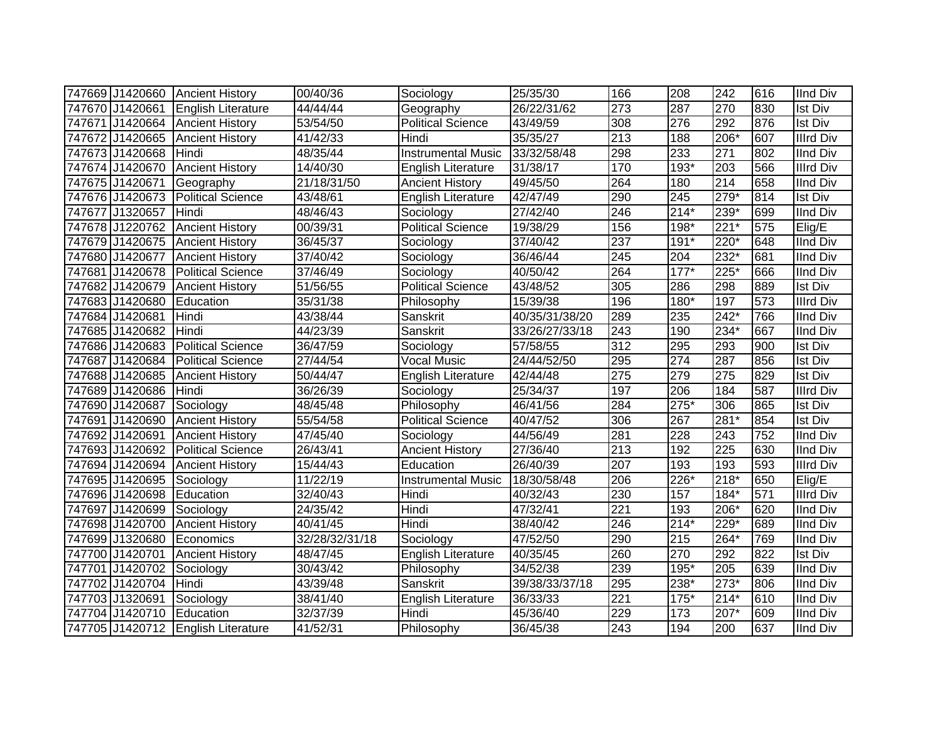|                 | 747669 J1420660 Ancient History    | 00/40/36       | Sociology                 | 25/35/30       | 166              | 208    | 242              | 616 | <b>IInd Div</b>  |
|-----------------|------------------------------------|----------------|---------------------------|----------------|------------------|--------|------------------|-----|------------------|
| 747670 J1420661 | <b>English Literature</b>          | 44/44/44       | Geography                 | 26/22/31/62    | 273              | 287    | 270              | 830 | <b>Ist Div</b>   |
|                 | 747671 J1420664 Ancient History    | 53/54/50       | <b>Political Science</b>  | 43/49/59       | $\overline{308}$ | 276    | 292              | 876 | <b>Ist Div</b>   |
| 747672 J1420665 | <b>Ancient History</b>             | 41/42/33       | Hindi                     | 35/35/27       | $\overline{213}$ | 188    | $206*$           | 607 | <b>Illrd Div</b> |
| 747673 J1420668 | Hindi                              | 48/35/44       | <b>Instrumental Music</b> | 33/32/58/48    | 298              | 233    | $\overline{271}$ | 802 | <b>IInd Div</b>  |
| 747674 J1420670 | <b>Ancient History</b>             | 14/40/30       | English Literature        | 31/38/17       | 170              | $193*$ | 203              | 566 | <b>Illrd Div</b> |
| 747675 J1420671 | Geography                          | 21/18/31/50    | <b>Ancient History</b>    | 49/45/50       | 264              | 180    | 214              | 658 | <b>IInd Div</b>  |
| 747676 J1420673 | <b>Political Science</b>           | 43/48/61       | English Literature        | 42/47/49       | 290              | 245    | $279*$           | 814 | <b>Ist Div</b>   |
| 747677 J1320657 | Hindi                              | 48/46/43       | Sociology                 | 27/42/40       | 246              | $214*$ | 239*             | 699 | <b>IInd Div</b>  |
| 747678 J1220762 | <b>Ancient History</b>             | 00/39/31       | <b>Political Science</b>  | 19/38/29       | 156              | 198*   | $221*$           | 575 | Elig/E           |
| 747679 J1420675 | <b>Ancient History</b>             | 36/45/37       | Sociology                 | 37/40/42       | 237              | $191*$ | 220*             | 648 | <b>IInd Div</b>  |
| 747680 J1420677 | <b>Ancient History</b>             | 37/40/42       | Sociology                 | 36/46/44       | 245              | 204    | $232*$           | 681 | <b>IInd Div</b>  |
| 747681 J1420678 | <b>Political Science</b>           | 37/46/49       | Sociology                 | 40/50/42       | 264              | $177*$ | $225*$           | 666 | <b>IInd Div</b>  |
| 747682 J1420679 | <b>Ancient History</b>             | 51/56/55       | <b>Political Science</b>  | 43/48/52       | 305              | 286    | 298              | 889 | <b>Ist Div</b>   |
| 747683 J1420680 | Education                          | 35/31/38       | Philosophy                | 15/39/38       | 196              | 180*   | 197              | 573 | <b>Illrd Div</b> |
| 747684 J1420681 | Hindi                              | 43/38/44       | Sanskrit                  | 40/35/31/38/20 | 289              | 235    | 242*             | 766 | <b>IInd Div</b>  |
| 747685 J1420682 | Hindi                              | 44/23/39       | Sanskrit                  | 33/26/27/33/18 | 243              | 190    | 234*             | 667 | <b>IInd Div</b>  |
| 747686 J1420683 | <b>Political Science</b>           | 36/47/59       | Sociology                 | 57/58/55       | $\overline{312}$ | 295    | 293              | 900 | <b>Ist Div</b>   |
| 747687 J1420684 | Political Science                  | 27/44/54       | <b>Vocal Music</b>        | 24/44/52/50    | 295              | 274    | 287              | 856 | <b>Ist Div</b>   |
| 747688 J1420685 | <b>Ancient History</b>             | 50/44/47       | English Literature        | 42/44/48       | 275              | 279    | 275              | 829 | <b>Ist Div</b>   |
| 747689 J1420686 | <b>I</b> Hindi                     | 36/26/39       | Sociology                 | 25/34/37       | 197              | 206    | 184              | 587 | <b>Illrd Div</b> |
| 747690 J1420687 | Sociology                          | 48/45/48       | Philosophy                | 46/41/56       | 284              | $275*$ | 306              | 865 | <b>Ist Div</b>   |
| 747691 J1420690 | <b>Ancient History</b>             | 55/54/58       | <b>Political Science</b>  | 40/47/52       | 306              | 267    | $281*$           | 854 | <b>Ist Div</b>   |
| 747692 J1420691 | <b>Ancient History</b>             | 47/45/40       | Sociology                 | 44/56/49       | 281              | 228    | 243              | 752 | <b>IInd Div</b>  |
| 747693 J1420692 | <b>Political Science</b>           | 26/43/41       | <b>Ancient History</b>    | 27/36/40       | 213              | 192    | 225              | 630 | <b>IInd Div</b>  |
| 747694 J1420694 | <b>Ancient History</b>             | 15/44/43       | Education                 | 26/40/39       | 207              | 193    | 193              | 593 | <b>Illrd Div</b> |
| 747695 J1420695 | Sociology                          | 11/22/19       | <b>Instrumental Music</b> | 18/30/58/48    | 206              | 226*   | $218*$           | 650 | Elig/E           |
| 747696 J1420698 | Education                          | 32/40/43       | Hindi                     | 40/32/43       | 230              | 157    | $184*$           | 571 | <b>Illrd Div</b> |
| 747697 J1420699 | Sociology                          | 24/35/42       | Hindi                     | 47/32/41       | 221              | 193    | 206*             | 620 | <b>IInd Div</b>  |
| 747698 J1420700 | <b>Ancient History</b>             | 40/41/45       | Hindi                     | 38/40/42       | 246              | $214*$ | $229*$           | 689 | <b>IInd Div</b>  |
| 747699 J1320680 | Economics                          | 32/28/32/31/18 | Sociology                 | 47/52/50       | 290              | 215    | 264*             | 769 | <b>IInd Div</b>  |
| 747700 J1420701 | <b>Ancient History</b>             | 48/47/45       | English Literature        | 40/35/45       | 260              | 270    | 292              | 822 | <b>Ist Div</b>   |
| 747701 J1420702 | Sociology                          | 30/43/42       | Philosophy                | 34/52/38       | 239              | $195*$ | 205              | 639 | <b>IInd Div</b>  |
| 747702 J1420704 | Hindi                              | 43/39/48       | Sanskrit                  | 39/38/33/37/18 | 295              | 238*   | $273*$           | 806 | <b>IInd Div</b>  |
| 747703 J1320691 | Sociology                          | 38/41/40       | <b>English Literature</b> | 36/33/33       | $\overline{221}$ | $175*$ | $214*$           | 610 | <b>IInd Div</b>  |
| 747704 J1420710 | Education                          | 32/37/39       | Hindi                     | 45/36/40       | 229              | 173    | $207*$           | 609 | <b>IInd Div</b>  |
|                 | 747705 J1420712 English Literature | 41/52/31       | Philosophy                | 36/45/38       | $\overline{243}$ | 194    | 200              | 637 | <b>IInd Div</b>  |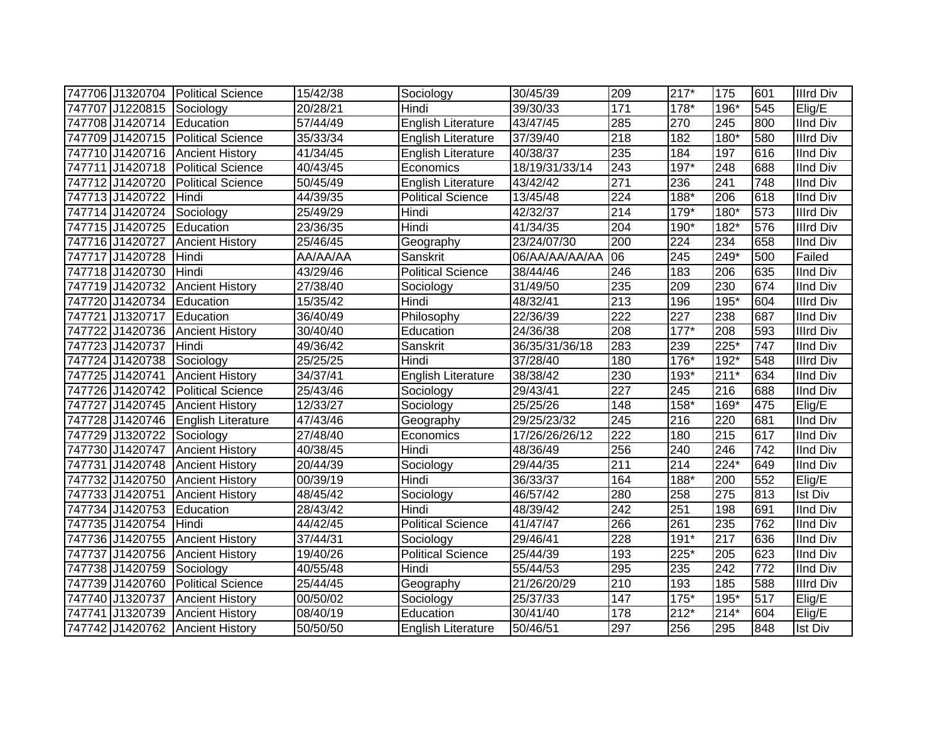| 747706 J1320704 Political Science    |                          | 15/42/38 | Sociology                 | 30/45/39       | 209              | $217*$ | 175              | 601 | <b>Illrd Div</b> |
|--------------------------------------|--------------------------|----------|---------------------------|----------------|------------------|--------|------------------|-----|------------------|
| 747707 J1220815 Sociology            |                          | 20/28/21 | Hindi                     | 39/30/33       | 171              | 178*   | 196*             | 545 | Elig/E           |
| 747708 J1420714 Education            |                          | 57/44/49 | <b>English Literature</b> | 43/47/45       | 285              | 270    | $\overline{245}$ | 800 | <b>IInd Div</b>  |
| 747709 J1420715 Political Science    |                          | 35/33/34 | <b>English Literature</b> | 37/39/40       | $\overline{218}$ | 182    | $180*$           | 580 | <b>Illrd Div</b> |
| 747710 J1420716 Ancient History      |                          | 41/34/45 | English Literature        | 40/38/37       | 235              | 184    | 197              | 616 | <b>IInd Div</b>  |
| 747711 J1420718   Political Science  |                          | 40/43/45 | Economics                 | 18/19/31/33/14 | 243              | $197*$ | 248              | 688 | <b>IInd Div</b>  |
| 747712 J1420720                      | <b>Political Science</b> | 50/45/49 | <b>English Literature</b> | 43/42/42       | $\overline{271}$ | 236    | 241              | 748 | <b>IInd Div</b>  |
| 747713 J1420722                      | Hindi                    | 44/39/35 | <b>Political Science</b>  | 13/45/48       | 224              | 188*   | 206              | 618 | <b>IInd Div</b>  |
| 747714 J1420724                      | Sociology                | 25/49/29 | Hindi                     | 42/32/37       | $\overline{214}$ | 179*   | $180*$           | 573 | <b>Illrd Div</b> |
| 747715 J1420725                      | Education                | 23/36/35 | Hindi                     | 41/34/35       | 204              | 190*   | 182*             | 576 | <b>Illrd Div</b> |
| 747716 J1420727                      | <b>Ancient History</b>   | 25/46/45 | Geography                 | 23/24/07/30    | 200              | 224    | 234              | 658 | <b>IInd Div</b>  |
| 747717 J1420728                      | Hindi                    | AA/AA/AA | Sanskrit                  | 06/AA/AA/AA/AA | 06               | 245    | $249*$           | 500 | Failed           |
| 747718 J1420730                      | Hindi                    | 43/29/46 | <b>Political Science</b>  | 38/44/46       | 246              | 183    | 206              | 635 | <b>IInd Div</b>  |
| 747719 J1420732                      | <b>Ancient History</b>   | 27/38/40 | Sociology                 | 31/49/50       | 235              | 209    | 230              | 674 | <b>IInd Div</b>  |
| 747720 J1420734                      | Education                | 15/35/42 | Hindi                     | 48/32/41       | 213              | 196    | $195*$           | 604 | <b>Illrd Div</b> |
| 747721 J1320717                      | Education                | 36/40/49 | Philosophy                | 22/36/39       | 222              | 227    | 238              | 687 | <b>IInd Div</b>  |
| 747722 J1420736                      | <b>Ancient History</b>   | 30/40/40 | Education                 | 24/36/38       | 208              | $177*$ | 208              | 593 | <b>Illrd Div</b> |
| 747723 J1420737                      | Hindi                    | 49/36/42 | Sanskrit                  | 36/35/31/36/18 | 283              | 239    | $225*$           | 747 | <b>IInd Div</b>  |
| 747724 J1420738                      | Sociology                | 25/25/25 | Hindi                     | 37/28/40       | 180              | 176*   | 192*             | 548 | <b>Illrd Div</b> |
| 747725 J1420741                      | <b>Ancient History</b>   | 34/37/41 | English Literature        | 38/38/42       | 230              | 193*   | $211*$           | 634 | <b>IInd Div</b>  |
| 747726 J1420742                      | <b>Political Science</b> | 25/43/46 | Sociology                 | 29/43/41       | $\overline{227}$ | 245    | $\overline{216}$ | 688 | <b>IInd Div</b>  |
| 747727 J1420745                      | <b>Ancient History</b>   | 12/33/27 | Sociology                 | 25/25/26       | 148              | $158*$ | 169*             | 475 | Elig/E           |
| 747728 J1420746   English Literature |                          | 47/43/46 | Geography                 | 29/25/23/32    | 245              | 216    | 220              | 681 | <b>IInd Div</b>  |
| 747729 J1320722                      | Sociology                | 27/48/40 | Economics                 | 17/26/26/26/12 | $\overline{222}$ | 180    | 215              | 617 | <b>IInd Div</b>  |
| 747730 J1420747                      | Ancient History          | 40/38/45 | Hindi                     | 48/36/49       | 256              | 240    | 246              | 742 | <b>IInd Div</b>  |
| 747731 J1420748 Ancient History      |                          | 20/44/39 | Sociology                 | 29/44/35       | $\overline{211}$ | 214    | $224*$           | 649 | <b>IInd Div</b>  |
| 747732 J1420750                      | <b>Ancient History</b>   | 00/39/19 | Hindi                     | 36/33/37       | 164              | 188*   | 200              | 552 | Elig/E           |
| 747733 J1420751                      | <b>Ancient History</b>   | 48/45/42 | Sociology                 | 46/57/42       | 280              | 258    | 275              | 813 | <b>Ist Div</b>   |
| 747734 J1420753                      | Education                | 28/43/42 | Hindi                     | 48/39/42       | 242              | 251    | 198              | 691 | <b>IInd Div</b>  |
| 747735 J1420754                      | Hindi                    | 44/42/45 | <b>Political Science</b>  | 41/47/47       | 266              | 261    | 235              | 762 | <b>IInd Div</b>  |
| 747736 J1420755                      | <b>Ancient History</b>   | 37/44/31 | Sociology                 | 29/46/41       | 228              | $191*$ | $\overline{217}$ | 636 | <b>IInd Div</b>  |
| 747737 J1420756                      | <b>Ancient History</b>   | 19/40/26 | Political Science         | 25/44/39       | 193              | 225*   | 205              | 623 | <b>IInd Div</b>  |
| 747738 J1420759                      | Sociology                | 40/55/48 | Hindi                     | 55/44/53       | 295              | 235    | 242              | 772 | <b>IInd Div</b>  |
| 747739 J1420760                      | <b>Political Science</b> | 25/44/45 | Geography                 | 21/26/20/29    | 210              | 193    | 185              | 588 | <b>Illrd Div</b> |
| 747740 J1320737                      | <b>Ancient History</b>   | 00/50/02 | Sociology                 | 25/37/33       | 147              | $175*$ | 195*             | 517 | Elig/E           |
| 747741 J1320739                      | <b>Ancient History</b>   | 08/40/19 | Education                 | 30/41/40       | 178              | $212*$ | $214*$           | 604 | Elig/E           |
| 747742 J1420762 Ancient History      |                          | 50/50/50 | <b>English Literature</b> | 50/46/51       | 297              | 256    | 295              | 848 | <b>Ist Div</b>   |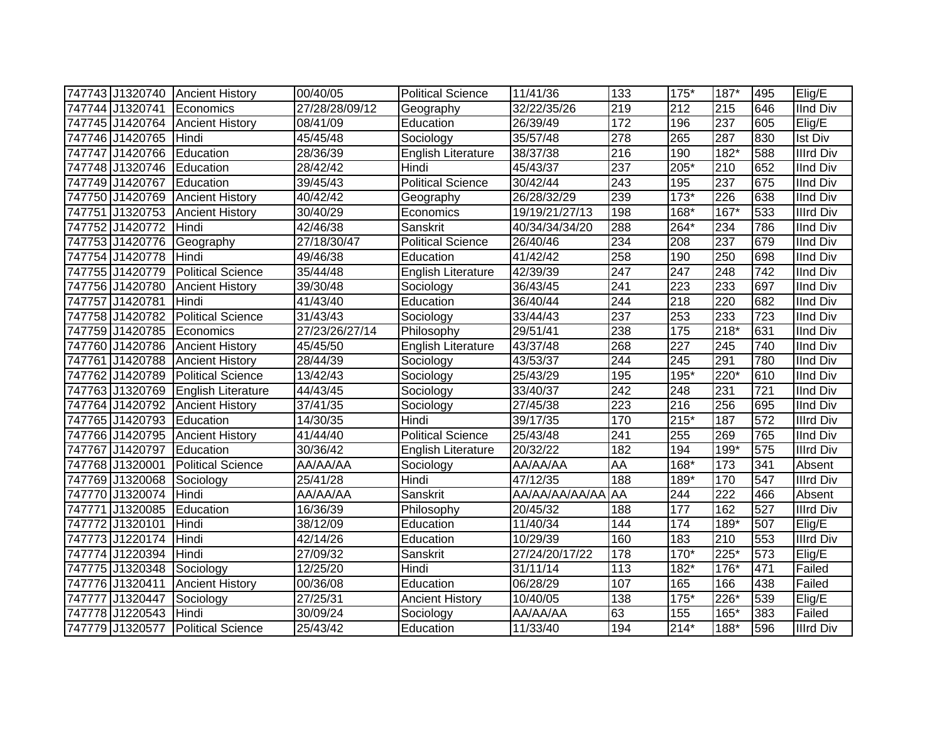|                           | 747743 J1320740 Ancient History    | 00/40/05              | <b>Political Science</b>  | 11/41/36       | 133              | 175*   | $187*$ | 495 | Elig/E           |
|---------------------------|------------------------------------|-----------------------|---------------------------|----------------|------------------|--------|--------|-----|------------------|
|                           | 747744 J1320741 Economics          | 27/28/28/09/12        | Geography                 | 32/22/35/26    | 219              | 212    | 215    | 646 | <b>IInd Div</b>  |
|                           | 747745 J1420764 Ancient History    | 08/41/09              | Education                 | 26/39/49       | 172              | 196    | 237    | 605 | Elig/E           |
| 747746 J1420765           | Hindi                              | 45/45/48              | Sociology                 | 35/57/48       | 278              | 265    | 287    | 830 | <b>Ist Div</b>   |
| 747747 J1420766           | Education                          | 28/36/39              | <b>English Literature</b> | 38/37/38       | 216              | 190    | $182*$ | 588 | <b>Illrd Div</b> |
| 747748 J1320746           | Education                          | 28/42/42              | Hindi                     | 45/43/37       | 237              | 205*   | 210    | 652 | <b>IInd Div</b>  |
| 747749 J1420767           | Education                          | 39/45/43              | <b>Political Science</b>  | 30/42/44       | 243              | 195    | 237    | 675 | <b>IInd Div</b>  |
| 747750 J1420769           | <b>Ancient History</b>             | 40/42/42              | Geography                 | 26/28/32/29    | 239              | $173*$ | 226    | 638 | <b>IInd Div</b>  |
| 747751 J1320753           | <b>Ancient History</b>             | 30/40/29              | Economics                 | 19/19/21/27/13 | 198              | 168*   | 167*   | 533 | <b>Illrd Div</b> |
| 747752 J1420772           | Hindi                              | 42/46/38              | Sanskrit                  | 40/34/34/34/20 | 288              | 264*   | 234    | 786 | <b>IInd Div</b>  |
| 747753 J1420776           | Geography                          | 27/18/30/47           | <b>Political Science</b>  | 26/40/46       | 234              | 208    | 237    | 679 | <b>IInd Div</b>  |
| 747754 J1420778           | Hindi                              | 49/46/38              | Education                 | 41/42/42       | 258              | 190    | 250    | 698 | <b>IInd Div</b>  |
| 747755 J1420779           | <b>Political Science</b>           | 35/44/48              | <b>English Literature</b> | 42/39/39       | $\overline{247}$ | 247    | 248    | 742 | <b>IInd Div</b>  |
| 747756 J1420780           | <b>Ancient History</b>             | 39/30/48              | Sociology                 | 36/43/45       | 241              | 223    | 233    | 697 | <b>IInd Div</b>  |
| 747757 J1420781           | Hindi                              | 41/43/40              | Education                 | 36/40/44       | 244              | 218    | 220    | 682 | <b>IInd Div</b>  |
| 747758 J1420782           | <b>Political Science</b>           | 31/43/43              | Sociology                 | 33/44/43       | 237              | 253    | 233    | 723 | <b>IInd Div</b>  |
| 747759 J1420785           | Economics                          | 27/23/26/27/14        | Philosophy                | 29/51/41       | 238              | 175    | $218*$ | 631 | <b>IInd Div</b>  |
| 747760 J1420786           | <b>Ancient History</b>             | 45/45/50              | <b>English Literature</b> | 43/37/48       | 268              | 227    | 245    | 740 | <b>IInd Div</b>  |
| 747761 J1420788           | <b>Ancient History</b>             | 28/44/39              | Sociology                 | 43/53/37       | 244              | 245    | 291    | 780 | <b>IInd Div</b>  |
| 747762 J1420789           | <b>Political Science</b>           | 13/42/43              | Sociology                 | 25/43/29       | 195              | 195*   | 220*   | 610 | <b>IInd Div</b>  |
|                           | 747763 J1320769 English Literature | 44/43/45              | Sociology                 | 33/40/37       | 242              | 248    | 231    | 721 | <b>IInd Div</b>  |
|                           | 747764 J1420792 Ancient History    | 37/41/35              | Sociology                 | 27/45/38       | $\overline{223}$ | 216    | 256    | 695 | <b>IInd Div</b>  |
| 747765 J1420793 Education |                                    | 14/30/35              | Hindi                     | 39/17/35       | 170              | $215*$ | 187    | 572 | <b>Illrd Div</b> |
|                           | 747766 J1420795 Ancient History    | 41/44/40              | <b>Political Science</b>  | 25/43/48       | 241              | 255    | 269    | 765 | <b>IInd Div</b>  |
| 747767 J1420797           | Education                          | 30/36/42              | English Literature        | 20/32/22       | 182              | 194    | 199*   | 575 | <b>Illrd Div</b> |
| 747768 J1320001           | <b>Political Science</b>           | AA/AA/AA              | Sociology                 | AA/AA/AA       | AA               | 168*   | 173    | 341 | Absent           |
| 747769 J1320068           | Sociology                          | 25/41/28              | Hindi                     | 47/12/35       | 188              | 189*   | 170    | 547 | <b>Illrd Div</b> |
| 747770 J1320074           | Hindi                              | AA/AA/AA              | Sanskrit                  | AA/AA/AA/AA/AA | AA               | 244    | 222    | 466 | Absent           |
| 747771 J1320085           | Education                          | 16/36/39              | Philosophy                | 20/45/32       | 188              | 177    | 162    | 527 | <b>Illrd Div</b> |
| 747772 J1320101           | Hindi                              | 38/12/09              | Education                 | 11/40/34       | 144              | 174    | $189*$ | 507 | Elig/E           |
| 747773 J1220174           | Hindi                              | 42/14/26              | Education                 | 10/29/39       | 160              | 183    | 210    | 553 | <b>Illrd Div</b> |
| 747774 J1220394           | Hindi                              | 27/09/32              | Sanskrit                  | 27/24/20/17/22 | 178              | $170*$ | $225*$ | 573 | Elig/E           |
| 747775 J1320348           | Sociology                          | 12/25/20              | Hindi                     | 31/11/14       | 113              | $182*$ | $176*$ | 471 | Failed           |
| 747776 J1320411           | <b>Ancient History</b>             | 00/36/08              | Education                 | 06/28/29       | 107              | 165    | 166    | 438 | Failed           |
| 747777 J1320447           | Sociology                          | $\overline{27}/25/31$ | <b>Ancient History</b>    | 10/40/05       | 138              | $175*$ | $226*$ | 539 | Elig/E           |
| 747778 J1220543           | Hindi                              | 30/09/24              | Sociology                 | AA/AA/AA       | 63               | 155    | 165*   | 383 | Failed           |
|                           | 747779 J1320577 Political Science  | 25/43/42              | Education                 | 11/33/40       | 194              | $214*$ | 188*   | 596 | <b>Illrd Div</b> |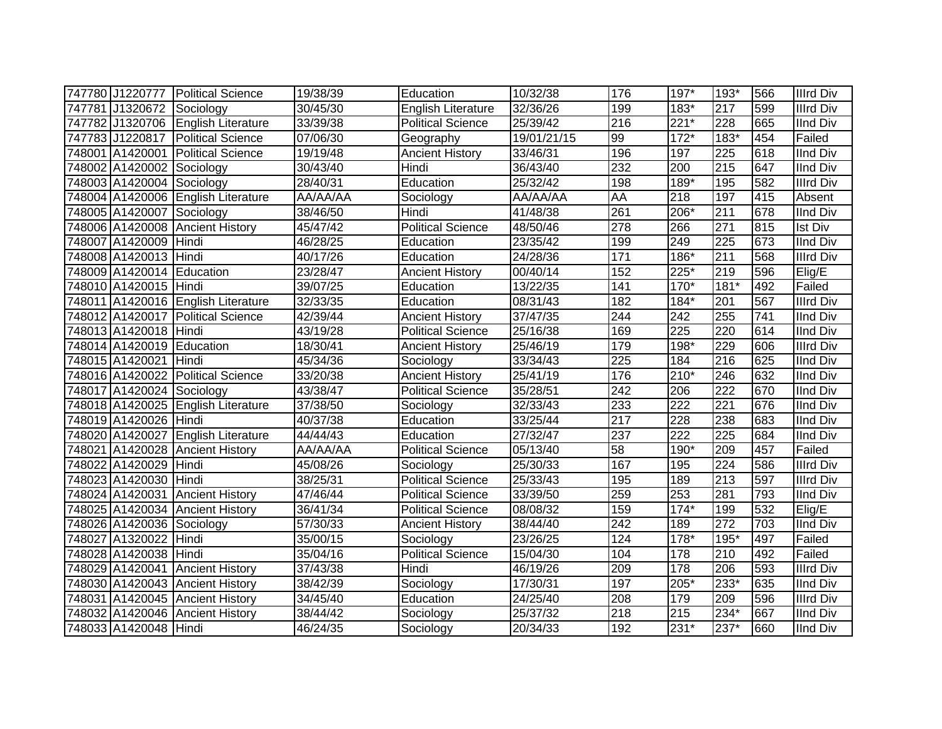|                           | 747780 J1220777 Political Science  | 19/38/39 | Education                 | 10/32/38    | 176              | 197*             | 193*             | 566 | <b>Illrd Div</b> |
|---------------------------|------------------------------------|----------|---------------------------|-------------|------------------|------------------|------------------|-----|------------------|
| 747781 J1320672 Sociology |                                    | 30/45/30 | <b>English Literature</b> | 32/36/26    | 199              | $183*$           | 217              | 599 | <b>Illrd Div</b> |
|                           | 747782 J1320706 English Literature | 33/39/38 | <b>Political Science</b>  | 25/39/42    | $\overline{216}$ | $221*$           | $\overline{228}$ | 665 | <b>IInd Div</b>  |
|                           | 747783 J1220817 Political Science  | 07/06/30 | Geography                 | 19/01/21/15 | 99               | $172*$           | $183*$           | 454 | Failed           |
|                           | 748001 A1420001 Political Science  | 19/19/48 | <b>Ancient History</b>    | 33/46/31    | 196              | 197              | 225              | 618 | <b>IInd Div</b>  |
| 748002 A1420002 Sociology |                                    | 30/43/40 | Hindi                     | 36/43/40    | 232              | 200              | $\overline{215}$ | 647 | <b>IInd Div</b>  |
| 748003 A1420004 Sociology |                                    | 28/40/31 | Education                 | 25/32/42    | 198              | 189*             | 195              | 582 | <b>Illrd Div</b> |
|                           | 748004 A1420006 English Literature | AA/AA/AA | Sociology                 | AA/AA/AA    | <b>AA</b>        | 218              | 197              | 415 | Absent           |
| 748005 A1420007 Sociology |                                    | 38/46/50 | Hindi                     | 41/48/38    | 261              | 206*             | 211              | 678 | <b>IInd Div</b>  |
| 748006 A1420008           | <b>Ancient History</b>             | 45/47/42 | <b>Political Science</b>  | 48/50/46    | 278              | 266              | 271              | 815 | Ist Div          |
| 748007 A1420009           | Hindi                              | 46/28/25 | Education                 | 23/35/42    | 199              | 249              | 225              | 673 | <b>IInd Div</b>  |
| 748008 A1420013 Hindi     |                                    | 40/17/26 | Education                 | 24/28/36    | $\frac{1}{171}$  | $186*$           | $\overline{211}$ | 568 | <b>Illrd Div</b> |
| 748009 A1420014 Education |                                    | 23/28/47 | <b>Ancient History</b>    | 00/40/14    | 152              | $225*$           | 219              | 596 | Elig/E           |
| 748010 A1420015 Hindi     |                                    | 39/07/25 | Education                 | 13/22/35    | 141              | $170*$           | $181*$           | 492 | Failed           |
|                           | 748011 A1420016 English Literature | 32/33/35 | Education                 | 08/31/43    | 182              | 184*             | 201              | 567 | <b>Illrd Div</b> |
|                           | 748012 A1420017 Political Science  | 42/39/44 | <b>Ancient History</b>    | 37/47/35    | 244              | 242              | 255              | 741 | <b>IInd Div</b>  |
| 748013 A1420018 Hindi     |                                    | 43/19/28 | <b>Political Science</b>  | 25/16/38    | 169              | 225              | 220              | 614 | <b>IInd Div</b>  |
| 748014 A1420019 Education |                                    | 18/30/41 | <b>Ancient History</b>    | 25/46/19    | 179              | 198*             | 229              | 606 | <b>Illrd Div</b> |
| 748015 A1420021 Hindi     |                                    | 45/34/36 | Sociology                 | 33/34/43    | 225              | 184              | 216              | 625 | <b>IInd Div</b>  |
|                           | 748016 A1420022 Political Science  | 33/20/38 | <b>Ancient History</b>    | 25/41/19    | 176              | $210*$           | 246              | 632 | <b>IInd Div</b>  |
| 748017 A1420024 Sociology |                                    | 43/38/47 | <b>Political Science</b>  | 35/28/51    | 242              | 206              | $\overline{222}$ | 670 | <b>IInd Div</b>  |
|                           | 748018 A1420025 English Literature | 37/38/50 | Sociology                 | 32/33/43    | 233              | $\overline{222}$ | $\overline{221}$ | 676 | <b>IInd Div</b>  |
| 748019 A1420026 Hindi     |                                    | 40/37/38 | Education                 | 33/25/44    | 217              | 228              | 238              | 683 | <b>IInd Div</b>  |
|                           | 748020 A1420027 English Literature | 44/44/43 | Education                 | 27/32/47    | 237              | 222              | 225              | 684 | <b>IInd Div</b>  |
|                           | 748021 A1420028 Ancient History    | AA/AA/AA | <b>Political Science</b>  | 05/13/40    | 58               | 190*             | 209              | 457 | Failed           |
| 748022 A1420029           | Hindi                              | 45/08/26 | Sociology                 | 25/30/33    | 167              | 195              | 224              | 586 | <b>Illrd Div</b> |
| 748023 A1420030 Hindi     |                                    | 38/25/31 | <b>Political Science</b>  | 25/33/43    | 195              | 189              | 213              | 597 | <b>Illrd Div</b> |
|                           | 748024 A1420031 Ancient History    | 47/46/44 | Political Science         | 33/39/50    | 259              | 253              | 281              | 793 | <b>IInd Div</b>  |
|                           | 748025 A1420034 Ancient History    | 36/41/34 | <b>Political Science</b>  | 08/08/32    | 159              | $174*$           | 199              | 532 | Elig/E           |
| 748026 A1420036 Sociology |                                    | 57/30/33 | <b>Ancient History</b>    | 38/44/40    | 242              | 189              | $\overline{272}$ | 703 | <b>IInd Div</b>  |
| 748027 A1320022           | Hindi                              | 35/00/15 | Sociology                 | 23/26/25    | 124              | $178*$           | $195*$           | 497 | Failed           |
| 748028 A1420038 Hindi     |                                    | 35/04/16 | <b>Political Science</b>  | 15/04/30    | 104              | 178              | 210              | 492 | Failed           |
|                           | 748029 A1420041 Ancient History    | 37/43/38 | Hindi                     | 46/19/26    | 209              | 178              | 206              | 593 | <b>Illrd Div</b> |
|                           | 748030 A1420043 Ancient History    | 38/42/39 | Sociology                 | 17/30/31    | 197              | 205*             | $233*$           | 635 | <b>IInd Div</b>  |
|                           | 748031 A1420045 Ancient History    | 34/45/40 | Education                 | 24/25/40    | 208              | 179              | 209              | 596 | <b>Illrd Div</b> |
|                           | 748032 A1420046 Ancient History    | 38/44/42 | Sociology                 | 25/37/32    | 218              | 215              | 234*             | 667 | <b>IInd Div</b>  |
| 748033 A1420048 Hindi     |                                    | 46/24/35 | Sociology                 | 20/34/33    | 192              | $231*$           | 237*             | 660 | <b>IInd Div</b>  |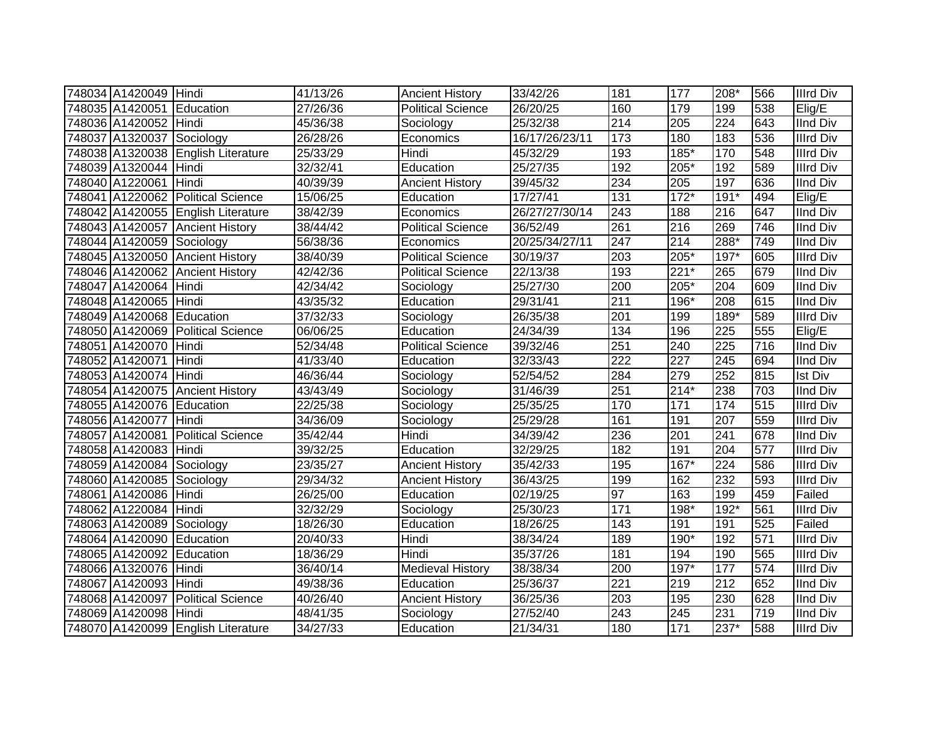| 748034 A1420049 Hindi     |                                    | 41/13/26 | <b>Ancient History</b>   | 33/42/26       | 181              | 177    | 208*             | 566 | <b>Illrd Div</b> |
|---------------------------|------------------------------------|----------|--------------------------|----------------|------------------|--------|------------------|-----|------------------|
| 748035 A1420051 Education |                                    | 27/26/36 | <b>Political Science</b> | 26/20/25       | 160              | 179    | 199              | 538 | Elig/E           |
| 748036 A1420052 Hindi     |                                    | 45/36/38 | Sociology                | 25/32/38       | $\overline{214}$ | 205    | $\overline{224}$ | 643 | <b>IInd Div</b>  |
| 748037 A1320037 Sociology |                                    | 26/28/26 | Economics                | 16/17/26/23/11 | 173              | 180    | 183              | 536 | <b>Illrd Div</b> |
|                           | 748038 A1320038 English Literature | 25/33/29 | Hindi                    | 45/32/29       | 193              | $185*$ | 170              | 548 | <b>Illrd Div</b> |
| 748039 A1320044 Hindi     |                                    | 32/32/41 | Education                | 25/27/35       | 192              | 205*   | 192              | 589 | <b>Illrd Div</b> |
| 748040 A1220061           | Hindi                              | 40/39/39 | <b>Ancient History</b>   | 39/45/32       | 234              | 205    | 197              | 636 | <b>IInd Div</b>  |
| 748041 A1220062           | <b>Political Science</b>           | 15/06/25 | Education                | 17/27/41       | 131              | $172*$ | $191*$           | 494 | Elig/E           |
|                           | 748042 A1420055 English Literature | 38/42/39 | Economics                | 26/27/27/30/14 | 243              | 188    | 216              | 647 | <b>IInd Div</b>  |
|                           | 748043 A1420057 Ancient History    | 38/44/42 | <b>Political Science</b> | 36/52/49       | 261              | 216    | 269              | 746 | <b>IInd Div</b>  |
| 748044 A1420059           | Sociology                          | 56/38/36 | Economics                | 20/25/34/27/11 | 247              | 214    | $288*$           | 749 | <b>IInd Div</b>  |
| 748045 A1320050           | <b>Ancient History</b>             | 38/40/39 | Political Science        | 30/19/37       | $\overline{203}$ | $205*$ | $197*$           | 605 | <b>Illrd Div</b> |
| 748046 A1420062           | <b>Ancient History</b>             | 42/42/36 | <b>Political Science</b> | 22/13/38       | 193              | $221*$ | 265              | 679 | <b>IInd Div</b>  |
| 748047 A1420064           | Hindi                              | 42/34/42 | Sociology                | 25/27/30       | 200              | 205*   | 204              | 609 | <b>IInd Div</b>  |
| 748048 A1420065           | Hindi                              | 43/35/32 | Education                | 29/31/41       | 211              | 196*   | 208              | 615 | <b>IInd Div</b>  |
| 748049 A1420068           | Education                          | 37/32/33 | Sociology                | 26/35/38       | 201              | 199    | 189*             | 589 | <b>Illrd Div</b> |
| 748050 A1420069           | <b>Political Science</b>           | 06/06/25 | Education                | 24/34/39       | 134              | 196    | 225              | 555 | Elig/E           |
| 748051 A1420070           | Hindi                              | 52/34/48 | <b>Political Science</b> | 39/32/46       | 251              | 240    | 225              | 716 | <b>IInd Div</b>  |
| 748052 A1420071           | Hindi                              | 41/33/40 | Education                | 32/33/43       | 222              | 227    | 245              | 694 | <b>IInd Div</b>  |
| 748053 A1420074 Hindi     |                                    | 46/36/44 | Sociology                | 52/54/52       | 284              | 279    | 252              | 815 | <b>Ist Div</b>   |
|                           | 748054 A1420075 Ancient History    | 43/43/49 | Sociology                | 31/46/39       | 251              | $214*$ | 238              | 703 | <b>IInd Div</b>  |
| 748055 A1420076 Education |                                    | 22/25/38 | Sociology                | 25/35/25       | 170              | 171    | 174              | 515 | <b>Illrd Div</b> |
| 748056 A1420077 Hindi     |                                    | 34/36/09 | Sociology                | 25/29/28       | 161              | 191    | 207              | 559 | <b>Illrd Div</b> |
|                           | 748057 A1420081 Political Science  | 35/42/44 | Hindi                    | 34/39/42       | 236              | 201    | 241              | 678 | <b>IInd Div</b>  |
| 748058 A1420083           | Hindi                              | 39/32/25 | Education                | 32/29/25       | 182              | 191    | 204              | 577 | <b>Illrd Div</b> |
| 748059 A1420084 Sociology |                                    | 23/35/27 | <b>Ancient History</b>   | 35/42/33       | 195              | 167*   | 224              | 586 | <b>Illrd Div</b> |
| 748060 A1420085 Sociology |                                    | 29/34/32 | <b>Ancient History</b>   | 36/43/25       | 199              | 162    | 232              | 593 | <b>Illrd Div</b> |
| 748061 A1420086           | Hindi                              | 26/25/00 | Education                | 02/19/25       | 97               | 163    | 199              | 459 | Failed           |
| 748062 A1220084           | Hindi                              | 32/32/29 | Sociology                | 25/30/23       | 171              | 198*   | 192*             | 561 | <b>Illrd Div</b> |
| 748063 A1420089           | Sociology                          | 18/26/30 | Education                | 18/26/25       | 143              | 191    | 191              | 525 | Failed           |
| 748064 A1420090           | Education                          | 20/40/33 | Hindi                    | 38/34/24       | 189              | 190*   | 192              | 571 | <b>Illrd Div</b> |
| 748065 A1420092           | Education                          | 18/36/29 | Hindi                    | 35/37/26       | 181              | 194    | 190              | 565 | <b>Illrd Div</b> |
| 748066 A1320076           | Hindi                              | 36/40/14 | <b>Medieval History</b>  | 38/38/34       | 200              | $197*$ | 177              | 574 | <b>Illrd Div</b> |
| 748067 A1420093           | Hindi                              | 49/38/36 | Education                | 25/36/37       | $\overline{221}$ | 219    | $\overline{212}$ | 652 | <b>IInd Div</b>  |
| 748068 A1420097           | <b>Political Science</b>           | 40/26/40 | <b>Ancient History</b>   | 36/25/36       | 203              | 195    | 230              | 628 | <b>IInd Div</b>  |
| 748069 A1420098           | Hindi                              | 48/41/35 | Sociology                | 27/52/40       | 243              | 245    | 231              | 719 | <b>IInd Div</b>  |
|                           | 748070 A1420099 English Literature | 34/27/33 | Education                | 21/34/31       | 180              | $171$  | 237*             | 588 | <b>Illrd Div</b> |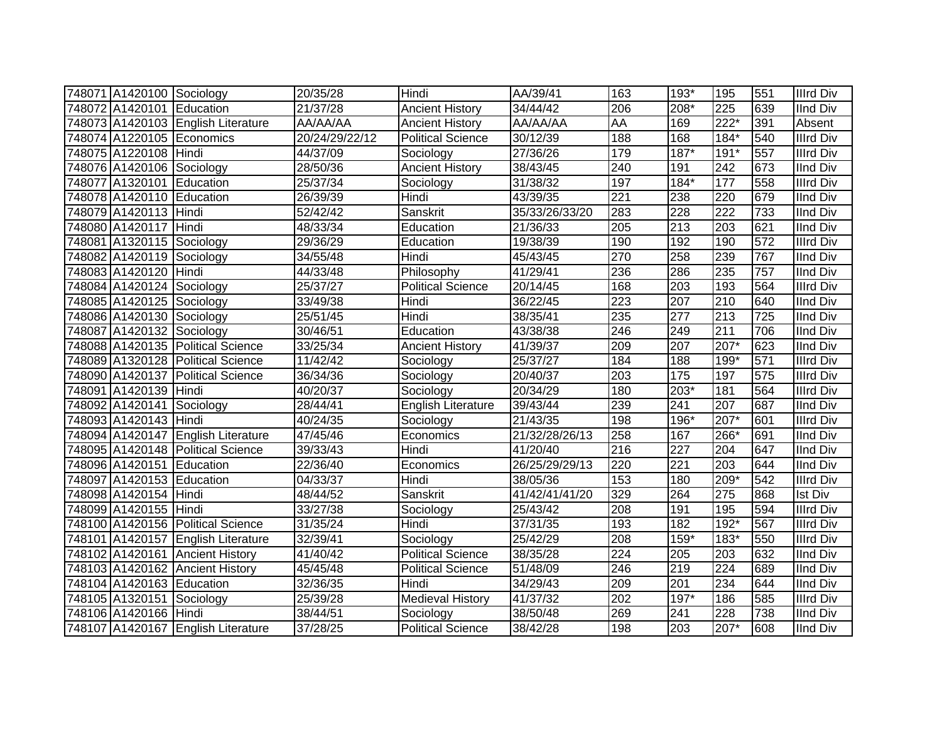| 748071 A1420100 Sociology |                                    | 20/35/28       | Hindi                     | AA/39/41       | 163       | 193*             | 195                | 551 | <b>Illrd Div</b> |
|---------------------------|------------------------------------|----------------|---------------------------|----------------|-----------|------------------|--------------------|-----|------------------|
| 748072 A1420101 Education |                                    | 21/37/28       | <b>Ancient History</b>    | 34/44/42       | 206       | 208*             | 225                | 639 | <b>IInd Div</b>  |
|                           | 748073 A1420103 English Literature | AA/AA/AA       | <b>Ancient History</b>    | AA/AA/AA       | <b>AA</b> | 169              | $\overline{222^*}$ | 391 | Absent           |
|                           | 748074 A1220105 Economics          | 20/24/29/22/12 | <b>Political Science</b>  | 30/12/39       | 188       | 168              | $184*$             | 540 | <b>Illrd Div</b> |
| 748075 A1220108 Hindi     |                                    | 44/37/09       | Sociology                 | 27/36/26       | 179       | $187*$           | 191*               | 557 | <b>Illrd Div</b> |
| 748076 A1420106 Sociology |                                    | 28/50/36       | <b>Ancient History</b>    | 38/43/45       | 240       | 191              | 242                | 673 | <b>IInd Div</b>  |
| 748077 A1320101 Education |                                    | 25/37/34       | Sociology                 | 31/38/32       | 197       | $184*$           | 177                | 558 | <b>Illrd Div</b> |
| 748078 A1420110           | Education                          | 26/39/39       | Hindi                     | 43/39/35       | 221       | 238              | 220                | 679 | <b>IInd Div</b>  |
| 748079 A1420113           | Hindi                              | 52/42/42       | Sanskrit                  | 35/33/26/33/20 | 283       | 228              | 222                | 733 | <b>IInd Div</b>  |
| 748080 A1420117 Hindi     |                                    | 48/33/34       | Education                 | 21/36/33       | 205       | $\overline{213}$ | 203                | 621 | <b>IInd Div</b>  |
| 748081 A1320115 Sociology |                                    | 29/36/29       | Education                 | 19/38/39       | 190       | 192              | 190                | 572 | <b>Illrd Div</b> |
| 748082 A1420119           | Sociology                          | 34/55/48       | Hindi                     | 45/43/45       | 270       | 258              | 239                | 767 | <b>IInd Div</b>  |
| 748083 A1420120           | <b>Hindi</b>                       | 44/33/48       | Philosophy                | 41/29/41       | 236       | 286              | 235                | 757 | <b>IInd Div</b>  |
| 748084 A1420124 Sociology |                                    | 25/37/27       | <b>Political Science</b>  | 20/14/45       | 168       | 203              | 193                | 564 | <b>Illrd Div</b> |
| 748085 A1420125 Sociology |                                    | 33/49/38       | Hindi                     | 36/22/45       | 223       | 207              | 210                | 640 | <b>IInd Div</b>  |
| 748086 A1420130 Sociology |                                    | 25/51/45       | Hindi                     | 38/35/41       | 235       | 277              | 213                | 725 | <b>IInd Div</b>  |
| 748087 A1420132 Sociology |                                    | 30/46/51       | Education                 | 43/38/38       | 246       | 249              | 211                | 706 | <b>IInd Div</b>  |
|                           | 748088 A1420135 Political Science  | 33/25/34       | <b>Ancient History</b>    | 41/39/37       | 209       | 207              | $207*$             | 623 | <b>IInd Div</b>  |
|                           | 748089 A1320128 Political Science  | 11/42/42       | Sociology                 | 25/37/27       | 184       | 188              | 199*               | 571 | <b>Illrd Div</b> |
|                           | 748090 A1420137 Political Science  | 36/34/36       | Sociology                 | 20/40/37       | 203       | 175              | 197                | 575 | <b>Illrd Div</b> |
| 748091 A1420139 Hindi     |                                    | 40/20/37       | Sociology                 | 20/34/29       | 180       | $203*$           | 181                | 564 | <b>Illrd Div</b> |
| 748092 A1420141 Sociology |                                    | 28/44/41       | <b>English Literature</b> | 39/43/44       | 239       | 241              | 207                | 687 | <b>IInd Div</b>  |
| 748093 A1420143 Hindi     |                                    | 40/24/35       | Sociology                 | 21/43/35       | 198       | 196*             | $207*$             | 601 | <b>Illrd Div</b> |
|                           | 748094 A1420147 English Literature | 47/45/46       | Economics                 | 21/32/28/26/13 | 258       | 167              | 266*               | 691 | <b>IInd Div</b>  |
|                           | 748095 A1420148 Political Science  | 39/33/43       | Hindi                     | 41/20/40       | 216       | 227              | 204                | 647 | <b>IInd Div</b>  |
| 748096 A1420151 Education |                                    | 22/36/40       | Economics                 | 26/25/29/29/13 | 220       | $\overline{221}$ | 203                | 644 | <b>IInd Div</b>  |
| 748097 A1420153 Education |                                    | 04/33/37       | Hindi                     | 38/05/36       | 153       | 180              | 209*               | 542 | <b>Illrd Div</b> |
| 748098 A1420154 Hindi     |                                    | 48/44/52       | Sanskrit                  | 41/42/41/41/20 | 329       | 264              | 275                | 868 | <b>Ist Div</b>   |
| 748099 A1420155 Hindi     |                                    | 33/27/38       | Sociology                 | 25/43/42       | 208       | 191              | 195                | 594 | <b>Illrd Div</b> |
|                           | 748100 A1420156 Political Science  | 31/35/24       | Hindi                     | 37/31/35       | 193       | 182              | $192*$             | 567 | <b>Illrd Div</b> |
|                           | 748101 A1420157 English Literature | 32/39/41       | Sociology                 | 25/42/29       | 208       | $159*$           | 183*               | 550 | <b>Illrd Div</b> |
|                           | 748102 A1420161 Ancient History    | 41/40/42       | <b>Political Science</b>  | 38/35/28       | 224       | 205              | 203                | 632 | <b>IInd Div</b>  |
|                           | 748103 A1420162 Ancient History    | 45/45/48       | <b>Political Science</b>  | 51/48/09       | 246       | 219              | $\overline{224}$   | 689 | <b>IInd Div</b>  |
| 748104 A1420163 Education |                                    | 32/36/35       | Hindi                     | 34/29/43       | 209       | $\overline{201}$ | 234                | 644 | <b>IInd Div</b>  |
| 748105 A1320151 Sociology |                                    | 25/39/28       | <b>Medieval History</b>   | 41/37/32       | 202       | $197*$           | 186                | 585 | <b>Illrd Div</b> |
| 748106 A1420166 Hindi     |                                    | 38/44/51       | Sociology                 | 38/50/48       | 269       | 241              | 228                | 738 | IInd Div         |
|                           | 748107 A1420167 English Literature | 37/28/25       | <b>Political Science</b>  | 38/42/28       | 198       | 203              | 207*               | 608 | <b>IInd Div</b>  |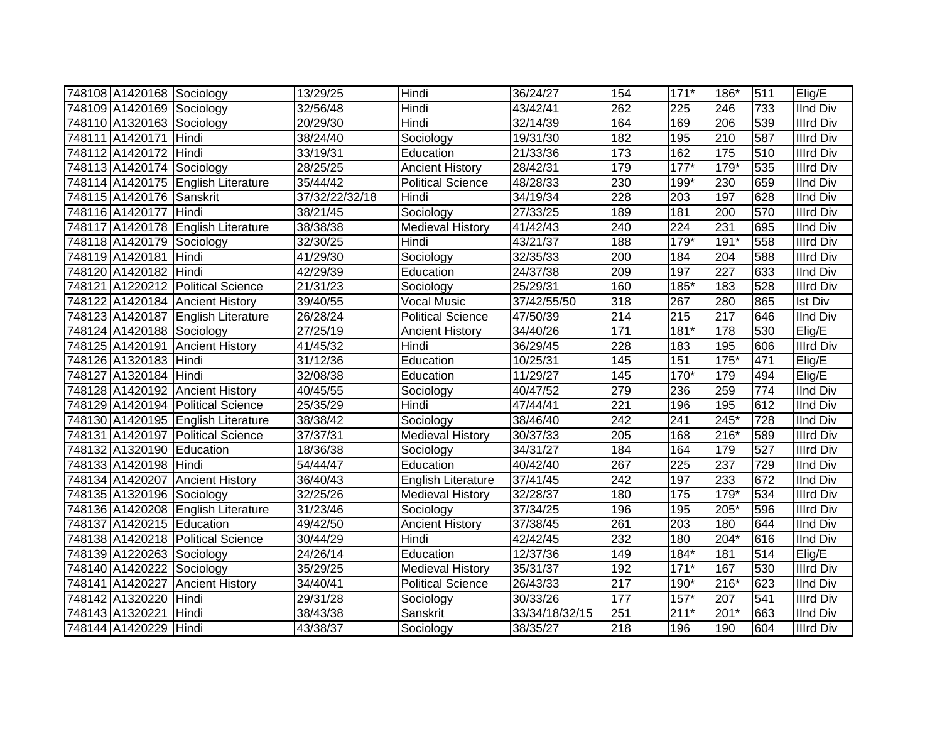| 748108 A1420168 Sociology |                                    | 13/29/25          | Hindi                    | 36/24/27       | 154              | $171*$            | 186*   | 511 | Elig/E           |
|---------------------------|------------------------------------|-------------------|--------------------------|----------------|------------------|-------------------|--------|-----|------------------|
| 748109 A1420169 Sociology |                                    | 32/56/48          | Hindi                    | 43/42/41       | 262              | 225               | 246    | 733 | <b>IInd Div</b>  |
| 748110 A1320163 Sociology |                                    | 20/29/30          | Hindi                    | 32/14/39       | 164              | 169               | 206    | 539 | <b>Illrd Div</b> |
| 748111 A1420171 Hindi     |                                    | 38/24/40          | Sociology                | 19/31/30       | 182              | 195               | 210    | 587 | <b>Illrd Div</b> |
| 748112 A1420172 Hindi     |                                    | 33/19/31          | Education                | 21/33/36       | 173              | 162               | 175    | 510 | <b>Illrd Div</b> |
| 748113 A1420174 Sociology |                                    | 28/25/25          | <b>Ancient History</b>   | 28/42/31       | 179              | $177*$            | $179*$ | 535 | <b>Illrd Div</b> |
|                           | 748114 A1420175 English Literature | 35/44/42          | <b>Political Science</b> | 48/28/33       | 230              | 199*              | 230    | 659 | <b>IInd Div</b>  |
| 748115 A1420176 Sanskrit  |                                    | 37/32/22/32/18    | Hindi                    | 34/19/34       | 228              | 203               | 197    | 628 | <b>IInd Div</b>  |
| 748116 A1420177           | Hindi                              | 38/21/45          | Sociology                | 27/33/25       | 189              | 181               | 200    | 570 | <b>Illrd Div</b> |
|                           | 748117 A1420178 English Literature | 38/38/38          | <b>Medieval History</b>  | 41/42/43       | 240              | $\overline{224}$  | 231    | 695 | <b>IInd Div</b>  |
| 748118 A1420179 Sociology |                                    | 32/30/25          | Hindi                    | 43/21/37       | 188              | 179*              | 191*   | 558 | <b>Illrd Div</b> |
| 748119 A1420181           | Hindi                              | 41/29/30          | Sociology                | 32/35/33       | 200              | 184               | 204    | 588 | <b>Illrd Div</b> |
| 748120 A1420182 Hindi     |                                    | 42/29/39          | Education                | 24/37/38       | 209              | 197               | 227    | 633 | <b>IInd Div</b>  |
|                           | 748121 A1220212 Political Science  | 21/31/23          | Sociology                | 25/29/31       | 160              | 185*              | 183    | 528 | <b>Illrd Div</b> |
|                           | 748122 A1420184 Ancient History    | 39/40/55          | <b>Vocal Music</b>       | 37/42/55/50    | 318              | 267               | 280    | 865 | <b>Ist Div</b>   |
|                           | 748123 A1420187 English Literature | 26/28/24          | <b>Political Science</b> | 47/50/39       | 214              | 215               | 217    | 646 | <b>IInd Div</b>  |
| 748124 A1420188 Sociology |                                    | 27/25/19          | <b>Ancient History</b>   | 34/40/26       | 171              | $181*$            | 178    | 530 | Elig/E           |
|                           | 748125 A1420191 Ancient History    | 41/45/32          | Hindi                    | 36/29/45       | 228              | 183               | 195    | 606 | Illrd Div        |
| 748126 A1320183 Hindi     |                                    | 31/12/36          | Education                | 10/25/31       | 145              | 151               | $175*$ | 471 | Elig/E           |
| 748127 A1320184 Hindi     |                                    | 32/08/38          | Education                | 11/29/27       | 145              | $170*$            | 179    | 494 | Elig/E           |
|                           | 748128 A1420192 Ancient History    | 40/45/55          | Sociology                | 40/47/52       | 279              | 236               | 259    | 774 | <b>IInd Div</b>  |
|                           | 748129 A1420194 Political Science  | 25/35/29          | Hindi                    | 47/44/41       | 221              | 196               | 195    | 612 | <b>IInd Div</b>  |
|                           | 748130 A1420195 English Literature | 38/38/42          | Sociology                | 38/46/40       | $\overline{242}$ | 241               | $245*$ | 728 | <b>IInd Div</b>  |
|                           | 748131 A1420197 Political Science  | 37/37/31          | <b>Medieval History</b>  | 30/37/33       | 205              | 168               | $216*$ | 589 | <b>Illrd Div</b> |
| 748132 A1320190 Education |                                    | 18/36/38          | Sociology                | 34/31/27       | 184              | 164               | 179    | 527 | <b>Illrd Div</b> |
| 748133 A1420198 Hindi     |                                    | 54/44/47          | Education                | 40/42/40       | 267              | 225               | 237    | 729 | <b>IInd Div</b>  |
|                           | 748134 A1420207 Ancient History    | 36/40/43          | English Literature       | 37/41/45       | 242              | 197               | 233    | 672 | <b>IInd Div</b>  |
| 748135 A1320196 Sociology |                                    | 32/25/26          | <b>Medieval History</b>  | 32/28/37       | 180              | $\frac{175}{175}$ | 179*   | 534 | <b>Illrd Div</b> |
|                           | 748136 A1420208 English Literature | 31/23/46          | Sociology                | 37/34/25       | 196              | 195               | 205*   | 596 | <b>Illrd Div</b> |
| 748137 A1420215 Education |                                    | 49/42/50          | <b>Ancient History</b>   | 37/38/45       | 261              | $\overline{203}$  | 180    | 644 | <b>IInd Div</b>  |
|                           | 748138 A1420218 Political Science  | 30/44/29          | Hindi                    | 42/42/45       | 232              | 180               | 204*   | 616 | <b>IInd Div</b>  |
| 748139 A1220263 Sociology |                                    | 24/26/14          | Education                | 12/37/36       | 149              | $184*$            | 181    | 514 | Elig/E           |
| 748140 A1420222           | Sociology                          | 35/29/25          | <b>Medieval History</b>  | 35/31/37       | 192              | $171*$            | 167    | 530 | <b>Illrd Div</b> |
| 748141 A1420227           | <b>Ancient History</b>             | 34/40/41          | <b>Political Science</b> | 26/43/33       | 217              | 190*              | $216*$ | 623 | <b>IInd Div</b>  |
| 748142 A1320220           | Hindi                              | $\sqrt{29}/31/28$ | Sociology                | 30/33/26       | 177              | $157*$            | 207    | 541 | <b>Illrd Div</b> |
| 748143 A1320221           | Hindi                              | 38/43/38          | Sanskrit                 | 33/34/18/32/15 | 251              | $211*$            | $201*$ | 663 | <b>IInd Div</b>  |
| 748144 A1420229 Hindi     |                                    | 43/38/37          | Sociology                | 38/35/27       | 218              | 196               | 190    | 604 | <b>Illrd Div</b> |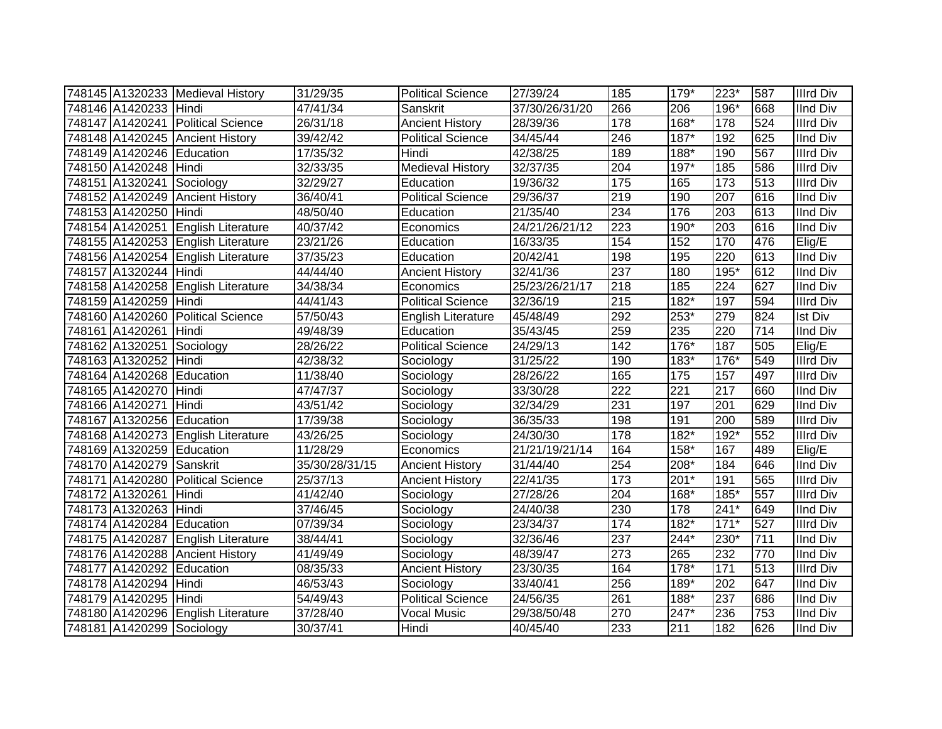|                           | 748145 A1320233 Medieval History   | 31/29/35       | <b>Political Science</b> | 27/39/24       | 185              | 179*               | $223*$ | 587 | <b>Illrd Div</b> |
|---------------------------|------------------------------------|----------------|--------------------------|----------------|------------------|--------------------|--------|-----|------------------|
| 748146 A1420233 Hindi     |                                    | 47/41/34       | Sanskrit                 | 37/30/26/31/20 | 266              | 206                | 196*   | 668 | <b>IInd Div</b>  |
|                           | 748147 A1420241 Political Science  | 26/31/18       | <b>Ancient History</b>   | 28/39/36       | 178              | $168*$             | 178    | 524 | <b>Illrd Div</b> |
|                           | 748148 A1420245 Ancient History    | 39/42/42       | <b>Political Science</b> | 34/45/44       | 246              | $187*$             | 192    | 625 | <b>IInd Div</b>  |
| 748149 A1420246 Education |                                    | 17/35/32       | Hindi                    | 42/38/25       | 189              | $188*$             | 190    | 567 | <b>Illrd Div</b> |
| 748150 A1420248 Hindi     |                                    | 32/33/35       | <b>Medieval History</b>  | 32/37/35       | 204              | $197*$             | 185    | 586 | <b>Illrd Div</b> |
| 748151 A1320241 Sociology |                                    | 32/29/27       | Education                | 19/36/32       | 175              | 165                | 173    | 513 | <b>Illrd Div</b> |
| 748152 A1420249           | <b>Ancient History</b>             | 36/40/41       | <b>Political Science</b> | 29/36/37       | 219              | 190                | 207    | 616 | <b>IInd Div</b>  |
| 748153 A1420250           | Hindi                              | 48/50/40       | Education                | 21/35/40       | 234              | 176                | 203    | 613 | <b>IInd Div</b>  |
|                           | 748154 A1420251 English Literature | 40/37/42       | Economics                | 24/21/26/21/12 | 223              | 190*               | 203    | 616 | <b>IInd Div</b>  |
|                           | 748155 A1420253 English Literature | 23/21/26       | Education                | 16/33/35       | 154              | 152                | 170    | 476 | Elig/E           |
|                           | 748156 A1420254 English Literature | 37/35/23       | Education                | 20/42/41       | 198              | 195                | 220    | 613 | <b>IInd Div</b>  |
| 748157 A1320244 Hindi     |                                    | 44/44/40       | <b>Ancient History</b>   | 32/41/36       | 237              | 180                | 195*   | 612 | <b>IInd Div</b>  |
| 748158 A1420258           | <b>English Literature</b>          | 34/38/34       | Economics                | 25/23/26/21/17 | 218              | 185                | 224    | 627 | <b>IInd Div</b>  |
| 748159 A1420259           | <b>Hindi</b>                       | 44/41/43       | <b>Political Science</b> | 32/36/19       | $\overline{215}$ | $182*$             | 197    | 594 | <b>Illrd Div</b> |
| 748160 A1420260           | <b>Political Science</b>           | 57/50/43       | English Literature       | 45/48/49       | 292              | 253*               | 279    | 824 | <b>Ist Div</b>   |
| 748161 A1420261           | Hindi                              | 49/48/39       | Education                | 35/43/45       | 259              | 235                | 220    | 714 | <b>IInd Div</b>  |
| 748162 A1320251 Sociology |                                    | 28/26/22       | <b>Political Science</b> | 24/29/13       | 142              | $176*$             | 187    | 505 | Elig/E           |
| 748163 A1320252 Hindi     |                                    | 42/38/32       | Sociology                | 31/25/22       | 190              | 183*               | 176*   | 549 | <b>Illrd Div</b> |
| 748164 A1420268 Education |                                    | 11/38/40       | Sociology                | 28/26/22       | 165              | 175                | 157    | 497 | <b>Illrd Div</b> |
| 748165 A1420270 Hindi     |                                    | 47/47/37       | Sociology                | 33/30/28       | 222              | 221                | 217    | 660 | <b>IInd Div</b>  |
| 748166 A1420271           | Hindi                              | 43/51/42       | Sociology                | 32/34/29       | 231              | 197                | 201    | 629 | <b>IInd Div</b>  |
| 748167 A1320256 Education |                                    | 17/39/38       | Sociology                | 36/35/33       | 198              | 191                | 200    | 589 | <b>Illrd Div</b> |
|                           | 748168 A1420273 English Literature | 43/26/25       | Sociology                | 24/30/30       | 178              | 182*               | $192*$ | 552 | <b>Illrd Div</b> |
| 748169 A1320259 Education |                                    | 11/28/29       | Economics                | 21/21/19/21/14 | 164              | 158*               | 167    | 489 | Elig/E           |
| 748170 A1420279 Sanskrit  |                                    | 35/30/28/31/15 | <b>Ancient History</b>   | 31/44/40       | 254              | 208*               | 184    | 646 | <b>IInd Div</b>  |
|                           | 748171 A1420280 Political Science  | 25/37/13       | <b>Ancient History</b>   | 22/41/35       | 173              | $201*$             | 191    | 565 | <b>Illrd Div</b> |
| 748172 A1320261           | Hindi                              | 41/42/40       | Sociology                | 27/28/26       | 204              | 168*               | $185*$ | 557 | <b>Illrd Div</b> |
| 748173 A1320263 Hindi     |                                    | 37/46/45       | Sociology                | 24/40/38       | 230              | 178                | $241*$ | 649 | <b>IInd Div</b>  |
| 748174 A1420284 Education |                                    | 07/39/34       | Sociology                | 23/34/37       | 174              | $182*$             | $171*$ | 527 | <b>Illrd Div</b> |
|                           | 748175 A1420287 English Literature | 38/44/41       | Sociology                | 32/36/46       | 237              | $\overline{244}$ * | 230*   | 711 | <b>IInd Div</b>  |
|                           | 748176 A1420288 Ancient History    | 41/49/49       | Sociology                | 48/39/47       | 273              | 265                | 232    | 770 | <b>IInd Div</b>  |
| 748177 A1420292 Education |                                    | 08/35/33       | <b>Ancient History</b>   | 23/30/35       | 164              | $178*$             | 171    | 513 | <b>Illrd Div</b> |
| 748178 A1420294 Hindi     |                                    | 46/53/43       | Sociology                | 33/40/41       | 256              | 189*               | 202    | 647 | <b>IInd Div</b>  |
| 748179 A1420295           | Hindi                              | 54/49/43       | <b>Political Science</b> | 24/56/35       | 261              | 188*               | 237    | 686 | <b>IInd Div</b>  |
|                           | 748180 A1420296 English Literature | 37/28/40       | <b>Vocal Music</b>       | 29/38/50/48    | 270              | 247*               | 236    | 753 | <b>IInd Div</b>  |
| 748181 A1420299 Sociology |                                    | 30/37/41       | Hindi                    | 40/45/40       | 233              | 211                | 182    | 626 | <b>IInd Div</b>  |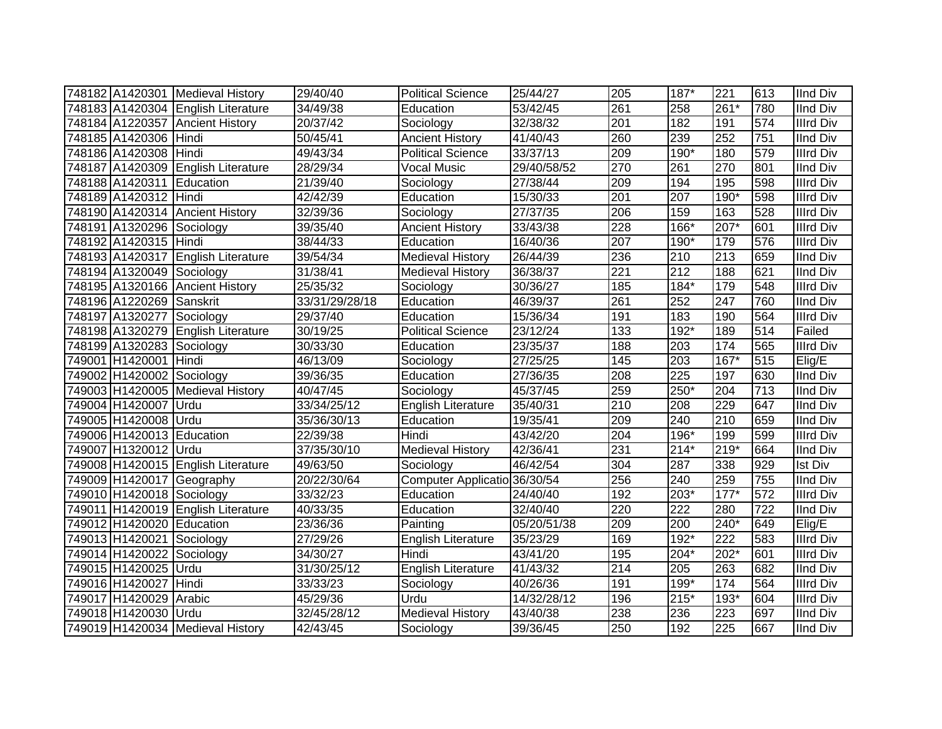|                           | 748182 A1420301 Medieval History   | 29/40/40       | <b>Political Science</b>     | 25/44/27          | 205 | 187*             | 221    | 613              | <b>IInd Div</b>  |
|---------------------------|------------------------------------|----------------|------------------------------|-------------------|-----|------------------|--------|------------------|------------------|
|                           | 748183 A1420304 English Literature | 34/49/38       | Education                    | $\sqrt{53/42}/45$ | 261 | 258              | 261*   | 780              | IInd Div         |
|                           | 748184 A1220357 Ancient History    | 20/37/42       | Sociology                    | 32/38/32          | 201 | 182              | 191    | 574              | <b>Illrd Div</b> |
| 748185 A1420306 Hindi     |                                    | 50/45/41       | <b>Ancient History</b>       | 41/40/43          | 260 | 239              | 252    | 751              | <b>IInd Div</b>  |
| 748186 A1420308 Hindi     |                                    | 49/43/34       | <b>Political Science</b>     | 33/37/13          | 209 | $190*$           | 180    | 579              | <b>Illrd Div</b> |
|                           | 748187 A1420309 English Literature | 28/29/34       | <b>Vocal Music</b>           | 29/40/58/52       | 270 | 261              | 270    | 801              | IInd Div         |
| 748188 A1420311 Education |                                    | 21/39/40       | Sociology                    | 27/38/44          | 209 | 194              | 195    | 598              | <b>Illrd Div</b> |
| 748189 A1420312 Hindi     |                                    | 42/42/39       | Education                    | 15/30/33          | 201 | 207              | 190*   | 598              | <b>Illrd Div</b> |
|                           | 748190 A1420314 Ancient History    | 32/39/36       | Sociology                    | 27/37/35          | 206 | 159              | 163    | 528              | <b>Illrd Div</b> |
| 748191 A1320296 Sociology |                                    | 39/35/40       | <b>Ancient History</b>       | 33/43/38          | 228 | 166*             | 207*   | 601              | <b>Illrd Div</b> |
| 748192 A1420315 Hindi     |                                    | 38/44/33       | Education                    | 16/40/36          | 207 | 190*             | 179    | 576              | <b>Illrd Div</b> |
|                           | 748193 A1420317 English Literature | 39/54/34       | <b>Medieval History</b>      | 26/44/39          | 236 | 210              | 213    | 659              | <b>IInd Div</b>  |
| 748194 A1320049 Sociology |                                    | 31/38/41       | <b>Medieval History</b>      | 36/38/37          | 221 | 212              | 188    | 621              | <b>IInd Div</b>  |
|                           | 748195 A1320166 Ancient History    | 25/35/32       | Sociology                    | 30/36/27          | 185 | $184*$           | 179    | 548              | <b>Illrd Div</b> |
| 748196 A1220269           | Sanskrit                           | 33/31/29/28/18 | Education                    | 46/39/37          | 261 | 252              | 247    | 760              | <b>IInd Div</b>  |
| 748197 A1320277           | Sociology                          | 29/37/40       | Education                    | 15/36/34          | 191 | 183              | 190    | 564              | <b>Illrd Div</b> |
|                           | 748198 A1320279 English Literature | 30/19/25       | <b>Political Science</b>     | 23/12/24          | 133 | $192*$           | 189    | 514              | Failed           |
| 748199 A1320283 Sociology |                                    | 30/33/30       | Education                    | 23/35/37          | 188 | 203              | 174    | 565              | <b>Illrd Div</b> |
| 749001 H1420001 Hindi     |                                    | 46/13/09       | Sociology                    | 27/25/25          | 145 | 203              | $167*$ | 515              | Elig/E           |
| 749002 H1420002 Sociology |                                    | 39/36/35       | Education                    | 27/36/35          | 208 | 225              | 197    | 630              | <b>IInd Div</b>  |
|                           | 749003 H1420005 Medieval History   | 40/47/45       | Sociology                    | 45/37/45          | 259 | $250*$           | 204    | 713              | <b>IInd Div</b>  |
| 749004 H1420007           | Urdu                               | 33/34/25/12    | <b>English Literature</b>    | 35/40/31          | 210 | 208              | 229    | 647              | <b>IInd Div</b>  |
| 749005 H1420008 Urdu      |                                    | 35/36/30/13    | Education                    | 19/35/41          | 209 | 240              | 210    | 659              | <b>IInd Div</b>  |
| 749006 H1420013 Education |                                    | 22/39/38       | Hindi                        | 43/42/20          | 204 | 196*             | 199    | 599              | <b>Illrd Div</b> |
| 749007 H1320012 Urdu      |                                    | 37/35/30/10    | <b>Medieval History</b>      | 42/36/41          | 231 | $214*$           | 219*   | 664              | <b>IInd Div</b>  |
|                           | 749008 H1420015 English Literature | 49/63/50       | Sociology                    | 46/42/54          | 304 | 287              | 338    | 929              | <b>Ist Div</b>   |
|                           | 749009 H1420017 Geography          | 20/22/30/64    | Computer Applicatio 36/30/54 |                   | 256 | $\overline{240}$ | 259    | 755              | <b>IInd Div</b>  |
| 749010 H1420018 Sociology |                                    | 33/32/23       | Education                    | 24/40/40          | 192 | $203*$           | $177*$ | 572              | <b>Illrd Div</b> |
|                           | 749011 H1420019 English Literature | 40/33/35       | Education                    | 32/40/40          | 220 | $\overline{222}$ | 280    | $\overline{722}$ | <b>IInd Div</b>  |
| 749012 H1420020 Education |                                    | 23/36/36       | Painting                     | 05/20/51/38       | 209 | 200              | $240*$ | 649              | Elig/E           |
| 749013 H1420021 Sociology |                                    | 27/29/26       | <b>English Literature</b>    | 35/23/29          | 169 | $192*$           | 222    | 583              | <b>Illrd Div</b> |
| 749014 H1420022           | Sociology                          | 34/30/27       | Hindi                        | 43/41/20          | 195 | 204*             | 202*   | 601              | <b>Illrd Div</b> |
| 749015 H1420025 Urdu      |                                    | 31/30/25/12    | English Literature           | 41/43/32          | 214 | 205              | 263    | 682              | <b>IInd Div</b>  |
| 749016 H1420027           | Hindi                              | 33/33/23       | Sociology                    | 40/26/36          | 191 | 199*             | 174    | 564              | <b>Illrd Div</b> |
| 749017 H1420029           | Arabic                             | 45/29/36       | Urdu                         | 14/32/28/12       | 196 | $215*$           | $193*$ | 604              | <b>Illrd Div</b> |
| 749018 H1420030           | Urdu                               | 32/45/28/12    | <b>Medieval History</b>      | 43/40/38          | 238 | 236              | 223    | 697              | <b>IInd Div</b>  |
|                           | 749019 H1420034 Medieval History   | 42/43/45       | Sociology                    | 39/36/45          | 250 | 192              | 225    | 667              | <b>IInd Div</b>  |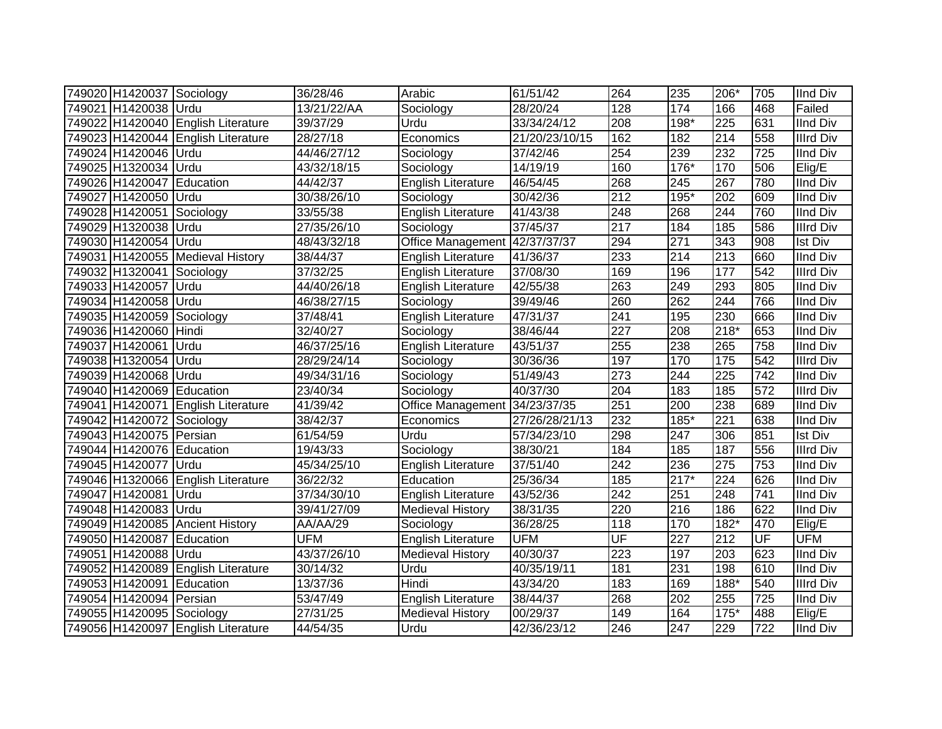| 749020 H1420037 Sociology |                                    | 36/28/46              | Arabic                        | 61/51/42       | 264              | 235              | 206*   | 705                      | <b>IInd Div</b>  |
|---------------------------|------------------------------------|-----------------------|-------------------------------|----------------|------------------|------------------|--------|--------------------------|------------------|
| 749021 H1420038 Urdu      |                                    | 13/21/22/AA           | Sociology                     | 28/20/24       | 128              | 174              | 166    | 468                      | Failed           |
|                           | 749022 H1420040 English Literature | 39/37/29              | Urdu                          | 33/34/24/12    | 208              | 198*             | 225    | 631                      | <b>IInd Div</b>  |
|                           | 749023 H1420044 English Literature | $\sqrt{28}/27/18$     | Economics                     | 21/20/23/10/15 | 162              | 182              | 214    | 558                      | <b>Illrd Div</b> |
| 749024 H1420046 Urdu      |                                    | 44/46/27/12           | Sociology                     | 37/42/46       | 254              | 239              | 232    | 725                      | <b>IInd Div</b>  |
| 749025 H1320034 Urdu      |                                    | 43/32/18/15           | Sociology                     | 14/19/19       | 160              | $176*$           | 170    | 506                      | Elig/E           |
| 749026 H1420047           | Education                          | 44/42/37              | <b>English Literature</b>     | 46/54/45       | 268              | 245              | 267    | 780                      | <b>IInd Div</b>  |
| 749027 H1420050           | Urdu                               | 30/38/26/10           | Sociology                     | 30/42/36       | 212              | $195*$           | 202    | 609                      | <b>IInd Div</b>  |
| 749028 H1420051           | Sociology                          | 33/55/38              | <b>English Literature</b>     | 41/43/38       | 248              | 268              | 244    | 760                      | IInd Div         |
| 749029 H1320038           | Urdu                               | 27/35/26/10           | Sociology                     | 37/45/37       | $\overline{217}$ | 184              | 185    | 586                      | <b>Illrd Div</b> |
| 749030 H1420054           | Urdu                               | 48/43/32/18           | Office Management 42/37/37/37 |                | 294              | 271              | 343    | 908                      | <b>Ist Div</b>   |
|                           | 749031 H1420055 Medieval History   | 38/44/37              | English Literature            | 41/36/37       | 233              | 214              | 213    | 660                      | <b>IInd Div</b>  |
| 749032 H1320041           | Sociology                          | 37/32/25              | English Literature            | 37/08/30       | 169              | 196              | 177    | 542                      | <b>Illrd Div</b> |
| 749033 H1420057           | Urdu                               | 44/40/26/18           | <b>English Literature</b>     | 42/55/38       | 263              | 249              | 293    | 805                      | <b>IInd Div</b>  |
| 749034 H1420058           | Urdu                               | 46/38/27/15           | Sociology                     | 39/49/46       | 260              | 262              | 244    | 766                      | <b>IInd Div</b>  |
| 749035 H1420059 Sociology |                                    | 37/48/41              | <b>English Literature</b>     | 47/31/37       | 241              | 195              | 230    | 666                      | <b>IInd Div</b>  |
| 749036 H1420060 Hindi     |                                    | 32/40/27              | Sociology                     | 38/46/44       | 227              | 208              | 218*   | 653                      | <b>IInd Div</b>  |
| 749037 H1420061           | Urdu                               | 46/37/25/16           | <b>English Literature</b>     | 43/51/37       | 255              | 238              | 265    | 758                      | <b>IInd Div</b>  |
| 749038 H1320054 Urdu      |                                    | 28/29/24/14           | Sociology                     | 30/36/36       | 197              | 170              | 175    | 542                      | <b>Illrd Div</b> |
| 749039 H1420068 Urdu      |                                    | 49/34/31/16           | Sociology                     | 51/49/43       | 273              | 244              | 225    | 742                      | <b>IInd Div</b>  |
| 749040 H1420069 Education |                                    | 23/40/34              | Sociology                     | 40/37/30       | $\overline{204}$ | 183              | 185    | 572                      | <b>Illrd Div</b> |
|                           | 749041 H1420071 English Literature | 41/39/42              | Office Management 34/23/37/35 |                | 251              | 200              | 238    | 689                      | <b>IInd Div</b>  |
| 749042 H1420072 Sociology |                                    | 38/42/37              | Economics                     | 27/26/28/21/13 | 232              | 185*             | 221    | 638                      | <b>IInd Div</b>  |
| 749043 H1420075 Persian   |                                    | 61/54/59              | Urdu                          | 57/34/23/10    | 298              | 247              | 306    | 851                      | <b>Ist Div</b>   |
| 749044 H1420076 Education |                                    | 19/43/33              | Sociology                     | 38/30/21       | 184              | 185              | 187    | 556                      | <b>Illrd Div</b> |
| 749045 H1420077           | Urdu                               | 45/34/25/10           | <b>English Literature</b>     | 37/51/40       | 242              | 236              | 275    | 753                      | <b>IInd Div</b>  |
|                           | 749046 H1320066 English Literature | 36/22/32              | Education                     | 25/36/34       | 185              | $217*$           | 224    | 626                      | <b>IInd Div</b>  |
| 749047 H1420081           | Urdu                               | 37/34/30/10           | <b>English Literature</b>     | 43/52/36       | $\overline{242}$ | 251              | 248    | 741                      | <b>IInd Div</b>  |
| 749048 H1420083 Urdu      |                                    | 39/41/27/09           | <b>Medieval History</b>       | 38/31/35       | 220              | 216              | 186    | 622                      | <b>IInd Div</b>  |
|                           | 749049 H1420085 Ancient History    | $\overline{AA}/AA/29$ | Sociology                     | 36/28/25       | 118              | 170              | $182*$ | 470                      | Elig/E           |
| 749050 H1420087 Education |                                    | <b>UFM</b>            | <b>English Literature</b>     | <b>UFM</b>     | UF               | $\overline{227}$ | 212    | $\overline{\mathsf{UF}}$ | <b>UFM</b>       |
| 749051 H1420088 Urdu      |                                    | 43/37/26/10           | <b>Medieval History</b>       | 40/30/37       | 223              | 197              | 203    | 623                      | <b>IInd Div</b>  |
|                           | 749052 H1420089 English Literature | 30/14/32              | Urdu                          | 40/35/19/11    | 181              | 231              | 198    | 610                      | <b>IInd Div</b>  |
| 749053 H1420091           | Education                          | 13/37/36              | Hindi                         | 43/34/20       | 183              | 169              | 188*   | 540                      | <b>Illrd Div</b> |
| 749054 H1420094           | Persian                            | 53/47/49              | English Literature            | 38/44/37       | 268              | 202              | 255    | 725                      | <b>IInd Div</b>  |
| 749055 H1420095 Sociology |                                    | 27/31/25              | <b>Medieval History</b>       | 00/29/37       | 149              | 164              | 175*   | 488                      | Elig/E           |
|                           | 749056 H1420097 English Literature | 44/54/35              | Urdu                          | 42/36/23/12    | $\overline{246}$ | 247              | 229    | 722                      | <b>IInd Div</b>  |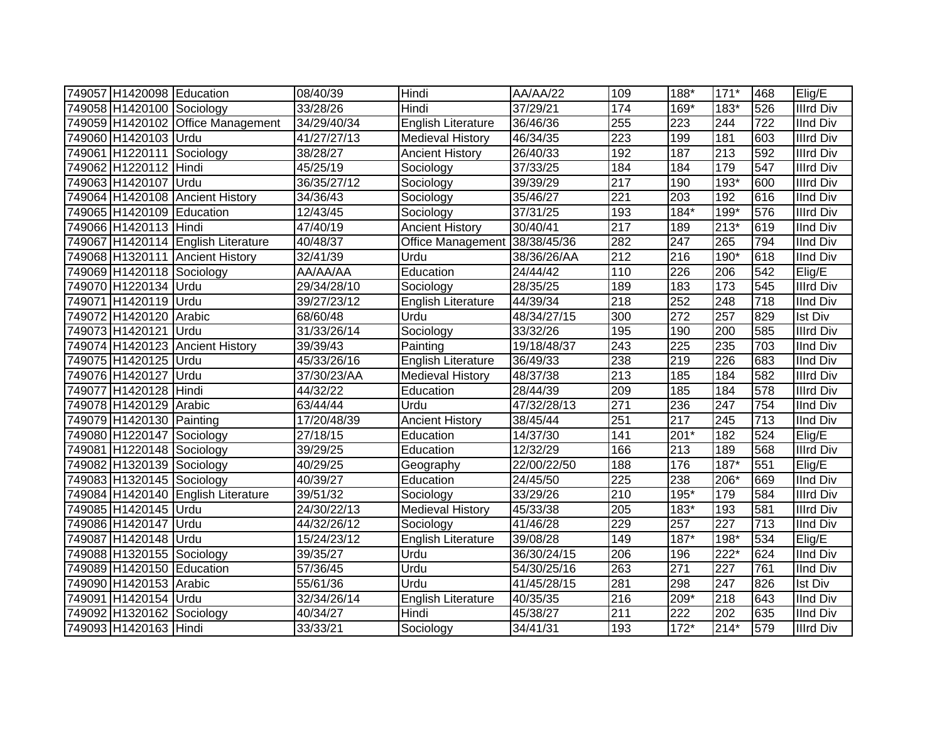| 749057 H1420098 Education |                                    | 08/40/39    | Hindi                         | AA/AA/22              | 109 | 188*             | $171*$ | 468              | Elig/E           |
|---------------------------|------------------------------------|-------------|-------------------------------|-----------------------|-----|------------------|--------|------------------|------------------|
| 749058 H1420100 Sociology |                                    | 33/28/26    | Hindi                         | 37/29/21              | 174 | $169*$           | $183*$ | 526              | <b>Illrd Div</b> |
|                           | 749059 H1420102 Office Management  | 34/29/40/34 | English Literature            | 36/46/36              | 255 | 223              | 244    | 722              | <b>IInd Div</b>  |
| 749060 H1420103 Urdu      |                                    | 41/27/27/13 | <b>Medieval History</b>       | 46/34/35              | 223 | 199              | 181    | 603              | <b>Illrd Div</b> |
| 749061 H1220111 Sociology |                                    | 38/28/27    | <b>Ancient History</b>        | 26/40/33              | 192 | 187              | 213    | 592              | <b>Illrd Div</b> |
| 749062 H1220112 Hindi     |                                    | 45/25/19    | Sociology                     | 37/33/25              | 184 | 184              | 179    | 547              | <b>Illrd Div</b> |
| 749063 H1420107           | Urdu                               | 36/35/27/12 | Sociology                     | 39/39/29              | 217 | 190              | 193*   | 600              | <b>Illrd Div</b> |
|                           | 749064 H1420108 Ancient History    | 34/36/43    | Sociology                     | 35/46/27              | 221 | $\overline{203}$ | 192    | 616              | <b>IInd Div</b>  |
| 749065 H1420109 Education |                                    | 12/43/45    | Sociology                     | $\overline{37}/31/25$ | 193 | $184*$           | $199*$ | 576              | <b>Illrd Div</b> |
| 749066 H1420113 Hindi     |                                    | 47/40/19    | <b>Ancient History</b>        | 30/40/41              | 217 | 189              | $213*$ | 619              | <b>IInd Div</b>  |
|                           | 749067 H1420114 English Literature | 40/48/37    | Office Management 38/38/45/36 |                       | 282 | 247              | 265    | 794              | <b>IInd Div</b>  |
|                           | 749068 H1320111 Ancient History    | 32/41/39    | Urdu                          | 38/36/26/AA           | 212 | 216              | 190*   | 618              | <b>IInd Div</b>  |
| 749069 H1420118 Sociology |                                    | AA/AA/AA    | Education                     | 24/44/42              | 110 | 226              | 206    | 542              | Elig/E           |
| 749070 H1220134           | Urdu                               | 29/34/28/10 | Sociology                     | 28/35/25              | 189 | 183              | 173    | 545              | <b>Illrd Div</b> |
| 749071 H1420119           | <b>IUrdu</b>                       | 39/27/23/12 | <b>English Literature</b>     | 44/39/34              | 218 | 252              | 248    | 718              | <b>IInd Div</b>  |
| 749072 H1420120           | Arabic                             | 68/60/48    | Urdu                          | 48/34/27/15           | 300 | 272              | 257    | 829              | <b>Ist Div</b>   |
| 749073 H1420121           | <b>IUrdu</b>                       | 31/33/26/14 | Sociology                     | 33/32/26              | 195 | 190              | 200    | 585              | <b>Illrd Div</b> |
|                           | 749074 H1420123 Ancient History    | 39/39/43    | Painting                      | 19/18/48/37           | 243 | 225              | 235    | 703              | <b>IInd Div</b>  |
| 749075 H1420125           | Urdu                               | 45/33/26/16 | English Literature            | 36/49/33              | 238 | 219              | 226    | 683              | <b>IInd Div</b>  |
| 749076 H1420127           | Urdu                               | 37/30/23/AA | <b>Medieval History</b>       | 48/37/38              | 213 | 185              | 184    | 582              | <b>Illrd Div</b> |
| 749077 H1420128 Hindi     |                                    | 44/32/22    | Education                     | 28/44/39              | 209 | 185              | 184    | 578              | <b>Illrd Div</b> |
| 749078 H1420129 Arabic    |                                    | 63/44/44    | Urdu                          | 47/32/28/13           | 271 | 236              | 247    | 754              | <b>IInd Div</b>  |
| 749079 H1420130 Painting  |                                    | 17/20/48/39 | <b>Ancient History</b>        | 38/45/44              | 251 | 217              | 245    | 713              | <b>IInd Div</b>  |
| 749080 H1220147 Sociology |                                    | 27/18/15    | Education                     | 14/37/30              | 141 | $201*$           | 182    | 524              | Elig/E           |
| 749081 H1220148 Sociology |                                    | 39/29/25    | Education                     | 12/32/29              | 166 | 213              | 189    | 568              | <b>Illrd Div</b> |
| 749082 H1320139 Sociology |                                    | 40/29/25    | Geography                     | 22/00/22/50           | 188 | 176              | $187*$ | 551              | Elig/E           |
| 749083 H1320145 Sociology |                                    | 40/39/27    | Education                     | 24/45/50              | 225 | 238              | 206*   | 669              | <b>IInd Div</b>  |
|                           | 749084 H1420140 English Literature | 39/51/32    | Sociology                     | 33/29/26              | 210 | $195*$           | 179    | 584              | <b>Illrd Div</b> |
| 749085 H1420145 Urdu      |                                    | 24/30/22/13 | <b>Medieval History</b>       | 45/33/38              | 205 | $183*$           | 193    | 581              | <b>Illrd Div</b> |
| 749086 H1420147 Urdu      |                                    | 44/32/26/12 | Sociology                     | 41/46/28              | 229 | 257              | 227    | $\overline{713}$ | <b>IInd Div</b>  |
| 749087 H1420148 Urdu      |                                    | 15/24/23/12 | English Literature            | 39/08/28              | 149 | $187*$           | 198*   | 534              | Elig/E           |
| 749088 H1320155 Sociology |                                    | 39/35/27    | Urdu                          | 36/30/24/15           | 206 | 196              | $222*$ | 624              | <b>IInd Div</b>  |
| 749089 H1420150 Education |                                    | 57/36/45    | Urdu                          | 54/30/25/16           | 263 | 271              | 227    | 761              | <b>IInd Div</b>  |
| 749090 H1420153 Arabic    |                                    | 55/61/36    | Urdu                          | 41/45/28/15           | 281 | 298              | 247    | 826              | <b>Ist Div</b>   |
| 749091 H1420154 Urdu      |                                    | 32/34/26/14 | <b>English Literature</b>     | 40/35/35              | 216 | 209*             | 218    | 643              | <b>IInd Div</b>  |
| 749092 H1320162           | Sociology                          | 40/34/27    | Hindi                         | 45/38/27              | 211 | 222              | 202    | 635              | <b>IInd Div</b>  |
| 749093 H1420163 Hindi     |                                    | 33/33/21    | Sociology                     | 34/41/31              | 193 | $172*$           | $214*$ | 579              | <b>Illrd Div</b> |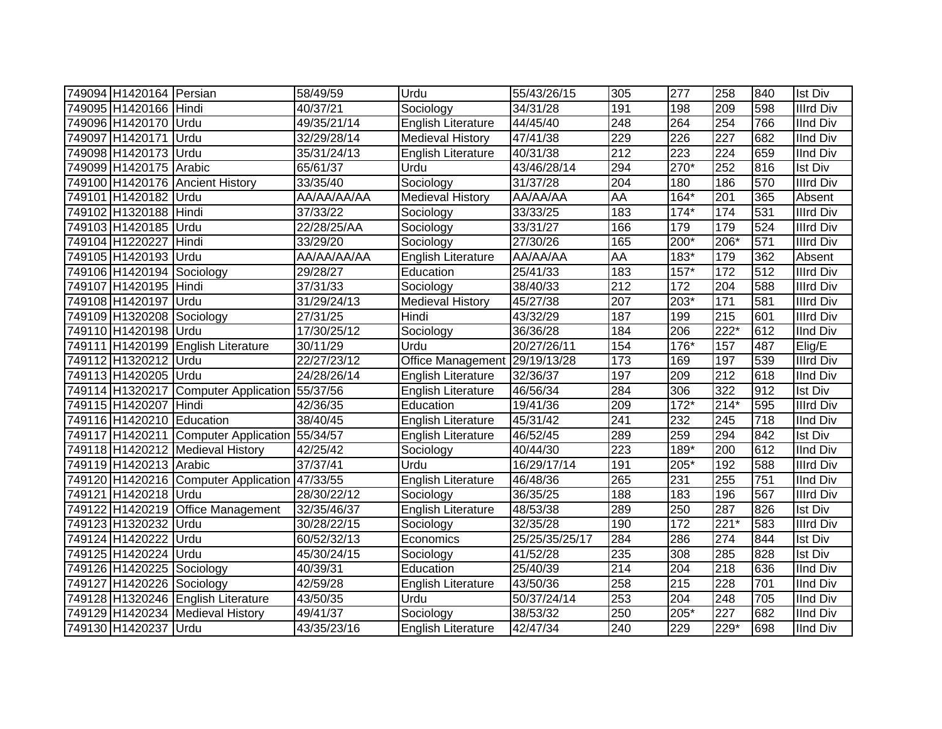| 749094 H1420164 Persian   |                                               | 58/49/59    | Urdu                      | 55/43/26/15    | 305       | 277              | 258              | 840              | <b>Ist Div</b>   |
|---------------------------|-----------------------------------------------|-------------|---------------------------|----------------|-----------|------------------|------------------|------------------|------------------|
| 749095 H1420166 Hindi     |                                               | 40/37/21    | Sociology                 | 34/31/28       | 191       | 198              | 209              | 598              | <b>Illrd Div</b> |
| 749096 H1420170 Urdu      |                                               | 49/35/21/14 | <b>English Literature</b> | 44/45/40       | 248       | 264              | 254              | 766              | <b>IInd Div</b>  |
| 749097 H1420171 Urdu      |                                               | 32/29/28/14 | <b>Medieval History</b>   | 47/41/38       | 229       | 226              | 227              | 682              | <b>IInd Div</b>  |
| 749098 H1420173 Urdu      |                                               | 35/31/24/13 | English Literature        | 40/31/38       | 212       | $\overline{223}$ | 224              | 659              | <b>IInd Div</b>  |
| 749099 H1420175 Arabic    |                                               | 65/61/37    | Urdu                      | 43/46/28/14    | 294       | $270*$           | 252              | 816              | <b>Ist Div</b>   |
| 749100 H1420176           | <b>Ancient History</b>                        | 33/35/40    | Sociology                 | 31/37/28       | 204       | 180              | 186              | 570              | <b>Illrd Div</b> |
| 749101 H1420182 Urdu      |                                               | AA/AA/AA/AA | <b>Medieval History</b>   | AA/AA/AA       | <b>AA</b> | $164*$           | $\overline{201}$ | 365              | Absent           |
| 749102 H1320188 Hindi     |                                               | 37/33/22    | Sociology                 | 33/33/25       | 183       | $174*$           | 174              | 531              | <b>IIIrd Div</b> |
| 749103 H1420185 Urdu      |                                               | 22/28/25/AA | Sociology                 | 33/31/27       | 166       | 179              | 179              | 524              | <b>Illrd Div</b> |
| 749104 H1220227           | Hindi                                         | 33/29/20    | Sociology                 | 27/30/26       | 165       | $200*$           | $206*$           | 571              | <b>Illrd Div</b> |
| 749105 H1420193 Urdu      |                                               | AA/AA/AA/AA | <b>English Literature</b> | AA/AA/AA       | AA        | $183*$           | 179              | 362              | Absent           |
| 749106 H1420194 Sociology |                                               | 29/28/27    | Education                 | 25/41/33       | 183       | $157*$           | 172              | 512              | <b>Illrd Div</b> |
| 749107 H1420195 Hindi     |                                               | 37/31/33    | Sociology                 | 38/40/33       | 212       | 172              | 204              | 588              | <b>Illrd Div</b> |
| 749108 H1420197           | <b>Urdu</b>                                   | 31/29/24/13 | <b>Medieval History</b>   | 45/27/38       | 207       | 203*             | 171              | 581              | <b>Illrd Div</b> |
| 749109 H1320208           | Sociology                                     | 27/31/25    | Hindi                     | 43/32/29       | 187       | 199              | 215              | 601              | <b>Illrd Div</b> |
| 749110 H1420198           | <b>IUrdu</b>                                  | 17/30/25/12 | Sociology                 | 36/36/28       | 184       | 206              | 222*             | 612              | <b>IInd Div</b>  |
|                           | 749111 H1420199 English Literature            | 30/11/29    | Urdu                      | 20/27/26/11    | 154       | 176*             | 157              | 487              | Elig/E           |
| 749112 H1320212           | <b>Urdu</b>                                   | 22/27/23/12 | Office Management         | 29/19/13/28    | 173       | 169              | 197              | 539              | <b>Illrd Div</b> |
| 749113 H1420205 Urdu      |                                               | 24/28/26/14 | <b>English Literature</b> | 32/36/37       | 197       | 209              | 212              | 618              | <b>IInd Div</b>  |
|                           | 749114 H1320217 Computer Application 55/37/56 |             | English Literature        | 46/56/34       | 284       | 306              | 322              | 912              | <b>Ist Div</b>   |
| 749115 H1420207           | Hindi                                         | 42/36/35    | Education                 | 19/41/36       | 209       | $172*$           | $214*$           | 595              | <b>Illrd Div</b> |
| 749116 H1420210 Education |                                               | 38/40/45    | <b>English Literature</b> | 45/31/42       | 241       | 232              | 245              | $\overline{718}$ | IInd Div         |
|                           | 749117 H1420211 Computer Application 55/34/57 |             | <b>English Literature</b> | 46/52/45       | 289       | 259              | 294              | 842              | <b>Ist Div</b>   |
|                           | 749118 H1420212 Medieval History              | 42/25/42    | Sociology                 | 40/44/30       | 223       | 189*             | 200              | 612              | <b>IInd Div</b>  |
| 749119 H1420213 Arabic    |                                               | 37/37/41    | Urdu                      | 16/29/17/14    | 191       | 205*             | 192              | 588              | <b>Illrd Div</b> |
|                           | 749120 H1420216 Computer Application          | 47/33/55    | <b>English Literature</b> | 46/48/36       | 265       | 231              | 255              | 751              | <b>IInd Div</b>  |
| 749121 H1420218           | Urdu                                          | 28/30/22/12 | Sociology                 | 36/35/25       | 188       | 183              | 196              | 567              | <b>Illrd Div</b> |
| 749122 H1420219           | Office Management                             | 32/35/46/37 | English Literature        | 48/53/38       | 289       | 250              | 287              | 826              | <b>Ist Div</b>   |
| 749123 H1320232           | Urdu                                          | 30/28/22/15 | Sociology                 | 32/35/28       | 190       | 172              | $221*$           | 583              | <b>Illrd Div</b> |
| 749124 H1420222           | Urdu                                          | 60/52/32/13 | Economics                 | 25/25/35/25/17 | 284       | 286              | 274              | 844              | <b>Ist Div</b>   |
| 749125 H1420224 Urdu      |                                               | 45/30/24/15 | Sociology                 | 41/52/28       | 235       | 308              | 285              | 828              | <b>Ist Div</b>   |
| 749126 H1420225 Sociology |                                               | 40/39/31    | Education                 | 25/40/39       | 214       | 204              | 218              | 636              | <b>IInd Div</b>  |
| 749127 H1420226 Sociology |                                               | 42/59/28    | English Literature        | 43/50/36       | 258       | 215              | 228              | 701              | <b>IInd Div</b>  |
|                           | 749128 H1320246 English Literature            | 43/50/35    | Urdu                      | 50/37/24/14    | 253       | 204              | 248              | 705              | <b>IInd Div</b>  |
|                           | 749129 H1420234 Medieval History              | 49/41/37    | Sociology                 | 38/53/32       | 250       | 205*             | 227              | 682              | <b>IInd Div</b>  |
| 749130 H1420237 Urdu      |                                               | 43/35/23/16 | <b>English Literature</b> | 42/47/34       | 240       | 229              | 229*             | 698              | <b>IInd Div</b>  |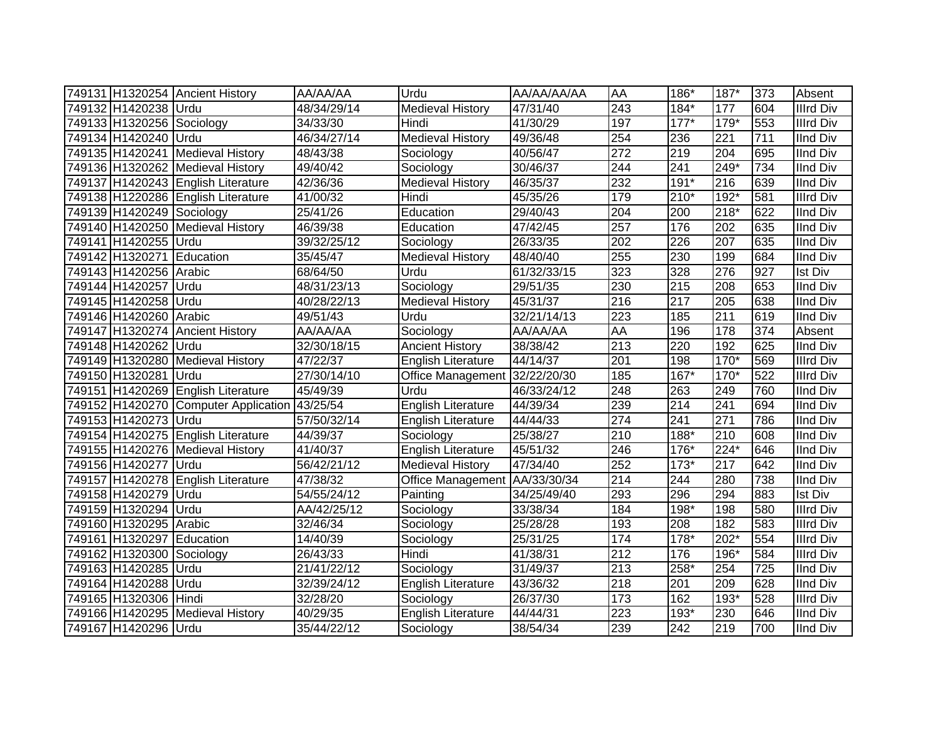|                           | 749131 H1320254 Ancient History      | AA/AA/AA    | Urdu                          | AA/AA/AA/AA | AA               | 186*             | 187*             | 373 | Absent           |
|---------------------------|--------------------------------------|-------------|-------------------------------|-------------|------------------|------------------|------------------|-----|------------------|
| 749132 H1420238 Urdu      |                                      | 48/34/29/14 | <b>Medieval History</b>       | 47/31/40    | $\overline{243}$ | 184*             | 177              | 604 | <b>Illrd Div</b> |
| 749133 H1320256 Sociology |                                      | 34/33/30    | Hindi                         | 41/30/29    | 197              | $177*$           | 179*             | 553 | <b>Illrd Div</b> |
| 749134 H1420240 Urdu      |                                      | 46/34/27/14 | <b>Medieval History</b>       | 49/36/48    | 254              | 236              | 221              | 711 | <b>IInd Div</b>  |
|                           | 749135 H1420241 Medieval History     | 48/43/38    | Sociology                     | 40/56/47    | 272              | 219              | 204              | 695 | <b>IInd Div</b>  |
|                           | 749136 H1320262 Medieval History     | 49/40/42    | Sociology                     | 30/46/37    | 244              | $\overline{241}$ | 249*             | 734 | <b>IInd Div</b>  |
|                           | 749137 H1420243 English Literature   | 42/36/36    | <b>Medieval History</b>       | 46/35/37    | 232              | $191*$           | 216              | 639 | <b>IInd Div</b>  |
|                           | 749138 H1220286 English Literature   | 41/00/32    | Hindi                         | 45/35/26    | 179              | $210*$           | $192*$           | 581 | <b>Illrd Div</b> |
| 749139 H1420249 Sociology |                                      | 25/41/26    | Education                     | 29/40/43    | 204              | 200              | $218*$           | 622 | <b>IInd Div</b>  |
|                           | 749140 H1420250 Medieval History     | 46/39/38    | Education                     | 47/42/45    | 257              | 176              | 202              | 635 | <b>IInd Div</b>  |
| 749141 H1420255 Urdu      |                                      | 39/32/25/12 | Sociology                     | 26/33/35    | $\overline{202}$ | 226              | 207              | 635 | <b>IInd Div</b>  |
| 749142 H1320271 Education |                                      | 35/45/47    | <b>Medieval History</b>       | 48/40/40    | 255              | 230              | 199              | 684 | <b>IInd Div</b>  |
| 749143 H1420256 Arabic    |                                      | 68/64/50    | Urdu                          | 61/32/33/15 | 323              | 328              | 276              | 927 | <b>Ist Div</b>   |
| 749144 H1420257           | Urdu                                 | 48/31/23/13 | Sociology                     | 29/51/35    | 230              | 215              | 208              | 653 | <b>IInd Div</b>  |
| 749145 H1420258 Urdu      |                                      | 40/28/22/13 | Medieval History              | 45/31/37    | 216              | 217              | 205              | 638 | <b>IInd Div</b>  |
| 749146 H1420260           | Arabic                               | 49/51/43    | Urdu                          | 32/21/14/13 | 223              | 185              | $\overline{211}$ | 619 | <b>IInd Div</b>  |
| 749147 H1320274           | <b>Ancient History</b>               | AA/AA/AA    | Sociology                     | AA/AA/AA    | AA               | 196              | 178              | 374 | Absent           |
| 749148 H1420262 Urdu      |                                      | 32/30/18/15 | <b>Ancient History</b>        | 38/38/42    | $\overline{213}$ | 220              | 192              | 625 | <b>IInd Div</b>  |
|                           | 749149 H1320280 Medieval History     | 47/22/37    | English Literature            | 44/14/37    | 201              | 198              | $170*$           | 569 | <b>Illrd Div</b> |
| 749150 H1320281           | Urdu                                 | 27/30/14/10 | Office Management 32/22/20/30 |             | 185              | $167*$           | $170*$           | 522 | <b>Illrd Div</b> |
|                           | 749151 H1420269 English Literature   | 45/49/39    | Urdu                          | 46/33/24/12 | 248              | 263              | 249              | 760 | <b>IInd Div</b>  |
|                           | 749152 H1420270 Computer Application | 43/25/54    | <b>English Literature</b>     | 44/39/34    | 239              | 214              | $\overline{241}$ | 694 | <b>IInd Div</b>  |
| 749153 H1420273 Urdu      |                                      | 57/50/32/14 | English Literature            | 44/44/33    | $\overline{274}$ | 241              | $\overline{271}$ | 786 | <b>IInd Div</b>  |
|                           | 749154 H1420275 English Literature   | 44/39/37    | Sociology                     | 25/38/27    | 210              | $188*$           | 210              | 608 | <b>IInd Div</b>  |
|                           | 749155 H1420276 Medieval History     | 41/40/37    | English Literature            | 45/51/32    | 246              | 176*             | $224*$           | 646 | <b>IInd Div</b>  |
| 749156 H1420277           | Urdu                                 | 56/42/21/12 | <b>Medieval History</b>       | 47/34/40    | 252              | $173*$           | 217              | 642 | <b>IInd Div</b>  |
|                           | 749157 H1420278 English Literature   | 47/38/32    | Office Management AA/33/30/34 |             | 214              | 244              | 280              | 738 | <b>IInd Div</b>  |
| 749158 H1420279           | Urdu                                 | 54/55/24/12 | Painting                      | 34/25/49/40 | 293              | 296              | 294              | 883 | <b>Ist Div</b>   |
| 749159 H1320294 Urdu      |                                      | AA/42/25/12 | Sociology                     | 33/38/34    | 184              | 198*             | 198              | 580 | <b>Illrd Div</b> |
| 749160 H1320295 Arabic    |                                      | 32/46/34    | Sociology                     | 25/28/28    | 193              | 208              | 182              | 583 | <b>IIIrd Div</b> |
| 749161 H1320297 Education |                                      | 14/40/39    | Sociology                     | 25/31/25    | 174              | $178*$           | $202*$           | 554 | <b>IIIrd Div</b> |
| 749162 H1320300           | Sociology                            | 26/43/33    | Hindi                         | 41/38/31    | 212              | 176              | 196*             | 584 | <b>Illrd Div</b> |
| 749163 H1420285 Urdu      |                                      | 21/41/22/12 | Sociology                     | 31/49/37    | 213              | 258*             | 254              | 725 | <b>IInd Div</b>  |
| 749164 H1420288           | <b>Urdu</b>                          | 32/39/24/12 | English Literature            | 43/36/32    | 218              | 201              | 209              | 628 | <b>IInd Div</b>  |
| 749165 H1320306           | Hindi                                | 32/28/20    | Sociology                     | 26/37/30    | 173              | 162              | 193*             | 528 | <b>Illrd Div</b> |
|                           | 749166 H1420295 Medieval History     | 40/29/35    | <b>English Literature</b>     | 44/44/31    | $\overline{223}$ | 193*             | 230              | 646 | <b>IInd Div</b>  |
| 749167 H1420296 Urdu      |                                      | 35/44/22/12 | Sociology                     | 38/54/34    | 239              | $\overline{242}$ | 219              | 700 | <b>IInd Div</b>  |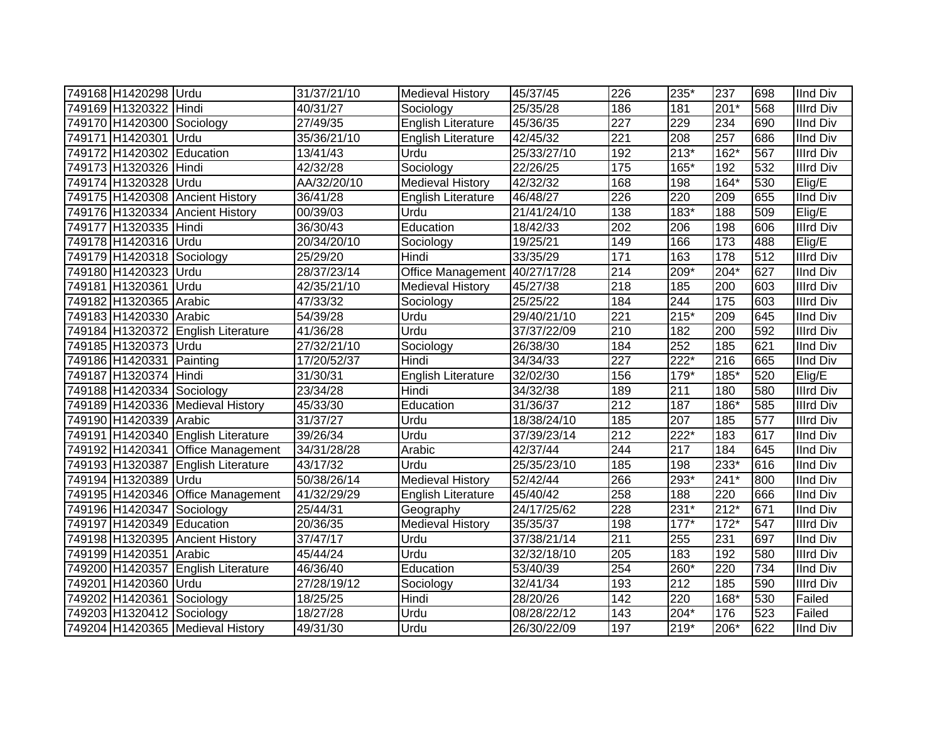| 749168 H1420298 Urdu      |                                    | 31/37/21/10           | Medieval History          | 45/37/45          | 226               | 235*   | 237    | 698 | <b>IInd Div</b>  |
|---------------------------|------------------------------------|-----------------------|---------------------------|-------------------|-------------------|--------|--------|-----|------------------|
| 749169 H1320322 Hindi     |                                    | 40/31/27              | Sociology                 | 25/35/28          | 186               | 181    | $201*$ | 568 | <b>Illrd Div</b> |
| 749170 H1420300 Sociology |                                    | 27/49/35              | <b>English Literature</b> | 45/36/35          | $\overline{227}$  | 229    | 234    | 690 | <b>IInd Div</b>  |
| 749171 H1420301 Urdu      |                                    | 35/36/21/10           | English Literature        | $\sqrt{42}/45/32$ | $\overline{221}$  | 208    | 257    | 686 | <b>IInd Div</b>  |
| 749172 H1420302 Education |                                    | 13/41/43              | Urdu                      | 25/33/27/10       | 192               | $213*$ | $162*$ | 567 | <b>Illrd Div</b> |
| 749173 H1320326           | Hindi                              | 42/32/28              | Sociology                 | 22/26/25          | $\frac{175}{175}$ | 165*   | 192    | 532 | <b>Illrd Div</b> |
| 749174 H1320328 Urdu      |                                    | AA/32/20/10           | <b>Medieval History</b>   | 42/32/32          | 168               | 198    | $164*$ | 530 | Elig/E           |
| 749175 H1420308           | <b>Ancient History</b>             | 36/41/28              | <b>English Literature</b> | 46/48/27          | 226               | 220    | 209    | 655 | <b>IInd Div</b>  |
|                           | 749176 H1320334 Ancient History    | 00/39/03              | Urdu                      | 21/41/24/10       | 138               | 183*   | 188    | 509 | Elig/E           |
| 749177 H1320335 Hindi     |                                    | 36/30/43              | Education                 | 18/42/33          | 202               | 206    | 198    | 606 | <b>Illrd Div</b> |
| 749178 H1420316 Urdu      |                                    | 20/34/20/10           | Sociology                 | 19/25/21          | 149               | 166    | 173    | 488 | Elig/E           |
| 749179 H1420318 Sociology |                                    | 25/29/20              | Hindi                     | 33/35/29          | $\frac{1}{171}$   | 163    | 178    | 512 | <b>Illrd Div</b> |
| 749180 H1420323           | Urdu                               | 28/37/23/14           | Office Management         | 40/27/17/28       | $\overline{214}$  | 209*   | $204*$ | 627 | <b>IInd Div</b>  |
| 749181 H1320361           | Urdu                               | 42/35/21/10           | <b>Medieval History</b>   | 45/27/38          | 218               | 185    | 200    | 603 | <b>Illrd Div</b> |
| 749182 H1320365 Arabic    |                                    | 47/33/32              | Sociology                 | 25/25/22          | 184               | 244    | 175    | 603 | <b>Illrd Div</b> |
| 749183 H1420330           | Arabic                             | 54/39/28              | Urdu                      | 29/40/21/10       | $\overline{221}$  | $215*$ | 209    | 645 | <b>IInd Div</b>  |
|                           | 749184 H1320372 English Literature | 41/36/28              | Urdu                      | 37/37/22/09       | 210               | 182    | 200    | 592 | <b>Illrd Div</b> |
| 749185 H1320373 Urdu      |                                    | 27/32/21/10           | Sociology                 | 26/38/30          | 184               | 252    | 185    | 621 | <b>IInd Div</b>  |
| 749186 H1420331 Painting  |                                    | 17/20/52/37           | Hindi                     | 34/34/33          | 227               | 222*   | 216    | 665 | <b>IInd Div</b>  |
| 749187 H1320374           | Hindi                              | 31/30/31              | <b>English Literature</b> | 32/02/30          | 156               | 179*   | 185*   | 520 | Elig/E           |
| 749188 H1420334 Sociology |                                    | 23/34/28              | Hindi                     | 34/32/38          | 189               | 211    | 180    | 580 | <b>Illrd Div</b> |
|                           | 749189 H1420336 Medieval History   | 45/33/30              | Education                 | 31/36/37          | $\overline{212}$  | 187    | 186*   | 585 | <b>Illrd Div</b> |
| 749190 H1420339 Arabic    |                                    | 31/37/27              | Urdu                      | 18/38/24/10       | 185               | 207    | 185    | 577 | <b>Illrd Div</b> |
|                           | 749191 H1420340 English Literature | 39/26/34              | Urdu                      | 37/39/23/14       | 212               | $222*$ | 183    | 617 | <b>IInd Div</b>  |
|                           | 749192 H1420341 Office Management  | 34/31/28/28           | Arabic                    | 42/37/44          | 244               | 217    | 184    | 645 | <b>IInd Div</b>  |
| 749193 H1320387           | <b>English Literature</b>          | 43/17/32              | Urdu                      | 25/35/23/10       | 185               | 198    | 233*   | 616 | <b>IInd Div</b>  |
| 749194 H1320389 Urdu      |                                    | 50/38/26/14           | <b>Medieval History</b>   | 52/42/44          | 266               | 293*   | $241*$ | 800 | <b>IInd Div</b>  |
|                           | 749195 H1420346 Office Management  | 41/32/29/29           | <b>English Literature</b> | 45/40/42          | 258               | 188    | 220    | 666 | <b>IInd Div</b>  |
| 749196 H1420347           | Sociology                          | 25/44/31              | Geography                 | 24/17/25/62       | 228               | 231*   | $212*$ | 671 | <b>IInd Div</b>  |
| 749197 H1420349 Education |                                    | 20/36/35              | <b>Medieval History</b>   | 35/35/37          | 198               | $177*$ | $172*$ | 547 | <b>Illrd Div</b> |
|                           | 749198 H1320395 Ancient History    | 37/47/17              | Urdu                      | 37/38/21/14       | $\overline{211}$  | 255    | 231    | 697 | <b>IInd Div</b>  |
| 749199 H1420351 Arabic    |                                    | 45/44/24              | Urdu                      | 32/32/18/10       | 205               | 183    | 192    | 580 | <b>Illrd Div</b> |
| 749200 H1420357           | <b>English Literature</b>          | 46/36/40              | Education                 | 53/40/39          | 254               | 260*   | 220    | 734 | <b>IInd Div</b>  |
| 749201 H1420360           | Urdu                               | 27/28/19/12           | Sociology                 | 32/41/34          | 193               | 212    | 185    | 590 | <b>Illrd Div</b> |
| 749202 H1420361           | Sociology                          | $\overline{18}/25/25$ | Hindi                     | 28/20/26          | 142               | 220    | 168*   | 530 | Failed           |
| 749203 H1320412 Sociology |                                    | 18/27/28              | Urdu                      | 08/28/22/12       | 143               | $204*$ | 176    | 523 | Failed           |
|                           | 749204 H1420365 Medieval History   | 49/31/30              | Urdu                      | 26/30/22/09       | 197               | 219*   | 206*   | 622 | <b>IInd Div</b>  |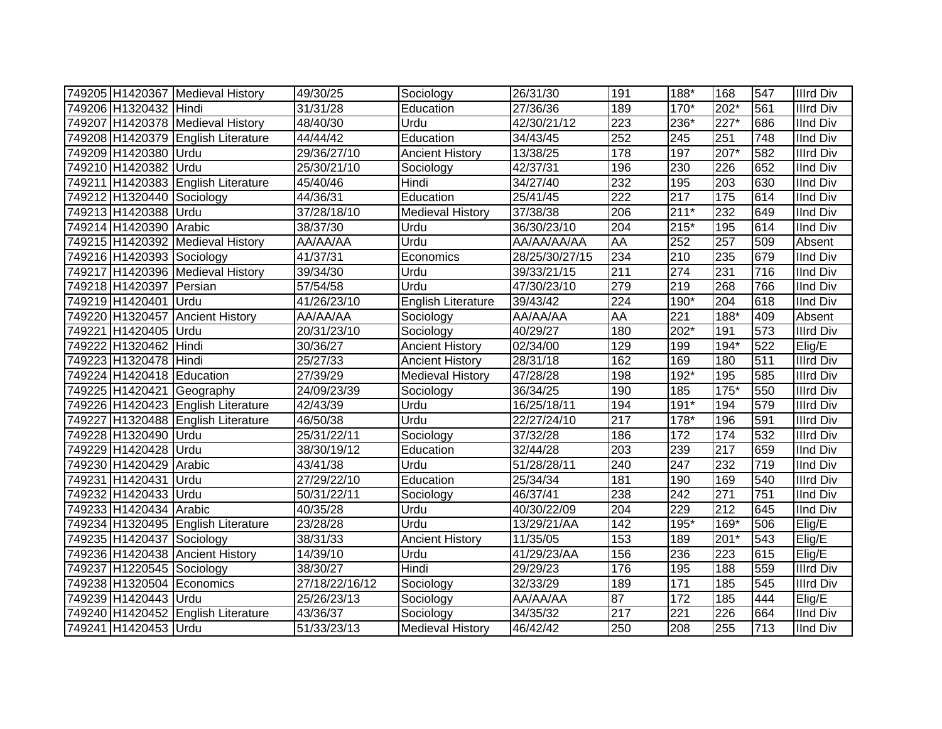|                           | 749205 H1420367 Medieval History   | 49/30/25       | Sociology                 | 26/31/30       | 191              | 188*             | 168                | 547 | <b>Illrd Div</b> |
|---------------------------|------------------------------------|----------------|---------------------------|----------------|------------------|------------------|--------------------|-----|------------------|
| 749206 H1320432 Hindi     |                                    | 31/31/28       | Education                 | 27/36/36       | 189              | 170*             | 202*               | 561 | <b>Illrd Div</b> |
|                           | 749207 H1420378 Medieval History   | 48/40/30       | Urdu                      | 42/30/21/12    | $\overline{223}$ | 236*             | $\overline{227^*}$ | 686 | <b>IInd Div</b>  |
|                           | 749208 H1420379 English Literature | 44/44/42       | Education                 | 34/43/45       | 252              | 245              | 251                | 748 | <b>IInd Div</b>  |
| 749209 H1420380 Urdu      |                                    | 29/36/27/10    | <b>Ancient History</b>    | 13/38/25       | 178              | 197              | $207*$             | 582 | <b>Illrd Div</b> |
| 749210 H1420382 Urdu      |                                    | 25/30/21/10    | Sociology                 | 42/37/31       | 196              | 230              | 226                | 652 | <b>IInd Div</b>  |
|                           | 749211 H1420383 English Literature | 45/40/46       | Hindi                     | 34/27/40       | 232              | 195              | 203                | 630 | <b>IInd Div</b>  |
| 749212 H1320440 Sociology |                                    | 44/36/31       | Education                 | 25/41/45       | $\overline{222}$ | $\overline{217}$ | 175                | 614 | <b>IInd Div</b>  |
| 749213 H1420388 Urdu      |                                    | 37/28/18/10    | Medieval History          | 37/38/38       | 206              | $211*$           | 232                | 649 | <b>IInd Div</b>  |
| 749214 H1420390 Arabic    |                                    | 38/37/30       | Urdu                      | 36/30/23/10    | 204              | $215*$           | 195                | 614 | <b>IInd Div</b>  |
|                           | 749215 H1420392 Medieval History   | AA/AA/AA       | Urdu                      | AA/AA/AA/AA    | AA               | 252              | 257                | 509 | Absent           |
| 749216 H1420393 Sociology |                                    | 41/37/31       | Economics                 | 28/25/30/27/15 | 234              | 210              | 235                | 679 | <b>IInd Div</b>  |
|                           | 749217 H1420396 Medieval History   | 39/34/30       | Urdu                      | 39/33/21/15    | 211              | 274              | 231                | 716 | <b>IInd Div</b>  |
| 749218 H1420397 Persian   |                                    | 57/54/58       | Urdu                      | 47/30/23/10    | 279              | 219              | 268                | 766 | <b>IInd Div</b>  |
| 749219 H1420401           | Urdu                               | 41/26/23/10    | <b>English Literature</b> | 39/43/42       | 224              | 190*             | 204                | 618 | <b>IInd Div</b>  |
| 749220 H1320457           | <b>Ancient History</b>             | AA/AA/AA       | Sociology                 | AA/AA/AA       | AA               | 221              | 188*               | 409 | Absent           |
| 749221 H1420405           | <b>IUrdu</b>                       | 20/31/23/10    | Sociology                 | 40/29/27       | 180              | 202*             | 191                | 573 | <b>Illrd Div</b> |
| 749222 H1320462 Hindi     |                                    | 30/36/27       | <b>Ancient History</b>    | 02/34/00       | 129              | 199              | $194*$             | 522 | Elig/E           |
| 749223 H1320478 Hindi     |                                    | 25/27/33       | <b>Ancient History</b>    | 28/31/18       | 162              | 169              | 180                | 511 | <b>Illrd Div</b> |
| 749224 H1420418 Education |                                    | 27/39/29       | <b>Medieval History</b>   | 47/28/28       | 198              | 192*             | 195                | 585 | <b>Illrd Div</b> |
|                           | 749225 H1420421 Geography          | 24/09/23/39    | Sociology                 | 36/34/25       | 190              | 185              | $175*$             | 550 | <b>Illrd Div</b> |
|                           | 749226 H1420423 English Literature | 42/43/39       | Urdu                      | 16/25/18/11    | 194              | $191*$           | 194                | 579 | <b>Illrd Div</b> |
|                           | 749227 H1320488 English Literature | 46/50/38       | Urdu                      | 22/27/24/10    | $\overline{217}$ | 178*             | 196                | 591 | <b>Illrd Div</b> |
| 749228 H1320490 Urdu      |                                    | 25/31/22/11    | Sociology                 | 37/32/28       | 186              | 172              | 174                | 532 | <b>Illrd Div</b> |
| 749229 H1420428 Urdu      |                                    | 38/30/19/12    | Education                 | 32/44/28       | 203              | 239              | 217                | 659 | <b>IInd Div</b>  |
| 749230 H1420429           | Arabic                             | 43/41/38       | Urdu                      | 51/28/28/11    | 240              | 247              | 232                | 719 | <b>IInd Div</b>  |
| 749231 H1420431           | Urdu                               | 27/29/22/10    | Education                 | 25/34/34       | 181              | 190              | 169                | 540 | <b>Illrd Div</b> |
| 749232 H1420433 Urdu      |                                    | 50/31/22/11    | Sociology                 | 46/37/41       | 238              | 242              | 271                | 751 | <b>IInd Div</b>  |
| 749233 H1420434 Arabic    |                                    | 40/35/28       | Urdu                      | 40/30/22/09    | 204              | 229              | 212                | 645 | <b>IInd Div</b>  |
|                           | 749234 H1320495 English Literature | 23/28/28       | Urdu                      | 13/29/21/AA    | 142              | 195*             | 169*               | 506 | Elig/E           |
| 749235 H1420437 Sociology |                                    | 38/31/33       | <b>Ancient History</b>    | 11/35/05       | 153              | 189              | $201*$             | 543 | Elig/E           |
|                           | 749236 H1420438 Ancient History    | 14/39/10       | Urdu                      | 41/29/23/AA    | 156              | 236              | 223                | 615 | Elig/E           |
| 749237 H1220545 Sociology |                                    | 38/30/27       | Hindi                     | 29/29/23       | 176              | 195              | 188                | 559 | <b>Illrd Div</b> |
| 749238 H1320504           | Economics                          | 27/18/22/16/12 | Sociology                 | 32/33/29       | 189              | $171$            | 185                | 545 | <b>Illrd Div</b> |
| 749239 H1420443 Urdu      |                                    | 25/26/23/13    | Sociology                 | AA/AA/AA       | 87               | 172              | 185                | 444 | Elig/E           |
|                           | 749240 H1420452 English Literature | 43/36/37       | Sociology                 | 34/35/32       | 217              | 221              | 226                | 664 | <b>IInd Div</b>  |
| 749241 H1420453 Urdu      |                                    | 51/33/23/13    | <b>Medieval History</b>   | 46/42/42       | 250              | 208              | 255                | 713 | <b>IInd Div</b>  |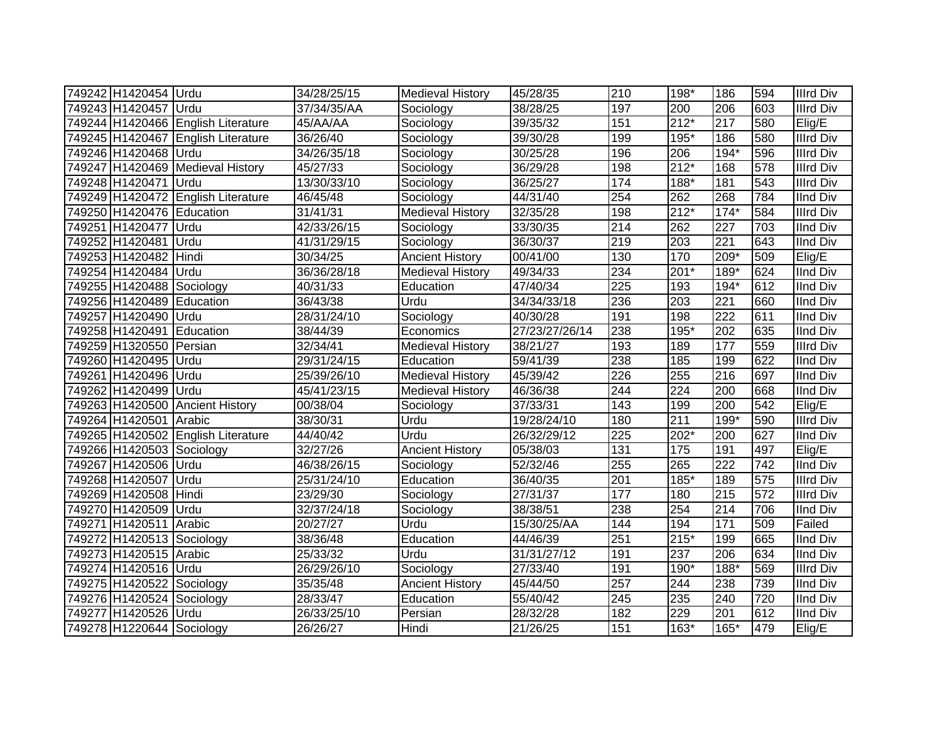| 749242 H1420454 Urdu      |                                    | 34/28/25/15 | Medieval History        | 45/28/35       | 210              | 198*   | 186    | 594 | <b>Illrd Div</b> |
|---------------------------|------------------------------------|-------------|-------------------------|----------------|------------------|--------|--------|-----|------------------|
| 749243 H1420457 Urdu      |                                    | 37/34/35/AA | Sociology               | 38/28/25       | 197              | 200    | 206    | 603 | Illrd Div        |
|                           | 749244 H1420466 English Literature | 45/AA/AA    | Sociology               | 39/35/32       | 151              | $212*$ | 217    | 580 | Elig/E           |
|                           | 749245 H1420467 English Literature | 36/26/40    | Sociology               | 39/30/28       | 199              | $195*$ | 186    | 580 | <b>Illrd Div</b> |
| 749246 H1420468 Urdu      |                                    | 34/26/35/18 | Sociology               | 30/25/28       | 196              | 206    | $194*$ | 596 | <b>Illrd Div</b> |
|                           | 749247 H1420469 Medieval History   | 45/27/33    | Sociology               | 36/29/28       | 198              | $212*$ | 168    | 578 | <b>Illrd Div</b> |
| 749248 H1420471           | Urdu                               | 13/30/33/10 | Sociology               | 36/25/27       | 174              | 188*   | 181    | 543 | <b>Illrd Div</b> |
|                           | 749249 H1420472 English Literature | 46/45/48    | Sociology               | 44/31/40       | 254              | 262    | 268    | 784 | <b>IInd Div</b>  |
| 749250 H1420476 Education |                                    | 31/41/31    | <b>Medieval History</b> | 32/35/28       | 198              | $212*$ | $174*$ | 584 | <b>Illrd Div</b> |
| 749251 H1420477           | Urdu                               | 42/33/26/15 | Sociology               | 33/30/35       | $\overline{214}$ | 262    | 227    | 703 | <b>IInd Div</b>  |
| 749252 H1420481           | Urdu                               | 41/31/29/15 | Sociology               | 36/30/37       | 219              | 203    | 221    | 643 | <b>IInd Div</b>  |
| 749253 H1420482           | Hindi                              | 30/34/25    | <b>Ancient History</b>  | 00/41/00       | 130              | 170    | 209*   | 509 | Elig/E           |
| 749254 H1420484 Urdu      |                                    | 36/36/28/18 | <b>Medieval History</b> | 49/34/33       | 234              | $201*$ | 189*   | 624 | <b>IInd Div</b>  |
| 749255 H1420488           | Sociology                          | 40/31/33    | Education               | 47/40/34       | 225              | 193    | 194*   | 612 | <b>IInd Div</b>  |
| 749256 H1420489           | Education                          | 36/43/38    | Urdu                    | 34/34/33/18    | 236              | 203    | 221    | 660 | <b>IInd Div</b>  |
| 749257 H1420490           | Urdu                               | 28/31/24/10 | Sociology               | 40/30/28       | 191              | 198    | 222    | 611 | <b>IInd Div</b>  |
| 749258 H1420491           | Education                          | 38/44/39    | Economics               | 27/23/27/26/14 | 238              | $195*$ | 202    | 635 | <b>IInd Div</b>  |
| 749259 H1320550           | Persian                            | 32/34/41    | <b>Medieval History</b> | 38/21/27       | 193              | 189    | 177    | 559 | <b>Illrd Div</b> |
| 749260 H1420495           | Urdu                               | 29/31/24/15 | Education               | 59/41/39       | 238              | 185    | 199    | 622 | <b>IInd Div</b>  |
| 749261 H1420496           | Urdu                               | 25/39/26/10 | <b>Medieval History</b> | 45/39/42       | 226              | 255    | 216    | 697 | <b>IInd Div</b>  |
| 749262 H1420499           | Urdu                               | 45/41/23/15 | <b>Medieval History</b> | 46/36/38       | 244              | 224    | 200    | 668 | <b>IInd Div</b>  |
|                           | 749263 H1420500 Ancient History    | 00/38/04    | Sociology               | 37/33/31       | 143              | 199    | 200    | 542 | Elig/E           |
| 749264 H1420501           | Arabic                             | 38/30/31    | Urdu                    | 19/28/24/10    | 180              | 211    | 199*   | 590 | Illrd Div        |
|                           | 749265 H1420502 English Literature | 44/40/42    | Urdu                    | 26/32/29/12    | 225              | 202*   | 200    | 627 | <b>IInd Div</b>  |
| 749266 H1420503 Sociology |                                    | 32/27/26    | <b>Ancient History</b>  | 05/38/03       | 131              | 175    | 191    | 497 | Elig/E           |
| 749267 H1420506 Urdu      |                                    | 46/38/26/15 | Sociology               | 52/32/46       | 255              | 265    | 222    | 742 | <b>IInd Div</b>  |
| 749268 H1420507           | Urdu                               | 25/31/24/10 | Education               | 36/40/35       | $\overline{201}$ | 185*   | 189    | 575 | <b>Illrd Div</b> |
| 749269 H1420508           | Hindi                              | 23/29/30    | Sociology               | 27/31/37       | 177              | 180    | 215    | 572 | <b>Illrd Div</b> |
| 749270 H1420509           | Urdu                               | 32/37/24/18 | Sociology               | 38/38/51       | 238              | 254    | 214    | 706 | <b>IInd Div</b>  |
| 749271 H1420511           | Arabic                             | 20/27/27    | Urdu                    | 15/30/25/AA    | 144              | 194    | 171    | 509 | Failed           |
| 749272 H1420513 Sociology |                                    | 38/36/48    | Education               | 44/46/39       | 251              | $215*$ | 199    | 665 | <b>IInd Div</b>  |
| 749273 H1420515 Arabic    |                                    | 25/33/32    | Urdu                    | 31/31/27/12    | 191              | 237    | 206    | 634 | <b>IInd Div</b>  |
| 749274 H1420516 Urdu      |                                    | 26/29/26/10 | Sociology               | 27/33/40       | 191              | $190*$ | 188*   | 569 | <b>Illrd Div</b> |
| 749275 H1420522 Sociology |                                    | 35/35/48    | <b>Ancient History</b>  | 45/44/50       | 257              | 244    | 238    | 739 | <b>IInd Div</b>  |
| 749276 H1420524 Sociology |                                    | 28/33/47    | Education               | 55/40/42       | 245              | 235    | 240    | 720 | <b>IInd Div</b>  |
| 749277 H1420526           | Urdu                               | 26/33/25/10 | Persian                 | 28/32/28       | 182              | 229    | 201    | 612 | <b>IInd Div</b>  |
| 749278 H1220644 Sociology |                                    | 26/26/27    | Hindi                   | 21/26/25       | 151              | $163*$ | 165*   | 479 | Elig/E           |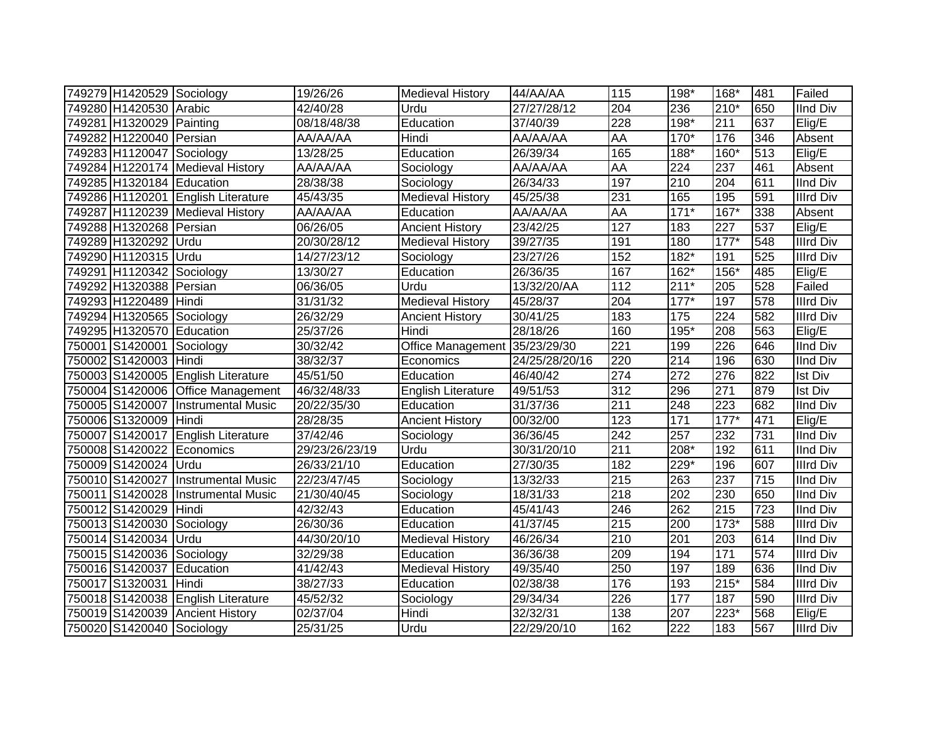| 749279 H1420529 Sociology |                                     | 19/26/26       | <b>Medieval History</b>       | 44/AA/AA                 | 115              | 198*   | 168*               | 481              | Failed           |
|---------------------------|-------------------------------------|----------------|-------------------------------|--------------------------|------------------|--------|--------------------|------------------|------------------|
| 749280 H1420530 Arabic    |                                     | 42/40/28       | Urdu                          | $\overline{27}/27/28/12$ | 204              | 236    | 210*               | 650              | <b>IInd Div</b>  |
| 749281 H1320029 Painting  |                                     | 08/18/48/38    | Education                     | 37/40/39                 | $\overline{228}$ | $198*$ | 211                | 637              | Elig/E           |
| 749282 H1220040 Persian   |                                     | AA/AA/AA       | Hindi                         | AA/AA/AA                 | <b>AA</b>        | $170*$ | 176                | 346              | Absent           |
| 749283 H1120047 Sociology |                                     | 13/28/25       | Education                     | 26/39/34                 | 165              | 188*   | 160*               | 513              | Elig/E           |
|                           | 749284 H1220174 Medieval History    | AA/AA/AA       | Sociology                     | AA/AA/AA                 | AA               | 224    | 237                | 461              | Absent           |
| 749285 H1320184 Education |                                     | 28/38/38       | Sociology                     | 26/34/33                 | 197              | 210    | 204                | 611              | <b>IInd Div</b>  |
|                           | 749286 H1120201 English Literature  | 45/43/35       | <b>Medieval History</b>       | 45/25/38                 | 231              | 165    | 195                | 591              | <b>Illrd Div</b> |
|                           | 749287 H1120239 Medieval History    | AA/AA/AA       | Education                     | AA/AA/AA                 | AA               | $171*$ | $167*$             | 338              | Absent           |
| 749288 H1320268 Persian   |                                     | 06/26/05       | <b>Ancient History</b>        | 23/42/25                 | 127              | 183    | 227                | 537              | Elig/E           |
| 749289 H1320292           | Urdu                                | 20/30/28/12    | <b>Medieval History</b>       | 39/27/35                 | 191              | 180    | $177*$             | 548              | <b>Illrd Div</b> |
| 749290 H1120315 Urdu      |                                     | 14/27/23/12    | Sociology                     | 23/27/26                 | 152              | $182*$ | 191                | 525              | Illrd Div        |
| 749291 H1120342 Sociology |                                     | 13/30/27       | Education                     | 26/36/35                 | 167              | 162*   | 156*               | 485              | Elig/E           |
| 749292 H1320388           | Persian                             | 06/36/05       | Urdu                          | 13/32/20/AA              | 112              | $211*$ | 205                | 528              | Failed           |
| 749293 H1220489           | Hindi                               | 31/31/32       | <b>Medieval History</b>       | 45/28/37                 | 204              | $177*$ | 197                | 578              | <b>Illrd Div</b> |
| 749294 H1320565           | Sociology                           | 26/32/29       | <b>Ancient History</b>        | 30/41/25                 | 183              | 175    | 224                | 582              | <b>Illrd Div</b> |
| 749295 H1320570           | Education                           | 25/37/26       | Hindi                         | 28/18/26                 | 160              | 195*   | 208                | 563              | Elig/E           |
| 750001 S1420001           | Sociology                           | 30/32/42       | Office Management 35/23/29/30 |                          | $\overline{221}$ | 199    | 226                | 646              | <b>IInd Div</b>  |
| 750002 S1420003           | Hindi                               | 38/32/37       | Economics                     | 24/25/28/20/16           | 220              | 214    | 196                | 630              | <b>IInd Div</b>  |
| 750003 S1420005           | English Literature                  | 45/51/50       | Education                     | 46/40/42                 | $\overline{274}$ | 272    | 276                | 822              | <b>Ist Div</b>   |
|                           | 750004 S1420006 Office Management   | 46/32/48/33    | <b>English Literature</b>     | 49/51/53                 | 312              | 296    | 271                | 879              | <b>Ist Div</b>   |
|                           | 750005 S1420007  Instrumental Music | 20/22/35/30    | Education                     | 31/37/36                 | $\overline{211}$ | 248    | 223                | 682              | <b>IInd Div</b>  |
| 750006 S1320009 Hindi     |                                     | 28/28/35       | <b>Ancient History</b>        | 00/32/00                 | 123              | 171    | $177*$             | 471              | Elig/E           |
|                           | 750007 S1420017 English Literature  | 37/42/46       | Sociology                     | 36/36/45                 | 242              | 257    | 232                | 731              | <b>IInd Div</b>  |
| 750008 S1420022 Economics |                                     | 29/23/26/23/19 | Urdu                          | 30/31/20/10              | 211              | 208*   | 192                | 611              | <b>IInd Div</b>  |
| 750009 S1420024 Urdu      |                                     | 26/33/21/10    | Education                     | 27/30/35                 | 182              | 229*   | 196                | 607              | <b>Illrd Div</b> |
|                           | 750010 S1420027 Instrumental Music  | 22/23/47/45    | Sociology                     | 13/32/33                 | $\overline{215}$ | 263    | 237                | 715              | <b>IInd Div</b>  |
|                           | 750011 S1420028 Instrumental Music  | 21/30/40/45    | Sociology                     | 18/31/33                 | $\overline{218}$ | 202    | 230                | 650              | <b>IInd Div</b>  |
| 750012 S1420029           | Hindi                               | 42/32/43       | Education                     | 45/41/43                 | 246              | 262    | 215                | $\overline{723}$ | <b>IInd Div</b>  |
| 750013 S1420030           | Sociology                           | 26/30/36       | Education                     | 41/37/45                 | $\overline{215}$ | 200    | $\overline{173}$ * | 588              | <b>Illrd Div</b> |
| 750014 S1420034           | Urdu                                | 44/30/20/10    | <b>Medieval History</b>       | 46/26/34                 | $\overline{210}$ | 201    | 203                | 614              | <b>IInd Div</b>  |
| 750015 S1420036           | Sociology                           | 32/29/38       | Education                     | 36/36/38                 | 209              | 194    | 171                | 574              | <b>Illrd Div</b> |
| 750016 S1420037           | Education                           | 41/42/43       | <b>Medieval History</b>       | 49/35/40                 | 250              | 197    | 189                | 636              | <b>IInd Div</b>  |
| 750017 S1320031           | Hindi                               | 38/27/33       | Education                     | 02/38/38                 | 176              | 193    | $215*$             | 584              | <b>Illrd Div</b> |
|                           | 750018 S1420038 English Literature  | 45/52/32       | Sociology                     | 29/34/34                 | 226              | 177    | 187                | 590              | <b>Illrd Div</b> |
| 750019 S1420039           | <b>Ancient History</b>              | 02/37/04       | Hindi                         | 32/32/31                 | 138              | 207    | 223*               | 568              | Elig/E           |
| 750020 S1420040 Sociology |                                     | 25/31/25       | Urdu                          | 22/29/20/10              | 162              | 222    | 183                | 567              | <b>Illrd Div</b> |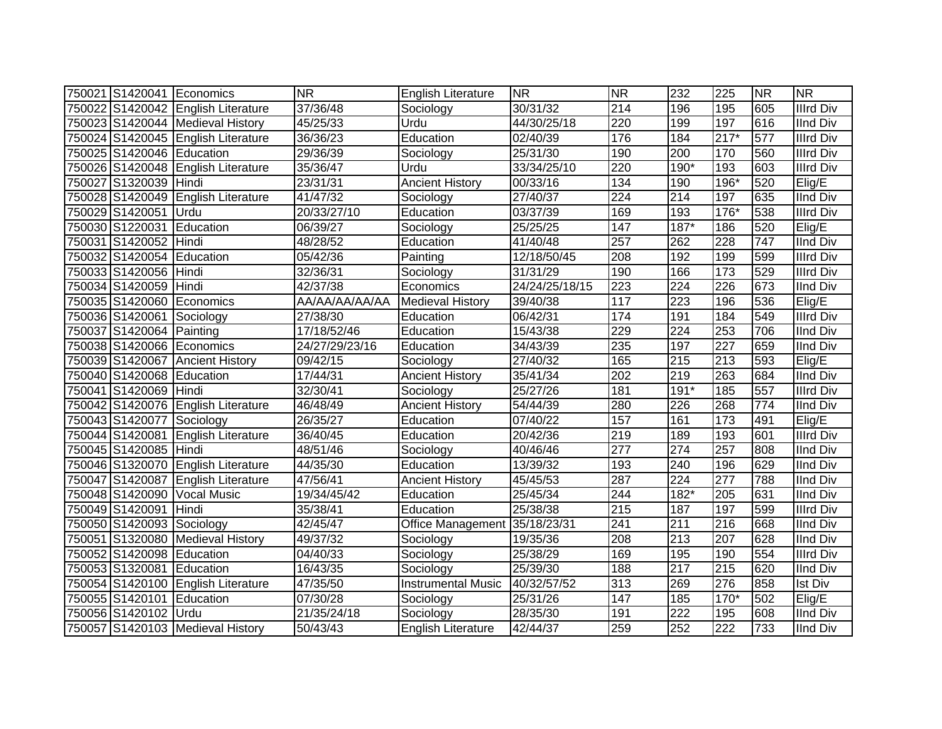|                           | 750021 S1420041 Economics          | <b>NR</b>      | <b>English Literature</b>     | <b>NR</b>      | <b>NR</b>         | 232              | 225    | <b>NR</b>        | <b>NR</b>        |
|---------------------------|------------------------------------|----------------|-------------------------------|----------------|-------------------|------------------|--------|------------------|------------------|
|                           | 750022 S1420042 English Literature | 37/36/48       | Sociology                     | 30/31/32       | 214               | 196              | 195    | 605              | <b>Illrd Div</b> |
|                           | 750023 S1420044 Medieval History   | 45/25/33       | Urdu                          | 44/30/25/18    | 220               | 199              | 197    | 616              | <b>IInd Div</b>  |
|                           | 750024 S1420045 English Literature | 36/36/23       | Education                     | 02/40/39       | 176               | 184              | $217*$ | 577              | <b>Illrd Div</b> |
| 750025 S1420046 Education |                                    | 29/36/39       | Sociology                     | 25/31/30       | 190               | 200              | 170    | 560              | <b>Illrd Div</b> |
|                           | 750026 S1420048 English Literature | 35/36/47       | Urdu                          | 33/34/25/10    | 220               | 190*             | 193    | 603              | <b>Illrd Div</b> |
| 750027 S1320039           | Hindi                              | 23/31/31       | <b>Ancient History</b>        | 00/33/16       | 134               | 190              | 196*   | 520              | Elig/E           |
| 750028 S1420049           | English Literature                 | 41/47/32       | Sociology                     | 27/40/37       | 224               | 214              | 197    | 635              | <b>IInd Div</b>  |
| 750029 S1420051           | Urdu                               | 20/33/27/10    | Education                     | 03/37/39       | 169               | 193              | 176*   | 538              | <b>Illrd Div</b> |
| 750030 S1220031           | Education                          | 06/39/27       | Sociology                     | 25/25/25       | 147               | 187*             | 186    | 520              | Elig/E           |
| 750031 S1420052           | Hindi                              | 48/28/52       | Education                     | 41/40/48       | 257               | 262              | 228    | 747              | <b>IInd Div</b>  |
| 750032 S1420054           | Education                          | 05/42/36       | Painting                      | 12/18/50/45    | 208               | 192              | 199    | 599              | <b>Illrd Div</b> |
| 750033 S1420056           | Hindi                              | 32/36/31       | Sociology                     | 31/31/29       | 190               | 166              | 173    | 529              | <b>Illrd Div</b> |
| 750034 S1420059           | Hindi                              | 42/37/38       | Economics                     | 24/24/25/18/15 | 223               | 224              | 226    | 673              | <b>IInd Div</b>  |
| 750035 S1420060           | Economics                          | AA/AA/AA/AA/AA | <b>Medieval History</b>       | 39/40/38       | $\frac{117}{117}$ | 223              | 196    | 536              | Elig/E           |
| 750036 S1420061           | Sociology                          | 27/38/30       | Education                     | 06/42/31       | 174               | 191              | 184    | 549              | <b>Illrd Div</b> |
| 750037 S1420064           | Painting                           | 17/18/52/46    | Education                     | 15/43/38       | 229               | 224              | 253    | 706              | <b>IInd Div</b>  |
| 750038 S1420066           | Economics                          | 24/27/29/23/16 | Education                     | 34/43/39       | 235               | 197              | 227    | 659              | <b>IInd Div</b>  |
| 750039 S1420067           | <b>Ancient History</b>             | 09/42/15       | Sociology                     | 27/40/32       | 165               | 215              | 213    | 593              | Elig/E           |
| 750040 S1420068 Education |                                    | 17/44/31       | <b>Ancient History</b>        | 35/41/34       | 202               | 219              | 263    | 684              | <b>IInd Div</b>  |
| 750041 S1420069           | Hindi                              | 32/30/41       | Sociology                     | 25/27/26       | 181               | $191*$           | 185    | 557              | <b>Illrd Div</b> |
|                           | 750042 S1420076 English Literature | 46/48/49       | <b>Ancient History</b>        | 54/44/39       | 280               | 226              | 268    | $\overline{774}$ | <b>IInd Div</b>  |
| 750043 S1420077 Sociology |                                    | 26/35/27       | Education                     | 07/40/22       | 157               | 161              | 173    | 491              | Elig/E           |
| 750044 S1420081           | <b>English Literature</b>          | 36/40/45       | Education                     | 20/42/36       | 219               | 189              | 193    | 601              | <b>Illrd Div</b> |
| 750045 S1420085 Hindi     |                                    | 48/51/46       | Sociology                     | 40/46/46       | 277               | 274              | 257    | 808              | <b>IInd Div</b>  |
| 750046 S1320070           | <b>English Literature</b>          | 44/35/30       | Education                     | 13/39/32       | 193               | 240              | 196    | 629              | <b>IInd Div</b>  |
|                           | 750047 S1420087 English Literature | 47/56/41       | <b>Ancient History</b>        | 45/45/53       | 287               | 224              | 277    | 788              | <b>IInd Div</b>  |
| 750048 S1420090           | <b>Vocal Music</b>                 | 19/34/45/42    | Education                     | 25/45/34       | 244               | 182*             | 205    | 631              | <b>IInd Div</b>  |
| 750049 S1420091           | Hindi                              | 35/38/41       | Education                     | 25/38/38       | 215               | 187              | 197    | 599              | <b>Illrd Div</b> |
| 750050 S1420093 Sociology |                                    | 42/45/47       | Office Management 35/18/23/31 |                | 241               | 211              | 216    | 668              | <b>IInd Div</b>  |
| 750051 S1320080           | <b>Medieval History</b>            | 49/37/32       | Sociology                     | 19/35/36       | 208               | 213              | 207    | 628              | <b>IInd Div</b>  |
| 750052 S1420098           | Education                          | 04/40/33       | Sociology                     | 25/38/29       | 169               | 195              | 190    | 554              | <b>Illrd Div</b> |
| 750053 S1320081           | Education                          | 16/43/35       | Sociology                     | 25/39/30       | 188               | $\overline{217}$ | 215    | 620              | <b>IInd Div</b>  |
| 750054 S1420100           | <b>English Literature</b>          | 47/35/50       | <b>Instrumental Music</b>     | 40/32/57/52    | $\overline{313}$  | 269              | 276    | 858              | <b>Ist Div</b>   |
| 750055 S1420101           | Education                          | 07/30/28       | Sociology                     | 25/31/26       | 147               | 185              | $170*$ | 502              | Elig/E           |
| 750056 S1420102           | Urdu                               | 21/35/24/18    | Sociology                     | 28/35/30       | 191               | 222              | 195    | 608              | <b>IInd Div</b>  |
|                           | 750057 S1420103 Medieval History   | 50/43/43       | <b>English Literature</b>     | 42/44/37       | 259               | 252              | 222    | 733              | <b>IInd Div</b>  |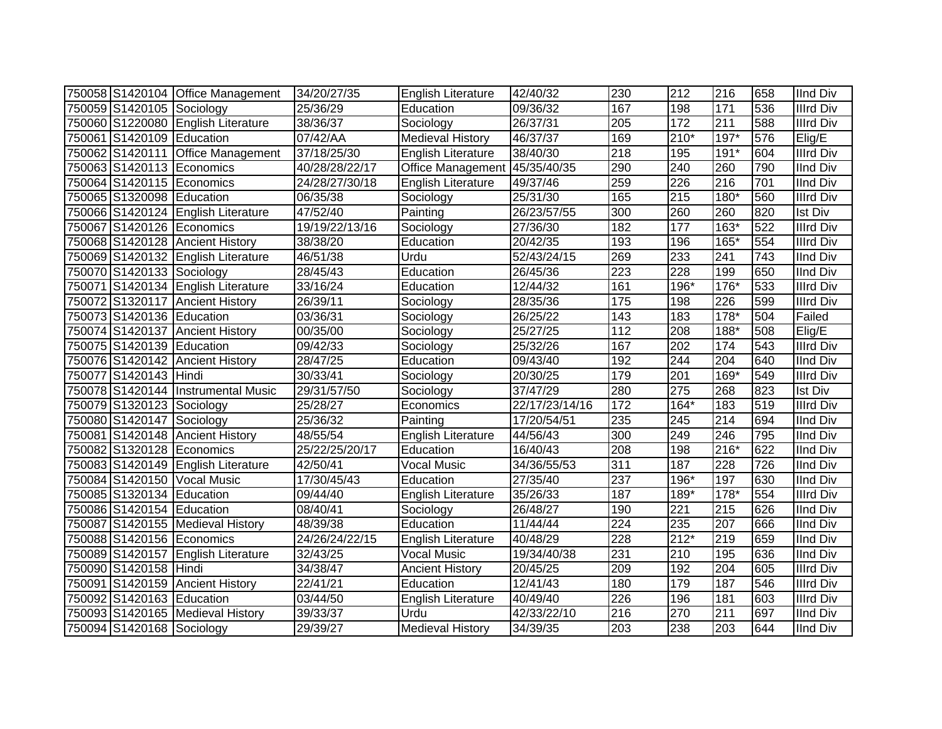|                           | 750058 S1420104 Office Management    | 34/20/27/35    | <b>English Literature</b> | 42/40/32       | 230              | 212              | 216              | 658 | <b>IInd Div</b>  |
|---------------------------|--------------------------------------|----------------|---------------------------|----------------|------------------|------------------|------------------|-----|------------------|
| 750059 S1420105 Sociology |                                      | 25/36/29       | Education                 | 09/36/32       | 167              | 198              | 171              | 536 | <b>Illrd Div</b> |
|                           | 750060 S1220080 English Literature   | 38/36/37       | Sociology                 | 26/37/31       | 205              | 172              | $\overline{211}$ | 588 | <b>Illrd Div</b> |
| 750061 S1420109 Education |                                      | 07/42/AA       | <b>Medieval History</b>   | 46/37/37       | 169              | $210*$           | $197*$           | 576 | Elig/E           |
|                           | 750062 S1420111 Office Management    | 37/18/25/30    | English Literature        | 38/40/30       | $\overline{218}$ | 195              | 191*             | 604 | <b>Illrd Div</b> |
| 750063 S1420113 Economics |                                      | 40/28/28/22/17 | Office Management         | 45/35/40/35    | 290              | 240              | 260              | 790 | <b>IInd Div</b>  |
| 750064 S1420115 Economics |                                      | 24/28/27/30/18 | English Literature        | 49/37/46       | 259              | 226              | 216              | 701 | <b>IInd Div</b>  |
| 750065 S1320098 Education |                                      | 06/35/38       | Sociology                 | 25/31/30       | 165              | 215              | 180*             | 560 | <b>Illrd Div</b> |
|                           | 750066 S1420124 English Literature   | 47/52/40       | Painting                  | 26/23/57/55    | 300              | 260              | 260              | 820 | <b>Ist Div</b>   |
|                           | 750067 S1420126 Economics            | 19/19/22/13/16 | Sociology                 | 27/36/30       | 182              | 177              | $163*$           | 522 | <b>Illrd Div</b> |
|                           | 750068 S1420128 Ancient History      | 38/38/20       | Education                 | 20/42/35       | 193              | 196              | 165*             | 554 | <b>Illrd Div</b> |
|                           | 750069 S1420132 English Literature   | 46/51/38       | Urdu                      | 52/43/24/15    | 269              | 233              | 241              | 743 | <b>IInd Div</b>  |
| 750070 S1420133 Sociology |                                      | 28/45/43       | Education                 | 26/45/36       | 223              | 228              | 199              | 650 | <b>IInd Div</b>  |
|                           | 750071 S1420134 English Literature   | 33/16/24       | Education                 | 12/44/32       | 161              | 196*             | 176*             | 533 | <b>Illrd Div</b> |
|                           | 750072 S1320117 Ancient History      | 26/39/11       | Sociology                 | 28/35/36       | 175              | 198              | 226              | 599 | <b>Illrd Div</b> |
| 750073 S1420136 Education |                                      | 03/36/31       | Sociology                 | 26/25/22       | 143              | 183              | 178*             | 504 | Failed           |
|                           | 750074 S1420137 Ancient History      | 00/35/00       | Sociology                 | 25/27/25       | 112              | 208              | 188*             | 508 | Elig/E           |
| 750075 S1420139 Education |                                      | 09/42/33       | Sociology                 | 25/32/26       | 167              | 202              | 174              | 543 | <b>Illrd Div</b> |
|                           | 750076 S1420142 Ancient History      | 28/47/25       | Education                 | 09/43/40       | 192              | 244              | 204              | 640 | <b>IInd Div</b>  |
| 750077 S1420143 Hindi     |                                      | 30/33/41       | Sociology                 | 20/30/25       | 179              | 201              | 169*             | 549 | <b>Illrd Div</b> |
|                           | 750078 S1420144   Instrumental Music | 29/31/57/50    | Sociology                 | 37/47/29       | 280              | 275              | 268              | 823 | <b>Ist Div</b>   |
| 750079 S1320123 Sociology |                                      | 25/28/27       | Economics                 | 22/17/23/14/16 | 172              | $164*$           | 183              | 519 | <b>Illrd Div</b> |
| 750080 S1420147 Sociology |                                      | 25/36/32       | Painting                  | 17/20/54/51    | 235              | 245              | 214              | 694 | <b>IInd Div</b>  |
|                           | 750081 S1420148 Ancient History      | 48/55/54       | <b>English Literature</b> | 44/56/43       | 300              | 249              | 246              | 795 | <b>IInd Div</b>  |
| 750082 S1320128 Economics |                                      | 25/22/25/20/17 | Education                 | 16/40/43       | 208              | 198              | 216*             | 622 | <b>IInd Div</b>  |
|                           | 750083 S1420149 English Literature   | 42/50/41       | <b>Vocal Music</b>        | 34/36/55/53    | 311              | 187              | 228              | 726 | <b>IInd Div</b>  |
|                           | 750084 S1420150 Vocal Music          | 17/30/45/43    | Education                 | 27/35/40       | $\overline{237}$ | 196*             | 197              | 630 | <b>IInd Div</b>  |
| 750085 S1320134 Education |                                      | 09/44/40       | English Literature        | 35/26/33       | 187              | 189*             | 178*             | 554 | <b>Illrd Div</b> |
| 750086 S1420154 Education |                                      | 08/40/41       | Sociology                 | 26/48/27       | 190              | $\overline{221}$ | 215              | 626 | <b>IInd Div</b>  |
|                           | 750087 S1420155 Medieval History     | 48/39/38       | Education                 | 11/44/44       | 224              | 235              | 207              | 666 | <b>IInd Div</b>  |
|                           | 750088 S1420156 Economics            | 24/26/24/22/15 | <b>English Literature</b> | 40/48/29       | 228              | $212*$           | 219              | 659 | <b>IInd Div</b>  |
|                           | 750089 S1420157 English Literature   | 32/43/25       | <b>Vocal Music</b>        | 19/34/40/38    | 231              | 210              | 195              | 636 | <b>IInd Div</b>  |
| 750090 S1420158 Hindi     |                                      | 34/38/47       | <b>Ancient History</b>    | 20/45/25       | 209              | 192              | 204              | 605 | <b>Illrd Div</b> |
| 750091 S1420159           | <b>Ancient History</b>               | 22/41/21       | Education                 | 12/41/43       | 180              | 179              | 187              | 546 | <b>Illrd Div</b> |
| 750092 S1420163 Education |                                      | 03/44/50       | <b>English Literature</b> | 40/49/40       | 226              | 196              | 181              | 603 | <b>Illrd Div</b> |
|                           | 750093 S1420165   Medieval History   | 39/33/37       | Urdu                      | 42/33/22/10    | 216              | 270              | 211              | 697 | <b>IInd Div</b>  |
| 750094 S1420168 Sociology |                                      | 29/39/27       | <b>Medieval History</b>   | 34/39/35       | 203              | 238              | 203              | 644 | <b>IInd Div</b>  |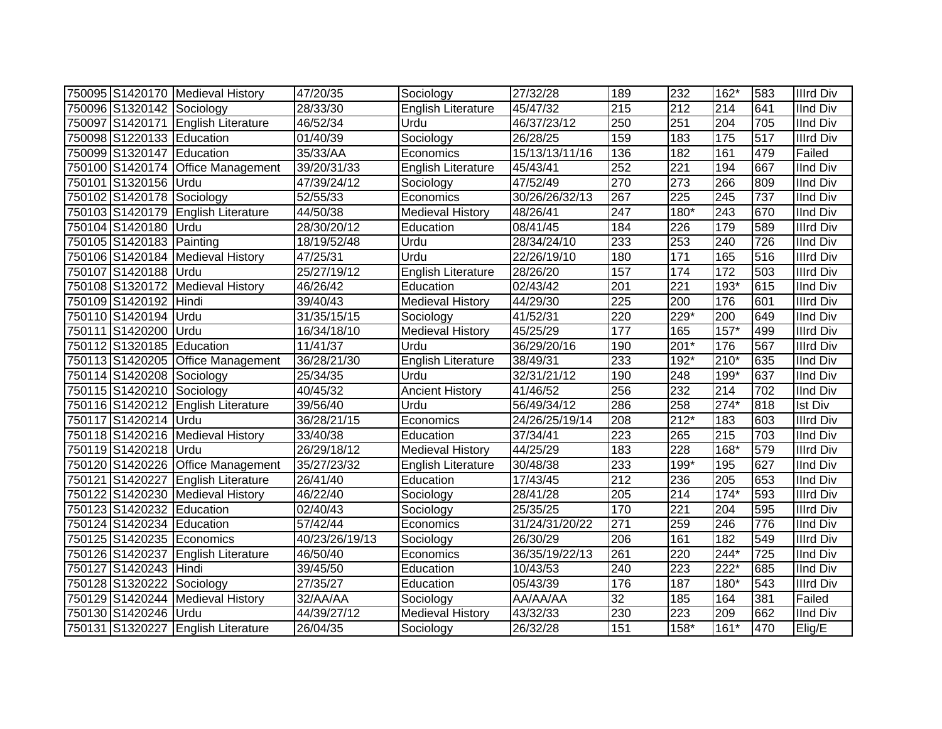|                           | 750095 S1420170 Medieval History   | 47/20/35       | Sociology                 | 27/32/28       | 189              | 232              | $162*$           | 583 | <b>Illrd Div</b> |
|---------------------------|------------------------------------|----------------|---------------------------|----------------|------------------|------------------|------------------|-----|------------------|
| 750096 S1320142 Sociology |                                    | 28/33/30       | English Literature        | 45/47/32       | $\overline{215}$ | 212              | 214              | 641 | <b>IInd Div</b>  |
|                           | 750097 S1420171 English Literature | 46/52/34       | Urdu                      | 46/37/23/12    | $\overline{250}$ | 251              | $\overline{204}$ | 705 | <b>IInd Div</b>  |
| 750098 S1220133 Education |                                    | 01/40/39       | Sociology                 | 26/28/25       | 159              | 183              | 175              | 517 | <b>Illrd Div</b> |
| 750099 S1320147 Education |                                    | 35/33/AA       | Economics                 | 15/13/13/11/16 | 136              | 182              | 161              | 479 | Failed           |
|                           | 750100 S1420174 Office Management  | 39/20/31/33    | <b>English Literature</b> | 45/43/41       | 252              | $\overline{221}$ | 194              | 667 | <b>IInd Div</b>  |
| 750101 S1320156 Urdu      |                                    | 47/39/24/12    | Sociology                 | 47/52/49       | 270              | 273              | 266              | 809 | <b>IInd Div</b>  |
| 750102 S1420178 Sociology |                                    | 52/55/33       | Economics                 | 30/26/26/32/13 | 267              | 225              | 245              | 737 | <b>IInd Div</b>  |
|                           | 750103 S1420179 English Literature | 44/50/38       | Medieval History          | 48/26/41       | $\overline{247}$ | 180*             | 243              | 670 | <b>IInd Div</b>  |
| 750104 S1420180           | Urdu                               | 28/30/20/12    | Education                 | 08/41/45       | 184              | 226              | 179              | 589 | <b>Illrd Div</b> |
| 750105 S1420183 Painting  |                                    | 18/19/52/48    | Urdu                      | 28/34/24/10    | 233              | 253              | 240              | 726 | <b>IInd Div</b>  |
|                           | 750106 S1420184 Medieval History   | 47/25/31       | Urdu                      | 22/26/19/10    | 180              | $\frac{1}{171}$  | 165              | 516 | <b>Illrd Div</b> |
| 750107 S1420188 Urdu      |                                    | 25/27/19/12    | <b>English Literature</b> | 28/26/20       | 157              | 174              | 172              | 503 | <b>Illrd Div</b> |
|                           | 750108 S1320172 Medieval History   | 46/26/42       | Education                 | 02/43/42       | 201              | 221              | 193*             | 615 | <b>IInd Div</b>  |
| 750109 S1420192 Hindi     |                                    | 39/40/43       | <b>Medieval History</b>   | 44/29/30       | 225              | 200              | 176              | 601 | <b>Illrd Div</b> |
| 750110 S1420194 Urdu      |                                    | 31/35/15/15    | Sociology                 | 41/52/31       | 220              | 229*             | 200              | 649 | <b>IInd Div</b>  |
| 750111 S1420200           | <b>Urdu</b>                        | 16/34/18/10    | <b>Medieval History</b>   | 45/25/29       | 177              | 165              | $157*$           | 499 | <b>Illrd Div</b> |
| 750112 S1320185 Education |                                    | 11/41/37       | Urdu                      | 36/29/20/16    | 190              | $201*$           | 176              | 567 | <b>Illrd Div</b> |
|                           | 750113 S1420205 Office Management  | 36/28/21/30    | <b>English Literature</b> | 38/49/31       | 233              | 192*             | $210*$           | 635 | <b>IInd Div</b>  |
| 750114 S1420208 Sociology |                                    | 25/34/35       | Urdu                      | 32/31/21/12    | 190              | 248              | 199*             | 637 | <b>IInd Div</b>  |
| 750115 S1420210 Sociology |                                    | 40/45/32       | <b>Ancient History</b>    | 41/46/52       | 256              | 232              | $\overline{214}$ | 702 | <b>IInd Div</b>  |
|                           | 750116 S1420212 English Literature | 39/56/40       | Urdu                      | 56/49/34/12    | 286              | 258              | $274*$           | 818 | <b>Ist Div</b>   |
| 750117 S1420214 Urdu      |                                    | 36/28/21/15    | Economics                 | 24/26/25/19/14 | 208              | $212*$           | 183              | 603 | <b>Illrd Div</b> |
|                           | 750118 S1420216 Medieval History   | 33/40/38       | Education                 | 37/34/41       | $\overline{223}$ | 265              | 215              | 703 | <b>IInd Div</b>  |
| 750119 S1420218 Urdu      |                                    | 26/29/18/12    | Medieval History          | 44/25/29       | 183              | 228              | 168*             | 579 | <b>Illrd Div</b> |
|                           | 750120 S1420226 Office Management  | 35/27/23/32    | <b>English Literature</b> | 30/48/38       | 233              | 199*             | 195              | 627 | <b>IInd Div</b>  |
|                           | 750121 S1420227 English Literature | 26/41/40       | Education                 | 17/43/45       | 212              | 236              | 205              | 653 | <b>IInd Div</b>  |
|                           | 750122 S1420230 Medieval History   | 46/22/40       | Sociology                 | 28/41/28       | 205              | 214              | $174*$           | 593 | <b>Illrd Div</b> |
| 750123 S1420232 Education |                                    | 02/40/43       | Sociology                 | 25/35/25       | 170              | 221              | 204              | 595 | <b>Illrd Div</b> |
| 750124 S1420234 Education |                                    | 57/42/44       | Economics                 | 31/24/31/20/22 | $\overline{271}$ | 259              | $\overline{246}$ | 776 | <b>IInd Div</b>  |
|                           | 750125 S1420235 Economics          | 40/23/26/19/13 | Sociology                 | 26/30/29       | 206              | 161              | 182              | 549 | <b>Illrd Div</b> |
|                           | 750126 S1420237 English Literature | 46/50/40       | Economics                 | 36/35/19/22/13 | 261              | 220              | $244*$           | 725 | <b>IInd Div</b>  |
| 750127 S1420243 Hindi     |                                    | 39/45/50       | Education                 | 10/43/53       | 240              | 223              | $222*$           | 685 | <b>IInd Div</b>  |
| 750128 S1320222           | Sociology                          | 27/35/27       | Education                 | 05/43/39       | 176              | 187              | 180*             | 543 | <b>Illrd Div</b> |
|                           | 750129 S1420244 Medieval History   | 32/AA/AA       | Sociology                 | AA/AA/AA       | $\overline{32}$  | 185              | 164              | 381 | Failed           |
| 750130 S1420246 Urdu      |                                    | 44/39/27/12    | <b>Medieval History</b>   | 43/32/33       | 230              | 223              | 209              | 662 | <b>IInd Div</b>  |
|                           | 750131 S1320227 English Literature | 26/04/35       | Sociology                 | 26/32/28       | 151              | $158*$           | $161*$           | 470 | Elig/E           |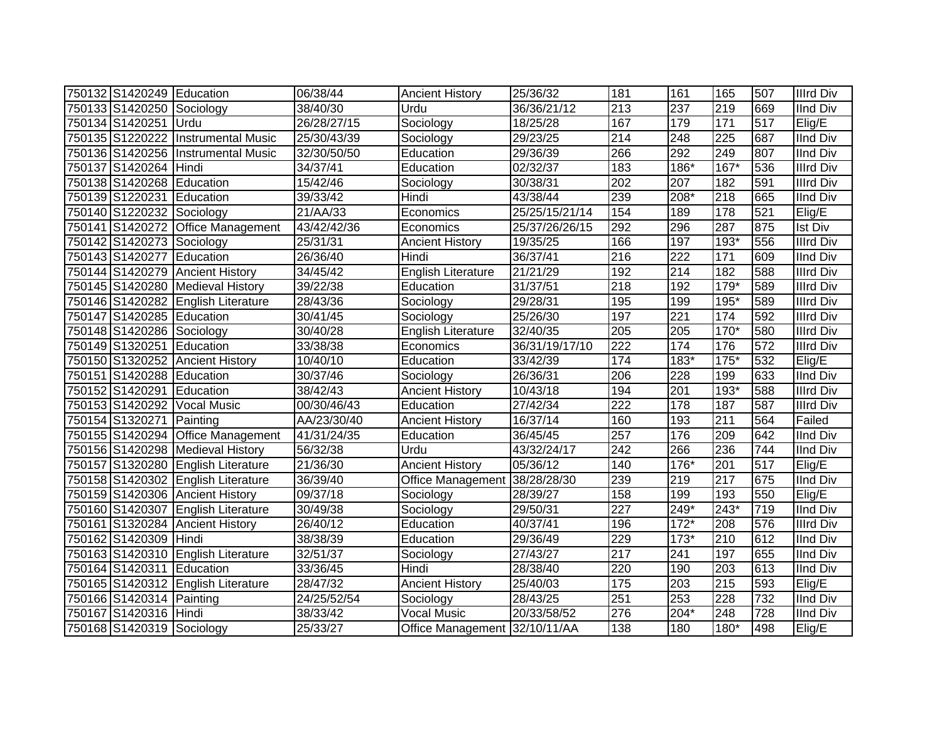| 750132 S1420249 Education |                                    | 06/38/44    | <b>Ancient History</b>        | 25/36/32       | 181 | 161              | 165    | 507 | <b>Illrd Div</b> |
|---------------------------|------------------------------------|-------------|-------------------------------|----------------|-----|------------------|--------|-----|------------------|
| 750133 S1420250 Sociology |                                    | 38/40/30    | Urdu                          | 36/36/21/12    | 213 | 237              | 219    | 669 | <b>IInd Div</b>  |
| 750134 S1420251 Urdu      |                                    | 26/28/27/15 | Sociology                     | 18/25/28       | 167 | 179              | 171    | 517 | Elig/E           |
| 750135 S1220222           | <b>Instrumental Music</b>          | 25/30/43/39 | Sociology                     | 29/23/25       | 214 | $\overline{248}$ | 225    | 687 | <b>IInd Div</b>  |
| 750136 S1420256           | <b>Instrumental Music</b>          | 32/30/50/50 | Education                     | 29/36/39       | 266 | 292              | 249    | 807 | <b>IInd Div</b>  |
| 750137 S1420264 Hindi     |                                    | 34/37/41    | Education                     | 02/32/37       | 183 | $186*$           | $167*$ | 536 | <b>Illrd Div</b> |
| 750138 S1420268           | Education                          | 15/42/46    | Sociology                     | 30/38/31       | 202 | 207              | 182    | 591 | <b>Illrd Div</b> |
| 750139 S1220231 Education |                                    | 39/33/42    | Hindi                         | 43/38/44       | 239 | 208*             | 218    | 665 | <b>IInd Div</b>  |
| 750140 S1220232 Sociology |                                    | 21/AA/33    | Economics                     | 25/25/15/21/14 | 154 | 189              | 178    | 521 | Elig/E           |
|                           | 750141 S1420272 Office Management  | 43/42/42/36 | Economics                     | 25/37/26/26/15 | 292 | 296              | 287    | 875 | <b>Ist Div</b>   |
| 750142 S1420273 Sociology |                                    | 25/31/31    | <b>Ancient History</b>        | 19/35/25       | 166 | 197              | 193*   | 556 | <b>Illrd Div</b> |
| 750143 S1420277           | Education                          | 26/36/40    | Hindi                         | 36/37/41       | 216 | 222              | 171    | 609 | <b>IInd Div</b>  |
| 750144 S1420279           | <b>Ancient History</b>             | 34/45/42    | English Literature            | 21/21/29       | 192 | 214              | 182    | 588 | <b>Illrd Div</b> |
|                           | 750145 S1420280 Medieval History   | 39/22/38    | Education                     | 31/37/51       | 218 | 192              | 179*   | 589 | <b>Illrd Div</b> |
|                           | 750146 S1420282 English Literature | 28/43/36    | Sociology                     | 29/28/31       | 195 | 199              | 195*   | 589 | <b>Illrd Div</b> |
| 750147 S1420285 Education |                                    | 30/41/45    | Sociology                     | 25/26/30       | 197 | $\overline{221}$ | 174    | 592 | <b>Illrd Div</b> |
| 750148 S1420286 Sociology |                                    | 30/40/28    | <b>English Literature</b>     | 32/40/35       | 205 | 205              | $170*$ | 580 | <b>Illrd Div</b> |
| 750149 S1320251 Education |                                    | 33/38/38    | Economics                     | 36/31/19/17/10 | 222 | 174              | 176    | 572 | <b>Illrd Div</b> |
|                           | 750150 S1320252 Ancient History    | 10/40/10    | Education                     | 33/42/39       | 174 | 183*             | $175*$ | 532 | Elig/E           |
| 750151 S1420288 Education |                                    | 30/37/46    | Sociology                     | 26/36/31       | 206 | 228              | 199    | 633 | <b>IInd Div</b>  |
| 750152 S1420291 Education |                                    | 38/42/43    | <b>Ancient History</b>        | 10/43/18       | 194 | $\overline{201}$ | $193*$ | 588 | <b>Illrd Div</b> |
|                           | 750153 S1420292 Vocal Music        | 00/30/46/43 | Education                     | 27/42/34       | 222 | 178              | 187    | 587 | <b>Illrd Div</b> |
| 750154 S1320271 Painting  |                                    | AA/23/30/40 | <b>Ancient History</b>        | 16/37/14       | 160 | 193              | 211    | 564 | Failed           |
|                           | 750155 S1420294 Office Management  | 41/31/24/35 | Education                     | 36/45/45       | 257 | 176              | 209    | 642 | <b>IInd Div</b>  |
|                           | 750156 S1420298 Medieval History   | 56/32/38    | Urdu                          | 43/32/24/17    | 242 | 266              | 236    | 744 | <b>IInd Div</b>  |
|                           | 750157 S1320280 English Literature | 21/36/30    | <b>Ancient History</b>        | 05/36/12       | 140 | 176*             | 201    | 517 | Elig/E           |
|                           | 750158 S1420302 English Literature | 36/39/40    | Office Management             | 38/28/28/30    | 239 | 219              | 217    | 675 | <b>IInd Div</b>  |
|                           | 750159 S1420306 Ancient History    | 09/37/18    | Sociology                     | 28/39/27       | 158 | 199              | 193    | 550 | Elig/E           |
|                           | 750160 S1420307 English Literature | 30/49/38    | Sociology                     | 29/50/31       | 227 | $249*$           | 243*   | 719 | <b>IInd Div</b>  |
|                           | 750161 S1320284 Ancient History    | 26/40/12    | Education                     | 40/37/41       | 196 | $172*$           | 208    | 576 | <b>Illrd Div</b> |
| 750162 S1420309 Hindi     |                                    | 38/38/39    | Education                     | 29/36/49       | 229 | $173*$           | 210    | 612 | <b>IInd Div</b>  |
|                           | 750163 S1420310 English Literature | 32/51/37    | Sociology                     | 27/43/27       | 217 | 241              | 197    | 655 | <b>IInd Div</b>  |
| 750164 S1420311 Education |                                    | 33/36/45    | Hindi                         | 28/38/40       | 220 | 190              | 203    | 613 | <b>IInd Div</b>  |
|                           | 750165 S1420312 English Literature | 28/47/32    | <b>Ancient History</b>        | 25/40/03       | 175 | 203              | 215    | 593 | Elig/E           |
| 750166 S1420314 Painting  |                                    | 24/25/52/54 | Sociology                     | 28/43/25       | 251 | 253              | 228    | 732 | <b>IInd Div</b>  |
| 750167 S1420316 Hindi     |                                    | 38/33/42    | <b>Vocal Music</b>            | 20/33/58/52    | 276 | 204*             | 248    | 728 | <b>IInd Div</b>  |
| 750168 S1420319 Sociology |                                    | 25/33/27    | Office Management 32/10/11/AA |                | 138 | 180              | 180*   | 498 | Elig/E           |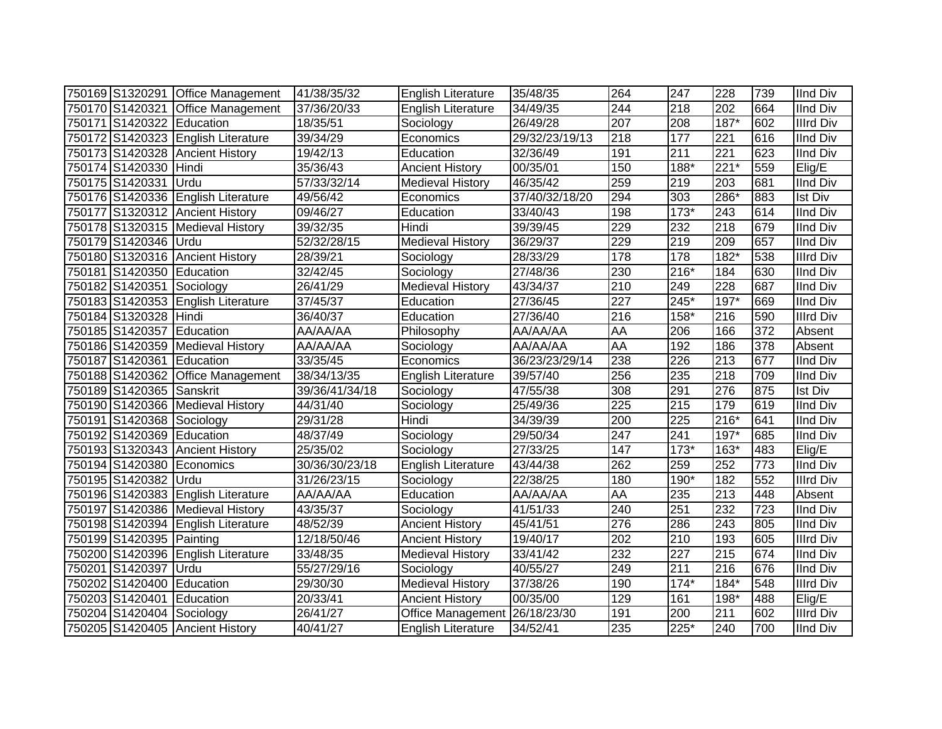|                           | 750169 S1320291 Office Management  | 41/38/35/32    | <b>English Literature</b>     | 35/48/35       | 264              | 247              | 228              | 739 | <b>IInd Div</b>  |
|---------------------------|------------------------------------|----------------|-------------------------------|----------------|------------------|------------------|------------------|-----|------------------|
|                           | 750170 S1420321 Office Management  | 37/36/20/33    | <b>English Literature</b>     | 34/49/35       | 244              | 218              | 202              | 664 | <b>IInd Div</b>  |
| 750171 S1420322 Education |                                    | 18/35/51       | Sociology                     | 26/49/28       | 207              | 208              | $187*$           | 602 | <b>Illrd Div</b> |
|                           | 750172 S1420323 English Literature | 39/34/29       | Economics                     | 29/32/23/19/13 | $\overline{218}$ | 177              | $\overline{221}$ | 616 | <b>IInd Div</b>  |
|                           | 750173 S1420328 Ancient History    | 19/42/13       | Education                     | 32/36/49       | 191              | 211              | $\overline{221}$ | 623 | <b>IInd Div</b>  |
| 750174 S1420330           | Hindi                              | 35/36/43       | <b>Ancient History</b>        | 00/35/01       | 150              | $188*$           | $221*$           | 559 | Elig/E           |
| 750175 S1420331           | Urdu                               | 57/33/32/14    | <b>Medieval History</b>       | 46/35/42       | 259              | 219              | 203              | 681 | <b>IInd Div</b>  |
|                           | 750176 S1420336 English Literature | 49/56/42       | Economics                     | 37/40/32/18/20 | 294              | 303              | 286*             | 883 | <b>Ist Div</b>   |
|                           | 750177 S1320312 Ancient History    | 09/46/27       | Education                     | 33/40/43       | 198              | $173*$           | 243              | 614 | <b>IInd Div</b>  |
|                           | 750178 S1320315 Medieval History   | 39/32/35       | Hindi                         | 39/39/45       | 229              | 232              | 218              | 679 | <b>IInd Div</b>  |
| 750179 S1420346           | Urdu                               | 52/32/28/15    | Medieval History              | 36/29/37       | 229              | 219              | 209              | 657 | <b>IInd Div</b>  |
|                           | 750180 S1320316 Ancient History    | 28/39/21       | Sociology                     | 28/33/29       | 178              | 178              | $182*$           | 538 | <b>Illrd Div</b> |
| 750181 S1420350 Education |                                    | 32/42/45       | Sociology                     | 27/48/36       | 230              | $216*$           | 184              | 630 | <b>IInd Div</b>  |
| 750182 S1420351 Sociology |                                    | 26/41/29       | <b>Medieval History</b>       | 43/34/37       | 210              | 249              | 228              | 687 | <b>IInd Div</b>  |
|                           | 750183 S1420353 English Literature | 37/45/37       | Education                     | 27/36/45       | 227              | 245*             | $197*$           | 669 | <b>IInd Div</b>  |
| 750184 S1320328 Hindi     |                                    | 36/40/37       | Education                     | 27/36/40       | 216              | 158*             | 216              | 590 | <b>Illrd Div</b> |
| 750185 S1420357 Education |                                    | AA/AA/AA       | Philosophy                    | AA/AA/AA       | AA               | 206              | 166              | 372 | Absent           |
|                           | 750186 S1420359 Medieval History   | AA/AA/AA       | Sociology                     | AA/AA/AA       | AA               | 192              | 186              | 378 | Absent           |
| 750187 S1420361 Education |                                    | 33/35/45       | Economics                     | 36/23/23/29/14 | 238              | 226              | 213              | 677 | <b>IInd Div</b>  |
|                           | 750188 S1420362 Office Management  | 38/34/13/35    | English Literature            | 39/57/40       | 256              | 235              | 218              | 709 | <b>IInd Div</b>  |
| 750189 S1420365 Sanskrit  |                                    | 39/36/41/34/18 | Sociology                     | 47/55/38       | 308              | 291              | 276              | 875 | <b>Ist Div</b>   |
|                           | 750190 S1420366 Medieval History   | 44/31/40       | Sociology                     | 25/49/36       | $\overline{225}$ | $\overline{215}$ | 179              | 619 | <b>IInd Div</b>  |
| 750191 S1420368 Sociology |                                    | 29/31/28       | Hindi                         | 34/39/39       | 200              | 225              | $216*$           | 641 | <b>IInd Div</b>  |
| 750192 S1420369 Education |                                    | 48/37/49       | Sociology                     | 29/50/34       | 247              | 241              | $197*$           | 685 | <b>IInd Div</b>  |
|                           | 750193 S1320343 Ancient History    | 25/35/02       | Sociology                     | 27/33/25       | 147              | $173*$           | $163*$           | 483 | Elig/E           |
| 750194 S1420380           | Economics                          | 30/36/30/23/18 | <b>English Literature</b>     | 43/44/38       | 262              | 259              | 252              | 773 | <b>IInd Div</b>  |
| 750195 S1420382 Urdu      |                                    | 31/26/23/15    | Sociology                     | 22/38/25       | 180              | 190*             | 182              | 552 | <b>Illrd Div</b> |
|                           | 750196 S1420383 English Literature | AA/AA/AA       | Education                     | AA/AA/AA       | AA               | 235              | 213              | 448 | Absent           |
|                           | 750197 S1420386 Medieval History   | 43/35/37       | Sociology                     | 41/51/33       | 240              | 251              | 232              | 723 | <b>IInd Div</b>  |
|                           | 750198 S1420394 English Literature | 48/52/39       | <b>Ancient History</b>        | 45/41/51       | 276              | 286              | 243              | 805 | <b>IInd Div</b>  |
| 750199 S1420395 Painting  |                                    | 12/18/50/46    | <b>Ancient History</b>        | 19/40/17       | $\overline{202}$ | 210              | 193              | 605 | <b>Illrd Div</b> |
|                           | 750200 S1420396 English Literature | 33/48/35       | <b>Medieval History</b>       | 33/41/42       | 232              | 227              | 215              | 674 | <b>IInd Div</b>  |
| 750201 S1420397 Urdu      |                                    | 55/27/29/16    | Sociology                     | 40/55/27       | 249              | 211              | 216              | 676 | <b>IInd Div</b>  |
| 750202 S1420400           | Education                          | 29/30/30       | <b>Medieval History</b>       | 37/38/26       | 190              | $174*$           | $184*$           | 548 | <b>Illrd Div</b> |
| 750203 S1420401 Education |                                    | 20/33/41       | <b>Ancient History</b>        | 00/35/00       | 129              | 161              | 198*             | 488 | Elig/E           |
| 750204 S1420404 Sociology |                                    | 26/41/27       | Office Management 26/18/23/30 |                | 191              | 200              | 211              | 602 | <b>Illrd Div</b> |
|                           | 750205 S1420405 Ancient History    | 40/41/27       | English Literature            | 34/52/41       | 235              | 225*             | 240              | 700 | <b>IInd Div</b>  |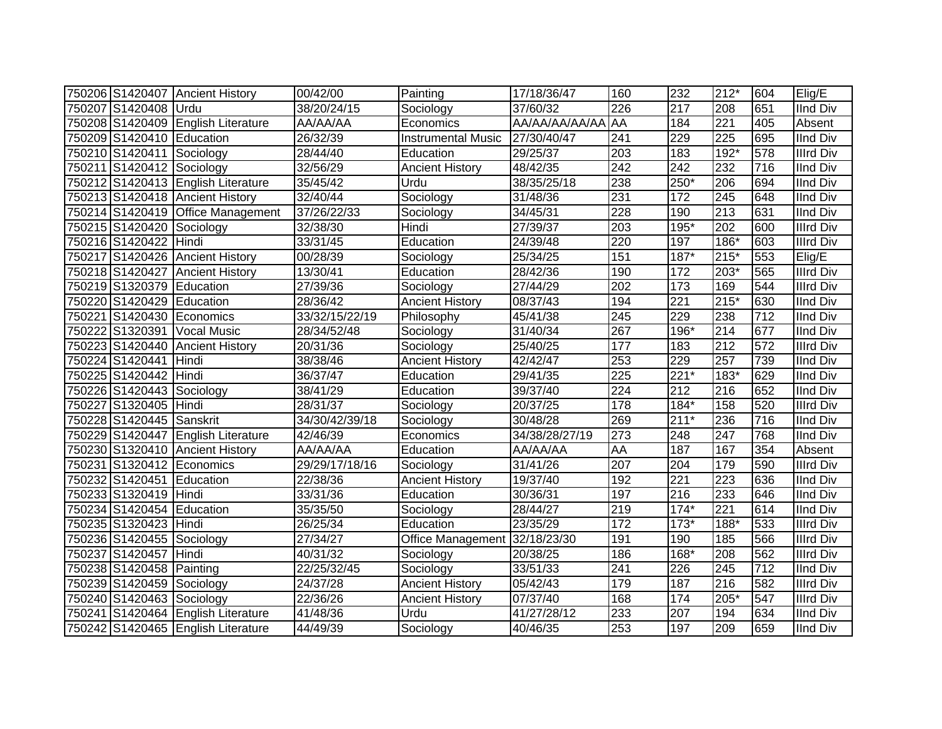|                           | 750206 S1420407 Ancient History    | 00/42/00       | Painting                  | 17/18/36/47    | 160 | 232              | $212*$           | 604              | Elig/E           |
|---------------------------|------------------------------------|----------------|---------------------------|----------------|-----|------------------|------------------|------------------|------------------|
| 750207 S1420408 Urdu      |                                    | 38/20/24/15    | Sociology                 | 37/60/32       | 226 | 217              | 208              | 651              | <b>IInd Div</b>  |
|                           | 750208 S1420409 English Literature | AA/AA/AA       | Economics                 | AA/AA/AA/AA/AA | AA  | 184              | 221              | 405              | Absent           |
| 750209 S1420410 Education |                                    | 26/32/39       | <b>Instrumental Music</b> | 27/30/40/47    | 241 | 229              | 225              | 695              | <b>IInd Div</b>  |
| 750210 S1420411 Sociology |                                    | 28/44/40       | Education                 | 29/25/37       | 203 | 183              | $192*$           | 578              | <b>Illrd Div</b> |
| 750211 S1420412 Sociology |                                    | 32/56/29       | <b>Ancient History</b>    | 48/42/35       | 242 | $\overline{242}$ | 232              | 716              | <b>IInd Div</b>  |
|                           | 750212 S1420413 English Literature | 35/45/42       | Urdu                      | 38/35/25/18    | 238 | 250*             | 206              | 694              | <b>IInd Div</b>  |
|                           | 750213 S1420418 Ancient History    | 32/40/44       | Sociology                 | 31/48/36       | 231 | 172              | 245              | 648              | <b>IInd Div</b>  |
|                           | 750214 S1420419 Office Management  | 37/26/22/33    | Sociology                 | 34/45/31       | 228 | 190              | 213              | 631              | <b>IInd Div</b>  |
| 750215 S1420420           | Sociology                          | 32/38/30       | Hindi                     | 27/39/37       | 203 | $195*$           | 202              | 600              | <b>Illrd Div</b> |
| 750216 S1420422           | Hindi                              | 33/31/45       | Education                 | 24/39/48       | 220 | 197              | $186*$           | 603              | <b>Illrd Div</b> |
|                           | 750217 S1420426 Ancient History    | 00/28/39       | Sociology                 | 25/34/25       | 151 | $187*$           | 215*             | 553              | Elig/E           |
|                           | 750218 S1420427 Ancient History    | 13/30/41       | Education                 | 28/42/36       | 190 | 172              | 203*             | 565              | <b>Illrd Div</b> |
| 750219 S1320379           | Education                          | 27/39/36       | Sociology                 | 27/44/29       | 202 | 173              | 169              | 544              | <b>Illrd Div</b> |
| 750220 S1420429           | Education                          | 28/36/42       | <b>Ancient History</b>    | 08/37/43       | 194 | $\overline{221}$ | $215*$           | 630              | <b>IInd Div</b>  |
| 750221 S1420430           | Economics                          | 33/32/15/22/19 | Philosophy                | 45/41/38       | 245 | 229              | 238              | $\overline{712}$ | <b>IInd Div</b>  |
| 750222 S1320391           | <b>Vocal Music</b>                 | 28/34/52/48    | Sociology                 | 31/40/34       | 267 | 196*             | 214              | 677              | <b>IInd Div</b>  |
| 750223 S1420440           | <b>Ancient History</b>             | 20/31/36       | Sociology                 | 25/40/25       | 177 | 183              | 212              | 572              | <b>Illrd Div</b> |
| 750224 S1420441           | Hindi                              | 38/38/46       | <b>Ancient History</b>    | 42/42/47       | 253 | 229              | 257              | 739              | <b>IInd Div</b>  |
| 750225 S1420442           | Hindi                              | 36/37/47       | Education                 | 29/41/35       | 225 | $221*$           | 183*             | 629              | <b>IInd Div</b>  |
| 750226 S1420443 Sociology |                                    | 38/41/29       | Education                 | 39/37/40       | 224 | 212              | 216              | 652              | <b>IInd Div</b>  |
| 750227 S1320405 Hindi     |                                    | 28/31/37       | Sociology                 | 20/37/25       | 178 | $184*$           | 158              | 520              | <b>Illrd Div</b> |
| 750228 S1420445 Sanskrit  |                                    | 34/30/42/39/18 | Sociology                 | 30/48/28       | 269 | $211*$           | 236              | 716              | <b>IInd Div</b>  |
|                           | 750229 S1420447 English Literature | 42/46/39       | Economics                 | 34/38/28/27/19 | 273 | 248              | 247              | 768              | <b>IInd Div</b>  |
|                           | 750230 S1320410 Ancient History    | AA/AA/AA       | Education                 | AA/AA/AA       | AA  | 187              | 167              | 354              | Absent           |
|                           | 750231 S1320412 Economics          | 29/29/17/18/16 | Sociology                 | 31/41/26       | 207 | 204              | 179              | 590              | <b>Illrd Div</b> |
| 750232 S1420451 Education |                                    | 22/38/36       | <b>Ancient History</b>    | 19/37/40       | 192 | $\overline{221}$ | $\overline{223}$ | 636              | <b>IInd Div</b>  |
| 750233 S1320419 Hindi     |                                    | 33/31/36       | Education                 | 30/36/31       | 197 | 216              | 233              | 646              | <b>IInd Div</b>  |
| 750234 S1420454 Education |                                    | 35/35/50       | Sociology                 | 28/44/27       | 219 | $174*$           | $\overline{221}$ | 614              | <b>IInd Div</b>  |
| 750235 S1320423 Hindi     |                                    | 26/25/34       | Education                 | 23/35/29       | 172 | $173*$           | 188*             | 533              | <b>Illrd Div</b> |
| 750236 S1420455 Sociology |                                    | 27/34/27       | Office Management         | 32/18/23/30    | 191 | 190              | 185              | 566              | <b>Illrd Div</b> |
| 750237 S1420457           | Hindi                              | 40/31/32       | Sociology                 | 20/38/25       | 186 | 168*             | 208              | 562              | <b>Illrd Div</b> |
| 750238 S1420458 Painting  |                                    | 22/25/32/45    | Sociology                 | 33/51/33       | 241 | $\overline{226}$ | 245              | 712              | <b>IInd Div</b>  |
| 750239 S1420459           | Sociology                          | 24/37/28       | <b>Ancient History</b>    | 05/42/43       | 179 | 187              | 216              | 582              | <b>Illrd Div</b> |
| 750240 S1420463           | Sociology                          | 22/36/26       | <b>Ancient History</b>    | 07/37/40       | 168 | 174              | 205*             | 547              | <b>Illrd Div</b> |
| 750241 S1420464           | <b>English Literature</b>          | 41/48/36       | Urdu                      | 41/27/28/12    | 233 | 207              | 194              | 634              | <b>IInd Div</b>  |
|                           | 750242 S1420465 English Literature | 44/49/39       | Sociology                 | 40/46/35       | 253 | 197              | 209              | 659              | <b>IInd Div</b>  |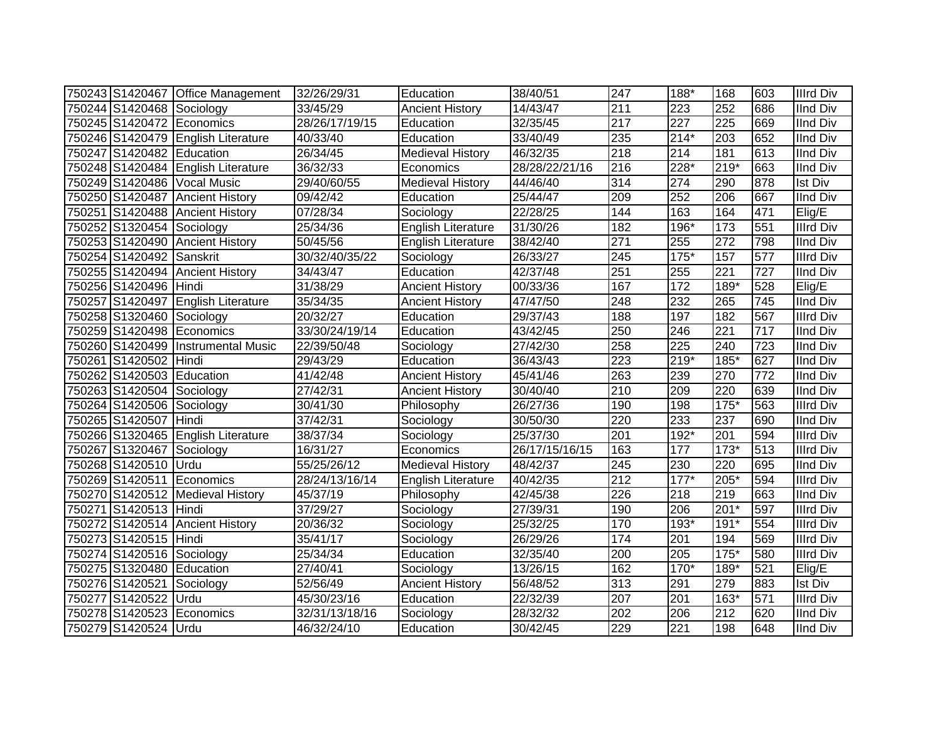|                           | 750243 S1420467 Office Management  | 32/26/29/31    | Education                 | 38/40/51       | 247              | 188*   | 168              | 603              | <b>Illrd Div</b> |
|---------------------------|------------------------------------|----------------|---------------------------|----------------|------------------|--------|------------------|------------------|------------------|
| 750244 S1420468 Sociology |                                    | 33/45/29       | <b>Ancient History</b>    | 14/43/47       | 211              | 223    | 252              | 686              | <b>IInd Div</b>  |
|                           | 750245 S1420472 Economics          | 28/26/17/19/15 | Education                 | 32/35/45       | $\overline{217}$ | 227    | $\overline{225}$ | 669              | <b>IInd Div</b>  |
|                           | 750246 S1420479 English Literature | 40/33/40       | Education                 | 33/40/49       | 235              | $214*$ | $\overline{203}$ | 652              | <b>IInd Div</b>  |
| 750247 S1420482 Education |                                    | 26/34/45       | <b>Medieval History</b>   | 46/32/35       | $\overline{218}$ | 214    | 181              | 613              | <b>IInd Div</b>  |
|                           | 750248 S1420484 English Literature | 36/32/33       | Economics                 | 28/28/22/21/16 | 216              | $228*$ | $219*$           | 663              | <b>IInd Div</b>  |
|                           | 750249 S1420486 Vocal Music        | 29/40/60/55    | <b>Medieval History</b>   | 44/46/40       | 314              | 274    | 290              | 878              | <b>Ist Div</b>   |
|                           | 750250 S1420487 Ancient History    | 09/42/42       | Education                 | 25/44/47       | 209              | 252    | 206              | 667              | <b>IInd Div</b>  |
|                           | 750251 S1420488 Ancient History    | 07/28/34       | Sociology                 | 22/28/25       | 144              | 163    | 164              | 471              | Elig/E           |
| 750252 S1320454 Sociology |                                    | 25/34/36       | <b>English Literature</b> | 31/30/26       | 182              | 196*   | 173              | 551              | <b>Illrd Div</b> |
| 750253 S1420490           | <b>Ancient History</b>             | 50/45/56       | English Literature        | 38/42/40       | $\overline{271}$ | 255    | $\overline{272}$ | 798              | <b>IInd Div</b>  |
| 750254 S1420492           | Sanskrit                           | 30/32/40/35/22 | Sociology                 | 26/33/27       | 245              | $175*$ | 157              | 577              | <b>Illrd Div</b> |
|                           | 750255 S1420494 Ancient History    | 34/43/47       | Education                 | 42/37/48       | 251              | 255    | $\overline{221}$ | 727              | <b>IInd Div</b>  |
| 750256 S1420496           | Hindi                              | 31/38/29       | <b>Ancient History</b>    | 00/33/36       | 167              | 172    | 189*             | 528              | Elig/E           |
|                           | 750257 S1420497 English Literature | 35/34/35       | <b>Ancient History</b>    | 47/47/50       | 248              | 232    | 265              | 745              | <b>IInd Div</b>  |
| 750258 S1320460           | Sociology                          | 20/32/27       | Education                 | 29/37/43       | 188              | 197    | 182              | 567              | <b>Illrd Div</b> |
|                           | 750259 S1420498 Economics          | 33/30/24/19/14 | Education                 | 43/42/45       | 250              | 246    | $\overline{221}$ | 717              | <b>IInd Div</b>  |
| 750260 S1420499           | <b>Instrumental Music</b>          | 22/39/50/48    | Sociology                 | 27/42/30       | 258              | 225    | 240              | $\overline{723}$ | <b>IInd Div</b>  |
| 750261 S1420502 Hindi     |                                    | 29/43/29       | Education                 | 36/43/43       | 223              | $219*$ | $185*$           | 627              | <b>IInd Div</b>  |
| 750262 S1420503 Education |                                    | 41/42/48       | <b>Ancient History</b>    | 45/41/46       | 263              | 239    | 270              | 772              | <b>IInd Div</b>  |
| 750263 S1420504 Sociology |                                    | 27/42/31       | <b>Ancient History</b>    | 30/40/40       | 210              | 209    | 220              | 639              | <b>IInd Div</b>  |
| 750264 S1420506 Sociology |                                    | 30/41/30       | Philosophy                | 26/27/36       | 190              | 198    | $175*$           | 563              | <b>Illrd Div</b> |
| 750265 S1420507 Hindi     |                                    | 37/42/31       | Sociology                 | 30/50/30       | 220              | 233    | 237              | 690              | <b>IInd Div</b>  |
|                           | 750266 S1320465 English Literature | 38/37/34       | Sociology                 | 25/37/30       | 201              | 192*   | 201              | 594              | <b>Illrd Div</b> |
| 750267 S1320467 Sociology |                                    | 16/31/27       | Economics                 | 26/17/15/16/15 | 163              | 177    | $173*$           | 513              | <b>Illrd Div</b> |
| 750268 S1420510 Urdu      |                                    | 55/25/26/12    | <b>Medieval History</b>   | 48/42/37       | 245              | 230    | 220              | 695              | <b>IInd Div</b>  |
|                           | 750269 S1420511 Economics          | 28/24/13/16/14 | <b>English Literature</b> | 40/42/35       | $\overline{212}$ | $177*$ | $205*$           | 594              | <b>Illrd Div</b> |
|                           | 750270 S1420512 Medieval History   | 45/37/19       | Philosophy                | 42/45/38       | 226              | 218    | $\overline{219}$ | 663              | <b>IInd Div</b>  |
| 750271 S1420513 Hindi     |                                    | 37/29/27       | Sociology                 | 27/39/31       | 190              | 206    | $201*$           | 597              | <b>Illrd Div</b> |
|                           | 750272 S1420514 Ancient History    | 20/36/32       | Sociology                 | 25/32/25       | 170              | $193*$ | $191*$           | 554              | <b>Illrd Div</b> |
| 750273 S1420515 Hindi     |                                    | 35/41/17       | Sociology                 | 26/29/26       | 174              | 201    | 194              | 569              | <b>Illrd Div</b> |
| 750274 S1420516 Sociology |                                    | 25/34/34       | Education                 | 32/35/40       | 200              | 205    | $175*$           | 580              | <b>Illrd Div</b> |
| 750275 S1320480 Education |                                    | 27/40/41       | Sociology                 | 13/26/15       | 162              | $170*$ | 189*             | 521              | Elig/E           |
| 750276 S1420521           | Sociology                          | 52/56/49       | <b>Ancient History</b>    | 56/48/52       | 313              | 291    | 279              | 883              | Ist Div          |
| 750277 S1420522           | Urdu                               | 45/30/23/16    | Education                 | 22/32/39       | 207              | 201    | $163*$           | 571              | <b>Illrd Div</b> |
| 750278 S1420523           | Economics                          | 32/31/13/18/16 | Sociology                 | 28/32/32       | $20\overline{2}$ | 206    | 212              | 620              | <b>IInd Div</b>  |
| 750279 S1420524 Urdu      |                                    | 46/32/24/10    | Education                 | 30/42/45       | 229              | 221    | 198              | 648              | <b>IInd Div</b>  |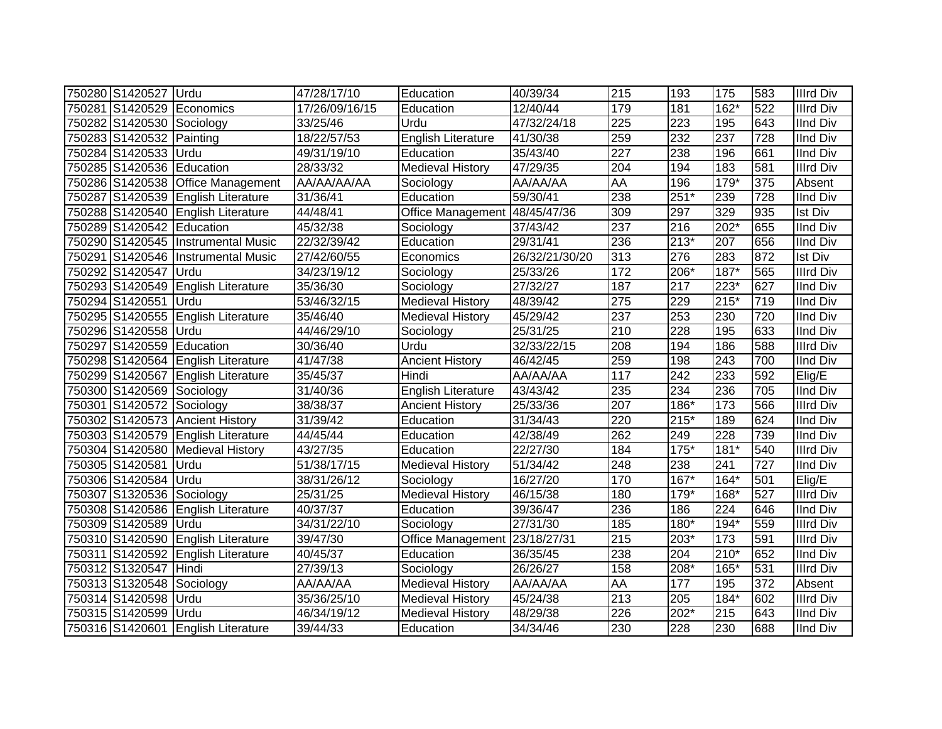| 750280 S1420527 Urdu      |                                    | 47/28/17/10    | Education                     | 40/39/34       | 215              | 193    | 175    | 583              | <b>Illrd Div</b> |
|---------------------------|------------------------------------|----------------|-------------------------------|----------------|------------------|--------|--------|------------------|------------------|
|                           | 750281 S1420529 Economics          | 17/26/09/16/15 | Education                     | 12/40/44       | 179              | 181    | $162*$ | 522              | <b>Illrd Div</b> |
| 750282 S1420530 Sociology |                                    | 33/25/46       | Urdu                          | 47/32/24/18    | $\overline{225}$ | 223    | 195    | 643              | <b>IInd Div</b>  |
| 750283 S1420532 Painting  |                                    | 18/22/57/53    | <b>English Literature</b>     | 41/30/38       | 259              | 232    | 237    | 728              | <b>IInd Div</b>  |
| 750284 S1420533 Urdu      |                                    | 49/31/19/10    | Education                     | 35/43/40       | 227              | 238    | 196    | 661              | <b>IInd Div</b>  |
| 750285 S1420536           | Education                          | 28/33/32       | <b>Medieval History</b>       | 47/29/35       | 204              | 194    | 183    | 581              | <b>Illrd Div</b> |
| 750286 S1420538           | Office Management                  | AA/AA/AA/AA    | Sociology                     | AA/AA/AA       | AA               | 196    | 179*   | 375              | Absent           |
| 750287 S1420539           | <b>English Literature</b>          | 31/36/41       | Education                     | 59/30/41       | 238              | $251*$ | 239    | $\overline{728}$ | <b>IInd Div</b>  |
| 750288 S1420540           | <b>English Literature</b>          | 44/48/41       | Office Management             | 48/45/47/36    | 309              | 297    | 329    | 935              | <b>Ist Div</b>   |
| 750289 S1420542 Education |                                    | 45/32/38       | Sociology                     | 37/43/42       | 237              | 216    | $202*$ | 655              | <b>IInd Div</b>  |
| 750290 S1420545           | <b>Instrumental Music</b>          | 22/32/39/42    | Education                     | 29/31/41       | 236              | $213*$ | 207    | 656              | <b>IInd Div</b>  |
| 750291 S1420546           | <b>Instrumental Music</b>          | 27/42/60/55    | Economics                     | 26/32/21/30/20 | 313              | 276    | 283    | 872              | <b>Ist Div</b>   |
| 750292 S1420547           | Urdu                               | 34/23/19/12    | Sociology                     | 25/33/26       | $\frac{1}{172}$  | 206*   | $187*$ | 565              | <b>Illrd Div</b> |
| 750293 S1420549           | <b>English Literature</b>          | 35/36/30       | Sociology                     | 27/32/27       | 187              | 217    | $223*$ | 627              | <b>IInd Div</b>  |
| 750294 S1420551           | Urdu                               | 53/46/32/15    | <b>Medieval History</b>       | 48/39/42       | 275              | 229    | $215*$ | 719              | <b>IInd Div</b>  |
| 750295 S1420555           | <b>English Literature</b>          | 35/46/40       | Medieval History              | 45/29/42       | 237              | 253    | 230    | 720              | <b>IInd Div</b>  |
| 750296 S1420558           | <b>IUrdu</b>                       | 44/46/29/10    | Sociology                     | 25/31/25       | 210              | 228    | 195    | 633              | <b>IInd Div</b>  |
| 750297 S1420559 Education |                                    | 30/36/40       | Urdu                          | 32/33/22/15    | 208              | 194    | 186    | 588              | <b>Illrd Div</b> |
|                           | 750298 S1420564 English Literature | 41/47/38       | <b>Ancient History</b>        | 46/42/45       | 259              | 198    | 243    | 700              | <b>IInd Div</b>  |
|                           | 750299 S1420567 English Literature | 35/45/37       | Hindi                         | AA/AA/AA       | 117              | 242    | 233    | 592              | Elig/E           |
| 750300 S1420569 Sociology |                                    | 31/40/36       | <b>English Literature</b>     | 43/43/42       | 235              | 234    | 236    | 705              | <b>IInd Div</b>  |
| 750301 S1420572 Sociology |                                    | 38/38/37       | <b>Ancient History</b>        | 25/33/36       | 207              | 186*   | 173    | 566              | <b>Illrd Div</b> |
|                           | 750302 S1420573 Ancient History    | 31/39/42       | Education                     | 31/34/43       | 220              | $215*$ | 189    | 624              | <b>IInd Div</b>  |
|                           | 750303 S1420579 English Literature | 44/45/44       | Education                     | 42/38/49       | 262              | 249    | 228    | 739              | <b>IInd Div</b>  |
|                           | 750304 S1420580 Medieval History   | 43/27/35       | Education                     | 22/27/30       | 184              | $175*$ | $181*$ | 540              | <b>Illrd Div</b> |
| 750305 S1420581           | Urdu                               | 51/38/17/15    | <b>Medieval History</b>       | 51/34/42       | 248              | 238    | 241    | 727              | <b>IInd Div</b>  |
| 750306 S1420584           | Urdu                               | 38/31/26/12    | Sociology                     | 16/27/20       | 170              | 167*   | $164*$ | 501              | Elig/E           |
| 750307 S1320536           | Sociology                          | 25/31/25       | <b>Medieval History</b>       | 46/15/38       | 180              | 179*   | 168*   | 527              | <b>Illrd Div</b> |
| 750308 S1420586           | <b>English Literature</b>          | 40/37/37       | Education                     | 39/36/47       | 236              | 186    | 224    | 646              | <b>IInd Div</b>  |
| 750309 S1420589           | Urdu                               | 34/31/22/10    | Sociology                     | 27/31/30       | 185              | 180*   | $194*$ | 559              | <b>Illrd Div</b> |
| 750310 S1420590           | <b>English Literature</b>          | 39/47/30       | Office Management 23/18/27/31 |                | 215              | $203*$ | 173    | 591              | <b>Illrd Div</b> |
|                           | 750311 S1420592 English Literature | 40/45/37       | Education                     | 36/35/45       | 238              | 204    | $210*$ | 652              | <b>IInd Div</b>  |
| 750312 S1320547 Hindi     |                                    | 27/39/13       | Sociology                     | 26/26/27       | 158              | 208*   | $165*$ | 531              | <b>Illrd Div</b> |
| 750313 S1320548           | Sociology                          | AA/AA/AA       | <b>Medieval History</b>       | AA/AA/AA       | AA               | 177    | 195    | 372              | Absent           |
| 750314 S1420598           | Urdu                               | 35/36/25/10    | Medieval History              | 45/24/38       | 213              | 205    | $184*$ | 602              | <b>Illrd Div</b> |
| 750315 S1420599           | <b>Urdu</b>                        | 46/34/19/12    | <b>Medieval History</b>       | 48/29/38       | 226              | 202*   | 215    | 643              | <b>IInd Div</b>  |
|                           | 750316 S1420601 English Literature | 39/44/33       | Education                     | 34/34/46       | 230              | 228    | 230    | 688              | <b>IInd Div</b>  |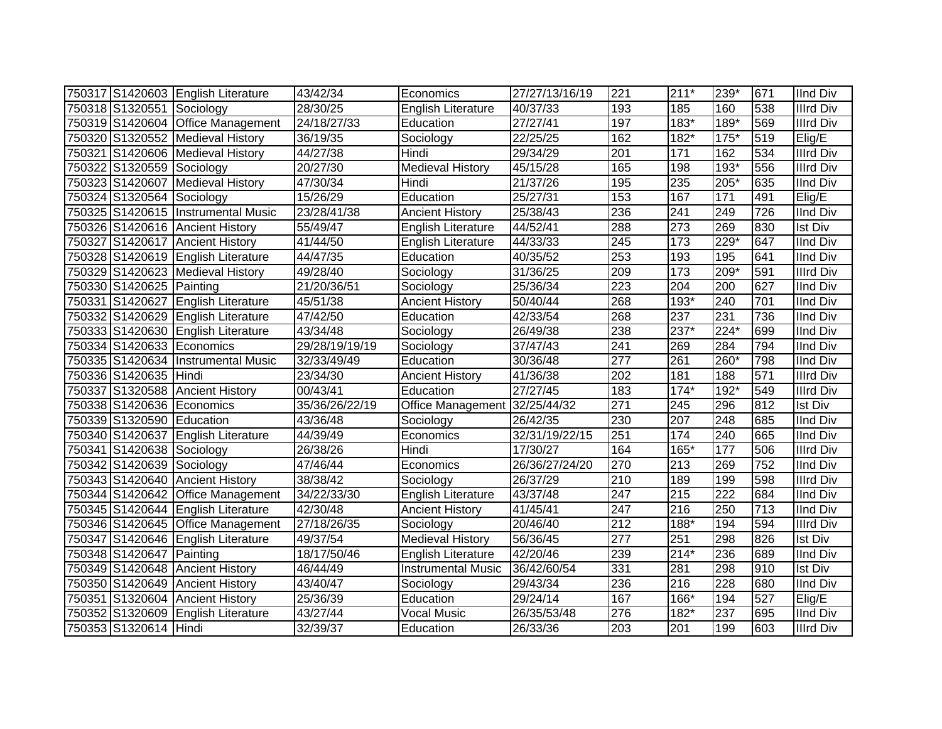|                           | 750317 S1420603 English Literature | 43/42/34       | Economics                     | 27/27/13/16/19    | 221              | $211*$           | 239*             | 671 | <b>IInd Div</b>  |
|---------------------------|------------------------------------|----------------|-------------------------------|-------------------|------------------|------------------|------------------|-----|------------------|
| 750318 S1320551 Sociology |                                    | 28/30/25       | <b>English Literature</b>     | 40/37/33          | 193              | 185              | 160              | 538 | <b>Illrd Div</b> |
|                           | 750319 S1420604 Office Management  | 24/18/27/33    | Education                     | 27/27/41          | 197              | $183*$           | $189*$           | 569 | <b>Illrd Div</b> |
|                           | 750320 S1320552 Medieval History   | 36/19/35       | Sociology                     | 22/25/25          | 162              | $182*$           | $175*$           | 519 | Elig/E           |
|                           | 750321 S1420606 Medieval History   | 44/27/38       | Hindi                         | 29/34/29          | 201              | $\frac{1}{171}$  | 162              | 534 | <b>Illrd Div</b> |
| 750322 S1320559 Sociology |                                    | 20/27/30       | <b>Medieval History</b>       | 45/15/28          | 165              | 198              | $193*$           | 556 | <b>Illrd Div</b> |
|                           | 750323 S1420607 Medieval History   | 47/30/34       | Hindi                         | 21/37/26          | 195              | 235              | 205*             | 635 | <b>IInd Div</b>  |
| 750324 S1320564 Sociology |                                    | 15/26/29       | Education                     | 25/27/31          | 153              | 167              | $\overline{171}$ | 491 | Elig/E           |
|                           | 750325 S1420615 Instrumental Music | 23/28/41/38    | <b>Ancient History</b>        | 25/38/43          | 236              | 241              | 249              | 726 | <b>IInd Div</b>  |
|                           | 750326 S1420616 Ancient History    | 55/49/47       | <b>English Literature</b>     | 44/52/41          | 288              | 273              | 269              | 830 | Ist Div          |
|                           | 750327 S1420617 Ancient History    | 41/44/50       | <b>English Literature</b>     | 44/33/33          | 245              | 173              | 229*             | 647 | <b>IInd Div</b>  |
|                           | 750328 S1420619 English Literature | 44/47/35       | Education                     | 40/35/52          | 253              | 193              | 195              | 641 | <b>IInd Div</b>  |
|                           | 750329 S1420623 Medieval History   | 49/28/40       | Sociology                     | 31/36/25          | 209              | $\overline{173}$ | 209*             | 591 | <b>Illrd Div</b> |
| 750330 S1420625 Painting  |                                    | 21/20/36/51    | Sociology                     | 25/36/34          | 223              | 204              | 200              | 627 | <b>IInd Div</b>  |
| 750331 S1420627           | <b>English Literature</b>          | 45/51/38       | <b>Ancient History</b>        | 50/40/44          | 268              | $193*$           | 240              | 701 | <b>IInd Div</b>  |
|                           | 750332 S1420629 English Literature | 47/42/50       | Education                     | 42/33/54          | 268              | 237              | 231              | 736 | <b>IInd Div</b>  |
|                           | 750333 S1420630 English Literature | 43/34/48       | Sociology                     | 26/49/38          | 238              | $237*$           | $224*$           | 699 | <b>IInd Div</b>  |
|                           | 750334 S1420633 Economics          | 29/28/19/19/19 | Sociology                     | 37/47/43          | 241              | 269              | 284              | 794 | <b>IInd Div</b>  |
|                           | 750335 S1420634 Instrumental Music | 32/33/49/49    | Education                     | 30/36/48          | $\overline{277}$ | 261              | 260*             | 798 | <b>IInd Div</b>  |
| 750336 S1420635 Hindi     |                                    | 23/34/30       | <b>Ancient History</b>        | 41/36/38          | 202              | 181              | 188              | 571 | <b>Illrd Div</b> |
|                           | 750337 S1320588 Ancient History    | 00/43/41       | Education                     | 27/27/45          | 183              | $174*$           | 192*             | 549 | <b>Illrd Div</b> |
|                           | 750338 S1420636 Economics          | 35/36/26/22/19 | Office Management 32/25/44/32 |                   | 271              | 245              | 296              | 812 | <b>Ist Div</b>   |
| 750339 S1320590 Education |                                    | 43/36/48       | Sociology                     | 26/42/35          | 230              | 207              | 248              | 685 | <b>IInd Div</b>  |
|                           | 750340 S1420637 English Literature | 44/39/49       | Economics                     | 32/31/19/22/15    | 251              | 174              | 240              | 665 | <b>IInd Div</b>  |
| 750341 S1420638 Sociology |                                    | 26/38/26       | Hindi                         | 17/30/27          | 164              | 165*             | 177              | 506 | <b>Illrd Div</b> |
| 750342 S1420639 Sociology |                                    | 47/46/44       | Economics                     | 26/36/27/24/20    | 270              | 213              | 269              | 752 | <b>IInd Div</b>  |
|                           | 750343 S1420640 Ancient History    | 38/38/42       | Sociology                     | 26/37/29          | $\overline{210}$ | 189              | 199              | 598 | <b>Illrd Div</b> |
|                           | 750344 S1420642 Office Management  | 34/22/33/30    | English Literature            | 43/37/48          | 247              | 215              | $\overline{222}$ | 684 | <b>IInd Div</b>  |
|                           | 750345 S1420644 English Literature | 42/30/48       | <b>Ancient History</b>        | 41/45/41          | 247              | 216              | 250              | 713 | <b>IInd Div</b>  |
|                           | 750346 S1420645 Office Management  | 27/18/26/35    | Sociology                     | 20/46/40          | 212              | 188*             | 194              | 594 | <b>Illrd Div</b> |
|                           | 750347 S1420646 English Literature | 49/37/54       | <b>Medieval History</b>       | 56/36/45          | $\overline{277}$ | 251              | 298              | 826 | <b>Ist Div</b>   |
| 750348 S1420647 Painting  |                                    | 18/17/50/46    | English Literature            | 42/20/46          | 239              | $214*$           | 236              | 689 | <b>IInd Div</b>  |
|                           | 750349 S1420648 Ancient History    | 46/44/49       | <b>Instrumental Music</b>     | 36/42/60/54       | 331              | 281              | 298              | 910 | <b>Ist Div</b>   |
|                           | 750350 S1420649 Ancient History    | 43/40/47       | Sociology                     | 29/43/34          | 236              | 216              | 228              | 680 | <b>IInd Div</b>  |
|                           | 750351 S1320604 Ancient History    | 25/36/39       | Education                     | $\sqrt{29}/24/14$ | 167              | 166*             | 194              | 527 | Elig/E           |
| 750352 S1320609           | English Literature                 | 43/27/44       | <b>Vocal Music</b>            | 26/35/53/48       | 276              | 182*             | 237              | 695 | <b>IInd Div</b>  |
| 750353 S1320614 Hindi     |                                    | 32/39/37       | Education                     | 26/33/36          | 203              | 201              | 199              | 603 | <b>Illrd Div</b> |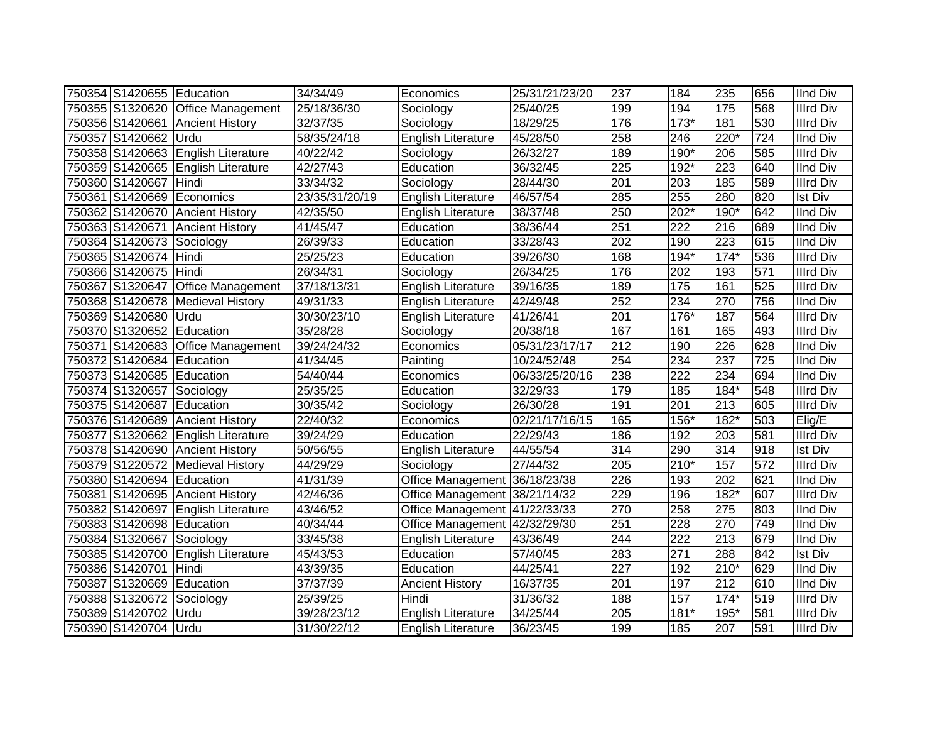| 750354 S1420655 Education |                                    | 34/34/49       | Economics                     | 25/31/21/23/20 | 237 | 184              | 235    | 656 | <b>IInd Div</b>  |
|---------------------------|------------------------------------|----------------|-------------------------------|----------------|-----|------------------|--------|-----|------------------|
|                           | 750355 S1320620 Office Management  | 25/18/36/30    | Sociology                     | 25/40/25       | 199 | 194              | 175    | 568 | <b>Illrd Div</b> |
|                           | 750356 S1420661 Ancient History    | 32/37/35       | Sociology                     | 18/29/25       | 176 | $173*$           | 181    | 530 | <b>Illrd Div</b> |
| 750357 S1420662 Urdu      |                                    | 58/35/24/18    | <b>English Literature</b>     | 45/28/50       | 258 | 246              | 220*   | 724 | <b>IInd Div</b>  |
|                           | 750358 S1420663 English Literature | 40/22/42       | Sociology                     | 26/32/27       | 189 | $190*$           | 206    | 585 | <b>Illrd Div</b> |
|                           | 750359 S1420665 English Literature | 42/27/43       | Education                     | 36/32/45       | 225 | $192*$           | 223    | 640 | <b>IInd Div</b>  |
| 750360 S1420667           | Hindi                              | 33/34/32       | Sociology                     | 28/44/30       | 201 | 203              | 185    | 589 | <b>Illrd Div</b> |
| 750361 S1420669           | Economics                          | 23/35/31/20/19 | English Literature            | 46/57/54       | 285 | 255              | 280    | 820 | <b>Ist Div</b>   |
| 750362 S1420670           | <b>Ancient History</b>             | 42/35/50       | <b>English Literature</b>     | 38/37/48       | 250 | $202*$           | $190*$ | 642 | <b>IInd Div</b>  |
|                           | 750363 S1420671 Ancient History    | 41/45/47       | Education                     | 38/36/44       | 251 | 222              | 216    | 689 | <b>IInd Div</b>  |
| 750364 S1420673 Sociology |                                    | 26/39/33       | Education                     | 33/28/43       | 202 | 190              | 223    | 615 | <b>IInd Div</b>  |
| 750365 S1420674 Hindi     |                                    | 25/25/23       | Education                     | 39/26/30       | 168 | $194*$           | $174*$ | 536 | <b>Illrd Div</b> |
| 750366 S1420675 Hindi     |                                    | 26/34/31       | Sociology                     | 26/34/25       | 176 | 202              | 193    | 571 | <b>Illrd Div</b> |
| 750367 S1320647           | <b>Office Management</b>           | 37/18/13/31    | <b>English Literature</b>     | 39/16/35       | 189 | 175              | 161    | 525 | <b>Illrd Div</b> |
|                           | 750368 S1420678 Medieval History   | 49/31/33       | <b>English Literature</b>     | 42/49/48       | 252 | 234              | 270    | 756 | <b>IInd Div</b>  |
| 750369 S1420680           | <b>Urdu</b>                        | 30/30/23/10    | <b>English Literature</b>     | 41/26/41       | 201 | $176*$           | 187    | 564 | <b>Illrd Div</b> |
| 750370 S1320652 Education |                                    | 35/28/28       | Sociology                     | 20/38/18       | 167 | 161              | 165    | 493 | <b>Illrd Div</b> |
|                           | 750371 S1420683 Office Management  | 39/24/24/32    | Economics                     | 05/31/23/17/17 | 212 | 190              | 226    | 628 | <b>IInd Div</b>  |
| 750372 S1420684 Education |                                    | 41/34/45       | Painting                      | 10/24/52/48    | 254 | 234              | 237    | 725 | <b>IInd Div</b>  |
| 750373 S1420685 Education |                                    | 54/40/44       | Economics                     | 06/33/25/20/16 | 238 | 222              | 234    | 694 | <b>IInd Div</b>  |
| 750374 S1320657 Sociology |                                    | 25/35/25       | Education                     | 32/29/33       | 179 | 185              | 184*   | 548 | <b>Illrd Div</b> |
| 750375 S1420687 Education |                                    | 30/35/42       | Sociology                     | 26/30/28       | 191 | 201              | 213    | 605 | <b>Illrd Div</b> |
|                           | 750376 S1420689 Ancient History    | 22/40/32       | Economics                     | 02/21/17/16/15 | 165 | $156*$           | $182*$ | 503 | Elig/E           |
|                           | 750377 S1320662 English Literature | 39/24/29       | Education                     | 22/29/43       | 186 | 192              | 203    | 581 | <b>Illrd Div</b> |
|                           | 750378 S1420690 Ancient History    | 50/56/55       | <b>English Literature</b>     | 44/55/54       | 314 | 290              | 314    | 918 | <b>Ist Div</b>   |
|                           | 750379 S1220572 Medieval History   | 44/29/29       | Sociology                     | 27/44/32       | 205 | $210*$           | 157    | 572 | <b>Illrd Div</b> |
| 750380 S1420694 Education |                                    | 41/31/39       | Office Management 36/18/23/38 |                | 226 | 193              | 202    | 621 | <b>IInd Div</b>  |
|                           | 750381 S1420695 Ancient History    | 42/46/36       | Office Management 38/21/14/32 |                | 229 | 196              | 182*   | 607 | <b>Illrd Div</b> |
|                           | 750382 S1420697 English Literature | 43/46/52       | Office Management 41/22/33/33 |                | 270 | 258              | 275    | 803 | <b>IInd Div</b>  |
| 750383 S1420698 Education |                                    | 40/34/44       | Office Management 42/32/29/30 |                | 251 | 228              | 270    | 749 | <b>IInd Div</b>  |
| 750384 S1320667 Sociology |                                    | 33/45/38       | <b>English Literature</b>     | 43/36/49       | 244 | $\overline{222}$ | 213    | 679 | <b>IInd Div</b>  |
| 750385 S1420700           | English Literature                 | 45/43/53       | Education                     | 57/40/45       | 283 | 271              | 288    | 842 | <b>Ist Div</b>   |
| 750386 S1420701 Hindi     |                                    | 43/39/35       | Education                     | 44/25/41       | 227 | 192              | $210*$ | 629 | <b>IInd Div</b>  |
| 750387 S1320669 Education |                                    | 37/37/39       | <b>Ancient History</b>        | 16/37/35       | 201 | 197              | 212    | 610 | <b>IInd Div</b>  |
| 750388 S1320672           | Sociology                          | 25/39/25       | Hindi                         | 31/36/32       | 188 | 157              | $174*$ | 519 | <b>Illrd Div</b> |
| 750389 S1420702           | Urdu                               | 39/28/23/12    | English Literature            | 34/25/44       | 205 | $181*$           | 195*   | 581 | <b>Illrd Div</b> |
| 750390 S1420704 Urdu      |                                    | 31/30/22/12    | <b>English Literature</b>     | 36/23/45       | 199 | 185              | 207    | 591 | <b>Illrd Div</b> |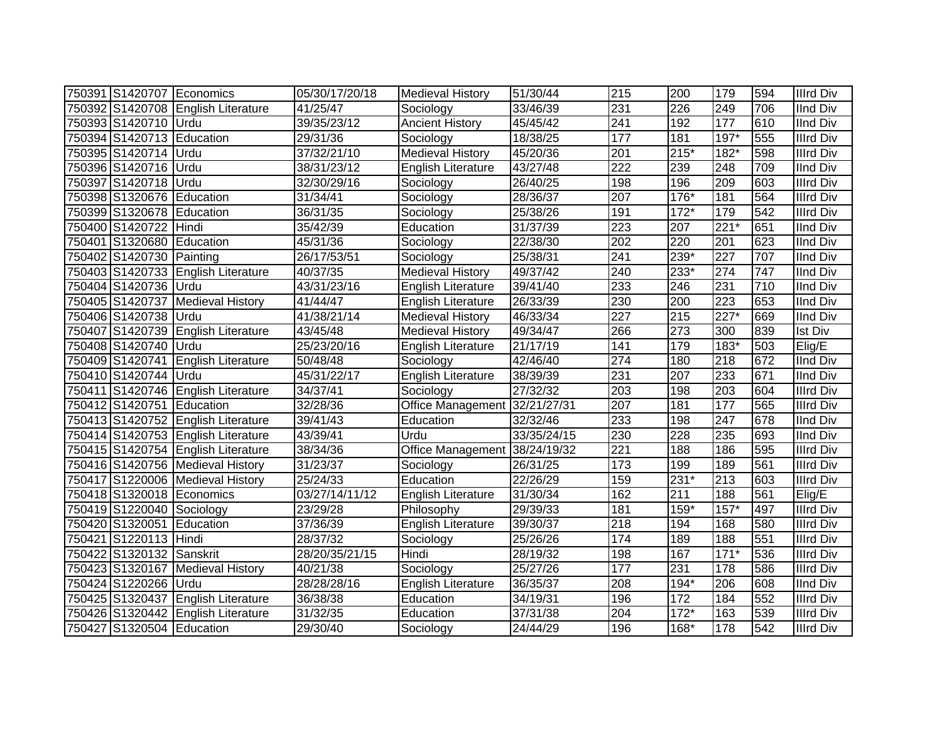|                           | 750391 S1420707 Economics          | 05/30/17/20/18 | <b>Medieval History</b>       | 51/30/44    | 215              | 200    | 179              | 594 | <b>Illrd Div</b> |
|---------------------------|------------------------------------|----------------|-------------------------------|-------------|------------------|--------|------------------|-----|------------------|
|                           | 750392 S1420708 English Literature | 41/25/47       | Sociology                     | 33/46/39    | 231              | 226    | 249              | 706 | <b>IInd Div</b>  |
| 750393 S1420710 Urdu      |                                    | 39/35/23/12    | <b>Ancient History</b>        | 45/45/42    | 241              | 192    | 177              | 610 | <b>IInd Div</b>  |
| 750394 S1420713 Education |                                    | 29/31/36       | Sociology                     | 18/38/25    | 177              | 181    | 197*             | 555 | <b>Illrd Div</b> |
| 750395 S1420714 Urdu      |                                    | 37/32/21/10    | <b>Medieval History</b>       | 45/20/36    | 201              | $215*$ | $182*$           | 598 | <b>Illrd Div</b> |
| 750396 S1420716 Urdu      |                                    | 38/31/23/12    | English Literature            | 43/27/48    | 222              | 239    | 248              | 709 | <b>IInd Div</b>  |
| 750397 S1420718           | Urdu                               | 32/30/29/16    | Sociology                     | 26/40/25    | 198              | 196    | 209              | 603 | <b>Illrd Div</b> |
| 750398 S1320676 Education |                                    | 31/34/41       | Sociology                     | 28/36/37    | $\overline{207}$ | $176*$ | 181              | 564 | <b>Illrd Div</b> |
| 750399 S1320678 Education |                                    | 36/31/35       | Sociology                     | 25/38/26    | 191              | $172*$ | 179              | 542 | <b>Illrd Div</b> |
| 750400 S1420722 Hindi     |                                    | 35/42/39       | Education                     | 31/37/39    | $\overline{223}$ | 207    | $221*$           | 651 | <b>IInd Div</b>  |
| 750401 S1320680           | Education                          | 45/31/36       | Sociology                     | 22/38/30    | 202              | 220    | 201              | 623 | <b>IInd Div</b>  |
| 750402 S1420730           | Painting                           | 26/17/53/51    | Sociology                     | 25/38/31    | 241              | 239*   | 227              | 707 | <b>IInd Div</b>  |
|                           | 750403 S1420733 English Literature | 40/37/35       | <b>Medieval History</b>       | 49/37/42    | 240              | 233*   | 274              | 747 | <b>IInd Div</b>  |
| 750404 S1420736 Urdu      |                                    | 43/31/23/16    | <b>English Literature</b>     | 39/41/40    | 233              | 246    | 231              | 710 | <b>IInd Div</b>  |
|                           | 750405 S1420737 Medieval History   | 41/44/47       | <b>English Literature</b>     | 26/33/39    | 230              | 200    | 223              | 653 | <b>IInd Div</b>  |
| 750406 S1420738           | <b>Urdu</b>                        | 41/38/21/14    | <b>Medieval History</b>       | 46/33/34    | 227              | 215    | 227*             | 669 | <b>IInd Div</b>  |
|                           | 750407 S1420739 English Literature | 43/45/48       | <b>Medieval History</b>       | 49/34/47    | 266              | 273    | 300              | 839 | <b>Ist Div</b>   |
| 750408 S1420740 Urdu      |                                    | 25/23/20/16    | <b>English Literature</b>     | 21/17/19    | 141              | 179    | 183*             | 503 | Elig/E           |
|                           | 750409 S1420741 English Literature | 50/48/48       | Sociology                     | 42/46/40    | 274              | 180    | 218              | 672 | <b>IInd Div</b>  |
| 750410 S1420744 Urdu      |                                    | 45/31/22/17    | English Literature            | 38/39/39    | 231              | 207    | 233              | 671 | <b>IInd Div</b>  |
|                           | 750411 S1420746 English Literature | 34/37/41       | Sociology                     | 27/32/32    | 203              | 198    | 203              | 604 | <b>Illrd Div</b> |
| 750412 S1420751 Education |                                    | 32/28/36       | Office Management 32/21/27/31 |             | 207              | 181    | 177              | 565 | <b>Illrd Div</b> |
|                           | 750413 S1420752 English Literature | 39/41/43       | Education                     | 32/32/46    | 233              | 198    | $\overline{247}$ | 678 | <b>IInd Div</b>  |
|                           | 750414 S1420753 English Literature | 43/39/41       | Urdu                          | 33/35/24/15 | 230              | 228    | 235              | 693 | <b>IInd Div</b>  |
|                           | 750415 S1420754 English Literature | 38/34/36       | Office Management             | 38/24/19/32 | 221              | 188    | 186              | 595 | <b>Illrd Div</b> |
|                           | 750416 S1420756 Medieval History   | 31/23/37       | Sociology                     | 26/31/25    | 173              | 199    | 189              | 561 | <b>Illrd Div</b> |
|                           | 750417 S1220006 Medieval History   | 25/24/33       | Education                     | 22/26/29    | 159              | $231*$ | 213              | 603 | <b>Illrd Div</b> |
|                           | 750418 S1320018 Economics          | 03/27/14/11/12 | English Literature            | 31/30/34    | 162              | 211    | 188              | 561 | Elig/E           |
| 750419 S1220040 Sociology |                                    | 23/29/28       | Philosophy                    | 29/39/33    | 181              | 159*   | $157*$           | 497 | <b>Illrd Div</b> |
| 750420 S1320051 Education |                                    | 37/36/39       | English Literature            | 39/30/37    | 218              | 194    | 168              | 580 | <b>Illrd Div</b> |
| 750421 S1220113 Hindi     |                                    | 28/37/32       | Sociology                     | 25/26/26    | 174              | 189    | 188              | 551 | <b>Illrd Div</b> |
| 750422 S1320132 Sanskrit  |                                    | 28/20/35/21/15 | Hindi                         | 28/19/32    | 198              | 167    | $171*$           | 536 | <b>Illrd Div</b> |
|                           | 750423 S1320167 Medieval History   | 40/21/38       | Sociology                     | 25/27/26    | 177              | 231    | 178              | 586 | <b>Illrd Div</b> |
| 750424 S1220266 Urdu      |                                    | 28/28/28/16    | English Literature            | 36/35/37    | 208              | $194*$ | 206              | 608 | <b>IInd Div</b>  |
|                           | 750425 S1320437 English Literature | 36/38/38       | Education                     | 34/19/31    | 196              | 172    | 184              | 552 | <b>Illrd Div</b> |
|                           | 750426 S1320442 English Literature | 31/32/35       | Education                     | 37/31/38    | 204              | $172*$ | 163              | 539 | <b>Illrd Div</b> |
| 750427 S1320504 Education |                                    | 29/30/40       | Sociology                     | 24/44/29    | 196              | $168*$ | 178              | 542 | <b>Illrd Div</b> |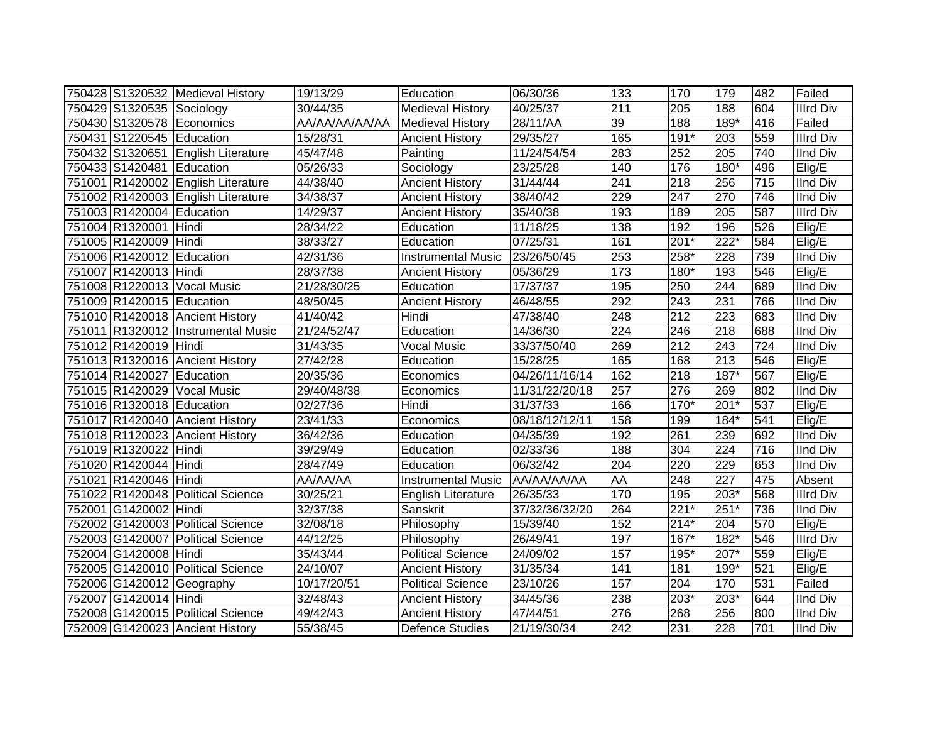|                           | 750428 S1320532 Medieval History   | 19/13/29       | Education                 | 06/30/36       | 133       | 170              | 179              | 482 | Failed           |
|---------------------------|------------------------------------|----------------|---------------------------|----------------|-----------|------------------|------------------|-----|------------------|
| 750429 S1320535 Sociology |                                    | 30/44/35       | <b>Medieval History</b>   | 40/25/37       | 211       | 205              | 188              | 604 | <b>Illrd Div</b> |
|                           | 750430 S1320578 Economics          | AA/AA/AA/AA/AA | <b>Medieval History</b>   | 28/11/AA       | 39        | 188              | $189*$           | 416 | Failed           |
| 750431 S1220545 Education |                                    | 15/28/31       | <b>Ancient History</b>    | 29/35/27       | 165       | $191*$           | 203              | 559 | <b>Illrd Div</b> |
|                           | 750432 S1320651 English Literature | 45/47/48       | Painting                  | 11/24/54/54    | 283       | 252              | 205              | 740 | <b>IInd Div</b>  |
| 750433 S1420481 Education |                                    | 05/26/33       | Sociology                 | 23/25/28       | 140       | 176              | $180*$           | 496 | Elig/E           |
|                           | 751001 R1420002 English Literature | 44/38/40       | <b>Ancient History</b>    | 31/44/44       | 241       | 218              | 256              | 715 | <b>IInd Div</b>  |
|                           | 751002 R1420003 English Literature | 34/38/37       | <b>Ancient History</b>    | 38/40/42       | 229       | $\overline{247}$ | 270              | 746 | <b>IInd Div</b>  |
| 751003 R1420004 Education |                                    | 14/29/37       | <b>Ancient History</b>    | 35/40/38       | 193       | 189              | 205              | 587 | <b>Illrd Div</b> |
| 751004 R1320001           | Hindi                              | 28/34/22       | Education                 | 11/18/25       | 138       | 192              | 196              | 526 | Elig/E           |
| 751005 R1420009 Hindi     |                                    | 38/33/27       | Education                 | 07/25/31       | 161       | $201*$           | $222*$           | 584 | Elig/E           |
| 751006 R1420012 Education |                                    | 42/31/36       | <b>Instrumental Music</b> | 23/26/50/45    | 253       | 258*             | 228              | 739 | <b>IInd Div</b>  |
| 751007 R1420013 Hindi     |                                    | 28/37/38       | <b>Ancient History</b>    | 05/36/29       | 173       | 180*             | 193              | 546 | Elig/E           |
|                           | 751008 R1220013 Vocal Music        | 21/28/30/25    | Education                 | 17/37/37       | 195       | 250              | 244              | 689 | <b>IInd Div</b>  |
| 751009 R1420015 Education |                                    | 48/50/45       | <b>Ancient History</b>    | 46/48/55       | 292       | 243              | 231              | 766 | <b>IInd Div</b>  |
|                           | 751010 R1420018 Ancient History    | 41/40/42       | Hindi                     | 47/38/40       | 248       | 212              | 223              | 683 | <b>IInd Div</b>  |
|                           | 751011 R1320012 Instrumental Music | 21/24/52/47    | Education                 | 14/36/30       | 224       | 246              | 218              | 688 | <b>IInd Div</b>  |
| 751012 R1420019 Hindi     |                                    | 31/43/35       | <b>Vocal Music</b>        | 33/37/50/40    | 269       | 212              | 243              | 724 | <b>IInd Div</b>  |
|                           | 751013 R1320016 Ancient History    | 27/42/28       | Education                 | 15/28/25       | 165       | 168              | 213              | 546 | Elig/E           |
| 751014 R1420027 Education |                                    | 20/35/36       | Economics                 | 04/26/11/16/14 | 162       | $\overline{218}$ | $187*$           | 567 | Elig/E           |
|                           | 751015 R1420029 Vocal Music        | 29/40/48/38    | Economics                 | 11/31/22/20/18 | 257       | 276              | 269              | 802 | <b>IInd Div</b>  |
| 751016 R1320018 Education |                                    | 02/27/36       | Hindi                     | 31/37/33       | 166       | 170*             | 201*             | 537 | Elig/E           |
|                           | 751017 R1420040 Ancient History    | 23/41/33       | Economics                 | 08/18/12/12/11 | 158       | 199              | $184*$           | 541 | Elig/E           |
|                           | 751018 R1120023 Ancient History    | 36/42/36       | Education                 | 04/35/39       | 192       | 261              | 239              | 692 | <b>IInd Div</b>  |
| 751019 R1320022 Hindi     |                                    | 39/29/49       | Education                 | 02/33/36       | 188       | 304              | 224              | 716 | <b>IInd Div</b>  |
| 751020 R1420044 Hindi     |                                    | 28/47/49       | Education                 | 06/32/42       | 204       | 220              | 229              | 653 | <b>IInd Div</b>  |
| 751021 R1420046 Hindi     |                                    | AA/AA/AA       | <b>Instrumental Music</b> | AA/AA/AA/AA    | <b>AA</b> | 248              | $\overline{227}$ | 475 | Absent           |
|                           | 751022 R1420048 Political Science  | 30/25/21       | <b>English Literature</b> | 26/35/33       | 170       | 195              | 203*             | 568 | <b>Illrd Div</b> |
| 752001 G1420002 Hindi     |                                    | 32/37/38       | Sanskrit                  | 37/32/36/32/20 | 264       | $221*$           | $251*$           | 736 | <b>IInd Div</b>  |
|                           | 752002 G1420003 Political Science  | 32/08/18       | Philosophy                | 15/39/40       | 152       | $214*$           | 204              | 570 | Elig/E           |
|                           | 752003 G1420007 Political Science  | 44/12/25       | Philosophy                | 26/49/41       | 197       | $167*$           | 182*             | 546 | <b>Illrd Div</b> |
| 752004 G1420008 Hindi     |                                    | 35/43/44       | <b>Political Science</b>  | 24/09/02       | 157       | 195*             | 207*             | 559 | Elig/E           |
|                           | 752005 G1420010 Political Science  | 24/10/07       | <b>Ancient History</b>    | 31/35/34       | 141       | 181              | 199*             | 521 | Elig/E           |
|                           | 752006 G1420012 Geography          | 10/17/20/51    | <b>Political Science</b>  | 23/10/26       | 157       | 204              | 170              | 531 | Failed           |
| 752007 G1420014 Hindi     |                                    | 32/48/43       | <b>Ancient History</b>    | 34/45/36       | 238       | 203*             | 203*             | 644 | <b>IInd Div</b>  |
|                           | 752008 G1420015 Political Science  | 49/42/43       | <b>Ancient History</b>    | 47/44/51       | 276       | 268              | 256              | 800 | <b>IInd Div</b>  |
|                           | 752009 G1420023 Ancient History    | 55/38/45       | Defence Studies           | 21/19/30/34    | 242       | 231              | 228              | 701 | <b>IInd Div</b>  |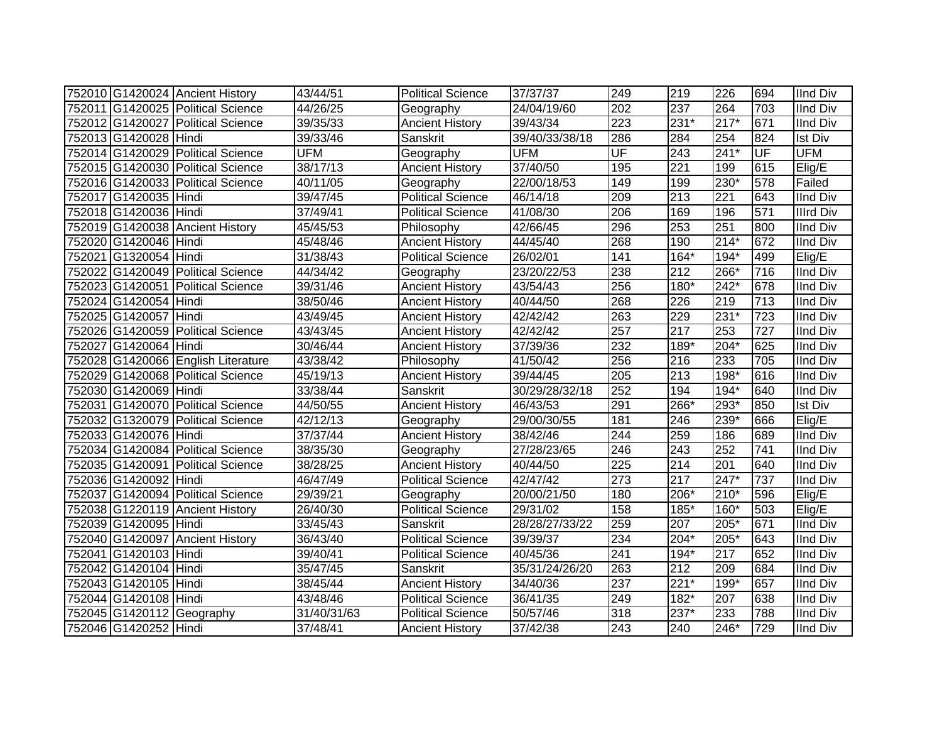|                       | 752010 G1420024 Ancient History    | 43/44/51    | <b>Political Science</b> | 37/37/37       | 249              | 219              | 226              | 694              | <b>IInd Div</b>  |
|-----------------------|------------------------------------|-------------|--------------------------|----------------|------------------|------------------|------------------|------------------|------------------|
|                       | 752011 G1420025 Political Science  | 44/26/25    | Geography                | 24/04/19/60    | 202              | 237              | 264              | 703              | <b>IInd Div</b>  |
|                       | 752012 G1420027 Political Science  | 39/35/33    | <b>Ancient History</b>   | 39/43/34       | $\overline{223}$ | $231*$           | $217*$           | 671              | <b>IInd Div</b>  |
| 752013 G1420028 Hindi |                                    | 39/33/46    | Sanskrit                 | 39/40/33/38/18 | 286              | 284              | 254              | 824              | <b>Ist Div</b>   |
|                       | 752014 G1420029 Political Science  | <b>UFM</b>  | Geography                | <b>UFM</b>     | UF               | 243              | $241*$           | UF               | <b>UFM</b>       |
|                       | 752015 G1420030 Political Science  | 38/17/13    | <b>Ancient History</b>   | 37/40/50       | 195              | $\overline{221}$ | 199              | 615              | Elig/E           |
|                       | 752016 G1420033 Political Science  | 40/11/05    | Geography                | 22/00/18/53    | 149              | 199              | 230*             | 578              | Failed           |
| 752017 G1420035 Hindi |                                    | 39/47/45    | <b>Political Science</b> | 46/14/18       | 209              | 213              | $\overline{221}$ | 643              | <b>IInd Div</b>  |
| 752018 G1420036 Hindi |                                    | 37/49/41    | <b>Political Science</b> | 41/08/30       | 206              | 169              | 196              | 571              | <b>Illrd Div</b> |
|                       | 752019 G1420038 Ancient History    | 45/45/53    | Philosophy               | 42/66/45       | 296              | 253              | 251              | 800              | <b>IInd Div</b>  |
| 752020 G1420046 Hindi |                                    | 45/48/46    | <b>Ancient History</b>   | 44/45/40       | 268              | 190              | $214*$           | 672              | <b>IInd Div</b>  |
| 752021 G1320054 Hindi |                                    | 31/38/43    | <b>Political Science</b> | 26/02/01       | 141              | $164*$           | $194*$           | 499              | Elig/E           |
|                       | 752022 G1420049 Political Science  | 44/34/42    | Geography                | 23/20/22/53    | 238              | 212              | 266*             | 716              | <b>IInd Div</b>  |
|                       | 752023 G1420051 Political Science  | 39/31/46    | <b>Ancient History</b>   | 43/54/43       | 256              | 180*             | 242*             | 678              | <b>IInd Div</b>  |
| 752024 G1420054 Hindi |                                    | 38/50/46    | <b>Ancient History</b>   | 40/44/50       | 268              | 226              | 219              | 713              | <b>IInd Div</b>  |
| 752025 G1420057 Hindi |                                    | 43/49/45    | <b>Ancient History</b>   | 42/42/42       | 263              | 229              | $231*$           | 723              | <b>IInd Div</b>  |
|                       | 752026 G1420059 Political Science  | 43/43/45    | <b>Ancient History</b>   | 42/42/42       | 257              | 217              | 253              | $\overline{727}$ | <b>IInd Div</b>  |
| 752027 G1420064 Hindi |                                    | 30/46/44    | <b>Ancient History</b>   | 37/39/36       | 232              | 189*             | $204*$           | 625              | <b>IInd Div</b>  |
|                       | 752028 G1420066 English Literature | 43/38/42    | Philosophy               | 41/50/42       | 256              | 216              | 233              | 705              | <b>IInd Div</b>  |
|                       | 752029 G1420068 Political Science  | 45/19/13    | <b>Ancient History</b>   | 39/44/45       | 205              | 213              | 198*             | 616              | <b>IInd Div</b>  |
| 752030 G1420069 Hindi |                                    | 33/38/44    | Sanskrit                 | 30/29/28/32/18 | 252              | 194              | $194*$           | 640              | <b>IInd Div</b>  |
|                       | 752031 G1420070 Political Science  | 44/50/55    | <b>Ancient History</b>   | 46/43/53       | 291              | 266*             | 293*             | 850              | <b>Ist Div</b>   |
|                       | 752032 G1320079 Political Science  | 42/12/13    | Geography                | 29/00/30/55    | 181              | 246              | 239*             | 666              | Elig/E           |
| 752033 G1420076 Hindi |                                    | 37/37/44    | <b>Ancient History</b>   | 38/42/46       | 244              | 259              | 186              | 689              | <b>IInd Div</b>  |
|                       | 752034 G1420084 Political Science  | 38/35/30    | Geography                | 27/28/23/65    | 246              | 243              | 252              | 741              | <b>IInd Div</b>  |
|                       | 752035 G1420091 Political Science  | 38/28/25    | <b>Ancient History</b>   | 40/44/50       | 225              | 214              | 201              | 640              | <b>IInd Div</b>  |
| 752036 G1420092 Hindi |                                    | 46/47/49    | Political Science        | 42/47/42       | $\overline{273}$ | 217              | $247*$           | 737              | <b>IInd Div</b>  |
|                       | 752037 G1420094 Political Science  | 29/39/21    | Geography                | 20/00/21/50    | 180              | 206*             | $210*$           | 596              | Elig/E           |
|                       | 752038 G1220119 Ancient History    | 26/40/30    | <b>Political Science</b> | 29/31/02       | 158              | 185*             | 160*             | 503              | Elig/E           |
| 752039 G1420095 Hindi |                                    | 33/45/43    | Sanskrit                 | 28/28/27/33/22 | 259              | 207              | $205*$           | 671              | <b>IInd Div</b>  |
|                       | 752040 G1420097 Ancient History    | 36/43/40    | Political Science        | 39/39/37       | 234              | $204*$           | 205*             | 643              | <b>IInd Div</b>  |
| 752041 G1420103 Hindi |                                    | 39/40/41    | <b>Political Science</b> | 40/45/36       | 241              | 194*             | 217              | 652              | <b>IInd Div</b>  |
| 752042 G1420104 Hindi |                                    | 35/47/45    | Sanskrit                 | 35/31/24/26/20 | 263              | 212              | 209              | 684              | <b>IInd Div</b>  |
| 752043 G1420105 Hindi |                                    | 38/45/44    | <b>Ancient History</b>   | 34/40/36       | $\overline{237}$ | $221*$           | 199*             | 657              | <b>IInd Div</b>  |
| 752044 G1420108 Hindi |                                    | 43/48/46    | Political Science        | 36/41/35       | 249              | 182*             | 207              | 638              | <b>IInd Div</b>  |
|                       | 752045 G1420112 Geography          | 31/40/31/63 | <b>Political Science</b> | 50/57/46       | 318              | 237*             | 233              | 788              | <b>IInd Div</b>  |
| 752046 G1420252 Hindi |                                    | 37/48/41    | <b>Ancient History</b>   | 37/42/38       | 243              | 240              | 246*             | 729              | <b>IInd Div</b>  |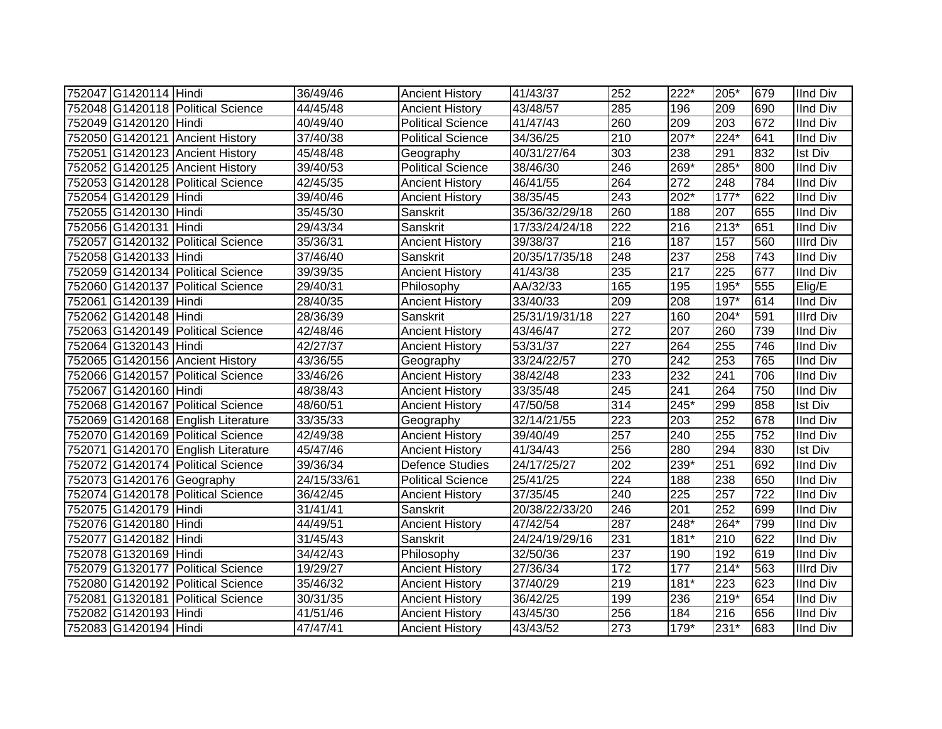| 752047 G1420114 Hindi |                                    | 36/49/46    | <b>Ancient History</b>   | 41/43/37       | 252 | 222*             | 205*             | 679 | <b>IInd Div</b>  |
|-----------------------|------------------------------------|-------------|--------------------------|----------------|-----|------------------|------------------|-----|------------------|
|                       | 752048 G1420118 Political Science  | 44/45/48    | <b>Ancient History</b>   | 43/48/57       | 285 | 196              | 209              | 690 | <b>IInd Div</b>  |
| 752049 G1420120 Hindi |                                    | 40/49/40    | <b>Political Science</b> | 41/47/43       | 260 | $\overline{209}$ | $\overline{203}$ | 672 | <b>IInd Div</b>  |
|                       | 752050 G1420121 Ancient History    | 37/40/38    | <b>Political Science</b> | 34/36/25       | 210 | $207*$           | $224*$           | 641 | <b>IInd Div</b>  |
|                       | 752051 G1420123 Ancient History    | 45/48/48    | Geography                | 40/31/27/64    | 303 | 238              | 291              | 832 | <b>Ist Div</b>   |
|                       | 752052 G1420125 Ancient History    | 39/40/53    | <b>Political Science</b> | 38/46/30       | 246 | $269*$           | 285*             | 800 | <b>IInd Div</b>  |
|                       | 752053 G1420128 Political Science  | 42/45/35    | <b>Ancient History</b>   | 46/41/55       | 264 | 272              | 248              | 784 | <b>IInd Div</b>  |
| 752054 G1420129 Hindi |                                    | 39/40/46    | <b>Ancient History</b>   | 38/35/45       | 243 | 202*             | $177*$           | 622 | <b>IInd Div</b>  |
| 752055 G1420130 Hindi |                                    | 35/45/30    | Sanskrit                 | 35/36/32/29/18 | 260 | 188              | 207              | 655 | <b>IInd Div</b>  |
| 752056 G1420131 Hindi |                                    | 29/43/34    | Sanskrit                 | 17/33/24/24/18 | 222 | $\overline{216}$ | 213*             | 651 | <b>IInd Div</b>  |
|                       | 752057 G1420132 Political Science  | 35/36/31    | <b>Ancient History</b>   | 39/38/37       | 216 | 187              | 157              | 560 | <b>Illrd Div</b> |
| 752058 G1420133 Hindi |                                    | 37/46/40    | Sanskrit                 | 20/35/17/35/18 | 248 | 237              | 258              | 743 | <b>IInd Div</b>  |
|                       | 752059 G1420134 Political Science  | 39/39/35    | <b>Ancient History</b>   | 41/43/38       | 235 | 217              | 225              | 677 | <b>IInd Div</b>  |
|                       | 752060 G1420137 Political Science  | 29/40/31    | Philosophy               | AA/32/33       | 165 | 195              | 195*             | 555 | Elig/E           |
| 752061 G1420139 Hindi |                                    | 28/40/35    | <b>Ancient History</b>   | 33/40/33       | 209 | 208              | 197*             | 614 | <b>IInd Div</b>  |
| 752062 G1420148 Hindi |                                    | 28/36/39    | Sanskrit                 | 25/31/19/31/18 | 227 | 160              | 204*             | 591 | <b>Illrd Div</b> |
|                       | 752063 G1420149 Political Science  | 42/48/46    | <b>Ancient History</b>   | 43/46/47       | 272 | 207              | 260              | 739 | <b>IInd Div</b>  |
| 752064 G1320143 Hindi |                                    | 42/27/37    | <b>Ancient History</b>   | 53/31/37       | 227 | 264              | 255              | 746 | <b>IInd Div</b>  |
|                       | 752065 G1420156 Ancient History    | 43/36/55    | Geography                | 33/24/22/57    | 270 | 242              | 253              | 765 | <b>IInd Div</b>  |
|                       | 752066 G1420157 Political Science  | 33/46/26    | <b>Ancient History</b>   | 38/42/48       | 233 | 232              | 241              | 706 | <b>IInd Div</b>  |
| 752067 G1420160 Hindi |                                    | 48/38/43    | <b>Ancient History</b>   | 33/35/48       | 245 | $\overline{241}$ | 264              | 750 | <b>IInd Div</b>  |
|                       | 752068 G1420167 Political Science  | 48/60/51    | <b>Ancient History</b>   | 47/50/58       | 314 | $245*$           | 299              | 858 | <b>Ist Div</b>   |
|                       | 752069 G1420168 English Literature | 33/35/33    | Geography                | 32/14/21/55    | 223 | 203              | 252              | 678 | <b>IInd Div</b>  |
|                       | 752070 G1420169 Political Science  | 42/49/38    | <b>Ancient History</b>   | 39/40/49       | 257 | $\overline{240}$ | 255              | 752 | <b>IInd Div</b>  |
|                       | 752071 G1420170 English Literature | 45/47/46    | <b>Ancient History</b>   | 41/34/43       | 256 | 280              | 294              | 830 | <b>Ist Div</b>   |
|                       | 752072 G1420174 Political Science  | 39/36/34    | Defence Studies          | 24/17/25/27    | 202 | $239*$           | 251              | 692 | <b>IInd Div</b>  |
|                       | 752073 G1420176 Geography          | 24/15/33/61 | <b>Political Science</b> | 25/41/25       | 224 | 188              | 238              | 650 | <b>IInd Div</b>  |
|                       | 752074 G1420178 Political Science  | 36/42/45    | <b>Ancient History</b>   | 37/35/45       | 240 | 225              | 257              | 722 | <b>IInd Div</b>  |
| 752075 G1420179 Hindi |                                    | 31/41/41    | Sanskrit                 | 20/38/22/33/20 | 246 | $\overline{201}$ | 252              | 699 | <b>IInd Div</b>  |
| 752076 G1420180 Hindi |                                    | 44/49/51    | <b>Ancient History</b>   | 47/42/54       | 287 | $248*$           | 264*             | 799 | <b>IInd Div</b>  |
| 752077 G1420182 Hindi |                                    | 31/45/43    | Sanskrit                 | 24/24/19/29/16 | 231 | $181*$           | 210              | 622 | <b>IInd Div</b>  |
| 752078 G1320169 Hindi |                                    | 34/42/43    | Philosophy               | 32/50/36       | 237 | 190              | 192              | 619 | <b>IInd Div</b>  |
|                       | 752079 G1320177 Political Science  | 19/29/27    | <b>Ancient History</b>   | 27/36/34       | 172 | 177              | $214*$           | 563 | <b>Illrd Div</b> |
|                       | 752080 G1420192 Political Science  | 35/46/32    | <b>Ancient History</b>   | 37/40/29       | 219 | $181*$           | 223              | 623 | <b>IInd Div</b>  |
|                       | 752081 G1320181 Political Science  | 30/31/35    | <b>Ancient History</b>   | 36/42/25       | 199 | 236              | $219*$           | 654 | <b>IInd Div</b>  |
| 752082 G1420193 Hindi |                                    | 41/51/46    | <b>Ancient History</b>   | 43/45/30       | 256 | 184              | 216              | 656 | <b>IInd Div</b>  |
| 752083 G1420194 Hindi |                                    | 47/47/41    | <b>Ancient History</b>   | 43/43/52       | 273 | $179*$           | 231*             | 683 | <b>IInd Div</b>  |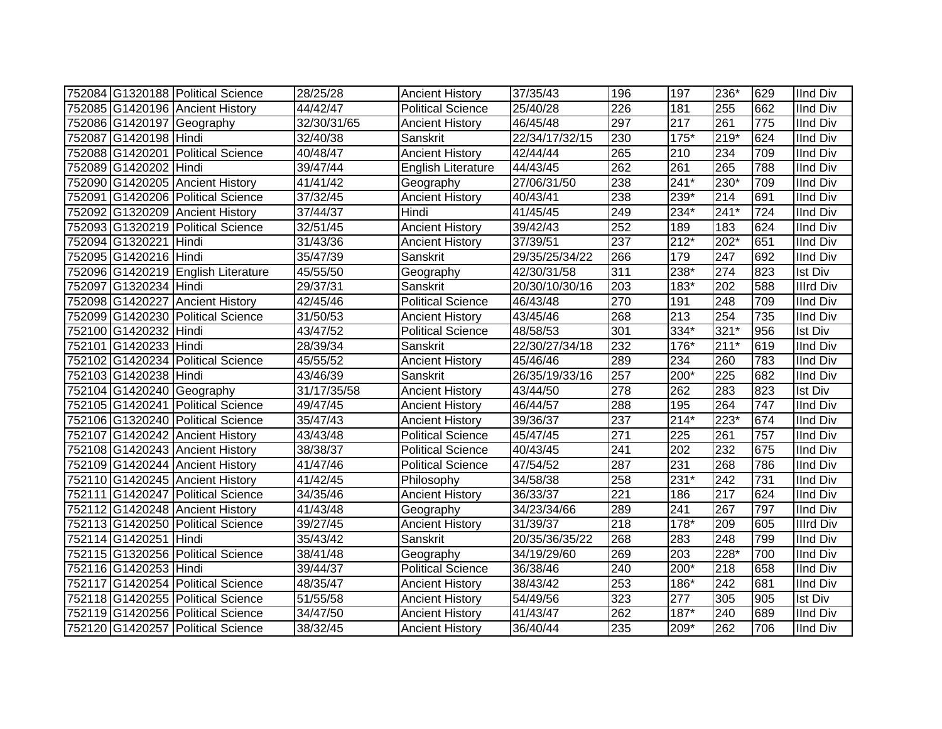|                       | 752084 G1320188 Political Science  | 28/25/28    | <b>Ancient History</b>    | 37/35/43       | 196              | 197              | 236*             | 629 | <b>IInd Div</b>  |
|-----------------------|------------------------------------|-------------|---------------------------|----------------|------------------|------------------|------------------|-----|------------------|
|                       | 752085 G1420196 Ancient History    | 44/42/47    | <b>Political Science</b>  | 25/40/28       | 226              | 181              | 255              | 662 | <b>IInd Div</b>  |
|                       | 752086 G1420197 Geography          | 32/30/31/65 | <b>Ancient History</b>    | 46/45/48       | 297              | $\overline{217}$ | $\overline{261}$ | 775 | <b>IInd Div</b>  |
| 752087 G1420198 Hindi |                                    | 32/40/38    | Sanskrit                  | 22/34/17/32/15 | 230              | $175*$           | $219*$           | 624 | <b>IInd Div</b>  |
|                       | 752088 G1420201 Political Science  | 40/48/47    | <b>Ancient History</b>    | 42/44/44       | 265              | 210              | 234              | 709 | <b>IInd Div</b>  |
| 752089 G1420202 Hindi |                                    | 39/47/44    | <b>English Literature</b> | 44/43/45       | 262              | 261              | 265              | 788 | <b>IInd Div</b>  |
|                       | 752090 G1420205 Ancient History    | 41/41/42    | Geography                 | 27/06/31/50    | 238              | $241*$           | 230*             | 709 | <b>IInd Div</b>  |
|                       | 752091 G1420206 Political Science  | 37/32/45    | <b>Ancient History</b>    | 40/43/41       | 238              | 239*             | $\overline{214}$ | 691 | <b>IInd Div</b>  |
|                       | 752092 G1320209 Ancient History    | 37/44/37    | Hindi                     | 41/45/45       | 249              | 234*             | $241*$           | 724 | <b>IInd Div</b>  |
|                       | 752093 G1320219 Political Science  | 32/51/45    | <b>Ancient History</b>    | 39/42/43       | 252              | 189              | 183              | 624 | <b>IInd Div</b>  |
| 752094 G1320221 Hindi |                                    | 31/43/36    | <b>Ancient History</b>    | 37/39/51       | 237              | $212*$           | 202*             | 651 | <b>IInd Div</b>  |
| 752095 G1420216 Hindi |                                    | 35/47/39    | Sanskrit                  | 29/35/25/34/22 | 266              | 179              | 247              | 692 | <b>IInd Div</b>  |
|                       | 752096 G1420219 English Literature | 45/55/50    | Geography                 | 42/30/31/58    | 311              | 238*             | 274              | 823 | Ist Div          |
| 752097 G1320234 Hindi |                                    | 29/37/31    | Sanskrit                  | 20/30/10/30/16 | 203              | 183*             | 202              | 588 | <b>Illrd Div</b> |
|                       | 752098 G1420227 Ancient History    | 42/45/46    | <b>Political Science</b>  | 46/43/48       | 270              | 191              | 248              | 709 | <b>IInd Div</b>  |
|                       | 752099 G1420230 Political Science  | 31/50/53    | <b>Ancient History</b>    | 43/45/46       | 268              | 213              | 254              | 735 | <b>IInd Div</b>  |
| 752100 G1420232 Hindi |                                    | 43/47/52    | <b>Political Science</b>  | 48/58/53       | 301              | 334*             | $321*$           | 956 | <b>Ist Div</b>   |
| 752101 G1420233 Hindi |                                    | 28/39/34    | Sanskrit                  | 22/30/27/34/18 | 232              | 176*             | $211*$           | 619 | <b>IInd Div</b>  |
|                       | 752102 G1420234 Political Science  | 45/55/52    | <b>Ancient History</b>    | 45/46/46       | 289              | 234              | 260              | 783 | <b>IInd Div</b>  |
| 752103 G1420238 Hindi |                                    | 43/46/39    | Sanskrit                  | 26/35/19/33/16 | 257              | 200*             | 225              | 682 | <b>IInd Div</b>  |
|                       | 752104 G1420240 Geography          | 31/17/35/58 | <b>Ancient History</b>    | 43/44/50       | 278              | 262              | 283              | 823 | <b>Ist Div</b>   |
|                       | 752105 G1420241 Political Science  | 49/47/45    | <b>Ancient History</b>    | 46/44/57       | 288              | 195              | 264              | 747 | <b>IInd Div</b>  |
|                       | 752106 G1320240 Political Science  | 35/47/43    | <b>Ancient History</b>    | 39/36/37       | 237              | $214*$           | $223*$           | 674 | <b>IInd Div</b>  |
|                       | 752107 G1420242 Ancient History    | 43/43/48    | <b>Political Science</b>  | 45/47/45       | $\overline{271}$ | 225              | 261              | 757 | <b>IInd Div</b>  |
|                       | 752108 G1420243 Ancient History    | 38/38/37    | <b>Political Science</b>  | 40/43/45       | 241              | 202              | 232              | 675 | <b>IInd Div</b>  |
|                       | 752109 G1420244 Ancient History    | 41/47/46    | <b>Political Science</b>  | 47/54/52       | 287              | 231              | 268              | 786 | <b>IInd Div</b>  |
|                       | 752110 G1420245 Ancient History    | 41/42/45    | Philosophy                | 34/58/38       | 258              | $231*$           | 242              | 731 | <b>IInd Div</b>  |
|                       | 752111 G1420247 Political Science  | 34/35/46    | <b>Ancient History</b>    | 36/33/37       | $\overline{221}$ | 186              | $\overline{217}$ | 624 | <b>IInd Div</b>  |
|                       | 752112 G1420248 Ancient History    | 41/43/48    | Geography                 | 34/23/34/66    | 289              | 241              | 267              | 797 | <b>IInd Div</b>  |
|                       | 752113 G1420250 Political Science  | 39/27/45    | <b>Ancient History</b>    | 31/39/37       | $\overline{218}$ | $178*$           | 209              | 605 | <b>Illrd Div</b> |
| 752114 G1420251 Hindi |                                    | 35/43/42    | Sanskrit                  | 20/35/36/35/22 | 268              | 283              | $\overline{248}$ | 799 | <b>IInd Div</b>  |
|                       | 752115 G1320256 Political Science  | 38/41/48    | Geography                 | 34/19/29/60    | 269              | 203              | 228*             | 700 | <b>IInd Div</b>  |
| 752116 G1420253 Hindi |                                    | 39/44/37    | <b>Political Science</b>  | 36/38/46       | 240              | 200*             | 218              | 658 | <b>IInd Div</b>  |
|                       | 752117 G1420254 Political Science  | 48/35/47    | <b>Ancient History</b>    | 38/43/42       | 253              | 186*             | 242              | 681 | <b>IInd Div</b>  |
|                       | 752118 G1420255 Political Science  | 51/55/58    | <b>Ancient History</b>    | 54/49/56       | 323              | $\overline{277}$ | 305              | 905 | <b>Ist Div</b>   |
|                       | 752119 G1420256 Political Science  | 34/47/50    | <b>Ancient History</b>    | 41/43/47       | 262              | $187*$           | 240              | 689 | <b>IInd Div</b>  |
|                       | 752120 G1420257 Political Science  | 38/32/45    | <b>Ancient History</b>    | 36/40/44       | 235              | 209*             | 262              | 706 | <b>IInd Div</b>  |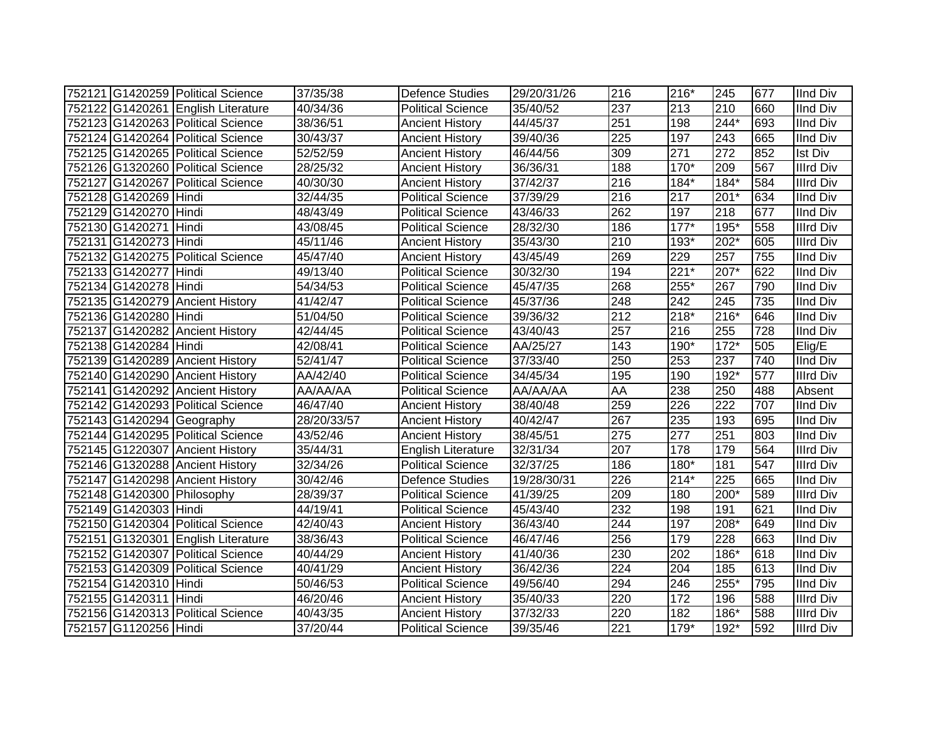|                            | 752121 G1420259 Political Science  | 37/35/38              | <b>Defence Studies</b>   | 29/20/31/26 | 216              | 216*   | 245              | 677 | <b>IInd Div</b>  |
|----------------------------|------------------------------------|-----------------------|--------------------------|-------------|------------------|--------|------------------|-----|------------------|
|                            | 752122 G1420261 English Literature | 40/34/36              | <b>Political Science</b> | 35/40/52    | 237              | 213    | 210              | 660 | <b>IInd Div</b>  |
|                            | 752123 G1420263 Political Science  | 38/36/51              | <b>Ancient History</b>   | 44/45/37    | 251              | 198    | $244*$           | 693 | <b>IInd Div</b>  |
|                            | 752124 G1420264 Political Science  | 30/43/37              | <b>Ancient History</b>   | 39/40/36    | 225              | 197    | 243              | 665 | <b>IInd Div</b>  |
|                            | 752125 G1420265 Political Science  | $\overline{52}/52/59$ | <b>Ancient History</b>   | 46/44/56    | 309              | 271    | $\overline{272}$ | 852 | <b>Ist Div</b>   |
|                            | 752126 G1320260 Political Science  | 28/25/32              | <b>Ancient History</b>   | 36/36/31    | 188              | $170*$ | 209              | 567 | <b>Illrd Div</b> |
|                            | 752127 G1420267 Political Science  | 40/30/30              | <b>Ancient History</b>   | 37/42/37    | 216              | 184*   | 184*             | 584 | <b>Illrd Div</b> |
| 752128 G1420269 Hindi      |                                    | 32/44/35              | <b>Political Science</b> | 37/39/29    | 216              | 217    | $201*$           | 634 | <b>IInd Div</b>  |
| 752129 G1420270 Hindi      |                                    | 48/43/49              | Political Science        | 43/46/33    | 262              | 197    | $\overline{218}$ | 677 | <b>IInd Div</b>  |
| 752130 G1420271 Hindi      |                                    | 43/08/45              | <b>Political Science</b> | 28/32/30    | 186              | $177*$ | $195*$           | 558 | <b>Illrd Div</b> |
| 752131 G1420273 Hindi      |                                    | 45/11/46              | <b>Ancient History</b>   | 35/43/30    | 210              | 193*   | 202*             | 605 | <b>Illrd Div</b> |
|                            | 752132 G1420275 Political Science  | 45/47/40              | <b>Ancient History</b>   | 43/45/49    | 269              | 229    | 257              | 755 | <b>IInd Div</b>  |
| 752133 G1420277 Hindi      |                                    | 49/13/40              | <b>Political Science</b> | 30/32/30    | 194              | $221*$ | $207*$           | 622 | <b>IInd Div</b>  |
| 752134 G1420278 Hindi      |                                    | 54/34/53              | <b>Political Science</b> | 45/47/35    | 268              | 255*   | 267              | 790 | <b>IInd Div</b>  |
|                            | 752135 G1420279 Ancient History    | 41/42/47              | <b>Political Science</b> | 45/37/36    | 248              | 242    | 245              | 735 | <b>IInd Div</b>  |
| 752136 G1420280 Hindi      |                                    | 51/04/50              | <b>Political Science</b> | 39/36/32    | 212              | $218*$ | 216*             | 646 | <b>IInd Div</b>  |
|                            | 752137 G1420282 Ancient History    | 42/44/45              | <b>Political Science</b> | 43/40/43    | 257              | 216    | 255              | 728 | <b>IInd Div</b>  |
| 752138 G1420284 Hindi      |                                    | 42/08/41              | <b>Political Science</b> | AA/25/27    | 143              | 190*   | $172*$           | 505 | Elig/E           |
|                            | 752139 G1420289 Ancient History    | 52/41/47              | <b>Political Science</b> | 37/33/40    | 250              | 253    | 237              | 740 | <b>IInd Div</b>  |
|                            | 752140 G1420290 Ancient History    | AA/42/40              | Political Science        | 34/45/34    | 195              | 190    | 192*             | 577 | <b>Illrd Div</b> |
|                            | 752141 G1420292 Ancient History    | AA/AA/AA              | Political Science        | AA/AA/AA    | AA               | 238    | 250              | 488 | Absent           |
|                            | 752142 G1420293 Political Science  | 46/47/40              | <b>Ancient History</b>   | 38/40/48    | 259              | 226    | $\overline{222}$ | 707 | <b>IInd Div</b>  |
| 752143 G1420294 Geography  |                                    | 28/20/33/57           | <b>Ancient History</b>   | 40/42/47    | 267              | 235    | 193              | 695 | <b>IInd Div</b>  |
|                            | 752144 G1420295 Political Science  | 43/52/46              | <b>Ancient History</b>   | 38/45/51    | 275              | 277    | 251              | 803 | <b>IInd Div</b>  |
|                            | 752145 G1220307 Ancient History    | 35/44/31              | English Literature       | 32/31/34    | 207              | 178    | 179              | 564 | <b>Illrd Div</b> |
|                            | 752146 G1320288 Ancient History    | 32/34/26              | <b>Political Science</b> | 32/37/25    | 186              | 180*   | 181              | 547 | <b>Illrd Div</b> |
|                            | 752147 G1420298 Ancient History    | 30/42/46              | <b>Defence Studies</b>   | 19/28/30/31 | 226              | $214*$ | 225              | 665 | <b>IInd Div</b>  |
| 752148 G1420300 Philosophy |                                    | 28/39/37              | <b>Political Science</b> | 41/39/25    | 209              | 180    | 200*             | 589 | <b>Illrd Div</b> |
| 752149 G1420303 Hindi      |                                    | 44/19/41              | Political Science        | 45/43/40    | 232              | 198    | 191              | 621 | <b>IInd Div</b>  |
|                            | 752150 G1420304 Political Science  | 42/40/43              | <b>Ancient History</b>   | 36/43/40    | 244              | 197    | 208*             | 649 | <b>IInd Div</b>  |
|                            | 752151 G1320301 English Literature | 38/36/43              | <b>Political Science</b> | 46/47/46    | 256              | 179    | 228              | 663 | <b>IInd Div</b>  |
|                            | 752152 G1420307 Political Science  | 40/44/29              | <b>Ancient History</b>   | 41/40/36    | 230              | 202    | 186*             | 618 | <b>IInd Div</b>  |
|                            | 752153 G1420309 Political Science  | 40/41/29              | <b>Ancient History</b>   | 36/42/36    | $\overline{224}$ | 204    | 185              | 613 | <b>IInd Div</b>  |
| 752154 G1420310 Hindi      |                                    | 50/46/53              | <b>Political Science</b> | 49/56/40    | 294              | 246    | 255*             | 795 | <b>IInd Div</b>  |
| 752155 G1420311 Hindi      |                                    | 46/20/46              | <b>Ancient History</b>   | 35/40/33    | 220              | 172    | 196              | 588 | <b>Illrd Div</b> |
|                            | 752156 G1420313 Political Science  | 40/43/35              | <b>Ancient History</b>   | 37/32/33    | 220              | 182    | 186*             | 588 | <b>Illrd Div</b> |
| 752157 G1120256 Hindi      |                                    | 37/20/44              | <b>Political Science</b> | 39/35/46    | $\overline{221}$ | $179*$ | 192*             | 592 | <b>Illrd Div</b> |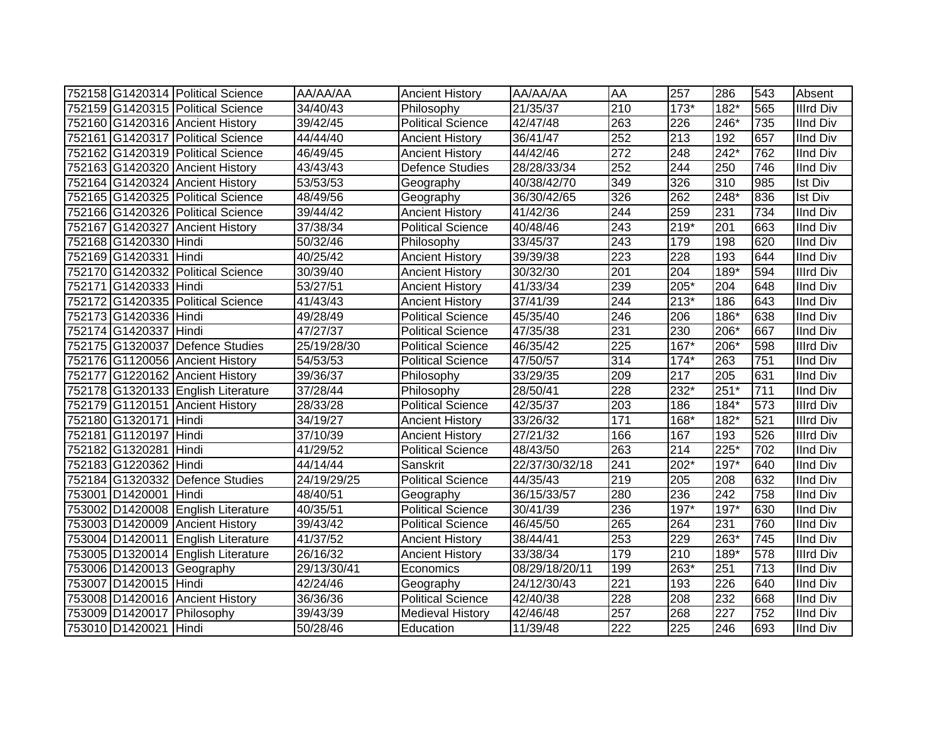|                       | 752158 G1420314 Political Science  | AA/AA/AA    | <b>Ancient History</b>   | AA/AA/AA       | AA               | 257    | 286    | 543 | Absent           |
|-----------------------|------------------------------------|-------------|--------------------------|----------------|------------------|--------|--------|-----|------------------|
|                       | 752159 G1420315 Political Science  | 34/40/43    | Philosophy               | 21/35/37       | 210              | $173*$ | 182*   | 565 | <b>Illrd Div</b> |
|                       | 752160 G1420316 Ancient History    | 39/42/45    | <b>Political Science</b> | 42/47/48       | 263              | 226    | $246*$ | 735 | <b>IInd Div</b>  |
|                       | 752161 G1420317 Political Science  | 44/44/40    | <b>Ancient History</b>   | 36/41/47       | 252              | 213    | 192    | 657 | <b>IInd Div</b>  |
|                       | 752162 G1420319 Political Science  | 46/49/45    | <b>Ancient History</b>   | 44/42/46       | $\overline{272}$ | 248    | $242*$ | 762 | <b>IInd Div</b>  |
|                       | 752163 G1420320 Ancient History    | 43/43/43    | <b>Defence Studies</b>   | 28/28/33/34    | 252              | 244    | 250    | 746 | <b>IInd Div</b>  |
|                       | 752164 G1420324 Ancient History    | 53/53/53    | Geography                | 40/38/42/70    | 349              | 326    | 310    | 985 | <b>Ist Div</b>   |
|                       | 752165 G1420325 Political Science  | 48/49/56    | Geography                | 36/30/42/65    | 326              | 262    | 248*   | 836 | <b>Ist Div</b>   |
|                       | 752166 G1420326 Political Science  | 39/44/42    | <b>Ancient History</b>   | 41/42/36       | 244              | 259    | 231    | 734 | <b>IInd Div</b>  |
|                       | 752167 G1420327 Ancient History    | 37/38/34    | <b>Political Science</b> | 40/48/46       | 243              | $219*$ | 201    | 663 | <b>IInd Div</b>  |
| 752168 G1420330 Hindi |                                    | 50/32/46    | Philosophy               | 33/45/37       | 243              | 179    | 198    | 620 | <b>IInd Div</b>  |
| 752169 G1420331 Hindi |                                    | 40/25/42    | <b>Ancient History</b>   | 39/39/38       | $\overline{223}$ | 228    | 193    | 644 | <b>IInd Div</b>  |
|                       | 752170 G1420332 Political Science  | 30/39/40    | <b>Ancient History</b>   | 30/32/30       | 201              | 204    | 189*   | 594 | <b>Illrd Div</b> |
| 752171 G1420333 Hindi |                                    | 53/27/51    | <b>Ancient History</b>   | 41/33/34       | 239              | 205*   | 204    | 648 | <b>IInd Div</b>  |
|                       | 752172 G1420335 Political Science  | 41/43/43    | <b>Ancient History</b>   | 37/41/39       | 244              | $213*$ | 186    | 643 | <b>IInd Div</b>  |
| 752173 G1420336 Hindi |                                    | 49/28/49    | <b>Political Science</b> | 45/35/40       | 246              | 206    | 186*   | 638 | <b>IInd Div</b>  |
| 752174 G1420337 Hindi |                                    | 47/27/37    | <b>Political Science</b> | 47/35/38       | 231              | 230    | $206*$ | 667 | <b>IInd Div</b>  |
|                       | 752175 G1320037 Defence Studies    | 25/19/28/30 | <b>Political Science</b> | 46/35/42       | 225              | $167*$ | 206*   | 598 | <b>Illrd Div</b> |
|                       | 752176 G1120056 Ancient History    | 54/53/53    | <b>Political Science</b> | 47/50/57       | 314              | $174*$ | 263    | 751 | <b>IInd Div</b>  |
|                       | 752177 G1220162 Ancient History    | 39/36/37    | Philosophy               | 33/29/35       | 209              | 217    | 205    | 631 | <b>IInd Div</b>  |
|                       | 752178 G1320133 English Literature | 37/28/44    | Philosophy               | 28/50/41       | 228              | 232*   | $251*$ | 711 | <b>IInd Div</b>  |
|                       | 752179 G1120151 Ancient History    | 28/33/28    | <b>Political Science</b> | 42/35/37       | 203              | 186    | 184*   | 573 | <b>Illrd Div</b> |
| 752180 G1320171 Hindi |                                    | 34/19/27    | <b>Ancient History</b>   | 33/26/32       | 171              | 168*   | 182*   | 521 | <b>Illrd Div</b> |
| 752181 G1120197 Hindi |                                    | 37/10/39    | <b>Ancient History</b>   | 27/21/32       | 166              | 167    | 193    | 526 | <b>Illrd Div</b> |
| 752182 G1320281 Hindi |                                    | 41/29/52    | <b>Political Science</b> | 48/43/50       | 263              | 214    | $225*$ | 702 | <b>IInd Div</b>  |
| 752183 G1220362 Hindi |                                    | 44/14/44    | Sanskrit                 | 22/37/30/32/18 | 241              | 202*   | $197*$ | 640 | <b>IInd Div</b>  |
|                       | 752184 G1320332 Defence Studies    | 24/19/29/25 | <b>Political Science</b> | 44/35/43       | 219              | 205    | 208    | 632 | <b>IInd Div</b>  |
| 753001 D1420001 Hindi |                                    | 48/40/51    | Geography                | 36/15/33/57    | 280              | 236    | 242    | 758 | <b>IInd Div</b>  |
|                       | 753002 D1420008 English Literature | 40/35/51    | <b>Political Science</b> | 30/41/39       | 236              | 197*   | 197*   | 630 | <b>IInd Div</b>  |
|                       | 753003 D1420009 Ancient History    | 39/43/42    | <b>Political Science</b> | 46/45/50       | 265              | 264    | 231    | 760 | <b>IInd Div</b>  |
|                       | 753004 D1420011 English Literature | 41/37/52    | <b>Ancient History</b>   | 38/44/41       | 253              | 229    | 263*   | 745 | <b>IInd Div</b>  |
|                       | 753005 D1320014 English Literature | 26/16/32    | <b>Ancient History</b>   | 33/38/34       | 179              | 210    | 189*   | 578 | <b>Illrd Div</b> |
|                       | 753006 D1420013 Geography          | 29/13/30/41 | Economics                | 08/29/18/20/11 | 199              | $263*$ | 251    | 713 | <b>IInd Div</b>  |
| 753007 D1420015 Hindi |                                    | 42/24/46    | Geography                | 24/12/30/43    | $\overline{221}$ | 193    | 226    | 640 | <b>IInd Div</b>  |
|                       | 753008 D1420016 Ancient History    | 36/36/36    | <b>Political Science</b> | 42/40/38       | 228              | 208    | 232    | 668 | <b>IInd Div</b>  |
|                       | 753009 D1420017 Philosophy         | 39/43/39    | <b>Medieval History</b>  | 42/46/48       | 257              | 268    | 227    | 752 | <b>IInd Div</b>  |
| 753010 D1420021 Hindi |                                    | 50/28/46    | Education                | 11/39/48       | 222              | 225    | 246    | 693 | <b>IInd Div</b>  |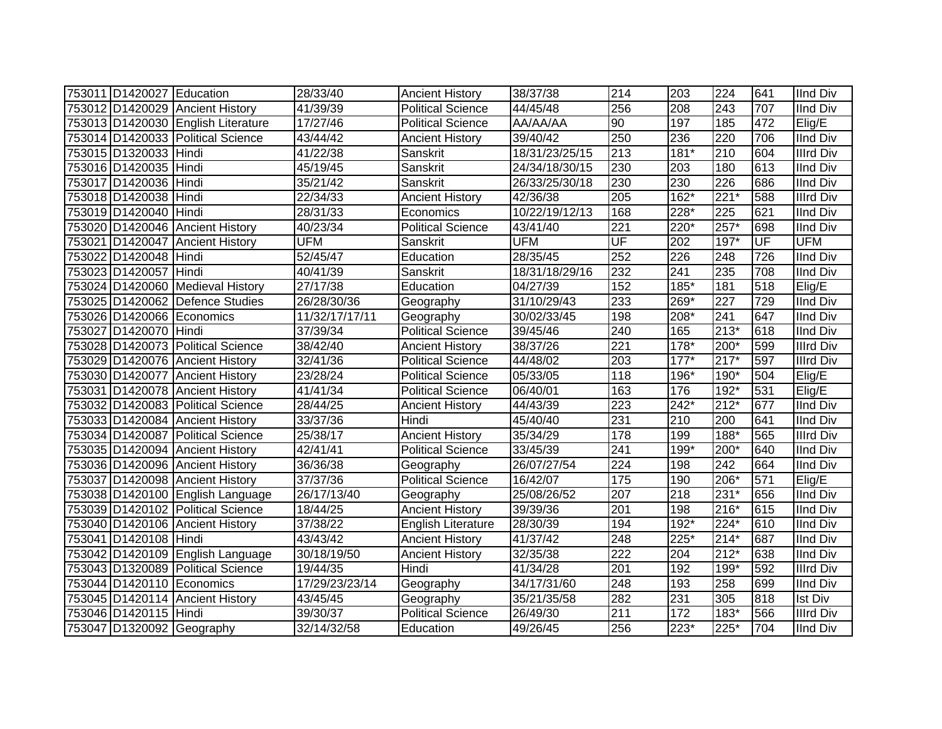| 753011 D1420027 Education |                                    | 28/33/40       | <b>Ancient History</b>    | 38/37/38       | 214              | 203                | 224              | 641 | <b>IInd Div</b>  |
|---------------------------|------------------------------------|----------------|---------------------------|----------------|------------------|--------------------|------------------|-----|------------------|
|                           | 753012 D1420029 Ancient History    | 41/39/39       | <b>Political Science</b>  | 44/45/48       | 256              | 208                | 243              | 707 | <b>IInd Div</b>  |
|                           | 753013 D1420030 English Literature | 17/27/46       | <b>Political Science</b>  | AA/AA/AA       | 90               | 197                | 185              | 472 | Elig/E           |
|                           | 753014 D1420033 Political Science  | 43/44/42       | <b>Ancient History</b>    | 39/40/42       | 250              | 236                | 220              | 706 | <b>IInd Div</b>  |
| 753015 D1320033 Hindi     |                                    | 41/22/38       | Sanskrit                  | 18/31/23/25/15 | $\overline{213}$ | $181*$             | $\overline{210}$ | 604 | <b>Illrd Div</b> |
| 753016 D1420035 Hindi     |                                    | 45/19/45       | Sanskrit                  | 24/34/18/30/15 | 230              | 203                | 180              | 613 | <b>IInd Div</b>  |
| 753017 D1420036 Hindi     |                                    | 35/21/42       | Sanskrit                  | 26/33/25/30/18 | 230              | 230                | 226              | 686 | <b>IInd Div</b>  |
| 753018 D1420038 Hindi     |                                    | 22/34/33       | <b>Ancient History</b>    | 42/36/38       | $\overline{205}$ | $\overline{162}$ * | $221*$           | 588 | <b>Illrd Div</b> |
| 753019 D1420040 Hindi     |                                    | 28/31/33       | Economics                 | 10/22/19/12/13 | 168              | 228*               | 225              | 621 | <b>IInd Div</b>  |
|                           | 753020 D1420046 Ancient History    | 40/23/34       | <b>Political Science</b>  | 43/41/40       | 221              | 220*               | $257*$           | 698 | <b>IInd Div</b>  |
|                           | 753021 D1420047 Ancient History    | <b>UFM</b>     | Sanskrit                  | <b>UFM</b>     | UF               | 202                | $197*$           | UF  | <b>UFM</b>       |
| 753022 D1420048 Hindi     |                                    | 52/45/47       | Education                 | 28/35/45       | 252              | 226                | 248              | 726 | <b>IInd Div</b>  |
| 753023 D1420057 Hindi     |                                    | 40/41/39       | Sanskrit                  | 18/31/18/29/16 | 232              | 241                | 235              | 708 | <b>IInd Div</b>  |
|                           | 753024 D1420060 Medieval History   | 27/17/38       | Education                 | 04/27/39       | 152              | 185*               | 181              | 518 | Elig/E           |
|                           | 753025 D1420062 Defence Studies    | 26/28/30/36    | Geography                 | 31/10/29/43    | 233              | 269*               | 227              | 729 | <b>IInd Div</b>  |
|                           | 753026 D1420066 Economics          | 11/32/17/17/11 | Geography                 | 30/02/33/45    | 198              | 208*               | 241              | 647 | <b>IInd Div</b>  |
| 753027 D1420070 Hindi     |                                    | 37/39/34       | <b>Political Science</b>  | 39/45/46       | 240              | 165                | $213*$           | 618 | <b>IInd Div</b>  |
|                           | 753028 D1420073 Political Science  | 38/42/40       | <b>Ancient History</b>    | 38/37/26       | 221              | 178*               | 200*             | 599 | <b>Illrd Div</b> |
|                           | 753029 D1420076 Ancient History    | 32/41/36       | <b>Political Science</b>  | 44/48/02       | 203              | $177*$             | $217*$           | 597 | <b>Illrd Div</b> |
|                           | 753030 D1420077 Ancient History    | 23/28/24       | <b>Political Science</b>  | 05/33/05       | 118              | 196*               | 190*             | 504 | $E$ lig/E        |
|                           | 753031 D1420078 Ancient History    | 41/41/34       | <b>Political Science</b>  | 06/40/01       | 163              | 176                | 192*             | 531 | Elig/E           |
|                           | 753032 D1420083 Political Science  | 28/44/25       | <b>Ancient History</b>    | 44/43/39       | $\overline{223}$ | $242*$             | $212*$           | 677 | <b>IInd Div</b>  |
|                           | 753033 D1420084 Ancient History    | 33/37/36       | Hindi                     | 45/40/40       | 231              | 210                | 200              | 641 | <b>IInd Div</b>  |
|                           | 753034 D1420087 Political Science  | 25/38/17       | <b>Ancient History</b>    | 35/34/29       | 178              | 199                | 188*             | 565 | <b>Illrd Div</b> |
|                           | 753035 D1420094 Ancient History    | 42/41/41       | Political Science         | 33/45/39       | 241              | 199*               | 200*             | 640 | <b>IInd Div</b>  |
|                           | 753036 D1420096 Ancient History    | 36/36/38       | Geography                 | 26/07/27/54    | 224              | 198                | $\overline{242}$ | 664 | <b>IInd Div</b>  |
|                           | 753037 D1420098 Ancient History    | 37/37/36       | <b>Political Science</b>  | 16/42/07       | 175              | 190                | 206*             | 571 | Elig/E           |
|                           | 753038 D1420100 English Language   | 26/17/13/40    | Geography                 | 25/08/26/52    | 207              | 218                | $231*$           | 656 | <b>IInd Div</b>  |
|                           | 753039 D1420102 Political Science  | 18/44/25       | <b>Ancient History</b>    | 39/39/36       | 201              | 198                | 216*             | 615 | <b>IInd Div</b>  |
|                           | 753040 D1420106 Ancient History    | 37/38/22       | <b>English Literature</b> | 28/30/39       | 194              | 192*               | 224*             | 610 | <b>IInd Div</b>  |
| 753041 D1420108 Hindi     |                                    | 43/43/42       | <b>Ancient History</b>    | 41/37/42       | 248              | $225*$             | $214*$           | 687 | <b>IInd Div</b>  |
|                           | 753042 D1420109 English Language   | 30/18/19/50    | <b>Ancient History</b>    | 32/35/38       | 222              | 204                | $212*$           | 638 | <b>IInd Div</b>  |
|                           | 753043 D1320089 Political Science  | 19/44/35       | Hindi                     | 41/34/28       | 201              | 192                | 199*             | 592 | <b>Illrd Div</b> |
|                           | 753044 D1420110 Economics          | 17/29/23/23/14 | Geography                 | 34/17/31/60    | 248              | 193                | 258              | 699 | <b>IInd Div</b>  |
|                           | 753045 D1420114 Ancient History    | 43/45/45       | Geography                 | 35/21/35/58    | 282              | 231                | 305              | 818 | <b>Ist Div</b>   |
| 753046 D1420115 Hindi     |                                    | 39/30/37       | <b>Political Science</b>  | 26/49/30       | 211              | 172                | 183*             | 566 | <b>Illrd Div</b> |
|                           | 753047 D1320092 Geography          | 32/14/32/58    | Education                 | 49/26/45       | 256              | $223*$             | 225*             | 704 | <b>IInd Div</b>  |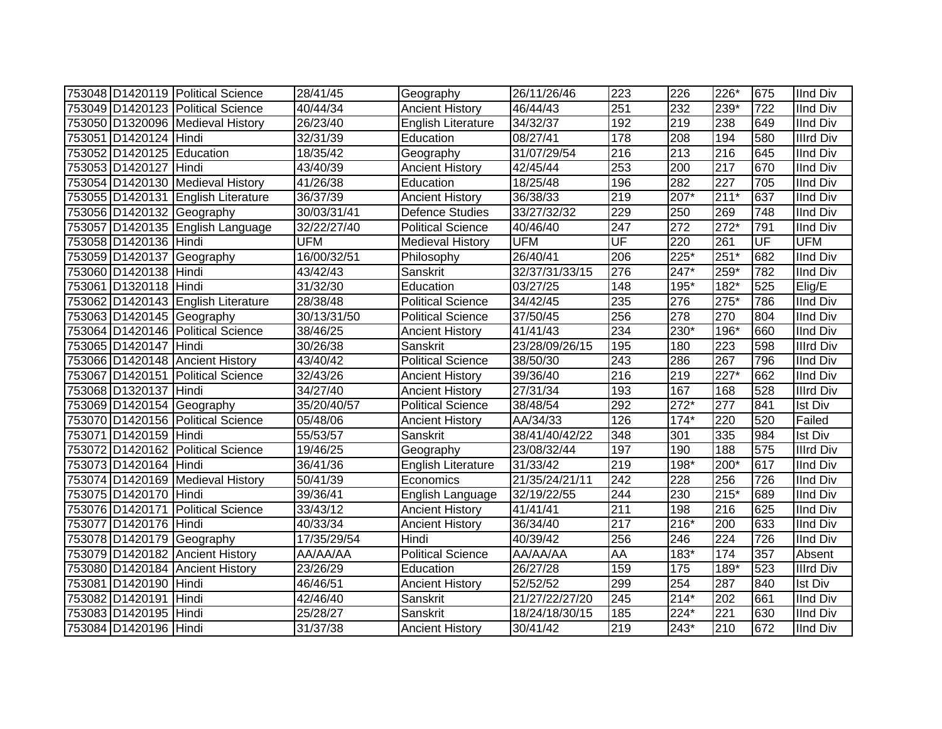|                           | 753048 D1420119 Political Science  | 28/41/45    | Geography                 | 26/11/26/46    | 223              | 226    | 226*               | 675 | <b>IInd Div</b>  |
|---------------------------|------------------------------------|-------------|---------------------------|----------------|------------------|--------|--------------------|-----|------------------|
|                           | 753049 D1420123 Political Science  | 40/44/34    | <b>Ancient History</b>    | 46/44/43       | 251              | 232    | 239*               | 722 | <b>IInd Div</b>  |
|                           | 753050 D1320096 Medieval History   | 26/23/40    | English Literature        | 34/32/37       | 192              | 219    | 238                | 649 | <b>IInd Div</b>  |
| 753051 D1420124 Hindi     |                                    | 32/31/39    | Education                 | 08/27/41       | 178              | 208    | 194                | 580 | <b>Illrd Div</b> |
| 753052 D1420125 Education |                                    | 18/35/42    | Geography                 | 31/07/29/54    | $\overline{216}$ | 213    | $\overline{216}$   | 645 | <b>IInd Div</b>  |
| 753053 D1420127 Hindi     |                                    | 43/40/39    | <b>Ancient History</b>    | 42/45/44       | 253              | 200    | $\overline{217}$   | 670 | <b>IInd Div</b>  |
|                           | 753054 D1420130 Medieval History   | 41/26/38    | Education                 | 18/25/48       | 196              | 282    | 227                | 705 | <b>IInd Div</b>  |
|                           | 753055 D1420131 English Literature | 36/37/39    | <b>Ancient History</b>    | 36/38/33       | $\overline{219}$ | 207*   | $211*$             | 637 | <b>IInd Div</b>  |
|                           | 753056 D1420132 Geography          | 30/03/31/41 | <b>Defence Studies</b>    | 33/27/32/32    | 229              | 250    | 269                | 748 | <b>IInd Div</b>  |
|                           | 753057 D1420135 English Language   | 32/22/27/40 | <b>Political Science</b>  | 40/46/40       | 247              | 272    | $272*$             | 791 | <b>IInd Div</b>  |
| 753058 D1420136 Hindi     |                                    | <b>UFM</b>  | <b>Medieval History</b>   | <b>UFM</b>     | UF               | 220    | $\overline{261}$   | UF  | <b>UFM</b>       |
|                           | 753059 D1420137 Geography          | 16/00/32/51 | Philosophy                | 26/40/41       | 206              | 225*   | $251*$             | 682 | <b>IInd Div</b>  |
| 753060 D1420138 Hindi     |                                    | 43/42/43    | Sanskrit                  | 32/37/31/33/15 | 276              | 247*   | 259*               | 782 | <b>IInd Div</b>  |
| 753061 D1320118 Hindi     |                                    | 31/32/30    | Education                 | 03/27/25       | 148              | 195*   | 182*               | 525 | Elig/E           |
|                           | 753062 D1420143 English Literature | 28/38/48    | <b>Political Science</b>  | 34/42/45       | 235              | 276    | $275*$             | 786 | <b>IInd Div</b>  |
|                           | 753063 D1420145 Geography          | 30/13/31/50 | <b>Political Science</b>  | 37/50/45       | 256              | 278    | 270                | 804 | <b>IInd Div</b>  |
|                           | 753064 D1420146 Political Science  | 38/46/25    | <b>Ancient History</b>    | 41/41/43       | 234              | 230*   | 196*               | 660 | <b>IInd Div</b>  |
| 753065 D1420147 Hindi     |                                    | 30/26/38    | Sanskrit                  | 23/28/09/26/15 | 195              | 180    | $\overline{223}$   | 598 | <b>Illrd Div</b> |
|                           | 753066 D1420148 Ancient History    | 43/40/42    | <b>Political Science</b>  | 38/50/30       | $\overline{243}$ | 286    | 267                | 796 | <b>IInd Div</b>  |
|                           | 753067 D1420151 Political Science  | 32/43/26    | <b>Ancient History</b>    | 39/36/40       | 216              | 219    | $\overline{227^*}$ | 662 | <b>IInd Div</b>  |
| 753068 D1320137 Hindi     |                                    | 34/27/40    | <b>Ancient History</b>    | 27/31/34       | 193              | 167    | 168                | 528 | <b>Illrd Div</b> |
|                           | 753069 D1420154 Geography          | 35/20/40/57 | <b>Political Science</b>  | 38/48/54       | 292              | $272*$ | 277                | 841 | <b>Ist Div</b>   |
|                           | 753070 D1420156 Political Science  | 05/48/06    | <b>Ancient History</b>    | AA/34/33       | 126              | $174*$ | 220                | 520 | Failed           |
| 753071 D1420159 Hindi     |                                    | 55/53/57    | Sanskrit                  | 38/41/40/42/22 | 348              | 301    | 335                | 984 | <b>Ist Div</b>   |
|                           | 753072 D1420162 Political Science  | 19/46/25    | Geography                 | 23/08/32/44    | 197              | 190    | 188                | 575 | <b>Illrd Div</b> |
| 753073 D1420164 Hindi     |                                    | 36/41/36    | <b>English Literature</b> | 31/33/42       | 219              | 198*   | 200*               | 617 | <b>IInd Div</b>  |
|                           | 753074 D1420169 Medieval History   | 50/41/39    | Economics                 | 21/35/24/21/11 | $\overline{242}$ | 228    | 256                | 726 | <b>IInd Div</b>  |
| 753075 D1420170 Hindi     |                                    | 39/36/41    | English Language          | 32/19/22/55    | 244              | 230    | $215*$             | 689 | <b>IInd Div</b>  |
|                           | 753076 D1420171 Political Science  | 33/43/12    | <b>Ancient History</b>    | 41/41/41       | $\overline{211}$ | 198    | 216                | 625 | <b>IInd Div</b>  |
| 753077 D1420176 Hindi     |                                    | 40/33/34    | <b>Ancient History</b>    | 36/34/40       | $\overline{217}$ | $216*$ | $\overline{200}$   | 633 | <b>IInd Div</b>  |
|                           | 753078 D1420179 Geography          | 17/35/29/54 | Hindi                     | 40/39/42       | 256              | 246    | $\overline{224}$   | 726 | <b>IInd Div</b>  |
|                           | 753079 D1420182 Ancient History    | AA/AA/AA    | <b>Political Science</b>  | AA/AA/AA       | AA               | 183*   | 174                | 357 | Absent           |
|                           | 753080 D1420184 Ancient History    | 23/26/29    | Education                 | 26/27/28       | 159              | 175    | 189*               | 523 | <b>Illrd Div</b> |
| 753081 D1420190 Hindi     |                                    | 46/46/51    | <b>Ancient History</b>    | 52/52/52       | 299              | 254    | 287                | 840 | Ist Div          |
| 753082 D1420191 Hindi     |                                    | 42/46/40    | Sanskrit                  | 21/27/22/27/20 | 245              | $214*$ | 202                | 661 | <b>IInd Div</b>  |
| 753083 D1420195 Hindi     |                                    | 25/28/27    | Sanskrit                  | 18/24/18/30/15 | 185              | 224*   | 221                | 630 | <b>IInd Div</b>  |
| 753084 D1420196 Hindi     |                                    | 31/37/38    | <b>Ancient History</b>    | 30/41/42       | 219              | 243*   | 210                | 672 | <b>IInd Div</b>  |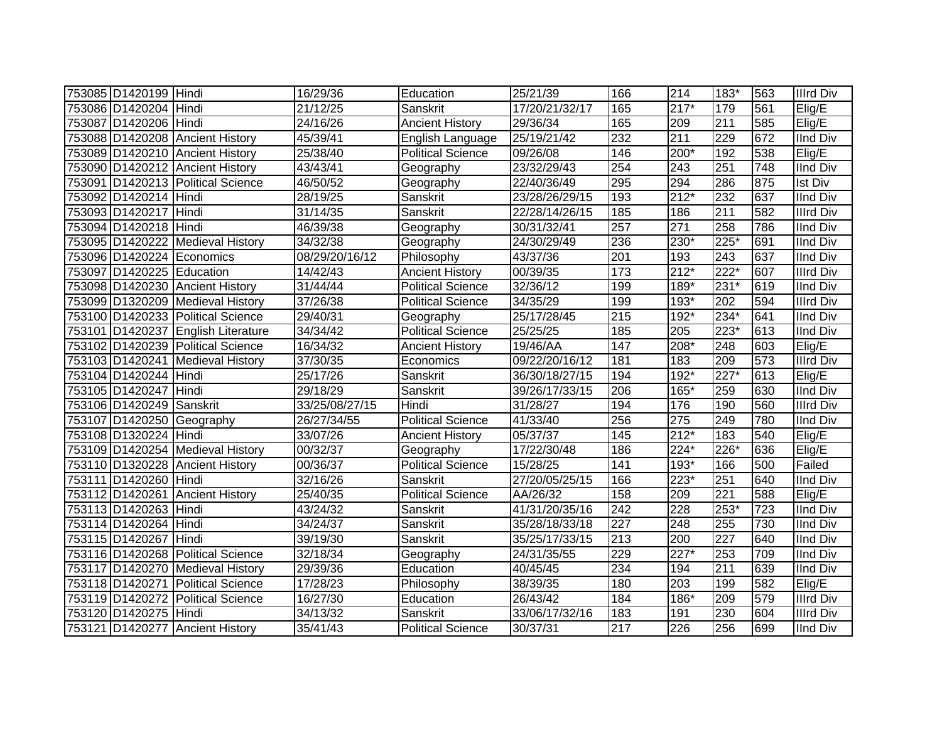| 753085 D1420199 Hindi     |                                    | 16/29/36       | Education                | 25/21/39       | 166              | 214              | 183*             | 563 | <b>Illrd Div</b> |
|---------------------------|------------------------------------|----------------|--------------------------|----------------|------------------|------------------|------------------|-----|------------------|
| 753086 D1420204 Hindi     |                                    | 21/12/25       | Sanskrit                 | 17/20/21/32/17 | 165              | $217*$           | 179              | 561 | Elig/E           |
| 753087 D1420206 Hindi     |                                    | 24/16/26       | <b>Ancient History</b>   | 29/36/34       | 165              | 209              | $\overline{211}$ | 585 | Elig/E           |
|                           | 753088 D1420208 Ancient History    | 45/39/41       | English Language         | 25/19/21/42    | 232              | 211              | 229              | 672 | <b>IInd Div</b>  |
|                           | 753089 D1420210 Ancient History    | 25/38/40       | <b>Political Science</b> | 09/26/08       | 146              | 200*             | 192              | 538 | Elig/E           |
|                           | 753090 D1420212 Ancient History    | 43/43/41       | Geography                | 23/32/29/43    | 254              | 243              | 251              | 748 | IInd Div         |
|                           | 753091 D1420213 Political Science  | 46/50/52       | Geography                | 22/40/36/49    | 295              | 294              | 286              | 875 | <b>Ist Div</b>   |
| 753092 D1420214 Hindi     |                                    | 28/19/25       | Sanskrit                 | 23/28/26/29/15 | 193              | $212*$           | 232              | 637 | <b>IInd Div</b>  |
| 753093 D1420217 Hindi     |                                    | 31/14/35       | Sanskrit                 | 22/28/14/26/15 | 185              | 186              | 211              | 582 | <b>Illrd Div</b> |
| 753094 D1420218 Hindi     |                                    | 46/39/38       | Geography                | 30/31/32/41    | 257              | 271              | 258              | 786 | <b>IInd Div</b>  |
|                           | 753095 D1420222 Medieval History   | 34/32/38       | Geography                | 24/30/29/49    | 236              | 230*             | $225*$           | 691 | <b>IInd Div</b>  |
|                           | 753096 D1420224 Economics          | 08/29/20/16/12 | Philosophy               | 43/37/36       | 201              | 193              | $\overline{243}$ | 637 | <b>IInd Div</b>  |
| 753097 D1420225 Education |                                    | 14/42/43       | <b>Ancient History</b>   | 00/39/35       | $\frac{1}{173}$  | $212*$           | $222*$           | 607 | <b>Illrd Div</b> |
|                           | 753098 D1420230 Ancient History    | 31/44/44       | <b>Political Science</b> | 32/36/12       | 199              | 189*             | $231*$           | 619 | <b>IInd Div</b>  |
|                           | 753099 D1320209 Medieval History   | 37/26/38       | Political Science        | 34/35/29       | 199              | 193*             | 202              | 594 | <b>Illrd Div</b> |
|                           | 753100 D1420233 Political Science  | 29/40/31       | Geography                | 25/17/28/45    | 215              | 192*             | 234*             | 641 | <b>IInd Div</b>  |
|                           | 753101 D1420237 English Literature | 34/34/42       | <b>Political Science</b> | 25/25/25       | 185              | 205              | $223*$           | 613 | <b>IInd Div</b>  |
|                           | 753102 D1420239 Political Science  | 16/34/32       | <b>Ancient History</b>   | 19/46/AA       | 147              | 208*             | 248              | 603 | $E$ lig/E        |
|                           | 753103 D1420241 Medieval History   | 37/30/35       | Economics                | 09/22/20/16/12 | 181              | 183              | 209              | 573 | Illrd Div        |
| 753104 D1420244 Hindi     |                                    | 25/17/26       | Sanskrit                 | 36/30/18/27/15 | 194              | 192*             | $227*$           | 613 | Elig/E           |
| 753105 D1420247 Hindi     |                                    | 29/18/29       | Sanskrit                 | 39/26/17/33/15 | 206              | 165*             | 259              | 630 | <b>IInd Div</b>  |
| 753106 D1420249 Sanskrit  |                                    | 33/25/08/27/15 | Hindi                    | 31/28/27       | 194              | 176              | 190              | 560 | <b>Illrd Div</b> |
|                           | 753107 D1420250 Geography          | 26/27/34/55    | <b>Political Science</b> | 41/33/40       | 256              | 275              | 249              | 780 | <b>IInd Div</b>  |
| 753108 D1320224 Hindi     |                                    | 33/07/26       | <b>Ancient History</b>   | 05/37/37       | 145              | $212*$           | 183              | 540 | Elig/E           |
|                           | 753109 D1420254 Medieval History   | 00/32/37       | Geography                | 17/22/30/48    | 186              | 224*             | 226*             | 636 | Elig/E           |
|                           | 753110 D1320228 Ancient History    | 00/36/37       | <b>Political Science</b> | 15/28/25       | 141              | 193*             | 166              | 500 | Failed           |
| 753111 D1420260 Hindi     |                                    | 32/16/26       | Sanskrit                 | 27/20/05/25/15 | 166              | 223*             | 251              | 640 | <b>IInd Div</b>  |
|                           | 753112 D1420261 Ancient History    | 25/40/35       | <b>Political Science</b> | AA/26/32       | 158              | 209              | 221              | 588 | Elig/E           |
| 753113 D1420263 Hindi     |                                    | 43/24/32       | Sanskrit                 | 41/31/20/35/16 | 242              | 228              | 253*             | 723 | <b>IInd Div</b>  |
| 753114 D1420264 Hindi     |                                    | 34/24/37       | Sanskrit                 | 35/28/18/33/18 | $\overline{227}$ | 248              | 255              | 730 | <b>IInd Div</b>  |
| 753115 D1420267 Hindi     |                                    | 39/19/30       | Sanskrit                 | 35/25/17/33/15 | $\overline{213}$ | 200              | $\overline{227}$ | 640 | <b>IInd Div</b>  |
|                           | 753116 D1420268 Political Science  | 32/18/34       | Geography                | 24/31/35/55    | 229              | $227*$           | 253              | 709 | <b>IInd Div</b>  |
|                           | 753117 D1420270 Medieval History   | 29/39/36       | Education                | 40/45/45       | 234              | 194              | 211              | 639 | <b>IInd Div</b>  |
|                           | 753118 D1420271 Political Science  | 17/28/23       | Philosophy               | 38/39/35       | 180              | $\overline{203}$ | 199              | 582 | Elig/E           |
| 753119 D1420272           | Political Science                  | 16/27/30       | Education                | 26/43/42       | 184              | 186*             | 209              | 579 | <b>Illrd Div</b> |
| 753120 D1420275 Hindi     |                                    | 34/13/32       | Sanskrit                 | 33/06/17/32/16 | 183              | 191              | 230              | 604 | <b>Illrd Div</b> |
|                           | 753121 D1420277 Ancient History    | 35/41/43       | <b>Political Science</b> | 30/37/31       | 217              | 226              | 256              | 699 | <b>IInd Div</b>  |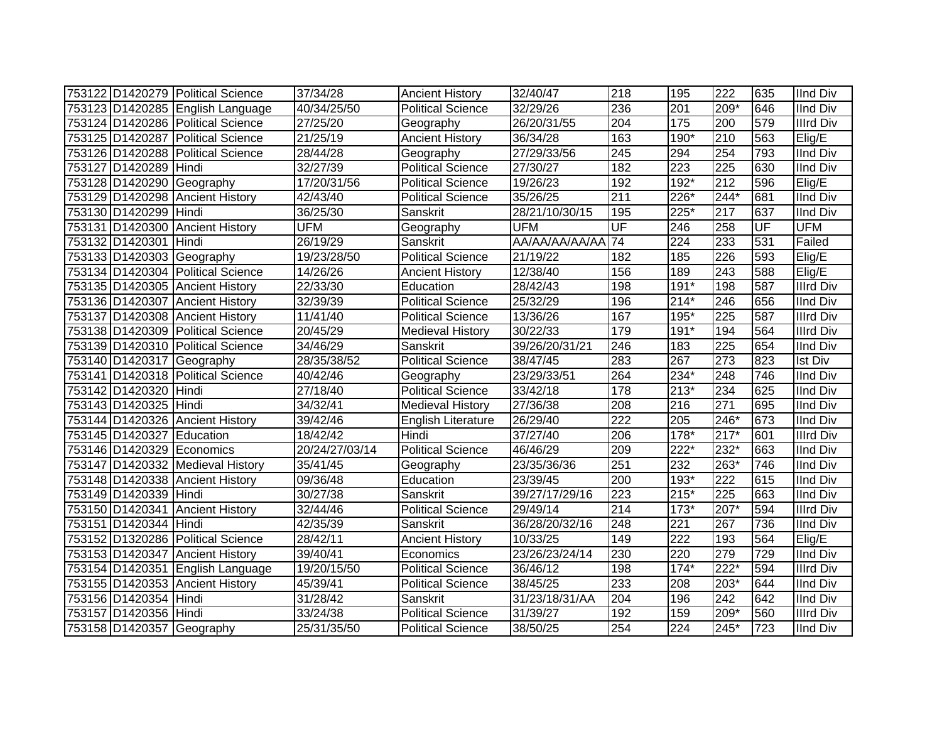|                           | 753122 D1420279 Political Science | 37/34/28       | <b>Ancient History</b>    | 32/40/47          | 218              | 195              | 222               | 635 | <b>IInd Div</b>  |
|---------------------------|-----------------------------------|----------------|---------------------------|-------------------|------------------|------------------|-------------------|-----|------------------|
|                           | 753123 D1420285 English Language  | 40/34/25/50    | <b>Political Science</b>  | 32/29/26          | 236              | 201              | 209*              | 646 | <b>IInd Div</b>  |
|                           | 753124 D1420286 Political Science | 27/25/20       | Geography                 | 26/20/31/55       | $\overline{204}$ | 175              | 200               | 579 | <b>Illrd Div</b> |
|                           | 753125 D1420287 Political Science | 21/25/19       | <b>Ancient History</b>    | 36/34/28          | 163              | 190*             | 210               | 563 | $E$ lig/E        |
|                           | 753126 D1420288 Political Science | 28/44/28       | Geography                 | 27/29/33/56       | $\overline{245}$ | 294              | 254               | 793 | <b>IInd Div</b>  |
| 753127 D1420289 Hindi     |                                   | 32/27/39       | Political Science         | 27/30/27          | 182              | $\overline{223}$ | 225               | 630 | <b>IInd Div</b>  |
|                           | 753128 D1420290 Geography         | 17/20/31/56    | <b>Political Science</b>  | 19/26/23          | 192              | 192*             | 212               | 596 | Elig/E           |
|                           | 753129 D1420298 Ancient History   | 42/43/40       | <b>Political Science</b>  | 35/26/25          | $\overline{211}$ | 226*             | $244*$            | 681 | <b>IInd Div</b>  |
| 753130 D1420299 Hindi     |                                   | 36/25/30       | Sanskrit                  | 28/21/10/30/15    | 195              | $225*$           | 217               | 637 | <b>IInd Div</b>  |
|                           | 753131 D1420300 Ancient History   | <b>UFM</b>     | Geography                 | <b>UFM</b>        | UF               | 246              | 258               | UF  | <b>UFM</b>       |
| 753132 D1420301           | <b>I</b> Hindi                    | 26/19/29       | Sanskrit                  | AA/AA/AA/AA/AA 74 |                  | 224              | 233               | 531 | Failed           |
|                           | 753133 D1420303 Geography         | 19/23/28/50    | <b>Political Science</b>  | 21/19/22          | 182              | 185              | 226               | 593 | Elig/E           |
|                           | 753134 D1420304 Political Science | 14/26/26       | <b>Ancient History</b>    | 12/38/40          | 156              | 189              | 243               | 588 | Elig/E           |
|                           | 753135 D1420305 Ancient History   | 22/33/30       | Education                 | 28/42/43          | 198              | $191*$           | 198               | 587 | <b>Illrd Div</b> |
|                           | 753136 D1420307 Ancient History   | 32/39/39       | <b>Political Science</b>  | 25/32/29          | 196              | $214*$           | 246               | 656 | <b>IInd Div</b>  |
|                           | 753137 D1420308 Ancient History   | 11/41/40       | <b>Political Science</b>  | 13/36/26          | 167              | 195*             | 225               | 587 | <b>Illrd Div</b> |
|                           | 753138 D1420309 Political Science | 20/45/29       | <b>Medieval History</b>   | 30/22/33          | 179              | $191*$           | 194               | 564 | <b>Illrd Div</b> |
|                           | 753139 D1420310 Political Science | 34/46/29       | Sanskrit                  | 39/26/20/31/21    | 246              | 183              | 225               | 654 | <b>IInd Div</b>  |
|                           | 753140 D1420317 Geography         | 28/35/38/52    | <b>Political Science</b>  | 38/47/45          | 283              | 267              | $\overline{273}$  | 823 | <b>Ist Div</b>   |
|                           | 753141 D1420318 Political Science | 40/42/46       | Geography                 | 23/29/33/51       | 264              | 234*             | 248               | 746 | <b>IInd Div</b>  |
| 753142 D1420320 Hindi     |                                   | 27/18/40       | <b>Political Science</b>  | 33/42/18          | 178              | $213*$           | 234               | 625 | <b>IInd Div</b>  |
| 753143 D1420325 Hindi     |                                   | 34/32/41       | <b>Medieval History</b>   | 27/36/38          | 208              | 216              | 271               | 695 | <b>IInd Div</b>  |
|                           | 753144 D1420326 Ancient History   | 39/42/46       | <b>English Literature</b> | 26/29/40          | 222              | 205              | 246*              | 673 | <b>IInd Div</b>  |
| 753145 D1420327 Education |                                   | 18/42/42       | Hindi                     | 37/27/40          | 206              | 178*             | $217*$            | 601 | <b>Illrd Div</b> |
| 753146 D1420329 Economics |                                   | 20/24/27/03/14 | <b>Political Science</b>  | 46/46/29          | 209              | 222*             | 232*              | 663 | <b>IInd Div</b>  |
|                           | 753147 D1420332 Medieval History  | 35/41/45       | Geography                 | 23/35/36/36       | 251              | 232              | 263*              | 746 | <b>IInd Div</b>  |
|                           | 753148 D1420338 Ancient History   | 09/36/48       | Education                 | 23/39/45          | 200              | 193*             | $\overline{222}$  | 615 | <b>IInd Div</b>  |
| 753149 D1420339 Hindi     |                                   | 30/27/38       | Sanskrit                  | 39/27/17/29/16    | 223              | $215*$           | 225               | 663 | <b>IInd Div</b>  |
|                           | 753150 D1420341 Ancient History   | 32/44/46       | <b>Political Science</b>  | 29/49/14          | $\overline{214}$ | $173*$           | $\overline{207*}$ | 594 | <b>Illrd Div</b> |
| 753151 D1420344 Hindi     |                                   | 42/35/39       | Sanskrit                  | 36/28/20/32/16    | 248              | 221              | 267               | 736 | <b>IInd Div</b>  |
|                           | 753152 D1320286 Political Science | 28/42/11       | <b>Ancient History</b>    | 10/33/25          | 149              | 222              | 193               | 564 | Elig/E           |
|                           | 753153 D1420347 Ancient History   | 39/40/41       | Economics                 | 23/26/23/24/14    | 230              | 220              | 279               | 729 | <b>IInd Div</b>  |
|                           | 753154 D1420351 English Language  | 19/20/15/50    | Political Science         | 36/46/12          | 198              | $174*$           | $222*$            | 594 | <b>Illrd Div</b> |
|                           | 753155 D1420353 Ancient History   | 45/39/41       | <b>Political Science</b>  | 38/45/25          | 233              | 208              | 203*              | 644 | <b>IInd Div</b>  |
| 753156 D1420354 Hindi     |                                   | 31/28/42       | Sanskrit                  | 31/23/18/31/AA    | 204              | 196              | 242               | 642 | <b>IInd Div</b>  |
| 753157 D1420356 Hindi     |                                   | 33/24/38       | <b>Political Science</b>  | 31/39/27          | 192              | 159              | 209*              | 560 | <b>Illrd Div</b> |
|                           | 753158 D1420357 Geography         | 25/31/35/50    | <b>Political Science</b>  | 38/50/25          | 254              | 224              | 245*              | 723 | <b>IInd Div</b>  |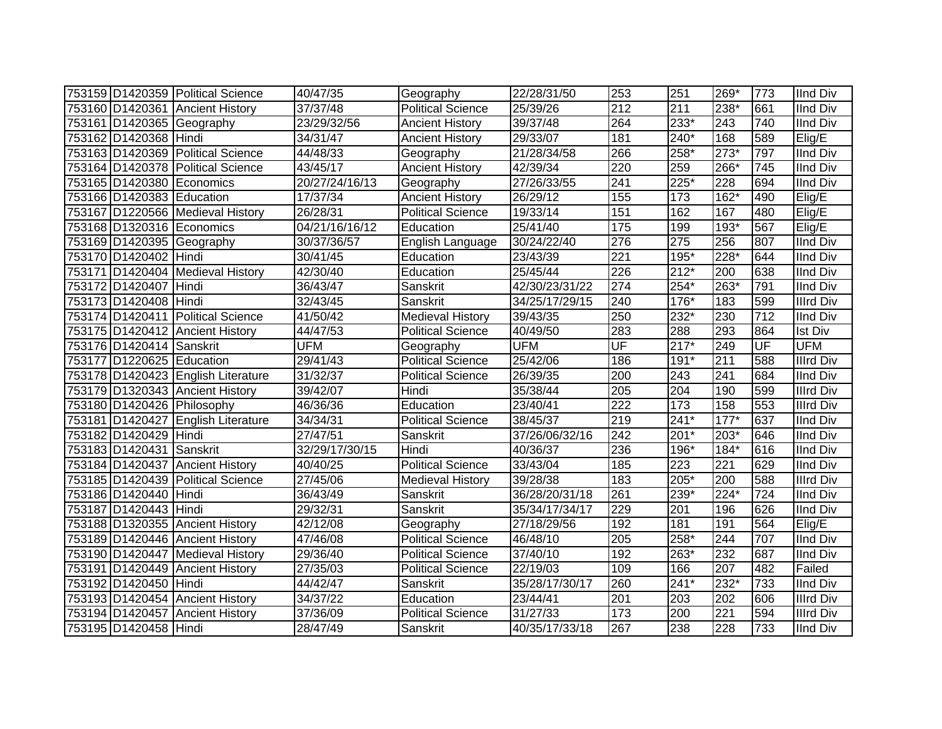|                           | 753159 D1420359 Political Science  | 40/47/35       | Geography                | 22/28/31/50    | 253              | 251    | 269*             | 773       | <b>IInd Div</b>  |
|---------------------------|------------------------------------|----------------|--------------------------|----------------|------------------|--------|------------------|-----------|------------------|
|                           | 753160 D1420361 Ancient History    | 37/37/48       | <b>Political Science</b> | 25/39/26       | 212              | 211    | 238*             | 661       | <b>IInd Div</b>  |
|                           | 753161 D1420365 Geography          | 23/29/32/56    | <b>Ancient History</b>   | 39/37/48       | 264              | $233*$ | $\overline{243}$ | 740       | <b>IInd Div</b>  |
| 753162 D1420368 Hindi     |                                    | 34/31/47       | <b>Ancient History</b>   | 29/33/07       | 181              | $240*$ | 168              | 589       | Elig/E           |
|                           | 753163 D1420369 Political Science  | 44/48/33       | Geography                | 21/28/34/58    | 266              | 258*   | $273*$           | 797       | <b>IInd Div</b>  |
|                           | 753164 D1420378 Political Science  | 43/45/17       | <b>Ancient History</b>   | 42/39/34       | 220              | 259    | 266*             | 745       | <b>IInd Div</b>  |
|                           | 753165 D1420380 Economics          | 20/27/24/16/13 | Geography                | 27/26/33/55    | 241              | $225*$ | 228              | 694       | <b>IInd Div</b>  |
| 753166 D1420383 Education |                                    | 17/37/34       | <b>Ancient History</b>   | 26/29/12       | 155              | 173    | 162*             | 490       | Elig/E           |
|                           | 753167 D1220566 Medieval History   | 26/28/31       | Political Science        | 19/33/14       | 151              | 162    | 167              | 480       | Elig/E           |
|                           | 753168 D1320316 Economics          | 04/21/16/16/12 | Education                | 25/41/40       | 175              | 199    | 193*             | 567       | Elig/E           |
|                           | 753169 D1420395 Geography          | 30/37/36/57    | English Language         | 30/24/22/40    | 276              | 275    | 256              | 807       | <b>IInd Div</b>  |
| 753170 D1420402 Hindi     |                                    | 30/41/45       | Education                | 23/43/39       | $\overline{221}$ | $195*$ | 228*             | 644       | <b>IInd Div</b>  |
|                           | 753171 D1420404 Medieval History   | 42/30/40       | Education                | 25/45/44       | 226              | $212*$ | 200              | 638       | <b>IInd Div</b>  |
| 753172 D1420407           | Hindi                              | 36/43/47       | Sanskrit                 | 42/30/23/31/22 | 274              | 254*   | 263*             | 791       | <b>IInd Div</b>  |
| 753173 D1420408 Hindi     |                                    | 32/43/45       | Sanskrit                 | 34/25/17/29/15 | 240              | 176*   | 183              | 599       | <b>Illrd Div</b> |
|                           | 753174 D1420411 Political Science  | 41/50/42       | <b>Medieval History</b>  | 39/43/35       | 250              | 232*   | 230              | 712       | <b>IInd Div</b>  |
|                           | 753175 D1420412 Ancient History    | 44/47/53       | <b>Political Science</b> | 40/49/50       | 283              | 288    | 293              | 864       | <b>Ist Div</b>   |
| 753176 D1420414 Sanskrit  |                                    | <b>UFM</b>     | Geography                | <b>UFM</b>     | UF               | $217*$ | 249              | <b>UF</b> | <b>UFM</b>       |
| 753177 D1220625 Education |                                    | 29/41/43       | <b>Political Science</b> | 25/42/06       | 186              | $191*$ | 211              | 588       | <b>Illrd Div</b> |
|                           | 753178 D1420423 English Literature | 31/32/37       | <b>Political Science</b> | 26/39/35       | 200              | 243    | 241              | 684       | <b>IInd Div</b>  |
|                           | 753179 D1320343 Ancient History    | 39/42/07       | Hindi                    | 35/38/44       | 205              | 204    | 190              | 599       | <b>Illrd Div</b> |
|                           | 753180 D1420426 Philosophy         | 46/36/36       | Education                | 23/40/41       | $\overline{222}$ | 173    | 158              | 553       | <b>Illrd Div</b> |
|                           | 753181 D1420427 English Literature | 34/34/31       | <b>Political Science</b> | 38/45/37       | 219              | $241*$ | $177*$           | 637       | <b>IInd Div</b>  |
| 753182 D1420429 Hindi     |                                    | 27/47/51       | Sanskrit                 | 37/26/06/32/16 | 242              | $201*$ | 203*             | 646       | <b>IInd Div</b>  |
| 753183 D1420431 Sanskrit  |                                    | 32/29/17/30/15 | Hindi                    | 40/36/37       | 236              | 196*   | $184*$           | 616       | <b>IInd Div</b>  |
|                           | 753184 D1420437 Ancient History    | 40/40/25       | <b>Political Science</b> | 33/43/04       | 185              | 223    | 221              | 629       | <b>IInd Div</b>  |
|                           | 753185 D1420439 Political Science  | 27/45/06       | <b>Medieval History</b>  | 39/28/38       | 183              | 205*   | 200              | 588       | <b>Illrd Div</b> |
| 753186 D1420440 Hindi     |                                    | 36/43/49       | Sanskrit                 | 36/28/20/31/18 | 261              | 239*   | 224*             | 724       | <b>IInd Div</b>  |
| 753187 D1420443 Hindi     |                                    | 29/32/31       | Sanskrit                 | 35/34/17/34/17 | 229              | 201    | 196              | 626       | <b>IInd Div</b>  |
|                           | 753188 D1320355 Ancient History    | 42/12/08       | Geography                | 27/18/29/56    | 192              | 181    | 191              | 564       | Elig/E           |
|                           | 753189 D1420446 Ancient History    | 47/46/08       | <b>Political Science</b> | 46/48/10       | 205              | 258*   | 244              | 707       | <b>IInd Div</b>  |
|                           | 753190 D1420447 Medieval History   | 29/36/40       | Political Science        | 37/40/10       | 192              | 263*   | 232              | 687       | <b>IInd Div</b>  |
|                           | 753191 D1420449 Ancient History    | 27/35/03       | <b>Political Science</b> | 22/19/03       | 109              | 166    | 207              | 482       | Failed           |
| 753192 D1420450 Hindi     |                                    | 44/42/47       | Sanskrit                 | 35/28/17/30/17 | 260              | $241*$ | $232*$           | 733       | <b>IInd Div</b>  |
|                           | 753193 D1420454 Ancient History    | 34/37/22       | Education                | 23/44/41       | 201              | 203    | 202              | 606       | <b>Illrd Div</b> |
|                           | 753194 D1420457 Ancient History    | 37/36/09       | <b>Political Science</b> | 31/27/33       | 173              | 200    | 221              | 594       | <b>Illrd Div</b> |
| 753195 D1420458 Hindi     |                                    | 28/47/49       | Sanskrit                 | 40/35/17/33/18 | 267              | 238    | 228              | 733       | <b>IInd Div</b>  |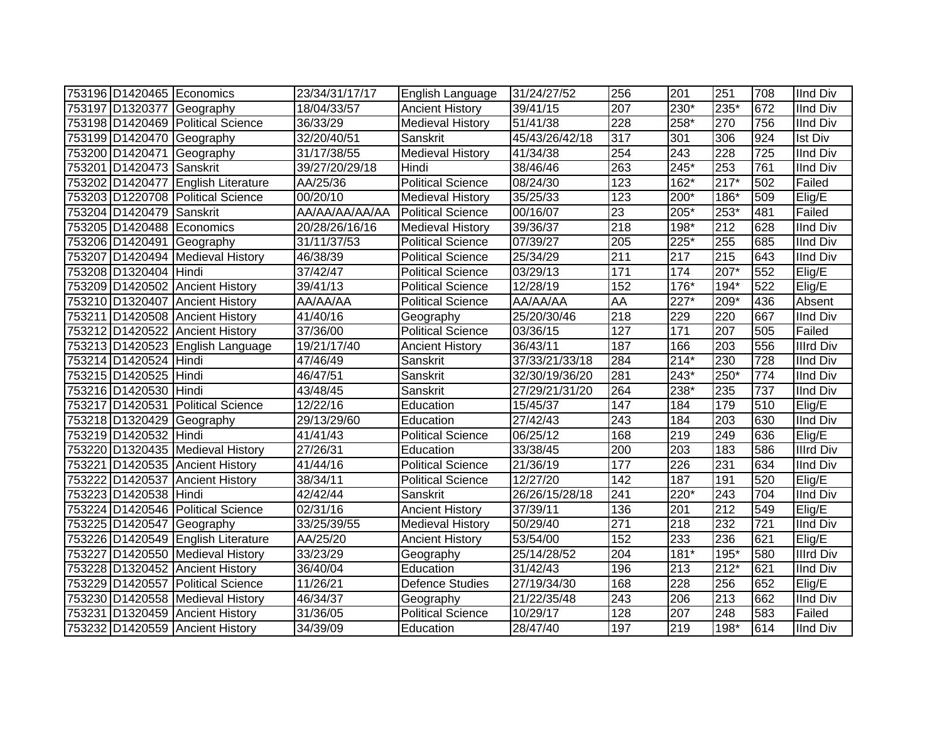| 753196 D1420465 Economics |                                    | 23/34/31/17/17        | English Language         | 31/24/27/52    | 256              | 201    | 251    | 708              | <b>IInd Div</b>  |
|---------------------------|------------------------------------|-----------------------|--------------------------|----------------|------------------|--------|--------|------------------|------------------|
|                           | 753197 D1320377 Geography          | 18/04/33/57           | <b>Ancient History</b>   | 39/41/15       | 207              | $230*$ | 235*   | 672              | <b>IInd Div</b>  |
|                           | 753198 D1420469 Political Science  | 36/33/29              | Medieval History         | 51/41/38       | 228              | 258*   | 270    | 756              | <b>IInd Div</b>  |
|                           | 753199 D1420470 Geography          | 32/20/40/51           | Sanskrit                 | 45/43/26/42/18 | $\overline{317}$ | 301    | 306    | 924              | <b>Ist Div</b>   |
| 753200 D1420471           | Geography                          | 31/17/38/55           | <b>Medieval History</b>  | 41/34/38       | 254              | 243    | 228    | $\overline{725}$ | <b>IInd Div</b>  |
| 753201 D1420473 Sanskrit  |                                    | 39/27/20/29/18        | Hindi                    | 38/46/46       | 263              | $245*$ | 253    | 761              | <b>IInd Div</b>  |
|                           | 753202 D1420477 English Literature | AA/25/36              | Political Science        | 08/24/30       | 123              | 162*   | $217*$ | 502              | Failed           |
|                           | 753203 D1220708 Political Science  | $\overline{00}/20/10$ | <b>Medieval History</b>  | 35/25/33       | 123              | 200*   | 186*   | 509              | Elig/E           |
| 753204 D1420479           | Sanskrit                           | AA/AA/AA/AA/AA        | <b>Political Science</b> | 00/16/07       | $\overline{23}$  | 205*   | 253*   | 481              | Failed           |
|                           | 753205 D1420488 Economics          | 20/28/26/16/16        | <b>Medieval History</b>  | 39/36/37       | 218              | 198*   | 212    | 628              | <b>IInd Div</b>  |
| 753206 D1420491           | Geography                          | 31/11/37/53           | <b>Political Science</b> | 07/39/27       | 205              | 225*   | 255    | 685              | <b>IInd Div</b>  |
| 753207 D1420494           | <b>Medieval History</b>            | 46/38/39              | <b>Political Science</b> | 25/34/29       | $\overline{211}$ | 217    | 215    | 643              | IInd Div         |
| 753208 D1320404           | Hindi                              | 37/42/47              | <b>Political Science</b> | 03/29/13       | 171              | 174    | 207*   | 552              | Elig/E           |
|                           | 753209 D1420502 Ancient History    | 39/41/13              | <b>Political Science</b> | 12/28/19       | 152              | 176*   | 194*   | 522              | Elig/E           |
| 753210 D1320407           | <b>Ancient History</b>             | AA/AA/AA              | Political Science        | AA/AA/AA       | AA               | 227*   | 209*   | 436              | Absent           |
| 753211 D1420508           | <b>Ancient History</b>             | 41/40/16              | Geography                | 25/20/30/46    | 218              | 229    | 220    | 667              | <b>IInd Div</b>  |
| 753212 D1420522           | <b>Ancient History</b>             | 37/36/00              | <b>Political Science</b> | 03/36/15       | 127              | 171    | 207    | 505              | Failed           |
|                           | 753213 D1420523 English Language   | 19/21/17/40           | <b>Ancient History</b>   | 36/43/11       | 187              | 166    | 203    | 556              | <b>Illrd Div</b> |
| 753214 D1420524 Hindi     |                                    | 47/46/49              | Sanskrit                 | 37/33/21/33/18 | 284              | $214*$ | 230    | 728              | <b>IInd Div</b>  |
| 753215 D1420525           | Hindi                              | 46/47/51              | Sanskrit                 | 32/30/19/36/20 | 281              | 243*   | 250*   | 774              | <b>IInd Div</b>  |
| 753216 D1420530 Hindi     |                                    | 43/48/45              | Sanskrit                 | 27/29/21/31/20 | 264              | 238*   | 235    | 737              | IInd Div         |
| 753217 D1420531           | <b>Political Science</b>           | 12/22/16              | Education                | 15/45/37       | 147              | 184    | 179    | 510              | Elig/E           |
|                           | 753218 D1320429 Geography          | 29/13/29/60           | Education                | 27/42/43       | 243              | 184    | 203    | 630              | <b>IInd Div</b>  |
| 753219 D1420532 Hindi     |                                    | 41/41/43              | <b>Political Science</b> | 06/25/12       | 168              | 219    | 249    | 636              | Elig/E           |
|                           | 753220 D1320435 Medieval History   | 27/26/31              | Education                | 33/38/45       | 200              | 203    | 183    | 586              | <b>Illrd Div</b> |
|                           | 753221 D1420535 Ancient History    | 41/44/16              | <b>Political Science</b> | 21/36/19       | 177              | 226    | 231    | 634              | <b>IInd Div</b>  |
|                           | 753222 D1420537 Ancient History    | 38/34/11              | <b>Political Science</b> | 12/27/20       | 142              | 187    | 191    | 520              | Elig/E           |
| 753223 D1420538 Hindi     |                                    | 42/42/44              | Sanskrit                 | 26/26/15/28/18 | 241              | 220*   | 243    | 704              | <b>IInd Div</b>  |
|                           | 753224 D1420546 Political Science  | 02/31/16              | <b>Ancient History</b>   | 37/39/11       | 136              | 201    | 212    | 549              | Elig/E           |
|                           | 753225 D1420547 Geography          | 33/25/39/55           | Medieval History         | 50/29/40       | $\overline{271}$ | 218    | 232    | $\overline{721}$ | <b>IInd Div</b>  |
|                           | 753226 D1420549 English Literature | AA/25/20              | <b>Ancient History</b>   | 53/54/00       | 152              | 233    | 236    | 621              | Elig/E           |
|                           | 753227 D1420550 Medieval History   | 33/23/29              | Geography                | 25/14/28/52    | 204              | $181*$ | 195*   | 580              | <b>Illrd Div</b> |
|                           | 753228 D1320452 Ancient History    | 36/40/04              | Education                | 31/42/43       | 196              | 213    | $212*$ | 621              | <b>IInd Div</b>  |
|                           | 753229 D1420557 Political Science  | 11/26/21              | <b>Defence Studies</b>   | 27/19/34/30    | 168              | 228    | 256    | 652              | Elig/E           |
|                           | 753230 D1420558 Medieval History   | 46/34/37              | Geography                | 21/22/35/48    | 243              | 206    | 213    | 662              | <b>IInd Div</b>  |
| 753231 D1320459           | <b>Ancient History</b>             | 31/36/05              | <b>Political Science</b> | 10/29/17       | 128              | 207    | 248    | 583              | Failed           |
|                           | 753232 D1420559 Ancient History    | 34/39/09              | Education                | 28/47/40       | 197              | 219    | 198*   | 614              | <b>IInd Div</b>  |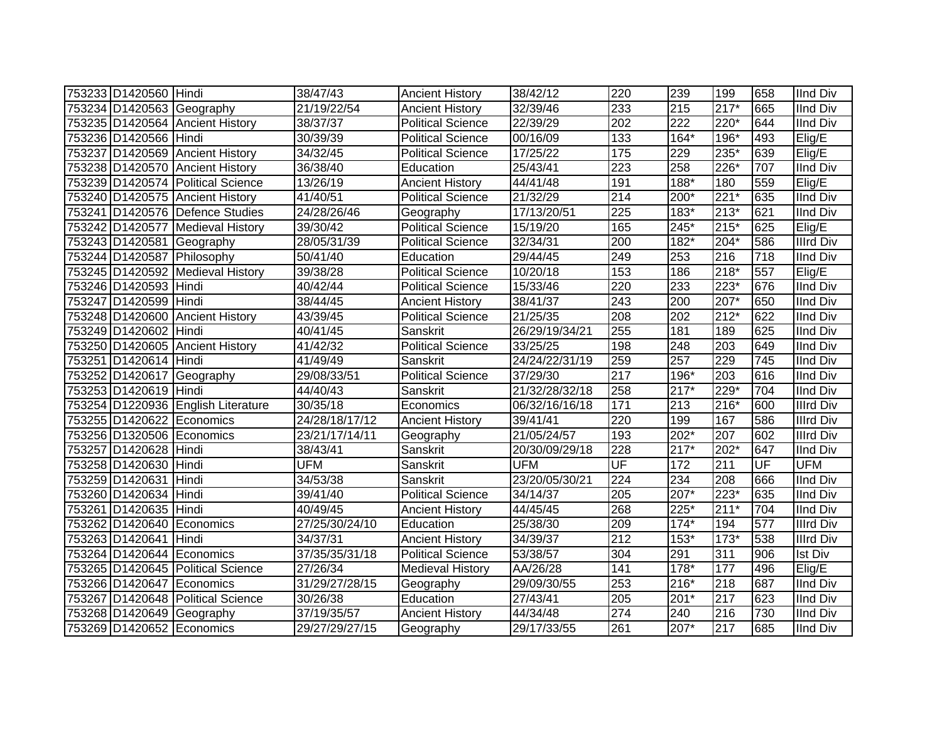| 753233 D1420560 Hindi |                                    | 38/47/43       | <b>Ancient History</b>   | 38/42/12       | 220                      | 239    | 199    | 658 | <b>IInd Div</b>  |
|-----------------------|------------------------------------|----------------|--------------------------|----------------|--------------------------|--------|--------|-----|------------------|
|                       | 753234 D1420563 Geography          | 21/19/22/54    | <b>Ancient History</b>   | 32/39/46       | 233                      | 215    | $217*$ | 665 | <b>IInd Div</b>  |
|                       | 753235 D1420564 Ancient History    | 38/37/37       | <b>Political Science</b> | 22/39/29       | 202                      | 222    | 220*   | 644 | <b>IInd Div</b>  |
| 753236 D1420566 Hindi |                                    | 30/39/39       | <b>Political Science</b> | 00/16/09       | 133                      | 164*   | 196*   | 493 | Elig/E           |
|                       | 753237 D1420569 Ancient History    | 34/32/45       | <b>Political Science</b> | 17/25/22       | $\frac{175}{175}$        | 229    | $235*$ | 639 | Elig/E           |
|                       | 753238 D1420570 Ancient History    | 36/38/40       | Education                | 25/43/41       | $\overline{223}$         | 258    | $226*$ | 707 | <b>IInd Div</b>  |
|                       | 753239 D1420574 Political Science  | 13/26/19       | <b>Ancient History</b>   | 44/41/48       | 191                      | 188*   | 180    | 559 | Elig/E           |
|                       | 753240 D1420575 Ancient History    | 41/40/51       | <b>Political Science</b> | 21/32/29       | $\overline{214}$         | 200*   | $221*$ | 635 | <b>IInd Div</b>  |
|                       | 753241 D1420576 Defence Studies    | 24/28/26/46    | Geography                | 17/13/20/51    | 225                      | 183*   | $213*$ | 621 | <b>IInd Div</b>  |
|                       | 753242 D1420577 Medieval History   | 39/30/42       | <b>Political Science</b> | 15/19/20       | 165                      | 245*   | $215*$ | 625 | Elig/E           |
|                       | 753243 D1420581 Geography          | 28/05/31/39    | <b>Political Science</b> | 32/34/31       | 200                      | $182*$ | $204*$ | 586 | Illrd Div        |
|                       | 753244 D1420587 Philosophy         | 50/41/40       | Education                | 29/44/45       | 249                      | 253    | 216    | 718 | <b>IInd Div</b>  |
|                       | 753245 D1420592 Medieval History   | 39/38/28       | <b>Political Science</b> | 10/20/18       | 153                      | 186    | $218*$ | 557 | Elig/E           |
| 753246 D1420593 Hindi |                                    | 40/42/44       | <b>Political Science</b> | 15/33/46       | 220                      | 233    | 223*   | 676 | <b>IInd Div</b>  |
| 753247 D1420599 Hindi |                                    | 38/44/45       | <b>Ancient History</b>   | 38/41/37       | 243                      | 200    | 207*   | 650 | <b>IInd Div</b>  |
|                       | 753248 D1420600 Ancient History    | 43/39/45       | <b>Political Science</b> | 21/25/35       | 208                      | 202    | $212*$ | 622 | <b>IInd Div</b>  |
| 753249 D1420602 Hindi |                                    | 40/41/45       | Sanskrit                 | 26/29/19/34/21 | 255                      | 181    | 189    | 625 | <b>IInd Div</b>  |
|                       | 753250 D1420605 Ancient History    | 41/42/32       | <b>Political Science</b> | 33/25/25       | 198                      | 248    | 203    | 649 | <b>IInd Div</b>  |
| 753251 D1420614 Hindi |                                    | 41/49/49       | Sanskrit                 | 24/24/22/31/19 | 259                      | 257    | 229    | 745 | <b>IInd Div</b>  |
|                       | 753252 D1420617 Geography          | 29/08/33/51    | <b>Political Science</b> | 37/29/30       | 217                      | 196*   | 203    | 616 | <b>IInd Div</b>  |
| 753253 D1420619 Hindi |                                    | 44/40/43       | Sanskrit                 | 21/32/28/32/18 | 258                      | $217*$ | 229*   | 704 | <b>IInd Div</b>  |
|                       | 753254 D1220936 English Literature | 30/35/18       | Economics                | 06/32/16/16/18 | 171                      | 213    | $216*$ | 600 | <b>Illrd Div</b> |
|                       | 753255 D1420622 Economics          | 24/28/18/17/12 | <b>Ancient History</b>   | 39/41/41       | $\overline{220}$         | 199    | 167    | 586 | <b>Illrd Div</b> |
|                       | 753256 D1320506 Economics          | 23/21/17/14/11 | Geography                | 21/05/24/57    | 193                      | $202*$ | 207    | 602 | <b>Illrd Div</b> |
| 753257 D1420628 Hindi |                                    | 38/43/41       | Sanskrit                 | 20/30/09/29/18 | 228                      | $217*$ | 202*   | 647 | <b>IInd Div</b>  |
| 753258 D1420630 Hindi |                                    | <b>UFM</b>     | Sanskrit                 | <b>UFM</b>     | $\overline{\mathsf{UF}}$ | 172    | 211    | UF  | <b>UFM</b>       |
| 753259 D1420631 Hindi |                                    | 34/53/38       | Sanskrit                 | 23/20/05/30/21 | $\overline{224}$         | 234    | 208    | 666 | <b>IInd Div</b>  |
| 753260 D1420634 Hindi |                                    | 39/41/40       | <b>Political Science</b> | 34/14/37       | 205                      | 207*   | $223*$ | 635 | <b>IInd Div</b>  |
| 753261 D1420635 Hindi |                                    | 40/49/45       | <b>Ancient History</b>   | 44/45/45       | 268                      | 225*   | $211*$ | 704 | <b>IInd Div</b>  |
|                       | 753262 D1420640 Economics          | 27/25/30/24/10 | Education                | 25/38/30       | 209                      | $174*$ | 194    | 577 | <b>Illrd Div</b> |
| 753263 D1420641 Hindi |                                    | 34/37/31       | <b>Ancient History</b>   | 34/39/37       | 212                      | 153*   | $173*$ | 538 | <b>Illrd Div</b> |
|                       | 753264 D1420644 Economics          | 37/35/35/31/18 | <b>Political Science</b> | 53/38/57       | 304                      | 291    | 311    | 906 | <b>Ist Div</b>   |
|                       | 753265 D1420645 Political Science  | 27/26/34       | Medieval History         | AA/26/28       | 141                      | $178*$ | 177    | 496 | Elig/E           |
|                       | 753266 D1420647 Economics          | 31/29/27/28/15 | Geography                | 29/09/30/55    | 253                      | $216*$ | 218    | 687 | <b>IInd Div</b>  |
|                       | 753267 D1420648 Political Science  | 30/26/38       | Education                | 27/43/41       | 205                      | 201*   | 217    | 623 | <b>IInd Div</b>  |
| 753268 D1420649       | Geography                          | 37/19/35/57    | <b>Ancient History</b>   | 44/34/48       | 274                      | 240    | 216    | 730 | <b>IInd Div</b>  |
|                       | 753269 D1420652 Economics          | 29/27/29/27/15 | Geography                | 29/17/33/55    | 261                      | $207*$ | 217    | 685 | <b>IInd Div</b>  |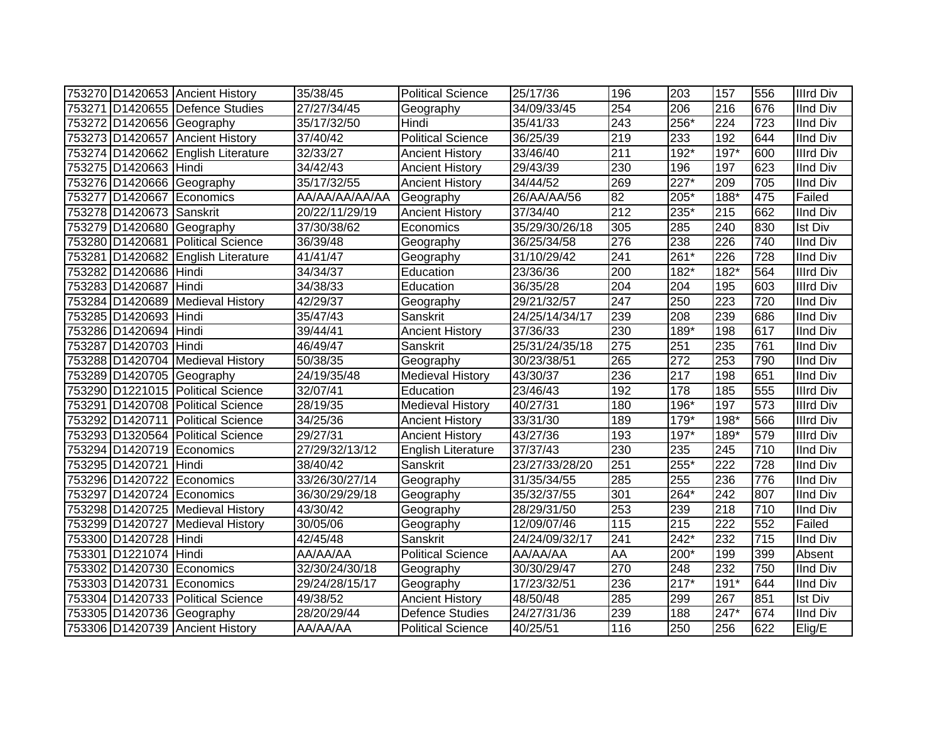|                           | 753270 D1420653 Ancient History    | 35/38/45       | <b>Political Science</b>  | 25/17/36       | 196              | 203    | 157              | 556 | <b>Illrd Div</b> |
|---------------------------|------------------------------------|----------------|---------------------------|----------------|------------------|--------|------------------|-----|------------------|
|                           | 753271 D1420655 Defence Studies    | 27/27/34/45    | Geography                 | 34/09/33/45    | 254              | 206    | 216              | 676 | <b>IInd Div</b>  |
|                           | 753272 D1420656 Geography          | 35/17/32/50    | Hindi                     | 35/41/33       | $\overline{243}$ | 256*   | $\overline{224}$ | 723 | <b>IInd Div</b>  |
|                           | 753273 D1420657 Ancient History    | 37/40/42       | <b>Political Science</b>  | 36/25/39       | $\overline{219}$ | 233    | 192              | 644 | <b>IInd Div</b>  |
|                           | 753274 D1420662 English Literature | 32/33/27       | <b>Ancient History</b>    | 33/46/40       | $\overline{211}$ | $192*$ | $197*$           | 600 | <b>Illrd Div</b> |
| 753275 D1420663 Hindi     |                                    | 34/42/43       | <b>Ancient History</b>    | 29/43/39       | 230              | 196    | 197              | 623 | <b>IInd Div</b>  |
|                           | 753276 D1420666 Geography          | 35/17/32/55    | <b>Ancient History</b>    | 34/44/52       | 269              | 227*   | 209              | 705 | <b>IInd Div</b>  |
|                           | 753277 D1420667 Economics          | AA/AA/AA/AA/AA | Geography                 | 26/AA/AA/56    | 82               | 205*   | $188*$           | 475 | Failed           |
| 753278 D1420673 Sanskrit  |                                    | 20/22/11/29/19 | <b>Ancient History</b>    | 37/34/40       | $\overline{212}$ | 235*   | 215              | 662 | <b>IInd Div</b>  |
|                           | 753279 D1420680 Geography          | 37/30/38/62    | Economics                 | 35/29/30/26/18 | 305              | 285    | 240              | 830 | Ist Div          |
|                           | 753280 D1420681 Political Science  | 36/39/48       | Geography                 | 36/25/34/58    | 276              | 238    | 226              | 740 | <b>IInd Div</b>  |
|                           | 753281 D1420682 English Literature | 41/41/47       | Geography                 | 31/10/29/42    | 241              | $261*$ | 226              | 728 | <b>IInd Div</b>  |
| 753282 D1420686 Hindi     |                                    | 34/34/37       | Education                 | 23/36/36       | 200              | $182*$ | $182*$           | 564 | <b>Illrd Div</b> |
| 753283 D1420687           | Hindi                              | 34/38/33       | Education                 | 36/35/28       | 204              | 204    | 195              | 603 | <b>Illrd Div</b> |
|                           | 753284 D1420689 Medieval History   | 42/29/37       | Geography                 | 29/21/32/57    | 247              | 250    | 223              | 720 | <b>IInd Div</b>  |
| 753285 D1420693 Hindi     |                                    | 35/47/43       | Sanskrit                  | 24/25/14/34/17 | 239              | 208    | 239              | 686 | <b>IInd Div</b>  |
| 753286 D1420694 Hindi     |                                    | 39/44/41       | <b>Ancient History</b>    | 37/36/33       | 230              | 189*   | 198              | 617 | <b>IInd Div</b>  |
| 753287 D1420703 Hindi     |                                    | 46/49/47       | Sanskrit                  | 25/31/24/35/18 | 275              | 251    | 235              | 761 | <b>IInd Div</b>  |
|                           | 753288 D1420704 Medieval History   | 50/38/35       | Geography                 | 30/23/38/51    | 265              | 272    | 253              | 790 | <b>IInd Div</b>  |
|                           | 753289 D1420705 Geography          | 24/19/35/48    | <b>Medieval History</b>   | 43/30/37       | 236              | 217    | 198              | 651 | <b>IInd Div</b>  |
|                           | 753290 D1221015 Political Science  | 32/07/41       | Education                 | 23/46/43       | 192              | 178    | 185              | 555 | <b>Illrd Div</b> |
|                           | 753291 D1420708 Political Science  | 28/19/35       | <b>Medieval History</b>   | 40/27/31       | 180              | 196*   | 197              | 573 | <b>Illrd Div</b> |
|                           | 753292 D1420711 Political Science  | 34/25/36       | <b>Ancient History</b>    | 33/31/30       | 189              | $179*$ | 198*             | 566 | <b>Illrd Div</b> |
|                           | 753293 D1320564 Political Science  | 29/27/31       | <b>Ancient History</b>    | 43/27/36       | 193              | 197*   | 189*             | 579 | <b>Illrd Div</b> |
| 753294 D1420719 Economics |                                    | 27/29/32/13/12 | <b>English Literature</b> | 37/37/43       | 230              | 235    | 245              | 710 | <b>IInd Div</b>  |
| 753295 D1420721 Hindi     |                                    | 38/40/42       | Sanskrit                  | 23/27/33/28/20 | 251              | 255*   | 222              | 728 | <b>IInd Div</b>  |
|                           | 753296 D1420722 Economics          | 33/26/30/27/14 | Geography                 | 31/35/34/55    | 285              | 255    | 236              | 776 | <b>IInd Div</b>  |
|                           | 753297 D1420724 Economics          | 36/30/29/29/18 | Geography                 | 35/32/37/55    | 301              | 264*   | 242              | 807 | <b>IInd Div</b>  |
|                           | 753298 D1420725 Medieval History   | 43/30/42       | Geography                 | 28/29/31/50    | 253              | 239    | 218              | 710 | <b>IInd Div</b>  |
|                           | 753299 D1420727 Medieval History   | 30/05/06       | Geography                 | 12/09/07/46    | 115              | 215    | $\overline{222}$ | 552 | Failed           |
| 753300 D1420728 Hindi     |                                    | 42/45/48       | Sanskrit                  | 24/24/09/32/17 | 241              | $242*$ | 232              | 715 | <b>IInd Div</b>  |
| 753301 D1221074 Hindi     |                                    | AA/AA/AA       | <b>Political Science</b>  | AA/AA/AA       | AA               | 200*   | 199              | 399 | Absent           |
| 753302 D1420730           | Economics                          | 32/30/24/30/18 | Geography                 | 30/30/29/47    | 270              | 248    | 232              | 750 | <b>IInd Div</b>  |
|                           | 753303 D1420731 Economics          | 29/24/28/15/17 | Geography                 | 17/23/32/51    | 236              | $217*$ | $191*$           | 644 | <b>IInd Div</b>  |
|                           | 753304 D1420733 Political Science  | 49/38/52       | <b>Ancient History</b>    | 48/50/48       | 285              | 299    | 267              | 851 | <b>Ist Div</b>   |
|                           | 753305 D1420736 Geography          | 28/20/29/44    | <b>Defence Studies</b>    | 24/27/31/36    | 239              | 188    | 247*             | 674 | <b>IInd Div</b>  |
|                           | 753306 D1420739 Ancient History    | AA/AA/AA       | <b>Political Science</b>  | 40/25/51       | 116              | 250    | 256              | 622 | Elig/E           |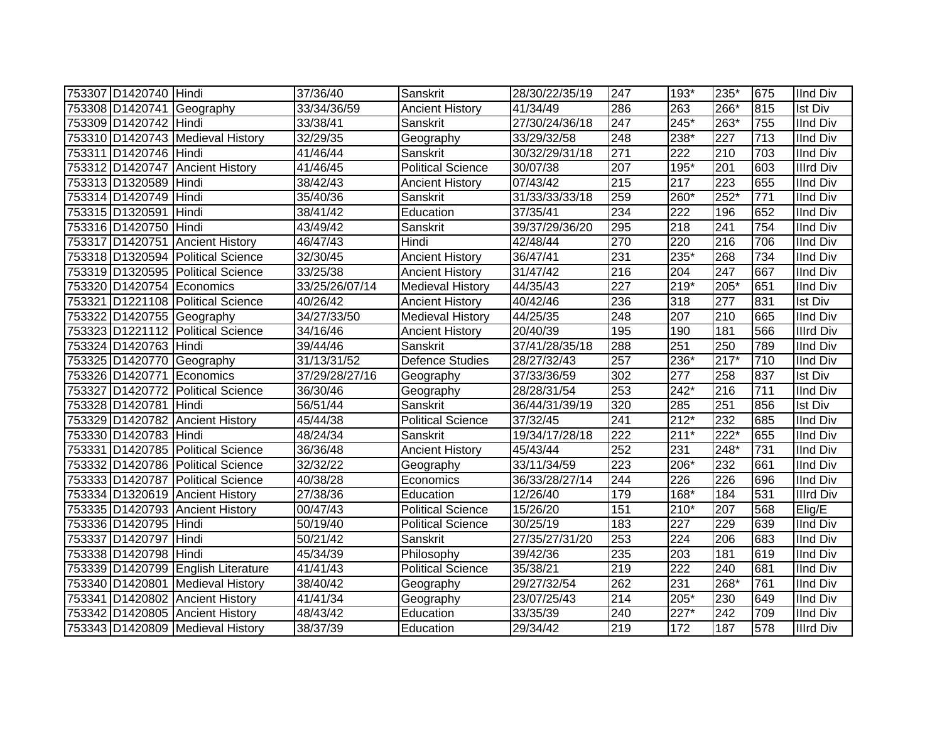| 753307 D1420740 Hindi |                                    | 37/36/40       | Sanskrit                 | 28/30/22/35/19 | 247              | 193*             | 235*             | 675 | <b>IInd Div</b>  |
|-----------------------|------------------------------------|----------------|--------------------------|----------------|------------------|------------------|------------------|-----|------------------|
|                       | 753308 D1420741 Geography          | 33/34/36/59    | <b>Ancient History</b>   | 41/34/49       | 286              | 263              | 266*             | 815 | <b>Ist Div</b>   |
| 753309 D1420742 Hindi |                                    | 33/38/41       | Sanskrit                 | 27/30/24/36/18 | $\overline{247}$ | $245*$           | $263*$           | 755 | <b>IInd Div</b>  |
|                       | 753310 D1420743 Medieval History   | 32/29/35       | Geography                | 33/29/32/58    | 248              | 238*             | $\overline{227}$ | 713 | <b>IInd Div</b>  |
| 753311 D1420746 Hindi |                                    | 41/46/44       | Sanskrit                 | 30/32/29/31/18 | $\overline{271}$ | $\overline{222}$ | 210              | 703 | <b>IInd Div</b>  |
|                       | 753312 D1420747 Ancient History    | 41/46/45       | <b>Political Science</b> | 30/07/38       | 207              | $195*$           | $\overline{201}$ | 603 | <b>Illrd Div</b> |
| 753313 D1320589       | Hindi                              | 38/42/43       | <b>Ancient History</b>   | 07/43/42       | 215              | 217              | 223              | 655 | <b>IInd Div</b>  |
| 753314 D1420749 Hindi |                                    | 35/40/36       | Sanskrit                 | 31/33/33/33/18 | 259              | 260*             | $252*$           | 771 | <b>IInd Div</b>  |
| 753315 D1320591 Hindi |                                    | 38/41/42       | Education                | 37/35/41       | 234              | 222              | 196              | 652 | <b>IInd Div</b>  |
| 753316 D1420750 Hindi |                                    | 43/49/42       | Sanskrit                 | 39/37/29/36/20 | 295              | 218              | 241              | 754 | <b>IInd Div</b>  |
|                       | 753317 D1420751 Ancient History    | 46/47/43       | Hindi                    | 42/48/44       | 270              | 220              | $\overline{216}$ | 706 | <b>IInd Div</b>  |
|                       | 753318 D1320594 Political Science  | 32/30/45       | <b>Ancient History</b>   | 36/47/41       | 231              | 235*             | 268              | 734 | <b>IInd Div</b>  |
|                       | 753319 D1320595 Political Science  | 33/25/38       | <b>Ancient History</b>   | 31/47/42       | 216              | 204              | 247              | 667 | <b>IInd Div</b>  |
|                       | 753320 D1420754 Economics          | 33/25/26/07/14 | <b>Medieval History</b>  | 44/35/43       | 227              | $219*$           | 205*             | 651 | <b>IInd Div</b>  |
|                       | 753321 D1221108 Political Science  | 40/26/42       | <b>Ancient History</b>   | 40/42/46       | 236              | 318              | 277              | 831 | <b>Ist Div</b>   |
|                       | 753322 D1420755 Geography          | 34/27/33/50    | <b>Medieval History</b>  | 44/25/35       | 248              | 207              | 210              | 665 | <b>IInd Div</b>  |
|                       | 753323 D1221112 Political Science  | 34/16/46       | <b>Ancient History</b>   | 20/40/39       | 195              | 190              | 181              | 566 | <b>Illrd Div</b> |
| 753324 D1420763 Hindi |                                    | 39/44/46       | Sanskrit                 | 37/41/28/35/18 | 288              | 251              | $\overline{250}$ | 789 | <b>IInd Div</b>  |
|                       | 753325 D1420770 Geography          | 31/13/31/52    | Defence Studies          | 28/27/32/43    | $\overline{257}$ | 236*             | $217*$           | 710 | <b>IInd Div</b>  |
|                       | 753326 D1420771 Economics          | 37/29/28/27/16 | Geography                | 37/33/36/59    | 302              | 277              | 258              | 837 | <b>Ist Div</b>   |
|                       | 753327 D1420772 Political Science  | 36/30/46       | Geography                | 28/28/31/54    | 253              | 242*             | 216              | 711 | <b>IInd Div</b>  |
| 753328 D1420781 Hindi |                                    | 56/51/44       | Sanskrit                 | 36/44/31/39/19 | 320              | 285              | 251              | 856 | <b>Ist Div</b>   |
|                       | 753329 D1420782 Ancient History    | 45/44/38       | <b>Political Science</b> | 37/32/45       | 241              | $212*$           | 232              | 685 | <b>IInd Div</b>  |
| 753330 D1420783 Hindi |                                    | 48/24/34       | Sanskrit                 | 19/34/17/28/18 | 222              | $211*$           | $222*$           | 655 | <b>IInd Div</b>  |
|                       | 753331 D1420785 Political Science  | 36/36/48       | <b>Ancient History</b>   | 45/43/44       | 252              | 231              | 248*             | 731 | <b>IInd Div</b>  |
|                       | 753332 D1420786 Political Science  | 32/32/22       | Geography                | 33/11/34/59    | 223              | 206*             | 232              | 661 | <b>IInd Div</b>  |
|                       | 753333 D1420787 Political Science  | 40/38/28       | Economics                | 36/33/28/27/14 | 244              | 226              | $\overline{226}$ | 696 | <b>IInd Div</b>  |
|                       | 753334 D1320619 Ancient History    | 27/38/36       | Education                | 12/26/40       | 179              | $168*$           | 184              | 531 | <b>Illrd Div</b> |
|                       | 753335 D1420793 Ancient History    | 00/47/43       | <b>Political Science</b> | 15/26/20       | 151              | $210*$           | $\overline{207}$ | 568 | Elig/E           |
| 753336 D1420795 Hindi |                                    | 50/19/40       | <b>Political Science</b> | 30/25/19       | 183              | 227              | 229              | 639 | <b>IInd Div</b>  |
| 753337 D1420797 Hindi |                                    | 50/21/42       | Sanskrit                 | 27/35/27/31/20 | 253              | 224              | 206              | 683 | <b>IInd Div</b>  |
| 753338 D1420798 Hindi |                                    | 45/34/39       | Philosophy               | 39/42/36       | 235              | 203              | 181              | 619 | <b>IInd Div</b>  |
|                       | 753339 D1420799 English Literature | 41/41/43       | Political Science        | 35/38/21       | 219              | 222              | 240              | 681 | <b>IInd Div</b>  |
|                       | 753340 D1420801 Medieval History   | 38/40/42       | Geography                | 29/27/32/54    | 262              | 231              | 268*             | 761 | <b>IInd Div</b>  |
|                       | 753341 D1420802 Ancient History    | 41/41/34       | Geography                | 23/07/25/43    | 214              | 205*             | 230              | 649 | <b>IInd Div</b>  |
|                       | 753342 D1420805 Ancient History    | 48/43/42       | Education                | 33/35/39       | 240              | $227*$           | 242              | 709 | <b>IInd Div</b>  |
|                       | 753343 D1420809 Medieval History   | 38/37/39       | Education                | 29/34/42       | 219              | 172              | 187              | 578 | <b>Illrd Div</b> |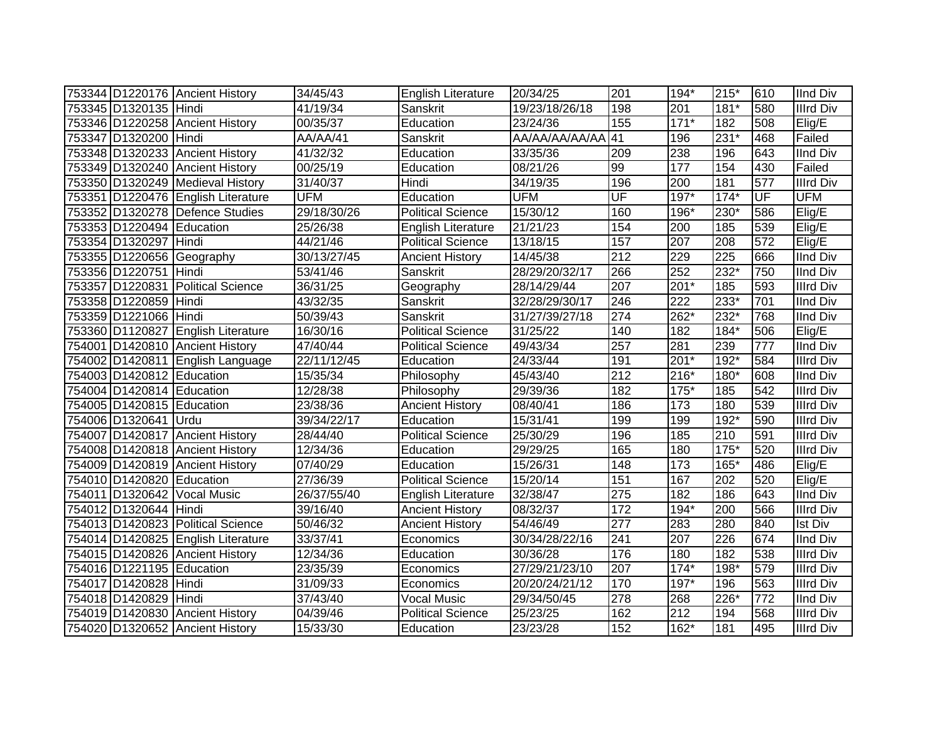|                           | 753344 D1220176 Ancient History    | 34/45/43              | <b>English Literature</b> | 20/34/25       | 201              | $194*$ | 215*   | 610                      | <b>IInd Div</b>  |
|---------------------------|------------------------------------|-----------------------|---------------------------|----------------|------------------|--------|--------|--------------------------|------------------|
| 753345 D1320135 Hindi     |                                    | 41/19/34              | Sanskrit                  | 19/23/18/26/18 | 198              | 201    | 181*   | 580                      | Illrd Div        |
|                           | 753346 D1220258 Ancient History    | 00/35/37              | Education                 | 23/24/36       | 155              | $171*$ | 182    | 508                      | Elig/E           |
| 753347 D1320200 Hindi     |                                    | AA/AA/41              | Sanskrit                  | AA/AA/AA/AA/AA | 41               | 196    | $231*$ | 468                      | Failed           |
|                           | 753348 D1320233 Ancient History    | 41/32/32              | Education                 | 33/35/36       | 209              | 238    | 196    | 643                      | <b>IInd Div</b>  |
|                           | 753349 D1320240 Ancient History    | 00/25/19              | Education                 | 08/21/26       | 99               | 177    | 154    | 430                      | Failed           |
|                           | 753350 D1320249 Medieval History   | 31/40/37              | Hindi                     | 34/19/35       | 196              | 200    | 181    | 577                      | <b>Illrd Div</b> |
|                           | 753351 D1220476 English Literature | <b>UFM</b>            | Education                 | <b>UFM</b>     | UF               | 197*   | $174*$ | $\overline{\mathsf{UF}}$ | <b>UFM</b>       |
|                           | 753352 D1320278 Defence Studies    | 29/18/30/26           | <b>Political Science</b>  | 15/30/12       | 160              | 196*   | 230*   | 586                      | Elig/E           |
| 753353 D1220494 Education |                                    | 25/26/38              | English Literature        | 21/21/23       | 154              | 200    | 185    | 539                      | Elig/E           |
| 753354 D1320297 Hindi     |                                    | 44/21/46              | <b>Political Science</b>  | 13/18/15       | 157              | 207    | 208    | 572                      | Elig/E           |
|                           | 753355 D1220656 Geography          | 30/13/27/45           | <b>Ancient History</b>    | 14/45/38       | $\overline{212}$ | 229    | 225    | 666                      | <b>IInd Div</b>  |
| 753356 D1220751           | Hindi                              | 53/41/46              | Sanskrit                  | 28/29/20/32/17 | 266              | 252    | $232*$ | 750                      | <b>IInd Div</b>  |
| 753357 D1220831           | <b>Political Science</b>           | 36/31/25              | Geography                 | 28/14/29/44    | 207              | $201*$ | 185    | 593                      | Illrd Div        |
| 753358 D1220859           | Hindi                              | 43/32/35              | Sanskrit                  | 32/28/29/30/17 | 246              | 222    | 233*   | 701                      | <b>IInd Div</b>  |
| 753359 D1221066 Hindi     |                                    | 50/39/43              | Sanskrit                  | 31/27/39/27/18 | 274              | 262*   | 232*   | 768                      | <b>IInd Div</b>  |
|                           | 753360 D1120827 English Literature | 16/30/16              | <b>Political Science</b>  | 31/25/22       | 140              | 182    | 184*   | 506                      | Elig/E           |
|                           | 754001 D1420810 Ancient History    | 47/40/44              | <b>Political Science</b>  | 49/43/34       | 257              | 281    | 239    | 777                      | <b>IInd Div</b>  |
|                           | 754002 D1420811 English Language   | 22/11/12/45           | Education                 | 24/33/44       | 191              | $201*$ | $192*$ | 584                      | <b>Illrd Div</b> |
| 754003 D1420812 Education |                                    | 15/35/34              | Philosophy                | 45/43/40       | 212              | 216*   | 180*   | 608                      | <b>IInd Div</b>  |
| 754004 D1420814 Education |                                    | 12/28/38              | Philosophy                | 29/39/36       | 182              | 175*   | 185    | 542                      | <b>Illrd Div</b> |
| 754005 D1420815 Education |                                    | 23/38/36              | <b>Ancient History</b>    | 08/40/41       | 186              | 173    | 180    | 539                      | <b>Illrd Div</b> |
| 754006 D1320641 Urdu      |                                    | 39/34/22/17           | Education                 | 15/31/41       | 199              | 199    | $192*$ | 590                      | <b>Illrd Div</b> |
|                           | 754007 D1420817 Ancient History    | 28/44/40              | <b>Political Science</b>  | 25/30/29       | 196              | 185    | 210    | 591                      | <b>Illrd Div</b> |
|                           | 754008 D1420818 Ancient History    | 12/34/36              | Education                 | 29/29/25       | 165              | 180    | 175*   | 520                      | <b>Illrd Div</b> |
|                           | 754009 D1420819 Ancient History    | 07/40/29              | Education                 | 15/26/31       | 148              | 173    | 165*   | 486                      | Elig/E           |
| 754010 D1420820 Education |                                    | 27/36/39              | <b>Political Science</b>  | 15/20/14       | 151              | 167    | 202    | 520                      | Elig/E           |
| 754011 D1320642           | <b>Vocal Music</b>                 | 26/37/55/40           | English Literature        | 32/38/47       | 275              | 182    | 186    | 643                      | <b>IInd Div</b>  |
| 754012 D1320644 Hindi     |                                    | 39/16/40              | <b>Ancient History</b>    | 08/32/37       | 172              | 194*   | 200    | 566                      | <b>Illrd Div</b> |
|                           | 754013 D1420823 Political Science  | 50/46/32              | <b>Ancient History</b>    | 54/46/49       | $\overline{277}$ | 283    | 280    | 840                      | <b>Ist Div</b>   |
|                           | 754014 D1420825 English Literature | 33/37/41              | Economics                 | 30/34/28/22/16 | 241              | 207    | 226    | 674                      | <b>IInd Div</b>  |
|                           | 754015 D1420826 Ancient History    | 12/34/36              | Education                 | 30/36/28       | 176              | 180    | 182    | 538                      | <b>Illrd Div</b> |
| 754016 D1221195 Education |                                    | 23/35/39              | Economics                 | 27/29/21/23/10 | 207              | $174*$ | $198*$ | 579                      | <b>Illrd Div</b> |
| 754017 D1420828 Hindi     |                                    | 31/09/33              | Economics                 | 20/20/24/21/12 | 170              | 197*   | 196    | 563                      | <b>Illrd Div</b> |
| 754018 D1420829           | Hindi                              | $\overline{37}/43/40$ | <b>Vocal Music</b>        | 29/34/50/45    | 278              | 268    | 226*   | 772                      | <b>IInd Div</b>  |
| 754019 D1420830           | <b>Ancient History</b>             | 04/39/46              | Political Science         | 25/23/25       | 162              | 212    | 194    | 568                      | <b>Illrd Div</b> |
|                           | 754020 D1320652 Ancient History    | 15/33/30              | Education                 | 23/23/28       | 152              | 162*   | 181    | 495                      | <b>Illrd Div</b> |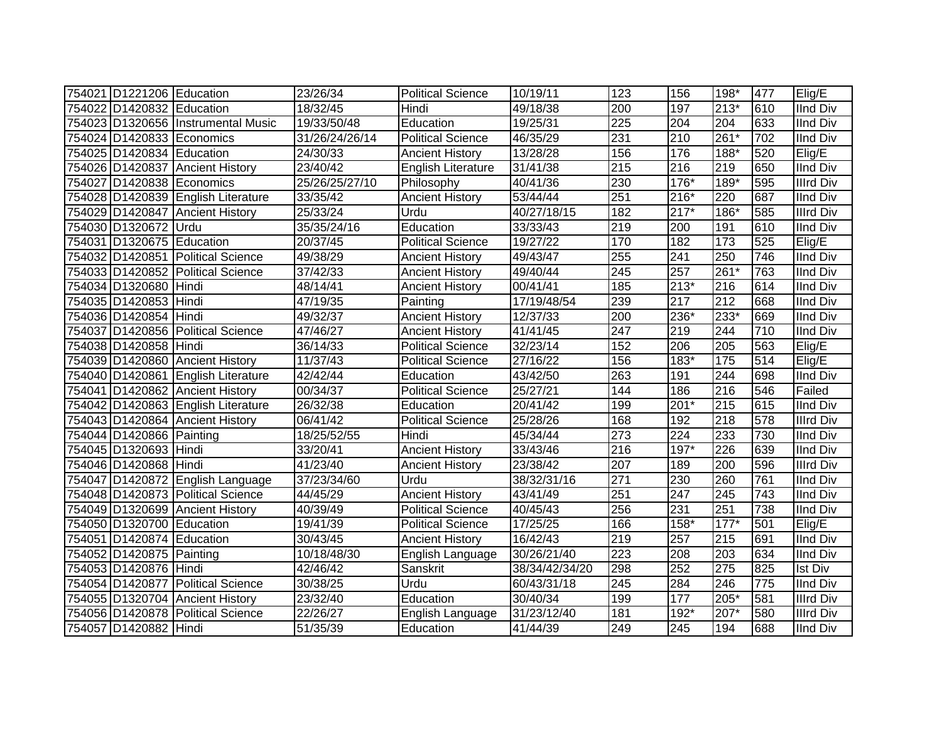| 754021 D1221206 Education |                                    | 23/26/34       | <b>Political Science</b>  | 10/19/11       | 123              | 156              | 198*   | 477 | Elig/E           |
|---------------------------|------------------------------------|----------------|---------------------------|----------------|------------------|------------------|--------|-----|------------------|
| 754022 D1420832 Education |                                    | 18/32/45       | Hindi                     | 49/18/38       | 200              | 197              | $213*$ | 610 | <b>IInd Div</b>  |
|                           | 754023 D1320656 Instrumental Music | 19/33/50/48    | Education                 | 19/25/31       | $\overline{225}$ | $\overline{204}$ | 204    | 633 | <b>IInd Div</b>  |
| 754024 D1420833 Economics |                                    | 31/26/24/26/14 | <b>Political Science</b>  | 46/35/29       | 231              | 210              | $261*$ | 702 | <b>IInd Div</b>  |
| 754025 D1420834 Education |                                    | 24/30/33       | <b>Ancient History</b>    | 13/28/28       | 156              | 176              | 188*   | 520 | Elig/E           |
|                           | 754026 D1420837 Ancient History    | 23/40/42       | <b>English Literature</b> | 31/41/38       | $\overline{215}$ | 216              | 219    | 650 | <b>IInd Div</b>  |
|                           | 754027 D1420838 Economics          | 25/26/25/27/10 | Philosophy                | 40/41/36       | 230              | $176*$           | 189*   | 595 | <b>Illrd Div</b> |
|                           | 754028 D1420839 English Literature | 33/35/42       | <b>Ancient History</b>    | 53/44/44       | 251              | $216*$           | 220    | 687 | <b>IInd Div</b>  |
|                           | 754029 D1420847 Ancient History    | 25/33/24       | Urdu                      | 40/27/18/15    | 182              | $217*$           | 186*   | 585 | <b>Illrd Div</b> |
| 754030 D1320672           | Urdu                               | 35/35/24/16    | Education                 | 33/33/43       | 219              | 200              | 191    | 610 | <b>IInd Div</b>  |
| 754031 D1320675 Education |                                    | 20/37/45       | <b>Political Science</b>  | 19/27/22       | 170              | 182              | 173    | 525 | Elig/E           |
|                           | 754032 D1420851 Political Science  | 49/38/29       | <b>Ancient History</b>    | 49/43/47       | 255              | 241              | 250    | 746 | <b>IInd Div</b>  |
|                           | 754033 D1420852 Political Science  | 37/42/33       | <b>Ancient History</b>    | 49/40/44       | 245              | 257              | 261*   | 763 | <b>IInd Div</b>  |
| 754034 D1320680           | Hindi                              | 48/14/41       | <b>Ancient History</b>    | 00/41/41       | 185              | $213*$           | 216    | 614 | <b>IInd Div</b>  |
| 754035 D1420853           | Hindi                              | 47/19/35       | Painting                  | 17/19/48/54    | 239              | $\overline{217}$ | 212    | 668 | <b>IInd Div</b>  |
| 754036 D1420854           | Hindi                              | 49/32/37       | <b>Ancient History</b>    | 12/37/33       | 200              | $236*$           | $233*$ | 669 | <b>IInd Div</b>  |
| 754037 D1420856           | <b>Political Science</b>           | 47/46/27       | <b>Ancient History</b>    | 41/41/45       | 247              | 219              | 244    | 710 | <b>IInd Div</b>  |
| 754038 D1420858 Hindi     |                                    | 36/14/33       | <b>Political Science</b>  | 32/23/14       | 152              | 206              | 205    | 563 | Elig/E           |
|                           | 754039 D1420860 Ancient History    | 11/37/43       | <b>Political Science</b>  | 27/16/22       | 156              | 183*             | 175    | 514 | Elig/E           |
|                           | 754040 D1420861 English Literature | 42/42/44       | Education                 | 43/42/50       | 263              | 191              | 244    | 698 | <b>IInd Div</b>  |
|                           | 754041 D1420862 Ancient History    | 00/34/37       | <b>Political Science</b>  | 25/27/21       | 144              | 186              | 216    | 546 | Failed           |
|                           | 754042 D1420863 English Literature | 26/32/38       | Education                 | 20/41/42       | 199              | $201*$           | 215    | 615 | <b>IInd Div</b>  |
|                           | 754043 D1420864 Ancient History    | 06/41/42       | <b>Political Science</b>  | 25/28/26       | 168              | 192              | 218    | 578 | <b>Illrd Div</b> |
| 754044 D1420866 Painting  |                                    | 18/25/52/55    | Hindi                     | 45/34/44       | 273              | 224              | 233    | 730 | <b>IInd Div</b>  |
| 754045 D1320693 Hindi     |                                    | 33/20/41       | <b>Ancient History</b>    | 33/43/46       | 216              | $197*$           | 226    | 639 | <b>IInd Div</b>  |
| 754046 D1420868 Hindi     |                                    | 41/23/40       | <b>Ancient History</b>    | 23/38/42       | 207              | 189              | 200    | 596 | <b>Illrd Div</b> |
|                           | 754047 D1420872 English Language   | 37/23/34/60    | Urdu                      | 38/32/31/16    | $\overline{271}$ | 230              | 260    | 761 | <b>IInd Div</b>  |
|                           | 754048 D1420873 Political Science  | 44/45/29       | <b>Ancient History</b>    | 43/41/49       | 251              | 247              | 245    | 743 | <b>IInd Div</b>  |
|                           | 754049 D1320699 Ancient History    | 40/39/49       | <b>Political Science</b>  | 40/45/43       | 256              | 231              | 251    | 738 | <b>IInd Div</b>  |
| 754050 D1320700 Education |                                    | 19/41/39       | Political Science         | 17/25/25       | 166              | 158*             | $177*$ | 501 | Elig/E           |
| 754051 D1420874 Education |                                    | 30/43/45       | <b>Ancient History</b>    | 16/42/43       | $\overline{219}$ | 257              | 215    | 691 | <b>IInd Div</b>  |
| 754052 D1420875 Painting  |                                    | 10/18/48/30    | English Language          | 30/26/21/40    | 223              | 208              | 203    | 634 | <b>IInd Div</b>  |
| 754053 D1420876 Hindi     |                                    | 42/46/42       | Sanskrit                  | 38/34/42/34/20 | 298              | 252              | 275    | 825 | <b>Ist Div</b>   |
|                           | 754054 D1420877 Political Science  | 30/38/25       | Urdu                      | 60/43/31/18    | $\overline{245}$ | 284              | 246    | 775 | <b>IInd Div</b>  |
|                           | 754055 D1320704 Ancient History    | 23/32/40       | Education                 | 30/40/34       | 199              | 177              | 205*   | 581 | <b>Illrd Div</b> |
|                           | 754056 D1420878 Political Science  | 22/26/27       | English Language          | 31/23/12/40    | 181              | 192*             | 207*   | 580 | <b>Illrd Div</b> |
| 754057 D1420882 Hindi     |                                    | 51/35/39       | Education                 | 41/44/39       | 249              | 245              | 194    | 688 | <b>IInd Div</b>  |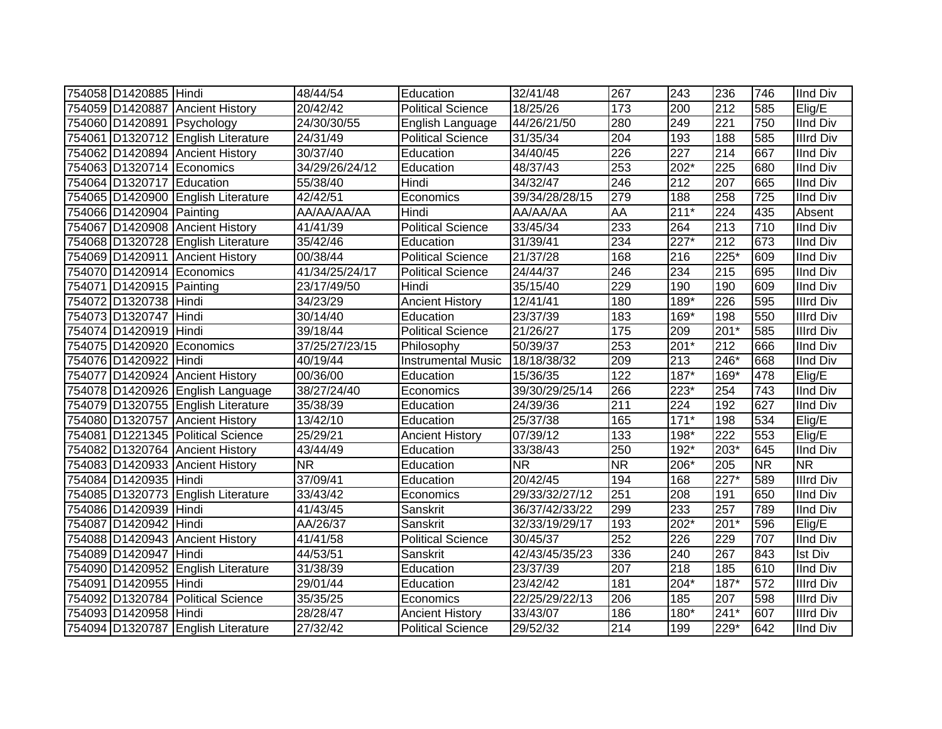| 754058 D1420885 Hindi     |                                    | 48/44/54          | Education                 | 32/41/48       | 267               | 243              | 236              | 746       | <b>IInd Div</b>  |
|---------------------------|------------------------------------|-------------------|---------------------------|----------------|-------------------|------------------|------------------|-----------|------------------|
|                           | 754059 D1420887 Ancient History    | 20/42/42          | Political Science         | 18/25/26       | 173               | 200              | 212              | 585       | Elig/E           |
|                           | 754060 D1420891 Psychology         | 24/30/30/55       | English Language          | 44/26/21/50    | 280               | 249              | 221              | 750       | <b>IInd Div</b>  |
|                           | 754061 D1320712 English Literature | 24/31/49          | <b>Political Science</b>  | 31/35/34       | 204               | 193              | 188              | 585       | <b>Illrd Div</b> |
|                           | 754062 D1420894 Ancient History    | 30/37/40          | Education                 | 34/40/45       | 226               | 227              | $\overline{214}$ | 667       | <b>IInd Div</b>  |
|                           | 754063 D1320714 Economics          | 34/29/26/24/12    | Education                 | 48/37/43       | 253               | $202*$           | 225              | 680       | <b>IInd Div</b>  |
| 754064 D1320717 Education |                                    | 55/38/40          | Hindi                     | 34/32/47       | 246               | 212              | 207              | 665       | <b>IInd Div</b>  |
|                           | 754065 D1420900 English Literature | 42/42/51          | Economics                 | 39/34/28/28/15 | 279               | 188              | 258              | 725       | <b>IInd Div</b>  |
| 754066 D1420904 Painting  |                                    | AA/AA/AA/AA       | Hindi                     | AA/AA/AA       | <b>AA</b>         | $211*$           | 224              | 435       | Absent           |
|                           | 754067 D1420908 Ancient History    | $\sqrt{41}/41/39$ | Political Science         | 33/45/34       | 233               | 264              | 213              | 710       | <b>IInd Div</b>  |
|                           | 754068 D1320728 English Literature | 35/42/46          | Education                 | 31/39/41       | 234               | $227*$           | 212              | 673       | <b>IInd Div</b>  |
|                           | 754069 D1420911 Ancient History    | 00/38/44          | <b>Political Science</b>  | 21/37/28       | 168               | 216              | 225*             | 609       | <b>IInd Div</b>  |
|                           | 754070 D1420914 Economics          | 41/34/25/24/17    | <b>Political Science</b>  | 24/44/37       | 246               | 234              | 215              | 695       | <b>IInd Div</b>  |
| 754071 D1420915 Painting  |                                    | 23/17/49/50       | Hindi                     | 35/15/40       | 229               | 190              | 190              | 609       | <b>IInd Div</b>  |
| 754072 D1320738           | Hindi                              | 34/23/29          | <b>Ancient History</b>    | 12/41/41       | 180               | 189*             | 226              | 595       | <b>Illrd Div</b> |
| 754073 D1320747           | Hindi                              | 30/14/40          | Education                 | 23/37/39       | 183               | 169*             | 198              | 550       | <b>Illrd Div</b> |
| 754074 D1420919           | Hindi                              | 39/18/44          | <b>Political Science</b>  | 21/26/27       | $\frac{175}{175}$ | 209              | 201*             | 585       | <b>Illrd Div</b> |
| 754075 D1420920 Economics |                                    | 37/25/27/23/15    | Philosophy                | 50/39/37       | 253               | $201*$           | 212              | 666       | <b>IInd Div</b>  |
| 754076 D1420922 Hindi     |                                    | 40/19/44          | <b>Instrumental Music</b> | 18/18/38/32    | 209               | 213              | $246*$           | 668       | <b>IInd Div</b>  |
|                           | 754077 D1420924 Ancient History    | 00/36/00          | Education                 | 15/36/35       | $\overline{122}$  | 187*             | 169*             | 478       | Elig/E           |
|                           | 754078 D1420926 English Language   | 38/27/24/40       | Economics                 | 39/30/29/25/14 | 266               | $223*$           | 254              | 743       | <b>IInd Div</b>  |
|                           | 754079 D1320755 English Literature | 35/38/39          | Education                 | 24/39/36       | $\overline{211}$  | 224              | 192              | 627       | <b>IInd Div</b>  |
|                           | 754080 D1320757 Ancient History    | 13/42/10          | Education                 | 25/37/38       | 165               | $171*$           | 198              | 534       | Elig/E           |
|                           | 754081 D1221345 Political Science  | 25/29/21          | <b>Ancient History</b>    | 07/39/12       | 133               | 198*             | 222              | 553       | Elig/E           |
|                           | 754082 D1320764 Ancient History    | 43/44/49          | Education                 | 33/38/43       | 250               | 192*             | 203*             | 645       | <b>IInd Div</b>  |
|                           | 754083 D1420933 Ancient History    | <b>NR</b>         | Education                 | <b>NR</b>      | <b>NR</b>         | 206*             | 205              | <b>NR</b> | <b>NR</b>        |
| 754084 D1420935 Hindi     |                                    | 37/09/41          | Education                 | 20/42/45       | 194               | 168              | $227*$           | 589       | <b>Illrd Div</b> |
|                           | 754085 D1320773 English Literature | 33/43/42          | Economics                 | 29/33/32/27/12 | 251               | 208              | 191              | 650       | <b>IInd Div</b>  |
| 754086 D1420939           | Hindi                              | 41/43/45          | Sanskrit                  | 36/37/42/33/22 | 299               | 233              | 257              | 789       | <b>IInd Div</b>  |
| 754087 D1420942 Hindi     |                                    | AA/26/37          | Sanskrit                  | 32/33/19/29/17 | 193               | $202*$           | 201*             | 596       | Elig/E           |
|                           | 754088 D1420943 Ancient History    | 41/41/58          | <b>Political Science</b>  | 30/45/37       | 252               | 226              | 229              | 707       | <b>IInd Div</b>  |
| 754089 D1420947 Hindi     |                                    | 44/53/51          | Sanskrit                  | 42/43/45/35/23 | 336               | 240              | 267              | 843       | <b>Ist Div</b>   |
|                           | 754090 D1420952 English Literature | 31/38/39          | Education                 | 23/37/39       | 207               | $\overline{218}$ | 185              | 610       | <b>IInd Div</b>  |
| 754091 D1420955 Hindi     |                                    | 29/01/44          | Education                 | 23/42/42       | 181               | 204*             | $187*$           | 572       | <b>Illrd Div</b> |
| 754092 D1320784           | <b>Political Science</b>           | 35/35/25          | Economics                 | 22/25/29/22/13 | 206               | 185              | 207              | 598       | <b>Illrd Div</b> |
| 754093 D1420958           | Hindi                              | 28/28/47          | <b>Ancient History</b>    | 33/43/07       | 186               | 180*             | $241*$           | 607       | <b>Illrd Div</b> |
|                           | 754094 D1320787 English Literature | 27/32/42          | <b>Political Science</b>  | 29/52/32       | 214               | 199              | 229*             | 642       | <b>IInd Div</b>  |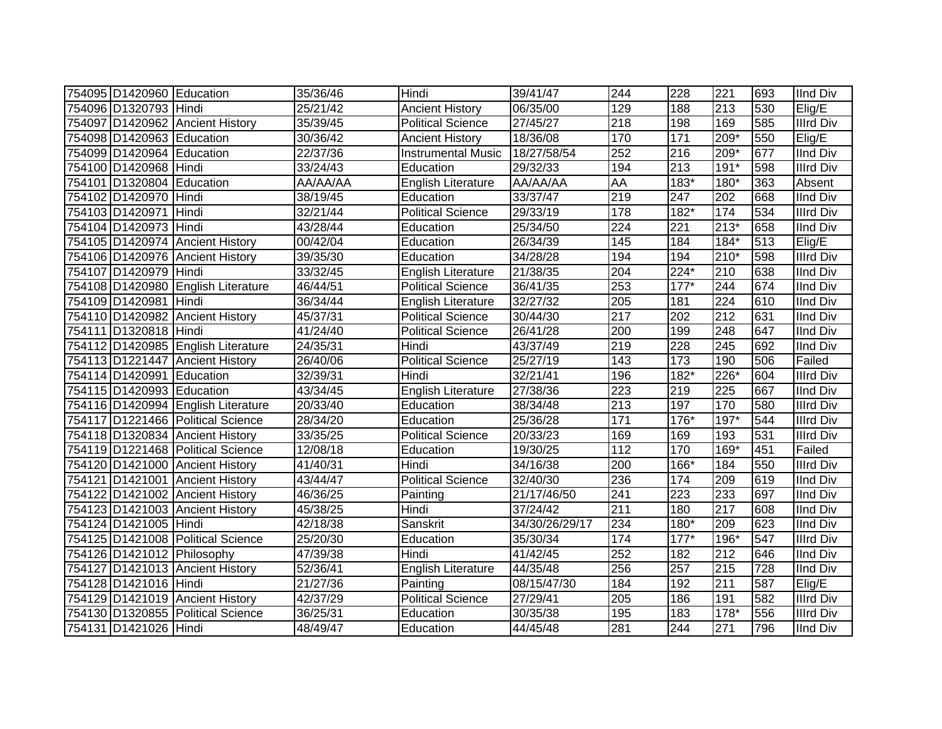| 754095 D1420960 Education |                                    | 35/36/46 | Hindi                     | 39/41/47       | 244 | 228               | 221    | 693 | <b>IInd Div</b>  |
|---------------------------|------------------------------------|----------|---------------------------|----------------|-----|-------------------|--------|-----|------------------|
| 754096 D1320793 Hindi     |                                    | 25/21/42 | <b>Ancient History</b>    | 06/35/00       | 129 | 188               | 213    | 530 | Elig/E           |
|                           | 754097 D1420962 Ancient History    | 35/39/45 | <b>Political Science</b>  | 27/45/27       | 218 | 198               | 169    | 585 | <b>Illrd Div</b> |
| 754098 D1420963 Education |                                    | 30/36/42 | <b>Ancient History</b>    | 18/36/08       | 170 | $\overline{171}$  | 209*   | 550 | Elig/E           |
| 754099 D1420964 Education |                                    | 22/37/36 | <b>Instrumental Music</b> | 18/27/58/54    | 252 | 216               | $209*$ | 677 | <b>IInd Div</b>  |
| 754100 D1420968 Hindi     |                                    | 33/24/43 | Education                 | 29/32/33       | 194 | 213               | $191*$ | 598 | <b>Illrd Div</b> |
| 754101 D1320804 Education |                                    | AA/AA/AA | English Literature        | AA/AA/AA       | AA  | $\overline{1}83*$ | 180*   | 363 | Absent           |
| 754102 D1420970 Hindi     |                                    | 38/19/45 | Education                 | 33/37/47       | 219 | $\overline{247}$  | 202    | 668 | <b>IInd Div</b>  |
| 754103 D1420971 Hindi     |                                    | 32/21/44 | <b>Political Science</b>  | 29/33/19       | 178 | $182*$            | 174    | 534 | <b>Illrd Div</b> |
| 754104 D1420973 Hindi     |                                    | 43/28/44 | Education                 | 25/34/50       | 224 | $\overline{221}$  | $213*$ | 658 | <b>IInd Div</b>  |
|                           | 754105 D1420974 Ancient History    | 00/42/04 | Education                 | 26/34/39       | 145 | 184               | $184*$ | 513 | Elig/E           |
|                           | 754106 D1420976 Ancient History    | 39/35/30 | Education                 | 34/28/28       | 194 | 194               | 210*   | 598 | Illrd Div        |
| 754107 D1420979 Hindi     |                                    | 33/32/45 | English Literature        | 21/38/35       | 204 | $224*$            | 210    | 638 | IInd Div         |
|                           | 754108 D1420980 English Literature | 46/44/51 | <b>Political Science</b>  | 36/41/35       | 253 | $177*$            | 244    | 674 | <b>IInd Div</b>  |
| 754109 D1420981 Hindi     |                                    | 36/34/44 | <b>English Literature</b> | 32/27/32       | 205 | 181               | 224    | 610 | <b>IInd Div</b>  |
|                           | 754110 D1420982 Ancient History    | 45/37/31 | <b>Political Science</b>  | 30/44/30       | 217 | 202               | 212    | 631 | <b>IInd Div</b>  |
| 754111 D1320818 Hindi     |                                    | 41/24/40 | <b>Political Science</b>  | 26/41/28       | 200 | 199               | 248    | 647 | <b>IInd Div</b>  |
|                           | 754112 D1420985 English Literature | 24/35/31 | Hindi                     | 43/37/49       | 219 | 228               | 245    | 692 | <b>IInd Div</b>  |
|                           | 754113 D1221447 Ancient History    | 26/40/06 | <b>Political Science</b>  | 25/27/19       | 143 | 173               | 190    | 506 | Failed           |
| 754114 D1420991 Education |                                    | 32/39/31 | Hindi                     | 32/21/41       | 196 | 182*              | 226*   | 604 | <b>Illrd Div</b> |
| 754115 D1420993 Education |                                    | 43/34/45 | <b>English Literature</b> | 27/38/36       | 223 | 219               | 225    | 667 | <b>IInd Div</b>  |
|                           | 754116 D1420994 English Literature | 20/33/40 | Education                 | 38/34/48       | 213 | 197               | 170    | 580 | <b>Illrd Div</b> |
|                           | 754117 D1221466 Political Science  | 28/34/20 | Education                 | 25/36/28       | 171 | 176*              | $197*$ | 544 | <b>Illrd Div</b> |
|                           | 754118 D1320834 Ancient History    | 33/35/25 | <b>Political Science</b>  | 20/33/23       | 169 | 169               | 193    | 531 | <b>Illrd Div</b> |
|                           | 754119 D1221468 Political Science  | 12/08/18 | Education                 | 19/30/25       | 112 | 170               | 169*   | 451 | Failed           |
|                           | 754120 D1421000 Ancient History    | 41/40/31 | Hindi                     | 34/16/38       | 200 | 166*              | 184    | 550 | <b>Illrd Div</b> |
|                           | 754121 D1421001 Ancient History    | 43/44/47 | <b>Political Science</b>  | 32/40/30       | 236 | 174               | 209    | 619 | <b>IInd Div</b>  |
|                           | 754122 D1421002 Ancient History    | 46/36/25 | Painting                  | 21/17/46/50    | 241 | 223               | 233    | 697 | <b>IInd Div</b>  |
|                           | 754123 D1421003 Ancient History    | 45/38/25 | Hindi                     | 37/24/42       | 211 | 180               | 217    | 608 | <b>IInd Div</b>  |
| 754124 D1421005 Hindi     |                                    | 42/18/38 | Sanskrit                  | 34/30/26/29/17 | 234 | 180*              | 209    | 623 | <b>IInd Div</b>  |
|                           | 754125 D1421008 Political Science  | 25/20/30 | Education                 | 35/30/34       | 174 | $177*$            | 196*   | 547 | <b>Illrd Div</b> |
|                           | 754126 D1421012 Philosophy         | 47/39/38 | Hindi                     | 41/42/45       | 252 | 182               | 212    | 646 | <b>IInd Div</b>  |
|                           | 754127 D1421013 Ancient History    | 52/36/41 | English Literature        | 44/35/48       | 256 | 257               | 215    | 728 | <b>IInd Div</b>  |
| 754128 D1421016 Hindi     |                                    | 21/27/36 | Painting                  | 08/15/47/30    | 184 | 192               | 211    | 587 | Elig/E           |
|                           | 754129 D1421019 Ancient History    | 42/37/29 | <b>Political Science</b>  | 27/29/41       | 205 | 186               | 191    | 582 | <b>Illrd Div</b> |
|                           | 754130 D1320855 Political Science  | 36/25/31 | Education                 | 30/35/38       | 195 | 183               | 178*   | 556 | <b>Illrd Div</b> |
| 754131 D1421026 Hindi     |                                    | 48/49/47 | Education                 | 44/45/48       | 281 | 244               | 271    | 796 | <b>IInd Div</b>  |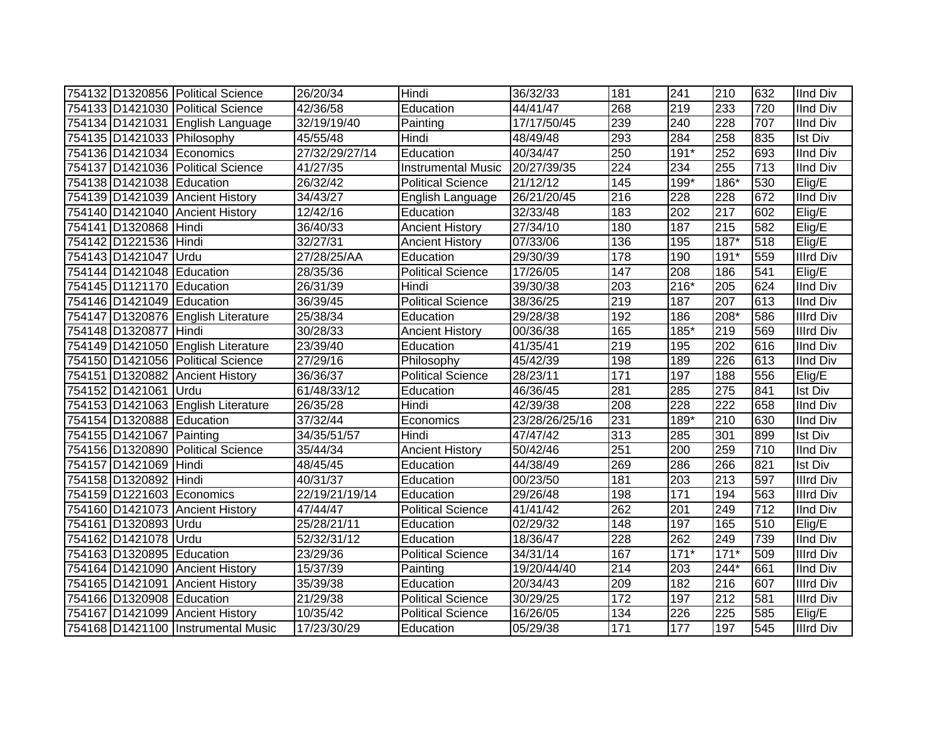|                           | 754132 D1320856 Political Science  | 26/20/34       | Hindi                     | 36/32/33       | 181              | 241    | 210    | 632 | <b>IInd Div</b>  |
|---------------------------|------------------------------------|----------------|---------------------------|----------------|------------------|--------|--------|-----|------------------|
|                           | 754133 D1421030 Political Science  | 42/36/58       | Education                 | 44/41/47       | 268              | 219    | 233    | 720 | <b>IInd Div</b>  |
|                           | 754134 D1421031 English Language   | 32/19/19/40    | Painting                  | 17/17/50/45    | 239              | 240    | 228    | 707 | <b>IInd Div</b>  |
|                           | 754135 D1421033 Philosophy         | 45/55/48       | Hindi                     | 48/49/48       | 293              | 284    | 258    | 835 | <b>Ist Div</b>   |
| 754136 D1421034 Economics |                                    | 27/32/29/27/14 | Education                 | 40/34/47       | 250              | $191*$ | 252    | 693 | <b>IInd Div</b>  |
|                           | 754137 D1421036 Political Science  | 41/27/35       | <b>Instrumental Music</b> | 20/27/39/35    | $\overline{224}$ | 234    | 255    | 713 | <b>IInd Div</b>  |
| 754138 D1421038 Education |                                    | 26/32/42       | <b>Political Science</b>  | 21/12/12       | 145              | 199*   | 186*   | 530 | Elig/E           |
|                           | 754139 D1421039 Ancient History    | 34/43/27       | English Language          | 26/21/20/45    | 216              | 228    | 228    | 672 | IInd Div         |
|                           | 754140 D1421040 Ancient History    | 12/42/16       | Education                 | 32/33/48       | 183              | 202    | 217    | 602 | Elig/E           |
| 754141 D1320868 Hindi     |                                    | 36/40/33       | <b>Ancient History</b>    | 27/34/10       | 180              | 187    | 215    | 582 | Elig/E           |
| 754142 D1221536 Hindi     |                                    | 32/27/31       | <b>Ancient History</b>    | 07/33/06       | 136              | 195    | $187*$ | 518 | Elig/E           |
| 754143 D1421047 Urdu      |                                    | 27/28/25/AA    | Education                 | 29/30/39       | 178              | 190    | $191*$ | 559 | <b>Illrd Div</b> |
| 754144 D1421048 Education |                                    | 28/35/36       | <b>Political Science</b>  | 17/26/05       | 147              | 208    | 186    | 541 | Elig/E           |
| 754145 D1121170 Education |                                    | 26/31/39       | Hindi                     | 39/30/38       | 203              | 216*   | 205    | 624 | <b>IInd Div</b>  |
| 754146 D1421049 Education |                                    | 36/39/45       | Political Science         | 38/36/25       | 219              | 187    | 207    | 613 | <b>IInd Div</b>  |
|                           | 754147 D1320876 English Literature | 25/38/34       | Education                 | 29/28/38       | 192              | 186    | 208*   | 586 | <b>Illrd Div</b> |
| 754148 D1320877 Hindi     |                                    | 30/28/33       | <b>Ancient History</b>    | 00/36/38       | 165              | 185*   | 219    | 569 | <b>Illrd Div</b> |
|                           | 754149 D1421050 English Literature | 23/39/40       | Education                 | 41/35/41       | 219              | 195    | 202    | 616 | <b>IInd Div</b>  |
|                           | 754150 D1421056 Political Science  | 27/29/16       | Philosophy                | 45/42/39       | 198              | 189    | 226    | 613 | <b>IInd Div</b>  |
|                           | 754151 D1320882 Ancient History    | 36/36/37       | <b>Political Science</b>  | 28/23/11       | 171              | 197    | 188    | 556 | Elig/E           |
| 754152 D1421061 Urdu      |                                    | 61/48/33/12    | Education                 | 46/36/45       | 281              | 285    | 275    | 841 | <b>Ist Div</b>   |
|                           | 754153 D1421063 English Literature | 26/35/28       | Hindi                     | 42/39/38       | 208              | 228    | 222    | 658 | <b>IInd Div</b>  |
| 754154 D1320888 Education |                                    | 37/32/44       | Economics                 | 23/28/26/25/16 | 231              | $189*$ | 210    | 630 | <b>IInd Div</b>  |
| 754155 D1421067 Painting  |                                    | 34/35/51/57    | Hindi                     | 47/47/42       | $\overline{313}$ | 285    | 301    | 899 | <b>Ist Div</b>   |
|                           | 754156 D1320890 Political Science  | 35/44/34       | <b>Ancient History</b>    | 50/42/46       | 251              | 200    | 259    | 710 | <b>IInd Div</b>  |
| 754157 D1421069 Hindi     |                                    | 48/45/45       | Education                 | 44/38/49       | 269              | 286    | 266    | 821 | <b>Ist Div</b>   |
| 754158 D1320892 Hindi     |                                    | 40/31/37       | Education                 | 00/23/50       | 181              | 203    | 213    | 597 | <b>Illrd Div</b> |
| 754159 D1221603 Economics |                                    | 22/19/21/19/14 | Education                 | 29/26/48       | 198              | 171    | 194    | 563 | <b>Illrd Div</b> |
|                           | 754160 D1421073 Ancient History    | 47/44/47       | <b>Political Science</b>  | 41/41/42       | 262              | 201    | 249    | 712 | <b>IInd Div</b>  |
| 754161 D1320893 Urdu      |                                    | 25/28/21/11    | Education                 | 02/29/32       | 148              | 197    | 165    | 510 | Elig/E           |
| 754162 D1421078 Urdu      |                                    | 52/32/31/12    | Education                 | 18/36/47       | 228              | 262    | 249    | 739 | <b>IInd Div</b>  |
| 754163 D1320895 Education |                                    | 23/29/36       | Political Science         | 34/31/14       | 167              | $171*$ | $171*$ | 509 | <b>Illrd Div</b> |
|                           | 754164 D1421090 Ancient History    | 15/37/39       | Painting                  | 19/20/44/40    | $\overline{214}$ | 203    | $244*$ | 661 | <b>IInd Div</b>  |
|                           | 754165 D1421091 Ancient History    | 35/39/38       | Education                 | 20/34/43       | 209              | 182    | 216    | 607 | <b>Illrd Div</b> |
| 754166 D1320908 Education |                                    | 21/29/38       | <b>Political Science</b>  | 30/29/25       | $\frac{1}{172}$  | 197    | 212    | 581 | <b>Illrd Div</b> |
|                           | 754167 D1421099 Ancient History    | 10/35/42       | <b>Political Science</b>  | 16/26/05       | 134              | 226    | 225    | 585 | Elig/E           |
|                           | 754168 D1421100 Instrumental Music | 17/23/30/29    | Education                 | 05/29/38       | $\frac{1}{171}$  | 177    | 197    | 545 | <b>Illrd Div</b> |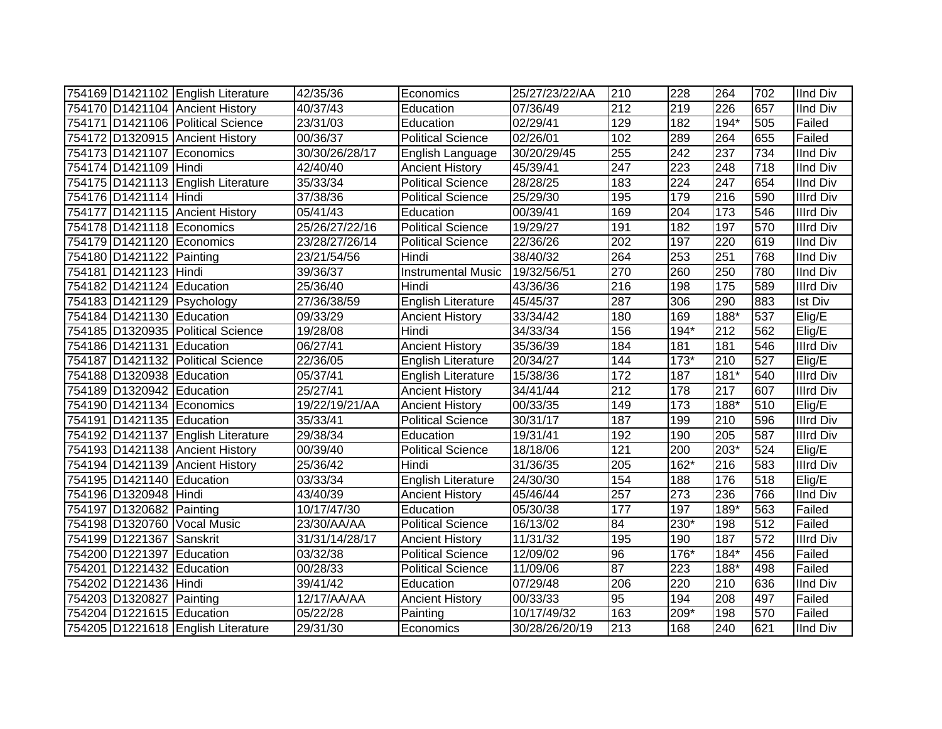|                           | 754169 D1421102 English Literature | 42/35/36              | Economics                 | 25/27/23/22/AA | 210              | 228              | 264    | 702 | <b>IInd Div</b>  |
|---------------------------|------------------------------------|-----------------------|---------------------------|----------------|------------------|------------------|--------|-----|------------------|
|                           | 754170 D1421104 Ancient History    | 40/37/43              | Education                 | 07/36/49       | 212              | 219              | 226    | 657 | <b>IInd Div</b>  |
|                           | 754171 D1421106 Political Science  | 23/31/03              | Education                 | 02/29/41       | 129              | 182              | $194*$ | 505 | Failed           |
|                           | 754172 D1320915 Ancient History    | 00/36/37              | <b>Political Science</b>  | 02/26/01       | 102              | 289              | 264    | 655 | Failed           |
| 754173 D1421107 Economics |                                    | 30/30/26/28/17        | English Language          | 30/20/29/45    | 255              | 242              | 237    | 734 | <b>IInd Div</b>  |
| 754174 D1421109 Hindi     |                                    | 42/40/40              | <b>Ancient History</b>    | 45/39/41       | 247              | 223              | 248    | 718 | <b>IInd Div</b>  |
|                           | 754175 D1421113 English Literature | 35/33/34              | <b>Political Science</b>  | 28/28/25       | 183              | 224              | 247    | 654 | <b>IInd Div</b>  |
| 754176 D1421114 Hindi     |                                    | 37/38/36              | <b>Political Science</b>  | 25/29/30       | 195              | 179              | 216    | 590 | <b>Illrd Div</b> |
|                           | 754177 D1421115 Ancient History    | $\overline{05}/41/43$ | Education                 | 00/39/41       | 169              | 204              | 173    | 546 | <b>Illrd Div</b> |
| 754178 D1421118 Economics |                                    | 25/26/27/22/16        | <b>Political Science</b>  | 19/29/27       | 191              | $\overline{182}$ | 197    | 570 | <b>Illrd Div</b> |
| 754179 D1421120 Economics |                                    | 23/28/27/26/14        | <b>Political Science</b>  | 22/36/26       | 202              | 197              | 220    | 619 | <b>IInd Div</b>  |
| 754180 D1421122 Painting  |                                    | 23/21/54/56           | Hindi                     | 38/40/32       | 264              | 253              | 251    | 768 | <b>IInd Div</b>  |
| 754181 D1421123 Hindi     |                                    | 39/36/37              | <b>Instrumental Music</b> | 19/32/56/51    | 270              | 260              | 250    | 780 | <b>IInd Div</b>  |
| 754182 D1421124 Education |                                    | 25/36/40              | Hindi                     | 43/36/36       | 216              | 198              | 175    | 589 | Illrd Div        |
|                           | 754183 D1421129 Psychology         | 27/36/38/59           | <b>English Literature</b> | 45/45/37       | 287              | 306              | 290    | 883 | <b>Ist Div</b>   |
| 754184 D1421130 Education |                                    | 09/33/29              | <b>Ancient History</b>    | 33/34/42       | 180              | 169              | 188*   | 537 | Elig/E           |
|                           | 754185 D1320935 Political Science  | 19/28/08              | Hindi                     | 34/33/34       | 156              | $194*$           | 212    | 562 | Elig/E           |
| 754186 D1421131 Education |                                    | 06/27/41              | <b>Ancient History</b>    | 35/36/39       | 184              | 181              | 181    | 546 | Illrd Div        |
|                           | 754187 D1421132 Political Science  | 22/36/05              | English Literature        | 20/34/27       | 144              | $173*$           | 210    | 527 | Elig/E           |
| 754188 D1320938 Education |                                    | 05/37/41              | English Literature        | 15/38/36       | 172              | 187              | $181*$ | 540 | Illrd Div        |
| 754189 D1320942 Education |                                    | 25/27/41              | <b>Ancient History</b>    | 34/41/44       | $\overline{212}$ | 178              | 217    | 607 | <b>Illrd Div</b> |
| 754190 D1421134 Economics |                                    | 19/22/19/21/AA        | <b>Ancient History</b>    | 00/33/35       | 149              | 173              | 188*   | 510 | Elig/E           |
| 754191 D1421135 Education |                                    | 35/33/41              | <b>Political Science</b>  | 30/31/17       | 187              | 199              | 210    | 596 | <b>Illrd Div</b> |
|                           | 754192 D1421137 English Literature | 29/38/34              | Education                 | 19/31/41       | 192              | 190              | 205    | 587 | <b>Illrd Div</b> |
|                           | 754193 D1421138 Ancient History    | 00/39/40              | <b>Political Science</b>  | 18/18/06       | 121              | 200              | 203*   | 524 | Elig/E           |
|                           | 754194 D1421139 Ancient History    | 25/36/42              | Hindi                     | 31/36/35       | 205              | 162*             | 216    | 583 | <b>Illrd Div</b> |
| 754195 D1421140 Education |                                    | 03/33/34              | English Literature        | 24/30/30       | 154              | 188              | 176    | 518 | Elig/E           |
| 754196 D1320948 Hindi     |                                    | 43/40/39              | <b>Ancient History</b>    | 45/46/44       | 257              | 273              | 236    | 766 | <b>IInd Div</b>  |
| 754197 D1320682 Painting  |                                    | 10/17/47/30           | Education                 | 05/30/38       | 177              | 197              | 189*   | 563 | Failed           |
|                           | 754198 D1320760 Vocal Music        | 23/30/AA/AA           | <b>Political Science</b>  | 16/13/02       | 84               | 230*             | 198    | 512 | Failed           |
| 754199 D1221367 Sanskrit  |                                    | 31/31/14/28/17        | <b>Ancient History</b>    | 11/31/32       | 195              | 190              | 187    | 572 | <b>Illrd Div</b> |
| 754200 D1221397 Education |                                    | 03/32/38              | <b>Political Science</b>  | 12/09/02       | 96               | 176*             | $184*$ | 456 | Failed           |
| 754201 D1221432 Education |                                    | 00/28/33              | Political Science         | 11/09/06       | 87               | 223              | 188*   | 498 | Failed           |
| 754202 D1221436 Hindi     |                                    | 39/41/42              | Education                 | 07/29/48       | 206              | 220              | 210    | 636 | <b>IInd Div</b>  |
| 754203 D1320827 Painting  |                                    | 12/17/AA/AA           | <b>Ancient History</b>    | 00/33/33       | 95               | 194              | 208    | 497 | Failed           |
| 754204 D1221615 Education |                                    | 05/22/28              | Painting                  | 10/17/49/32    | 163              | 209*             | 198    | 570 | Failed           |
|                           | 754205 D1221618 English Literature | 29/31/30              | Economics                 | 30/28/26/20/19 | 213              | 168              | 240    | 621 | <b>IInd Div</b>  |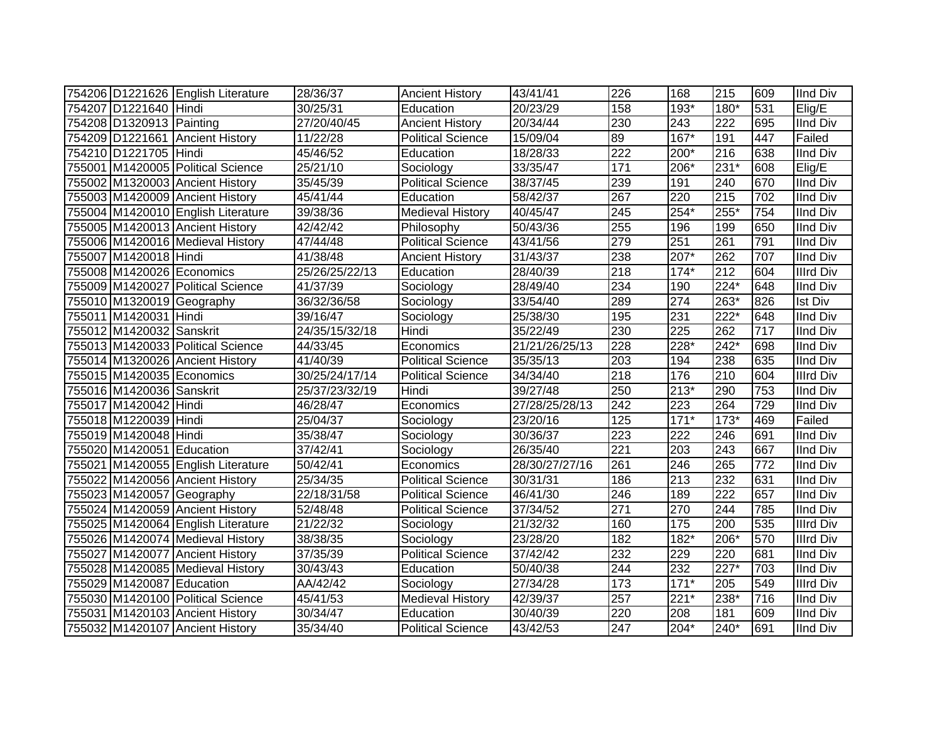|                           | 754206 D1221626 English Literature | 28/36/37       | <b>Ancient History</b>   | 43/41/41       | 226              | 168    | 215              | 609 | <b>IInd Div</b>  |
|---------------------------|------------------------------------|----------------|--------------------------|----------------|------------------|--------|------------------|-----|------------------|
| 754207 D1221640 Hindi     |                                    | 30/25/31       | Education                | 20/23/29       | 158              | 193*   | 180*             | 531 | Elig/E           |
| 754208 D1320913 Painting  |                                    | 27/20/40/45    | <b>Ancient History</b>   | 20/34/44       | 230              | 243    | $\overline{222}$ | 695 | <b>IInd Div</b>  |
|                           | 754209 D1221661 Ancient History    | 11/22/28       | <b>Political Science</b> | 15/09/04       | 89               | $167*$ | 191              | 447 | Failed           |
| 754210 D1221705 Hindi     |                                    | 45/46/52       | Education                | 18/28/33       | $\overline{222}$ | 200*   | 216              | 638 | <b>IInd Div</b>  |
|                           | 755001 M1420005 Political Science  | 25/21/10       | Sociology                | 33/35/47       | 171              | 206*   | $231*$           | 608 | Elig/E           |
|                           | 755002 M1320003 Ancient History    | 35/45/39       | <b>Political Science</b> | 38/37/45       | 239              | 191    | 240              | 670 | <b>IInd Div</b>  |
|                           | 755003 M1420009 Ancient History    | 45/41/44       | Education                | 58/42/37       | 267              | 220    | 215              | 702 | <b>IInd Div</b>  |
|                           | 755004 M1420010 English Literature | 39/38/36       | <b>Medieval History</b>  | 40/45/47       | 245              | 254*   | $255*$           | 754 | <b>IInd Div</b>  |
|                           | 755005 M1420013 Ancient History    | 42/42/42       | Philosophy               | 50/43/36       | 255              | 196    | 199              | 650 | <b>IInd Div</b>  |
|                           | 755006 M1420016 Medieval History   | 47/44/48       | <b>Political Science</b> | 43/41/56       | 279              | 251    | 261              | 791 | <b>IInd Div</b>  |
| 755007 M1420018 Hindi     |                                    | 41/38/48       | <b>Ancient History</b>   | 31/43/37       | 238              | 207*   | 262              | 707 | <b>IInd Div</b>  |
| 755008 M1420026 Economics |                                    | 25/26/25/22/13 | Education                | 28/40/39       | 218              | $174*$ | 212              | 604 | <b>Illrd Div</b> |
|                           | 755009 M1420027 Political Science  | 41/37/39       | Sociology                | 28/49/40       | 234              | 190    | 224*             | 648 | <b>IInd Div</b>  |
| 755010 M1320019 Geography |                                    | 36/32/36/58    | Sociology                | 33/54/40       | 289              | 274    | 263*             | 826 | Ist Div          |
| 755011 M1420031 Hindi     |                                    | 39/16/47       | Sociology                | 25/38/30       | 195              | 231    | 222*             | 648 | <b>IInd Div</b>  |
| 755012 M1420032 Sanskrit  |                                    | 24/35/15/32/18 | Hindi                    | 35/22/49       | 230              | 225    | 262              | 717 | <b>IInd Div</b>  |
|                           | 755013 M1420033 Political Science  | 44/33/45       | Economics                | 21/21/26/25/13 | 228              | 228*   | 242*             | 698 | <b>IInd Div</b>  |
|                           | 755014 M1320026 Ancient History    | 41/40/39       | <b>Political Science</b> | 35/35/13       | 203              | 194    | 238              | 635 | <b>IInd Div</b>  |
| 755015 M1420035 Economics |                                    | 30/25/24/17/14 | <b>Political Science</b> | 34/34/40       | 218              | 176    | 210              | 604 | <b>Illrd Div</b> |
| 755016 M1420036 Sanskrit  |                                    | 25/37/23/32/19 | Hindi                    | 39/27/48       | 250              | $213*$ | 290              | 753 | <b>IInd Div</b>  |
| 755017 M1420042 Hindi     |                                    | 46/28/47       | Economics                | 27/28/25/28/13 | 242              | 223    | 264              | 729 | <b>IInd Div</b>  |
| 755018 M1220039 Hindi     |                                    | 25/04/37       | Sociology                | 23/20/16       | 125              | $171*$ | $173*$           | 469 | Failed           |
| 755019 M1420048 Hindi     |                                    | 35/38/47       | Sociology                | 30/36/37       | 223              | 222    | 246              | 691 | <b>IInd Div</b>  |
| 755020 M1420051 Education |                                    | 37/42/41       | Sociology                | 26/35/40       | 221              | 203    | 243              | 667 | <b>IInd Div</b>  |
|                           | 755021 M1420055 English Literature | 50/42/41       | Economics                | 28/30/27/27/16 | 261              | 246    | 265              | 772 | <b>IInd Div</b>  |
|                           | 755022 M1420056 Ancient History    | 25/34/35       | <b>Political Science</b> | 30/31/31       | 186              | 213    | 232              | 631 | <b>IInd Div</b>  |
| 755023 M1420057 Geography |                                    | 22/18/31/58    | Political Science        | 46/41/30       | 246              | 189    | $\overline{222}$ | 657 | <b>IInd Div</b>  |
|                           | 755024 M1420059 Ancient History    | 52/48/48       | <b>Political Science</b> | 37/34/52       | 271              | 270    | 244              | 785 | <b>IInd Div</b>  |
|                           | 755025 M1420064 English Literature | 21/22/32       | Sociology                | 21/32/32       | 160              | 175    | 200              | 535 | <b>Illrd Div</b> |
|                           | 755026 M1420074 Medieval History   | 38/38/35       | Sociology                | 23/28/20       | 182              | $182*$ | 206*             | 570 | <b>Illrd Div</b> |
|                           | 755027 M1420077 Ancient History    | 37/35/39       | <b>Political Science</b> | 37/42/42       | 232              | 229    | 220              | 681 | <b>IInd Div</b>  |
|                           | 755028 M1420085 Medieval History   | 30/43/43       | Education                | 50/40/38       | 244              | 232    | $227*$           | 703 | <b>IInd Div</b>  |
| 755029 M1420087 Education |                                    | AA/42/42       | Sociology                | 27/34/28       | 173              | $171*$ | 205              | 549 | <b>Illrd Div</b> |
|                           | 755030 M1420100 Political Science  | 45/41/53       | <b>Medieval History</b>  | 42/39/37       | 257              | $221*$ | 238*             | 716 | <b>IInd Div</b>  |
|                           | 755031 M1420103 Ancient History    | 30/34/47       | Education                | 30/40/39       | 220              | 208    | 181              | 609 | <b>IInd Div</b>  |
|                           | 755032 M1420107 Ancient History    | 35/34/40       | <b>Political Science</b> | 43/42/53       | 247              | $204*$ | 240*             | 691 | <b>IInd Div</b>  |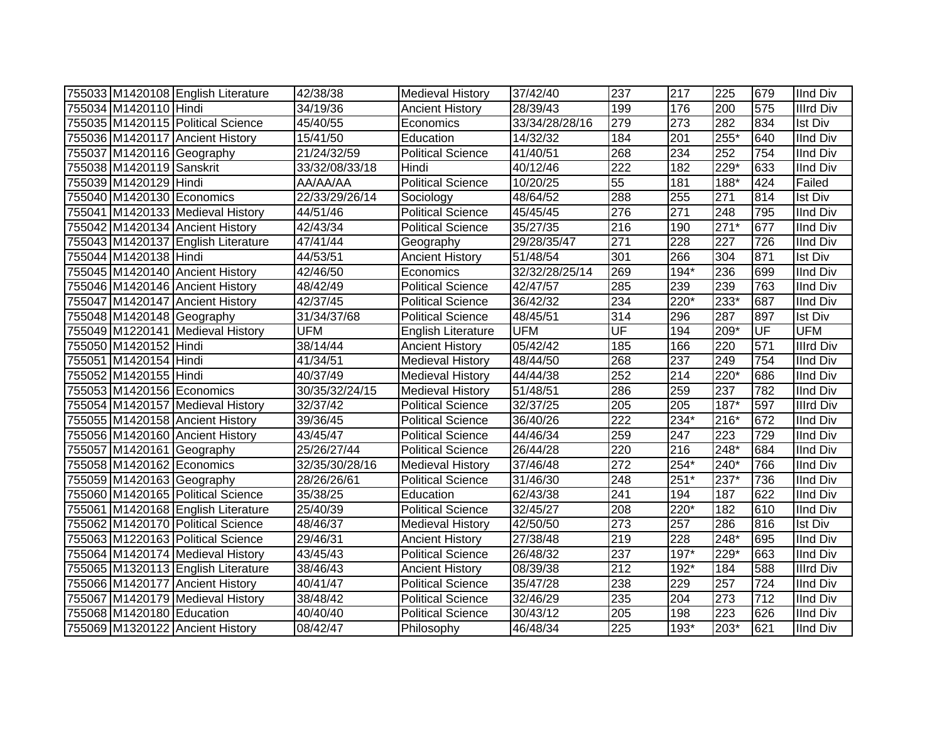|                           | 755033 M1420108 English Literature | 42/38/38       | <b>Medieval History</b>   | 37/42/40       | 237                      | 217    | 225    | 679       | <b>IInd Div</b>  |
|---------------------------|------------------------------------|----------------|---------------------------|----------------|--------------------------|--------|--------|-----------|------------------|
| 755034 M1420110 Hindi     |                                    | 34/19/36       | <b>Ancient History</b>    | 28/39/43       | 199                      | 176    | 200    | 575       | <b>Illrd Div</b> |
|                           | 755035 M1420115 Political Science  | 45/40/55       | Economics                 | 33/34/28/28/16 | 279                      | 273    | 282    | 834       | <b>Ist Div</b>   |
|                           | 755036 M1420117 Ancient History    | 15/41/50       | Education                 | 14/32/32       | 184                      | 201    | $255*$ | 640       | <b>IInd Div</b>  |
|                           | 755037 M1420116 Geography          | 21/24/32/59    | <b>Political Science</b>  | 41/40/51       | 268                      | 234    | 252    | 754       | <b>IInd Div</b>  |
| 755038 M1420119 Sanskrit  |                                    | 33/32/08/33/18 | Hindi                     | 40/12/46       | 222                      | 182    | $229*$ | 633       | <b>IInd Div</b>  |
| 755039 M1420129 Hindi     |                                    | AA/AA/AA       | Political Science         | 10/20/25       | 55                       | 181    | 188*   | 424       | Failed           |
| 755040 M1420130 Economics |                                    | 22/33/29/26/14 | Sociology                 | 48/64/52       | 288                      | 255    | 271    | 814       | <b>Ist Div</b>   |
|                           | 755041 M1420133 Medieval History   | 44/51/46       | <b>Political Science</b>  | 45/45/45       | 276                      | 271    | 248    | 795       | <b>IInd Div</b>  |
|                           | 755042 M1420134 Ancient History    | 42/43/34       | <b>Political Science</b>  | 35/27/35       | 216                      | 190    | $271*$ | 677       | <b>IInd Div</b>  |
|                           | 755043 M1420137 English Literature | 47/41/44       | Geography                 | 29/28/35/47    | 271                      | 228    | 227    | 726       | <b>IInd Div</b>  |
| 755044 M1420138 Hindi     |                                    | 44/53/51       | <b>Ancient History</b>    | 51/48/54       | 301                      | 266    | 304    | 871       | <b>Ist Div</b>   |
|                           | 755045 M1420140 Ancient History    | 42/46/50       | Economics                 | 32/32/28/25/14 | 269                      | 194*   | 236    | 699       | <b>IInd Div</b>  |
|                           | 755046 M1420146 Ancient History    | 48/42/49       | <b>Political Science</b>  | 42/47/57       | 285                      | 239    | 239    | 763       | <b>IInd Div</b>  |
|                           | 755047 M1420147 Ancient History    | 42/37/45       | <b>Political Science</b>  | 36/42/32       | 234                      | 220*   | 233*   | 687       | <b>IInd Div</b>  |
|                           | 755048 M1420148 Geography          | 31/34/37/68    | <b>Political Science</b>  | 48/45/51       | 314                      | 296    | 287    | 897       | Ist Div          |
|                           | 755049 M1220141 Medieval History   | <b>UFM</b>     | <b>English Literature</b> | <b>UFM</b>     | $\overline{\mathsf{UF}}$ | 194    | $209*$ | <b>UF</b> | <b>UFM</b>       |
| 755050 M1420152 Hindi     |                                    | 38/14/44       | <b>Ancient History</b>    | 05/42/42       | 185                      | 166    | 220    | 571       | <b>Illrd Div</b> |
| 755051 M1420154 Hindi     |                                    | 41/34/51       | <b>Medieval History</b>   | 48/44/50       | 268                      | 237    | 249    | 754       | <b>IInd Div</b>  |
| 755052 M1420155 Hindi     |                                    | 40/37/49       | <b>Medieval History</b>   | 44/44/38       | 252                      | 214    | 220*   | 686       | <b>IInd Div</b>  |
| 755053 M1420156 Economics |                                    | 30/35/32/24/15 | Medieval History          | 51/48/51       | 286                      | 259    | 237    | 782       | <b>IInd Div</b>  |
|                           | 755054 M1420157 Medieval History   | 32/37/42       | <b>Political Science</b>  | 32/37/25       | 205                      | 205    | $187*$ | 597       | <b>Illrd Div</b> |
|                           | 755055 M1420158 Ancient History    | 39/36/45       | <b>Political Science</b>  | 36/40/26       | $\overline{222}$         | $234*$ | 216*   | 672       | <b>IInd Div</b>  |
|                           | 755056 M1420160 Ancient History    | 43/45/47       | Political Science         | 44/46/34       | 259                      | 247    | 223    | 729       | <b>IInd Div</b>  |
|                           | 755057 M1420161 Geography          | 25/26/27/44    | <b>Political Science</b>  | 26/44/28       | 220                      | 216    | 248*   | 684       | <b>IInd Div</b>  |
|                           | 755058 M1420162 Economics          | 32/35/30/28/16 | <b>Medieval History</b>   | 37/46/48       | 272                      | 254*   | 240*   | 766       | <b>IInd Div</b>  |
|                           | 755059 M1420163 Geography          | 28/26/26/61    | <b>Political Science</b>  | 31/46/30       | 248                      | $251*$ | 237*   | 736       | <b>IInd Div</b>  |
|                           | 755060 M1420165 Political Science  | 35/38/25       | Education                 | 62/43/38       | 241                      | 194    | 187    | 622       | <b>IInd Div</b>  |
|                           | 755061 M1420168 English Literature | 25/40/39       | <b>Political Science</b>  | 32/45/27       | 208                      | 220*   | 182    | 610       | <b>IInd Div</b>  |
|                           | 755062 M1420170 Political Science  | 48/46/37       | <b>Medieval History</b>   | 42/50/50       | $\overline{273}$         | 257    | 286    | 816       | <b>Ist Div</b>   |
|                           | 755063 M1220163 Political Science  | 29/46/31       | <b>Ancient History</b>    | 27/38/48       | 219                      | 228    | 248*   | 695       | <b>IInd Div</b>  |
|                           | 755064 M1420174 Medieval History   | 43/45/43       | <b>Political Science</b>  | 26/48/32       | 237                      | $197*$ | 229*   | 663       | <b>IInd Div</b>  |
|                           | 755065 M1320113 English Literature | 38/46/43       | <b>Ancient History</b>    | 08/39/38       | $\overline{212}$         | 192*   | 184    | 588       | <b>Illrd Div</b> |
|                           | 755066 M1420177 Ancient History    | 40/41/47       | <b>Political Science</b>  | 35/47/28       | 238                      | 229    | 257    | 724       | <b>IInd Div</b>  |
|                           | 755067 M1420179 Medieval History   | 38/48/42       | Political Science         | 32/46/29       | 235                      | 204    | 273    | 712       | <b>IInd Div</b>  |
| 755068 M1420180 Education |                                    | 40/40/40       | Political Science         | 30/43/12       | 205                      | 198    | 223    | 626       | <b>IInd Div</b>  |
|                           | 755069 M1320122 Ancient History    | 08/42/47       | Philosophy                | 46/48/34       | 225                      | $193*$ | 203*   | 621       | <b>IInd Div</b>  |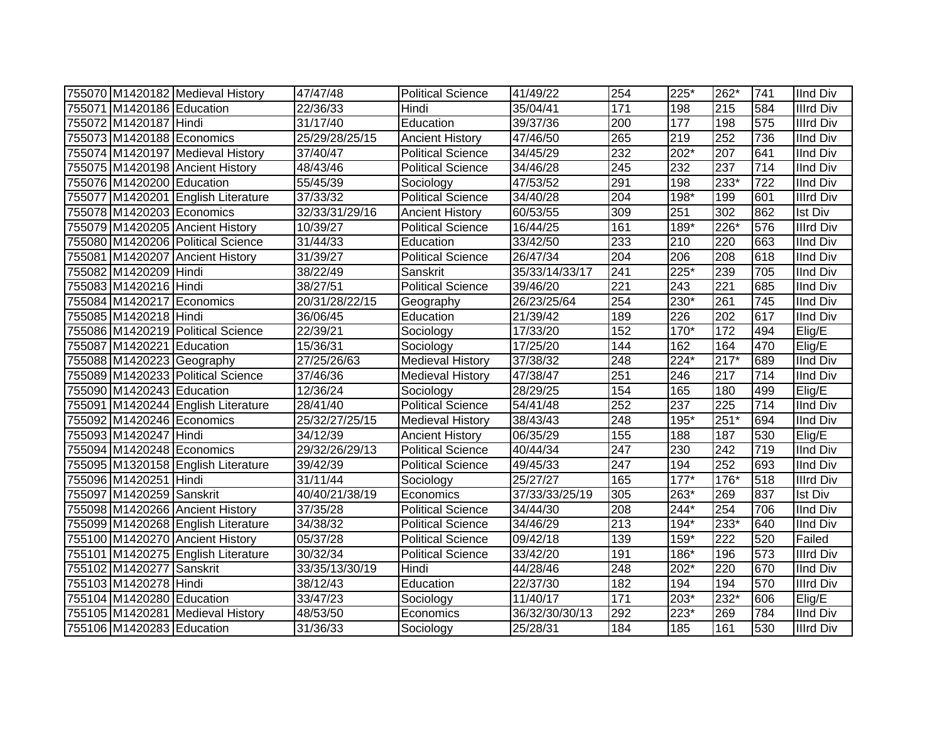|                           | 755070 M1420182 Medieval History   | 47/47/48              | <b>Political Science</b> | 41/49/22       | 254 | 225*   | 262*             | 741              | <b>IInd Div</b>  |
|---------------------------|------------------------------------|-----------------------|--------------------------|----------------|-----|--------|------------------|------------------|------------------|
| 755071 M1420186 Education |                                    | 22/36/33              | Hindi                    | 35/04/41       | 171 | 198    | 215              | 584              | <b>Illrd Div</b> |
| 755072 M1420187 Hindi     |                                    | 31/17/40              | Education                | 39/37/36       | 200 | 177    | 198              | 575              | <b>Illrd Div</b> |
| 755073 M1420188 Economics |                                    | 25/29/28/25/15        | <b>Ancient History</b>   | 47/46/50       | 265 | 219    | 252              | 736              | <b>IInd Div</b>  |
|                           | 755074 M1420197 Medieval History   | $\overline{37/40/47}$ | <b>Political Science</b> | 34/45/29       | 232 | $202*$ | 207              | 641              | <b>IInd Div</b>  |
|                           | 755075 M1420198 Ancient History    | 48/43/46              | <b>Political Science</b> | 34/46/28       | 245 | 232    | 237              | $\overline{714}$ | <b>IInd Div</b>  |
| 755076 M1420200 Education |                                    | 55/45/39              | Sociology                | 47/53/52       | 291 | 198    | 233*             | 722              | <b>IInd Div</b>  |
|                           | 755077 M1420201 English Literature | 37/33/32              | <b>Political Science</b> | 34/40/28       | 204 | 198*   | 199              | 601              | <b>Illrd Div</b> |
| 755078 M1420203 Economics |                                    | 32/33/31/29/16        | <b>Ancient History</b>   | 60/53/55       | 309 | 251    | $\overline{302}$ | 862              | <b>Ist Div</b>   |
|                           | 755079 M1420205 Ancient History    | 10/39/27              | <b>Political Science</b> | 16/44/25       | 161 | 189*   | $226*$           | 576              | <b>Illrd Div</b> |
|                           | 755080 M1420206 Political Science  | 31/44/33              | Education                | 33/42/50       | 233 | 210    | 220              | 663              | <b>IInd Div</b>  |
|                           | 755081 M1420207 Ancient History    | 31/39/27              | <b>Political Science</b> | 26/47/34       | 204 | 206    | 208              | 618              | <b>IInd Div</b>  |
| 755082 M1420209 Hindi     |                                    | 38/22/49              | Sanskrit                 | 35/33/14/33/17 | 241 | 225*   | 239              | 705              | <b>IInd Div</b>  |
| 755083 M1420216 Hindi     |                                    | 38/27/51              | <b>Political Science</b> | 39/46/20       | 221 | 243    | 221              | 685              | <b>IInd Div</b>  |
| 755084 M1420217 Economics |                                    | 20/31/28/22/15        | Geography                | 26/23/25/64    | 254 | 230*   | 261              | 745              | <b>IInd Div</b>  |
| 755085 M1420218 Hindi     |                                    | 36/06/45              | Education                | 21/39/42       | 189 | 226    | 202              | 617              | <b>IInd Div</b>  |
|                           | 755086 M1420219 Political Science  | 22/39/21              | Sociology                | 17/33/20       | 152 | 170*   | 172              | 494              | Elig/E           |
| 755087 M1420221 Education |                                    | 15/36/31              | Sociology                | 17/25/20       | 144 | 162    | 164              | 470              | $E$ lig/E        |
| 755088 M1420223 Geography |                                    | 27/25/26/63           | <b>Medieval History</b>  | 37/38/32       | 248 | 224*   | $217*$           | 689              | <b>IInd Div</b>  |
|                           | 755089 M1420233 Political Science  | 37/46/36              | <b>Medieval History</b>  | 47/38/47       | 251 | 246    | 217              | 714              | <b>IInd Div</b>  |
| 755090 M1420243 Education |                                    | 12/36/24              | Sociology                | 28/29/25       | 154 | 165    | 180              | 499              | Elig/E           |
|                           | 755091 M1420244 English Literature | 28/41/40              | <b>Political Science</b> | 54/41/48       | 252 | 237    | 225              | 714              | <b>IInd Div</b>  |
| 755092 M1420246 Economics |                                    | 25/32/27/25/15        | <b>Medieval History</b>  | 38/43/43       | 248 | 195*   | $251*$           | 694              | <b>IInd Div</b>  |
| 755093 M1420247 Hindi     |                                    | 34/12/39              | <b>Ancient History</b>   | 06/35/29       | 155 | 188    | 187              | 530              | Elig/E           |
| 755094 M1420248 Economics |                                    | 29/32/26/29/13        | <b>Political Science</b> | 40/44/34       | 247 | 230    | 242              | 719              | <b>IInd Div</b>  |
|                           | 755095 M1320158 English Literature | 39/42/39              | <b>Political Science</b> | 49/45/33       | 247 | 194    | 252              | 693              | <b>IInd Div</b>  |
| 755096 M1420251 Hindi     |                                    | 31/11/44              | Sociology                | 25/27/27       | 165 | $177*$ | 176*             | 518              | <b>Illrd Div</b> |
| 755097 M1420259 Sanskrit  |                                    | 40/40/21/38/19        | Economics                | 37/33/33/25/19 | 305 | 263*   | 269              | 837              | <b>Ist Div</b>   |
|                           | 755098 M1420266 Ancient History    | 37/35/28              | <b>Political Science</b> | 34/44/30       | 208 | 244*   | 254              | 706              | <b>IInd Div</b>  |
|                           | 755099 M1420268 English Literature | 34/38/32              | <b>Political Science</b> | 34/46/29       | 213 | 194*   | 233*             | 640              | <b>IInd Div</b>  |
|                           | 755100 M1420270 Ancient History    | 05/37/28              | Political Science        | 09/42/18       | 139 | 159*   | 222              | 520              | Failed           |
|                           | 755101 M1420275 English Literature | 30/32/34              | <b>Political Science</b> | 33/42/20       | 191 | 186*   | 196              | 573              | <b>Illrd Div</b> |
| 755102 M1420277 Sanskrit  |                                    | 33/35/13/30/19        | Hindi                    | 44/28/46       | 248 | $202*$ | 220              | 670              | IInd Div         |
| 755103 M1420278 Hindi     |                                    | 38/12/43              | Education                | 22/37/30       | 182 | 194    | 194              | 570              | <b>Illrd Div</b> |
| 755104 M1420280 Education |                                    | 33/47/23              | Sociology                | 11/40/17       | 171 | 203*   | 232*             | 606              | Elig/E           |
|                           | 755105 M1420281 Medieval History   | 48/53/50              | Economics                | 36/32/30/30/13 | 292 | 223*   | 269              | 784              | <b>IInd Div</b>  |
| 755106 M1420283 Education |                                    | 31/36/33              | Sociology                | 25/28/31       | 184 | 185    | 161              | 530              | <b>Illrd Div</b> |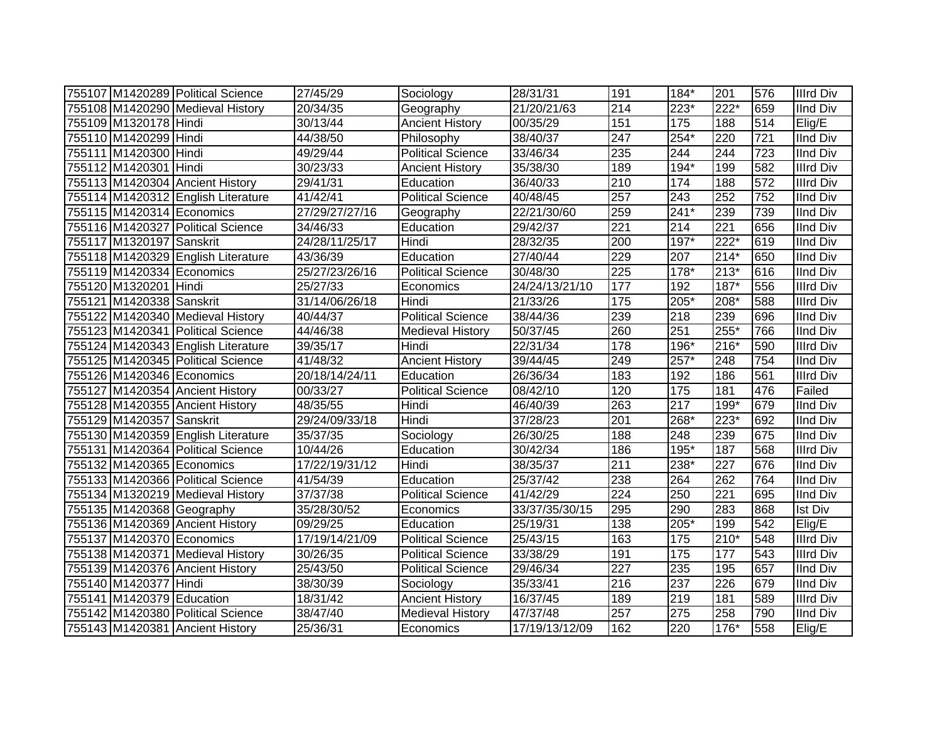|                           | 755107 M1420289 Political Science  | 27/45/29       | Sociology                | 28/31/31       | 191               | $184*$            | 201              | 576              | <b>Illrd Div</b>    |
|---------------------------|------------------------------------|----------------|--------------------------|----------------|-------------------|-------------------|------------------|------------------|---------------------|
|                           | 755108 M1420290 Medieval History   | 20/34/35       | Geography                | 21/20/21/63    | 214               | $223*$            | $222*$           | 659              | <b>IInd Div</b>     |
| 755109 M1320178 Hindi     |                                    | 30/13/44       | <b>Ancient History</b>   | 00/35/29       | 151               | $\frac{175}{175}$ | 188              | 514              | Elig/E              |
| 755110 M1420299 Hindi     |                                    | 44/38/50       | Philosophy               | 38/40/37       | $\overline{247}$  | $254*$            | $\overline{220}$ | $\overline{721}$ | <b>IInd Div</b>     |
| 755111 M1420300 Hindi     |                                    | 49/29/44       | <b>Political Science</b> | 33/46/34       | 235               | 244               | 244              | 723              | <b>IInd Div</b>     |
| 755112 M1420301 Hindi     |                                    | 30/23/33       | <b>Ancient History</b>   | 35/38/30       | 189               | $194*$            | 199              | 582              | <b>Illrd Div</b>    |
|                           | 755113 M1420304 Ancient History    | 29/41/31       | Education                | 36/40/33       | 210               | 174               | 188              | 572              | <b>Illrd Div</b>    |
|                           | 755114 M1420312 English Literature | 41/42/41       | <b>Political Science</b> | 40/48/45       | 257               | $\overline{243}$  | 252              | 752              | <b>IInd Div</b>     |
| 755115 M1420314 Economics |                                    | 27/29/27/27/16 | Geography                | 22/21/30/60    | 259               | $241*$            | 239              | 739              | <b>IInd Div</b>     |
|                           | 755116 M1420327 Political Science  | 34/46/33       | Education                | 29/42/37       | 221               | 214               | $\overline{221}$ | 656              | <b>IInd Div</b>     |
| 755117 M1320197 Sanskrit  |                                    | 24/28/11/25/17 | Hindi                    | 28/32/35       | 200               | $197*$            | $222*$           | 619              | <b>IInd Div</b>     |
|                           | 755118 M1420329 English Literature | 43/36/39       | Education                | 27/40/44       | 229               | 207               | $214*$           | 650              | <b>IInd Div</b>     |
|                           | 755119 M1420334 Economics          | 25/27/23/26/16 | <b>Political Science</b> | 30/48/30       | 225               | 178*              | $213*$           | 616              | <b>IInd Div</b>     |
| 755120 M1320201 Hindi     |                                    | 25/27/33       | Economics                | 24/24/13/21/10 | 177               | 192               | $187*$           | 556              | <b>Illrd Div</b>    |
| 755121 M1420338 Sanskrit  |                                    | 31/14/06/26/18 | Hindi                    | 21/33/26       | $\frac{175}{175}$ | $205*$            | 208*             | 588              | <b>Illrd Div</b>    |
|                           | 755122 M1420340 Medieval History   | 40/44/37       | <b>Political Science</b> | 38/44/36       | 239               | 218               | 239              | 696              | <b>IInd Div</b>     |
|                           | 755123 M1420341 Political Science  | 44/46/38       | <b>Medieval History</b>  | 50/37/45       | 260               | 251               | $255*$           | 766              | <b>IInd Div</b>     |
|                           | 755124 M1420343 English Literature | 39/35/17       | Hindi                    | 22/31/34       | 178               | $196*$            | $216*$           | 590              | <b>Illrd Div</b>    |
|                           | 755125 M1420345 Political Science  | 41/48/32       | <b>Ancient History</b>   | 39/44/45       | 249               | $257*$            | 248              | 754              | <b>IInd Div</b>     |
| 755126 M1420346 Economics |                                    | 20/18/14/24/11 | Education                | 26/36/34       | 183               | 192               | 186              | 561              | <b>Illrd Div</b>    |
|                           | 755127 M1420354 Ancient History    | 00/33/27       | <b>Political Science</b> | 08/42/10       | 120               | 175               | 181              | 476              | Failed              |
|                           | 755128 M1420355 Ancient History    | 48/35/55       | Hindi                    | 46/40/39       | 263               | $\overline{217}$  | 199*             | 679              | <b>IInd Div</b>     |
| 755129 M1420357 Sanskrit  |                                    | 29/24/09/33/18 | Hindi                    | 37/28/23       | 201               | 268*              | 223*             | 692              | <b>IInd Div</b>     |
|                           | 755130 M1420359 English Literature | 35/37/35       | Sociology                | 26/30/25       | 188               | 248               | 239              | 675              | <b>IInd Div</b>     |
|                           | 755131 M1420364 Political Science  | 10/44/26       | Education                | 30/42/34       | 186               | 195*              | 187              | 568              | <b>Illrd Div</b>    |
| 755132 M1420365 Economics |                                    | 17/22/19/31/12 | Hindi                    | 38/35/37       | 211               | 238*              | 227              | 676              | <b>IInd Div</b>     |
|                           | 755133 M1420366 Political Science  | 41/54/39       | Education                | 25/37/42       | 238               | 264               | 262              | 764              | <b>IInd Div</b>     |
|                           | 755134 M1320219 Medieval History   | 37/37/38       | <b>Political Science</b> | 41/42/29       | $\overline{224}$  | 250               | 221              | 695              | <b>IInd Div</b>     |
|                           | 755135 M1420368 Geography          | 35/28/30/52    | Economics                | 33/37/35/30/15 | 295               | 290               | 283              | 868              | <b>Ist Div</b>      |
|                           | 755136 M1420369 Ancient History    | 09/29/25       | Education                | 25/19/31       | 138               | 205*              | 199              | 542              | $\overline{Elig}/E$ |
| 755137 M1420370 Economics |                                    | 17/19/14/21/09 | <b>Political Science</b> | 25/43/15       | 163               | 175               | $210*$           | 548              | <b>Illrd Div</b>    |
|                           | 755138 M1420371 Medieval History   | 30/26/35       | <b>Political Science</b> | 33/38/29       | 191               | 175               | 177              | 543              | <b>Illrd Div</b>    |
|                           | 755139 M1420376 Ancient History    | 25/43/50       | <b>Political Science</b> | 29/46/34       | 227               | 235               | 195              | 657              | <b>IInd Div</b>     |
| 755140 M1420377 Hindi     |                                    | 38/30/39       | Sociology                | 35/33/41       | 216               | 237               | 226              | 679              | <b>IInd Div</b>     |
| 755141 M1420379 Education |                                    | 18/31/42       | <b>Ancient History</b>   | 16/37/45       | 189               | 219               | 181              | 589              | <b>Illrd Div</b>    |
|                           | 755142 M1420380 Political Science  | 38/47/40       | <b>Medieval History</b>  | 47/37/48       | 257               | 275               | 258              | 790              | IInd Div            |
|                           | 755143 M1420381 Ancient History    | 25/36/31       | Economics                | 17/19/13/12/09 | 162               | 220               | 176*             | 558              | Elig/E              |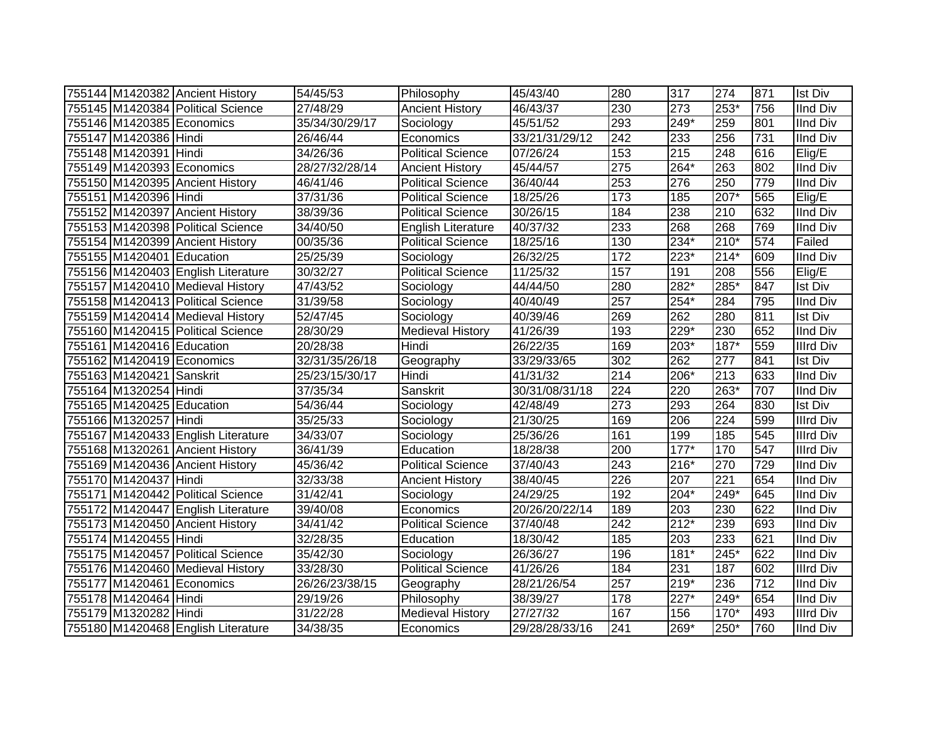|                           | 755144 M1420382 Ancient History    | 54/45/53             | Philosophy               | 45/43/40       | 280              | 317    | 274    | 871 | <b>Ist Div</b>   |
|---------------------------|------------------------------------|----------------------|--------------------------|----------------|------------------|--------|--------|-----|------------------|
|                           | 755145 M1420384 Political Science  | 27/48/29             | <b>Ancient History</b>   | 46/43/37       | 230              | 273    | $253*$ | 756 | <b>IInd Div</b>  |
| 755146 M1420385 Economics |                                    | 35/34/30/29/17       | Sociology                | 45/51/52       | 293              | $249*$ | 259    | 801 | IInd Div         |
| 755147 M1420386 Hindi     |                                    | 26/46/44             | Economics                | 33/21/31/29/12 | $\overline{242}$ | 233    | 256    | 731 | <b>IInd Div</b>  |
| 755148 M1420391 Hindi     |                                    | 34/26/36             | <b>Political Science</b> | 07/26/24       | 153              | 215    | 248    | 616 | Elig/E           |
| 755149 M1420393 Economics |                                    | 28/27/32/28/14       | <b>Ancient History</b>   | 45/44/57       | $\overline{275}$ | 264*   | 263    | 802 | <b>IInd Div</b>  |
|                           | 755150 M1420395 Ancient History    | 46/41/46             | <b>Political Science</b> | 36/40/44       | 253              | 276    | 250    | 779 | <b>IInd Div</b>  |
| 755151 M1420396 Hindi     |                                    | 37/31/36             | <b>Political Science</b> | 18/25/26       | $\overline{173}$ | 185    | 207*   | 565 | Elig/E           |
|                           | 755152 M1420397 Ancient History    | 38/39/36             | <b>Political Science</b> | 30/26/15       | 184              | 238    | 210    | 632 | IInd Div         |
|                           | 755153 M1420398 Political Science  | 34/40/50             | English Literature       | 40/37/32       | 233              | 268    | 268    | 769 | IInd Div         |
|                           | 755154 M1420399 Ancient History    | 00/35/36             | Political Science        | 18/25/16       | 130              | 234*   | $210*$ | 574 | Failed           |
| 755155 M1420401 Education |                                    | 25/25/39             | Sociology                | 26/32/25       | $\frac{1}{172}$  | 223*   | $214*$ | 609 | <b>IInd Div</b>  |
|                           | 755156 M1420403 English Literature | 30/32/27             | <b>Political Science</b> | 11/25/32       | 157              | 191    | 208    | 556 | Elig/E           |
|                           | 755157 M1420410 Medieval History   | 47/43/52             | Sociology                | 44/44/50       | 280              | 282*   | 285*   | 847 | <b>Ist Div</b>   |
|                           | 755158 M1420413 Political Science  | 31/39/58             | Sociology                | 40/40/49       | 257              | 254*   | 284    | 795 | <b>IInd Div</b>  |
|                           | 755159 M1420414 Medieval History   | 52/47/45             | Sociology                | 40/39/46       | 269              | 262    | 280    | 811 | <b>Ist Div</b>   |
|                           | 755160 M1420415 Political Science  | 28/30/29             | Medieval History         | 41/26/39       | 193              | 229*   | 230    | 652 | <b>IInd Div</b>  |
| 755161 M1420416 Education |                                    | 20/28/38             | Hindi                    | 26/22/35       | 169              | 203*   | 187*   | 559 | Illrd Div        |
| 755162 M1420419 Economics |                                    | 32/31/35/26/18       | Geography                | 33/29/33/65    | 302              | 262    | 277    | 841 | <b>Ist Div</b>   |
| 755163 M1420421 Sanskrit  |                                    | 25/23/15/30/17       | Hindi                    | 41/31/32       | 214              | 206*   | 213    | 633 | <b>IInd Div</b>  |
| 755164 M1320254 Hindi     |                                    | 37/35/34             | Sanskrit                 | 30/31/08/31/18 | 224              | 220    | 263*   | 707 | <b>IInd Div</b>  |
| 755165 M1420425 Education |                                    | 54/36/44             | Sociology                | 42/48/49       | $\overline{273}$ | 293    | 264    | 830 | <b>Ist Div</b>   |
| 755166 M1320257 Hindi     |                                    | 35/25/33             | Sociology                | 21/30/25       | 169              | 206    | 224    | 599 | <b>Illrd Div</b> |
|                           | 755167 M1420433 English Literature | 34/33/07             | Sociology                | 25/36/26       | 161              | 199    | 185    | 545 | <b>Illrd Div</b> |
|                           | 755168 M1320261 Ancient History    | 36/41/39             | Education                | 18/28/38       | 200              | $177*$ | 170    | 547 | <b>Illrd Div</b> |
|                           | 755169 M1420436 Ancient History    | 45/36/42             | <b>Political Science</b> | 37/40/43       | 243              | 216*   | 270    | 729 | <b>IInd Div</b>  |
| 755170 M1420437 Hindi     |                                    | 32/33/38             | <b>Ancient History</b>   | 38/40/45       | 226              | 207    | 221    | 654 | <b>IInd Div</b>  |
|                           | 755171 M1420442 Political Science  | 31/42/41             | Sociology                | 24/29/25       | 192              | 204*   | 249*   | 645 | <b>IInd Div</b>  |
|                           | 755172 M1420447 English Literature | 39/40/08             | Economics                | 20/26/20/22/14 | 189              | 203    | 230    | 622 | <b>IInd Div</b>  |
|                           | 755173 M1420450 Ancient History    | $\frac{1}{34}/41/42$ | <b>Political Science</b> | 37/40/48       | $\overline{242}$ | $212*$ | 239    | 693 | <b>IInd Div</b>  |
| 755174 M1420455 Hindi     |                                    | 32/28/35             | Education                | 18/30/42       | 185              | 203    | 233    | 621 | <b>IInd Div</b>  |
|                           | 755175 M1420457 Political Science  | 35/42/30             | Sociology                | 26/36/27       | 196              | $181*$ | 245*   | 622 | <b>IInd Div</b>  |
|                           | 755176 M1420460 Medieval History   | 33/28/30             | Political Science        | 41/26/26       | 184              | 231    | 187    | 602 | <b>Illrd Div</b> |
| 755177 M1420461 Economics |                                    | 26/26/23/38/15       | Geography                | 28/21/26/54    | 257              | $219*$ | 236    | 712 | <b>IInd Div</b>  |
| 755178 M1420464 Hindi     |                                    | 29/19/26             | Philosophy               | 38/39/27       | 178              | $227*$ | 249*   | 654 | <b>IInd Div</b>  |
| 755179 M1320282 Hindi     |                                    | 31/22/28             | <b>Medieval History</b>  | 27/27/32       | 167              | 156    | 170*   | 493 | <b>Illrd Div</b> |
|                           | 755180 M1420468 English Literature | 34/38/35             | Economics                | 29/28/28/33/16 | 241              | 269*   | 250*   | 760 | <b>IInd Div</b>  |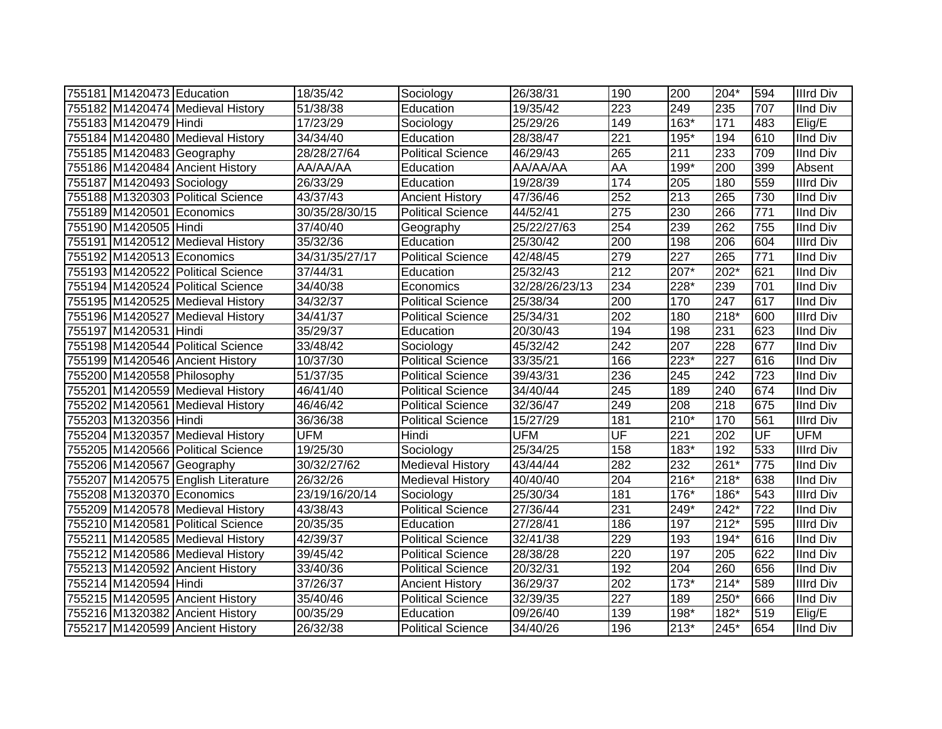| 755181 M1420473 Education  |                                    | 18/35/42       | Sociology                | 26/38/31       | 190              | 200    | 204*             | 594              | <b>Illrd Div</b> |
|----------------------------|------------------------------------|----------------|--------------------------|----------------|------------------|--------|------------------|------------------|------------------|
|                            | 755182 M1420474 Medieval History   | 51/38/38       | Education                | 19/35/42       | 223              | 249    | 235              | 707              | <b>IInd Div</b>  |
| 755183 M1420479 Hindi      |                                    | 17/23/29       | Sociology                | 25/29/26       | 149              | $163*$ | 171              | 483              | Elig/E           |
|                            | 755184 M1420480 Medieval History   | 34/34/40       | Education                | 28/38/47       | $\overline{221}$ | $195*$ | 194              | 610              | <b>IInd Div</b>  |
|                            | 755185 M1420483 Geography          | 28/28/27/64    | <b>Political Science</b> | 46/29/43       | 265              | 211    | 233              | 709              | <b>IInd Div</b>  |
|                            | 755186 M1420484 Ancient History    | AA/AA/AA       | Education                | AA/AA/AA       | <b>AA</b>        | $199*$ | 200              | 399              | Absent           |
| 755187 M1420493 Sociology  |                                    | 26/33/29       | Education                | 19/28/39       | 174              | 205    | 180              | 559              | <b>Illrd Div</b> |
|                            | 755188 M1320303 Political Science  | 43/37/43       | <b>Ancient History</b>   | 47/36/46       | 252              | 213    | 265              | 730              | <b>IInd Div</b>  |
| 755189 M1420501 Economics  |                                    | 30/35/28/30/15 | <b>Political Science</b> | 44/52/41       | 275              | 230    | 266              | $\overline{771}$ | <b>IInd Div</b>  |
| 755190 M1420505 Hindi      |                                    | 37/40/40       | Geography                | 25/22/27/63    | 254              | 239    | 262              | 755              | <b>IInd Div</b>  |
|                            | 755191 M1420512 Medieval History   | 35/32/36       | Education                | 25/30/42       | 200              | 198    | 206              | 604              | <b>Illrd Div</b> |
| 755192 M1420513 Economics  |                                    | 34/31/35/27/17 | <b>Political Science</b> | 42/48/45       | 279              | 227    | 265              | 771              | <b>IInd Div</b>  |
|                            | 755193 M1420522 Political Science  | 37/44/31       | Education                | 25/32/43       | 212              | 207*   | 202*             | 621              | <b>IInd Div</b>  |
|                            | 755194 M1420524 Political Science  | 34/40/38       | Economics                | 32/28/26/23/13 | 234              | 228*   | 239              | 701              | <b>IInd Div</b>  |
|                            | 755195 M1420525 Medieval History   | 34/32/37       | <b>Political Science</b> | 25/38/34       | 200              | 170    | 247              | 617              | <b>IInd Div</b>  |
|                            | 755196 M1420527 Medieval History   | 34/41/37       | <b>Political Science</b> | 25/34/31       | 202              | 180    | $218*$           | 600              | <b>Illrd Div</b> |
| 755197 M1420531 Hindi      |                                    | 35/29/37       | Education                | 20/30/43       | 194              | 198    | 231              | 623              | <b>IInd Div</b>  |
|                            | 755198 M1420544 Political Science  | 33/48/42       | Sociology                | 45/32/42       | 242              | 207    | $\overline{228}$ | 677              | <b>IInd Div</b>  |
|                            | 755199 M1420546 Ancient History    | 10/37/30       | <b>Political Science</b> | 33/35/21       | 166              | 223*   | $\overline{227}$ | 616              | <b>IInd Div</b>  |
| 755200 M1420558 Philosophy |                                    | 51/37/35       | <b>Political Science</b> | 39/43/31       | 236              | 245    | $\overline{242}$ | $\overline{723}$ | <b>IInd Div</b>  |
|                            | 755201 M1420559 Medieval History   | 46/41/40       | <b>Political Science</b> | 34/40/44       | 245              | 189    | 240              | 674              | <b>IInd Div</b>  |
|                            | 755202 M1420561 Medieval History   | 46/46/42       | <b>Political Science</b> | 32/36/47       | 249              | 208    | 218              | 675              | <b>IInd Div</b>  |
| 755203 M1320356 Hindi      |                                    | 36/36/38       | <b>Political Science</b> | 15/27/29       | 181              | 210*   | 170              | 561              | <b>Illrd Div</b> |
|                            | 755204 M1320357 Medieval History   | <b>UFM</b>     | Hindi                    | <b>UFM</b>     | UF               | 221    | 202              | UF               | <b>UFM</b>       |
|                            | 755205 M1420566 Political Science  | 19/25/30       | Sociology                | 25/34/25       | 158              | 183*   | 192              | 533              | <b>Illrd Div</b> |
| 755206 M1420567 Geography  |                                    | 30/32/27/62    | <b>Medieval History</b>  | 43/44/44       | 282              | 232    | 261*             | 775              | <b>IInd Div</b>  |
|                            | 755207 M1420575 English Literature | 26/32/26       | <b>Medieval History</b>  | 40/40/40       | 204              | $216*$ | 218*             | 638              | <b>IInd Div</b>  |
| 755208 M1320370 Economics  |                                    | 23/19/16/20/14 | Sociology                | 25/30/34       | 181              | $176*$ | 186*             | 543              | <b>Illrd Div</b> |
|                            | 755209 M1420578 Medieval History   | 43/38/43       | <b>Political Science</b> | 27/36/44       | 231              | 249*   | 242*             | $\overline{722}$ | <b>IInd Div</b>  |
|                            | 755210 M1420581 Political Science  | 20/35/35       | Education                | 27/28/41       | 186              | 197    | $212*$           | 595              | <b>Illrd Div</b> |
|                            | 755211 M1420585 Medieval History   | 42/39/37       | <b>Political Science</b> | 32/41/38       | 229              | 193    | 194*             | 616              | <b>IInd Div</b>  |
|                            | 755212 M1420586 Medieval History   | 39/45/42       | <b>Political Science</b> | 28/38/28       | 220              | 197    | 205              | 622              | <b>IInd Div</b>  |
|                            | 755213 M1420592 Ancient History    | 33/40/36       | <b>Political Science</b> | 20/32/31       | 192              | 204    | 260              | 656              | <b>IInd Div</b>  |
| 755214 M1420594 Hindi      |                                    | 37/26/37       | <b>Ancient History</b>   | 36/29/37       | 202              | $173*$ | $214*$           | 589              | <b>Illrd Div</b> |
|                            | 755215 M1420595 Ancient History    | 35/40/46       | <b>Political Science</b> | 32/39/35       | 227              | 189    | 250*             | 666              | <b>IInd Div</b>  |
|                            | 755216 M1320382 Ancient History    | 00/35/29       | Education                | 09/26/40       | 139              | 198*   | 182*             | 519              | Elig/E           |
|                            | 755217 M1420599 Ancient History    | 26/32/38       | <b>Political Science</b> | 34/40/26       | 196              | $213*$ | 245*             | 654              | <b>IInd Div</b>  |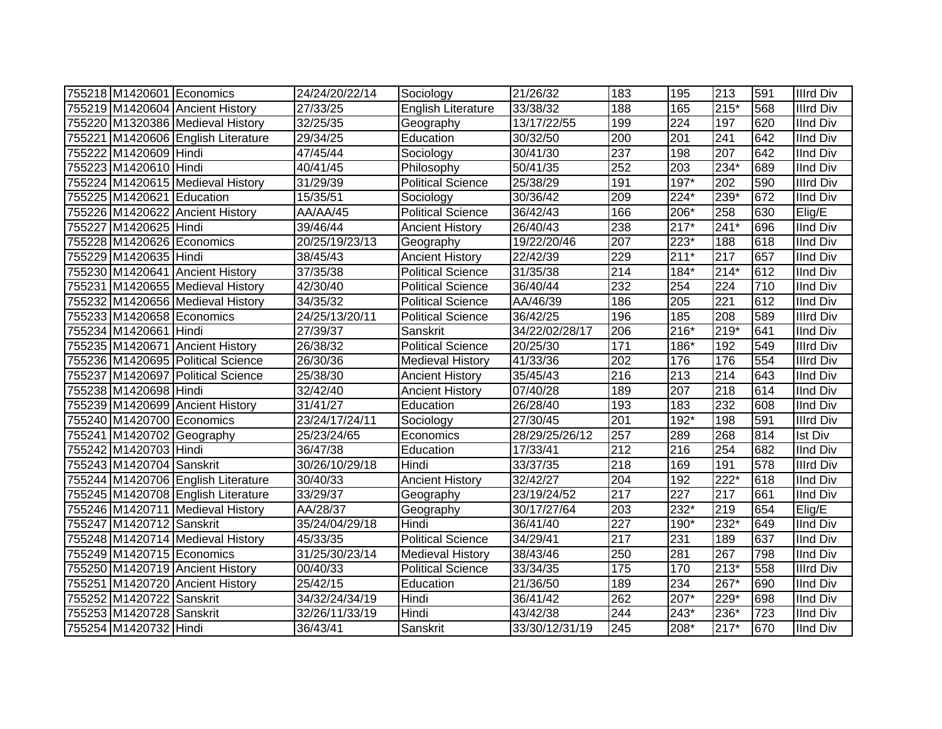| 755218 M1420601 Economics |                                    | 24/24/20/22/14 | Sociology                | 21/26/32       | 183 | 195    | 213    | 591 | <b>Illrd Div</b> |
|---------------------------|------------------------------------|----------------|--------------------------|----------------|-----|--------|--------|-----|------------------|
|                           | 755219 M1420604 Ancient History    | 27/33/25       | English Literature       | 33/38/32       | 188 | 165    | $215*$ | 568 | <b>Illrd Div</b> |
|                           | 755220 M1320386 Medieval History   | 32/25/35       | Geography                | 13/17/22/55    | 199 | 224    | 197    | 620 | <b>IInd Div</b>  |
|                           | 755221 M1420606 English Literature | 29/34/25       | Education                | 30/32/50       | 200 | 201    | 241    | 642 | <b>IInd Div</b>  |
| 755222 M1420609 Hindi     |                                    | 47/45/44       | Sociology                | 30/41/30       | 237 | 198    | 207    | 642 | <b>IInd Div</b>  |
| 755223 M1420610 Hindi     |                                    | 40/41/45       | Philosophy               | 50/41/35       | 252 | 203    | 234*   | 689 | <b>IInd Div</b>  |
|                           | 755224 M1420615 Medieval History   | 31/29/39       | <b>Political Science</b> | 25/38/29       | 191 | 197*   | 202    | 590 | <b>Illrd Div</b> |
| 755225 M1420621 Education |                                    | 15/35/51       | Sociology                | 30/36/42       | 209 | 224*   | $239*$ | 672 | <b>IInd Div</b>  |
|                           | 755226 M1420622 Ancient History    | AA/AA/45       | <b>Political Science</b> | 36/42/43       | 166 | 206*   | 258    | 630 | Elig/E           |
| 755227 M1420625 Hindi     |                                    | 39/46/44       | <b>Ancient History</b>   | 26/40/43       | 238 | $217*$ | $241*$ | 696 | <b>IInd Div</b>  |
|                           | 755228 M1420626 Economics          | 20/25/19/23/13 | Geography                | 19/22/20/46    | 207 | 223*   | 188    | 618 | <b>IInd Div</b>  |
| 755229 M1420635 Hindi     |                                    | 38/45/43       | <b>Ancient History</b>   | 22/42/39       | 229 | $211*$ | 217    | 657 | <b>IInd Div</b>  |
|                           | 755230 M1420641 Ancient History    | 37/35/38       | <b>Political Science</b> | 31/35/38       | 214 | $184*$ | $214*$ | 612 | <b>IInd Div</b>  |
|                           | 755231 M1420655 Medieval History   | 42/30/40       | <b>Political Science</b> | 36/40/44       | 232 | 254    | 224    | 710 | <b>IInd Div</b>  |
|                           | 755232 M1420656 Medieval History   | 34/35/32       | <b>Political Science</b> | AA/46/39       | 186 | 205    | 221    | 612 | <b>IInd Div</b>  |
|                           | 755233 M1420658 Economics          | 24/25/13/20/11 | <b>Political Science</b> | 36/42/25       | 196 | 185    | 208    | 589 | <b>Illrd Div</b> |
| 755234 M1420661 Hindi     |                                    | 27/39/37       | Sanskrit                 | 34/22/02/28/17 | 206 | $216*$ | $219*$ | 641 | <b>IInd Div</b>  |
|                           | 755235 M1420671 Ancient History    | 26/38/32       | <b>Political Science</b> | 20/25/30       | 171 | 186*   | 192    | 549 | <b>Illrd Div</b> |
|                           | 755236 M1420695 Political Science  | 26/30/36       | <b>Medieval History</b>  | 41/33/36       | 202 | 176    | 176    | 554 | <b>Illrd Div</b> |
|                           | 755237 M1420697 Political Science  | 25/38/30       | <b>Ancient History</b>   | 35/45/43       | 216 | 213    | 214    | 643 | <b>IInd Div</b>  |
| 755238 M1420698 Hindi     |                                    | 32/42/40       | <b>Ancient History</b>   | 07/40/28       | 189 | 207    | 218    | 614 | <b>IInd Div</b>  |
|                           | 755239 M1420699 Ancient History    | 31/41/27       | Education                | 26/28/40       | 193 | 183    | 232    | 608 | <b>IInd Div</b>  |
|                           | 755240 M1420700 Economics          | 23/24/17/24/11 | Sociology                | 27/30/45       | 201 | $192*$ | 198    | 591 | <b>Illrd Div</b> |
|                           | 755241 M1420702 Geography          | 25/23/24/65    | Economics                | 28/29/25/26/12 | 257 | 289    | 268    | 814 | <b>Ist Div</b>   |
| 755242 M1420703 Hindi     |                                    | 36/47/38       | Education                | 17/33/41       | 212 | 216    | 254    | 682 | <b>IInd Div</b>  |
| 755243 M1420704 Sanskrit  |                                    | 30/26/10/29/18 | Hindi                    | 33/37/35       | 218 | 169    | 191    | 578 | <b>Illrd Div</b> |
|                           | 755244 M1420706 English Literature | 30/40/33       | <b>Ancient History</b>   | 32/42/27       | 204 | 192    | $222*$ | 618 | <b>IInd Div</b>  |
|                           | 755245 M1420708 English Literature | 33/29/37       | Geography                | 23/19/24/52    | 217 | 227    | 217    | 661 | <b>IInd Div</b>  |
|                           | 755246 M1420711 Medieval History   | AA/28/37       | Geography                | 30/17/27/64    | 203 | 232*   | 219    | 654 | Elig/E           |
| 755247 M1420712 Sanskrit  |                                    | 35/24/04/29/18 | Hindi                    | 36/41/40       | 227 | 190*   | 232*   | 649 | <b>IInd Div</b>  |
|                           | 755248 M1420714 Medieval History   | 45/33/35       | Political Science        | 34/29/41       | 217 | 231    | 189    | 637 | <b>IInd Div</b>  |
|                           | 755249 M1420715 Economics          | 31/25/30/23/14 | Medieval History         | 38/43/46       | 250 | 281    | 267    | 798 | <b>IInd Div</b>  |
|                           | 755250 M1420719 Ancient History    | 00/40/33       | <b>Political Science</b> | 33/34/35       | 175 | 170    | $213*$ | 558 | <b>Illrd Div</b> |
|                           | 755251 M1420720 Ancient History    | 25/42/15       | Education                | 21/36/50       | 189 | 234    | 267*   | 690 | <b>IInd Div</b>  |
| 755252 M1420722 Sanskrit  |                                    | 34/32/24/34/19 | Hindi                    | 36/41/42       | 262 | 207*   | 229*   | 698 | <b>IInd Div</b>  |
| 755253 M1420728 Sanskrit  |                                    | 32/26/11/33/19 | Hindi                    | 43/42/38       | 244 | 243*   | 236*   | 723 | <b>IInd Div</b>  |
| 755254 M1420732 Hindi     |                                    | 36/43/41       | Sanskrit                 | 33/30/12/31/19 | 245 | 208*   | $217*$ | 670 | <b>IInd Div</b>  |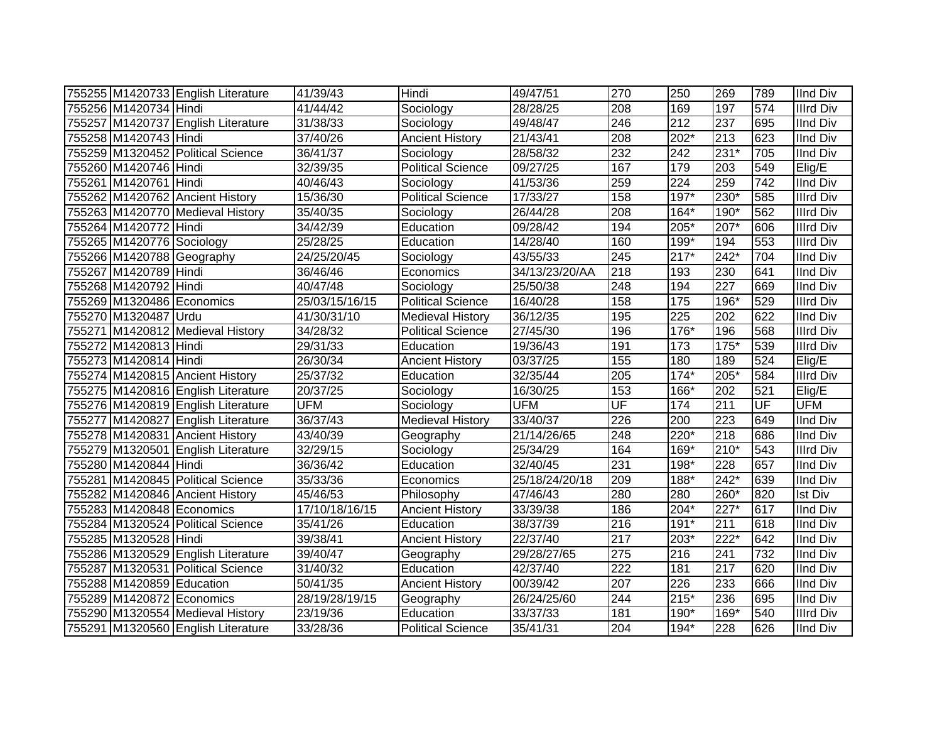|                           | 755255 M1420733 English Literature | 41/39/43              | Hindi                    | 49/47/51       | 270              | 250    | 269              | 789 | <b>IInd Div</b>  |
|---------------------------|------------------------------------|-----------------------|--------------------------|----------------|------------------|--------|------------------|-----|------------------|
| 755256 M1420734 Hindi     |                                    | 41/44/42              | Sociology                | 28/28/25       | 208              | 169    | 197              | 574 | <b>Illrd Div</b> |
|                           | 755257 M1420737 English Literature | 31/38/33              | Sociology                | 49/48/47       | 246              | 212    | $\overline{237}$ | 695 | <b>IInd Div</b>  |
| 755258 M1420743 Hindi     |                                    | 37/40/26              | <b>Ancient History</b>   | 21/43/41       | 208              | $202*$ | 213              | 623 | <b>IInd Div</b>  |
|                           | 755259 M1320452 Political Science  | 36/41/37              | Sociology                | 28/58/32       | 232              | 242    | $231*$           | 705 | <b>IInd Div</b>  |
| 755260 M1420746 Hindi     |                                    | 32/39/35              | <b>Political Science</b> | 09/27/25       | 167              | 179    | 203              | 549 | Elig/E           |
| 755261 M1420761 Hindi     |                                    | 40/46/43              | Sociology                | 41/53/36       | 259              | 224    | 259              | 742 | <b>IInd Div</b>  |
|                           | 755262 M1420762 Ancient History    | 15/36/30              | <b>Political Science</b> | 17/33/27       | 158              | $197*$ | $230*$           | 585 | <b>Illrd Div</b> |
|                           | 755263 M1420770 Medieval History   | 35/40/35              | Sociology                | 26/44/28       | 208              | 164*   | 190*             | 562 | <b>Illrd Div</b> |
| 755264 M1420772 Hindi     |                                    | 34/42/39              | Education                | 09/28/42       | 194              | 205*   | 207*             | 606 | <b>Illrd Div</b> |
| 755265 M1420776 Sociology |                                    | 25/28/25              | Education                | 14/28/40       | 160              | 199*   | 194              | 553 | <b>Illrd Div</b> |
| 755266 M1420788 Geography |                                    | 24/25/20/45           | Sociology                | 43/55/33       | 245              | $217*$ | 242*             | 704 | <b>IInd Div</b>  |
| 755267 M1420789 Hindi     |                                    | 36/46/46              | Economics                | 34/13/23/20/AA | 218              | 193    | 230              | 641 | <b>IInd Div</b>  |
| 755268 M1420792 Hindi     |                                    | 40/47/48              | Sociology                | 25/50/38       | 248              | 194    | 227              | 669 | <b>IInd Div</b>  |
| 755269 M1320486 Economics |                                    | 25/03/15/16/15        | <b>Political Science</b> | 16/40/28       | 158              | 175    | 196*             | 529 | <b>Illrd Div</b> |
| 755270 M1320487 Urdu      |                                    | 41/30/31/10           | <b>Medieval History</b>  | 36/12/35       | 195              | 225    | 202              | 622 | <b>IInd Div</b>  |
|                           | 755271 M1420812 Medieval History   | 34/28/32              | <b>Political Science</b> | 27/45/30       | 196              | 176*   | 196              | 568 | <b>Illrd Div</b> |
| 755272 M1420813 Hindi     |                                    | 29/31/33              | Education                | 19/36/43       | 191              | 173    | $175*$           | 539 | <b>Illrd Div</b> |
| 755273 M1420814 Hindi     |                                    | 26/30/34              | <b>Ancient History</b>   | 03/37/25       | 155              | 180    | 189              | 524 | Elig/E           |
|                           | 755274 M1420815 Ancient History    | 25/37/32              | Education                | 32/35/44       | 205              | $174*$ | 205*             | 584 | <b>Illrd Div</b> |
|                           | 755275 M1420816 English Literature | 20/37/25              | Sociology                | 16/30/25       | 153              | 166*   | 202              | 521 | Elig/E           |
|                           | 755276 M1420819 English Literature | <b>UFM</b>            | Sociology                | <b>UFM</b>     | UF               | 174    | 211              | UF  | <b>UFM</b>       |
|                           | 755277 M1420827 English Literature | 36/37/43              | <b>Medieval History</b>  | 33/40/37       | 226              | 200    | 223              | 649 | <b>IInd Div</b>  |
|                           | 755278 M1420831 Ancient History    | 43/40/39              | Geography                | 21/14/26/65    | 248              | 220*   | 218              | 686 | <b>IInd Div</b>  |
|                           | 755279 M1320501 English Literature | 32/29/15              | Sociology                | 25/34/29       | 164              | 169*   | $210*$           | 543 | <b>Illrd Div</b> |
| 755280 M1420844 Hindi     |                                    | 36/36/42              | Education                | 32/40/45       | 231              | 198*   | 228              | 657 | <b>IInd Div</b>  |
|                           | 755281 M1420845 Political Science  | 35/33/36              | Economics                | 25/18/24/20/18 | 209              | 188*   | $242*$           | 639 | <b>IInd Div</b>  |
|                           | 755282 M1420846 Ancient History    | 45/46/53              | Philosophy               | 47/46/43       | 280              | 280    | 260*             | 820 | <b>Ist Div</b>   |
| 755283 M1420848 Economics |                                    | 17/10/18/16/15        | <b>Ancient History</b>   | 33/39/38       | 186              | $204*$ | $227*$           | 617 | <b>IInd Div</b>  |
|                           | 755284 M1320524 Political Science  | 35/41/26              | Education                | 38/37/39       | 216              | $191*$ | 211              | 618 | <b>IInd Div</b>  |
| 755285 M1320528 Hindi     |                                    | 39/38/41              | <b>Ancient History</b>   | 22/37/40       | 217              | 203*   | 222*             | 642 | <b>IInd Div</b>  |
|                           | 755286 M1320529 English Literature | 39/40/47              | Geography                | 29/28/27/65    | 275              | 216    | 241              | 732 | <b>IInd Div</b>  |
|                           | 755287 M1320531 Political Science  | 31/40/32              | Education                | 42/37/40       | $\overline{222}$ | 181    | 217              | 620 | <b>IInd Div</b>  |
| 755288 M1420859 Education |                                    | $\overline{50}/41/35$ | <b>Ancient History</b>   | 00/39/42       | 207              | 226    | 233              | 666 | <b>IInd Div</b>  |
| 755289 M1420872 Economics |                                    | 28/19/28/19/15        | Geography                | 26/24/25/60    | 244              | $215*$ | 236              | 695 | <b>IInd Div</b>  |
|                           | 755290 M1320554 Medieval History   | 23/19/36              | Education                | 33/37/33       | 181              | 190*   | 169*             | 540 | <b>Illrd Div</b> |
|                           | 755291 M1320560 English Literature | 33/28/36              | <b>Political Science</b> | 35/41/31       | 204              | 194*   | 228              | 626 | <b>IInd Div</b>  |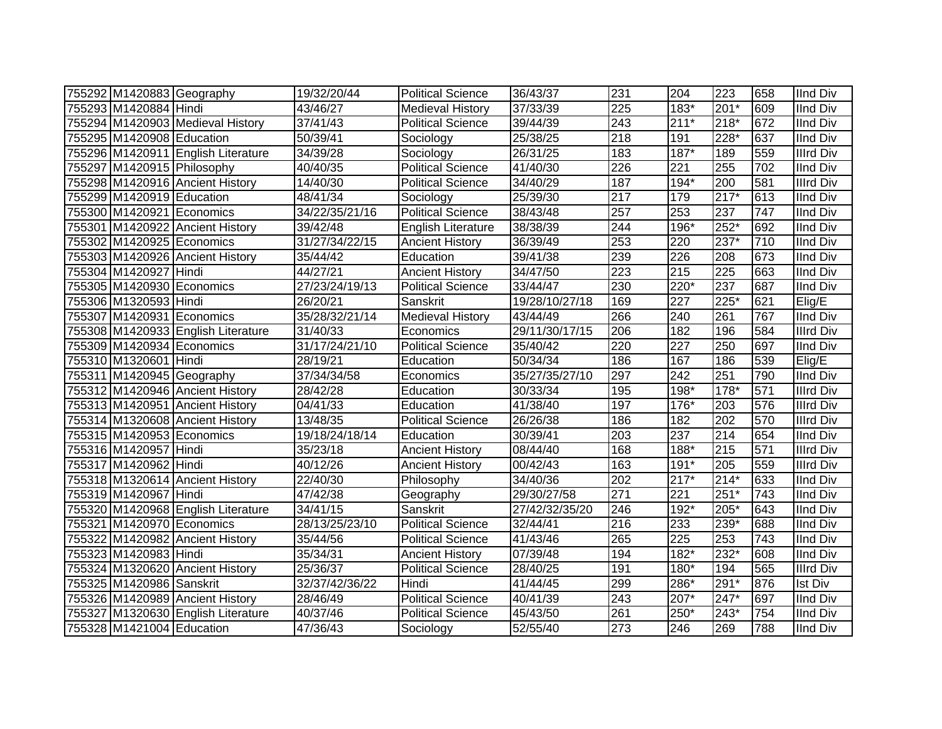| 755292 M1420883 Geography  |                                    | 19/32/20/44    | <b>Political Science</b>  | 36/43/37       | 231 | 204    | 223    | 658              | <b>IInd Div</b>  |
|----------------------------|------------------------------------|----------------|---------------------------|----------------|-----|--------|--------|------------------|------------------|
| 755293 M1420884 Hindi      |                                    | 43/46/27       | <b>Medieval History</b>   | 37/33/39       | 225 | 183*   | $201*$ | 609              | <b>IInd Div</b>  |
|                            | 755294 M1420903 Medieval History   | 37/41/43       | <b>Political Science</b>  | 39/44/39       | 243 | $211*$ | 218*   | 672              | <b>IInd Div</b>  |
| 755295 M1420908 Education  |                                    | 50/39/41       | Sociology                 | 25/38/25       | 218 | 191    | 228*   | 637              | <b>IInd Div</b>  |
|                            | 755296 M1420911 English Literature | 34/39/28       | Sociology                 | 26/31/25       | 183 | $187*$ | 189    | 559              | <b>Illrd Div</b> |
| 755297 M1420915 Philosophy |                                    | 40/40/35       | <b>Political Science</b>  | 41/40/30       | 226 | 221    | 255    | 702              | <b>IInd Div</b>  |
|                            | 755298 M1420916 Ancient History    | 14/40/30       | <b>Political Science</b>  | 34/40/29       | 187 | 194*   | 200    | 581              | <b>Illrd Div</b> |
| 755299 M1420919 Education  |                                    | 48/41/34       | Sociology                 | 25/39/30       | 217 | 179    | $217*$ | 613              | <b>IInd Div</b>  |
| 755300 M1420921 Economics  |                                    | 34/22/35/21/16 | <b>Political Science</b>  | 38/43/48       | 257 | 253    | 237    | $\overline{747}$ | <b>IInd Div</b>  |
|                            | 755301 M1420922 Ancient History    | 39/42/48       | <b>English Literature</b> | 38/38/39       | 244 | 196*   | $252*$ | 692              | <b>IInd Div</b>  |
| 755302 M1420925 Economics  |                                    | 31/27/34/22/15 | <b>Ancient History</b>    | 36/39/49       | 253 | 220    | $237*$ | 710              | <b>IInd Div</b>  |
|                            | 755303 M1420926 Ancient History    | 35/44/42       | Education                 | 39/41/38       | 239 | 226    | 208    | 673              | <b>IInd Div</b>  |
| 755304 M1420927 Hindi      |                                    | 44/27/21       | <b>Ancient History</b>    | 34/47/50       | 223 | 215    | 225    | 663              | <b>IInd Div</b>  |
| 755305 M1420930 Economics  |                                    | 27/23/24/19/13 | <b>Political Science</b>  | 33/44/47       | 230 | 220*   | 237    | 687              | <b>IInd Div</b>  |
| 755306 M1320593 Hindi      |                                    | 26/20/21       | Sanskrit                  | 19/28/10/27/18 | 169 | 227    | 225*   | 621              | Elig/E           |
| 755307 M1420931 Economics  |                                    | 35/28/32/21/14 | <b>Medieval History</b>   | 43/44/49       | 266 | 240    | 261    | 767              | <b>IInd Div</b>  |
|                            | 755308 M1420933 English Literature | 31/40/33       | Economics                 | 29/11/30/17/15 | 206 | 182    | 196    | 584              | <b>Illrd Div</b> |
| 755309 M1420934 Economics  |                                    | 31/17/24/21/10 | <b>Political Science</b>  | 35/40/42       | 220 | 227    | 250    | 697              | <b>IInd Div</b>  |
| 755310 M1320601 Hindi      |                                    | 28/19/21       | Education                 | 50/34/34       | 186 | 167    | 186    | 539              | Elig/E           |
| 755311 M1420945 Geography  |                                    | 37/34/34/58    | Economics                 | 35/27/35/27/10 | 297 | 242    | 251    | 790              | <b>IInd Div</b>  |
|                            | 755312 M1420946 Ancient History    | 28/42/28       | Education                 | 30/33/34       | 195 | 198*   | 178*   | 571              | <b>Illrd Div</b> |
|                            | 755313 M1420951 Ancient History    | 04/41/33       | Education                 | 41/38/40       | 197 | 176*   | 203    | 576              | <b>Illrd Div</b> |
|                            | 755314 M1320608 Ancient History    | 13/48/35       | Political Science         | 26/26/38       | 186 | 182    | 202    | 570              | <b>Illrd Div</b> |
| 755315 M1420953 Economics  |                                    | 19/18/24/18/14 | Education                 | 30/39/41       | 203 | 237    | 214    | 654              | <b>IInd Div</b>  |
| 755316 M1420957 Hindi      |                                    | 35/23/18       | <b>Ancient History</b>    | 08/44/40       | 168 | 188*   | 215    | 571              | <b>Illrd Div</b> |
| 755317 M1420962 Hindi      |                                    | 40/12/26       | <b>Ancient History</b>    | 00/42/43       | 163 | $191*$ | 205    | 559              | <b>Illrd Div</b> |
|                            | 755318 M1320614 Ancient History    | 22/40/30       | Philosophy                | 34/40/36       | 202 | $217*$ | $214*$ | 633              | <b>IInd Div</b>  |
| 755319 M1420967 Hindi      |                                    | 47/42/38       | Geography                 | 29/30/27/58    | 271 | 221    | $251*$ | $\overline{743}$ | <b>IInd Div</b>  |
|                            | 755320 M1420968 English Literature | 34/41/15       | Sanskrit                  | 27/42/32/35/20 | 246 | 192*   | 205*   | 643              | <b>IInd Div</b>  |
| 755321 M1420970 Economics  |                                    | 28/13/25/23/10 | <b>Political Science</b>  | 32/44/41       | 216 | 233    | 239*   | 688              | <b>IInd Div</b>  |
|                            | 755322 M1420982 Ancient History    | 35/44/56       | <b>Political Science</b>  | 41/43/46       | 265 | 225    | 253    | $\overline{743}$ | <b>IInd Div</b>  |
| 755323 M1420983 Hindi      |                                    | 35/34/31       | <b>Ancient History</b>    | 07/39/48       | 194 | 182*   | 232*   | 608              | <b>IInd Div</b>  |
|                            | 755324 M1320620 Ancient History    | 25/36/37       | <b>Political Science</b>  | 28/40/25       | 191 | 180*   | 194    | 565              | <b>Illrd Div</b> |
| 755325 M1420986 Sanskrit   |                                    | 32/37/42/36/22 | Hindi                     | 41/44/45       | 299 | 286*   | 291*   | 876              | Ist Div          |
|                            | 755326 M1420989 Ancient History    | 28/46/49       | <b>Political Science</b>  | 40/41/39       | 243 | 207*   | 247*   | 697              | <b>IInd Div</b>  |
|                            | 755327 M1320630 English Literature | 40/37/46       | Political Science         | 45/43/50       | 261 | 250*   | 243*   | 754              | <b>IInd Div</b>  |
| 755328 M1421004 Education  |                                    | 47/36/43       | Sociology                 | 52/55/40       | 273 | 246    | 269    | 788              | <b>IInd Div</b>  |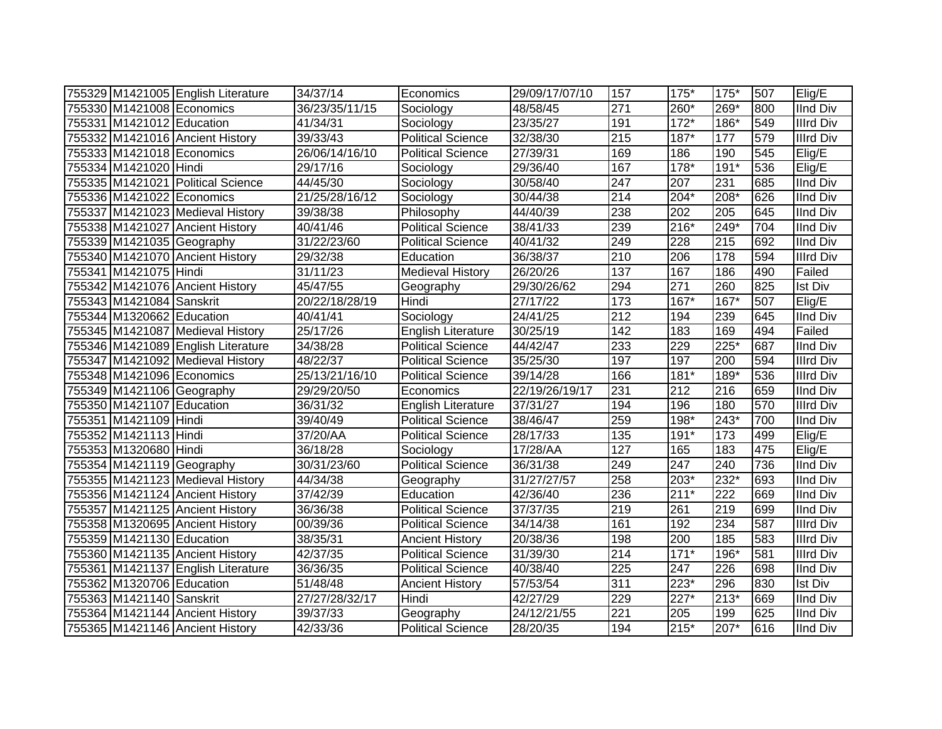|                           | 755329 M1421005 English Literature | 34/37/14       | Economics                 | 29/09/17/07/10 | 157              | 175*   | $175*$ | 507 | Elig/E           |
|---------------------------|------------------------------------|----------------|---------------------------|----------------|------------------|--------|--------|-----|------------------|
|                           | 755330 M1421008 Economics          | 36/23/35/11/15 | Sociology                 | 48/58/45       | 271              | 260*   | 269*   | 800 | <b>IInd Div</b>  |
| 755331 M1421012 Education |                                    | 41/34/31       | Sociology                 | 23/35/27       | 191              | $172*$ | 186*   | 549 | <b>Illrd Div</b> |
|                           | 755332 M1421016 Ancient History    | 39/33/43       | <b>Political Science</b>  | 32/38/30       | $\overline{215}$ | $187*$ | 177    | 579 | <b>Illrd Div</b> |
| 755333 M1421018 Economics |                                    | 26/06/14/16/10 | <b>Political Science</b>  | 27/39/31       | 169              | 186    | 190    | 545 | Elig/E           |
| 755334 M1421020 Hindi     |                                    | 29/17/16       | Sociology                 | 29/36/40       | 167              | $178*$ | $191*$ | 536 | Elig/E           |
|                           | 755335 M1421021 Political Science  | 44/45/30       | Sociology                 | 30/58/40       | 247              | 207    | 231    | 685 | <b>IInd Div</b>  |
|                           | 755336 M1421022 Economics          | 21/25/28/16/12 | Sociology                 | 30/44/38       | $\overline{214}$ | $204*$ | 208*   | 626 | <b>IInd Div</b>  |
|                           | 755337 M1421023 Medieval History   | 39/38/38       | Philosophy                | 44/40/39       | 238              | 202    | 205    | 645 | <b>IInd Div</b>  |
|                           | 755338 M1421027 Ancient History    | 40/41/46       | <b>Political Science</b>  | 38/41/33       | 239              | 216*   | 249*   | 704 | <b>IInd Div</b>  |
|                           | 755339 M1421035 Geography          | 31/22/23/60    | <b>Political Science</b>  | 40/41/32       | 249              | 228    | 215    | 692 | <b>IInd Div</b>  |
|                           | 755340 M1421070 Ancient History    | 29/32/38       | Education                 | 36/38/37       | 210              | 206    | 178    | 594 | Illrd Div        |
| 755341 M1421075 Hindi     |                                    | 31/11/23       | <b>Medieval History</b>   | 26/20/26       | 137              | 167    | 186    | 490 | Failed           |
|                           | 755342 M1421076 Ancient History    | 45/47/55       | Geography                 | 29/30/26/62    | 294              | 271    | 260    | 825 | Ist Div          |
| 755343 M1421084 Sanskrit  |                                    | 20/22/18/28/19 | Hindi                     | 27/17/22       | $\frac{1}{173}$  | $167*$ | $167*$ | 507 | Elig/E           |
| 755344 M1320662 Education |                                    | 40/41/41       | Sociology                 | 24/41/25       | $\overline{212}$ | 194    | 239    | 645 | IInd Div         |
|                           | 755345 M1421087 Medieval History   | 25/17/26       | <b>English Literature</b> | 30/25/19       | 142              | 183    | 169    | 494 | Failed           |
|                           | 755346 M1421089 English Literature | 34/38/28       | <b>Political Science</b>  | 44/42/47       | 233              | 229    | 225*   | 687 | <b>IInd Div</b>  |
|                           | 755347 M1421092 Medieval History   | 48/22/37       | <b>Political Science</b>  | 35/25/30       | 197              | 197    | 200    | 594 | <b>Illrd Div</b> |
|                           | 755348 M1421096 Economics          | 25/13/21/16/10 | <b>Political Science</b>  | 39/14/28       | 166              | 181*   | 189*   | 536 | Illrd Div        |
|                           | 755349 M1421106 Geography          | 29/29/20/50    | Economics                 | 22/19/26/19/17 | 231              | 212    | 216    | 659 | <b>IInd Div</b>  |
| 755350 M1421107 Education |                                    | 36/31/32       | <b>English Literature</b> | 37/31/27       | 194              | 196    | 180    | 570 | <b>Illrd Div</b> |
| 755351 M1421109 Hindi     |                                    | 39/40/49       | <b>Political Science</b>  | 38/46/47       | 259              | 198*   | 243*   | 700 | <b>IInd Div</b>  |
| 755352 M1421113 Hindi     |                                    | 37/20/AA       | <b>Political Science</b>  | 28/17/33       | 135              | $191*$ | 173    | 499 | Elig/E           |
| 755353 M1320680 Hindi     |                                    | 36/18/28       | Sociology                 | 17/28/AA       | 127              | 165    | 183    | 475 | Elig/E           |
| 755354 M1421119 Geography |                                    | 30/31/23/60    | <b>Political Science</b>  | 36/31/38       | 249              | 247    | 240    | 736 | <b>IInd Div</b>  |
|                           | 755355 M1421123 Medieval History   | 44/34/38       | Geography                 | 31/27/27/57    | 258              | 203*   | 232*   | 693 | <b>IInd Div</b>  |
|                           | 755356 M1421124 Ancient History    | 37/42/39       | Education                 | 42/36/40       | 236              | $211*$ | 222    | 669 | <b>IInd Div</b>  |
|                           | 755357 M1421125 Ancient History    | 36/36/38       | <b>Political Science</b>  | 37/37/35       | $\overline{219}$ | 261    | 219    | 699 | <b>IInd Div</b>  |
|                           | 755358 M1320695 Ancient History    | 00/39/36       | <b>Political Science</b>  | 34/14/38       | 161              | 192    | 234    | 587 | <b>Illrd Div</b> |
| 755359 M1421130 Education |                                    | 38/35/31       | <b>Ancient History</b>    | 20/38/36       | 198              | 200    | 185    | 583 | <b>Illrd Div</b> |
|                           | 755360 M1421135 Ancient History    | 42/37/35       | <b>Political Science</b>  | 31/39/30       | 214              | $171*$ | 196*   | 581 | <b>Illrd Div</b> |
|                           | 755361 M1421137 English Literature | 36/36/35       | <b>Political Science</b>  | 40/38/40       | 225              | 247    | 226    | 698 | <b>IInd Div</b>  |
| 755362 M1320706 Education |                                    | 51/48/48       | <b>Ancient History</b>    | 57/53/54       | 311              | $223*$ | 296    | 830 | <b>Ist Div</b>   |
| 755363 M1421140 Sanskrit  |                                    | 27/27/28/32/17 | Hindi                     | 42/27/29       | 229              | 227*   | 213*   | 669 | <b>IInd Div</b>  |
|                           | 755364 M1421144 Ancient History    | 39/37/33       | Geography                 | 24/12/21/55    | $\overline{221}$ | 205    | 199    | 625 | <b>IInd Div</b>  |
|                           | 755365 M1421146 Ancient History    | 42/33/36       | <b>Political Science</b>  | 28/20/35       | 194              | $215*$ | 207*   | 616 | <b>IInd Div</b>  |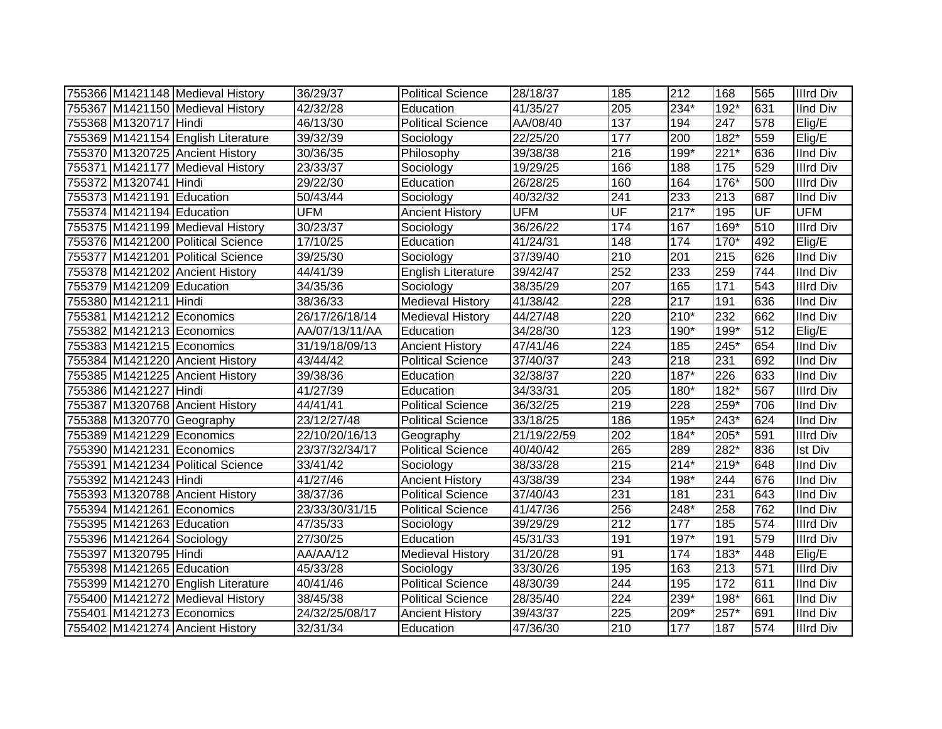|                           | 755366 M1421148 Medieval History   | 36/29/37       | <b>Political Science</b>  | 28/18/37    | 185              | $\overline{212}$ | 168              | 565 | <b>Illrd Div</b> |
|---------------------------|------------------------------------|----------------|---------------------------|-------------|------------------|------------------|------------------|-----|------------------|
|                           | 755367 M1421150 Medieval History   | 42/32/28       | Education                 | 41/35/27    | 205              | 234*             | 192*             | 631 | <b>IInd Div</b>  |
| 755368 M1320717 Hindi     |                                    | 46/13/30       | <b>Political Science</b>  | AA/08/40    | 137              | 194              | 247              | 578 | Elig/E           |
|                           | 755369 M1421154 English Literature | 39/32/39       | Sociology                 | 22/25/20    | 177              | 200              | $182*$           | 559 | Elig/E           |
|                           | 755370 M1320725 Ancient History    | 30/36/35       | Philosophy                | 39/38/38    | $\overline{216}$ | 199*             | $221*$           | 636 | <b>IInd Div</b>  |
|                           | 755371 M1421177 Medieval History   | 23/33/37       | Sociology                 | 19/29/25    | 166              | 188              | $\frac{175}{2}$  | 529 | <b>Illrd Div</b> |
| 755372 M1320741 Hindi     |                                    | 29/22/30       | Education                 | 26/28/25    | 160              | 164              | $176*$           | 500 | <b>Illrd Div</b> |
| 755373 M1421191 Education |                                    | 50/43/44       | Sociology                 | 40/32/32    | 241              | 233              | $\overline{213}$ | 687 | <b>IInd Div</b>  |
| 755374 M1421194 Education |                                    | <b>UFM</b>     | <b>Ancient History</b>    | <b>UFM</b>  | UF               | $217*$           | 195              | UF  | <b>UFM</b>       |
|                           | 755375 M1421199 Medieval History   | 30/23/37       | Sociology                 | 36/26/22    | 174              | 167              | $169*$           | 510 | <b>Illrd Div</b> |
|                           | 755376 M1421200 Political Science  | 17/10/25       | Education                 | 41/24/31    | 148              | 174              | $170*$           | 492 | Elig/E           |
|                           | 755377 M1421201 Political Science  | 39/25/30       | Sociology                 | 37/39/40    | 210              | 201              | 215              | 626 | <b>IInd Div</b>  |
|                           | 755378 M1421202 Ancient History    | 44/41/39       | <b>English Literature</b> | 39/42/47    | 252              | 233              | 259              | 744 | <b>IInd Div</b>  |
| 755379 M1421209 Education |                                    | 34/35/36       | Sociology                 | 38/35/29    | 207              | 165              | 171              | 543 | <b>Illrd Div</b> |
| 755380 M1421211 Hindi     |                                    | 38/36/33       | <b>Medieval History</b>   | 41/38/42    | 228              | 217              | 191              | 636 | <b>IInd Div</b>  |
| 755381 M1421212 Economics |                                    | 26/17/26/18/14 | <b>Medieval History</b>   | 44/27/48    | 220              | $210*$           | 232              | 662 | <b>IInd Div</b>  |
| 755382 M1421213 Economics |                                    | AA/07/13/11/AA | Education                 | 34/28/30    | 123              | 190*             | 199*             | 512 | Elig/E           |
| 755383 M1421215 Economics |                                    | 31/19/18/09/13 | <b>Ancient History</b>    | 47/41/46    | 224              | 185              | 245*             | 654 | <b>IInd Div</b>  |
|                           | 755384 M1421220 Ancient History    | 43/44/42       | <b>Political Science</b>  | 37/40/37    | 243              | 218              | 231              | 692 | <b>IInd Div</b>  |
|                           | 755385 M1421225 Ancient History    | 39/38/36       | Education                 | 32/38/37    | 220              | 187*             | 226              | 633 | <b>IInd Div</b>  |
| 755386 M1421227 Hindi     |                                    | 41/27/39       | Education                 | 34/33/31    | 205              | 180*             | 182*             | 567 | <b>Illrd Div</b> |
|                           | 755387 M1320768 Ancient History    | 44/41/41       | <b>Political Science</b>  | 36/32/25    | $\overline{219}$ | 228              | $259*$           | 706 | <b>IInd Div</b>  |
| 755388 M1320770 Geography |                                    | 23/12/27/48    | <b>Political Science</b>  | 33/18/25    | 186              | $195*$           | 243*             | 624 | <b>IInd Div</b>  |
| 755389 M1421229 Economics |                                    | 22/10/20/16/13 | Geography                 | 21/19/22/59 | 202              | 184*             | 205*             | 591 | <b>Illrd Div</b> |
| 755390 M1421231 Economics |                                    | 23/37/32/34/17 | <b>Political Science</b>  | 40/40/42    | 265              | 289              | 282*             | 836 | <b>Ist Div</b>   |
|                           | 755391 M1421234 Political Science  | 33/41/42       | Sociology                 | 38/33/28    | 215              | $214*$           | $219*$           | 648 | <b>IInd Div</b>  |
| 755392 M1421243 Hindi     |                                    | 41/27/46       | <b>Ancient History</b>    | 43/38/39    | 234              | 198*             | 244              | 676 | <b>IInd Div</b>  |
|                           | 755393 M1320788 Ancient History    | 38/37/36       | <b>Political Science</b>  | 37/40/43    | 231              | 181              | 231              | 643 | <b>IInd Div</b>  |
| 755394 M1421261 Economics |                                    | 23/33/30/31/15 | <b>Political Science</b>  | 41/47/36    | 256              | 248*             | 258              | 762 | <b>IInd Div</b>  |
| 755395 M1421263 Education |                                    | 47/35/33       | Sociology                 | 39/29/29    | 212              | 177              | 185              | 574 | <b>Illrd Div</b> |
| 755396 M1421264 Sociology |                                    | 27/30/25       | Education                 | 45/31/33    | 191              | 197*             | 191              | 579 | <b>Illrd Div</b> |
| 755397 M1320795 Hindi     |                                    | AA/AA/12       | <b>Medieval History</b>   | 31/20/28    | 91               | 174              | 183*             | 448 | Elig/E           |
| 755398 M1421265 Education |                                    | 45/33/28       | Sociology                 | 33/30/26    | 195              | 163              | 213              | 571 | <b>Illrd Div</b> |
|                           | 755399 M1421270 English Literature | 40/41/46       | Political Science         | 48/30/39    | 244              | 195              | 172              | 611 | <b>IInd Div</b>  |
|                           | 755400 M1421272 Medieval History   | 38/45/38       | Political Science         | 28/35/40    | 224              | 239*             | 198*             | 661 | <b>IInd Div</b>  |
| 755401 M1421273 Economics |                                    | 24/32/25/08/17 | <b>Ancient History</b>    | 39/43/37    | 225              | 209*             | $257*$           | 691 | <b>IInd Div</b>  |
|                           | 755402 M1421274 Ancient History    | 32/31/34       | Education                 | 47/36/30    | 210              | 177              | 187              | 574 | <b>Illrd Div</b> |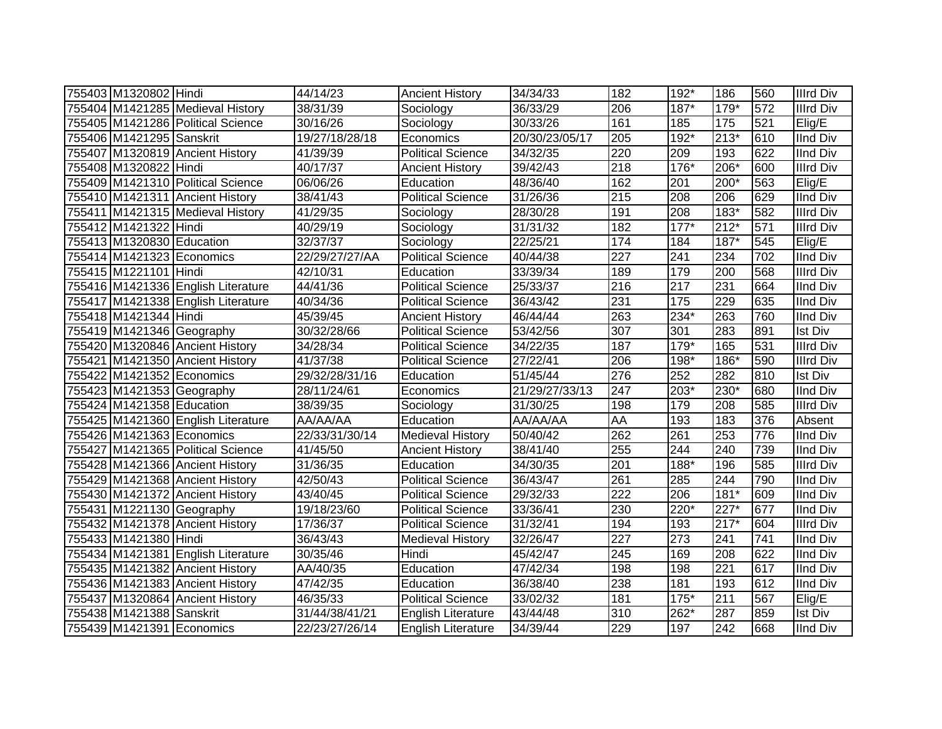| 755403 M1320802 Hindi     |                                    | 44/14/23              | <b>Ancient History</b>    | 34/34/33       | 182              | 192*              | 186    | 560              | <b>Illrd Div</b> |
|---------------------------|------------------------------------|-----------------------|---------------------------|----------------|------------------|-------------------|--------|------------------|------------------|
|                           | 755404 M1421285 Medieval History   | 38/31/39              | Sociology                 | 36/33/29       | 206              | $187*$            | 179*   | 572              | <b>Illrd Div</b> |
|                           | 755405 M1421286 Political Science  | 30/16/26              | Sociology                 | 30/33/26       | 161              | 185               | 175    | 521              | Elig/E           |
| 755406 M1421295 Sanskrit  |                                    | 19/27/18/28/18        | Economics                 | 20/30/23/05/17 | 205              | $192*$            | $213*$ | 610              | <b>IInd Div</b>  |
|                           | 755407 M1320819 Ancient History    | 41/39/39              | <b>Political Science</b>  | 34/32/35       | 220              | 209               | 193    | 622              | <b>IInd Div</b>  |
| 755408 M1320822 Hindi     |                                    | 40/17/37              | <b>Ancient History</b>    | 39/42/43       | 218              | $176*$            | $206*$ | 600              | <b>Illrd Div</b> |
|                           | 755409 M1421310 Political Science  | 06/06/26              | Education                 | 48/36/40       | 162              | 201               | 200*   | 563              | Elig/E           |
|                           | 755410 M1421311 Ancient History    | 38/41/43              | <b>Political Science</b>  | 31/26/36       | 215              | 208               | 206    | 629              | <b>IInd Div</b>  |
|                           | 755411 M1421315 Medieval History   | 41/29/35              | Sociology                 | 28/30/28       | 191              | 208               | $183*$ | 582              | <b>Illrd Div</b> |
| 755412 M1421322 Hindi     |                                    | 40/29/19              | Sociology                 | 31/31/32       | 182              | $177*$            | $212*$ | 571              | <b>Illrd Div</b> |
| 755413 M1320830 Education |                                    | 32/37/37              | Sociology                 | 22/25/21       | 174              | 184               | $187*$ | 545              | Elig/E           |
| 755414 M1421323 Economics |                                    | 22/29/27/27/AA        | <b>Political Science</b>  | 40/44/38       | 227              | 241               | 234    | 702              | <b>IInd Div</b>  |
| 755415 M1221101 Hindi     |                                    | 42/10/31              | Education                 | 33/39/34       | 189              | 179               | 200    | 568              | <b>Illrd Div</b> |
|                           | 755416 M1421336 English Literature | 44/41/36              | <b>Political Science</b>  | 25/33/37       | 216              | 217               | 231    | 664              | <b>IInd Div</b>  |
|                           | 755417 M1421338 English Literature | 40/34/36              | <b>Political Science</b>  | 36/43/42       | 231              | $\frac{175}{175}$ | 229    | 635              | <b>IInd Div</b>  |
| 755418 M1421344 Hindi     |                                    | 45/39/45              | <b>Ancient History</b>    | 46/44/44       | 263              | $234*$            | 263    | 760              | <b>IInd Div</b>  |
| 755419 M1421346 Geography |                                    | 30/32/28/66           | <b>Political Science</b>  | 53/42/56       | 307              | 301               | 283    | 891              | <b>Ist Div</b>   |
|                           | 755420 M1320846 Ancient History    | 34/28/34              | <b>Political Science</b>  | 34/22/35       | 187              | $179*$            | 165    | 531              | <b>Illrd Div</b> |
|                           | 755421 M1421350 Ancient History    | 41/37/38              | <b>Political Science</b>  | 27/22/41       | 206              | 198*              | 186*   | 590              | <b>Illrd Div</b> |
| 755422 M1421352 Economics |                                    | 29/32/28/31/16        | Education                 | 51/45/44       | 276              | 252               | 282    | 810              | <b>Ist Div</b>   |
| 755423 M1421353 Geography |                                    | $\frac{28}{11/24/61}$ | Economics                 | 21/29/27/33/13 | 247              | 203*              | 230*   | 680              | <b>IInd Div</b>  |
| 755424 M1421358 Education |                                    | 38/39/35              | Sociology                 | 31/30/25       | 198              | 179               | 208    | 585              | <b>Illrd Div</b> |
|                           | 755425 M1421360 English Literature | AA/AA/AA              | Education                 | AA/AA/AA       | AA               | 193               | 183    | 376              | Absent           |
| 755426 M1421363 Economics |                                    | 22/33/31/30/14        | <b>Medieval History</b>   | 50/40/42       | 262              | 261               | 253    | 776              | <b>IInd Div</b>  |
|                           | 755427 M1421365 Political Science  | 41/45/50              | <b>Ancient History</b>    | 38/41/40       | 255              | 244               | 240    | 739              | <b>IInd Div</b>  |
|                           | 755428 M1421366 Ancient History    | 31/36/35              | Education                 | 34/30/35       | 201              | 188*              | 196    | 585              | <b>Illrd Div</b> |
|                           | 755429 M1421368 Ancient History    | 42/50/43              | <b>Political Science</b>  | 36/43/47       | 261              | 285               | 244    | 790              | <b>IInd Div</b>  |
|                           | 755430 M1421372 Ancient History    | 43/40/45              | Political Science         | 29/32/33       | $\overline{222}$ | 206               | $181*$ | 609              | <b>IInd Div</b>  |
| 755431 M1221130 Geography |                                    | 19/18/23/60           | <b>Political Science</b>  | 33/36/41       | 230              | $220*$            | $227*$ | 677              | <b>IInd Div</b>  |
|                           | 755432 M1421378 Ancient History    | 17/36/37              | Political Science         | 31/32/41       | 194              | 193               | $217*$ | 604              | <b>Illrd Div</b> |
| 755433 M1421380 Hindi     |                                    | 36/43/43              | <b>Medieval History</b>   | 32/26/47       | 227              | $\overline{273}$  | 241    | $\overline{741}$ | <b>IInd Div</b>  |
|                           | 755434 M1421381 English Literature | 30/35/46              | Hindi                     | 45/42/47       | 245              | 169               | 208    | 622              | <b>IInd Div</b>  |
|                           | 755435 M1421382 Ancient History    | AA/40/35              | Education                 | 47/42/34       | 198              | 198               | 221    | 617              | <b>IInd Div</b>  |
|                           | 755436 M1421383 Ancient History    | 47/42/35              | Education                 | 36/38/40       | 238              | 181               | 193    | 612              | <b>IInd Div</b>  |
|                           | 755437 M1320864 Ancient History    | 46/35/33              | <b>Political Science</b>  | 33/02/32       | 181              | 175*              | 211    | 567              | Elig/E           |
| 755438 M1421388 Sanskrit  |                                    | 31/44/38/41/21        | <b>English Literature</b> | 43/44/48       | 310              | 262*              | 287    | 859              | <b>Ist Div</b>   |
| 755439 M1421391 Economics |                                    | 22/23/27/26/14        | <b>English Literature</b> | 34/39/44       | 229              | 197               | 242    | 668              | <b>IInd Div</b>  |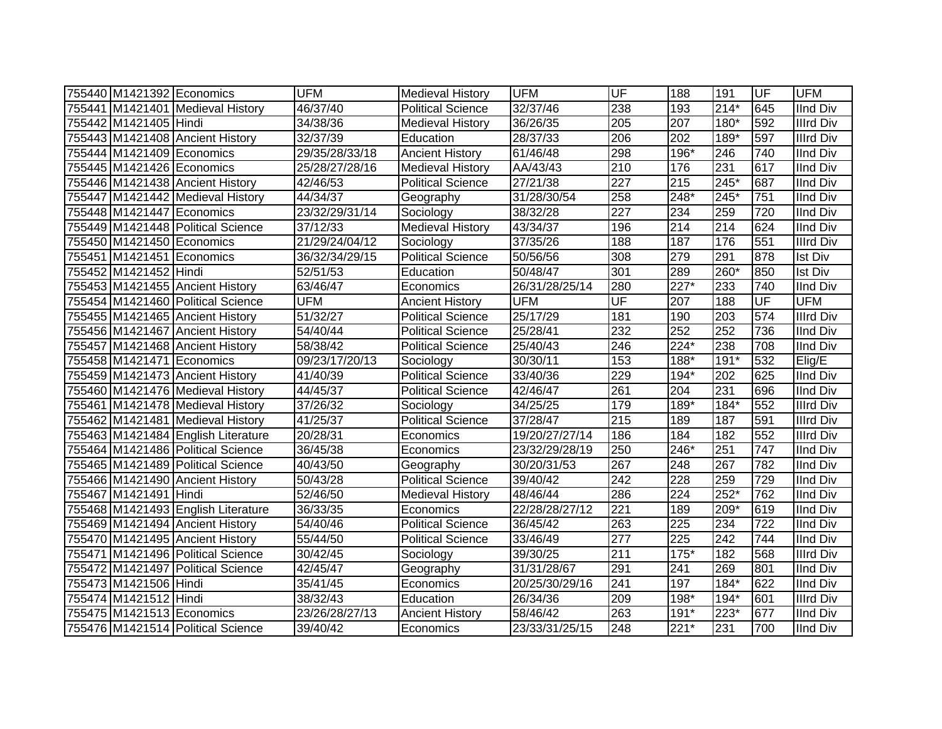| 755440 M1421392 Economics |                                    | <b>UFM</b>     | <b>Medieval History</b>  | <b>UFM</b>     | UF                       | 188              | 191    | lUF                      | <b>UFM</b>       |
|---------------------------|------------------------------------|----------------|--------------------------|----------------|--------------------------|------------------|--------|--------------------------|------------------|
|                           | 755441 M1421401 Medieval History   | 46/37/40       | <b>Political Science</b> | 32/37/46       | 238                      | 193              | $214*$ | 645                      | <b>IInd Div</b>  |
| 755442 M1421405 Hindi     |                                    | 34/38/36       | <b>Medieval History</b>  | 36/26/35       | $\overline{205}$         | 207              | $180*$ | 592                      | <b>Illrd Div</b> |
|                           | 755443 M1421408 Ancient History    | 32/37/39       | Education                | 28/37/33       | 206                      | 202              | $189*$ | 597                      | <b>Illrd Div</b> |
| 755444 M1421409 Economics |                                    | 29/35/28/33/18 | <b>Ancient History</b>   | 61/46/48       | 298                      | 196*             | 246    | 740                      | <b>IInd Div</b>  |
| 755445 M1421426 Economics |                                    | 25/28/27/28/16 | <b>Medieval History</b>  | AA/43/43       | 210                      | 176              | 231    | 617                      | <b>IInd Div</b>  |
|                           | 755446 M1421438 Ancient History    | 42/46/53       | <b>Political Science</b> | 27/21/38       | 227                      | 215              | $245*$ | 687                      | <b>IInd Div</b>  |
|                           | 755447 M1421442 Medieval History   | 44/34/37       | Geography                | 31/28/30/54    | 258                      | 248*             | 245*   | 751                      | <b>IInd Div</b>  |
|                           | 755448 M1421447 Economics          | 23/32/29/31/14 | Sociology                | 38/32/28       | 227                      | 234              | 259    | 720                      | <b>IInd Div</b>  |
|                           | 755449 M1421448 Political Science  | 37/12/33       | <b>Medieval History</b>  | 43/34/37       | 196                      | 214              | 214    | 624                      | <b>IInd Div</b>  |
|                           | 755450 M1421450 Economics          | 21/29/24/04/12 | Sociology                | 37/35/26       | 188                      | 187              | 176    | 551                      | <b>Illrd Div</b> |
|                           | 755451 M1421451 Economics          | 36/32/34/29/15 | <b>Political Science</b> | 50/56/56       | 308                      | 279              | 291    | 878                      | <b>Ist Div</b>   |
| 755452 M1421452 Hindi     |                                    | 52/51/53       | Education                | 50/48/47       | 301                      | 289              | 260*   | 850                      | <b>Ist Div</b>   |
|                           | 755453 M1421455 Ancient History    | 63/46/47       | Economics                | 26/31/28/25/14 | 280                      | 227*             | 233    | 740                      | <b>IInd Div</b>  |
|                           | 755454 M1421460 Political Science  | <b>UFM</b>     | <b>Ancient History</b>   | <b>UFM</b>     | $\overline{\mathsf{UF}}$ | 207              | 188    | $\overline{\mathsf{UF}}$ | <b>UFM</b>       |
|                           | 755455 M1421465 Ancient History    | 51/32/27       | <b>Political Science</b> | 25/17/29       | 181                      | 190              | 203    | 574                      | <b>Illrd Div</b> |
|                           | 755456 M1421467 Ancient History    | 54/40/44       | <b>Political Science</b> | 25/28/41       | 232                      | 252              | 252    | 736                      | <b>IInd Div</b>  |
|                           | 755457 M1421468 Ancient History    | 58/38/42       | Political Science        | 25/40/43       | 246                      | 224*             | 238    | 708                      | <b>IInd Div</b>  |
| 755458 M1421471 Economics |                                    | 09/23/17/20/13 | Sociology                | 30/30/11       | 153                      | 188*             | $191*$ | 532                      | Elig/E           |
|                           | 755459 M1421473 Ancient History    | 41/40/39       | <b>Political Science</b> | 33/40/36       | 229                      | 194*             | 202    | 625                      | <b>IInd Div</b>  |
|                           | 755460 M1421476 Medieval History   | 44/45/37       | <b>Political Science</b> | 42/46/47       | 261                      | 204              | 231    | 696                      | <b>IInd Div</b>  |
|                           | 755461 M1421478 Medieval History   | 37/26/32       | Sociology                | 34/25/25       | 179                      | $189*$           | $184*$ | 552                      | <b>Illrd Div</b> |
|                           | 755462 M1421481 Medieval History   | 41/25/37       | <b>Political Science</b> | 37/28/47       | 215                      | 189              | 187    | 591                      | <b>Illrd Div</b> |
|                           | 755463 M1421484 English Literature | 20/28/31       | Economics                | 19/20/27/27/14 | 186                      | 184              | 182    | 552                      | <b>Illrd Div</b> |
|                           | 755464 M1421486 Political Science  | 36/45/38       | Economics                | 23/32/29/28/19 | 250                      | 246*             | 251    | 747                      | <b>IInd Div</b>  |
|                           | 755465 M1421489 Political Science  | 40/43/50       | Geography                | 30/20/31/53    | 267                      | 248              | 267    | 782                      | <b>IInd Div</b>  |
|                           | 755466 M1421490 Ancient History    | 50/43/28       | <b>Political Science</b> | 39/40/42       | 242                      | 228              | 259    | 729                      | <b>IInd Div</b>  |
| 755467 M1421491 Hindi     |                                    | 52/46/50       | <b>Medieval History</b>  | 48/46/44       | 286                      | 224              | 252*   | 762                      | <b>IInd Div</b>  |
|                           | 755468 M1421493 English Literature | 36/33/35       | Economics                | 22/28/28/27/12 | 221                      | 189              | 209*   | 619                      | <b>IInd Div</b>  |
|                           | 755469 M1421494 Ancient History    | 54/40/46       | <b>Political Science</b> | 36/45/42       | 263                      | $\overline{225}$ | 234    | 722                      | <b>IInd Div</b>  |
|                           | 755470 M1421495 Ancient History    | 55/44/50       | <b>Political Science</b> | 33/46/49       | 277                      | $\overline{225}$ | 242    | 744                      | <b>IInd Div</b>  |
|                           | 755471 M1421496 Political Science  | 30/42/45       | Sociology                | 39/30/25       | 211                      | $175*$           | 182    | 568                      | <b>Illrd Div</b> |
|                           | 755472 M1421497 Political Science  | 42/45/47       | Geography                | 31/31/28/67    | 291                      | 241              | 269    | 801                      | <b>IInd Div</b>  |
| 755473 M1421506 Hindi     |                                    | 35/41/45       | Economics                | 20/25/30/29/16 | 241                      | 197              | $184*$ | 622                      | <b>IInd Div</b>  |
| 755474 M1421512 Hindi     |                                    | 38/32/43       | Education                | 26/34/36       | 209                      | 198*             | $194*$ | 601                      | <b>Illrd Div</b> |
| 755475 M1421513 Economics |                                    | 23/26/28/27/13 | <b>Ancient History</b>   | 58/46/42       | 263                      | 191*             | 223*   | 677                      | <b>IInd Div</b>  |
|                           | 755476 M1421514 Political Science  | 39/40/42       | Economics                | 23/33/31/25/15 | 248                      | $221*$           | 231    | 700                      | <b>IInd Div</b>  |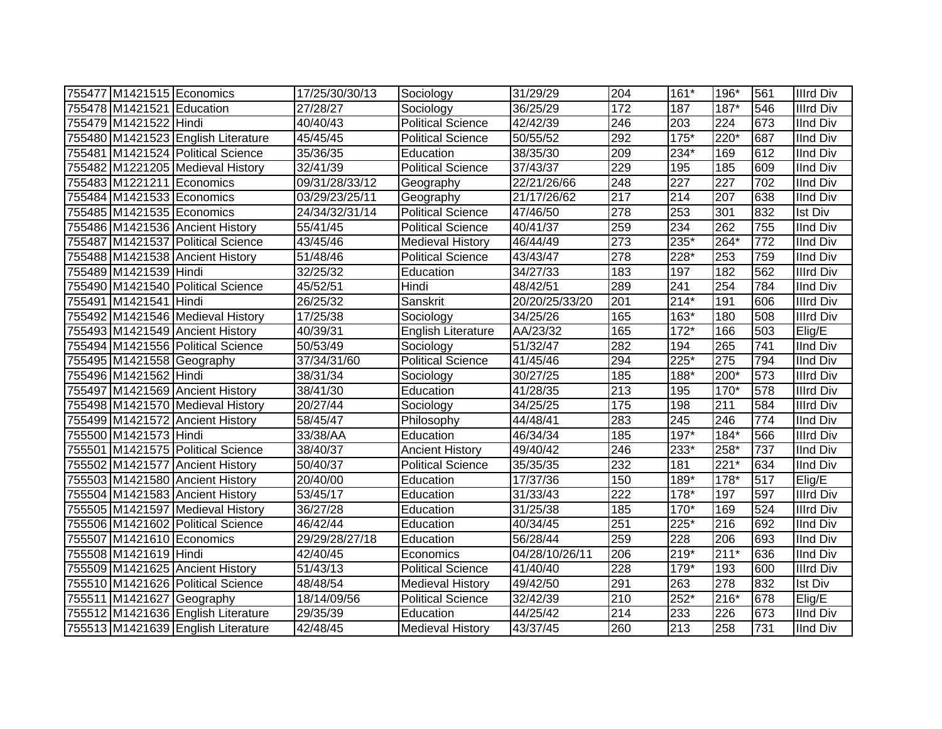| 755477 M1421515 Economics |                                    | 17/25/30/30/13 | Sociology                 | 31/29/29                 | 204              | $161*$           | 196*             | 561              | <b>Illrd Div</b> |
|---------------------------|------------------------------------|----------------|---------------------------|--------------------------|------------------|------------------|------------------|------------------|------------------|
| 755478 M1421521 Education |                                    | 27/28/27       | Sociology                 | 36/25/29                 | 172              | 187              | $187*$           | 546              | <b>Illrd Div</b> |
| 755479 M1421522 Hindi     |                                    | 40/40/43       | <b>Political Science</b>  | 42/42/39                 | 246              | $\overline{203}$ | $\overline{224}$ | 673              | <b>IInd Div</b>  |
|                           | 755480 M1421523 English Literature | 45/45/45       | <b>Political Science</b>  | 50/55/52                 | 292              | $175*$           | $220*$           | 687              | <b>IInd Div</b>  |
|                           | 755481 M1421524 Political Science  | 35/36/35       | Education                 | 38/35/30                 | 209              | $234*$           | 169              | 612              | <b>IInd Div</b>  |
|                           | 755482 M1221205 Medieval History   | 32/41/39       | <b>Political Science</b>  | 37/43/37                 | 229              | 195              | 185              | 609              | <b>IInd Div</b>  |
| 755483 M1221211 Economics |                                    | 09/31/28/33/12 | Geography                 | 22/21/26/66              | 248              | 227              | 227              | 702              | <b>IInd Div</b>  |
| 755484 M1421533 Economics |                                    | 03/29/23/25/11 | Geography                 | $\overline{21/17/26/62}$ | 217              | 214              | 207              | 638              | <b>IInd Div</b>  |
| 755485 M1421535 Economics |                                    | 24/34/32/31/14 | <b>Political Science</b>  | 47/46/50                 | 278              | 253              | 301              | 832              | <b>Ist Div</b>   |
|                           | 755486 M1421536 Ancient History    | 55/41/45       | <b>Political Science</b>  | 40/41/37                 | 259              | 234              | 262              | 755              | <b>IInd Div</b>  |
|                           | 755487 M1421537 Political Science  | 43/45/46       | <b>Medieval History</b>   | 46/44/49                 | 273              | 235*             | 264*             | $\overline{772}$ | <b>IInd Div</b>  |
|                           | 755488 M1421538 Ancient History    | 51/48/46       | <b>Political Science</b>  | 43/43/47                 | 278              | 228*             | 253              | 759              | <b>IInd Div</b>  |
| 755489 M1421539 Hindi     |                                    | 32/25/32       | Education                 | 34/27/33                 | 183              | 197              | 182              | 562              | <b>Illrd Div</b> |
|                           | 755490 M1421540 Political Science  | 45/52/51       | Hindi                     | 48/42/51                 | 289              | 241              | 254              | 784              | <b>IInd Div</b>  |
| 755491 M1421541 Hindi     |                                    | 26/25/32       | Sanskrit                  | 20/20/25/33/20           | 201              | $214*$           | 191              | 606              | <b>Illrd Div</b> |
|                           | 755492 M1421546 Medieval History   | 17/25/38       | Sociology                 | 34/25/26                 | 165              | $163*$           | 180              | 508              | <b>Illrd Div</b> |
|                           | 755493 M1421549 Ancient History    | 40/39/31       | <b>English Literature</b> | AA/23/32                 | 165              | $172*$           | 166              | 503              | Elig/E           |
|                           | 755494 M1421556 Political Science  | 50/53/49       | Sociology                 | 51/32/47                 | 282              | 194              | 265              | 741              | <b>IInd Div</b>  |
| 755495 M1421558 Geography |                                    | 37/34/31/60    | <b>Political Science</b>  | 41/45/46                 | 294              | 225*             | 275              | 794              | <b>IInd Div</b>  |
| 755496 M1421562 Hindi     |                                    | 38/31/34       | Sociology                 | 30/27/25                 | 185              | 188*             | $200*$           | 573              | <b>Illrd Div</b> |
|                           | 755497 M1421569 Ancient History    | 38/41/30       | Education                 | 41/28/35                 | 213              | 195              | $170*$           | 578              | <b>Illrd Div</b> |
|                           | 755498 M1421570 Medieval History   | 20/27/44       | Sociology                 | 34/25/25                 | 175              | 198              | 211              | 584              | <b>Illrd Div</b> |
|                           | 755499 M1421572 Ancient History    | 58/45/47       | Philosophy                | 44/48/41                 | 283              | 245              | 246              | 774              | <b>IInd Div</b>  |
| 755500 M1421573 Hindi     |                                    | 33/38/AA       | Education                 | 46/34/34                 | 185              | 197*             | $184*$           | 566              | <b>Illrd Div</b> |
|                           | 755501 M1421575 Political Science  | 38/40/37       | <b>Ancient History</b>    | 49/40/42                 | 246              | 233*             | 258*             | 737              | <b>IInd Div</b>  |
|                           | 755502 M1421577 Ancient History    | 50/40/37       | <b>Political Science</b>  | 35/35/35                 | 232              | 181              | $221*$           | 634              | <b>IInd Div</b>  |
|                           | 755503 M1421580 Ancient History    | 20/40/00       | Education                 | 17/37/36                 | 150              | 189*             | 178*             | 517              | Elig/E           |
|                           | 755504 M1421583 Ancient History    | 53/45/17       | Education                 | 31/33/43                 | $\overline{222}$ | $178*$           | 197              | 597              | <b>Illrd Div</b> |
|                           | 755505 M1421597 Medieval History   | 36/27/28       | Education                 | 31/25/38                 | 185              | 170*             | 169              | 524              | <b>Illrd Div</b> |
|                           | 755506 M1421602 Political Science  | 46/42/44       | Education                 | 40/34/45                 | 251              | $225*$           | 216              | 692              | <b>IInd Div</b>  |
| 755507 M1421610 Economics |                                    | 29/29/28/27/18 | Education                 | 56/28/44                 | 259              | $\overline{228}$ | 206              | 693              | <b>IInd Div</b>  |
| 755508 M1421619 Hindi     |                                    | 42/40/45       | Economics                 | 04/28/10/26/11           | 206              | $219*$           | $211*$           | 636              | <b>IInd Div</b>  |
|                           | 755509 M1421625 Ancient History    | 51/43/13       | Political Science         | 41/40/40                 | 228              | 179*             | 193              | 600              | <b>Illrd Div</b> |
|                           | 755510 M1421626 Political Science  | 48/48/54       | Medieval History          | 49/42/50                 | 291              | 263              | 278              | 832              | <b>Ist Div</b>   |
|                           | 755511 M1421627 Geography          | 18/14/09/56    | <b>Political Science</b>  | 32/42/39                 | 210              | $252*$           | 216*             | 678              | Elig/E           |
|                           | 755512 M1421636 English Literature | 29/35/39       | Education                 | 44/25/42                 | 214              | 233              | 226              | 673              | <b>IInd Div</b>  |
|                           | 755513 M1421639 English Literature | 42/48/45       | <b>Medieval History</b>   | 43/37/45                 | 260              | 213              | 258              | 731              | <b>IInd Div</b>  |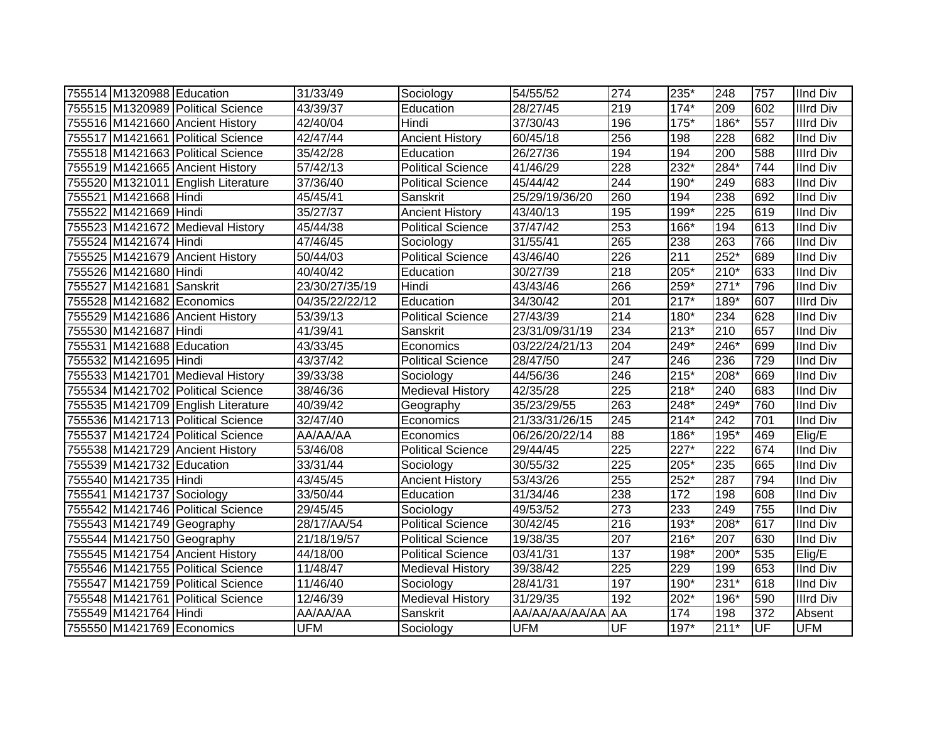| 755514 M1320988 Education |                                    | 31/33/49       | Sociology                | 54/55/52       | 274              | 235*   | 248              | 757 | <b>IInd Div</b>  |
|---------------------------|------------------------------------|----------------|--------------------------|----------------|------------------|--------|------------------|-----|------------------|
|                           | 755515 M1320989 Political Science  | 43/39/37       | Education                | 28/27/45       | 219              | $174*$ | 209              | 602 | <b>Illrd Div</b> |
|                           | 755516 M1421660 Ancient History    | 42/40/04       | Hindi                    | 37/30/43       | 196              | $175*$ | $186*$           | 557 | <b>Illrd Div</b> |
|                           | 755517 M1421661 Political Science  | 42/47/44       | <b>Ancient History</b>   | 60/45/18       | 256              | 198    | 228              | 682 | <b>IInd Div</b>  |
|                           | 755518 M1421663 Political Science  | 35/42/28       | Education                | 26/27/36       | 194              | 194    | $\overline{200}$ | 588 | <b>Illrd Div</b> |
|                           | 755519 M1421665 Ancient History    | 57/42/13       | <b>Political Science</b> | 41/46/29       | 228              | $232*$ | $284*$           | 744 | <b>IInd Div</b>  |
|                           | 755520 M1321011 English Literature | 37/36/40       | <b>Political Science</b> | 45/44/42       | 244              | 190*   | 249              | 683 | <b>IInd Div</b>  |
| 755521 M1421668 Hindi     |                                    | 45/45/41       | Sanskrit                 | 25/29/19/36/20 | 260              | 194    | 238              | 692 | <b>IInd Div</b>  |
| 755522 M1421669 Hindi     |                                    | 35/27/37       | <b>Ancient History</b>   | 43/40/13       | 195              | 199*   | 225              | 619 | <b>IInd Div</b>  |
|                           | 755523 M1421672 Medieval History   | 45/44/38       | <b>Political Science</b> | 37/47/42       | 253              | 166*   | 194              | 613 | <b>IInd Div</b>  |
| 755524 M1421674 Hindi     |                                    | 47/46/45       | Sociology                | 31/55/41       | 265              | 238    | 263              | 766 | <b>IInd Div</b>  |
|                           | 755525 M1421679 Ancient History    | 50/44/03       | <b>Political Science</b> | 43/46/40       | 226              | 211    | $252*$           | 689 | <b>IInd Div</b>  |
| 755526 M1421680 Hindi     |                                    | 40/40/42       | Education                | 30/27/39       | 218              | 205*   | $210*$           | 633 | <b>IInd Div</b>  |
| 755527 M1421681 Sanskrit  |                                    | 23/30/27/35/19 | Hindi                    | 43/43/46       | 266              | 259*   | $271*$           | 796 | <b>IInd Div</b>  |
| 755528 M1421682 Economics |                                    | 04/35/22/22/12 | Education                | 34/30/42       | 201              | $217*$ | 189*             | 607 | <b>Illrd Div</b> |
|                           | 755529 M1421686 Ancient History    | 53/39/13       | <b>Political Science</b> | 27/43/39       | 214              | 180*   | 234              | 628 | <b>IInd Div</b>  |
| 755530 M1421687 Hindi     |                                    | 41/39/41       | Sanskrit                 | 23/31/09/31/19 | 234              | $213*$ | 210              | 657 | <b>IInd Div</b>  |
| 755531 M1421688 Education |                                    | 43/33/45       | Economics                | 03/22/24/21/13 | 204              | 249*   | 246*             | 699 | <b>IInd Div</b>  |
| 755532 M1421695 Hindi     |                                    | 43/37/42       | <b>Political Science</b> | 28/47/50       | 247              | 246    | 236              | 729 | <b>IInd Div</b>  |
|                           | 755533 M1421701 Medieval History   | 39/33/38       | Sociology                | 44/56/36       | 246              | $215*$ | 208*             | 669 | <b>IInd Div</b>  |
|                           | 755534 M1421702 Political Science  | 38/46/36       | <b>Medieval History</b>  | 42/35/28       | 225              | $218*$ | 240              | 683 | <b>IInd Div</b>  |
|                           | 755535 M1421709 English Literature | 40/39/42       | Geography                | 35/23/29/55    | 263              | 248*   | $249*$           | 760 | <b>IInd Div</b>  |
|                           | 755536 M1421713 Political Science  | 32/47/40       | Economics                | 21/33/31/26/15 | 245              | $214*$ | 242              | 701 | <b>IInd Div</b>  |
|                           | 755537 M1421724 Political Science  | AA/AA/AA       | Economics                | 06/26/20/22/14 | 88               | 186*   | 195*             | 469 | Elig/E           |
|                           | 755538 M1421729 Ancient History    | 53/46/08       | <b>Political Science</b> | 29/44/45       | 225              | 227*   | 222              | 674 | <b>IInd Div</b>  |
| 755539 M1421732 Education |                                    | 33/31/44       | Sociology                | 30/55/32       | 225              | 205*   | 235              | 665 | <b>IInd Div</b>  |
| 755540 M1421735 Hindi     |                                    | 43/45/45       | <b>Ancient History</b>   | 53/43/26       | 255              | 252*   | 287              | 794 | <b>IInd Div</b>  |
| 755541 M1421737 Sociology |                                    | 33/50/44       | Education                | 31/34/46       | 238              | 172    | 198              | 608 | <b>IInd Div</b>  |
|                           | 755542 M1421746 Political Science  | 29/45/45       | Sociology                | 49/53/52       | 273              | 233    | 249              | 755 | <b>IInd Div</b>  |
| 755543 M1421749 Geography |                                    | 28/17/AA/54    | <b>Political Science</b> | 30/42/45       | 216              | $193*$ | $208*$           | 617 | <b>IInd Div</b>  |
| 755544 M1421750 Geography |                                    | 21/18/19/57    | <b>Political Science</b> | 19/38/35       | 207              | $216*$ | 207              | 630 | <b>IInd Div</b>  |
|                           | 755545 M1421754 Ancient History    | 44/18/00       | Political Science        | 03/41/31       | 137              | 198*   | 200*             | 535 | Elig/E           |
|                           | 755546 M1421755 Political Science  | 11/48/47       | Medieval History         | 39/38/42       | $\overline{225}$ | 229    | 199              | 653 | <b>IInd Div</b>  |
|                           | 755547 M1421759 Political Science  | 11/46/40       | Sociology                | 28/41/31       | 197              | 190*   | $231*$           | 618 | <b>IInd Div</b>  |
|                           | 755548 M1421761 Political Science  | 12/46/39       | <b>Medieval History</b>  | 31/29/35       | 192              | $202*$ | 196*             | 590 | <b>Illrd Div</b> |
| 755549 M1421764 Hindi     |                                    | AA/AA/AA       | Sanskrit                 | AA/AA/AA/AA/AA | <b>AA</b>        | 174    | 198              | 372 | Absent           |
| 755550 M1421769 Economics |                                    | <b>UFM</b>     | Sociology                | <b>UFM</b>     | UF               | 197*   | $211*$           | UF  | <b>UFM</b>       |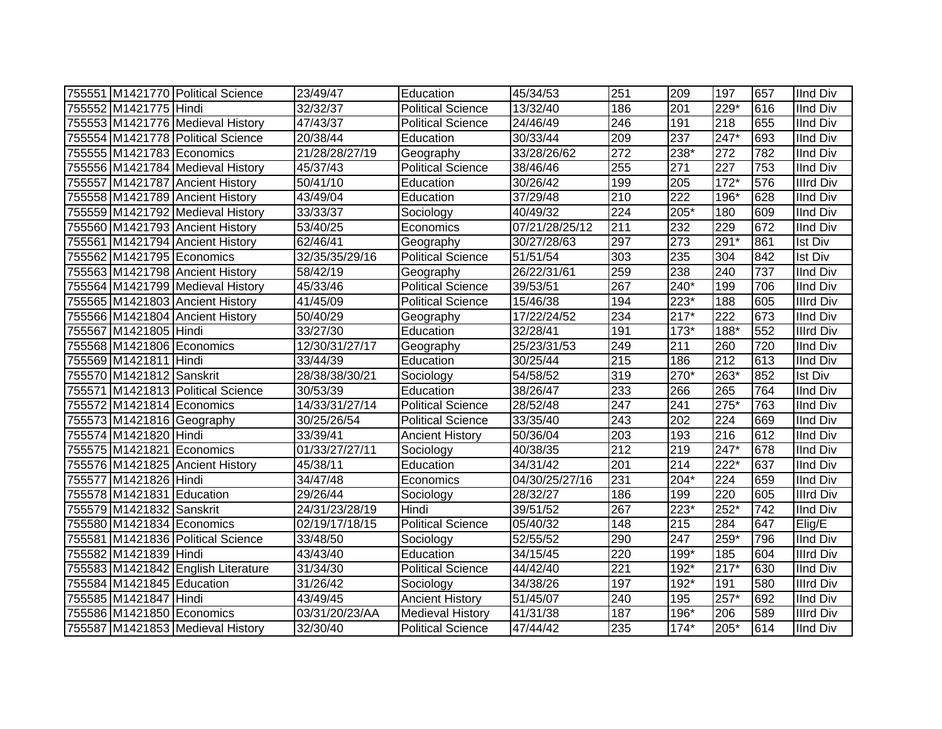|                           | 755551 M1421770 Political Science  | 23/49/47       | Education                | 45/34/53          | 251              | 209              | 197    | 657 | <b>IInd Div</b>  |
|---------------------------|------------------------------------|----------------|--------------------------|-------------------|------------------|------------------|--------|-----|------------------|
| 755552 M1421775 Hindi     |                                    | 32/32/37       | <b>Political Science</b> | 13/32/40          | 186              | 201              | 229*   | 616 | <b>IInd Div</b>  |
|                           | 755553 M1421776 Medieval History   | 47/43/37       | <b>Political Science</b> | 24/46/49          | $\overline{246}$ | 191              | 218    | 655 | <b>IInd Div</b>  |
|                           | 755554 M1421778 Political Science  | 20/38/44       | Education                | 30/33/44          | 209              | 237              | $247*$ | 693 | <b>IInd Div</b>  |
| 755555 M1421783 Economics |                                    | 21/28/28/27/19 | Geography                | 33/28/26/62       | $\overline{272}$ | $238*$           | 272    | 782 | <b>IInd Div</b>  |
|                           | 755556 M1421784 Medieval History   | 45/37/43       | <b>Political Science</b> | 38/46/46          | 255              | 271              | 227    | 753 | <b>IInd Div</b>  |
|                           | 755557 M1421787 Ancient History    | 50/41/10       | Education                | 30/26/42          | 199              | 205              | $172*$ | 576 | <b>Illrd Div</b> |
|                           | 755558 M1421789 Ancient History    | 43/49/04       | Education                | 37/29/48          | $\overline{210}$ | $\overline{222}$ | 196*   | 628 | <b>IInd Div</b>  |
|                           | 755559 M1421792 Medieval History   | 33/33/37       | Sociology                | 40/49/32          | $\overline{224}$ | $205*$           | 180    | 609 | <b>IInd Div</b>  |
|                           | 755560 M1421793 Ancient History    | 53/40/25       | Economics                | 07/21/28/25/12    | 211              | 232              | 229    | 672 | <b>IInd Div</b>  |
|                           | 755561 M1421794 Ancient History    | 62/46/41       | Geography                | 30/27/28/63       | 297              | 273              | 291*   | 861 | Ist Div          |
|                           | 755562 M1421795 Economics          | 32/35/35/29/16 | <b>Political Science</b> | 51/51/54          | 303              | 235              | 304    | 842 | <b>Ist Div</b>   |
|                           | 755563 M1421798 Ancient History    | 58/42/19       | Geography                | 26/22/31/61       | 259              | 238              | 240    | 737 | <b>IInd Div</b>  |
|                           | 755564 M1421799 Medieval History   | 45/33/46       | <b>Political Science</b> | 39/53/51          | 267              | 240*             | 199    | 706 | <b>IInd Div</b>  |
|                           | 755565 M1421803 Ancient History    | 41/45/09       | Political Science        | 15/46/38          | 194              | $223*$           | 188    | 605 | <b>Illrd Div</b> |
|                           | 755566 M1421804 Ancient History    | 50/40/29       | Geography                | 17/22/24/52       | 234              | $217*$           | 222    | 673 | <b>IInd Div</b>  |
| 755567 M1421805 Hindi     |                                    | 33/27/30       | Education                | 32/28/41          | 191              | $173*$           | 188*   | 552 | <b>Illrd Div</b> |
|                           | 755568 M1421806 Economics          | 12/30/31/27/17 | Geography                | 25/23/31/53       | 249              | 211              | 260    | 720 | <b>IInd Div</b>  |
| 755569 M1421811 Hindi     |                                    | 33/44/39       | Education                | 30/25/44          | 215              | 186              | 212    | 613 | <b>IInd Div</b>  |
| 755570 M1421812 Sanskrit  |                                    | 28/38/38/30/21 | Sociology                | 54/58/52          | 319              | 270*             | 263*   | 852 | <b>Ist Div</b>   |
|                           | 755571 M1421813 Political Science  | 30/53/39       | Education                | 38/26/47          | 233              | 266              | 265    | 764 | <b>IInd Div</b>  |
|                           | 755572 M1421814 Economics          | 14/33/31/27/14 | <b>Political Science</b> | 28/52/48          | 247              | 241              | $275*$ | 763 | <b>IInd Div</b>  |
|                           | 755573 M1421816 Geography          | 30/25/26/54    | <b>Political Science</b> | 33/35/40          | 243              | 202              | 224    | 669 | <b>IInd Div</b>  |
| 755574 M1421820 Hindi     |                                    | 33/39/41       | <b>Ancient History</b>   | 50/36/04          | 203              | 193              | 216    | 612 | <b>IInd Div</b>  |
| 755575 M1421821 Economics |                                    | 01/33/27/27/11 | Sociology                | 40/38/35          | 212              | 219              | 247*   | 678 | <b>IInd Div</b>  |
|                           | 755576 M1421825 Ancient History    | 45/38/11       | Education                | 34/31/42          | 201              | 214              | 222*   | 637 | <b>IInd Div</b>  |
| 755577 M1421826 Hindi     |                                    | 34/47/48       | Economics                | 04/30/25/27/16    | 231              | $204*$           | 224    | 659 | <b>IInd Div</b>  |
| 755578 M1421831 Education |                                    | 29/26/44       | Sociology                | 28/32/27          | 186              | 199              | 220    | 605 | <b>Illrd Div</b> |
| 755579 M1421832 Sanskrit  |                                    | 24/31/23/28/19 | Hindi                    | 39/51/52          | 267              | $223*$           | $252*$ | 742 | <b>IInd Div</b>  |
|                           | 755580 M1421834 Economics          | 02/19/17/18/15 | <b>Political Science</b> | 05/40/32          | 148              | 215              | 284    | 647 | Elig/E           |
|                           | 755581 M1421836 Political Science  | 33/48/50       | Sociology                | 52/55/52          | 290              | 247              | 259*   | 796 | <b>IInd Div</b>  |
| 755582 M1421839 Hindi     |                                    | 43/43/40       | Education                | 34/15/45          | 220              | 199*             | 185    | 604 | <b>Illrd Div</b> |
|                           | 755583 M1421842 English Literature | 31/34/30       | <b>Political Science</b> | 44/42/40          | 221              | 192*             | $217*$ | 630 | <b>IInd Div</b>  |
| 755584 M1421845 Education |                                    | 31/26/42       | Sociology                | 34/38/26          | 197              | 192*             | 191    | 580 | <b>Illrd Div</b> |
| 755585 M1421847 Hindi     |                                    | 43/49/45       | <b>Ancient History</b>   | $\sqrt{51/4}5/07$ | 240              | 195              | 257*   | 692 | <b>IInd Div</b>  |
| 755586 M1421850 Economics |                                    | 03/31/20/23/AA | <b>Medieval History</b>  | 41/31/38          | 187              | 196*             | 206    | 589 | <b>Illrd Div</b> |
|                           | 755587 M1421853 Medieval History   | 32/30/40       | <b>Political Science</b> | 47/44/42          | 235              | $174*$           | 205*   | 614 | <b>IInd Div</b>  |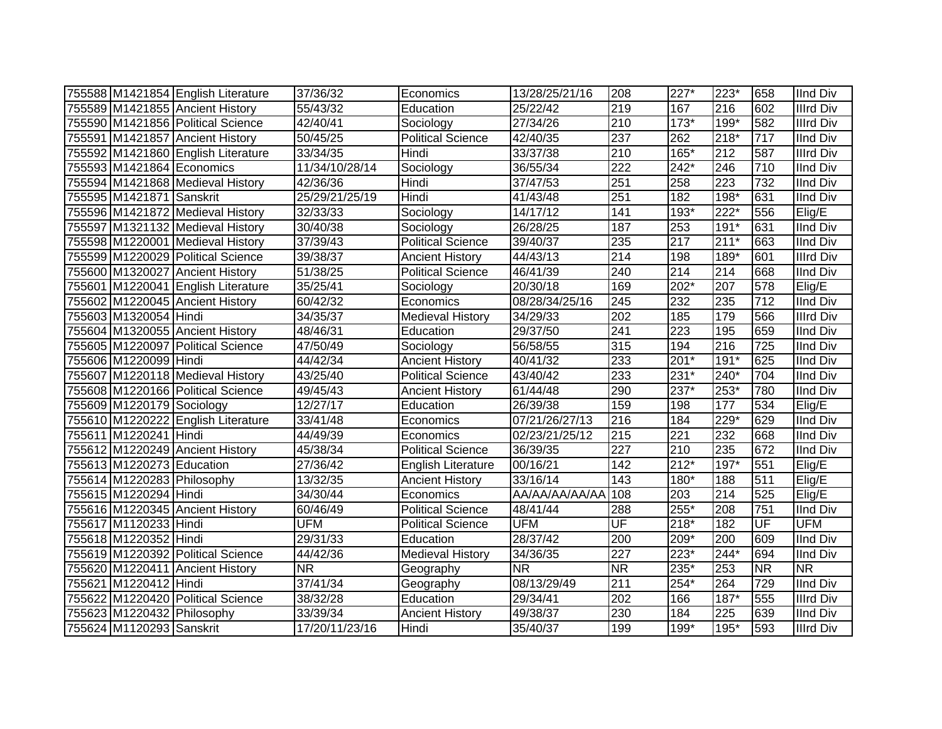|                            | 755588 M1421854 English Literature | 37/36/32               | Economics                | 13/28/25/21/16 | 208              | $227*$ | $223*$ | 658                      | <b>IInd Div</b>  |
|----------------------------|------------------------------------|------------------------|--------------------------|----------------|------------------|--------|--------|--------------------------|------------------|
|                            | 755589 M1421855 Ancient History    | 55/43/32               | Education                | 25/22/42       | 219              | 167    | 216    | 602                      | <b>Illrd Div</b> |
|                            | 755590 M1421856 Political Science  | 42/40/41               | Sociology                | 27/34/26       | 210              | $173*$ | $199*$ | 582                      | <b>Illrd Div</b> |
|                            | 755591 M1421857 Ancient History    | 50/45/25               | <b>Political Science</b> | 42/40/35       | 237              | 262    | $218*$ | 717                      | <b>IInd Div</b>  |
|                            | 755592 M1421860 English Literature | 33/34/35               | Hindi                    | 33/37/38       | 210              | $165*$ | 212    | 587                      | <b>Illrd Div</b> |
| 755593 M1421864 Economics  |                                    | 11/34/10/28/14         | Sociology                | 36/55/34       | 222              | $242*$ | 246    | 710                      | <b>IInd Div</b>  |
|                            | 755594 M1421868 Medieval History   | 42/36/36               | Hindi                    | 37/47/53       | 251              | 258    | 223    | 732                      | <b>IInd Div</b>  |
| 755595 M1421871 Sanskrit   |                                    | 25/29/21/25/19         | Hindi                    | 41/43/48       | 251              | 182    | $198*$ | 631                      | <b>IInd Div</b>  |
|                            | 755596 M1421872 Medieval History   | 32/33/33               | Sociology                | 14/17/12       | 141              | 193*   | $222*$ | 556                      | Elig/E           |
|                            | 755597 M1321132 Medieval History   | 30/40/38               | Sociology                | 26/28/25       | 187              | 253    | $191*$ | 631                      | <b>IInd Div</b>  |
|                            | 755598 M1220001 Medieval History   | 37/39/43               | <b>Political Science</b> | 39/40/37       | 235              | 217    | $211*$ | 663                      | <b>IInd Div</b>  |
|                            | 755599 M1220029 Political Science  | 39/38/37               | <b>Ancient History</b>   | 44/43/13       | $\overline{214}$ | 198    | 189*   | 601                      | <b>Illrd Div</b> |
|                            | 755600 M1320027 Ancient History    | 51/38/25               | <b>Political Science</b> | 46/41/39       | 240              | 214    | 214    | 668                      | <b>IInd Div</b>  |
|                            | 755601 M1220041 English Literature | 35/25/41               | Sociology                | 20/30/18       | 169              | 202*   | 207    | 578                      | Elig/E           |
|                            | 755602 M1220045 Ancient History    | 60/42/32               | Economics                | 08/28/34/25/16 | 245              | 232    | 235    | 712                      | <b>IInd Div</b>  |
| 755603 M1320054 Hindi      |                                    | 34/35/37               | <b>Medieval History</b>  | 34/29/33       | 202              | 185    | 179    | 566                      | <b>Illrd Div</b> |
|                            | 755604 M1320055 Ancient History    | 48/46/31               | Education                | 29/37/50       | 241              | 223    | 195    | 659                      | <b>IInd Div</b>  |
|                            | 755605 M1220097 Political Science  | 47/50/49               | Sociology                | 56/58/55       | 315              | 194    | 216    | 725                      | <b>IInd Div</b>  |
| 755606 M1220099 Hindi      |                                    | 44/42/34               | <b>Ancient History</b>   | 40/41/32       | 233              | $201*$ | $191*$ | 625                      | <b>IInd Div</b>  |
|                            | 755607 M1220118 Medieval History   | 43/25/40               | <b>Political Science</b> | 43/40/42       | 233              | 231*   | 240*   | 704                      | <b>IInd Div</b>  |
|                            | 755608 M1220166 Political Science  | 49/45/43               | <b>Ancient History</b>   | 61/44/48       | 290              | 237*   | 253*   | 780                      | <b>IInd Div</b>  |
| 755609 M1220179 Sociology  |                                    | 12/27/17               | Education                | 26/39/38       | 159              | 198    | 177    | 534                      | Elig/E           |
|                            | 755610 M1220222 English Literature | 33/41/48               | Economics                | 07/21/26/27/13 | 216              | 184    | $229*$ | 629                      | <b>IInd Div</b>  |
| 755611 M1220241 Hindi      |                                    | 44/49/39               | Economics                | 02/23/21/25/12 | 215              | 221    | 232    | 668                      | <b>IInd Div</b>  |
|                            | 755612 M1220249 Ancient History    | 45/38/34               | <b>Political Science</b> | 36/39/35       | 227              | 210    | 235    | 672                      | <b>IInd Div</b>  |
| 755613 M1220273 Education  |                                    | 27/36/42               | English Literature       | 00/16/21       | 142              | $212*$ | 197*   | 551                      | Elig/E           |
| 755614 M1220283 Philosophy |                                    | 13/32/35               | <b>Ancient History</b>   | 33/16/14       | 143              | 180*   | 188    | 511                      | Elig/E           |
| 755615 M1220294 Hindi      |                                    | 34/30/44               | Economics                | AA/AA/AA/AA/AA | 108              | 203    | 214    | 525                      | Elig/E           |
|                            | 755616 M1220345 Ancient History    | 60/46/49               | <b>Political Science</b> | 48/41/44       | 288              | 255*   | 208    | 751                      | <b>IInd Div</b>  |
| 755617 M1120233 Hindi      |                                    | <b>UFM</b>             | <b>Political Science</b> | <b>UFM</b>     | UF               | $218*$ | 182    | UF                       | <b>UFM</b>       |
| 755618 M1220352 Hindi      |                                    | 29/31/33               | Education                | 28/37/42       | 200              | 209*   | 200    | 609                      | <b>IInd Div</b>  |
|                            | 755619 M1220392 Political Science  | 44/42/36               | Medieval History         | 34/36/35       | 227              | $223*$ | 244*   | 694                      | <b>IInd Div</b>  |
|                            | 755620 M1220411 Ancient History    | $\overline{\text{NR}}$ | Geography                | <b>NR</b>      | <b>NR</b>        | 235*   | 253    | $\overline{\mathsf{NR}}$ | <b>NR</b>        |
| 755621 M1220412 Hindi      |                                    | 37/41/34               | Geography                | 08/13/29/49    | 211              | $254*$ | 264    | 729                      | <b>IInd Div</b>  |
|                            | 755622 M1220420 Political Science  | 38/32/28               | Education                | 29/34/41       | 202              | 166    | 187*   | 555                      | <b>Illrd Div</b> |
| 755623 M1220432 Philosophy |                                    | 33/39/34               | <b>Ancient History</b>   | 49/38/37       | 230              | 184    | 225    | 639                      | <b>IInd Div</b>  |
| 755624 M1120293 Sanskrit   |                                    | 17/20/11/23/16         | Hindi                    | 35/40/37       | 199              | 199*   | 195*   | 593                      | <b>Illrd Div</b> |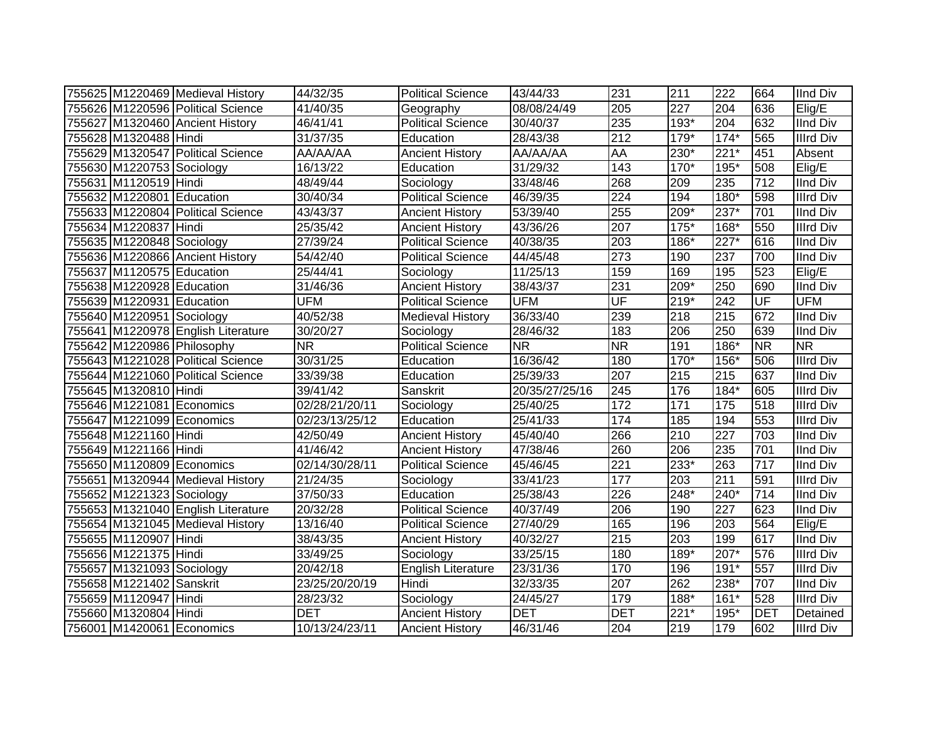|                            | 755625 M1220469 Medieval History   | 44/32/35               | <b>Political Science</b> | 43/44/33       | 231                      | 211    | 222    | 664                      | <b>IInd Div</b>  |
|----------------------------|------------------------------------|------------------------|--------------------------|----------------|--------------------------|--------|--------|--------------------------|------------------|
|                            | 755626 M1220596 Political Science  | 41/40/35               | Geography                | 08/08/24/49    | 205                      | 227    | 204    | 636                      | Elig/E           |
|                            | 755627 M1320460 Ancient History    | 46/41/41               | <b>Political Science</b> | 30/40/37       | 235                      | 193*   | 204    | 632                      | <b>IInd Div</b>  |
| 755628 M1320488 Hindi      |                                    | 31/37/35               | Education                | 28/43/38       | 212                      | 179*   | $174*$ | 565                      | <b>Illrd Div</b> |
|                            | 755629 M1320547 Political Science  | AA/AA/AA               | <b>Ancient History</b>   | AA/AA/AA       | AA                       | 230*   | $221*$ | 451                      | Absent           |
| 755630 M1220753 Sociology  |                                    | 16/13/22               | Education                | 31/29/32       | 143                      | 170*   | 195*   | 508                      | Elig/E           |
| 755631 M1120519 Hindi      |                                    | 48/49/44               | Sociology                | 33/48/46       | 268                      | 209    | 235    | 712                      | <b>IInd Div</b>  |
| 755632 M1220801 Education  |                                    | 30/40/34               | <b>Political Science</b> | 46/39/35       | $\overline{224}$         | 194    | $180*$ | 598                      | <b>Illrd Div</b> |
|                            | 755633 M1220804 Political Science  | 43/43/37               | <b>Ancient History</b>   | 53/39/40       | 255                      | 209*   | $237*$ | 701                      | <b>IInd Div</b>  |
| 755634 M1220837 Hindi      |                                    | 25/35/42               | <b>Ancient History</b>   | 43/36/26       | 207                      | $175*$ | 168*   | 550                      | <b>Illrd Div</b> |
| 755635 M1220848 Sociology  |                                    | 27/39/24               | Political Science        | 40/38/35       | 203                      | $186*$ | $227*$ | 616                      | <b>IInd Div</b>  |
|                            | 755636 M1220866 Ancient History    | 54/42/40               | <b>Political Science</b> | 44/45/48       | 273                      | 190    | 237    | 700                      | <b>IInd Div</b>  |
| 755637 M1120575 Education  |                                    | 25/44/41               | Sociology                | 11/25/13       | 159                      | 169    | 195    | 523                      | Elig/E           |
| 755638 M1220928 Education  |                                    | 31/46/36               | <b>Ancient History</b>   | 38/43/37       | 231                      | 209*   | 250    | 690                      | <b>IInd Div</b>  |
| 755639 M1220931 Education  |                                    | <b>UFM</b>             | <b>Political Science</b> | <b>UFM</b>     | $\overline{\mathsf{UF}}$ | $219*$ | 242    | UF                       | <b>UFM</b>       |
| 755640 M1220951 Sociology  |                                    | 40/52/38               | Medieval History         | 36/33/40       | 239                      | 218    | 215    | 672                      | <b>IInd Div</b>  |
|                            | 755641 M1220978 English Literature | 30/20/27               | Sociology                | 28/46/32       | 183                      | 206    | 250    | 639                      | <b>IInd Div</b>  |
| 755642 M1220986 Philosophy |                                    | $\overline{\text{NR}}$ | <b>Political Science</b> | <b>NR</b>      | <b>NR</b>                | 191    | 186*   | $\overline{\mathsf{NR}}$ | <b>NR</b>        |
|                            | 755643 M1221028 Political Science  | 30/31/25               | Education                | 16/36/42       | 180                      | 170*   | 156*   | 506                      | <b>Illrd Div</b> |
|                            | 755644 M1221060 Political Science  | 33/39/38               | Education                | 25/39/33       | 207                      | 215    | 215    | 637                      | <b>IInd Div</b>  |
| 755645 M1320810 Hindi      |                                    | 39/41/42               | Sanskrit                 | 20/35/27/25/16 | 245                      | 176    | $184*$ | 605                      | <b>Illrd Div</b> |
| 755646 M1221081 Economics  |                                    | 02/28/21/20/11         | Sociology                | 25/40/25       | 172                      | 171    | 175    | 518                      | <b>Illrd Div</b> |
| 755647 M1221099 Economics  |                                    | 02/23/13/25/12         | Education                | 25/41/33       | 174                      | 185    | 194    | 553                      | <b>Illrd Div</b> |
| 755648 M1221160 Hindi      |                                    | 42/50/49               | <b>Ancient History</b>   | 45/40/40       | 266                      | 210    | 227    | 703                      | <b>IInd Div</b>  |
| 755649 M1221166 Hindi      |                                    | 41/46/42               | <b>Ancient History</b>   | 47/38/46       | 260                      | 206    | 235    | 701                      | <b>IInd Div</b>  |
| 755650 M1120809 Economics  |                                    | 02/14/30/28/11         | <b>Political Science</b> | 45/46/45       | 221                      | 233*   | 263    | 717                      | <b>IInd Div</b>  |
|                            | 755651 M1320944 Medieval History   | 21/24/35               | Sociology                | 33/41/23       | 177                      | 203    | 211    | 591                      | <b>Illrd Div</b> |
| 755652 M1221323 Sociology  |                                    | 37/50/33               | Education                | 25/38/43       | 226                      | 248*   | 240*   | 714                      | <b>IInd Div</b>  |
|                            | 755653 M1321040 English Literature | 20/32/28               | <b>Political Science</b> | 40/37/49       | 206                      | 190    | 227    | 623                      | <b>IInd Div</b>  |
|                            | 755654 M1321045 Medieval History   | 13/16/40               | <b>Political Science</b> | 27/40/29       | 165                      | 196    | 203    | 564                      | Elig/E           |
| 755655 M1120907 Hindi      |                                    | 38/43/35               | <b>Ancient History</b>   | 40/32/27       | 215                      | 203    | 199    | 617                      | <b>IInd Div</b>  |
| 755656 M1221375 Hindi      |                                    | 33/49/25               | Sociology                | 33/25/15       | 180                      | 189*   | 207*   | 576                      | <b>Illrd Div</b> |
| 755657 M1321093 Sociology  |                                    | 20/42/18               | English Literature       | 23/31/36       | 170                      | 196    | $191*$ | 557                      | <b>Illrd Div</b> |
| 755658 M1221402 Sanskrit   |                                    | 23/25/20/20/19         | Hindi                    | 32/33/35       | 207                      | 262    | 238*   | 707                      | <b>IInd Div</b>  |
| 755659 M1120947 Hindi      |                                    | 28/23/32               | Sociology                | 24/45/27       | 179                      | 188*   | $161*$ | 528                      | <b>Illrd Div</b> |
| 755660 M1320804 Hindi      |                                    | <b>DET</b>             | <b>Ancient History</b>   | <b>DET</b>     | <b>DET</b>               | $221*$ | $195*$ | <b>DET</b>               | Detained         |
| 756001 M1420061 Economics  |                                    | 10/13/24/23/11         | <b>Ancient History</b>   | 46/31/46       | 204                      | 219    | 179    | 602                      | <b>Illrd Div</b> |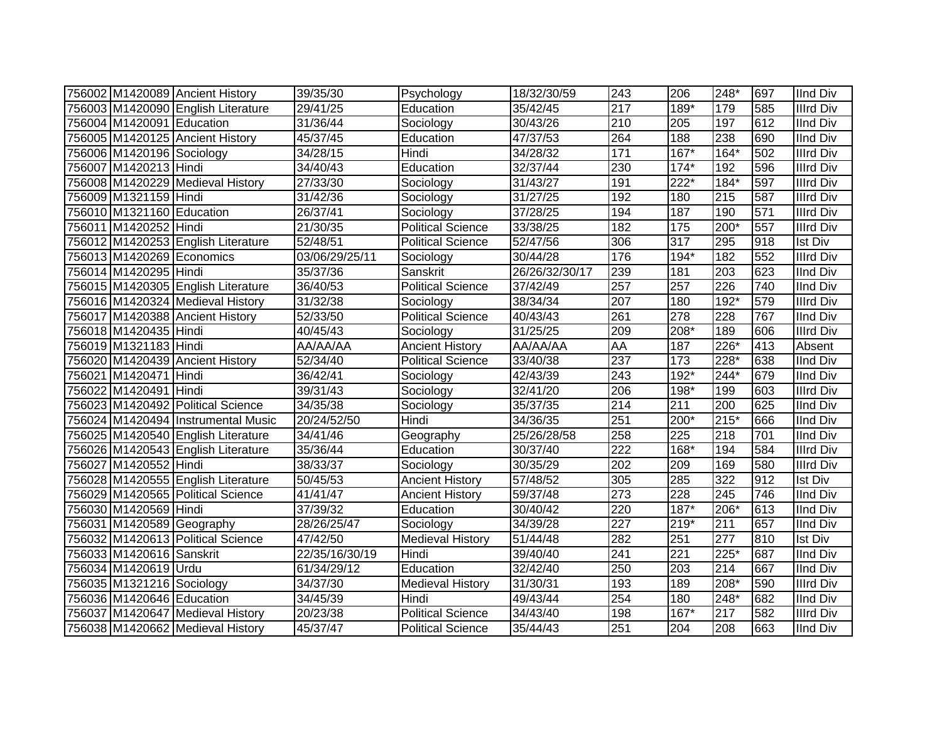|                           | 756002 M1420089 Ancient History    | 39/35/30          | Psychology               | 18/32/30/59    | 243              | 206               | 248*               | 697 | <b>IInd Div</b>  |
|---------------------------|------------------------------------|-------------------|--------------------------|----------------|------------------|-------------------|--------------------|-----|------------------|
|                           | 756003 M1420090 English Literature | 29/41/25          | Education                | 35/42/45       | 217              | 189*              | 179                | 585 | <b>Illrd Div</b> |
| 756004 M1420091 Education |                                    | 31/36/44          | Sociology                | 30/43/26       | 210              | 205               | 197                | 612 | <b>IInd Div</b>  |
|                           | 756005 M1420125 Ancient History    | 45/37/45          | Education                | 47/37/53       | 264              | 188               | 238                | 690 | <b>IInd Div</b>  |
| 756006 M1420196 Sociology |                                    | 34/28/15          | Hindi                    | 34/28/32       | $\overline{171}$ | $167*$            | $164*$             | 502 | <b>Illrd Div</b> |
| 756007 M1420213 Hindi     |                                    | 34/40/43          | Education                | 32/37/44       | 230              | $174*$            | 192                | 596 | <b>Illrd Div</b> |
|                           | 756008 M1420229 Medieval History   | 27/33/30          | Sociology                | 31/43/27       | 191              | $222*$            | $\overline{184}$ * | 597 | <b>Illrd Div</b> |
| 756009 M1321159 Hindi     |                                    | 31/42/36          | Sociology                | 31/27/25       | 192              | 180               | $\overline{215}$   | 587 | <b>Illrd Div</b> |
| 756010 M1321160 Education |                                    | 26/37/41          | Sociology                | 37/28/25       | 194              | 187               | 190                | 571 | <b>Illrd Div</b> |
| 756011 M1420252 Hindi     |                                    | 21/30/35          | <b>Political Science</b> | 33/38/25       | 182              | $\frac{175}{175}$ | $200*$             | 557 | <b>Illrd Div</b> |
|                           | 756012 M1420253 English Literature | 52/48/51          | <b>Political Science</b> | 52/47/56       | 306              | 317               | 295                | 918 | <b>Ist Div</b>   |
| 756013 M1420269 Economics |                                    | 03/06/29/25/11    | Sociology                | 30/44/28       | 176              | $194*$            | 182                | 552 | <b>Illrd Div</b> |
| 756014 M1420295 Hindi     |                                    | 35/37/36          | Sanskrit                 | 26/26/32/30/17 | 239              | 181               | 203                | 623 | <b>IInd Div</b>  |
|                           | 756015 M1420305 English Literature | 36/40/53          | <b>Political Science</b> | 37/42/49       | 257              | 257               | 226                | 740 | <b>IInd Div</b>  |
|                           | 756016 M1420324 Medieval History   | 31/32/38          | Sociology                | 38/34/34       | 207              | 180               | 192*               | 579 | <b>Illrd Div</b> |
|                           | 756017 M1420388 Ancient History    | 52/33/50          | <b>Political Science</b> | 40/43/43       | 261              | 278               | 228                | 767 | <b>IInd Div</b>  |
| 756018 M1420435 Hindi     |                                    | 40/45/43          | Sociology                | 31/25/25       | 209              | 208*              | 189                | 606 | <b>Illrd Div</b> |
| 756019 M1321183 Hindi     |                                    | AA/AA/AA          | <b>Ancient History</b>   | AA/AA/AA       | AA               | 187               | $226*$             | 413 | Absent           |
|                           | 756020 M1420439 Ancient History    | 52/34/40          | Political Science        | 33/40/38       | $\overline{237}$ | 173               | $228*$             | 638 | <b>IInd Div</b>  |
| 756021 M1420471 Hindi     |                                    | 36/42/41          | Sociology                | 42/43/39       | 243              | $192*$            | 244*               | 679 | <b>IInd Div</b>  |
| 756022 M1420491 Hindi     |                                    | 39/31/43          | Sociology                | 32/41/20       | 206              | 198*              | 199                | 603 | <b>Illrd Div</b> |
|                           | 756023 M1420492 Political Science  | 34/35/38          | Sociology                | 35/37/35       | 214              | 211               | 200                | 625 | <b>IInd Div</b>  |
|                           | 756024 M1420494 Instrumental Music | 20/24/52/50       | Hindi                    | 34/36/35       | 251              | 200*              | $215*$             | 666 | <b>IInd Div</b>  |
|                           | 756025 M1420540 English Literature | 34/41/46          | Geography                | 25/26/28/58    | 258              | 225               | 218                | 701 | <b>IInd Div</b>  |
|                           | 756026 M1420543 English Literature | 35/36/44          | Education                | 30/37/40       | 222              | 168*              | 194                | 584 | <b>Illrd Div</b> |
| 756027 M1420552 Hindi     |                                    | 38/33/37          | Sociology                | 30/35/29       | 202              | 209               | 169                | 580 | <b>Illrd Div</b> |
|                           | 756028 M1420555 English Literature | 50/45/53          | <b>Ancient History</b>   | 57/48/52       | 305              | 285               | $\overline{322}$   | 912 | <b>Ist Div</b>   |
|                           | 756029 M1420565 Political Science  | 41/41/47          | <b>Ancient History</b>   | 59/37/48       | 273              | $\overline{228}$  | $\overline{245}$   | 746 | <b>IInd Div</b>  |
| 756030 M1420569 Hindi     |                                    | 37/39/32          | Education                | 30/40/42       | 220              | $187*$            | $206*$             | 613 | <b>IInd Div</b>  |
| 756031 M1420589 Geography |                                    | 28/26/25/47       | Sociology                | 34/39/28       | 227              | $219*$            | 211                | 657 | <b>IInd Div</b>  |
|                           | 756032 M1420613 Political Science  | 47/42/50          | <b>Medieval History</b>  | 51/44/48       | 282              | 251               | 277                | 810 | <b>Ist Div</b>   |
| 756033 M1420616 Sanskrit  |                                    | 22/35/16/30/19    | Hindi                    | 39/40/40       | 241              | 221               | 225*               | 687 | <b>IInd Div</b>  |
| 756034 M1420619 Urdu      |                                    | 61/34/29/12       | Education                | 32/42/40       | 250              | 203               | 214                | 667 | <b>IInd Div</b>  |
| 756035 M1321216 Sociology |                                    | $\sqrt{34}/37/30$ | <b>Medieval History</b>  | 31/30/31       | 193              | 189               | 208*               | 590 | <b>Illrd Div</b> |
| 756036 M1420646 Education |                                    | 34/45/39          | Hindi                    | 49/43/44       | 254              | 180               | 248*               | 682 | <b>IInd Div</b>  |
|                           | 756037 M1420647 Medieval History   | 20/23/38          | Political Science        | 34/43/40       | 198              | 167*              | 217                | 582 | <b>Illrd Div</b> |
|                           | 756038 M1420662 Medieval History   | 45/37/47          | <b>Political Science</b> | 35/44/43       | 251              | 204               | 208                | 663 | <b>IInd Div</b>  |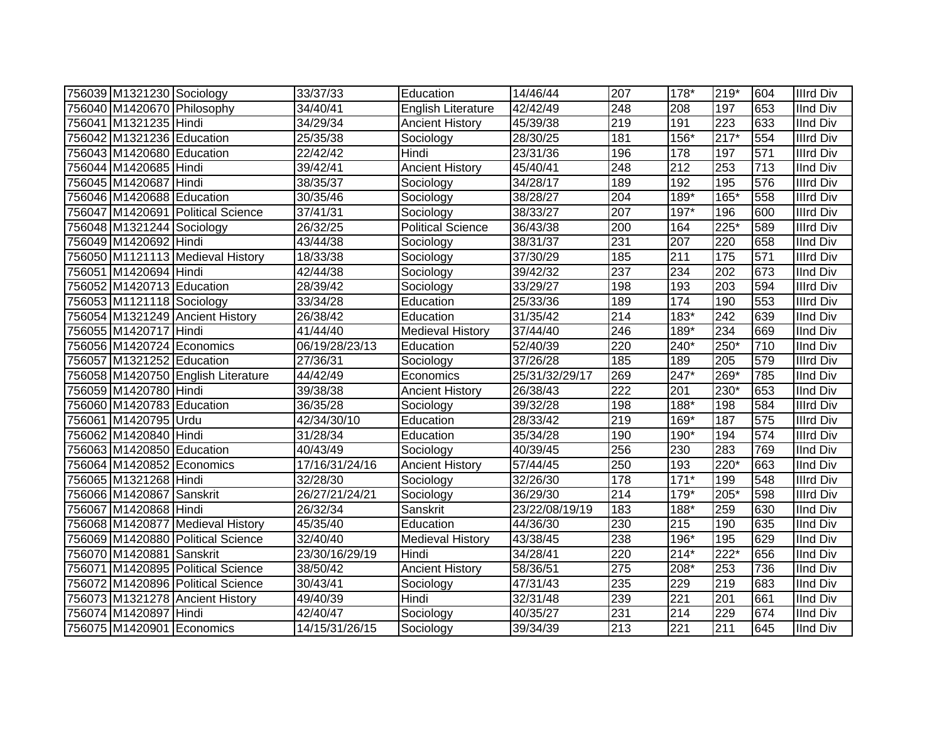| 756039 M1321230 Sociology  |                                    | 33/37/33       | Education                | 14/46/44       | 207              | 178*   | 219*   | 604              | <b>Illrd Div</b> |
|----------------------------|------------------------------------|----------------|--------------------------|----------------|------------------|--------|--------|------------------|------------------|
| 756040 M1420670 Philosophy |                                    | 34/40/41       | English Literature       | 42/42/49       | 248              | 208    | 197    | 653              | <b>IInd Div</b>  |
| 756041 M1321235 Hindi      |                                    | 34/29/34       | <b>Ancient History</b>   | 45/39/38       | 219              | 191    | 223    | 633              | <b>IInd Div</b>  |
| 756042 M1321236 Education  |                                    | 25/35/38       | Sociology                | 28/30/25       | 181              | $156*$ | $217*$ | 554              | <b>Illrd Div</b> |
| 756043 M1420680 Education  |                                    | 22/42/42       | Hindi                    | 23/31/36       | 196              | 178    | 197    | 571              | <b>Illrd Div</b> |
| 756044 M1420685 Hindi      |                                    | 39/42/41       | <b>Ancient History</b>   | 45/40/41       | 248              | 212    | 253    | $\overline{713}$ | <b>IInd Div</b>  |
| 756045 M1420687 Hindi      |                                    | 38/35/37       | Sociology                | 34/28/17       | 189              | 192    | 195    | 576              | <b>Illrd Div</b> |
| 756046 M1420688 Education  |                                    | 30/35/46       | Sociology                | 38/28/27       | $\overline{204}$ | $189*$ | $165*$ | 558              | <b>Illrd Div</b> |
|                            | 756047 M1420691 Political Science  | 37/41/31       | Sociology                | 38/33/27       | 207              | 197*   | 196    | 600              | <b>Illrd Div</b> |
| 756048 M1321244 Sociology  |                                    | 26/32/25       | <b>Political Science</b> | 36/43/38       | 200              | 164    | $225*$ | 589              | <b>Illrd Div</b> |
| 756049 M1420692 Hindi      |                                    | 43/44/38       | Sociology                | 38/31/37       | 231              | 207    | 220    | 658              | <b>IInd Div</b>  |
|                            | 756050 M1121113 Medieval History   | 18/33/38       | Sociology                | 37/30/29       | 185              | 211    | 175    | 571              | <b>Illrd Div</b> |
| 756051 M1420694 Hindi      |                                    | 42/44/38       | Sociology                | 39/42/32       | $\overline{237}$ | 234    | 202    | 673              | <b>IInd Div</b>  |
| 756052 M1420713 Education  |                                    | 28/39/42       | Sociology                | 33/29/27       | 198              | 193    | 203    | 594              | <b>Illrd Div</b> |
| 756053 M1121118 Sociology  |                                    | 33/34/28       | Education                | 25/33/36       | 189              | 174    | 190    | 553              | <b>Illrd Div</b> |
|                            | 756054 M1321249 Ancient History    | 26/38/42       | Education                | 31/35/42       | 214              | $183*$ | 242    | 639              | <b>IInd Div</b>  |
| 756055 M1420717 Hindi      |                                    | 41/44/40       | <b>Medieval History</b>  | 37/44/40       | 246              | 189*   | 234    | 669              | <b>IInd Div</b>  |
|                            | 756056 M1420724 Economics          | 06/19/28/23/13 | Education                | 52/40/39       | 220              | 240*   | 250*   | 710              | <b>IInd Div</b>  |
| 756057 M1321252 Education  |                                    | 27/36/31       | Sociology                | 37/26/28       | 185              | 189    | 205    | 579              | <b>Illrd Div</b> |
|                            | 756058 M1420750 English Literature | 44/42/49       | Economics                | 25/31/32/29/17 | 269              | 247*   | 269*   | 785              | <b>IInd Div</b>  |
| 756059 M1420780 Hindi      |                                    | 39/38/38       | <b>Ancient History</b>   | 26/38/43       | $\overline{222}$ | 201    | 230*   | 653              | <b>IInd Div</b>  |
| 756060 M1420783 Education  |                                    | 36/35/28       | Sociology                | 39/32/28       | 198              | $188*$ | 198    | 584              | <b>Illrd Div</b> |
| 756061 M1420795 Urdu       |                                    | 42/34/30/10    | Education                | 28/33/42       | $\overline{219}$ | 169*   | 187    | 575              | <b>Illrd Div</b> |
| 756062 M1420840 Hindi      |                                    | 31/28/34       | Education                | 35/34/28       | 190              | 190*   | 194    | 574              | <b>Illrd Div</b> |
| 756063 M1420850 Education  |                                    | 40/43/49       | Sociology                | 40/39/45       | 256              | 230    | 283    | 769              | <b>IInd Div</b>  |
| 756064 M1420852 Economics  |                                    | 17/16/31/24/16 | <b>Ancient History</b>   | 57/44/45       | 250              | 193    | $220*$ | 663              | <b>IInd Div</b>  |
| 756065 M1321268 Hindi      |                                    | 32/28/30       | Sociology                | 32/26/30       | 178              | $171*$ | 199    | 548              | <b>IIIrd Div</b> |
| 756066 M1420867 Sanskrit   |                                    | 26/27/21/24/21 | Sociology                | 36/29/30       | 214              | 179*   | 205*   | 598              | <b>Illrd Div</b> |
| 756067 M1420868 Hindi      |                                    | 26/32/34       | Sanskrit                 | 23/22/08/19/19 | 183              | 188*   | 259    | 630              | <b>IInd Div</b>  |
|                            | 756068 M1420877 Medieval History   | 45/35/40       | Education                | 44/36/30       | 230              | 215    | 190    | 635              | <b>IInd Div</b>  |
|                            | 756069 M1420880 Political Science  | 32/40/40       | <b>Medieval History</b>  | 43/38/45       | 238              | 196*   | 195    | 629              | <b>IInd Div</b>  |
| 756070 M1420881 Sanskrit   |                                    | 23/30/16/29/19 | Hindi                    | 34/28/41       | 220              | $214*$ | 222*   | 656              | <b>IInd Div</b>  |
|                            | 756071 M1420895 Political Science  | 38/50/42       | <b>Ancient History</b>   | 58/36/51       | $\overline{275}$ | 208*   | 253    | 736              | <b>IInd Div</b>  |
|                            | 756072 M1420896 Political Science  | 30/43/41       | Sociology                | 47/31/43       | 235              | 229    | 219    | 683              | <b>IInd Div</b>  |
|                            | 756073 M1321278 Ancient History    | 49/40/39       | Hindi                    | 32/31/48       | 239              | 221    | 201    | 661              | <b>IInd Div</b>  |
| 756074 M1420897 Hindi      |                                    | 42/40/47       | Sociology                | 40/35/27       | 231              | 214    | 229    | 674              | <b>IInd Div</b>  |
|                            | 756075 M1420901 Economics          | 14/15/31/26/15 | Sociology                | 39/34/39       | $\overline{213}$ | 221    | 211    | 645              | <b>IInd Div</b>  |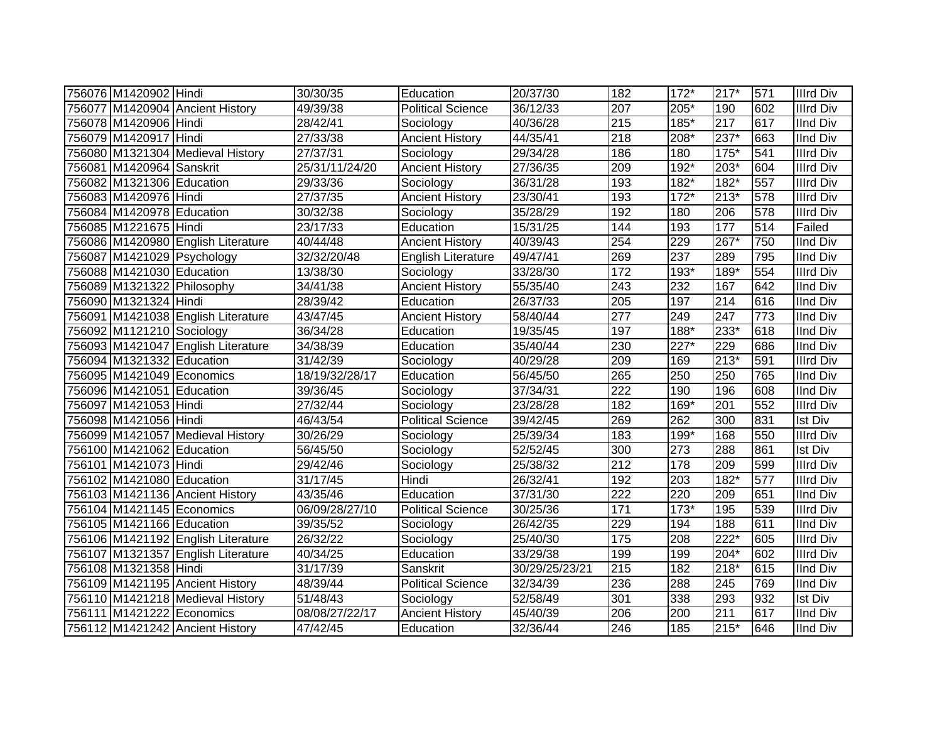| 756076 M1420902 Hindi      |                                    | 30/30/35       | Education                | 20/37/30              | 182 | $172*$ | $217*$ | 571 | <b>Illrd Div</b> |
|----------------------------|------------------------------------|----------------|--------------------------|-----------------------|-----|--------|--------|-----|------------------|
|                            | 756077 M1420904 Ancient History    | 49/39/38       | <b>Political Science</b> | 36/12/33              | 207 | 205*   | 190    | 602 | <b>Illrd Div</b> |
| 756078 M1420906 Hindi      |                                    | 28/42/41       | Sociology                | 40/36/28              | 215 | 185*   | 217    | 617 | <b>IInd Div</b>  |
| 756079 M1420917 Hindi      |                                    | 27/33/38       | <b>Ancient History</b>   | 44/35/41              | 218 | 208*   | 237*   | 663 | <b>IInd Div</b>  |
|                            | 756080 M1321304 Medieval History   | 27/37/31       | Sociology                | 29/34/28              | 186 | 180    | $175*$ | 541 | <b>Illrd Div</b> |
| 756081 M1420964 Sanskrit   |                                    | 25/31/11/24/20 | <b>Ancient History</b>   | 27/36/35              | 209 | 192*   | 203*   | 604 | <b>Illrd Div</b> |
| 756082 M1321306 Education  |                                    | 29/33/36       | Sociology                | 36/31/28              | 193 | 182*   | 182*   | 557 | <b>Illrd Div</b> |
| 756083 M1420976 Hindi      |                                    | 27/37/35       | <b>Ancient History</b>   | 23/30/41              | 193 | $172*$ | $213*$ | 578 | <b>Illrd Div</b> |
| 756084 M1420978 Education  |                                    | 30/32/38       | Sociology                | 35/28/29              | 192 | 180    | 206    | 578 | <b>Illrd Div</b> |
| 756085 M1221675 Hindi      |                                    | 23/17/33       | Education                | $\overline{15}/31/25$ | 144 | 193    | 177    | 514 | Failed           |
|                            | 756086 M1420980 English Literature | 40/44/48       | <b>Ancient History</b>   | 40/39/43              | 254 | 229    | 267*   | 750 | <b>IInd Div</b>  |
|                            | 756087 M1421029 Psychology         | 32/32/20/48    | English Literature       | 49/47/41              | 269 | 237    | 289    | 795 | <b>IInd Div</b>  |
| 756088 M1421030 Education  |                                    | 13/38/30       | Sociology                | 33/28/30              | 172 | 193*   | 189*   | 554 | <b>Illrd Div</b> |
| 756089 M1321322 Philosophy |                                    | 34/41/38       | <b>Ancient History</b>   | 55/35/40              | 243 | 232    | 167    | 642 | <b>IInd Div</b>  |
| 756090 M1321324 Hindi      |                                    | 28/39/42       | Education                | 26/37/33              | 205 | 197    | 214    | 616 | <b>IInd Div</b>  |
|                            | 756091 M1421038 English Literature | 43/47/45       | <b>Ancient History</b>   | 58/40/44              | 277 | 249    | 247    | 773 | <b>IInd Div</b>  |
| 756092 M1121210 Sociology  |                                    | 36/34/28       | Education                | 19/35/45              | 197 | 188*   | 233*   | 618 | <b>IInd Div</b>  |
|                            | 756093 M1421047 English Literature | 34/38/39       | Education                | 35/40/44              | 230 | 227*   | 229    | 686 | <b>IInd Div</b>  |
| 756094 M1321332 Education  |                                    | 31/42/39       | Sociology                | 40/29/28              | 209 | 169    | $213*$ | 591 | <b>Illrd Div</b> |
| 756095 M1421049 Economics  |                                    | 18/19/32/28/17 | Education                | 56/45/50              | 265 | 250    | 250    | 765 | <b>IInd Div</b>  |
| 756096 M1421051 Education  |                                    | 39/36/45       | Sociology                | 37/34/31              | 222 | 190    | 196    | 608 | <b>IInd Div</b>  |
| 756097 M1421053 Hindi      |                                    | 27/32/44       | Sociology                | 23/28/28              | 182 | $169*$ | 201    | 552 | <b>Illrd Div</b> |
| 756098 M1421056 Hindi      |                                    | 46/43/54       | <b>Political Science</b> | 39/42/45              | 269 | 262    | 300    | 831 | <b>Ist Div</b>   |
|                            | 756099 M1421057 Medieval History   | 30/26/29       | Sociology                | 25/39/34              | 183 | $199*$ | 168    | 550 | <b>Illrd Div</b> |
| 756100 M1421062 Education  |                                    | 56/45/50       | Sociology                | 52/52/45              | 300 | 273    | 288    | 861 | <b>Ist Div</b>   |
| 756101 M1421073 Hindi      |                                    | 29/42/46       | Sociology                | 25/38/32              | 212 | 178    | 209    | 599 | <b>Illrd Div</b> |
| 756102 M1421080 Education  |                                    | 31/17/45       | Hindi                    | 26/32/41              | 192 | 203    | $182*$ | 577 | <b>Illrd Div</b> |
|                            | 756103 M1421136 Ancient History    | 43/35/46       | Education                | 37/31/30              | 222 | 220    | 209    | 651 | <b>IInd Div</b>  |
| 756104 M1421145 Economics  |                                    | 06/09/28/27/10 | <b>Political Science</b> | 30/25/36              | 171 | $173*$ | 195    | 539 | <b>Illrd Div</b> |
| 756105 M1421166 Education  |                                    | 39/35/52       | Sociology                | 26/42/35              | 229 | 194    | 188    | 611 | <b>IInd Div</b>  |
|                            | 756106 M1421192 English Literature | 26/32/22       | Sociology                | 25/40/30              | 175 | 208    | $222*$ | 605 | <b>Illrd Div</b> |
|                            | 756107 M1321357 English Literature | 40/34/25       | Education                | 33/29/38              | 199 | 199    | $204*$ | 602 | <b>Illrd Div</b> |
| 756108 M1321358 Hindi      |                                    | 31/17/39       | Sanskrit                 | 30/29/25/23/21        | 215 | 182    | 218*   | 615 | <b>IInd Div</b>  |
|                            | 756109 M1421195 Ancient History    | 48/39/44       | <b>Political Science</b> | 32/34/39              | 236 | 288    | 245    | 769 | <b>IInd Div</b>  |
|                            | 756110 M1421218 Medieval History   | 51/48/43       | Sociology                | $\overline{52}/58/49$ | 301 | 338    | 293    | 932 | <b>Ist Div</b>   |
| 756111 M1421222 Economics  |                                    | 08/08/27/22/17 | <b>Ancient History</b>   | 45/40/39              | 206 | 200    | 211    | 617 | <b>IInd Div</b>  |
|                            | 756112 M1421242 Ancient History    | 47/42/45       | Education                | 32/36/44              | 246 | 185    | $215*$ | 646 | <b>IInd Div</b>  |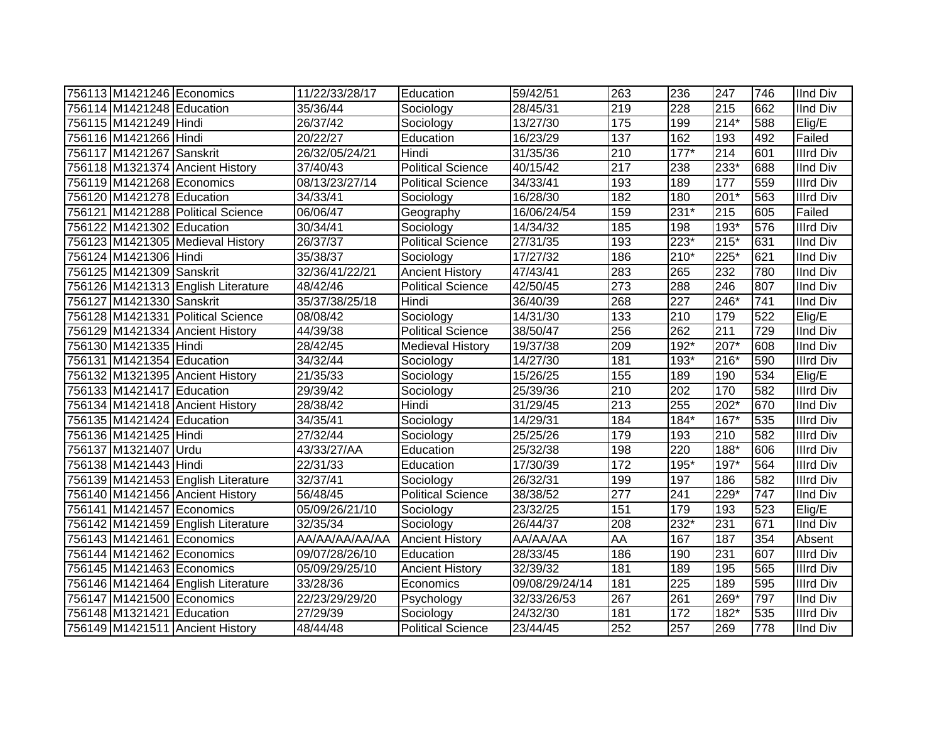| 756113 M1421246 Economics |                                    | 11/22/33/28/17        | Education                | 59/42/51       | 263              | 236    | 247    | 746 | <b>IInd Div</b>  |
|---------------------------|------------------------------------|-----------------------|--------------------------|----------------|------------------|--------|--------|-----|------------------|
| 756114 M1421248 Education |                                    | 35/36/44              | Sociology                | 28/45/31       | 219              | 228    | 215    | 662 | <b>IInd Div</b>  |
| 756115 M1421249 Hindi     |                                    | 26/37/42              | Sociology                | 13/27/30       | 175              | 199    | $214*$ | 588 | Elig/E           |
| 756116 M1421266 Hindi     |                                    | 20/22/27              | Education                | 16/23/29       | $\overline{137}$ | 162    | 193    | 492 | Failed           |
| 756117 M1421267 Sanskrit  |                                    | 26/32/05/24/21        | Hindi                    | 31/35/36       | $\overline{210}$ | $177*$ | 214    | 601 | <b>Illrd Div</b> |
|                           | 756118 M1321374 Ancient History    | 37/40/43              | <b>Political Science</b> | 40/15/42       | $\overline{217}$ | 238    | $233*$ | 688 | <b>IInd Div</b>  |
|                           | 756119 M1421268 Economics          | 08/13/23/27/14        | <b>Political Science</b> | 34/33/41       | 193              | 189    | 177    | 559 | <b>Illrd Div</b> |
| 756120 M1421278 Education |                                    | 34/33/41              | Sociology                | 16/28/30       | 182              | 180    | 201*   | 563 | <b>Illrd Div</b> |
|                           | 756121 M1421288 Political Science  | 06/06/47              | Geography                | 16/06/24/54    | 159              | 231*   | 215    | 605 | Failed           |
| 756122 M1421302 Education |                                    | 30/34/41              | Sociology                | 14/34/32       | 185              | 198    | 193*   | 576 | <b>Illrd Div</b> |
|                           | 756123 M1421305 Medieval History   | 26/37/37              | <b>Political Science</b> | 27/31/35       | 193              | 223*   | 215*   | 631 | <b>IInd Div</b>  |
| 756124 M1421306 Hindi     |                                    | 35/38/37              | Sociology                | 17/27/32       | 186              | $210*$ | 225*   | 621 | <b>IInd Div</b>  |
| 756125 M1421309 Sanskrit  |                                    | 32/36/41/22/21        | <b>Ancient History</b>   | 47/43/41       | 283              | 265    | 232    | 780 | <b>IInd Div</b>  |
|                           | 756126 M1421313 English Literature | 48/42/46              | <b>Political Science</b> | 42/50/45       | 273              | 288    | 246    | 807 | <b>IInd Div</b>  |
| 756127 M1421330 Sanskrit  |                                    | 35/37/38/25/18        | Hindi                    | 36/40/39       | 268              | 227    | 246*   | 741 | <b>IInd Div</b>  |
|                           | 756128 M1421331 Political Science  | $\sqrt{08/08/42}$     | Sociology                | 14/31/30       | 133              | 210    | 179    | 522 | Elig/E           |
|                           | 756129 M1421334 Ancient History    | 44/39/38              | <b>Political Science</b> | 38/50/47       | 256              | 262    | 211    | 729 | <b>IInd Div</b>  |
| 756130 M1421335 Hindi     |                                    | 28/42/45              | <b>Medieval History</b>  | 19/37/38       | 209              | $192*$ | 207*   | 608 | <b>IInd Div</b>  |
| 756131 M1421354 Education |                                    | 34/32/44              | Sociology                | 14/27/30       | 181              | 193*   | 216*   | 590 | Illrd Div        |
|                           | 756132 M1321395 Ancient History    | 21/35/33              | Sociology                | 15/26/25       | 155              | 189    | 190    | 534 | Elig/E           |
| 756133 M1421417 Education |                                    | 29/39/42              | Sociology                | 25/39/36       | 210              | 202    | 170    | 582 | <b>Illrd Div</b> |
|                           | 756134 M1421418 Ancient History    | 28/38/42              | Hindi                    | 31/29/45       | $\overline{213}$ | 255    | $202*$ | 670 | <b>IInd Div</b>  |
| 756135 M1421424 Education |                                    | 34/35/41              | Sociology                | 14/29/31       | 184              | $184*$ | 167*   | 535 | <b>Illrd Div</b> |
| 756136 M1421425 Hindi     |                                    | $\overline{27/32/44}$ | Sociology                | 25/25/26       | 179              | 193    | 210    | 582 | <b>Illrd Div</b> |
| 756137 M1321407 Urdu      |                                    | 43/33/27/AA           | Education                | 25/32/38       | 198              | 220    | 188*   | 606 | <b>Illrd Div</b> |
| 756138 M1421443 Hindi     |                                    | 22/31/33              | Education                | 17/30/39       | 172              | 195*   | $197*$ | 564 | <b>Illrd Div</b> |
|                           | 756139 M1421453 English Literature | 32/37/41              | Sociology                | 26/32/31       | 199              | 197    | 186    | 582 | <b>Illrd Div</b> |
|                           | 756140 M1421456 Ancient History    | 56/48/45              | <b>Political Science</b> | 38/38/52       | 277              | 241    | 229*   | 747 | <b>IInd Div</b>  |
|                           | 756141 M1421457 Economics          | 05/09/26/21/10        | Sociology                | 23/32/25       | 151              | 179    | 193    | 523 | Elig/E           |
|                           | 756142 M1421459 English Literature | 32/35/34              | Sociology                | 26/44/37       | 208              | 232*   | 231    | 671 | <b>IInd Div</b>  |
|                           | 756143 M1421461 Economics          | AA/AA/AA/AA/AA        | <b>Ancient History</b>   | AA/AA/AA       | <b>AA</b>        | 167    | 187    | 354 | Absent           |
|                           | 756144 M1421462 Economics          | 09/07/28/26/10        | Education                | 28/33/45       | 186              | 190    | 231    | 607 | <b>Illrd Div</b> |
|                           | 756145 M1421463 Economics          | 05/09/29/25/10        | <b>Ancient History</b>   | 32/39/32       | 181              | 189    | 195    | 565 | <b>Illrd Div</b> |
|                           | 756146 M1421464 English Literature | 33/28/36              | Economics                | 09/08/29/24/14 | 181              | 225    | 189    | 595 | <b>Illrd Div</b> |
|                           | 756147 M1421500 Economics          | 22/23/29/29/20        | Psychology               | 32/33/26/53    | 267              | 261    | $269*$ | 797 | <b>IInd Div</b>  |
| 756148 M1321421 Education |                                    | 27/29/39              | Sociology                | 24/32/30       | 181              | 172    | 182*   | 535 | <b>Illrd Div</b> |
|                           | 756149 M1421511 Ancient History    | 48/44/48              | <b>Political Science</b> | 23/44/45       | 252              | 257    | 269    | 778 | <b>IInd Div</b>  |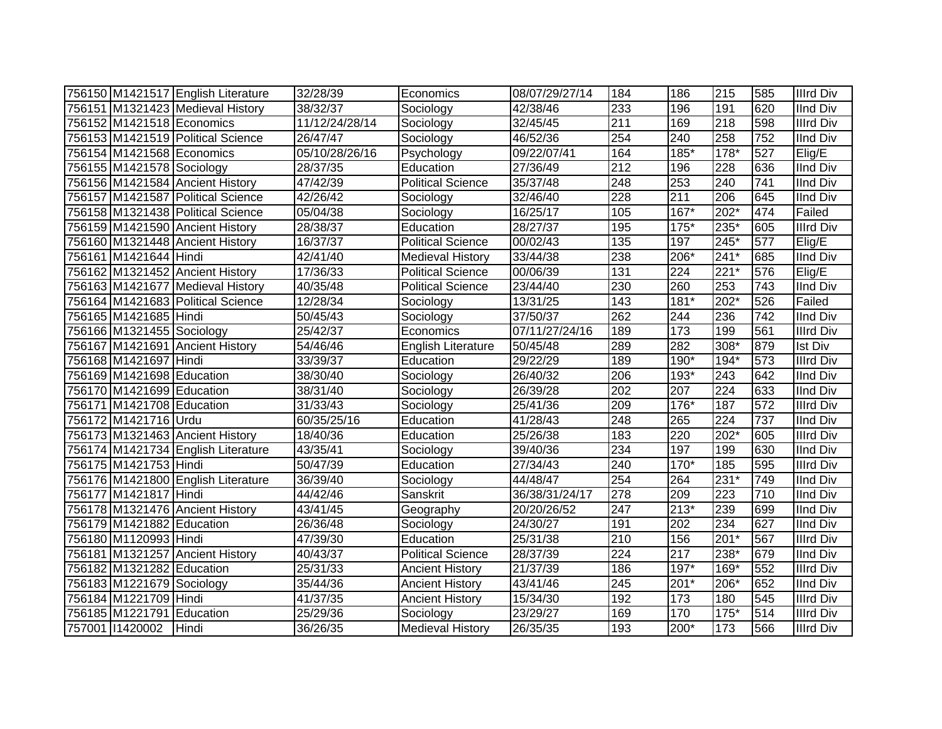|                           | 756150 M1421517 English Literature | 32/28/39       | Economics                | 08/07/29/27/14 | 184              | 186              | 215              | 585 | <b>Illrd Div</b> |
|---------------------------|------------------------------------|----------------|--------------------------|----------------|------------------|------------------|------------------|-----|------------------|
|                           | 756151 M1321423 Medieval History   | 38/32/37       | Sociology                | 42/38/46       | 233              | 196              | 191              | 620 | <b>IInd Div</b>  |
| 756152 M1421518 Economics |                                    | 11/12/24/28/14 | Sociology                | 32/45/45       | $\overline{211}$ | 169              | 218              | 598 | <b>Illrd Div</b> |
|                           | 756153 M1421519 Political Science  | 26/47/47       | Sociology                | 46/52/36       | 254              | 240              | 258              | 752 | <b>IInd Div</b>  |
| 756154 M1421568 Economics |                                    | 05/10/28/26/16 | Psychology               | 09/22/07/41    | 164              | $185*$           | $178*$           | 527 | Elig/E           |
| 756155 M1421578 Sociology |                                    | 28/37/35       | Education                | 27/36/49       | $\overline{212}$ | 196              | 228              | 636 | <b>IInd Div</b>  |
|                           | 756156 M1421584 Ancient History    | 47/42/39       | <b>Political Science</b> | 35/37/48       | 248              | 253              | 240              | 741 | <b>IInd Div</b>  |
|                           | 756157 M1421587 Political Science  | 42/26/42       | Sociology                | 32/46/40       | 228              | 211              | 206              | 645 | <b>IInd Div</b>  |
|                           | 756158 M1321438 Political Science  | 05/04/38       | Sociology                | 16/25/17       | 105              | $167*$           | $202*$           | 474 | Failed           |
|                           | 756159 M1421590 Ancient History    | 28/38/37       | Education                | 28/27/37       | 195              | $175*$           | $235*$           | 605 | <b>Illrd Div</b> |
|                           | 756160 M1321448 Ancient History    | 16/37/37       | <b>Political Science</b> | 00/02/43       | 135              | 197              | $245*$           | 577 | Elig/E           |
| 756161 M1421644 Hindi     |                                    | 42/41/40       | <b>Medieval History</b>  | 33/44/38       | 238              | 206*             | $241*$           | 685 | <b>IInd Div</b>  |
|                           | 756162 M1321452 Ancient History    | 17/36/33       | Political Science        | 00/06/39       | 131              | 224              | $221*$           | 576 | Elig/E           |
|                           | 756163 M1421677 Medieval History   | 40/35/48       | <b>Political Science</b> | 23/44/40       | 230              | 260              | 253              | 743 | <b>IInd Div</b>  |
|                           | 756164 M1421683 Political Science  | 12/28/34       | Sociology                | 13/31/25       | 143              | $181*$           | $202*$           | 526 | Failed           |
| 756165 M1421685 Hindi     |                                    | 50/45/43       | Sociology                | 37/50/37       | 262              | 244              | 236              | 742 | <b>IInd Div</b>  |
| 756166 M1321455 Sociology |                                    | 25/42/37       | Economics                | 07/11/27/24/16 | 189              | $\overline{173}$ | 199              | 561 | <b>Illrd Div</b> |
|                           | 756167 M1421691 Ancient History    | 54/46/46       | English Literature       | 50/45/48       | 289              | 282              | $308*$           | 879 | <b>Ist Div</b>   |
| 756168 M1421697 Hindi     |                                    | 33/39/37       | Education                | 29/22/29       | 189              | 190*             | $194*$           | 573 | <b>Illrd Div</b> |
| 756169 M1421698 Education |                                    | 38/30/40       | Sociology                | 26/40/32       | 206              | 193*             | $\overline{243}$ | 642 | <b>IInd Div</b>  |
| 756170 M1421699 Education |                                    | 38/31/40       | Sociology                | 26/39/28       | 202              | 207              | 224              | 633 | <b>IInd Div</b>  |
| 756171 M1421708 Education |                                    | 31/33/43       | Sociology                | 25/41/36       | 209              | 176*             | 187              | 572 | <b>Illrd Div</b> |
| 756172 M1421716 Urdu      |                                    | 60/35/25/16    | Education                | 41/28/43       | 248              | 265              | 224              | 737 | <b>IInd Div</b>  |
|                           | 756173 M1321463 Ancient History    | 18/40/36       | Education                | 25/26/38       | 183              | 220              | 202*             | 605 | <b>Illrd Div</b> |
|                           | 756174 M1421734 English Literature | 43/35/41       | Sociology                | 39/40/36       | 234              | 197              | 199              | 630 | <b>IInd Div</b>  |
| 756175 M1421753 Hindi     |                                    | 50/47/39       | Education                | 27/34/43       | 240              | 170*             | 185              | 595 | <b>Illrd Div</b> |
|                           | 756176 M1421800 English Literature | 36/39/40       | Sociology                | 44/48/47       | 254              | 264              | $231*$           | 749 | <b>IInd Div</b>  |
| 756177 M1421817 Hindi     |                                    | 44/42/46       | Sanskrit                 | 36/38/31/24/17 | $\overline{278}$ | 209              | $\overline{223}$ | 710 | <b>IInd Div</b>  |
|                           | 756178 M1321476 Ancient History    | 43/41/45       | Geography                | 20/20/26/52    | $\overline{247}$ | $213*$           | 239              | 699 | <b>IInd Div</b>  |
| 756179 M1421882 Education |                                    | 26/36/48       | Sociology                | 24/30/27       | 191              | 202              | 234              | 627 | <b>IInd Div</b>  |
| 756180 M1120993 Hindi     |                                    | 47/39/30       | Education                | 25/31/38       | 210              | 156              | $201*$           | 567 | <b>Illrd Div</b> |
|                           | 756181 M1321257 Ancient History    | 40/43/37       | <b>Political Science</b> | 28/37/39       | 224              | 217              | 238*             | 679 | <b>IInd Div</b>  |
| 756182 M1321282 Education |                                    | 25/31/33       | <b>Ancient History</b>   | 21/37/39       | 186              | $197*$           | 169*             | 552 | <b>Illrd Div</b> |
| 756183 M1221679 Sociology |                                    | 35/44/36       | <b>Ancient History</b>   | 43/41/46       | 245              | 201*             | 206*             | 652 | <b>IInd Div</b>  |
| 756184 M1221709 Hindi     |                                    | 41/37/35       | <b>Ancient History</b>   | 15/34/30       | 192              | 173              | 180              | 545 | <b>Illrd Div</b> |
| 756185 M1221791 Education |                                    | 25/29/36       | Sociology                | 23/29/27       | 169              | 170              | $175*$           | 514 | <b>Illrd Div</b> |
| 757001 11420002 Hindi     |                                    | 36/26/35       | <b>Medieval History</b>  | 26/35/35       | 193              | 200*             | 173              | 566 | <b>Illrd Div</b> |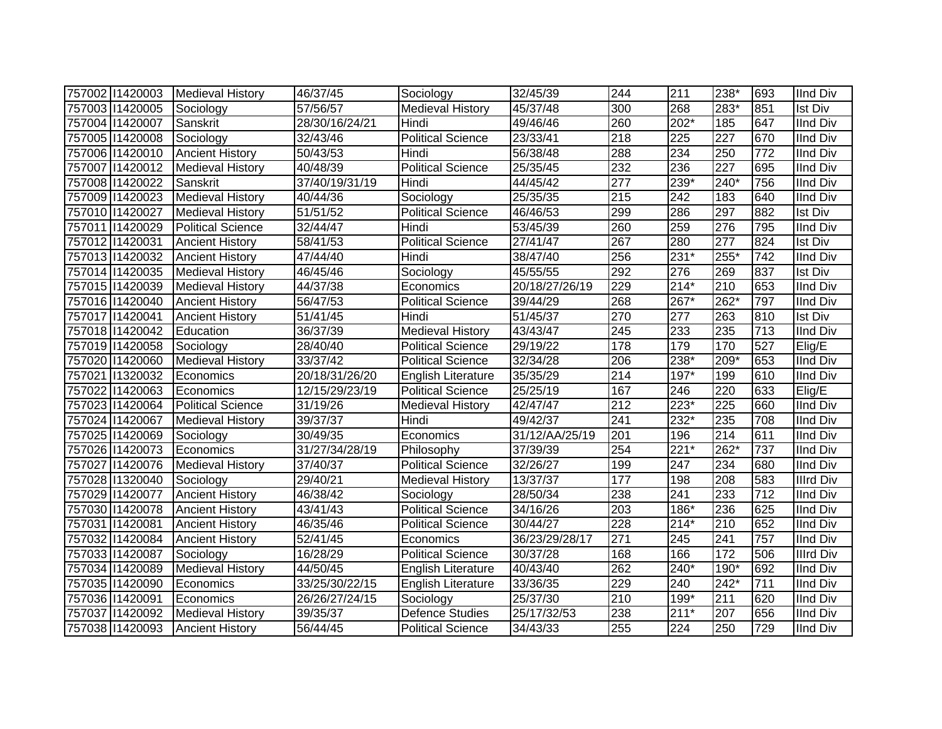| 757002 11420003 | Medieval History         | 46/37/45       | Sociology                 | 32/45/39       | 244 | 211              | 238*             | 693 | <b>IInd Div</b>  |
|-----------------|--------------------------|----------------|---------------------------|----------------|-----|------------------|------------------|-----|------------------|
| 757003 11420005 | Sociology                | 57/56/57       | <b>Medieval History</b>   | 45/37/48       | 300 | 268              | 283*             | 851 | <b>Ist Div</b>   |
| 757004 11420007 | Sanskrit                 | 28/30/16/24/21 | Hindi                     | 49/46/46       | 260 | $202*$           | 185              | 647 | <b>IInd Div</b>  |
| 757005 11420008 | Sociology                | 32/43/46       | Political Science         | 23/33/41       | 218 | $\overline{225}$ | $\overline{227}$ | 670 | <b>IInd Div</b>  |
| 757006 11420010 | <b>Ancient History</b>   | 50/43/53       | Hindi                     | 56/38/48       | 288 | 234              | 250              | 772 | <b>IInd Div</b>  |
| 757007 1420012  | <b>Medieval History</b>  | 40/48/39       | <b>Political Science</b>  | 25/35/45       | 232 | 236              | 227              | 695 | <b>IInd Div</b>  |
| 757008 11420022 | Sanskrit                 | 37/40/19/31/19 | Hindi                     | 44/45/42       | 277 | 239*             | 240*             | 756 | <b>IInd Div</b>  |
| 757009 11420023 | <b>Medieval History</b>  | 40/44/36       | Sociology                 | 25/35/35       | 215 | 242              | 183              | 640 | <b>IInd Div</b>  |
| 757010 1420027  | <b>Medieval History</b>  | 51/51/52       | <b>Political Science</b>  | 46/46/53       | 299 | 286              | 297              | 882 | <b>Ist Div</b>   |
| 757011 1420029  | <b>Political Science</b> | 32/44/47       | Hindi                     | 53/45/39       | 260 | 259              | 276              | 795 | <b>IInd Div</b>  |
| 757012 11420031 | <b>Ancient History</b>   | 58/41/53       | Political Science         | 27/41/47       | 267 | 280              | 277              | 824 | <b>Ist Div</b>   |
| 757013 1420032  | <b>Ancient History</b>   | 47/44/40       | Hindi                     | 38/47/40       | 256 | $231*$           | 255*             | 742 | <b>IInd Div</b>  |
| 757014 11420035 | <b>Medieval History</b>  | 46/45/46       | Sociology                 | 45/55/55       | 292 | 276              | 269              | 837 | <b>Ist Div</b>   |
| 757015 11420039 | <b>Medieval History</b>  | 44/37/38       | Economics                 | 20/18/27/26/19 | 229 | $214*$           | 210              | 653 | <b>IInd Div</b>  |
| 757016 11420040 | <b>Ancient History</b>   | 56/47/53       | <b>Political Science</b>  | 39/44/29       | 268 | $267*$           | 262*             | 797 | <b>IInd Div</b>  |
| 757017 1420041  | <b>Ancient History</b>   | 51/41/45       | Hindi                     | 51/45/37       | 270 | 277              | 263              | 810 | <b>Ist Div</b>   |
| 757018 11420042 | Education                | 36/37/39       | <b>Medieval History</b>   | 43/43/47       | 245 | 233              | 235              | 713 | <b>IInd Div</b>  |
| 757019 11420058 | Sociology                | 28/40/40       | <b>Political Science</b>  | 29/19/22       | 178 | 179              | 170              | 527 | Elig/E           |
| 757020 11420060 | <b>Medieval History</b>  | 33/37/42       | <b>Political Science</b>  | 32/34/28       | 206 | 238*             | 209*             | 653 | <b>IInd Div</b>  |
| 757021 1320032  | Economics                | 20/18/31/26/20 | English Literature        | 35/35/29       | 214 | 197*             | 199              | 610 | <b>IInd Div</b>  |
| 757022 11420063 | Economics                | 12/15/29/23/19 | <b>Political Science</b>  | 25/25/19       | 167 | 246              | 220              | 633 | Elig/E           |
| 757023 11420064 | <b>Political Science</b> | 31/19/26       | <b>Medieval History</b>   | 42/47/47       | 212 | $223*$           | 225              | 660 | <b>IInd Div</b>  |
| 757024 11420067 | <b>Medieval History</b>  | 39/37/37       | Hindi                     | 49/42/37       | 241 | 232*             | 235              | 708 | <b>IInd Div</b>  |
| 757025 11420069 | Sociology                | 30/49/35       | Economics                 | 31/12/AA/25/19 | 201 | 196              | 214              | 611 | <b>IInd Div</b>  |
| 757026 11420073 | Economics                | 31/27/34/28/19 | Philosophy                | 37/39/39       | 254 | $221*$           | 262*             | 737 | <b>IInd Div</b>  |
| 757027 1420076  | <b>Medieval History</b>  | 37/40/37       | <b>Political Science</b>  | 32/26/27       | 199 | 247              | 234              | 680 | <b>IInd Div</b>  |
| 757028 11320040 | Sociology                | 29/40/21       | <b>Medieval History</b>   | 13/37/37       | 177 | 198              | 208              | 583 | <b>Illrd Div</b> |
| 757029 11420077 | <b>Ancient History</b>   | 46/38/42       | Sociology                 | 28/50/34       | 238 | 241              | 233              | 712 | <b>IInd Div</b>  |
| 757030 11420078 | <b>Ancient History</b>   | 43/41/43       | <b>Political Science</b>  | 34/16/26       | 203 | 186*             | 236              | 625 | <b>IInd Div</b>  |
| 757031 1420081  | <b>Ancient History</b>   | 46/35/46       | <b>Political Science</b>  | 30/44/27       | 228 | $214*$           | 210              | 652 | <b>IInd Div</b>  |
| 757032 11420084 | <b>Ancient History</b>   | 52/41/45       | Economics                 | 36/23/29/28/17 | 271 | $\overline{245}$ | 241              | 757 | <b>IInd Div</b>  |
| 757033 11420087 | Sociology                | 16/28/29       | <b>Political Science</b>  | 30/37/28       | 168 | 166              | 172              | 506 | <b>Illrd Div</b> |
| 757034 11420089 | <b>Medieval History</b>  | 44/50/45       | English Literature        | 40/43/40       | 262 | $240*$           | 190*             | 692 | <b>IInd Div</b>  |
| 757035 11420090 | Economics                | 33/25/30/22/15 | <b>English Literature</b> | 33/36/35       | 229 | 240              | $242*$           | 711 | <b>IInd Div</b>  |
| 757036 11420091 | Economics                | 26/26/27/24/15 | Sociology                 | 25/37/30       | 210 | 199*             | 211              | 620 | <b>IInd Div</b>  |
| 757037 11420092 | <b>Medieval History</b>  | 39/35/37       | <b>Defence Studies</b>    | 25/17/32/53    | 238 | $211*$           | 207              | 656 | <b>IInd Div</b>  |
| 757038 11420093 | <b>Ancient History</b>   | 56/44/45       | <b>Political Science</b>  | 34/43/33       | 255 | 224              | 250              | 729 | <b>IInd Div</b>  |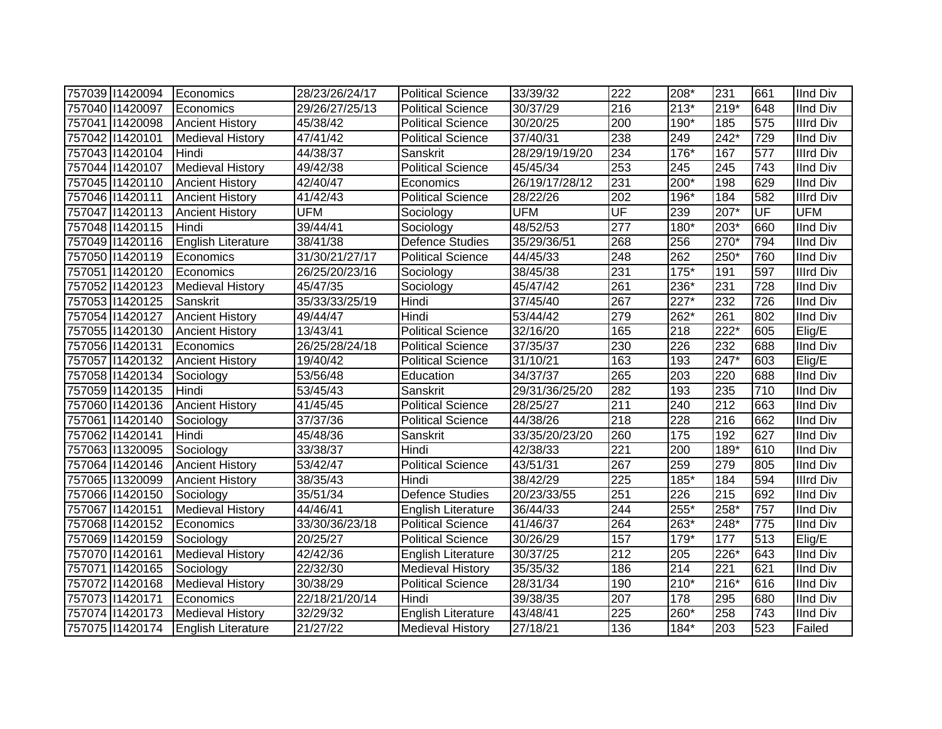| 757039 11420094 | Economics                 | 28/23/26/24/17 | <b>Political Science</b>  | 33/39/32       | 222              | 208*   | 231    | 661 | <b>IInd Div</b>  |
|-----------------|---------------------------|----------------|---------------------------|----------------|------------------|--------|--------|-----|------------------|
| 757040 11420097 | Economics                 | 29/26/27/25/13 | <b>Political Science</b>  | 30/37/29       | $\overline{216}$ | $213*$ | $219*$ | 648 | <b>IInd Div</b>  |
| 757041 1420098  | <b>Ancient History</b>    | 45/38/42       | <b>Political Science</b>  | 30/20/25       | $\overline{200}$ | $190*$ | 185    | 575 | <b>Illrd Div</b> |
| 757042 11420101 | <b>Medieval History</b>   | 47/41/42       | <b>Political Science</b>  | 37/40/31       | 238              | 249    | $242*$ | 729 | <b>IInd Div</b>  |
| 757043 11420104 | Hindi                     | 44/38/37       | Sanskrit                  | 28/29/19/19/20 | 234              | $176*$ | 167    | 577 | <b>Illrd Div</b> |
| 757044 11420107 | <b>Medieval History</b>   | 49/42/38       | <b>Political Science</b>  | 45/45/34       | 253              | 245    | 245    | 743 | <b>IInd Div</b>  |
| 757045 11420110 | <b>Ancient History</b>    | 42/40/47       | Economics                 | 26/19/17/28/12 | 231              | 200*   | 198    | 629 | <b>IInd Div</b>  |
| 757046 11420111 | <b>Ancient History</b>    | 41/42/43       | <b>Political Science</b>  | 28/22/26       | $\overline{202}$ | 196*   | 184    | 582 | <b>Illrd Div</b> |
| 757047 11420113 | <b>Ancient History</b>    | <b>UFM</b>     | Sociology                 | <b>UFM</b>     | UF               | 239    | $207*$ | UF  | <b>UFM</b>       |
| 757048 11420115 | Hindi                     | 39/44/41       | Sociology                 | 48/52/53       | $\overline{277}$ | 180*   | 203*   | 660 | <b>IInd Div</b>  |
| 757049 11420116 | <b>English Literature</b> | 38/41/38       | <b>Defence Studies</b>    | 35/29/36/51    | 268              | 256    | 270*   | 794 | <b>IInd Div</b>  |
| 757050 11420119 | Economics                 | 31/30/21/27/17 | <b>Political Science</b>  | 44/45/33       | 248              | 262    | 250*   | 760 | <b>IInd Div</b>  |
| 757051 1420120  | Economics                 | 26/25/20/23/16 | Sociology                 | 38/45/38       | 231              | $175*$ | 191    | 597 | <b>Illrd Div</b> |
| 757052 11420123 | <b>Medieval History</b>   | 45/47/35       | Sociology                 | 45/47/42       | 261              | 236*   | 231    | 728 | <b>IInd Div</b>  |
| 757053 11420125 | Sanskrit                  | 35/33/33/25/19 | Hindi                     | 37/45/40       | 267              | 227*   | 232    | 726 | <b>IInd Div</b>  |
| 757054 11420127 | <b>Ancient History</b>    | 49/44/47       | Hindi                     | 53/44/42       | 279              | 262*   | 261    | 802 | <b>IInd Div</b>  |
| 757055 11420130 | <b>Ancient History</b>    | 13/43/41       | <b>Political Science</b>  | 32/16/20       | 165              | 218    | $222*$ | 605 | Elig/E           |
| 757056 11420131 | Economics                 | 26/25/28/24/18 | <b>Political Science</b>  | 37/35/37       | 230              | 226    | 232    | 688 | <b>IInd Div</b>  |
| 757057 1420132  | <b>Ancient History</b>    | 19/40/42       | <b>Political Science</b>  | 31/10/21       | 163              | 193    | 247*   | 603 | Elig/E           |
| 757058 11420134 | Sociology                 | 53/56/48       | Education                 | 34/37/37       | 265              | 203    | 220    | 688 | <b>IInd Div</b>  |
| 757059 11420135 | Hindi                     | 53/45/43       | Sanskrit                  | 29/31/36/25/20 | 282              | 193    | 235    | 710 | <b>IInd Div</b>  |
| 757060 11420136 | <b>Ancient History</b>    | 41/45/45       | <b>Political Science</b>  | 28/25/27       | 211              | 240    | 212    | 663 | <b>IInd Div</b>  |
| 757061 1420140  | Sociology                 | 37/37/36       | <b>Political Science</b>  | 44/38/26       | $\overline{218}$ | 228    | 216    | 662 | <b>IInd Div</b>  |
| 757062 11420141 | Hindi                     | 45/48/36       | Sanskrit                  | 33/35/20/23/20 | 260              | 175    | 192    | 627 | <b>IInd Div</b>  |
| 757063 11320095 | Sociology                 | 33/38/37       | Hindi                     | 42/38/33       | 221              | 200    | 189*   | 610 | <b>IInd Div</b>  |
| 757064 11420146 | <b>Ancient History</b>    | 53/42/47       | <b>Political Science</b>  | 43/51/31       | 267              | 259    | 279    | 805 | <b>IInd Div</b>  |
| 757065 11320099 | <b>Ancient History</b>    | 38/35/43       | Hindi                     | 38/42/29       | 225              | 185*   | 184    | 594 | <b>Illrd Div</b> |
| 757066 11420150 | Sociology                 | 35/51/34       | Defence Studies           | 20/23/33/55    | 251              | 226    | 215    | 692 | <b>IInd Div</b>  |
| 757067 11420151 | <b>Medieval History</b>   | 44/46/41       | <b>English Literature</b> | 36/44/33       | 244              | $255*$ | 258*   | 757 | <b>IInd Div</b>  |
| 757068 11420152 | Economics                 | 33/30/36/23/18 | <b>Political Science</b>  | 41/46/37       | 264              | 263*   | 248*   | 775 | <b>IInd Div</b>  |
| 757069 11420159 | Sociology                 | 20/25/27       | <b>Political Science</b>  | 30/26/29       | 157              | $179*$ | 177    | 513 | $E$ lig/E        |
| 757070 11420161 | <b>Medieval History</b>   | 42/42/36       | <b>English Literature</b> | 30/37/25       | 212              | 205    | 226*   | 643 | <b>IInd Div</b>  |
| 757071 1420165  | Sociology                 | 22/32/30       | <b>Medieval History</b>   | 35/35/32       | 186              | 214    | 221    | 621 | <b>IInd Div</b>  |
| 757072 11420168 | <b>Medieval History</b>   | 30/38/29       | <b>Political Science</b>  | 28/31/34       | 190              | $210*$ | $216*$ | 616 | <b>IInd Div</b>  |
| 757073 11420171 | Economics                 | 22/18/21/20/14 | Hindi                     | 39/38/35       | 207              | 178    | 295    | 680 | <b>IInd Div</b>  |
| 757074 11420173 | <b>Medieval History</b>   | 32/29/32       | English Literature        | 43/48/41       | 225              | 260*   | 258    | 743 | <b>IInd Div</b>  |
| 757075 11420174 | <b>English Literature</b> | 21/27/22       | <b>Medieval History</b>   | 27/18/21       | 136              | 184*   | 203    | 523 | Failed           |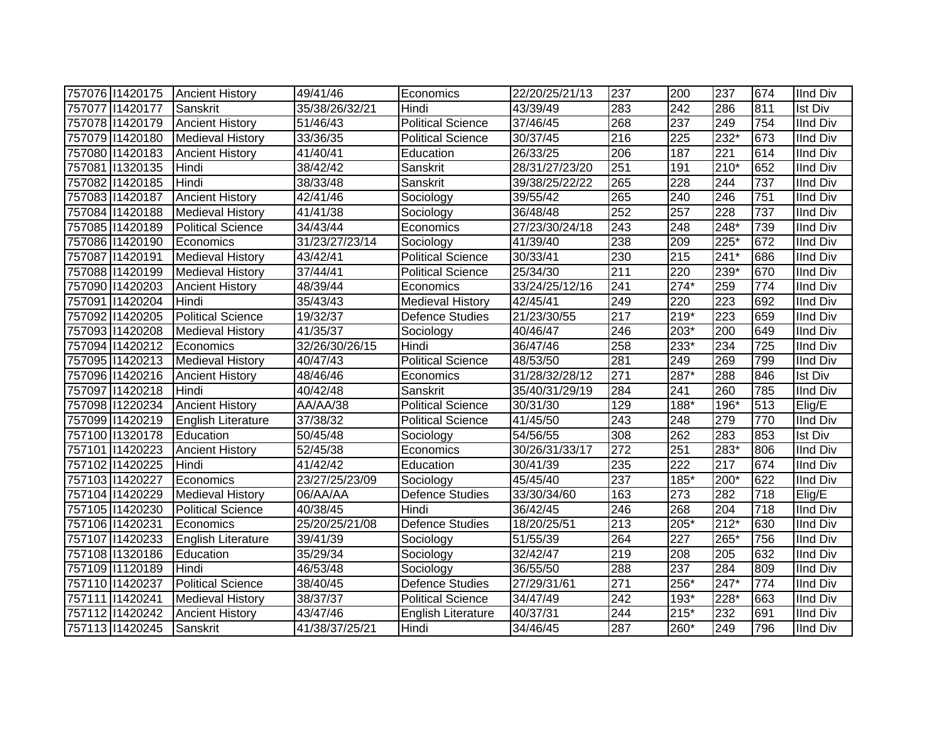| 757076 11420175 | <b>Ancient History</b>    | 49/41/46       | Economics                 | 22/20/25/21/13 | 237              | 200    | 237              | 674 | <b>IInd Div</b> |
|-----------------|---------------------------|----------------|---------------------------|----------------|------------------|--------|------------------|-----|-----------------|
| 757077 11420177 | Sanskrit                  | 35/38/26/32/21 | Hindi                     | 43/39/49       | 283              | 242    | 286              | 811 | <b>Ist Div</b>  |
| 757078 11420179 | <b>Ancient History</b>    | 51/46/43       | <b>Political Science</b>  | 37/46/45       | 268              | 237    | $\overline{249}$ | 754 | <b>IInd Div</b> |
| 757079 11420180 | <b>Medieval History</b>   | 33/36/35       | <b>Political Science</b>  | 30/37/45       | $\overline{216}$ | 225    | $232*$           | 673 | <b>IInd Div</b> |
| 757080 11420183 | <b>Ancient History</b>    | 41/40/41       | Education                 | 26/33/25       | $\overline{206}$ | 187    | $\overline{221}$ | 614 | <b>IInd Div</b> |
| 757081 1320135  | Hindi                     | 38/42/42       | Sanskrit                  | 28/31/27/23/20 | 251              | 191    | $210*$           | 652 | <b>IInd Div</b> |
| 757082 11420185 | Hindi                     | 38/33/48       | Sanskrit                  | 39/38/25/22/22 | 265              | 228    | 244              | 737 | <b>IInd Div</b> |
| 757083 11420187 | <b>Ancient History</b>    | 42/41/46       | Sociology                 | 39/55/42       | 265              | 240    | 246              | 751 | <b>IInd Div</b> |
| 757084 11420188 | <b>Medieval History</b>   | 41/41/38       | Sociology                 | 36/48/48       | 252              | 257    | 228              | 737 | <b>IInd Div</b> |
| 757085 11420189 | <b>Political Science</b>  | 34/43/44       | Economics                 | 27/23/30/24/18 | 243              | 248    | $248*$           | 739 | <b>IInd Div</b> |
| 757086 11420190 | Economics                 | 31/23/27/23/14 | Sociology                 | 41/39/40       | 238              | 209    | $225*$           | 672 | <b>IInd Div</b> |
| 757087 11420191 | <b>Medieval History</b>   | 43/42/41       | <b>Political Science</b>  | 30/33/41       | 230              | 215    | 241*             | 686 | <b>IInd Div</b> |
| 757088 11420199 | <b>Medieval History</b>   | 37/44/41       | <b>Political Science</b>  | 25/34/30       | $\overline{211}$ | 220    | 239*             | 670 | <b>IInd Div</b> |
| 757090 11420203 | <b>Ancient History</b>    | 48/39/44       | Economics                 | 33/24/25/12/16 | 241              | $274*$ | 259              | 774 | <b>IInd Div</b> |
| 757091 11420204 | Hindi                     | 35/43/43       | <b>Medieval History</b>   | 42/45/41       | 249              | 220    | 223              | 692 | <b>IInd Div</b> |
| 757092 11420205 | <b>Political Science</b>  | 19/32/37       | Defence Studies           | 21/23/30/55    | $\overline{217}$ | $219*$ | 223              | 659 | <b>IInd Div</b> |
| 757093 11420208 | <b>Medieval History</b>   | 41/35/37       | Sociology                 | 40/46/47       | 246              | 203*   | 200              | 649 | <b>IInd Div</b> |
| 757094 11420212 | Economics                 | 32/26/30/26/15 | Hindi                     | 36/47/46       | 258              | 233*   | 234              | 725 | <b>IInd Div</b> |
| 757095 11420213 | <b>Medieval History</b>   | 40/47/43       | <b>Political Science</b>  | 48/53/50       | 281              | 249    | 269              | 799 | <b>IInd Div</b> |
| 757096 11420216 | <b>Ancient History</b>    | 48/46/46       | Economics                 | 31/28/32/28/12 | 271              | 287*   | 288              | 846 | <b>Ist Div</b>  |
| 757097 1420218  | Hindi                     | 40/42/48       | Sanskrit                  | 35/40/31/29/19 | 284              | 241    | 260              | 785 | <b>IInd Div</b> |
| 757098 11220234 | <b>Ancient History</b>    | AA/AA/38       | <b>Political Science</b>  | 30/31/30       | 129              | 188*   | 196*             | 513 | Elig/E          |
| 757099 11420219 | <b>English Literature</b> | 37/38/32       | <b>Political Science</b>  | 41/45/50       | 243              | 248    | 279              | 770 | <b>IInd Div</b> |
| 757100 11320178 | Education                 | 50/45/48       | Sociology                 | 54/56/55       | 308              | 262    | 283              | 853 | <b>Ist Div</b>  |
| 757101 1420223  | <b>Ancient History</b>    | 52/45/38       | Economics                 | 30/26/31/33/17 | 272              | 251    | 283*             | 806 | <b>IInd Div</b> |
| 757102 11420225 | Hindi                     | 41/42/42       | Education                 | 30/41/39       | 235              | 222    | 217              | 674 | <b>IInd Div</b> |
| 757103 11420227 | Economics                 | 23/27/25/23/09 | Sociology                 | 45/45/40       | 237              | $185*$ | 200*             | 622 | <b>IInd Div</b> |
| 757104 11420229 | Medieval History          | 06/AA/AA       | <b>Defence Studies</b>    | 33/30/34/60    | 163              | 273    | 282              | 718 | Elig/E          |
| 757105 11420230 | <b>Political Science</b>  | 40/38/45       | Hindi                     | 36/42/45       | 246              | 268    | 204              | 718 | <b>IInd Div</b> |
| 757106 11420231 | Economics                 | 25/20/25/21/08 | Defence Studies           | 18/20/25/51    | $\overline{213}$ | $205*$ | $212*$           | 630 | <b>IInd Div</b> |
| 757107 1420233  | English Literature        | 39/41/39       | Sociology                 | 51/55/39       | 264              | 227    | 265*             | 756 | <b>IInd Div</b> |
| 757108 11320186 | Education                 | 35/29/34       | Sociology                 | 32/42/47       | 219              | 208    | 205              | 632 | <b>IInd Div</b> |
| 757109 11120189 | Hindi                     | 46/53/48       | Sociology                 | 36/55/50       | 288              | 237    | 284              | 809 | <b>IInd Div</b> |
| 757110 1420237  | <b>Political Science</b>  | 38/40/45       | <b>Defence Studies</b>    | 27/29/31/61    | $\overline{271}$ | $256*$ | 247*             | 774 | <b>IInd Div</b> |
| 757111 1420241  | <b>Medieval History</b>   | 38/37/37       | <b>Political Science</b>  | 34/47/49       | 242              | 193*   | 228*             | 663 | <b>IInd Div</b> |
| 757112 11420242 | <b>Ancient History</b>    | 43/47/46       | <b>English Literature</b> | 40/37/31       | 244              | $215*$ | 232              | 691 | <b>IInd Div</b> |
| 757113 1420245  | Sanskrit                  | 41/38/37/25/21 | Hindi                     | 34/46/45       | $\overline{287}$ | 260*   | 249              | 796 | <b>IInd Div</b> |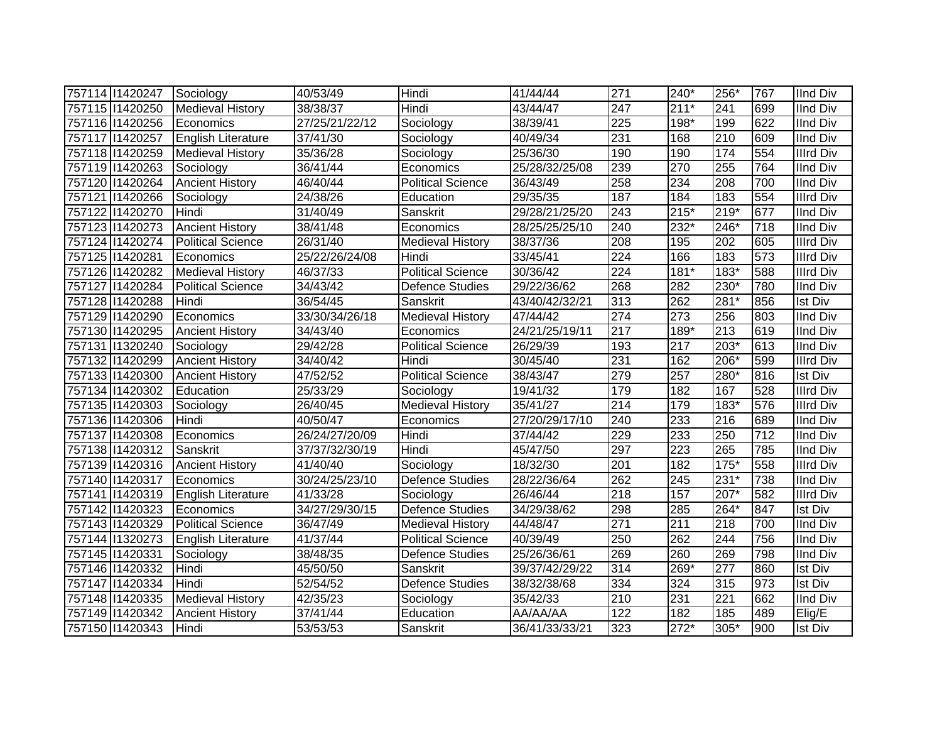| 757114 11420247 | Sociology                 | 40/53/49       | Hindi                    | 41/44/44       | 271 | $240*$ | 256*   | 767 | <b>IInd Div</b>  |
|-----------------|---------------------------|----------------|--------------------------|----------------|-----|--------|--------|-----|------------------|
| 757115 11420250 | <b>Medieval History</b>   | 38/38/37       | Hindi                    | 43/44/47       | 247 | $211*$ | 241    | 699 | <b>IInd Div</b>  |
| 757116 11420256 | Economics                 | 27/25/21/22/12 | Sociology                | 38/39/41       | 225 | 198*   | 199    | 622 | <b>IInd Div</b>  |
| 757117 1420257  | <b>English Literature</b> | 37/41/30       | Sociology                | 40/49/34       | 231 | 168    | 210    | 609 | <b>IInd Div</b>  |
| 757118 11420259 | <b>Medieval History</b>   | 35/36/28       | Sociology                | 25/36/30       | 190 | 190    | 174    | 554 | <b>Illrd Div</b> |
| 757119 11420263 | Sociology                 | 36/41/44       | Economics                | 25/28/32/25/08 | 239 | 270    | 255    | 764 | <b>IInd Div</b>  |
| 757120 11420264 | <b>Ancient History</b>    | 46/40/44       | <b>Political Science</b> | 36/43/49       | 258 | 234    | 208    | 700 | <b>IInd Div</b>  |
| 757121 1420266  | Sociology                 | 24/38/26       | Education                | 29/35/35       | 187 | 184    | 183    | 554 | <b>Illrd Div</b> |
| 757122 11420270 | Hindi                     | 31/40/49       | Sanskrit                 | 29/28/21/25/20 | 243 | $215*$ | $219*$ | 677 | <b>IInd Div</b>  |
| 757123 11420273 | <b>Ancient History</b>    | 38/41/48       | Economics                | 28/25/25/25/10 | 240 | $232*$ | 246*   | 718 | <b>IInd Div</b>  |
| 757124 11420274 | <b>Political Science</b>  | 26/31/40       | <b>Medieval History</b>  | 38/37/36       | 208 | 195    | 202    | 605 | <b>Illrd Div</b> |
| 757125 11420281 | Economics                 | 25/22/26/24/08 | Hindi                    | 33/45/41       | 224 | 166    | 183    | 573 | <b>Illrd Div</b> |
| 757126 11420282 | <b>Medieval History</b>   | 46/37/33       | Political Science        | 30/36/42       | 224 | $181*$ | 183*   | 588 | Illrd Div        |
| 757127 1420284  | <b>Political Science</b>  | 34/43/42       | <b>Defence Studies</b>   | 29/22/36/62    | 268 | 282    | 230*   | 780 | <b>IInd Div</b>  |
| 757128 11420288 | <b>Hindi</b>              | 36/54/45       | Sanskrit                 | 43/40/42/32/21 | 313 | 262    | 281*   | 856 | <b>Ist Div</b>   |
| 757129 11420290 | Economics                 | 33/30/34/26/18 | <b>Medieval History</b>  | 47/44/42       | 274 | 273    | 256    | 803 | <b>IInd Div</b>  |
| 757130 11420295 | <b>Ancient History</b>    | 34/43/40       | Economics                | 24/21/25/19/11 | 217 | 189*   | 213    | 619 | <b>IInd Div</b>  |
| 757131 1320240  | Sociology                 | 29/42/28       | <b>Political Science</b> | 26/29/39       | 193 | 217    | 203*   | 613 | <b>IInd Div</b>  |
| 757132 11420299 | <b>Ancient History</b>    | 34/40/42       | Hindi                    | 30/45/40       | 231 | 162    | 206*   | 599 | <b>Illrd Div</b> |
| 757133 11420300 | <b>Ancient History</b>    | 47/52/52       | Political Science        | 38/43/47       | 279 | 257    | 280*   | 816 | <b>Ist Div</b>   |
| 757134 11420302 | Education                 | 25/33/29       | Sociology                | 19/41/32       | 179 | 182    | 167    | 528 | <b>Illrd Div</b> |
| 757135 11420303 | Sociology                 | 26/40/45       | <b>Medieval History</b>  | 35/41/27       | 214 | 179    | $183*$ | 576 | <b>Illrd Div</b> |
| 757136 11420306 | Hindi                     | 40/50/47       | Economics                | 27/20/29/17/10 | 240 | 233    | 216    | 689 | <b>IInd Div</b>  |
| 757137 11420308 | Economics                 | 26/24/27/20/09 | Hindi                    | 37/44/42       | 229 | 233    | 250    | 712 | <b>IInd Div</b>  |
| 757138 11420312 | Sanskrit                  | 37/37/32/30/19 | Hindi                    | 45/47/50       | 297 | 223    | 265    | 785 | <b>IInd Div</b>  |
| 757139 11420316 | <b>Ancient History</b>    | 41/40/40       | Sociology                | 18/32/30       | 201 | 182    | $175*$ | 558 | <b>Illrd Div</b> |
| 757140 1420317  | Economics                 | 30/24/25/23/10 | <b>Defence Studies</b>   | 28/22/36/64    | 262 | 245    | $231*$ | 738 | <b>IInd Div</b>  |
| 757141 1420319  | <b>English Literature</b> | 41/33/28       | Sociology                | 26/46/44       | 218 | 157    | $207*$ | 582 | <b>Illrd Div</b> |
| 757142 11420323 | Economics                 | 34/27/29/30/15 | <b>Defence Studies</b>   | 34/29/38/62    | 298 | 285    | 264*   | 847 | <b>Ist Div</b>   |
| 757143 1420329  | <b>Political Science</b>  | 36/47/49       | <b>Medieval History</b>  | 44/48/47       | 271 | 211    | 218    | 700 | <b>IInd Div</b>  |
| 757144 1320273  | English Literature        | 41/37/44       | <b>Political Science</b> | 40/39/49       | 250 | 262    | 244    | 756 | <b>IInd Div</b>  |
| 757145 11420331 | Sociology                 | 38/48/35       | <b>Defence Studies</b>   | 25/26/36/61    | 269 | 260    | 269    | 798 | <b>IInd Div</b>  |
| 757146 11420332 | Hindi                     | 45/50/50       | Sanskrit                 | 39/37/42/29/22 | 314 | 269*   | 277    | 860 | <b>Ist Div</b>   |
| 757147 11420334 | Hindi                     | 52/54/52       | <b>Defence Studies</b>   | 38/32/38/68    | 334 | 324    | 315    | 973 | <b>Ist Div</b>   |
| 757148 11420335 | <b>Medieval History</b>   | 42/35/23       | Sociology                | 35/42/33       | 210 | 231    | 221    | 662 | <b>IInd Div</b>  |
| 757149 11420342 | <b>Ancient History</b>    | 37/41/44       | Education                | AA/AA/AA       | 122 | 182    | 185    | 489 | Elig/E           |
| 757150 11420343 | Hindi                     | 53/53/53       | Sanskrit                 | 36/41/33/33/21 | 323 | $272*$ | 305*   | 900 | <b>Ist Div</b>   |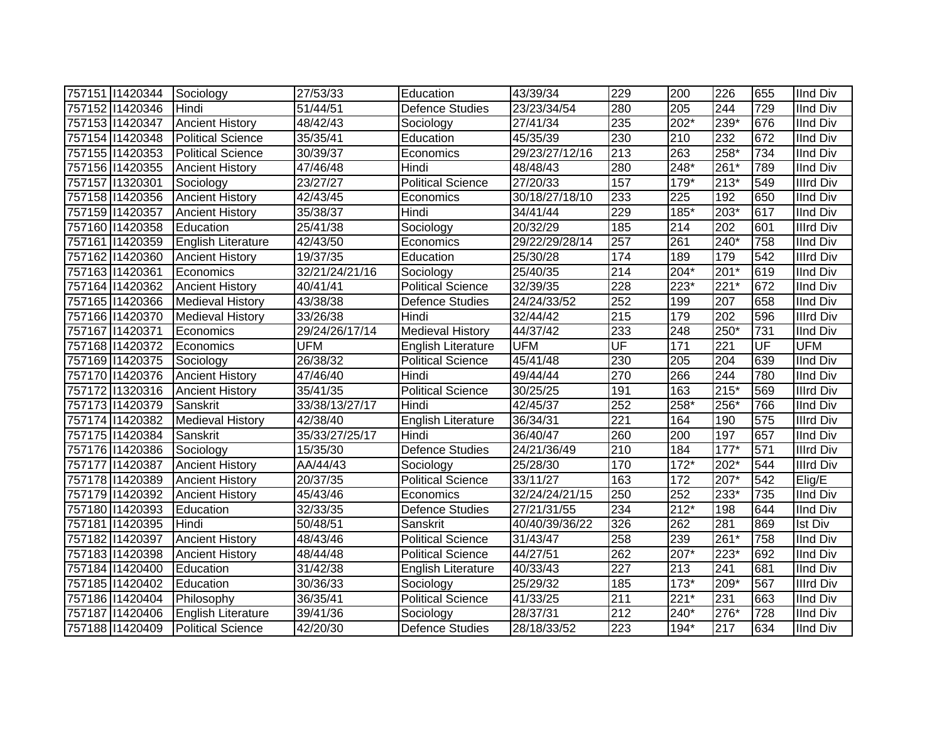| 757151 1420344   | Sociology                 | 27/53/33              | Education                 | 43/39/34       | 229                      | 200    | 226    | 655 | <b>IInd Div</b>  |
|------------------|---------------------------|-----------------------|---------------------------|----------------|--------------------------|--------|--------|-----|------------------|
| 757152 11420346  | Hindi                     | 51/44/51              | <b>Defence Studies</b>    | 23/23/34/54    | 280                      | 205    | 244    | 729 | <b>IInd Div</b>  |
| 757153 11420347  | <b>Ancient History</b>    | 48/42/43              | Sociology                 | 27/41/34       | 235                      | $202*$ | $239*$ | 676 | <b>IInd Div</b>  |
| 757154 11420348  | <b>Political Science</b>  | 35/35/41              | Education                 | 45/35/39       | 230                      | 210    | 232    | 672 | <b>IInd Div</b>  |
| 757155 11420353  | <b>Political Science</b>  | 30/39/37              | Economics                 | 29/23/27/12/16 | $\overline{213}$         | 263    | $258*$ | 734 | <b>IInd Div</b>  |
| 757156 11420355  | <b>Ancient History</b>    | 47/46/48              | Hindi                     | 48/48/43       | 280                      | $248*$ | 261*   | 789 | <b>IInd Div</b>  |
| 757157 1320301   | Sociology                 | 23/27/27              | <b>Political Science</b>  | 27/20/33       | 157                      | 179*   | $213*$ | 549 | <b>Illrd Div</b> |
| 757158 11420356  | <b>Ancient History</b>    | 42/43/45              | Economics                 | 30/18/27/18/10 | 233                      | 225    | 192    | 650 | IInd Div         |
| 757159 11420357  | <b>Ancient History</b>    | 35/38/37              | Hindi                     | 34/41/44       | 229                      | 185*   | 203*   | 617 | <b>IInd Div</b>  |
| 757160   1420358 | Education                 | 25/41/38              | Sociology                 | 20/32/29       | 185                      | 214    | 202    | 601 | <b>Illrd Div</b> |
| 757161 1420359   | English Literature        | 42/43/50              | Economics                 | 29/22/29/28/14 | 257                      | 261    | $240*$ | 758 | <b>IInd Div</b>  |
| 757162 11420360  | <b>Ancient History</b>    | 19/37/35              | Education                 | 25/30/28       | 174                      | 189    | 179    | 542 | <b>Illrd Div</b> |
| 757163 11420361  | Economics                 | 32/21/24/21/16        | Sociology                 | 25/40/35       | $\overline{214}$         | $204*$ | $201*$ | 619 | <b>IInd Div</b>  |
| 757164 11420362  | <b>Ancient History</b>    | 40/41/41              | <b>Political Science</b>  | 32/39/35       | 228                      | 223*   | $221*$ | 672 | <b>IInd Div</b>  |
| 757165 11420366  | <b>Medieval History</b>   | 43/38/38              | Defence Studies           | 24/24/33/52    | 252                      | 199    | 207    | 658 | <b>IInd Div</b>  |
| 757166 11420370  | <b>Medieval History</b>   | 33/26/38              | Hindi                     | 32/44/42       | 215                      | 179    | 202    | 596 | <b>Illrd Div</b> |
| 757167 11420371  | Economics                 | 29/24/26/17/14        | <b>Medieval History</b>   | 44/37/42       | 233                      | 248    | 250*   | 731 | <b>IInd Div</b>  |
| 757168 11420372  | Economics                 | <b>UFM</b>            | English Literature        | <b>UFM</b>     | $\overline{\mathsf{UF}}$ | 171    | 221    | UF  | <b>UFM</b>       |
| 757169 11420375  | Sociology                 | 26/38/32              | <b>Political Science</b>  | 45/41/48       | 230                      | 205    | 204    | 639 | <b>IInd Div</b>  |
| 757170 11420376  | <b>Ancient History</b>    | 47/46/40              | Hindi                     | 49/44/44       | 270                      | 266    | 244    | 780 | <b>IInd Div</b>  |
| 757172 1320316   | <b>Ancient History</b>    | $\overline{35}/41/35$ | <b>Political Science</b>  | 30/25/25       | 191                      | 163    | $215*$ | 569 | <b>Illrd Div</b> |
| 757173 1420379   | Sanskrit                  | 33/38/13/27/17        | Hindi                     | 42/45/37       | 252                      | 258*   | 256*   | 766 | <b>IInd Div</b>  |
| 757174 11420382  | <b>Medieval History</b>   | 42/38/40              | <b>English Literature</b> | 36/34/31       | $\overline{221}$         | 164    | 190    | 575 | <b>Illrd Div</b> |
| 757175 11420384  | Sanskrit                  | 35/33/27/25/17        | Hindi                     | 36/40/47       | 260                      | 200    | 197    | 657 | <b>IInd Div</b>  |
| 757176 11420386  | Sociology                 | 15/35/30              | <b>Defence Studies</b>    | 24/21/36/49    | 210                      | 184    | $177*$ | 571 | <b>Illrd Div</b> |
| 757177 11420387  | <b>Ancient History</b>    | AA/44/43              | Sociology                 | 25/28/30       | 170                      | $172*$ | 202*   | 544 | <b>Illrd Div</b> |
| 757178 11420389  | <b>Ancient History</b>    | 20/37/35              | <b>Political Science</b>  | 33/11/27       | 163                      | 172    | 207*   | 542 | Elig/E           |
| 757179 1420392   | <b>Ancient History</b>    | 45/43/46              | Economics                 | 32/24/24/21/15 | 250                      | 252    | 233*   | 735 | <b>IInd Div</b>  |
| 757180 11420393  | Education                 | 32/33/35              | Defence Studies           | 27/21/31/55    | 234                      | $212*$ | 198    | 644 | <b>IInd Div</b>  |
| 757181 1420395   | Hindi                     | 50/48/51              | Sanskrit                  | 40/40/39/36/22 | 326                      | 262    | 281    | 869 | <b>Ist Div</b>   |
| 757182 11420397  | <b>Ancient History</b>    | 48/43/46              | <b>Political Science</b>  | 31/43/47       | 258                      | 239    | $261*$ | 758 | <b>IInd Div</b>  |
| 757183 11420398  | <b>Ancient History</b>    | 48/44/48              | Political Science         | 44/27/51       | 262                      | 207*   | $223*$ | 692 | <b>IInd Div</b>  |
| 757184 11420400  | Education                 | 31/42/38              | English Literature        | 40/33/43       | $\overline{227}$         | 213    | 241    | 681 | <b>IInd Div</b>  |
| 757185 11420402  | Education                 | 30/36/33              | Sociology                 | 25/29/32       | 185                      | $173*$ | 209*   | 567 | <b>Illrd Div</b> |
| 757186 11420404  | Philosophy                | 36/35/41              | <b>Political Science</b>  | 41/33/25       | 211                      | $221*$ | 231    | 663 | <b>IInd Div</b>  |
| 757187 11420406  | <b>English Literature</b> | 39/41/36              | Sociology                 | 28/37/31       | 212                      | 240*   | 276*   | 728 | <b>IInd Div</b>  |
| 757188 11420409  | <b>Political Science</b>  | 42/20/30              | <b>Defence Studies</b>    | 28/18/33/52    | $\overline{223}$         | 194*   | 217    | 634 | <b>IInd Div</b>  |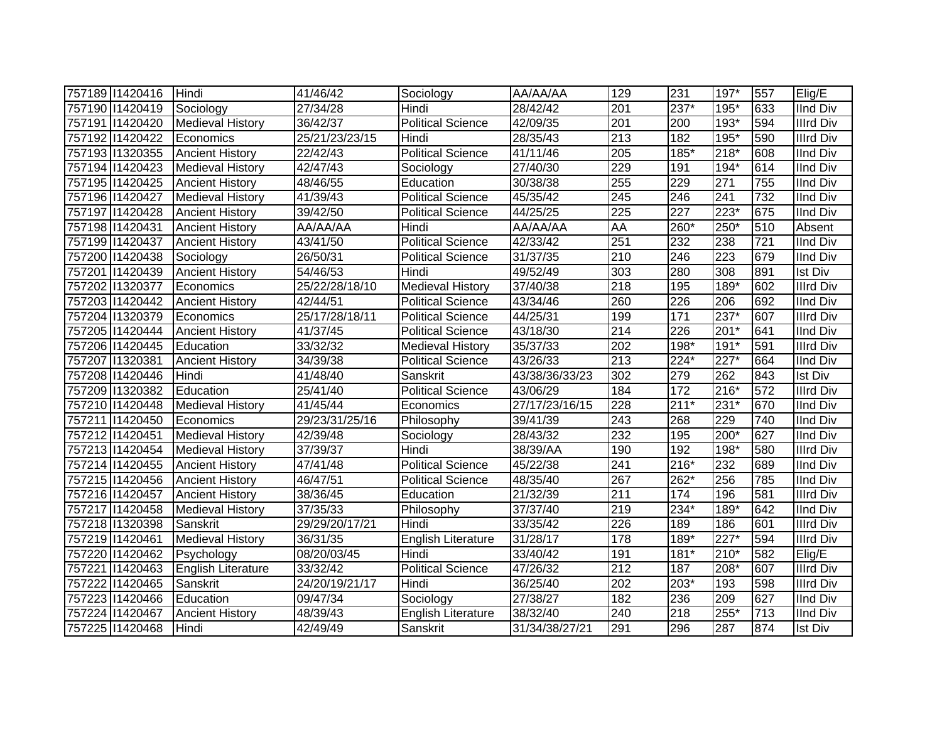| 757189 11420416 | Hindi                   | 41/46/42       | Sociology                 | AA/AA/AA       | 129              | 231              | $197*$             | 557 | Elig/E           |
|-----------------|-------------------------|----------------|---------------------------|----------------|------------------|------------------|--------------------|-----|------------------|
| 757190 11420419 | Sociology               | 27/34/28       | Hindi                     | 28/42/42       | 201              | $237*$           | 195*               | 633 | <b>IInd Div</b>  |
| 757191 1420420  | <b>Medieval History</b> | 36/42/37       | <b>Political Science</b>  | 42/09/35       | 201              | 200              | $193*$             | 594 | <b>Illrd Div</b> |
| 757192 11420422 | Economics               | 25/21/23/23/15 | Hindi                     | 28/35/43       | 213              | 182              | $195*$             | 590 | <b>Illrd Div</b> |
| 757193 11320355 | <b>Ancient History</b>  | 22/42/43       | <b>Political Science</b>  | 41/11/46       | 205              | $185*$           | $218*$             | 608 | <b>IInd Div</b>  |
| 757194 11420423 | <b>Medieval History</b> | 42/47/43       | Sociology                 | 27/40/30       | 229              | 191              | 194*               | 614 | <b>IInd Div</b>  |
| 757195 11420425 | <b>Ancient History</b>  | 48/46/55       | Education                 | 30/38/38       | 255              | 229              | 271                | 755 | <b>IInd Div</b>  |
| 757196 11420427 | <b>Medieval History</b> | 41/39/43       | <b>Political Science</b>  | 45/35/42       | 245              | 246              | $\overline{241}$   | 732 | <b>IInd Div</b>  |
| 757197 1420428  | <b>Ancient History</b>  | 39/42/50       | <b>Political Science</b>  | 44/25/25       | 225              | $\overline{227}$ | $223*$             | 675 | <b>IInd Div</b>  |
| 757198 11420431 | <b>Ancient History</b>  | AA/AA/AA       | Hindi                     | AA/AA/AA       | AA               | 260*             | 250*               | 510 | Absent           |
| 757199 11420437 | <b>Ancient History</b>  | 43/41/50       | Political Science         | 42/33/42       | 251              | 232              | 238                | 721 | <b>IInd Div</b>  |
| 757200 11420438 | Sociology               | 26/50/31       | <b>Political Science</b>  | 31/37/35       | 210              | 246              | 223                | 679 | <b>IInd Div</b>  |
| 757201 1420439  | <b>Ancient History</b>  | 54/46/53       | Hindi                     | 49/52/49       | 303              | 280              | 308                | 891 | Ist Div          |
| 757202 11320377 | Economics               | 25/22/28/18/10 | <b>Medieval History</b>   | 37/40/38       | 218              | 195              | 189*               | 602 | <b>Illrd Div</b> |
| 757203 11420442 | <b>Ancient History</b>  | 42/44/51       | <b>Political Science</b>  | 43/34/46       | 260              | 226              | 206                | 692 | <b>IInd Div</b>  |
| 757204 1320379  | Economics               | 25/17/28/18/11 | <b>Political Science</b>  | 44/25/31       | 199              | $171$            | $237*$             | 607 | <b>Illrd Div</b> |
| 757205 11420444 | <b>Ancient History</b>  | 41/37/45       | <b>Political Science</b>  | 43/18/30       | 214              | 226              | $201*$             | 641 | <b>IInd Div</b>  |
| 757206 11420445 | Education               | 33/32/32       | <b>Medieval History</b>   | 35/37/33       | 202              | 198*             | 191*               | 591 | <b>Illrd Div</b> |
| 757207 1320381  | <b>Ancient History</b>  | 34/39/38       | <b>Political Science</b>  | 43/26/33       | 213              | $224*$           | 227*               | 664 | <b>IInd Div</b>  |
| 757208 11420446 | Hindi                   | 41/48/40       | Sanskrit                  | 43/38/36/33/23 | 302              | 279              | 262                | 843 | <b>Ist Div</b>   |
| 757209 11320382 | Education               | 25/41/40       | <b>Political Science</b>  | 43/06/29       | 184              | 172              | 216*               | 572 | <b>Illrd Div</b> |
| 757210 11420448 | <b>Medieval History</b> | 41/45/44       | Economics                 | 27/17/23/16/15 | 228              | $211*$           | $231*$             | 670 | <b>IInd Div</b>  |
| 757211 1420450  | Economics               | 29/23/31/25/16 | Philosophy                | 39/41/39       | 243              | 268              | 229                | 740 | <b>IInd Div</b>  |
| 757212 1420451  | <b>Medieval History</b> | 42/39/48       | Sociology                 | 28/43/32       | 232              | 195              | 200*               | 627 | <b>IInd Div</b>  |
| 757213 1420454  | <b>Medieval History</b> | 37/39/37       | Hindi                     | 38/39/AA       | 190              | 192              | 198*               | 580 | <b>Illrd Div</b> |
| 757214 1420455  | <b>Ancient History</b>  | 47/41/48       | Political Science         | 45/22/38       | 241              | 216*             | 232                | 689 | <b>IInd Div</b>  |
| 757215 11420456 | <b>Ancient History</b>  | 46/47/51       | <b>Political Science</b>  | 48/35/40       | 267              | 262*             | 256                | 785 | <b>IInd Div</b>  |
| 757216 11420457 | <b>Ancient History</b>  | 38/36/45       | Education                 | 21/32/39       | 211              | 174              | 196                | 581 | <b>Illrd Div</b> |
| 757217 11420458 | <b>Medieval History</b> | 37/35/33       | Philosophy                | 37/37/40       | 219              | 234*             | 189*               | 642 | <b>IInd Div</b>  |
| 757218 11320398 | Sanskrit                | 29/29/20/17/21 | Hindi                     | 33/35/42       | 226              | 189              | 186                | 601 | <b>Illrd Div</b> |
| 757219 1420461  | <b>Medieval History</b> | 36/31/35       | <b>English Literature</b> | 31/28/17       | 178              | 189*             | $\overline{227^*}$ | 594 | <b>Illrd Div</b> |
| 757220 11420462 | Psychology              | 08/20/03/45    | Hindi                     | 33/40/42       | 191              | $181*$           | 210*               | 582 | Elig/E           |
| 757221 1420463  | English Literature      | 33/32/42       | <b>Political Science</b>  | 47/26/32       | $\overline{212}$ | 187              | 208*               | 607 | <b>Illrd Div</b> |
| 757222 1420465  | Sanskrit                | 24/20/19/21/17 | Hindi                     | 36/25/40       | 202              | 203*             | 193                | 598 | <b>Illrd Div</b> |
| 757223 1420466  | Education               | 09/47/34       | Sociology                 | 27/38/27       | 182              | 236              | 209                | 627 | <b>IInd Div</b>  |
| 757224 11420467 | <b>Ancient History</b>  | 48/39/43       | <b>English Literature</b> | 38/32/40       | 240              | 218              | 255*               | 713 | <b>IInd Div</b>  |
| 757225 11420468 | Hindi                   | 42/49/49       | Sanskrit                  | 31/34/38/27/21 | 291              | 296              | 287                | 874 | <b>Ist Div</b>   |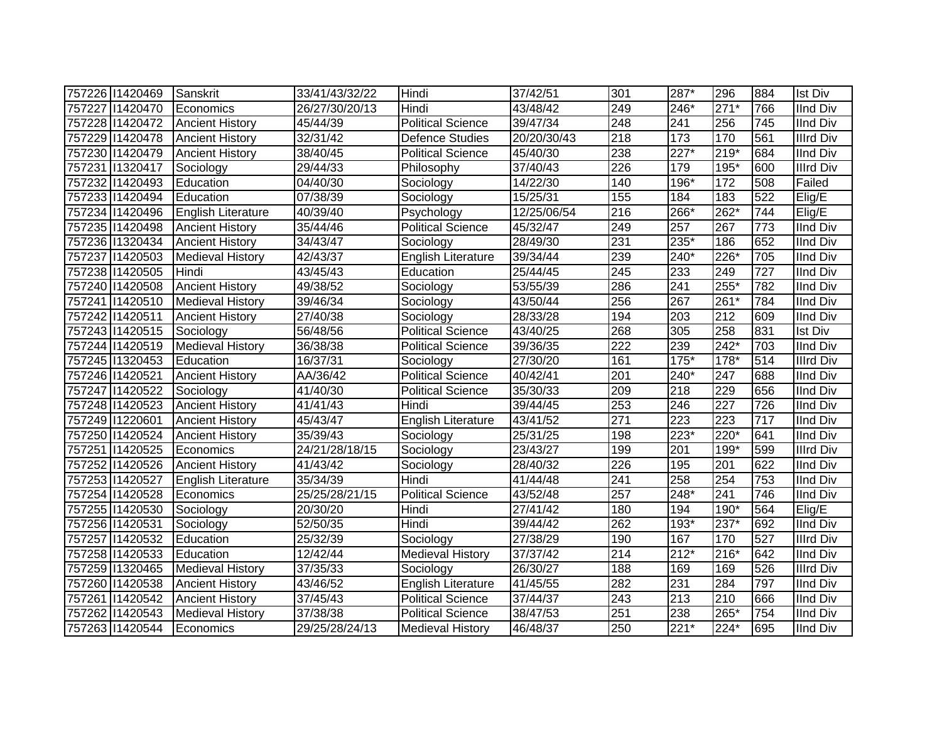| 757226 11420469 | Sanskrit                | 33/41/43/32/22 | Hindi                     | 37/42/51    | 301              | 287*               | 296              | 884 | <b>Ist Div</b>   |
|-----------------|-------------------------|----------------|---------------------------|-------------|------------------|--------------------|------------------|-----|------------------|
| 757227 11420470 | Economics               | 26/27/30/20/13 | Hindi                     | 43/48/42    | 249              | 246*               | $271*$           | 766 | <b>IInd Div</b>  |
| 757228 11420472 | <b>Ancient History</b>  | 45/44/39       | <b>Political Science</b>  | 39/47/34    | $\overline{248}$ | 241                | 256              | 745 | <b>IInd Div</b>  |
| 757229 1420478  | <b>Ancient History</b>  | 32/31/42       | <b>Defence Studies</b>    | 20/20/30/43 | $\overline{218}$ | 173                | 170              | 561 | <b>Illrd Div</b> |
| 757230 11420479 | <b>Ancient History</b>  | 38/40/45       | <b>Political Science</b>  | 45/40/30    | 238              | $\overline{227^*}$ | $219*$           | 684 | <b>IInd Div</b>  |
| 757231 1320417  | Sociology               | 29/44/33       | Philosophy                | 37/40/43    | 226              | 179                | 195*             | 600 | <b>Illrd Div</b> |
| 757232 11420493 | Education               | 04/40/30       | Sociology                 | 14/22/30    | 140              | 196*               | 172              | 508 | Failed           |
| 757233 11420494 | Education               | 07/38/39       | Sociology                 | 15/25/31    | 155              | 184                | 183              | 522 | Elig/E           |
| 757234 11420496 | English Literature      | 40/39/40       | Psychology                | 12/25/06/54 | 216              | 266*               | $262*$           | 744 | Elig/E           |
| 757235 11420498 | <b>Ancient History</b>  | 35/44/46       | <b>Political Science</b>  | 45/32/47    | 249              | 257                | 267              | 773 | <b>IInd Div</b>  |
| 757236 1320434  | <b>Ancient History</b>  | 34/43/47       | Sociology                 | 28/49/30    | 231              | 235*               | 186              | 652 | <b>IInd Div</b>  |
| 757237 1420503  | <b>Medieval History</b> | 42/43/37       | English Literature        | 39/34/44    | 239              | 240*               | 226*             | 705 | <b>IInd Div</b>  |
| 757238 11420505 | Hindi                   | 43/45/43       | Education                 | 25/44/45    | 245              | 233                | 249              | 727 | <b>IInd Div</b>  |
| 757240 11420508 | <b>Ancient History</b>  | 49/38/52       | Sociology                 | 53/55/39    | 286              | 241                | 255*             | 782 | <b>IInd Div</b>  |
| 757241 1420510  | <b>Medieval History</b> | 39/46/34       | Sociology                 | 43/50/44    | 256              | 267                | 261*             | 784 | <b>IInd Div</b>  |
| 757242 11420511 | <b>Ancient History</b>  | 27/40/38       | Sociology                 | 28/33/28    | 194              | 203                | $\overline{212}$ | 609 | <b>IInd Div</b>  |
| 757243 1420515  | Sociology               | 56/48/56       | <b>Political Science</b>  | 43/40/25    | 268              | 305                | 258              | 831 | <b>Ist Div</b>   |
| 757244 11420519 | <b>Medieval History</b> | 36/38/38       | Political Science         | 39/36/35    | 222              | 239                | $242*$           | 703 | <b>IInd Div</b>  |
| 757245 11320453 | Education               | 16/37/31       | Sociology                 | 27/30/20    | 161              | $175*$             | 178*             | 514 | <b>Illrd Div</b> |
| 757246 11420521 | <b>Ancient History</b>  | AA/36/42       | <b>Political Science</b>  | 40/42/41    | 201              | 240*               | 247              | 688 | <b>IInd Div</b>  |
| 757247 1420522  | Sociology               | 41/40/30       | <b>Political Science</b>  | 35/30/33    | 209              | 218                | 229              | 656 | <b>IInd Div</b>  |
| 757248 11420523 | <b>Ancient History</b>  | 41/41/43       | Hindi                     | 39/44/45    | 253              | 246                | 227              | 726 | <b>IInd Div</b>  |
| 757249 11220601 | <b>Ancient History</b>  | 45/43/47       | <b>English Literature</b> | 43/41/52    | 271              | 223                | 223              | 717 | <b>IInd Div</b>  |
| 757250 11420524 | <b>Ancient History</b>  | 35/39/43       | Sociology                 | 25/31/25    | 198              | 223*               | 220*             | 641 | <b>IInd Div</b>  |
| 757251 1420525  | Economics               | 24/21/28/18/15 | Sociology                 | 23/43/27    | 199              | 201                | 199*             | 599 | <b>Illrd Div</b> |
| 757252 11420526 | <b>Ancient History</b>  | 41/43/42       | Sociology                 | 28/40/32    | 226              | 195                | 201              | 622 | <b>IInd Div</b>  |
| 757253 1420527  | English Literature      | 35/34/39       | Hindi                     | 41/44/48    | 241              | 258                | 254              | 753 | <b>IInd Div</b>  |
| 757254 1420528  | Economics               | 25/25/28/21/15 | <b>Political Science</b>  | 43/52/48    | 257              | 248*               | 241              | 746 | <b>IInd Div</b>  |
| 757255 11420530 | Sociology               | 20/30/20       | Hindi                     | 27/41/42    | 180              | 194                | 190*             | 564 | Elig/E           |
| 757256 11420531 | Sociology               | 52/50/35       | Hindi                     | 39/44/42    | 262              | $193*$             | $237*$           | 692 | <b>IInd Div</b>  |
| 757257 1420532  | Education               | 25/32/39       | Sociology                 | 27/38/29    | 190              | 167                | 170              | 527 | <b>Illrd Div</b> |
| 757258 11420533 | Education               | 12/42/44       | <b>Medieval History</b>   | 37/37/42    | 214              | $\overline{2}12*$  | $216*$           | 642 | <b>IInd Div</b>  |
| 757259 1320465  | <b>Medieval History</b> | 37/35/33       | Sociology                 | 26/30/27    | 188              | 169                | 169              | 526 | <b>Illrd Div</b> |
| 757260 11420538 | <b>Ancient History</b>  | 43/46/52       | <b>English Literature</b> | 41/45/55    | 282              | 231                | 284              | 797 | <b>IInd Div</b>  |
| 757261 1420542  | <b>Ancient History</b>  | 37/45/43       | <b>Political Science</b>  | 37/44/37    | 243              | 213                | 210              | 666 | <b>IInd Div</b>  |
| 757262 11420543 | <b>Medieval History</b> | 37/38/38       | <b>Political Science</b>  | 38/47/53    | 251              | 238                | 265*             | 754 | <b>IInd Div</b>  |
| 757263 11420544 | Economics               | 29/25/28/24/13 | <b>Medieval History</b>   | 46/48/37    | 250              | $221*$             | $224*$           | 695 | <b>IInd Div</b>  |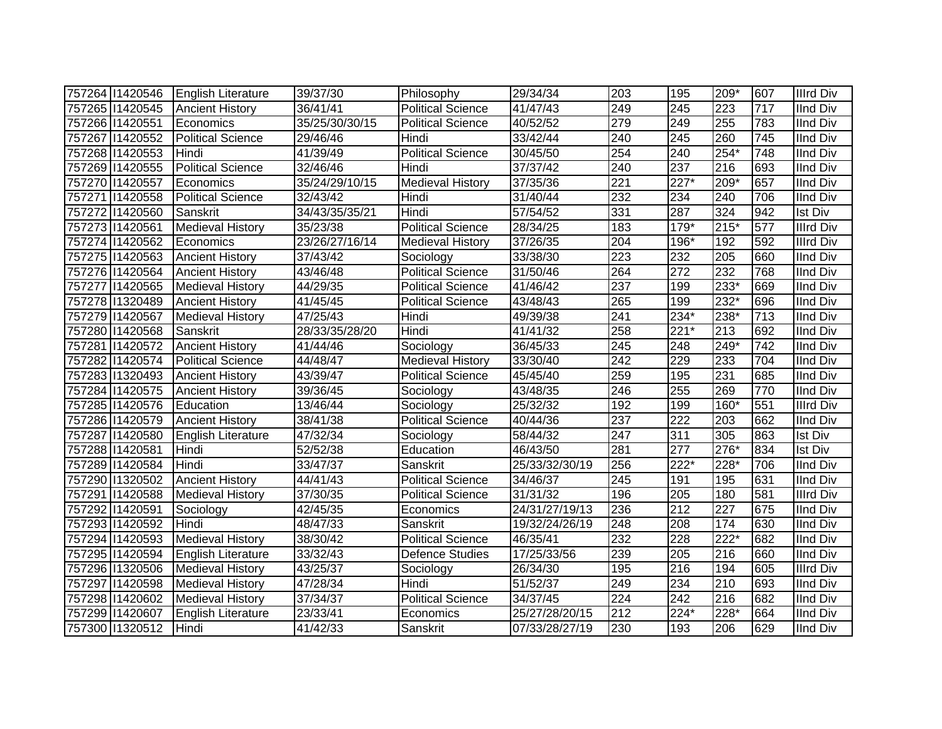| 757264 11420546 | <b>English Literature</b> | 39/37/30       | Philosophy               | 29/34/34       | 203 | 195              | 209*   | 607 | <b>Illrd Div</b> |
|-----------------|---------------------------|----------------|--------------------------|----------------|-----|------------------|--------|-----|------------------|
| 757265 11420545 | <b>Ancient History</b>    | 36/41/41       | <b>Political Science</b> | 41/47/43       | 249 | $\overline{245}$ | 223    | 717 | <b>IInd Div</b>  |
| 757266 11420551 | Economics                 | 35/25/30/30/15 | <b>Political Science</b> | 40/52/52       | 279 | 249              | 255    | 783 | <b>IInd Div</b>  |
| 757267 1420552  | <b>Political Science</b>  | 29/46/46       | Hindi                    | 33/42/44       | 240 | $\overline{245}$ | 260    | 745 | <b>IInd Div</b>  |
| 757268 11420553 | Hindi                     | 41/39/49       | <b>Political Science</b> | 30/45/50       | 254 | 240              | $254*$ | 748 | <b>IInd Div</b>  |
| 757269 11420555 | <b>Political Science</b>  | 32/46/46       | Hindi                    | 37/37/42       | 240 | 237              | 216    | 693 | <b>IInd Div</b>  |
| 757270 1420557  | Economics                 | 35/24/29/10/15 | <b>Medieval History</b>  | 37/35/36       | 221 | $227*$           | 209*   | 657 | <b>IInd Div</b>  |
| 757271 1420558  | <b>Political Science</b>  | 32/43/42       | Hindi                    | 31/40/44       | 232 | 234              | 240    | 706 | <b>IInd Div</b>  |
| 757272 11420560 | Sanskrit                  | 34/43/35/35/21 | Hindi                    | 57/54/52       | 331 | 287              | 324    | 942 | <b>Ist Div</b>   |
| 757273 1420561  | <b>Medieval History</b>   | 35/23/38       | <b>Political Science</b> | 28/34/25       | 183 | 179*             | $215*$ | 577 | <b>Illrd Div</b> |
| 757274 1420562  | Economics                 | 23/26/27/16/14 | <b>Medieval History</b>  | 37/26/35       | 204 | 196*             | 192    | 592 | <b>Illrd Div</b> |
| 757275 11420563 | <b>Ancient History</b>    | 37/43/42       | Sociology                | 33/38/30       | 223 | 232              | 205    | 660 | <b>IInd Div</b>  |
| 757276 11420564 | <b>Ancient History</b>    | 43/46/48       | <b>Political Science</b> | 31/50/46       | 264 | $\overline{272}$ | 232    | 768 | <b>IInd Div</b>  |
| 757277 11420565 | <b>Medieval History</b>   | 44/29/35       | Political Science        | 41/46/42       | 237 | 199              | 233*   | 669 | <b>IInd Div</b>  |
| 757278 1320489  | <b>Ancient History</b>    | 41/45/45       | <b>Political Science</b> | 43/48/43       | 265 | 199              | $232*$ | 696 | <b>IInd Div</b>  |
| 757279 1420567  | <b>Medieval History</b>   | 47/25/43       | Hindi                    | 49/39/38       | 241 | $234*$           | 238*   | 713 | <b>IInd Div</b>  |
| 757280 11420568 | Sanskrit                  | 28/33/35/28/20 | Hindi                    | 41/41/32       | 258 | $221*$           | 213    | 692 | <b>IInd Div</b>  |
| 757281 1420572  | <b>Ancient History</b>    | 41/44/46       | Sociology                | 36/45/33       | 245 | 248              | 249*   | 742 | <b>IInd Div</b>  |
| 757282 11420574 | <b>Political Science</b>  | 44/48/47       | Medieval History         | 33/30/40       | 242 | 229              | 233    | 704 | <b>IInd Div</b>  |
| 757283 1320493  | <b>Ancient History</b>    | 43/39/47       | <b>Political Science</b> | 45/45/40       | 259 | 195              | 231    | 685 | <b>IInd Div</b>  |
| 757284 11420575 | <b>Ancient History</b>    | 39/36/45       | Sociology                | 43/48/35       | 246 | 255              | 269    | 770 | <b>IInd Div</b>  |
| 757285 11420576 | Education                 | 13/46/44       | Sociology                | 25/32/32       | 192 | 199              | 160*   | 551 | <b>Illrd Div</b> |
| 757286 11420579 | <b>Ancient History</b>    | 38/41/38       | <b>Political Science</b> | 40/44/36       | 237 | $\overline{222}$ | 203    | 662 | <b>IInd Div</b>  |
| 757287 11420580 | <b>English Literature</b> | 47/32/34       | Sociology                | 58/44/32       | 247 | 311              | 305    | 863 | <b>Ist Div</b>   |
| 757288 11420581 | Hindi                     | 52/52/38       | Education                | 46/43/50       | 281 | 277              | 276*   | 834 | <b>Ist Div</b>   |
| 757289 11420584 | Hindi                     | 33/47/37       | Sanskrit                 | 25/33/32/30/19 | 256 | 222*             | 228*   | 706 | <b>IInd Div</b>  |
| 757290 1320502  | <b>Ancient History</b>    | 44/41/43       | <b>Political Science</b> | 34/46/37       | 245 | 191              | 195    | 631 | <b>IInd Div</b>  |
| 757291 1420588  | <b>Medieval History</b>   | 37/30/35       | <b>Political Science</b> | 31/31/32       | 196 | $\overline{205}$ | 180    | 581 | <b>Illrd Div</b> |
| 757292 11420591 | Sociology                 | 42/45/35       | Economics                | 24/31/27/19/13 | 236 | 212              | 227    | 675 | <b>IInd Div</b>  |
| 757293 1420592  | Hindi                     | 48/47/33       | Sanskrit                 | 19/32/24/26/19 | 248 | 208              | 174    | 630 | <b>IInd Div</b>  |
| 757294 11420593 | <b>Medieval History</b>   | 38/30/42       | Political Science        | 46/35/41       | 232 | 228              | $222*$ | 682 | <b>IInd Div</b>  |
| 757295 11420594 | English Literature        | 33/32/43       | <b>Defence Studies</b>   | 17/25/33/56    | 239 | 205              | 216    | 660 | <b>IInd Div</b>  |
| 757296 11320506 | <b>Medieval History</b>   | 43/25/37       | Sociology                | 26/34/30       | 195 | 216              | 194    | 605 | <b>Illrd Div</b> |
| 757297 1420598  | <b>Medieval History</b>   | 47/28/34       | Hindi                    | 51/52/37       | 249 | 234              | 210    | 693 | <b>IInd Div</b>  |
| 757298 11420602 | Medieval History          | 37/34/37       | <b>Political Science</b> | 34/37/45       | 224 | $\overline{242}$ | 216    | 682 | <b>IInd Div</b>  |
| 757299 11420607 | <b>English Literature</b> | 23/33/41       | Economics                | 25/27/28/20/15 | 212 | $224*$           | 228*   | 664 | <b>IInd Div</b>  |
| 757300 11320512 | Hindi                     | 41/42/33       | Sanskrit                 | 07/33/28/27/19 | 230 | 193              | 206    | 629 | <b>IInd Div</b>  |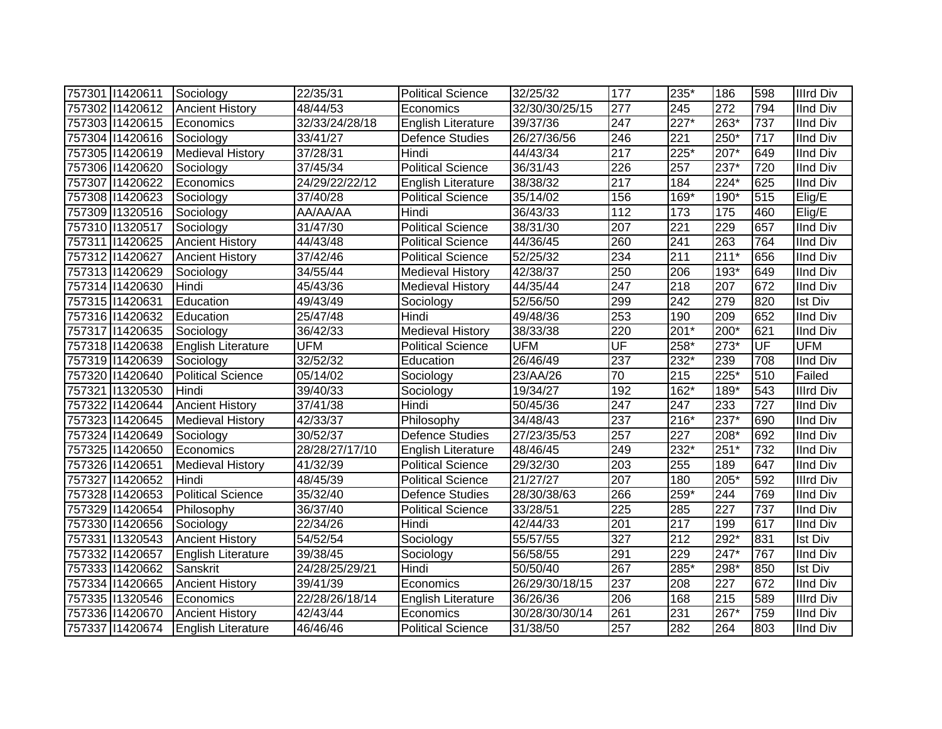| 757301 1420611   | Sociology                 | 22/35/31              | <b>Political Science</b>  | 32/25/32       | 177                      | 235*               | 186              | 598              | <b>Illrd Div</b> |
|------------------|---------------------------|-----------------------|---------------------------|----------------|--------------------------|--------------------|------------------|------------------|------------------|
| 757302 11420612  | <b>Ancient History</b>    | 48/44/53              | Economics                 | 32/30/30/25/15 | $\overline{277}$         | 245                | 272              | 794              | <b>IInd Div</b>  |
| 757303 11420615  | Economics                 | 32/33/24/28/18        | English Literature        | 39/37/36       | $\overline{247}$         | $\overline{227^*}$ | $263*$           | 737              | <b>IInd Div</b>  |
| 757304 11420616  | Sociology                 | 33/41/27              | Defence Studies           | 26/27/36/56    | 246                      | $\overline{221}$   | 250*             | $\overline{717}$ | <b>IInd Div</b>  |
| 757305 11420619  | <b>Medieval History</b>   | 37/28/31              | Hindi                     | 44/43/34       | $\overline{217}$         | $225*$             | $207*$           | 649              | <b>IInd Div</b>  |
| 757306 11420620  | Sociology                 | $\overline{37}/45/34$ | <b>Political Science</b>  | 36/31/43       | 226                      | 257                | $237*$           | 720              | <b>IInd Div</b>  |
| 757307 1420622   | Economics                 | 24/29/22/22/12        | English Literature        | 38/38/32       | 217                      | 184                | $224*$           | 625              | <b>IInd Div</b>  |
| 757308 11420623  | Sociology                 | 37/40/28              | <b>Political Science</b>  | 35/14/02       | 156                      | 169*               | 190*             | 515              | Elig/E           |
| 757309 1320516   | Sociology                 | AA/AA/AA              | Hindi                     | 36/43/33       | 112                      | 173                | 175              | 460              | Elig/E           |
| 757310 1320517   | Sociology                 | 31/47/30              | <b>Political Science</b>  | 38/31/30       | 207                      | 221                | 229              | 657              | <b>IInd Div</b>  |
| 757311   1420625 | <b>Ancient History</b>    | 44/43/48              | <b>Political Science</b>  | 44/36/45       | 260                      | 241                | 263              | 764              | <b>IInd Div</b>  |
| 757312 11420627  | <b>Ancient History</b>    | 37/42/46              | <b>Political Science</b>  | 52/25/32       | 234                      | 211                | $211*$           | 656              | <b>IInd Div</b>  |
| 757313 11420629  | Sociology                 | 34/55/44              | <b>Medieval History</b>   | 42/38/37       | 250                      | 206                | 193*             | 649              | <b>IInd Div</b>  |
| 757314 11420630  | Hindi                     | 45/43/36              | <b>Medieval History</b>   | 44/35/44       | 247                      | 218                | 207              | 672              | <b>IInd Div</b>  |
| 757315 11420631  | Education                 | 49/43/49              | Sociology                 | 52/56/50       | 299                      | 242                | 279              | 820              | Ist Div          |
| 757316 11420632  | Education                 | 25/47/48              | Hindi                     | 49/48/36       | 253                      | 190                | 209              | 652              | <b>IInd Div</b>  |
| 757317 1420635   | Sociology                 | 36/42/33              | Medieval History          | 38/33/38       | 220                      | 201*               | 200*             | 621              | <b>IInd Div</b>  |
| 757318 11420638  | English Literature        | <b>UFM</b>            | <b>Political Science</b>  | <b>UFM</b>     | $\overline{\mathsf{UF}}$ | 258*               | $273*$           | UF               | <b>UFM</b>       |
| 757319 1420639   | Sociology                 | 32/52/32              | Education                 | 26/46/49       | 237                      | 232*               | 239              | 708              | <b>IInd Div</b>  |
| 757320 11420640  | <b>Political Science</b>  | 05/14/02              | Sociology                 | 23/AA/26       | 70                       | 215                | $225*$           | 510              | Failed           |
| 757321 1320530   | Hindi                     | 39/40/33              | Sociology                 | 19/34/27       | 192                      | 162*               | 189*             | 543              | <b>Illrd Div</b> |
| 757322 11420644  | <b>Ancient History</b>    | 37/41/38              | Hindi                     | 50/45/36       | 247                      | 247                | 233              | 727              | <b>IInd Div</b>  |
| 757323 1420645   | <b>Medieval History</b>   | 42/33/37              | Philosophy                | 34/48/43       | 237                      | $216*$             | 237*             | 690              | <b>IInd Div</b>  |
| 757324 11420649  | Sociology                 | 30/52/37              | <b>Defence Studies</b>    | 27/23/35/53    | 257                      | 227                | 208*             | 692              | <b>IInd Div</b>  |
| 757325 11420650  | Economics                 | 28/28/27/17/10        | English Literature        | 48/46/45       | 249                      | 232*               | $251*$           | 732              | <b>IInd Div</b>  |
| 757326 11420651  | <b>Medieval History</b>   | 41/32/39              | <b>Political Science</b>  | 29/32/30       | 203                      | 255                | 189              | 647              | <b>IInd Div</b>  |
| 757327 11420652  | Hindi                     | 48/45/39              | Political Science         | 21/27/27       | 207                      | 180                | $205*$           | 592              | <b>Illrd Div</b> |
| 757328 11420653  | <b>Political Science</b>  | 35/32/40              | <b>Defence Studies</b>    | 28/30/38/63    | 266                      | 259*               | 244              | 769              | <b>IInd Div</b>  |
| 757329 1420654   | Philosophy                | 36/37/40              | <b>Political Science</b>  | 33/28/51       | $\overline{225}$         | 285                | $\overline{227}$ | 737              | <b>IInd Div</b>  |
| 757330 11420656  | Sociology                 | 22/34/26              | Hindi                     | 42/44/33       | $\overline{201}$         | 217                | 199              | 617              | <b>IInd Div</b>  |
| 757331 1320543   | <b>Ancient History</b>    | 54/52/54              | Sociology                 | 55/57/55       | $\overline{327}$         | $\overline{212}$   | $292*$           | 831              | <b>Ist Div</b>   |
| 757332 11420657  | English Literature        | 39/38/45              | Sociology                 | 56/58/55       | 291                      | 229                | 247*             | 767              | <b>IInd Div</b>  |
| 757333 11420662  | Sanskrit                  | 24/28/25/29/21        | Hindi                     | 50/50/40       | 267                      | 285*               | 298*             | 850              | <b>Ist Div</b>   |
| 757334 11420665  | <b>Ancient History</b>    | 39/41/39              | Economics                 | 26/29/30/18/15 | 237                      | 208                | 227              | 672              | <b>IInd Div</b>  |
| 757335 1320546   | <b>IEconomics</b>         | 22/28/26/18/14        | <b>English Literature</b> | 36/26/36       | 206                      | 168                | 215              | 589              | <b>Illrd Div</b> |
| 757336 11420670  | <b>Ancient History</b>    | 42/43/44              | Economics                 | 30/28/30/30/14 | 261                      | 231                | 267*             | 759              | IInd Div         |
| 757337 1420674   | <b>English Literature</b> | 46/46/46              | <b>Political Science</b>  | 31/38/50       | 257                      | 282                | 264              | 803              | <b>IInd Div</b>  |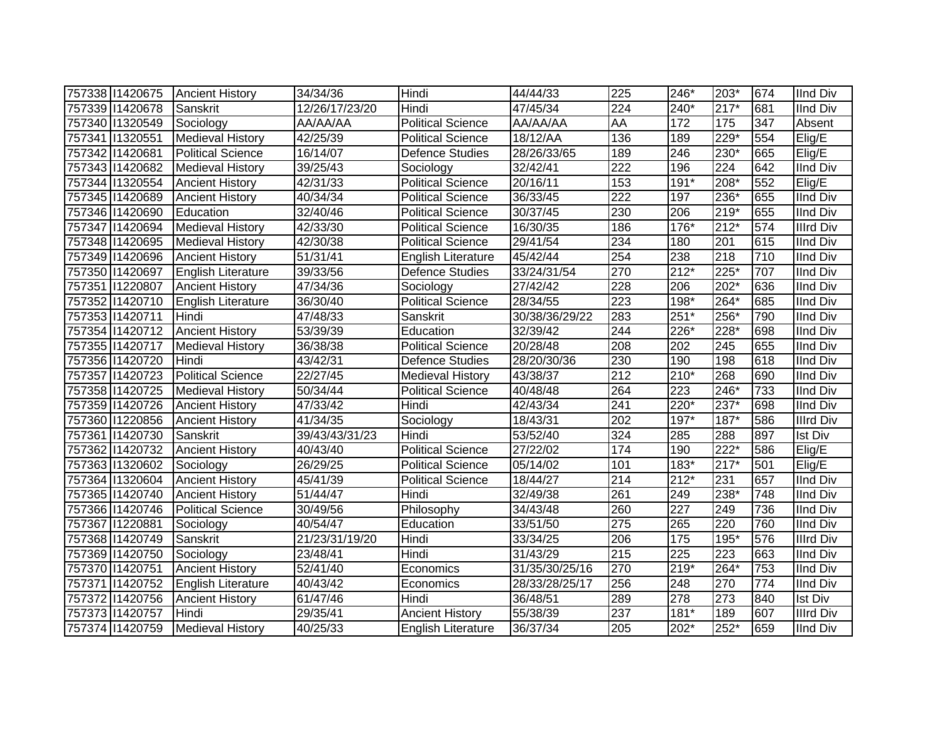| 757338 11420675 | <b>Ancient History</b>   | 34/34/36       | Hindi                     | 44/44/33       | 225              | 246*              | 203*   | 674 | <b>IInd Div</b>  |
|-----------------|--------------------------|----------------|---------------------------|----------------|------------------|-------------------|--------|-----|------------------|
| 757339 1420678  | Sanskrit                 | 12/26/17/23/20 | Hindi                     | 47/45/34       | 224              | 240*              | $217*$ | 681 | <b>IInd Div</b>  |
| 757340 11320549 | Sociology                | AA/AA/AA       | <b>Political Science</b>  | AA/AA/AA       | <b>AA</b>        | 172               | 175    | 347 | Absent           |
| 757341 1320551  | <b>Medieval History</b>  | 42/25/39       | <b>Political Science</b>  | 18/12/AA       | 136              | 189               | $229*$ | 554 | Elig/E           |
| 757342 11420681 | <b>Political Science</b> | 16/14/07       | Defence Studies           | 28/26/33/65    | 189              | 246               | $230*$ | 665 | Elig/E           |
| 757343 11420682 | <b>Medieval History</b>  | 39/25/43       | Sociology                 | 32/42/41       | 222              | 196               | 224    | 642 | <b>IInd Div</b>  |
| 757344 1320554  | <b>Ancient History</b>   | 42/31/33       | <b>Political Science</b>  | 20/16/11       | 153              | 191*              | 208*   | 552 | Elig/E           |
| 757345 11420689 | <b>Ancient History</b>   | 40/34/34       | <b>Political Science</b>  | 36/33/45       | $\overline{222}$ | 197               | 236*   | 655 | <b>IInd Div</b>  |
| 757346 11420690 | Education                | 32/40/46       | <b>Political Science</b>  | 30/37/45       | 230              | 206               | $219*$ | 655 | <b>IInd Div</b>  |
| 757347 11420694 | <b>Medieval History</b>  | 42/33/30       | <b>Political Science</b>  | 16/30/35       | 186              | 176*              | $212*$ | 574 | <b>Illrd Div</b> |
| 757348 11420695 | <b>Medieval History</b>  | 42/30/38       | <b>Political Science</b>  | 29/41/54       | 234              | 180               | 201    | 615 | <b>IInd Div</b>  |
| 757349 11420696 | <b>Ancient History</b>   | 51/31/41       | <b>English Literature</b> | 45/42/44       | 254              | 238               | 218    | 710 | <b>IInd Div</b>  |
| 757350 11420697 | English Literature       | 39/33/56       | Defence Studies           | 33/24/31/54    | 270              | $212*$            | $225*$ | 707 | <b>IInd Div</b>  |
| 757351 1220807  | <b>Ancient History</b>   | 47/34/36       | Sociology                 | 27/42/42       | 228              | 206               | $202*$ | 636 | <b>IInd Div</b>  |
| 757352 11420710 | English Literature       | 36/30/40       | <b>Political Science</b>  | 28/34/55       | 223              | 198*              | 264*   | 685 | <b>IInd Div</b>  |
| 757353 11420711 | Hindi                    | 47/48/33       | Sanskrit                  | 30/38/36/29/22 | 283              | $251*$            | 256*   | 790 | <b>IInd Div</b>  |
| 757354 1420712  | <b>Ancient History</b>   | 53/39/39       | Education                 | 32/39/42       | 244              | 226*              | 228*   | 698 | <b>IInd Div</b>  |
| 757355 11420717 | <b>Medieval History</b>  | 36/38/38       | <b>Political Science</b>  | 20/28/48       | 208              | 202               | 245    | 655 | <b>IInd Div</b>  |
| 757356 11420720 | Hindi                    | 43/42/31       | Defence Studies           | 28/20/30/36    | 230              | 190               | 198    | 618 | <b>IInd Div</b>  |
| 757357 1420723  | <b>Political Science</b> | 22/27/45       | <b>Medieval History</b>   | 43/38/37       | 212              | $210*$            | 268    | 690 | <b>IInd Div</b>  |
| 757358 11420725 | <b>Medieval History</b>  | 50/34/44       | <b>Political Science</b>  | 40/48/48       | 264              | 223               | $246*$ | 733 | <b>IInd Div</b>  |
| 757359 1420726  | <b>Ancient History</b>   | 47/33/42       | Hindi                     | 42/43/34       | $\overline{241}$ | $220*$            | $237*$ | 698 | <b>IInd Div</b>  |
| 757360 11220856 | <b>Ancient History</b>   | 41/34/35       | Sociology                 | 18/43/31       | 202              | 197*              | 187*   | 586 | <b>Illrd Div</b> |
| 757361 1420730  | Sanskrit                 | 39/43/43/31/23 | Hindi                     | 53/52/40       | 324              | 285               | 288    | 897 | <b>Ist Div</b>   |
| 757362 11420732 | <b>Ancient History</b>   | 40/43/40       | <b>Political Science</b>  | 27/22/02       | 174              | 190               | $222*$ | 586 | Elig/E           |
| 757363 11320602 | Sociology                | 26/29/25       | <b>Political Science</b>  | 05/14/02       | 101              | 183*              | $217*$ | 501 | Elig/E           |
| 757364 11320604 | <b>Ancient History</b>   | 45/41/39       | <b>Political Science</b>  | 18/44/27       | 214              | $212*$            | 231    | 657 | <b>IInd Div</b>  |
| 757365 11420740 | <b>Ancient History</b>   | 51/44/47       | Hindi                     | 32/49/38       | 261              | 249               | 238*   | 748 | <b>IInd Div</b>  |
| 757366 11420746 | Political Science        | 30/49/56       | Philosophy                | 34/43/48       | 260              | 227               | 249    | 736 | <b>IInd Div</b>  |
| 757367 11220881 | Sociology                | 40/54/47       | Education                 | 33/51/50       | $\overline{275}$ | 265               | 220    | 760 | <b>IInd Div</b>  |
| 757368 11420749 | Sanskrit                 | 21/23/31/19/20 | Hindi                     | 33/34/25       | 206              | $\frac{175}{175}$ | $195*$ | 576 | <b>Illrd Div</b> |
| 757369 11420750 | Sociology                | 23/48/41       | Hindi                     | 31/43/29       | 215              | 225               | 223    | 663 | <b>IInd Div</b>  |
| 757370 11420751 | <b>Ancient History</b>   | 52/41/40       | Economics                 | 31/35/30/25/16 | 270              | $219*$            | 264*   | 753 | <b>IInd Div</b>  |
| 757371 1420752  | English Literature       | 40/43/42       | Economics                 | 28/33/28/25/17 | 256              | 248               | 270    | 774 | <b>IInd Div</b>  |
| 757372 11420756 | <b>Ancient History</b>   | 61/47/46       | Hindi                     | 36/48/51       | 289              | 278               | 273    | 840 | <b>Ist Div</b>   |
| 757373 11420757 | Hindi                    | 29/35/41       | <b>Ancient History</b>    | 55/38/39       | 237              | $181*$            | 189    | 607 | <b>Illrd Div</b> |
| 757374 11420759 | <b>Medieval History</b>  | 40/25/33       | <b>English Literature</b> | 36/37/34       | 205              | 202*              | 252*   | 659 | <b>IInd Div</b>  |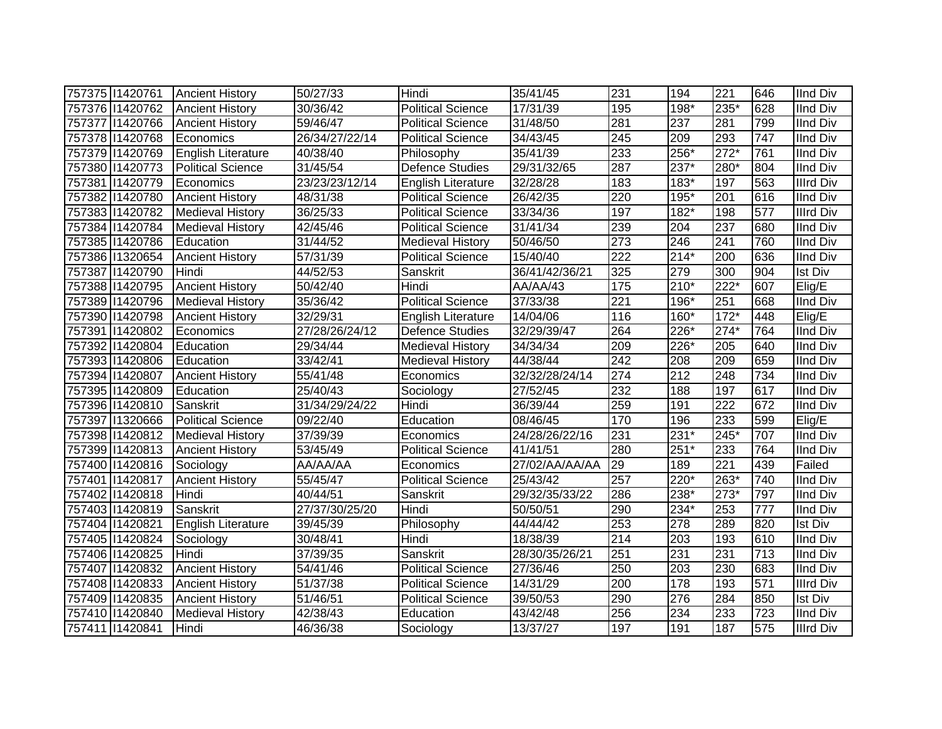| 757375 11420761 | <b>Ancient History</b>   | 50/27/33       | Hindi                    | 35/41/45       | 231              | 194    | 221              | 646 | <b>IInd Div</b>  |
|-----------------|--------------------------|----------------|--------------------------|----------------|------------------|--------|------------------|-----|------------------|
| 757376 11420762 | <b>Ancient History</b>   | 30/36/42       | <b>Political Science</b> | 17/31/39       | 195              | 198*   | 235*             | 628 | <b>IInd Div</b>  |
| 757377 1420766  | <b>Ancient History</b>   | 59/46/47       | <b>Political Science</b> | 31/48/50       | 281              | 237    | 281              | 799 | <b>IInd Div</b>  |
| 757378 11420768 | Economics                | 26/34/27/22/14 | <b>Political Science</b> | 34/43/45       | 245              | 209    | 293              | 747 | <b>IInd Div</b>  |
| 757379 1420769  | English Literature       | 40/38/40       | Philosophy               | 35/41/39       | 233              | $256*$ | $272*$           | 761 | <b>IInd Div</b>  |
| 757380 11420773 | <b>Political Science</b> | 31/45/54       | Defence Studies          | 29/31/32/65    | 287              | $237*$ | 280*             | 804 | <b>IInd Div</b>  |
| 757381 1420779  | Economics                | 23/23/23/12/14 | English Literature       | 32/28/28       | 183              | 183*   | 197              | 563 | <b>Illrd Div</b> |
| 757382 11420780 | <b>Ancient History</b>   | 48/31/38       | Political Science        | 26/42/35       | 220              | 195*   | $\overline{201}$ | 616 | <b>IInd Div</b>  |
| 757383 11420782 | <b>Medieval History</b>  | 36/25/33       | Political Science        | 33/34/36       | 197              | $182*$ | 198              | 577 | <b>Illrd Div</b> |
| 757384 11420784 | <b>Medieval History</b>  | 42/45/46       | <b>Political Science</b> | 31/41/34       | 239              | 204    | 237              | 680 | <b>IInd Div</b>  |
| 757385 11420786 | Education                | 31/44/52       | <b>Medieval History</b>  | 50/46/50       | 273              | 246    | 241              | 760 | <b>IInd Div</b>  |
| 757386 11320654 | <b>Ancient History</b>   | 57/31/39       | <b>Political Science</b> | 15/40/40       | 222              | $214*$ | 200              | 636 | <b>IInd Div</b>  |
| 757387 11420790 | Hindi                    | 44/52/53       | Sanskrit                 | 36/41/42/36/21 | 325              | 279    | 300              | 904 | Ist Div          |
| 757388 11420795 | <b>Ancient History</b>   | 50/42/40       | Hindi                    | AA/AA/43       | 175              | $210*$ | 222*             | 607 | Elig/E           |
| 757389 11420796 | <b>Medieval History</b>  | 35/36/42       | <b>Political Science</b> | 37/33/38       | $\overline{221}$ | 196*   | 251              | 668 | <b>IInd Div</b>  |
| 757390 11420798 | <b>Ancient History</b>   | 32/29/31       | English Literature       | 14/04/06       | 116              | 160*   | $172*$           | 448 | Elig/E           |
| 757391 1420802  | Economics                | 27/28/26/24/12 | <b>Defence Studies</b>   | 32/29/39/47    | 264              | 226*   | $274*$           | 764 | <b>IInd Div</b>  |
| 757392 11420804 | Education                | 29/34/44       | <b>Medieval History</b>  | 34/34/34       | 209              | 226*   | 205              | 640 | <b>IInd Div</b>  |
| 757393 11420806 | Education                | 33/42/41       | <b>Medieval History</b>  | 44/38/44       | 242              | 208    | 209              | 659 | <b>IInd Div</b>  |
| 757394 11420807 | <b>Ancient History</b>   | 55/41/48       | Economics                | 32/32/28/24/14 | 274              | 212    | 248              | 734 | <b>IInd Div</b>  |
| 757395 11420809 | Education                | 25/40/43       | Sociology                | 27/52/45       | 232              | 188    | 197              | 617 | <b>IInd Div</b>  |
| 757396 11420810 | Sanskrit                 | 31/34/29/24/22 | Hindi                    | 36/39/44       | 259              | 191    | 222              | 672 | <b>IInd Div</b>  |
| 757397 1320666  | <b>Political Science</b> | 09/22/40       | Education                | 08/46/45       | 170              | 196    | 233              | 599 | Elig/E           |
| 757398 11420812 | <b>Medieval History</b>  | 37/39/39       | Economics                | 24/28/26/22/16 | 231              | $231*$ | 245*             | 707 | <b>IInd Div</b>  |
| 757399 11420813 | <b>Ancient History</b>   | 53/45/49       | <b>Political Science</b> | 41/41/51       | 280              | $251*$ | 233              | 764 | <b>IInd Div</b>  |
| 757400 11420816 | Sociology                | AA/AA/AA       | Economics                | 27/02/AA/AA/AA | 29               | 189    | 221              | 439 | Failed           |
| 757401 1420817  | <b>Ancient History</b>   | 55/45/47       | <b>Political Science</b> | 25/43/42       | 257              | $220*$ | 263*             | 740 | <b>IInd Div</b>  |
| 757402 11420818 | Hindi                    | 40/44/51       | Sanskrit                 | 29/32/35/33/22 | 286              | 238*   | $273*$           | 797 | <b>IInd Div</b>  |
| 757403 11420819 | Sanskrit                 | 27/37/30/25/20 | Hindi                    | 50/50/51       | 290              | 234*   | 253              | 777 | <b>IInd Div</b>  |
| 757404 11420821 | English Literature       | 39/45/39       | Philosophy               | 44/44/42       | 253              | 278    | 289              | 820 | <b>Ist Div</b>   |
| 757405 11420824 | Sociology                | 30/48/41       | Hindi                    | 18/38/39       | $\overline{214}$ | 203    | 193              | 610 | <b>IInd Div</b>  |
| 757406 11420825 | Hindi                    | 37/39/35       | Sanskrit                 | 28/30/35/26/21 | 251              | 231    | 231              | 713 | <b>IInd Div</b>  |
| 757407 11420832 | <b>Ancient History</b>   | 54/41/46       | Political Science        | 27/36/46       | 250              | 203    | 230              | 683 | <b>IInd Div</b>  |
| 757408 11420833 | <b>Ancient History</b>   | 51/37/38       | Political Science        | 14/31/29       | 200              | 178    | 193              | 571 | <b>Illrd Div</b> |
| 757409 11420835 | <b>Ancient History</b>   | 51/46/51       | <b>Political Science</b> | 39/50/53       | 290              | 276    | 284              | 850 | <b>Ist Div</b>   |
| 757410 11420840 | <b>Medieval History</b>  | 42/38/43       | Education                | 43/42/48       | 256              | 234    | 233              | 723 | <b>IInd Div</b>  |
| 757411 1420841  | Hindi                    | 46/36/38       | Sociology                | 13/37/27       | 197              | 191    | 187              | 575 | <b>Illrd Div</b> |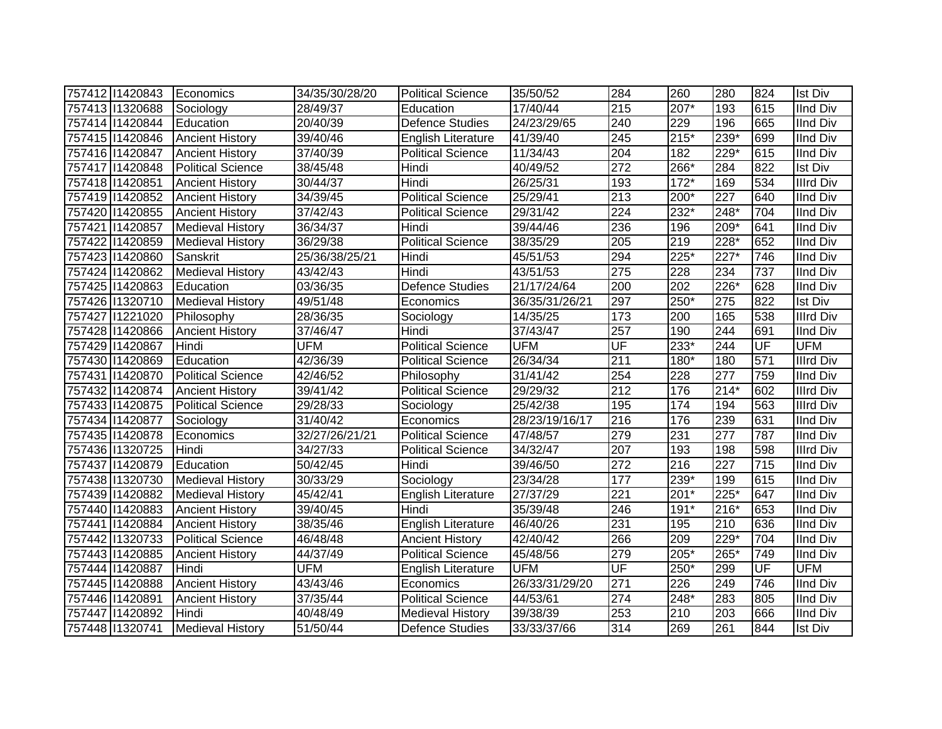| 757412 11420843 | Economics                | 34/35/30/28/20 | <b>Political Science</b>  | 35/50/52       | 284              | 260    | 280                | 824                      | <b>Ist Div</b>   |
|-----------------|--------------------------|----------------|---------------------------|----------------|------------------|--------|--------------------|--------------------------|------------------|
| 757413 1320688  | Sociology                | 28/49/37       | Education                 | 17/40/44       | 215              | 207*   | 193                | 615                      | <b>IInd Div</b>  |
| 757414 11420844 | Education                | 20/40/39       | Defence Studies           | 24/23/29/65    | 240              | 229    | 196                | 665                      | <b>IInd Div</b>  |
| 757415 11420846 | <b>Ancient History</b>   | 39/40/46       | <b>English Literature</b> | 41/39/40       | 245              | $215*$ | $239*$             | 699                      | <b>IInd Div</b>  |
| 757416 11420847 | <b>Ancient History</b>   | 37/40/39       | <b>Political Science</b>  | 11/34/43       | 204              | 182    | $229*$             | 615                      | <b>IInd Div</b>  |
| 757417 11420848 | <b>Political Science</b> | 38/45/48       | Hindi                     | 40/49/52       | 272              | 266*   | 284                | 822                      | <b>Ist Div</b>   |
| 757418 11420851 | <b>Ancient History</b>   | 30/44/37       | Hindi                     | 26/25/31       | 193              | $172*$ | 169                | 534                      | <b>Illrd Div</b> |
| 757419 11420852 | <b>Ancient History</b>   | 34/39/45       | <b>Political Science</b>  | 25/29/41       | 213              | $200*$ | 227                | 640                      | <b>IInd Div</b>  |
| 757420 11420855 | <b>Ancient History</b>   | 37/42/43       | <b>Political Science</b>  | 29/31/42       | 224              | 232*   | $248*$             | 704                      | <b>IInd Div</b>  |
| 757421 1420857  | <b>Medieval History</b>  | 36/34/37       | Hindi                     | 39/44/46       | 236              | 196    | 209*               | 641                      | <b>IInd Div</b>  |
| 757422 11420859 | <b>Medieval History</b>  | 36/29/38       | <b>Political Science</b>  | 38/35/29       | 205              | 219    | 228*               | 652                      | <b>IInd Div</b>  |
| 757423 11420860 | Sanskrit                 | 25/36/38/25/21 | Hindi                     | 45/51/53       | 294              | 225*   | $\overline{227^*}$ | 746                      | <b>IInd Div</b>  |
| 757424 11420862 | <b>Medieval History</b>  | 43/42/43       | Hindi                     | 43/51/53       | 275              | 228    | 234                | 737                      | <b>IInd Div</b>  |
| 757425 11420863 | Education                | 03/36/35       | Defence Studies           | 21/17/24/64    | 200              | 202    | 226*               | 628                      | <b>IInd Div</b>  |
| 757426 1320710  | <b>Medieval History</b>  | 49/51/48       | Economics                 | 36/35/31/26/21 | 297              | 250*   | 275                | 822                      | <b>Ist Div</b>   |
| 757427 1221020  | Philosophy               | 28/36/35       | Sociology                 | 14/35/25       | 173              | 200    | 165                | 538                      | <b>Illrd Div</b> |
| 757428 11420866 | <b>Ancient History</b>   | 37/46/47       | Hindi                     | 37/43/47       | 257              | 190    | 244                | 691                      | <b>IInd Div</b>  |
| 757429 11420867 | Hindi                    | <b>UFM</b>     | <b>Political Science</b>  | <b>UFM</b>     | UF               | 233*   | 244                | UF                       | <b>UFM</b>       |
| 757430 11420869 | Education                | 42/36/39       | <b>Political Science</b>  | 26/34/34       | 211              | 180*   | 180                | 571                      | <b>Illrd Div</b> |
| 757431 1420870  | <b>Political Science</b> | 42/46/52       | Philosophy                | 31/41/42       | 254              | 228    | 277                | 759                      | <b>IInd Div</b>  |
| 757432 11420874 | <b>Ancient History</b>   | 39/41/42       | <b>Political Science</b>  | 29/29/32       | $\overline{212}$ | 176    | $214*$             | 602                      | <b>Illrd Div</b> |
| 757433 11420875 | <b>Political Science</b> | 29/28/33       | Sociology                 | 25/42/38       | 195              | 174    | 194                | 563                      | <b>Illrd Div</b> |
| 757434 11420877 | Sociology                | 31/40/42       | Economics                 | 28/23/19/16/17 | 216              | 176    | 239                | 631                      | <b>IInd Div</b>  |
| 757435 11420878 | Economics                | 32/27/26/21/21 | Political Science         | 47/48/57       | 279              | 231    | 277                | 787                      | <b>IInd Div</b>  |
| 757436 11320725 | Hindi                    | 34/27/33       | <b>Political Science</b>  | 34/32/47       | 207              | 193    | 198                | 598                      | <b>Illrd Div</b> |
| 757437 1420879  | Education                | 50/42/45       | Hindi                     | 39/46/50       | 272              | 216    | 227                | 715                      | <b>IInd Div</b>  |
| 757438 11320730 | <b>Medieval History</b>  | 30/33/29       | Sociology                 | 23/34/28       | 177              | 239*   | 199                | 615                      | <b>IInd Div</b>  |
| 757439 11420882 | <b>Medieval History</b>  | 45/42/41       | <b>English Literature</b> | 27/37/29       | 221              | $201*$ | 225*               | 647                      | <b>IInd Div</b>  |
| 757440 11420883 | <b>Ancient History</b>   | 39/40/45       | Hindi                     | 35/39/48       | 246              | $191*$ | 216*               | 653                      | <b>IInd Div</b>  |
| 757441 1420884  | <b>Ancient History</b>   | 38/35/46       | <b>English Literature</b> | 46/40/26       | 231              | 195    | 210                | 636                      | <b>IInd Div</b>  |
| 757442 11320733 | <b>Political Science</b> | 46/48/48       | <b>Ancient History</b>    | 42/40/42       | 266              | 209    | 229*               | 704                      | <b>IInd Div</b>  |
| 757443 11420885 | <b>Ancient History</b>   | 44/37/49       | Political Science         | 45/48/56       | 279              | 205*   | 265*               | 749                      | <b>IInd Div</b>  |
| 757444 11420887 | Hindi                    | <b>UFM</b>     | <b>English Literature</b> | <b>UFM</b>     | UF               | $250*$ | 299                | $\overline{\mathsf{UF}}$ | <b>UFM</b>       |
| 757445 11420888 | <b>Ancient History</b>   | 43/43/46       | Economics                 | 26/33/31/29/20 | 271              | 226    | 249                | 746                      | <b>IInd Div</b>  |
| 757446 11420891 | <b>Ancient History</b>   | 37/35/44       | <b>Political Science</b>  | 44/53/61       | 274              | 248*   | 283                | 805                      | <b>IInd Div</b>  |
| 757447 11420892 | Hindi                    | 40/48/49       | <b>Medieval History</b>   | 39/38/39       | 253              | 210    | 203                | 666                      | <b>IInd Div</b>  |
| 757448 11320741 | <b>Medieval History</b>  | 51/50/44       | Defence Studies           | 33/33/37/66    | 314              | 269    | 261                | 844                      | <b>Ist Div</b>   |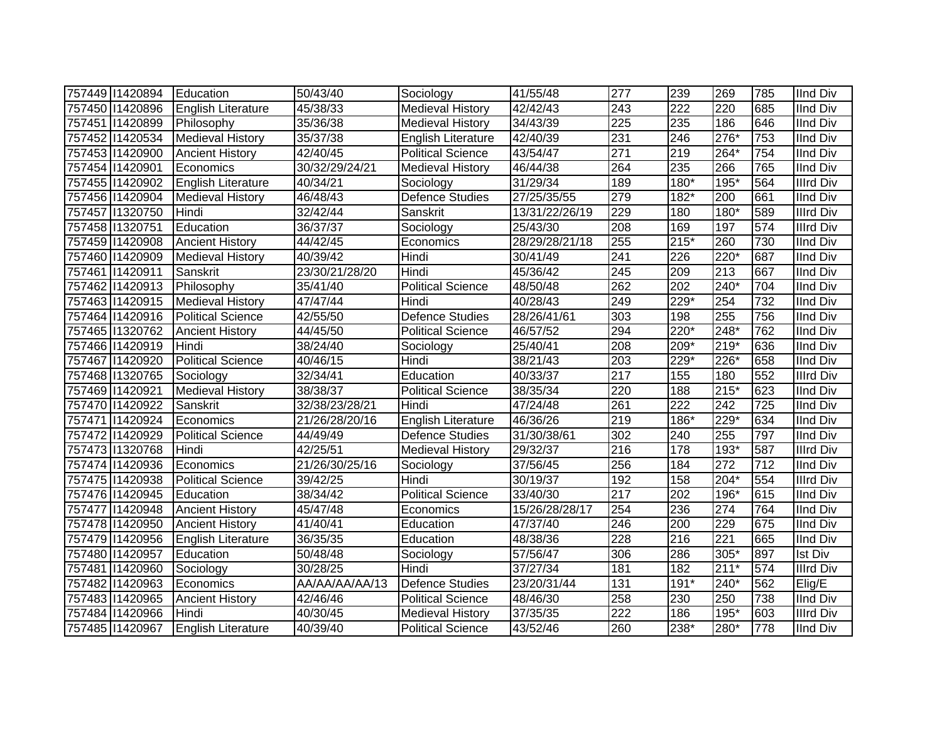| 757449 11420894 | Education                 | 50/43/40       | Sociology                 | 41/55/48       | 277              | 239    | 269              | 785 | <b>IInd Div</b>  |
|-----------------|---------------------------|----------------|---------------------------|----------------|------------------|--------|------------------|-----|------------------|
| 757450 11420896 | <b>English Literature</b> | 45/38/33       | <b>Medieval History</b>   | 42/42/43       | 243              | 222    | 220              | 685 | <b>IInd Div</b>  |
| 757451 1420899  | Philosophy                | 35/36/38       | <b>Medieval History</b>   | 34/43/39       | 225              | 235    | 186              | 646 | <b>IInd Div</b>  |
| 757452 11420534 | <b>Medieval History</b>   | 35/37/38       | English Literature        | 42/40/39       | 231              | 246    | $276*$           | 753 | <b>IInd Div</b>  |
| 757453 11420900 | <b>Ancient History</b>    | 42/40/45       | Political Science         | 43/54/47       | $\overline{271}$ | 219    | $264*$           | 754 | <b>IInd Div</b>  |
| 757454 11420901 | Economics                 | 30/32/29/24/21 | <b>Medieval History</b>   | 46/44/38       | 264              | 235    | 266              | 765 | <b>IInd Div</b>  |
| 757455 11420902 | English Literature        | 40/34/21       | Sociology                 | 31/29/34       | 189              | 180*   | 195*             | 564 | <b>Illrd Div</b> |
| 757456 11420904 | <b>Medieval History</b>   | 46/48/43       | Defence Studies           | 27/25/35/55    | 279              | 182*   | 200              | 661 | <b>IInd Div</b>  |
| 757457 1320750  | Hindi                     | 32/42/44       | Sanskrit                  | 13/31/22/26/19 | 229              | 180    | 180*             | 589 | <b>Illrd Div</b> |
| 757458 11320751 | Education                 | 36/37/37       | Sociology                 | 25/43/30       | 208              | 169    | 197              | 574 | <b>Illrd Div</b> |
| 757459 11420908 | <b>Ancient History</b>    | 44/42/45       | Economics                 | 28/29/28/21/18 | 255              | $215*$ | 260              | 730 | <b>IInd Div</b>  |
| 757460 11420909 | <b>Medieval History</b>   | 40/39/42       | Hindi                     | 30/41/49       | 241              | 226    | 220*             | 687 | <b>IInd Div</b>  |
| 757461 1420911  | Sanskrit                  | 23/30/21/28/20 | Hindi                     | 45/36/42       | 245              | 209    | 213              | 667 | <b>IInd Div</b>  |
| 757462 11420913 | Philosophy                | 35/41/40       | <b>Political Science</b>  | 48/50/48       | 262              | 202    | 240*             | 704 | <b>IInd Div</b>  |
| 757463 11420915 | <b>Medieval History</b>   | 47/47/44       | Hindi                     | 40/28/43       | 249              | 229*   | 254              | 732 | <b>IInd Div</b>  |
| 757464 11420916 | <b>Political Science</b>  | 42/55/50       | Defence Studies           | 28/26/41/61    | 303              | 198    | 255              | 756 | <b>IInd Div</b>  |
| 757465 11320762 | <b>Ancient History</b>    | 44/45/50       | <b>Political Science</b>  | 46/57/52       | 294              | 220*   | 248*             | 762 | <b>IInd Div</b>  |
| 757466 11420919 | Hindi                     | 38/24/40       | Sociology                 | 25/40/41       | 208              | 209*   | $219*$           | 636 | <b>IInd Div</b>  |
| 757467 11420920 | <b>Political Science</b>  | 40/46/15       | Hindi                     | 38/21/43       | 203              | 229*   | 226*             | 658 | <b>IInd Div</b>  |
| 757468 11320765 | Sociology                 | 32/34/41       | Education                 | 40/33/37       | 217              | 155    | 180              | 552 | <b>Illrd Div</b> |
| 757469 11420921 | <b>Medieval History</b>   | 38/38/37       | <b>Political Science</b>  | 38/35/34       | 220              | 188    | $215*$           | 623 | <b>IInd Div</b>  |
| 757470 11420922 | Sanskrit                  | 32/38/23/28/21 | Hindi                     | 47/24/48       | 261              | 222    | 242              | 725 | <b>IInd Div</b>  |
| 757471 11420924 | Economics                 | 21/26/28/20/16 | <b>English Literature</b> | 46/36/26       | 219              | 186*   | 229*             | 634 | <b>IInd Div</b>  |
| 757472 11420929 | <b>Political Science</b>  | 44/49/49       | <b>Defence Studies</b>    | 31/30/38/61    | 302              | 240    | 255              | 797 | <b>IInd Div</b>  |
| 757473 1320768  | Hindi                     | 42/25/51       | <b>Medieval History</b>   | 29/32/37       | 216              | 178    | $193*$           | 587 | <b>Illrd Div</b> |
| 757474 11420936 | Economics                 | 21/26/30/25/16 | Sociology                 | 37/56/45       | 256              | 184    | 272              | 712 | <b>IInd Div</b>  |
| 757475 11420938 | <b>Political Science</b>  | 39/42/25       | Hindi                     | 30/19/37       | 192              | 158    | $204*$           | 554 | <b>Illrd Div</b> |
| 757476 11420945 | Education                 | 38/34/42       | <b>Political Science</b>  | 33/40/30       | $\overline{217}$ | 202    | 196*             | 615 | <b>IInd Div</b>  |
| 757477 11420948 | <b>Ancient History</b>    | 45/47/48       | Economics                 | 15/26/28/28/17 | 254              | 236    | 274              | 764 | <b>IInd Div</b>  |
| 757478 11420950 | <b>Ancient History</b>    | 41/40/41       | Education                 | 47/37/40       | 246              | 200    | 229              | 675 | <b>IInd Div</b>  |
| 757479 11420956 | English Literature        | 36/35/35       | Education                 | 48/38/36       | 228              | 216    | $\overline{221}$ | 665 | <b>IInd Div</b>  |
| 757480 11420957 | Education                 | 50/48/48       | Sociology                 | 57/56/47       | 306              | 286    | $305*$           | 897 | <b>Ist Div</b>   |
| 757481 1420960  | Sociology                 | 30/28/25       | Hindi                     | 37/27/34       | 181              | 182    | $211*$           | 574 | <b>Illrd Div</b> |
| 757482 11420963 | Economics                 | AA/AA/AA/AA/13 | <b>Defence Studies</b>    | 23/20/31/44    | 131              | $191*$ | 240*             | 562 | Elig/E           |
| 757483 11420965 | <b>Ancient History</b>    | 42/46/46       | <b>Political Science</b>  | 48/46/30       | 258              | 230    | 250              | 738 | <b>IInd Div</b>  |
| 757484 11420966 | Hindi                     | 40/30/45       | <b>Medieval History</b>   | 37/35/35       | 222              | 186    | 195*             | 603 | <b>Illrd Div</b> |
| 757485 11420967 | English Literature        | 40/39/40       | <b>Political Science</b>  | 43/52/46       | 260              | 238*   | 280*             | 778 | <b>IInd Div</b>  |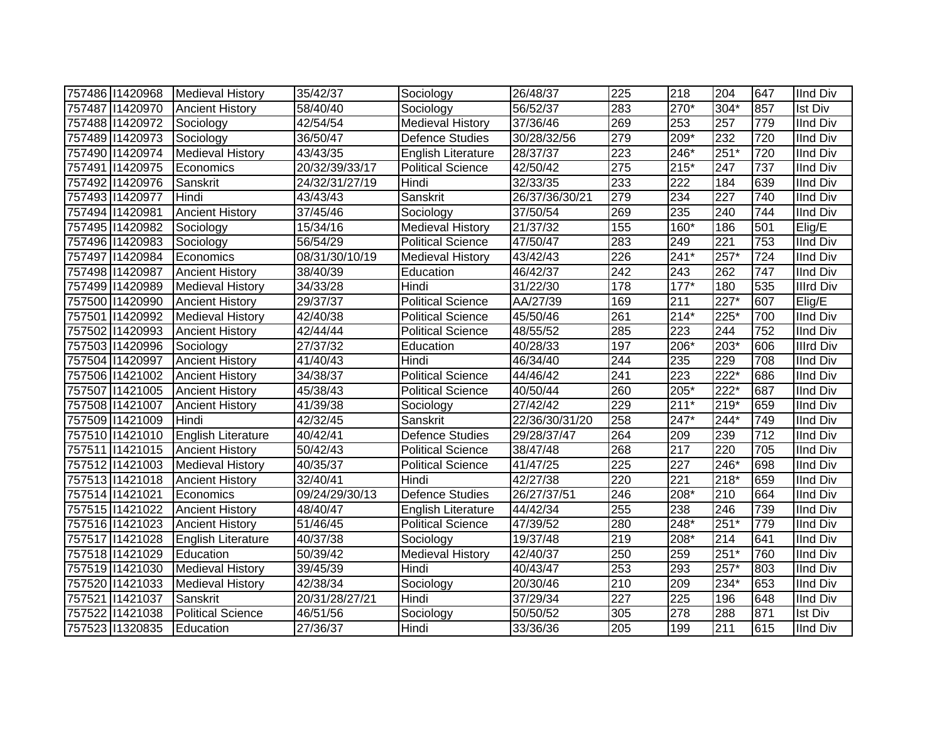| 757486 11420968 | Medieval History         | 35/42/37       | Sociology                 | 26/48/37       | 225 | 218              | 204                | 647 | <b>IInd Div</b>  |
|-----------------|--------------------------|----------------|---------------------------|----------------|-----|------------------|--------------------|-----|------------------|
| 757487 11420970 | <b>Ancient History</b>   | 58/40/40       | Sociology                 | 56/52/37       | 283 | $270*$           | $304*$             | 857 | <b>Ist Div</b>   |
| 757488 11420972 | Sociology                | 42/54/54       | <b>Medieval History</b>   | 37/36/46       | 269 | 253              | 257                | 779 | <b>IInd Div</b>  |
| 757489 11420973 | Sociology                | 36/50/47       | Defence Studies           | 30/28/32/56    | 279 | $209*$           | 232                | 720 | <b>IInd Div</b>  |
| 757490 11420974 | <b>Medieval History</b>  | 43/43/35       | English Literature        | 28/37/37       | 223 | $246*$           | $251*$             | 720 | <b>IInd Div</b>  |
| 757491 1420975  | Economics                | 20/32/39/33/17 | <b>Political Science</b>  | 42/50/42       | 275 | $215*$           | 247                | 737 | <b>IInd Div</b>  |
| 757492 11420976 | Sanskrit                 | 24/32/31/27/19 | Hindi                     | 32/33/35       | 233 | 222              | 184                | 639 | <b>IInd Div</b>  |
| 757493 11420977 | Hindi                    | 43/43/43       | Sanskrit                  | 26/37/36/30/21 | 279 | 234              | 227                | 740 | <b>IInd Div</b>  |
| 757494 11420981 | <b>Ancient History</b>   | 37/45/46       | Sociology                 | 37/50/54       | 269 | 235              | 240                | 744 | <b>IInd Div</b>  |
| 757495 11420982 | Sociology                | 15/34/16       | <b>Medieval History</b>   | 21/37/32       | 155 | 160*             | 186                | 501 | Elig/E           |
| 757496 11420983 | Sociology                | 56/54/29       | <b>Political Science</b>  | 47/50/47       | 283 | 249              | 221                | 753 | <b>IInd Div</b>  |
| 757497 11420984 | Economics                | 08/31/30/10/19 | <b>Medieval History</b>   | 43/42/43       | 226 | $241*$           | $257*$             | 724 | <b>IInd Div</b>  |
| 757498 11420987 | <b>Ancient History</b>   | 38/40/39       | Education                 | 46/42/37       | 242 | 243              | 262                | 747 | <b>IInd Div</b>  |
| 757499 11420989 | <b>Medieval History</b>  | 34/33/28       | Hindi                     | 31/22/30       | 178 | $177*$           | 180                | 535 | <b>Illrd Div</b> |
| 757500 11420990 | <b>Ancient History</b>   | 29/37/37       | <b>Political Science</b>  | AA/27/39       | 169 | $\overline{211}$ | $\overline{227^*}$ | 607 | Elig/E           |
| 757501 1420992  | <b>Medieval History</b>  | 42/40/38       | Political Science         | 45/50/46       | 261 | $214*$           | $225*$             | 700 | <b>IInd Div</b>  |
| 757502 11420993 | <b>Ancient History</b>   | 42/44/44       | <b>Political Science</b>  | 48/55/52       | 285 | 223              | 244                | 752 | <b>IInd Div</b>  |
| 757503 11420996 | Sociology                | 27/37/32       | Education                 | 40/28/33       | 197 | 206*             | 203*               | 606 | <b>Illrd Div</b> |
| 757504 11420997 | <b>Ancient History</b>   | 41/40/43       | Hindi                     | 46/34/40       | 244 | 235              | 229                | 708 | <b>IInd Div</b>  |
| 757506 11421002 | <b>Ancient History</b>   | 34/38/37       | <b>Political Science</b>  | 44/46/42       | 241 | $\overline{223}$ | 222*               | 686 | <b>IInd Div</b>  |
| 757507 1421005  | <b>Ancient History</b>   | 45/38/43       | <b>Political Science</b>  | 40/50/44       | 260 | $205*$           | $222*$             | 687 | <b>IInd Div</b>  |
| 757508 11421007 | <b>Ancient History</b>   | 41/39/38       | Sociology                 | 27/42/42       | 229 | $211*$           | 219*               | 659 | <b>IInd Div</b>  |
| 757509 11421009 | Hindi                    | 42/32/45       | Sanskrit                  | 22/36/30/31/20 | 258 | $247*$           | 244*               | 749 | <b>IInd Div</b>  |
| 757510 11421010 | English Literature       | 40/42/41       | <b>Defence Studies</b>    | 29/28/37/47    | 264 | 209              | 239                | 712 | <b>IInd Div</b>  |
| 757511 1421015  | <b>Ancient History</b>   | 50/42/43       | <b>Political Science</b>  | 38/47/48       | 268 | 217              | 220                | 705 | <b>IInd Div</b>  |
| 757512 11421003 | <b>Medieval History</b>  | 40/35/37       | <b>Political Science</b>  | 41/47/25       | 225 | 227              | 246*               | 698 | <b>IInd Div</b>  |
| 757513 1421018  | <b>Ancient History</b>   | 32/40/41       | Hindi                     | 42/27/38       | 220 | $\overline{221}$ | $218*$             | 659 | <b>IInd Div</b>  |
| 757514 1421021  | Economics                | 09/24/29/30/13 | Defence Studies           | 26/27/37/51    | 246 | $208*$           | 210                | 664 | <b>IInd Div</b>  |
| 757515 11421022 | <b>Ancient History</b>   | 48/40/47       | <b>English Literature</b> | 44/42/34       | 255 | 238              | 246                | 739 | <b>IInd Div</b>  |
| 757516 11421023 | <b>Ancient History</b>   | 51/46/45       | Political Science         | 47/39/52       | 280 | $248*$           | $251*$             | 779 | <b>IInd Div</b>  |
| 757517 11421028 | English Literature       | 40/37/38       | Sociology                 | 19/37/48       | 219 | 208*             | 214                | 641 | <b>IInd Div</b>  |
| 757518 11421029 | Education                | 50/39/42       | <b>Medieval History</b>   | 42/40/37       | 250 | 259              | $251*$             | 760 | <b>IInd Div</b>  |
| 757519 1421030  | <b>Medieval History</b>  | 39/45/39       | Hindi                     | 40/43/47       | 253 | 293              | $257*$             | 803 | <b>IInd Div</b>  |
| 757520 1421033  | <b>Medieval History</b>  | 42/38/34       | Sociology                 | 20/30/46       | 210 | 209              | 234*               | 653 | <b>IInd Div</b>  |
| 757521 1421037  | Sanskrit                 | 20/31/28/27/21 | Hindi                     | 37/29/34       | 227 | $\overline{225}$ | 196                | 648 | <b>IInd Div</b>  |
| 757522 11421038 | <b>Political Science</b> | 46/51/56       | Sociology                 | 50/50/52       | 305 | $\overline{278}$ | 288                | 871 | <b>Ist Div</b>   |
| 757523 11320835 | Education                | 27/36/37       | Hindi                     | 33/36/36       | 205 | 199              | 211                | 615 | <b>IInd Div</b>  |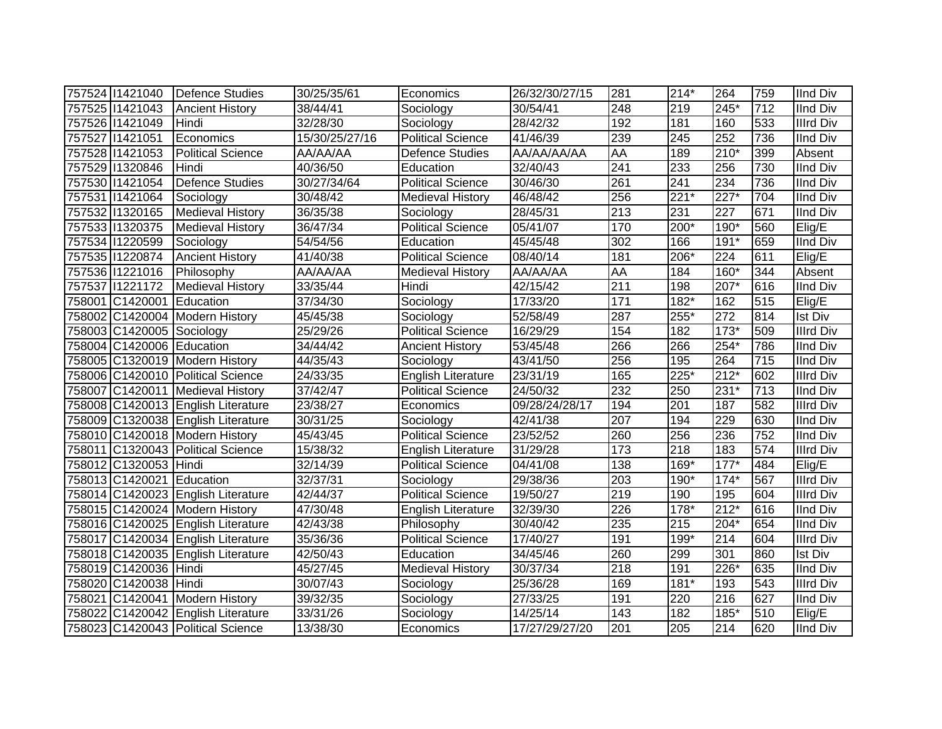| 757524 11421040           | Defence Studies                    | 30/25/35/61    | Economics                 | 26/32/30/27/15 | 281              | $214*$ | 264    | 759 | <b>IInd Div</b>  |
|---------------------------|------------------------------------|----------------|---------------------------|----------------|------------------|--------|--------|-----|------------------|
| 757525 11421043           | <b>Ancient History</b>             | 38/44/41       | Sociology                 | 30/54/41       | 248              | 219    | 245*   | 712 | <b>IInd Div</b>  |
| 757526 11421049           | Hindi                              | 32/28/30       | Sociology                 | 28/42/32       | 192              | 181    | 160    | 533 | <b>Illrd Div</b> |
| 757527 1421051            | Economics                          | 15/30/25/27/16 | <b>Political Science</b>  | 41/46/39       | 239              | 245    | 252    | 736 | <b>IInd Div</b>  |
| 757528 11421053           | <b>Political Science</b>           | AA/AA/AA       | <b>Defence Studies</b>    | AA/AA/AA/AA    | <b>AA</b>        | 189    | $210*$ | 399 | Absent           |
| 757529 1320846            | Hindi                              | 40/36/50       | Education                 | 32/40/43       | 241              | 233    | 256    | 730 | <b>IInd Div</b>  |
| 757530 11421054           | <b>Defence Studies</b>             | 30/27/34/64    | <b>Political Science</b>  | 30/46/30       | 261              | 241    | 234    | 736 | <b>IInd Div</b>  |
| 757531 1421064            | Sociology                          | 30/48/42       | <b>Medieval History</b>   | 46/48/42       | 256              | $221*$ | $227*$ | 704 | <b>IInd Div</b>  |
| 757532 1320165            | <b>Medieval History</b>            | 36/35/38       | Sociology                 | 28/45/31       | $\overline{213}$ | 231    | 227    | 671 | <b>IInd Div</b>  |
| 757533 1320375            | <b>Medieval History</b>            | 36/47/34       | Political Science         | 05/41/07       | 170              | 200*   | 190*   | 560 | Elig/E           |
| 757534 11220599           | Sociology                          | 54/54/56       | Education                 | 45/45/48       | 302              | 166    | $191*$ | 659 | <b>IInd Div</b>  |
| 757535 11220874           | <b>Ancient History</b>             | 41/40/38       | <b>Political Science</b>  | 08/40/14       | 181              | 206*   | 224    | 611 | Elig/E           |
| 757536 11221016           | Philosophy                         | AA/AA/AA       | <b>Medieval History</b>   | AA/AA/AA       | AA               | 184    | $160*$ | 344 | Absent           |
| 757537 1221172            | <b>Medieval History</b>            | 33/35/44       | Hindi                     | 42/15/42       | 211              | 198    | 207*   | 616 | <b>IInd Div</b>  |
| 758001 C1420001           | Education                          | 37/34/30       | Sociology                 | 17/33/20       | 171              | $182*$ | 162    | 515 | Elig/E           |
|                           | 758002 C1420004 Modern History     | 45/45/38       | Sociology                 | 52/58/49       | 287              | 255*   | 272    | 814 | <b>Ist Div</b>   |
| 758003 C1420005 Sociology |                                    | 25/29/26       | <b>Political Science</b>  | 16/29/29       | 154              | 182    | $173*$ | 509 | <b>Illrd Div</b> |
| 758004 C1420006 Education |                                    | 34/44/42       | <b>Ancient History</b>    | 53/45/48       | 266              | 266    | 254*   | 786 | <b>IInd Div</b>  |
|                           | 758005 C1320019 Modern History     | 44/35/43       | Sociology                 | 43/41/50       | 256              | 195    | 264    | 715 | <b>IInd Div</b>  |
|                           | 758006 C1420010 Political Science  | 24/33/35       | English Literature        | 23/31/19       | 165              | 225*   | $212*$ | 602 | <b>Illrd Div</b> |
|                           | 758007 C1420011 Medieval History   | 37/42/47       | <b>Political Science</b>  | 24/50/32       | 232              | 250    | $231*$ | 713 | <b>IInd Div</b>  |
|                           | 758008 C1420013 English Literature | 23/38/27       | Economics                 | 09/28/24/28/17 | 194              | 201    | 187    | 582 | <b>Illrd Div</b> |
|                           | 758009 C1320038 English Literature | 30/31/25       | Sociology                 | 42/41/38       | 207              | 194    | 229    | 630 | <b>IInd Div</b>  |
|                           | 758010 C1420018 Modern History     | 45/43/45       | <b>Political Science</b>  | 23/52/52       | 260              | 256    | 236    | 752 | <b>IInd Div</b>  |
|                           | 758011 C1320043 Political Science  | 15/38/32       | <b>English Literature</b> | 31/29/28       | 173              | 218    | 183    | 574 | <b>Illrd Div</b> |
| 758012 C1320053 Hindi     |                                    | 32/14/39       | <b>Political Science</b>  | 04/41/08       | 138              | 169*   | $177*$ | 484 | Elig/E           |
| 758013 C1420021 Education |                                    | 32/37/31       | Sociology                 | 29/38/36       | 203              | 190*   | $174*$ | 567 | <b>Illrd Div</b> |
|                           | 758014 C1420023 English Literature | 42/44/37       | <b>Political Science</b>  | 19/50/27       | 219              | 190    | 195    | 604 | <b>Illrd Div</b> |
|                           | 758015 C1420024 Modern History     | 47/30/48       | English Literature        | 32/39/30       | 226              | 178*   | $212*$ | 616 | <b>IInd Div</b>  |
|                           | 758016 C1420025 English Literature | 42/43/38       | Philosophy                | 30/40/42       | 235              | 215    | 204*   | 654 | <b>IInd Div</b>  |
|                           | 758017 C1420034 English Literature | 35/36/36       | <b>Political Science</b>  | 17/40/27       | 191              | 199*   | 214    | 604 | <b>Illrd Div</b> |
|                           | 758018 C1420035 English Literature | 42/50/43       | Education                 | 34/45/46       | 260              | 299    | 301    | 860 | <b>Ist Div</b>   |
| 758019 C1420036 Hindi     |                                    | 45/27/45       | <b>Medieval History</b>   | 30/37/34       | 218              | 191    | 226*   | 635 | <b>IInd Div</b>  |
| 758020 C1420038 Hindi     |                                    | 30/07/43       | Sociology                 | 25/36/28       | 169              | 181*   | 193    | 543 | <b>Illrd Div</b> |
|                           | 758021 C1420041 Modern History     | 39/32/35       | Sociology                 | 27/33/25       | 191              | 220    | 216    | 627 | <b>IInd Div</b>  |
|                           | 758022 C1420042 English Literature | 33/31/26       | Sociology                 | 14/25/14       | 143              | 182    | 185*   | 510 | Elig/E           |
|                           | 758023 C1420043 Political Science  | 13/38/30       | Economics                 | 17/27/29/27/20 | 201              | 205    | 214    | 620 | <b>IInd Div</b>  |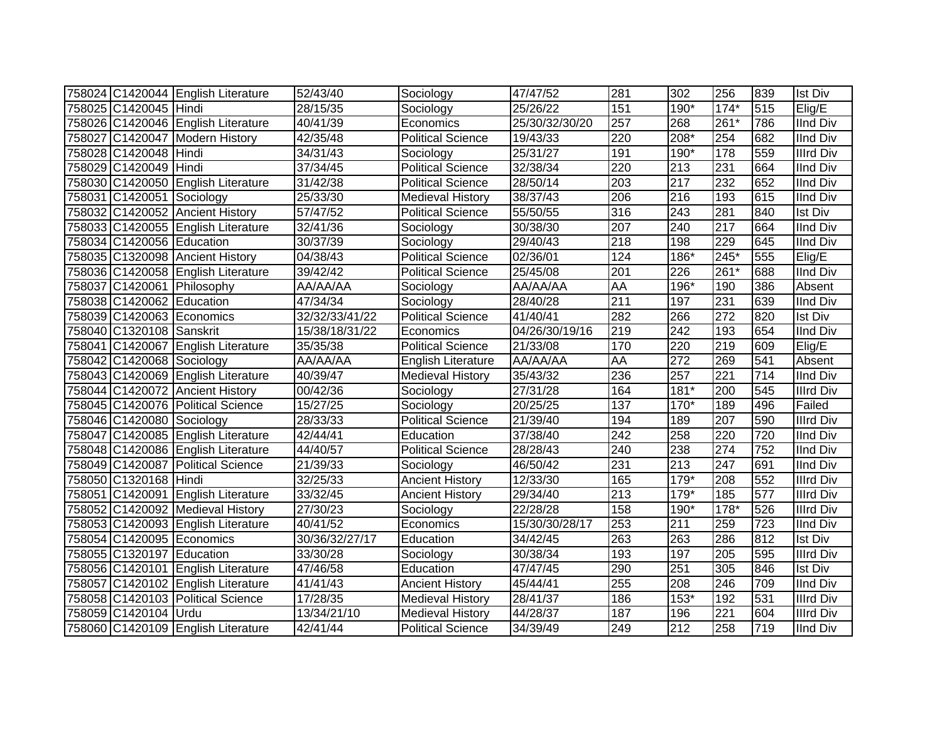|                           | 758024 C1420044 English Literature | 52/43/40              | Sociology                | 47/47/52       | 281              | 302    | 256    | 839              | <b>Ist Div</b>   |
|---------------------------|------------------------------------|-----------------------|--------------------------|----------------|------------------|--------|--------|------------------|------------------|
| 758025 C1420045 Hindi     |                                    | 28/15/35              | Sociology                | 25/26/22       | 151              | 190*   | $174*$ | 515              | Elig/E           |
|                           | 758026 C1420046 English Literature | 40/41/39              | Economics                | 25/30/32/30/20 | $\overline{257}$ | 268    | $261*$ | 786              | <b>IInd Div</b>  |
|                           | 758027 C1420047 Modern History     | 42/35/48              | <b>Political Science</b> | 19/43/33       | 220              | 208*   | 254    | 682              | <b>IInd Div</b>  |
| 758028 C1420048 Hindi     |                                    | 34/31/43              | Sociology                | 25/31/27       | 191              | 190*   | 178    | 559              | <b>Illrd Div</b> |
| 758029 C1420049 Hindi     |                                    | 37/34/45              | <b>Political Science</b> | 32/38/34       | 220              | 213    | 231    | 664              | <b>IInd Div</b>  |
|                           | 758030 C1420050 English Literature | 31/42/38              | <b>Political Science</b> | 28/50/14       | 203              | 217    | 232    | 652              | <b>IInd Div</b>  |
| 758031 C1420051           | Sociology                          | 25/33/30              | <b>Medieval History</b>  | 38/37/43       | 206              | 216    | 193    | 615              | <b>IInd Div</b>  |
|                           | 758032 C1420052 Ancient History    | 57/47/52              | <b>Political Science</b> | 55/50/55       | 316              | 243    | 281    | 840              | Ist Div          |
|                           | 758033 C1420055 English Literature | 32/41/36              | Sociology                | 30/38/30       | 207              | 240    | 217    | 664              | IInd Div         |
| 758034 C1420056 Education |                                    | 30/37/39              | Sociology                | 29/40/43       | 218              | 198    | 229    | 645              | <b>IInd Div</b>  |
|                           | 758035 C1320098 Ancient History    | 04/38/43              | <b>Political Science</b> | 02/36/01       | 124              | $186*$ | 245*   | 555              | Elig/E           |
|                           | 758036 C1420058 English Literature | 39/42/42              | <b>Political Science</b> | 25/45/08       | 201              | 226    | 261*   | 688              | <b>IInd Div</b>  |
|                           | 758037 C1420061 Philosophy         | AA/AA/AA              | Sociology                | AA/AA/AA       | AA               | 196*   | 190    | 386              | Absent           |
| 758038 C1420062 Education |                                    | 47/34/34              | Sociology                | 28/40/28       | $\overline{211}$ | 197    | 231    | 639              | <b>IInd Div</b>  |
|                           | 758039 C1420063 Economics          | 32/32/33/41/22        | <b>Political Science</b> | 41/40/41       | 282              | 266    | 272    | 820              | <b>Ist Div</b>   |
| 758040 C1320108 Sanskrit  |                                    | 15/38/18/31/22        | Economics                | 04/26/30/19/16 | 219              | 242    | 193    | 654              | <b>IInd Div</b>  |
|                           | 758041 C1420067 English Literature | 35/35/38              | Political Science        | 21/33/08       | 170              | 220    | 219    | 609              | Elig/E           |
| 758042 C1420068 Sociology |                                    | AA/AA/AA              | English Literature       | AA/AA/AA       | AA               | 272    | 269    | 541              | Absent           |
|                           | 758043 C1420069 English Literature | 40/39/47              | <b>Medieval History</b>  | 35/43/32       | 236              | 257    | 221    | 714              | <b>IInd Div</b>  |
|                           | 758044 C1420072 Ancient History    | 00/42/36              | Sociology                | 27/31/28       | 164              | $181*$ | 200    | 545              | <b>Illrd Div</b> |
|                           | 758045 C1420076 Political Science  | 15/27/25              | Sociology                | 20/25/25       | 137              | 170*   | 189    | 496              | Failed           |
| 758046 C1420080 Sociology |                                    | 28/33/33              | <b>Political Science</b> | 21/39/40       | 194              | 189    | 207    | 590              | <b>Illrd Div</b> |
|                           | 758047 C1420085 English Literature | 42/44/41              | Education                | 37/38/40       | 242              | 258    | 220    | 720              | <b>IInd Div</b>  |
|                           | 758048 C1420086 English Literature | 44/40/57              | <b>Political Science</b> | 28/28/43       | 240              | 238    | 274    | 752              | <b>IInd Div</b>  |
|                           | 758049 C1420087 Political Science  | 21/39/33              | Sociology                | 46/50/42       | 231              | 213    | 247    | 691              | <b>IInd Div</b>  |
| 758050 C1320168 Hindi     |                                    | 32/25/33              | <b>Ancient History</b>   | 12/33/30       | 165              | 179*   | 208    | 552              | <b>Illrd Div</b> |
|                           | 758051 C1420091 English Literature | 33/32/45              | <b>Ancient History</b>   | 29/34/40       | 213              | 179*   | 185    | 577              | <b>Illrd Div</b> |
|                           | 758052 C1420092 Medieval History   | 27/30/23              | Sociology                | 22/28/28       | 158              | 190*   | 178*   | 526              | <b>Illrd Div</b> |
|                           | 758053 C1420093 English Literature | 40/41/52              | Economics                | 15/30/30/28/17 | 253              | 211    | 259    | $\overline{723}$ | <b>IInd Div</b>  |
|                           | 758054 C1420095 Economics          | 30/36/32/27/17        | Education                | 34/42/45       | 263              | 263    | 286    | 812              | <b>Ist Div</b>   |
| 758055 C1320197 Education |                                    | 33/30/28              | Sociology                | 30/38/34       | 193              | 197    | 205    | 595              | <b>Illrd Div</b> |
|                           | 758056 C1420101 English Literature | 47/46/58              | Education                | 47/47/45       | 290              | 251    | 305    | 846              | <b>Ist Div</b>   |
|                           | 758057 C1420102 English Literature | 41/41/43              | <b>Ancient History</b>   | 45/44/41       | 255              | 208    | 246    | 709              | <b>IInd Div</b>  |
|                           | 758058 C1420103 Political Science  | $\overline{17}/28/35$ | <b>Medieval History</b>  | 28/41/37       | 186              | 153*   | 192    | 531              | <b>Illrd Div</b> |
| 758059 C1420104 Urdu      |                                    | 13/34/21/10           | <b>Medieval History</b>  | 44/28/37       | 187              | 196    | 221    | 604              | <b>Illrd Div</b> |
|                           | 758060 C1420109 English Literature | 42/41/44              | <b>Political Science</b> | 34/39/49       | 249              | 212    | 258    | 719              | <b>IInd Div</b>  |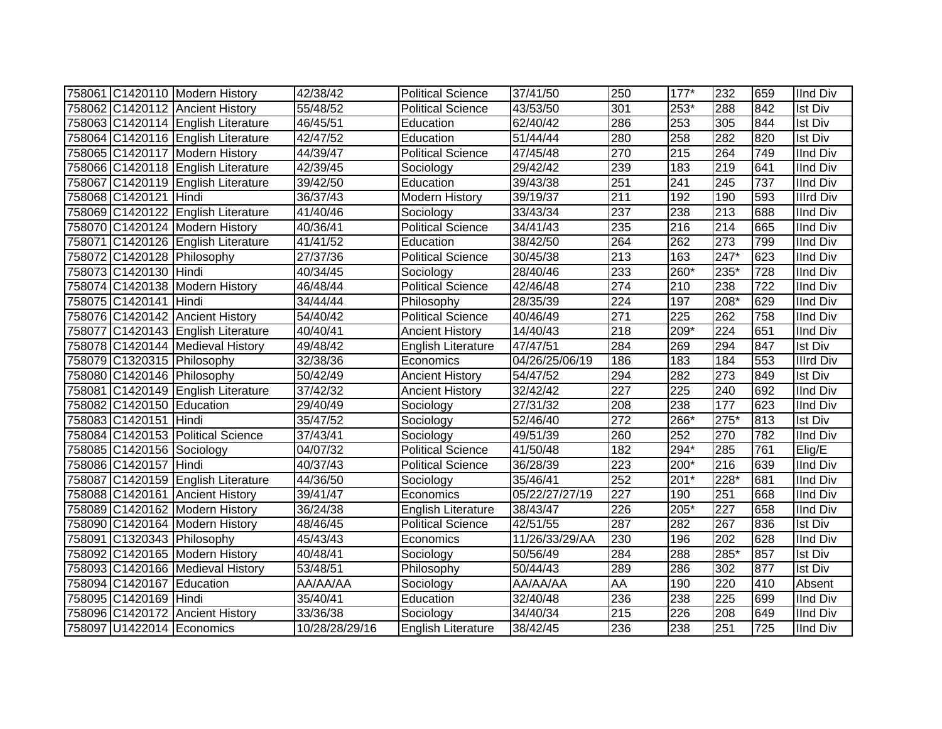|                           | 758061 C1420110 Modern History     | 42/38/42       | <b>Political Science</b>  | 37/41/50       | 250              | $177*$ | 232              | 659 | <b>IInd Div</b>  |
|---------------------------|------------------------------------|----------------|---------------------------|----------------|------------------|--------|------------------|-----|------------------|
|                           | 758062 C1420112 Ancient History    | 55/48/52       | <b>Political Science</b>  | 43/53/50       | 301              | 253*   | 288              | 842 | <b>Ist Div</b>   |
|                           | 758063 C1420114 English Literature | 46/45/51       | Education                 | 62/40/42       | 286              | 253    | 305              | 844 | <b>Ist Div</b>   |
|                           | 758064 C1420116 English Literature | 42/47/52       | Education                 | 51/44/44       | 280              | 258    | 282              | 820 | <b>Ist Div</b>   |
|                           | 758065 C1420117 Modern History     | 44/39/47       | <b>Political Science</b>  | 47/45/48       | 270              | 215    | 264              | 749 | <b>IInd Div</b>  |
|                           | 758066 C1420118 English Literature | 42/39/45       | Sociology                 | 29/42/42       | 239              | 183    | 219              | 641 | <b>IInd Div</b>  |
|                           | 758067 C1420119 English Literature | 39/42/50       | Education                 | 39/43/38       | 251              | 241    | 245              | 737 | <b>IInd Div</b>  |
| 758068 C1420121 Hindi     |                                    | 36/37/43       | <b>Modern History</b>     | 39/19/37       | $\overline{211}$ | 192    | 190              | 593 | <b>Illrd Div</b> |
|                           | 758069 C1420122 English Literature | 41/40/46       | Sociology                 | 33/43/34       | 237              | 238    | 213              | 688 | <b>IInd Div</b>  |
|                           | 758070 C1420124 Modern History     | 40/36/41       | <b>Political Science</b>  | 34/41/43       | 235              | 216    | 214              | 665 | <b>IInd Div</b>  |
|                           | 758071 C1420126 English Literature | 41/41/52       | Education                 | 38/42/50       | 264              | 262    | 273              | 799 | <b>IInd Div</b>  |
|                           | 758072 C1420128 Philosophy         | 27/37/36       | <b>Political Science</b>  | 30/45/38       | $\overline{213}$ | 163    | $247*$           | 623 | <b>IInd Div</b>  |
| 758073 C1420130 Hindi     |                                    | 40/34/45       | Sociology                 | 28/40/46       | 233              | 260*   | $235*$           | 728 | <b>IInd Div</b>  |
|                           | 758074 C1420138 Modern History     | 46/48/44       | <b>Political Science</b>  | 42/46/48       | 274              | 210    | 238              | 722 | <b>IInd Div</b>  |
| 758075 C1420141 Hindi     |                                    | 34/44/44       | Philosophy                | 28/35/39       | 224              | 197    | 208*             | 629 | <b>IInd Div</b>  |
|                           | 758076 C1420142 Ancient History    | 54/40/42       | <b>Political Science</b>  | 40/46/49       | 271              | 225    | 262              | 758 | <b>IInd Div</b>  |
|                           | 758077 C1420143 English Literature | 40/40/41       | <b>Ancient History</b>    | 14/40/43       | 218              | 209*   | 224              | 651 | <b>IInd Div</b>  |
|                           | 758078 C1420144 Medieval History   | 49/48/42       | <b>English Literature</b> | 47/47/51       | 284              | 269    | 294              | 847 | <b>Ist Div</b>   |
|                           | 758079 C1320315 Philosophy         | 32/38/36       | Economics                 | 04/26/25/06/19 | 186              | 183    | 184              | 553 | <b>Illrd Div</b> |
|                           | 758080 C1420146 Philosophy         | 50/42/49       | <b>Ancient History</b>    | 54/47/52       | 294              | 282    | $\overline{273}$ | 849 | <b>Ist Div</b>   |
|                           | 758081 C1420149 English Literature | 37/42/32       | <b>Ancient History</b>    | 32/42/42       | $\overline{227}$ | 225    | $\overline{240}$ | 692 | <b>IInd Div</b>  |
| 758082 C1420150 Education |                                    | 29/40/49       | Sociology                 | 27/31/32       | 208              | 238    | 177              | 623 | <b>IInd Div</b>  |
| 758083 C1420151 Hindi     |                                    | 35/47/52       | Sociology                 | 52/46/40       | 272              | 266*   | $275*$           | 813 | <b>Ist Div</b>   |
|                           | 758084 C1420153 Political Science  | 37/43/41       | Sociology                 | 49/51/39       | 260              | 252    | 270              | 782 | <b>IInd Div</b>  |
| 758085 C1420156 Sociology |                                    | 04/07/32       | <b>Political Science</b>  | 41/50/48       | 182              | 294*   | 285              | 761 | Elig/E           |
| 758086 C1420157 Hindi     |                                    | 40/37/43       | Political Science         | 36/28/39       | 223              | 200*   | 216              | 639 | <b>IInd Div</b>  |
|                           | 758087 C1420159 English Literature | 44/36/50       | Sociology                 | 35/46/41       | 252              | 201*   | 228*             | 681 | <b>IInd Div</b>  |
|                           | 758088 C1420161 Ancient History    | 39/41/47       | Economics                 | 05/22/27/27/19 | 227              | 190    | 251              | 668 | <b>IInd Div</b>  |
|                           | 758089 C1420162 Modern History     | 36/24/38       | English Literature        | 38/43/47       | 226              | 205*   | 227              | 658 | <b>IInd Div</b>  |
|                           | 758090 C1420164 Modern History     | 48/46/45       | <b>Political Science</b>  | 42/51/55       | 287              | 282    | 267              | 836 | <b>Ist Div</b>   |
|                           | 758091 C1320343 Philosophy         | 45/43/43       | Economics                 | 11/26/33/29/AA | 230              | 196    | $\overline{202}$ | 628 | <b>IInd Div</b>  |
|                           | 758092 C1420165 Modern History     | 40/48/41       | Sociology                 | 50/56/49       | 284              | 288    | 285*             | 857 | <b>Ist Div</b>   |
|                           | 758093 C1420166 Medieval History   | 53/48/51       | Philosophy                | 50/44/43       | 289              | 286    | 302              | 877 | Ist Div          |
| 758094 C1420167 Education |                                    | AA/AA/AA       | Sociology                 | AA/AA/AA       | AA               | 190    | 220              | 410 | Absent           |
| 758095 C1420169 Hindi     |                                    | 35/40/41       | Education                 | 32/40/48       | 236              | 238    | 225              | 699 | <b>IInd Div</b>  |
|                           | 758096 C1420172 Ancient History    | 33/36/38       | Sociology                 | 34/40/34       | 215              | 226    | 208              | 649 | <b>IInd Div</b>  |
|                           | 758097 U1422014 Economics          | 10/28/28/29/16 | <b>English Literature</b> | 38/42/45       | 236              | 238    | 251              | 725 | <b>IInd Div</b>  |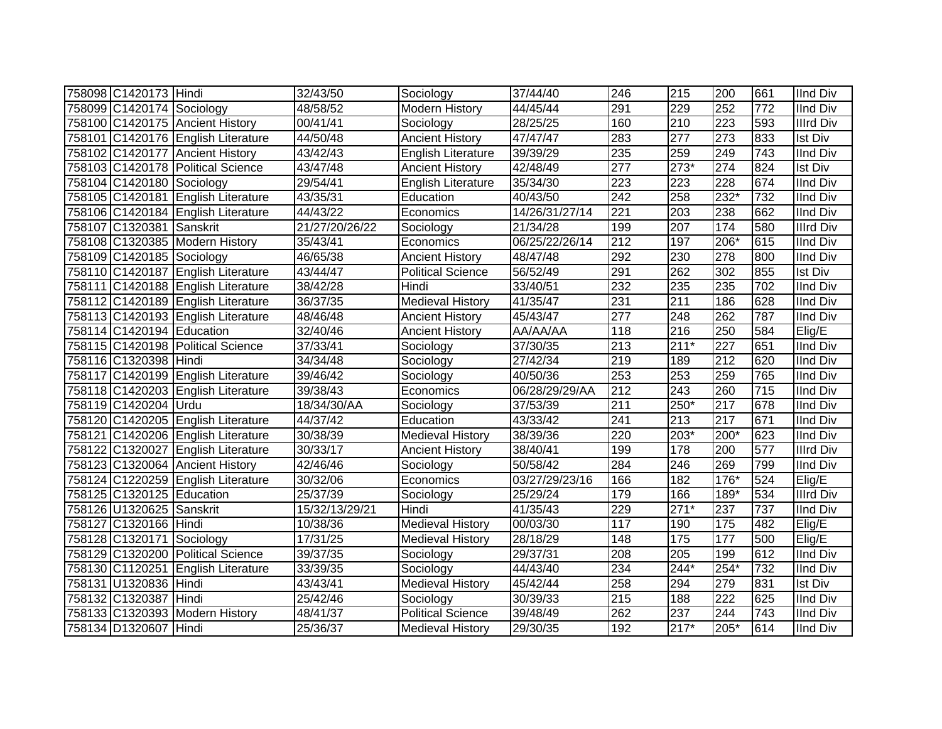| 758098 C1420173 Hindi     |                                    | 32/43/50       | Sociology                 | 37/44/40       | 246              | 215    | 200              | 661 | <b>IInd Div</b>  |
|---------------------------|------------------------------------|----------------|---------------------------|----------------|------------------|--------|------------------|-----|------------------|
| 758099 C1420174 Sociology |                                    | 48/58/52       | <b>Modern History</b>     | 44/45/44       | 291              | 229    | 252              | 772 | <b>IInd Div</b>  |
|                           | 758100 C1420175 Ancient History    | 00/41/41       | Sociology                 | 28/25/25       | 160              | 210    | 223              | 593 | <b>Illrd Div</b> |
|                           | 758101 C1420176 English Literature | 44/50/48       | <b>Ancient History</b>    | 47/47/47       | 283              | 277    | 273              | 833 | Ist Div          |
|                           | 758102 C1420177 Ancient History    | 43/42/43       | English Literature        | 39/39/29       | 235              | 259    | 249              | 743 | <b>IInd Div</b>  |
|                           | 758103 C1420178 Political Science  | 43/47/48       | <b>Ancient History</b>    | 42/48/49       | $\overline{277}$ | $273*$ | $\overline{274}$ | 824 | Ist Div          |
| 758104 C1420180 Sociology |                                    | 29/54/41       | <b>English Literature</b> | 35/34/30       | 223              | 223    | 228              | 674 | <b>IInd Div</b>  |
|                           | 758105 C1420181 English Literature | 43/35/31       | Education                 | 40/43/50       | $\overline{242}$ | 258    | $232*$           | 732 | <b>IInd Div</b>  |
|                           | 758106 C1420184 English Literature | 44/43/22       | Economics                 | 14/26/31/27/14 | 221              | 203    | 238              | 662 | <b>IInd Div</b>  |
| 758107 C1320381 Sanskrit  |                                    | 21/27/20/26/22 | Sociology                 | 21/34/28       | 199              | 207    | 174              | 580 | <b>Illrd Div</b> |
|                           | 758108 C1320385 Modern History     | 35/43/41       | Economics                 | 06/25/22/26/14 | 212              | 197    | $206*$           | 615 | <b>IInd Div</b>  |
| 758109 C1420185 Sociology |                                    | 46/65/38       | <b>Ancient History</b>    | 48/47/48       | 292              | 230    | 278              | 800 | <b>IInd Div</b>  |
|                           | 758110 C1420187 English Literature | 43/44/47       | <b>Political Science</b>  | 56/52/49       | 291              | 262    | 302              | 855 | <b>Ist Div</b>   |
|                           | 758111 C1420188 English Literature | 38/42/28       | Hindi                     | 33/40/51       | 232              | 235    | 235              | 702 | <b>IInd Div</b>  |
|                           | 758112 C1420189 English Literature | 36/37/35       | <b>Medieval History</b>   | 41/35/47       | 231              | 211    | 186              | 628 | <b>IInd Div</b>  |
|                           | 758113 C1420193 English Literature | 48/46/48       | <b>Ancient History</b>    | 45/43/47       | 277              | 248    | 262              | 787 | <b>IInd Div</b>  |
| 758114 C1420194 Education |                                    | 32/40/46       | <b>Ancient History</b>    | AA/AA/AA       | 118              | 216    | 250              | 584 | Elig/E           |
|                           | 758115 C1420198 Political Science  | 37/33/41       | Sociology                 | 37/30/35       | 213              | $211*$ | 227              | 651 | <b>IInd Div</b>  |
| 758116 C1320398 Hindi     |                                    | 34/34/48       | Sociology                 | 27/42/34       | 219              | 189    | $\overline{212}$ | 620 | <b>IInd Div</b>  |
|                           | 758117 C1420199 English Literature | 39/46/42       | Sociology                 | 40/50/36       | 253              | 253    | 259              | 765 | <b>IInd Div</b>  |
|                           | 758118 C1420203 English Literature | 39/38/43       | Economics                 | 06/28/29/29/AA | 212              | 243    | 260              | 715 | <b>IInd Div</b>  |
| 758119 C1420204 Urdu      |                                    | 18/34/30/AA    | Sociology                 | 37/53/39       | 211              | $250*$ | 217              | 678 | <b>IInd Div</b>  |
|                           | 758120 C1420205 English Literature | 44/37/42       | Education                 | 43/33/42       | 241              | 213    | 217              | 671 | <b>IInd Div</b>  |
|                           | 758121 C1420206 English Literature | 30/38/39       | Medieval History          | 38/39/36       | 220              | $203*$ | 200*             | 623 | <b>IInd Div</b>  |
|                           | 758122 C1320027 English Literature | 30/33/17       | <b>Ancient History</b>    | 38/40/41       | 199              | 178    | 200              | 577 | <b>Illrd Div</b> |
|                           | 758123 C1320064 Ancient History    | 42/46/46       | Sociology                 | 50/58/42       | 284              | 246    | 269              | 799 | <b>IInd Div</b>  |
|                           | 758124 C1220259 English Literature | 30/32/06       | Economics                 | 03/27/29/23/16 | 166              | 182    | $176*$           | 524 | Elig/E           |
| 758125 C1320125 Education |                                    | 25/37/39       | Sociology                 | 25/29/24       | 179              | 166    | 189*             | 534 | <b>Illrd Div</b> |
| 758126 U1320625 Sanskrit  |                                    | 15/32/13/29/21 | Hindi                     | 41/35/43       | 229              | $271*$ | 237              | 737 | <b>IInd Div</b>  |
| 758127 C1320166 Hindi     |                                    | 10/38/36       | <b>Medieval History</b>   | 00/03/30       | 117              | 190    | 175              | 482 | Elig/E           |
| 758128 C1320171           | Sociology                          | 17/31/25       | <b>Medieval History</b>   | 28/18/29       | 148              | 175    | 177              | 500 | Elig/E           |
|                           | 758129 C1320200 Political Science  | 39/37/35       | Sociology                 | 29/37/31       | 208              | 205    | 199              | 612 | <b>IInd Div</b>  |
|                           | 758130 C1120251 English Literature | 33/39/35       | Sociology                 | 44/43/40       | 234              | $244*$ | $254*$           | 732 | <b>IInd Div</b>  |
| 758131 U1320836 Hindi     |                                    | 43/43/41       | <b>Medieval History</b>   | 45/42/44       | 258              | 294    | 279              | 831 | <b>Ist Div</b>   |
| 758132 C1320387           | Hindi                              | 25/42/46       | Sociology                 | 30/39/33       | 215              | 188    | 222              | 625 | <b>IInd Div</b>  |
|                           | 758133 C1320393 Modern History     | 48/41/37       | <b>Political Science</b>  | 39/48/49       | 262              | 237    | 244              | 743 | <b>IInd Div</b>  |
| 758134 D1320607 Hindi     |                                    | 25/36/37       | <b>Medieval History</b>   | 29/30/35       | 192              | $217*$ | 205*             | 614 | <b>IInd Div</b>  |